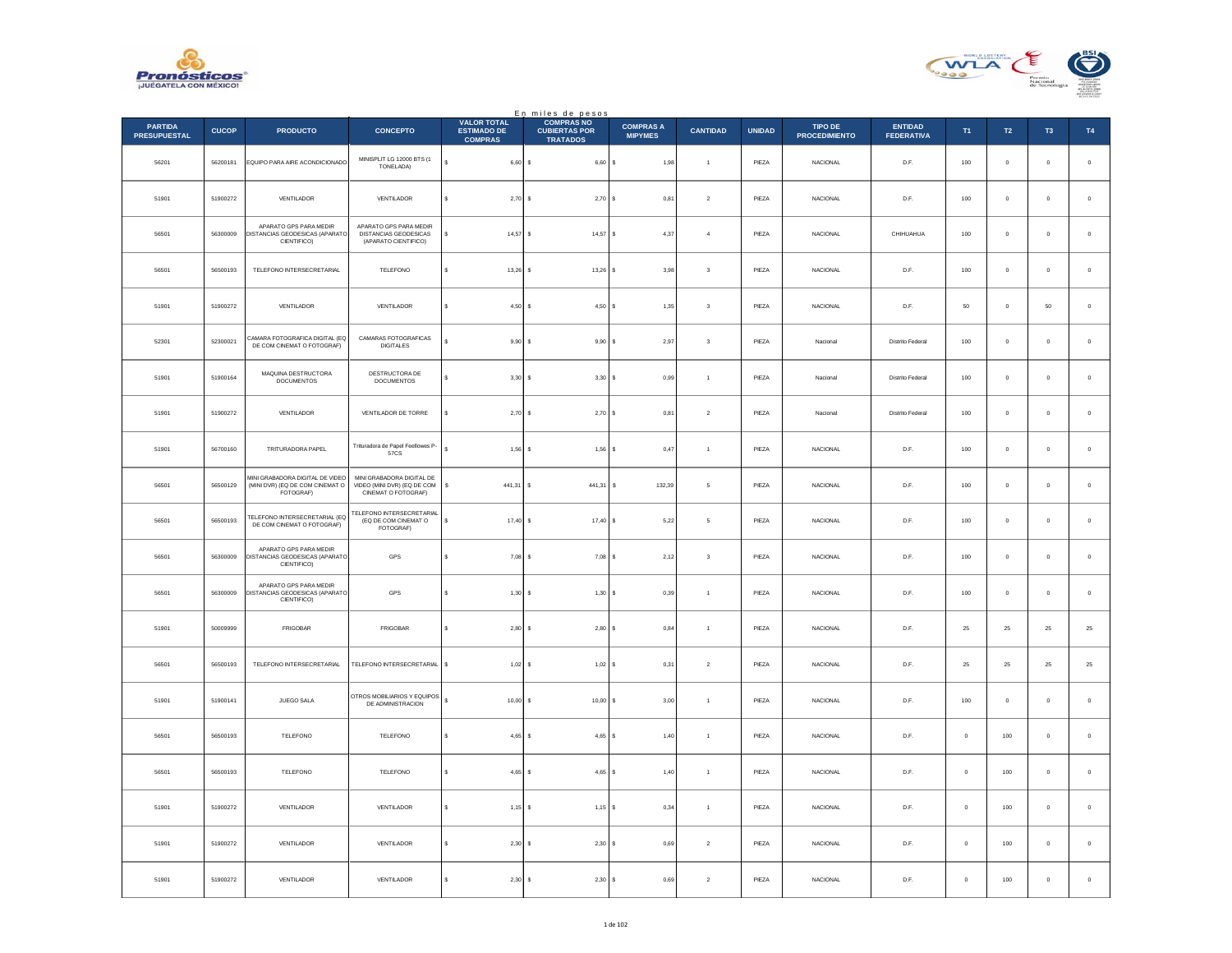



|                                       |              |                                                                                 |                                                                                 |                                                            | En miles de pesos<br>COMPRAS NO         |                                    |                         |               |                                 |                                     |              |                |                     |             |
|---------------------------------------|--------------|---------------------------------------------------------------------------------|---------------------------------------------------------------------------------|------------------------------------------------------------|-----------------------------------------|------------------------------------|-------------------------|---------------|---------------------------------|-------------------------------------|--------------|----------------|---------------------|-------------|
| <b>PARTIDA</b><br><b>PRESUPUESTAL</b> | <b>CUCOP</b> | <b>PRODUCTO</b>                                                                 | <b>CONCEPTO</b>                                                                 | <b>VALOR TOTAL</b><br><b>ESTIMADO DE</b><br><b>COMPRAS</b> | <b>CUBIERTAS POR</b><br><b>TRATADOS</b> | <b>COMPRAS A</b><br><b>MIPYMES</b> | <b>CANTIDAD</b>         | <b>UNIDAD</b> | TIPO DE<br><b>PROCEDIMIENTO</b> | <b>ENTIDAD</b><br><b>FEDERATIVA</b> | T1           | T2             | T <sub>3</sub>      | T4          |
| 56201                                 | 56200181     | EQUIPO PARA AIRE ACONDICIONADO                                                  | MINISPLIT LG 12000 BTS (1<br>TONELADA)                                          | ś<br>$6,60$ \$                                             | 6,60                                    | 1,98<br>١s                         | $\ddot{\phantom{1}}$    | PIEZA         | NACIONAL                        | D.F.                                | 100          | $\mathbf 0$    | $\mathbf 0$         | $\,$ 0 $\,$ |
| 51901                                 | 51900272     | VENTILADOR                                                                      | VENTILADOR                                                                      | $2,70$ \$<br>s                                             | 2,70S                                   | 0.81                               | $\overline{2}$          | PIEZA         | <b>NACIONAL</b>                 | D.F.                                | 100          | $\Omega$       | $\theta$            | $\,$ 0 $\,$ |
| 56501                                 | 56300009     | APARATO GPS PARA MEDIR<br>DISTANCIAS GEODESICAS (APARATO<br>CIENTIFICO)         | APARATO GPS PARA MEDIR<br>DISTANCIAS GEODESICAS<br>(APARATO CIENTIFICO)         | $14,57$ \$                                                 | $14,57$ \$                              | 4,37                               | $\overline{4}$          | PIEZA         | NACIONAL                        | CHIHUAHUA                           | 100          | $\circ$        | $\mathbf{0}$        | $\,$ 0 $\,$ |
| 56501                                 | 56500193     | TELEFONO INTERSECRETARIAL                                                       | TELEFONO                                                                        | s<br>$13,26$ \$                                            | 13,26                                   | 3,98                               | $\mathsf 3$             | PIEZA         | NACIONAL                        | D.F.                                | 100          | $\overline{0}$ | $\mathbf{0}$        | $\,$ 0 $\,$ |
| 51901                                 | 51900272     | VENTILADOR                                                                      | VENTILADOR                                                                      | $\mathbf{s}$<br>4,50S                                      | $4.50$ S                                | 1.35                               | $\overline{\mathbf{3}}$ | PIEZA         | <b>NACIONAL</b>                 | D.F.                                | 50           | $\overline{0}$ | 50                  | $\,$ 0 $\,$ |
| 52301                                 | 52300021     | CAMARA FOTOGRAFICA DIGITAL (EQ<br>DE COM CINEMAT O FOTOGRAFI                    | CAMARAS FOTOGRAFICAS<br><b>DIGITALES</b>                                        | $9,90$ \$                                                  | 9,90                                    | 2,97<br>$\epsilon$                 | $\mathsf 3$             | PIEZA         | Nacional                        | Distrito Federal                    | 100          | $\mathbf 0$    | $\mathbf 0$         | $\,$ 0 $\,$ |
| 51901                                 | 51900164     | MAQUINA DESTRUCTORA<br><b>DOCUMENTOS</b>                                        | DESTRUCTORA DE<br>DOCUMENTOS                                                    | $3,30$ \$<br>$\epsilon$                                    | $3,30$ \$                               | 0.99                               | $\overline{1}$          | PIF7A         | Nacional                        | Distrito Federal                    | 100          | $\Omega$       | $\theta$            | $\,$ 0 $\,$ |
| 51901                                 | 51900272     | VENTILADOR                                                                      | VENTILADOR DE TORRE                                                             | $2,70$ \$                                                  | 2,70S                                   | 0,81                               | $\,2\,$                 | PIEZA         | Nacional                        | Distrito Federal                    | 100          | $\circ$        | $\mathbf{0}$        | $\,$ 0 $\,$ |
| 51901                                 | 56700160     | TRITURADORA PAPEL                                                               | Trituradora de Papel Feellowes P-<br><b>57CS</b>                                | s<br>$1,56$ \$                                             | 1,56                                    | 0,47<br>$\mathbf{s}$               | $\overline{1}$          | PIEZA         | <b>NACIONAL</b>                 | D.F.                                | 100          | $\mathbf 0$    | $\mathbf 0$         | $\,$ 0 $\,$ |
| 56501                                 | 56500129     | MINI GRABADORA DIGITAL DE VIDEO<br>(MINI DVR) (EQ DE COM CINEMAT O<br>FOTOGRAF) | MINI GRABADORA DIGITAL DE<br>VIDEO (MINI DVR) (EQ DE COM<br>CINEMAT O FOTOGRAF) | 441,31<br>s                                                | 441,31<br>۱s                            | 132,39<br>s                        | 5                       | PIEZA         | <b>NACIONAL</b>                 | D.F.                                | 100          | $\circ$        | $\bf{0}$            | $\,$ 0 $\,$ |
| 56501                                 | 56500193     | TELEFONO INTERSECRETARIAL (EQ<br>DE COM CINEMAT O FOTOGRAF)                     | TELEFONO INTERSECRETARIAL<br>(EQ DE COM CINEMAT O<br>FOTOGRAF)                  | s<br>$17,40$ \$                                            | 17,40                                   | 5,22                               | $\mathsf s$             | PIEZA         | NACIONAL                        | $\mathsf{D}.\mathsf{F}.$            | 100          | $\mathbb O$    | $\ddot{\mathbf{0}}$ | $\,$ 0 $\,$ |
| 56501                                 | 56300009     | APARATO GPS PARA MEDIR<br>DISTANCIAS GEODESICAS (APARATO<br>CIENTIFICO)         | GPS                                                                             | $7,08$ \$<br>s                                             | $7,08$ \$                               | 2,12                               | $\mathbf 3$             | PIEZA         | <b>NACIONAL</b>                 | D.F.                                | 100          | $\Omega$       | $\Omega$            | $\,$ 0 $\,$ |
| 56501                                 | 56300009     | APARATO GPS PARA MEDIR<br>DISTANCIAS GEODESICAS (APARATO<br>CIENTIFICO)         | GPS                                                                             | $1,30$ \$                                                  | 1,30S                                   | 0,39                               | $\overline{1}$          | PIEZA         | <b>NACIONAL</b>                 | D.F.                                | 100          | $\mathbf 0$    | $\pmb{0}$           | $\,$ 0 $\,$ |
| 51901                                 | 50009999     | FRIGOBAR                                                                        | FRIGOBAR                                                                        | s<br>2,80S                                                 | 2,80S                                   | 0,84                               | $\mathbf{1}$            | PIEZA         | NACIONAL                        | D.F.                                | 25           | ${\bf 25}$     | 25                  | $\bf 25$    |
| 56501                                 | 56500193     | TELEFONO INTERSECRETARIAL                                                       | TELEFONO INTERSECRETARIAL                                                       | $1,02$ \$<br>s                                             | $1,02$ \$                               | 0,31                               | $\,$ 2 $\,$             | PIEZA         | <b>NACIONAL</b>                 | D.F.                                | $\bf 25$     | $2\mathsf{S}$  | $25\,$              | $25\,$      |
| 51901                                 | 51900141     | JUEGO SALA                                                                      | OTROS MOBILIARIOS Y EQUIPOS<br>DE ADMINISTRACION                                | $10,00$ \$<br>s                                            | 10,00                                   | 3,00                               | $\mathbf{1}$            | PIEZA         | NACIONAL                        | $\mathsf{D}.\mathsf{F}.$            | 100          | $\mathbb O$    | $\ddot{\mathbf{0}}$ | $\,$ 0 $\,$ |
| 56501                                 | 56500193     | TELEFONO                                                                        | <b>TELEFONO</b>                                                                 | $4,65$ \$<br>s                                             | $4,65$ \$                               | 1,40                               | $\overline{1}$          | PIEZA         | <b>NACIONAL</b>                 | D.F.                                | $\mathbf{0}$ | 100            | $\mathbf{0}$        | $\,$ 0 $\,$ |
| 56501                                 | 56500193     | TELEFONO                                                                        | TELEFONO                                                                        | $4,65$ \$<br>s                                             | $4,65$ \$                               | 1,40                               | $\overline{1}$          | PIEZA         | <b>NACIONAL</b>                 | D.F.                                | $\mathbf 0$  | 100            | $\pmb{0}$           | $\mathbf 0$ |
| 51901                                 | 51900272     | VENTILADOR                                                                      | VENTILADOR                                                                      | s<br>$1,15$ \$                                             | $1,15$ \$                               | 0,34                               | $\mathbf{1}$            | PIEZA         | NACIONAL                        | D.F.                                | $\mathbf 0$  | 100            | $\bf{0}$            | $\,0\,$     |
| 51901                                 | 51900272     | VENTILADOR                                                                      | VENTILADOR                                                                      | $2,30$ \$                                                  | 2,30S                                   | 0.69                               | $\overline{2}$          | PIEZA         | <b>NACIONAL</b>                 | D.F.                                | $\circ$      | 100            | $\mathbf{0}$        | $\circ$     |
| 51901                                 | 51900272     | VENTILADOR                                                                      | VENTILADOR                                                                      | $2,30$ \$<br>s                                             | 2,30                                    | 0,69                               | $\sqrt{2}$              | PIEZA         | NACIONAL                        | D.F.                                | $\mathbf 0$  | 100            | $\mathbf 0$         | $\,$ 0 $\,$ |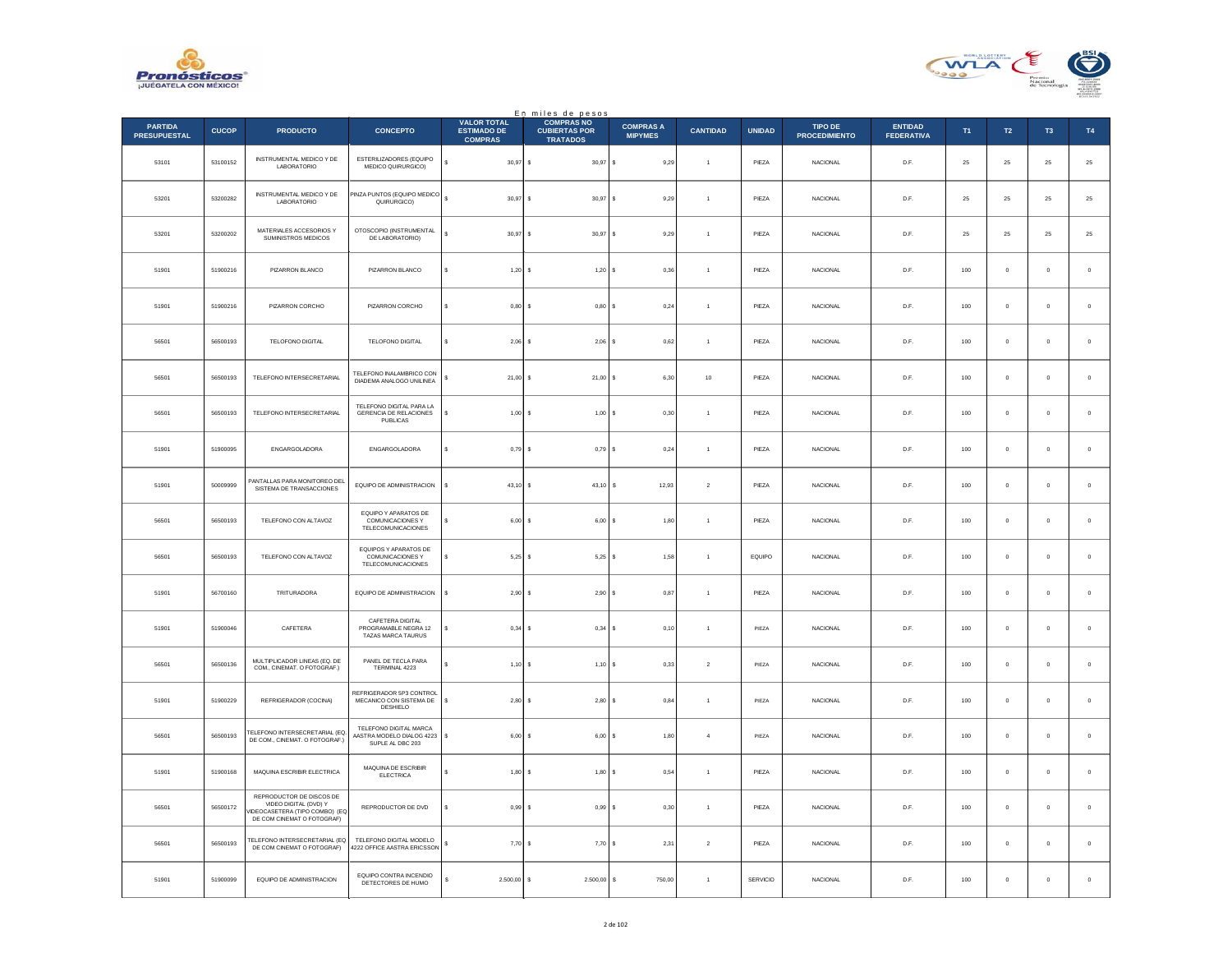



|                                       |              |                                                                                                                  |                                                                               |                                                            | En miles de pesos<br>COMPRAS NO         |                                    |                 |               |                                 |                              |     |              |                     |             |
|---------------------------------------|--------------|------------------------------------------------------------------------------------------------------------------|-------------------------------------------------------------------------------|------------------------------------------------------------|-----------------------------------------|------------------------------------|-----------------|---------------|---------------------------------|------------------------------|-----|--------------|---------------------|-------------|
| <b>PARTIDA</b><br><b>PRESUPUESTAL</b> | <b>CUCOP</b> | <b>PRODUCTO</b>                                                                                                  | <b>CONCEPTO</b>                                                               | <b>VALOR TOTAL</b><br><b>ESTIMADO DE</b><br><b>COMPRAS</b> | <b>CUBIERTAS POR</b><br><b>TRATADOS</b> | <b>COMPRAS A</b><br><b>MIPYMES</b> | <b>CANTIDAD</b> | <b>UNIDAD</b> | TIPO DE<br><b>PROCEDIMIENTO</b> | ENTIDAD<br><b>FEDERATIVA</b> | T1  | T2           | T <sub>3</sub>      | T4          |
| 53101                                 | 53100152     | <b>INSTRUMENTAL MEDICO Y DE</b><br>LABORATORIO                                                                   | ESTERILIZADORES (EQUIPO<br>MEDICO QUIRURGICO)                                 | $30,97$ \$<br>s                                            | 30,97                                   | 9,29<br>$\epsilon$                 |                 | PIEZA         | NACIONAL                        | D.F.                         | 25  | $25\,$       | ${\bf 25}$          | $25\,$      |
| 53201                                 | 53200282     | <b>INSTRUMENTAL MEDICO Y DE</b><br>LABORATORIO                                                                   | PINZA PUNTOS (EQUIPO MEDICO<br>QUIRURGICO)                                    | s<br>$30.97$ S                                             | 30.97S                                  | 9.29                               | $\overline{1}$  | PIF7A         | <b>NACIONAL</b>                 | D.F.                         | 25  | 25           | 25                  | $25\,$      |
| 53201                                 | 53200202     | MATERIALES ACCESORIOS Y<br>SUMINISTROS MEDICOS                                                                   | OTOSCOPIO (INSTRUMENTAL<br>DE LABORATORIO)                                    | $30,97$ \$                                                 | 30,97                                   | s<br>9,29                          | $\overline{1}$  | PIEZA         | NACIONAL                        | D.F.                         | 25  | 25           | $25\,$              | $25\,$      |
| 51901                                 | 51900216     | PIZARRON BLANCO                                                                                                  | PIZARRON BLANCO                                                               | s<br>$1,20$ \$                                             | 1,20                                    | 0,36                               | $\overline{1}$  | PIEZA         | <b>NACIONAL</b>                 | D.F.                         | 100 | $\mathbf{0}$ | $\mathbf{0}$        | $\,$ 0 $\,$ |
| 51901                                 | 51900216     | PIZARRON CORCHO                                                                                                  | PIZARRON CORCHO                                                               | s<br>$0,80$ \$                                             | 0,80                                    | 0,24                               | $\overline{1}$  | PIEZA         | <b>NACIONAL</b>                 | D.F.                         | 100 | $\circ$      | 0                   | $\,$ 0 $\,$ |
| 56501                                 | 56500193     | TELOFONO DIGITAL                                                                                                 | TELOFONO DIGITAL                                                              | $2,06$ \$<br>s                                             | 2,06                                    | 0,62                               | $\overline{1}$  | PIEZA         | NACIONAL                        | D.F.                         | 100 | $\mathbb O$  | $\pmb{0}$           | $\,0\,$     |
| 56501                                 | 56500193     | TELEFONO INTERSECRETARIAL                                                                                        | TELEFONO INALAMBRICO CON<br>DIADEMA ANALOGO UNILINEA                          | $21.00$ S                                                  | $21,00$ \$                              | 6.30                               | 10              | PIEZA         | <b>NACIONAL</b>                 | D.F.                         | 100 | $\circ$      | $\mathbf{0}$        | $\mathbf 0$ |
| 56501                                 | 56500193     | TELEFONO INTERSECRETARIAL                                                                                        | TELEFONO DIGITAL PARA LA<br>GERENCIA DE RELACIONES<br>PUBLICAS                | $1,00$ \$                                                  | 1,00                                    | 0,30<br>١s                         | $\overline{1}$  | PIEZA         | NACIONAL                        | D.F.                         | 100 | $\mathbb O$  | $\pmb{0}$           | $\,$ 0 $\,$ |
| 51901                                 | 51900095     | ENGARGOLADORA                                                                                                    | ENGARGOLADORA                                                                 | $0,79$ \$                                                  | 0,79S                                   | 0,24                               | $\overline{1}$  | PIEZA         | <b>NACIONAL</b>                 | D.F.                         | 100 | $\circ$      | $\Omega$            | $\circ$     |
| 51901                                 | 50009999     | PANTALLAS PARA MONITOREO DEL<br>SISTEMA DE TRANSACCIONES                                                         | EQUIPO DE ADMINISTRACION                                                      | 43,10                                                      | 43,10<br>-S                             | 12,93<br>s                         | $\sqrt{2}$      | PIEZA         | <b>NACIONAL</b>                 | D.F.                         | 100 | $\circ$      | $\ddot{\mathbf{0}}$ | $\mathbf 0$ |
| 56501                                 | 56500193     | TELEFONO CON ALTAVOZ                                                                                             | EQUIPO Y APARATOS DE<br>COMUNICACIONES Y<br><b>TELECOMUNICACIONES</b>         | $6,00$ \$                                                  | 6,00                                    | 1,80                               | $\overline{1}$  | PIEZA         | NACIONAL                        | D.F.                         | 100 | $\mathbb O$  | $\mathbf 0$         | $\,$ 0 $\,$ |
| 56501                                 | 56500193     | TELEFONO CON ALTAVOZ                                                                                             | EQUIPOS Y APARATOS DE<br><b>COMUNICACIONES Y</b><br><b>TELECOMUNICACIONES</b> | $5.25$ \$                                                  | $5,25$ \$                               | 1.58                               | $\overline{1}$  | EQUIPO        | <b>NACIONAL</b>                 | D.F.                         | 100 | $\circ$      | $\mathbf 0$         | $\circ$     |
| 51901                                 | 56700160     | TRITURADORA                                                                                                      | EQUIPO DE ADMINISTRACION                                                      | 2,90                                                       | 2,90<br>s                               | 0,87                               | $\overline{1}$  | PIEZA         | <b>NACIONAL</b>                 | D.F.                         | 100 | $\mathbf{0}$ | $\ddot{\mathbf{0}}$ | $\mathbb O$ |
| 51901                                 | 51900046     | CAFETERA                                                                                                         | CAFETERA DIGITAL<br>PROGRAMABLE NEGRA 12<br>TAZAS MARCA TAURUS                | $0.34$ S                                                   | 0,34                                    | 0.10<br>¢                          | $\overline{1}$  | PIEZA         | <b>NACIONAL</b>                 | D.F.                         | 100 | $\Omega$     | $\Omega$            | $\mathbf 0$ |
| 56501                                 | 56500136     | MULTIPLICADOR LINEAS (EQ. DE<br>COM., CINEMAT. O FOTOGRAF.)                                                      | PANEL DE TECLA PARA<br>TERMINAL 4223                                          | $1,10$ \$                                                  | 1,10                                    | 0,33<br>s                          | $\sqrt{2}$      | PIEZA         | NACIONAL                        | D.F.                         | 100 | $\mathbf{0}$ | $\ddot{\mathbf{0}}$ | $\,$ 0 $\,$ |
| 51901                                 | 51900229     | REFRIGERADOR (COCINA)                                                                                            | REFRIGERADOR 5P3 CONTROL<br>MECANICO CON SISTEMA DE<br>DESHIELO               | \$<br>2,80S                                                | 2,80                                    | 0,84                               | $\overline{1}$  | PIEZA         | <b>NACIONAL</b>                 | D.F.                         | 100 | $\mathbf{0}$ | $\mathbf{0}$        | $\,$ 0 $\,$ |
| 56501                                 | 56500193     | TELEFONO INTERSECRETARIAL (EQ.<br>DE COM., CINEMAT. O FOTOGRAF.)                                                 | TELEFONO DIGITAL MARCA<br>AASTRA MODELO DIALOG 4223<br>SUPLE AL DBC 203       | s<br>$6.00$ S                                              | $6.00$ S                                | 1.80                               | $\overline{4}$  | PIEZA         | <b>NACIONAL</b>                 | D.F.                         | 100 | $\Omega$     | $^{\circ}$          | $\circ$     |
| 51901                                 | 51900168     | MAQUINA ESCRIBIR ELECTRICA                                                                                       | MAQUINA DE ESCRIBIR<br>ELECTRICA                                              | $1,80$ \$                                                  | $1,80$ \$                               | 0,54                               | $\overline{1}$  | PIEZA         | NACIONAL                        | D.F.                         | 100 | $\mathbf 0$  | o                   | $\,$ 0 $\,$ |
| 56501                                 | 56500172     | REPRODUCTOR DE DISCOS DE<br>VIDEO DIGITAL (DVD) Y<br>IDEOCASETERA (TIPO COMBO) (EQ<br>DE COM CINEMAT O FOTOGRAF) | REPRODUCTOR DE DVD                                                            | 0.99S                                                      | 0,99S                                   | 0,30                               | $\mathbf{1}$    | PIEZA         | NACIONAL                        | D.F.                         | 100 | $\Omega$     | $\Omega$            | $\mathbf 0$ |
| 56501                                 | 56500193     | TELEFONO INTERSECRETARIAL (EQ<br>DE COM CINEMAT O FOTOGRAF)                                                      | TELEFONO DIGITAL MODELO<br>4222 OFFICE AASTRA ERICSSON                        | 7,70                                                       | 7,70<br>-S                              | 2,31                               | $\sqrt{2}$      | PIEZA         | <b>NACIONAL</b>                 | D.F.                         | 100 | $^{\circ}$   | $\mathbf 0$         | $\,$ 0 $\,$ |
| 51901                                 | 51900099     | EQUIPO DE ADMINISTRACION                                                                                         | EQUIPO CONTRA INCENDIO<br>DETECTORES DE HUMO                                  | $2.500,00$ \$                                              | 2.500,00                                | 750,00<br>s                        | $\overline{1}$  | SERVICIO      | NACIONAL                        | D.F.                         | 100 | $\mathbf{0}$ | $\pmb{0}$           | $\,$ 0 $\,$ |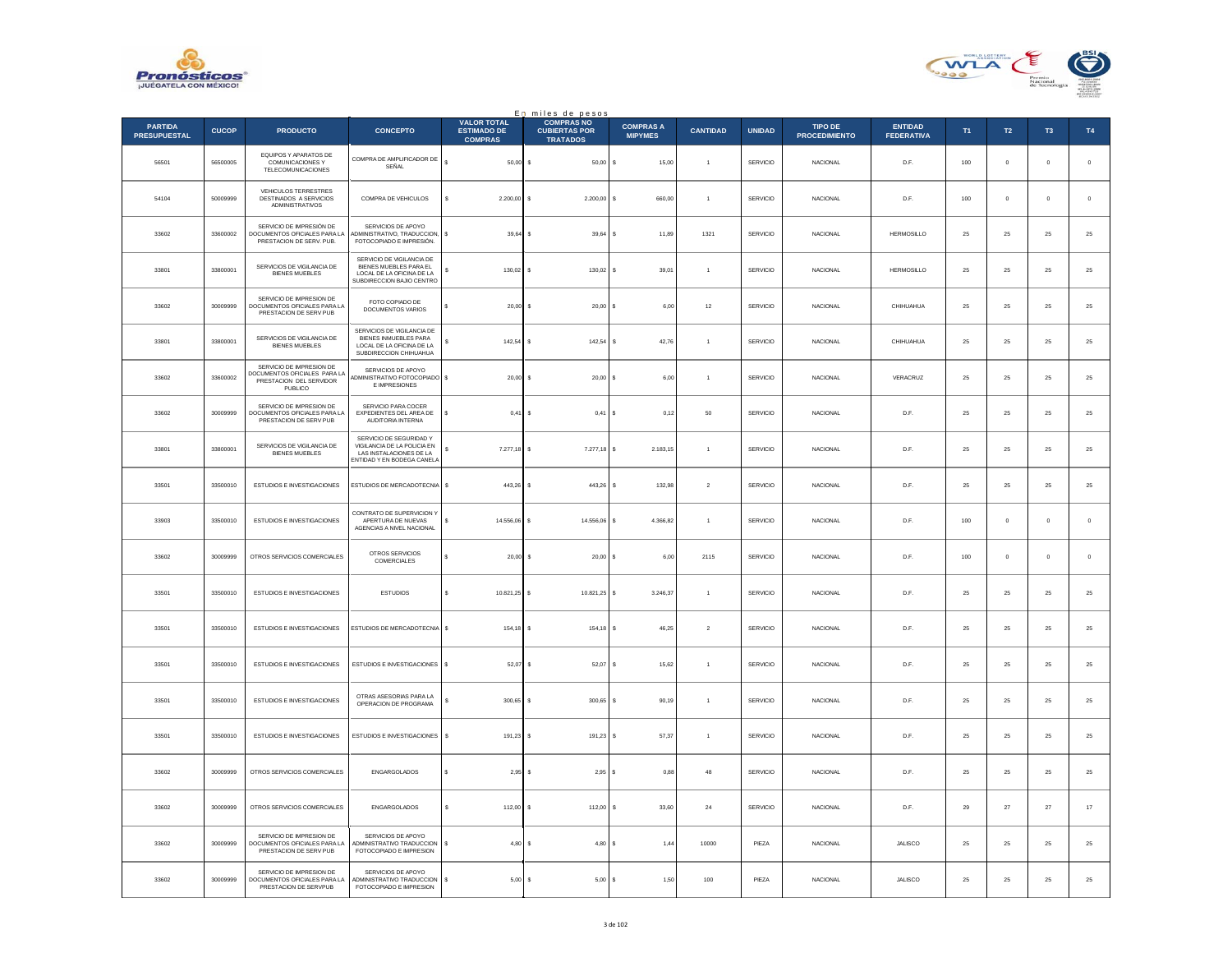



|                                       |              |                                                                                               |                                                                                                                        |                                                            | En miles de pesos                                            |                                    |                 |                 |                                        |                                     |             |               |               |               |
|---------------------------------------|--------------|-----------------------------------------------------------------------------------------------|------------------------------------------------------------------------------------------------------------------------|------------------------------------------------------------|--------------------------------------------------------------|------------------------------------|-----------------|-----------------|----------------------------------------|-------------------------------------|-------------|---------------|---------------|---------------|
| <b>PARTIDA</b><br><b>PRESUPUESTAL</b> | <b>CUCOP</b> | <b>PRODUCTO</b>                                                                               | <b>CONCEPTO</b>                                                                                                        | <b>VALOR TOTAL</b><br><b>ESTIMADO DE</b><br><b>COMPRAS</b> | <b>COMPRAS NO</b><br><b>CUBIERTAS POR</b><br><b>TRATADOS</b> | <b>COMPRAS A</b><br><b>MIPYMES</b> | <b>CANTIDAD</b> | <b>UNIDAD</b>   | <b>TIPO DE</b><br><b>PROCEDIMIENTO</b> | <b>ENTIDAD</b><br><b>FEDERATIVA</b> | T1          | $\mathsf{T2}$ | T3            | $\mathsf{T4}$ |
| 56501                                 | 56500005     | EQUIPOS Y APARATOS DE<br>COMUNICACIONES Y<br><b>TELECOMUNICACIONES</b>                        | COMPRA DE AMPLIFICADOR DE<br>SEÑAL                                                                                     | $\epsilon$<br>$50,00$ \$                                   | $50,00$ \$                                                   | 15,00                              | $\overline{1}$  | SERVICIO        | <b>NACIONAL</b>                        | D.F.                                | $100\,$     | $\mathbf 0$   | $\mathbf 0$   | $\,$ 0 $\,$   |
| 54104                                 | 50009999     | VEHICULOS TERRESTRES<br><b>DESTINADOS A SERVICIOS</b><br>ADMINISTRATIVOS                      | COMPRA DE VEHICULOS                                                                                                    | 2,200.00 S<br>s.                                           | 2.200.00 S                                                   | 660.00                             | $\overline{1}$  | <b>SERVICIO</b> | <b>NACIONAL</b>                        | D.F.                                | 100         | $\circ$       | $\mathbf{0}$  | $\circ$       |
| 33602                                 | 33600002     | SERVICIO DE IMPRESIÓN DE<br>DOCUMENTOS OFICIALES PARA LA<br>PRESTACION DE SERV. PUB.          | SERVICIOS DE APOYO<br>ADMINISTRATIVO, TRADUCCION,<br>FOTOCOPIADO E IMPRESIÓN.                                          | s<br>39,64                                                 | 39,64                                                        | 11,89<br>-S                        | 1321            | SERVICIO        | <b>NACIONAL</b>                        | <b>HERMOSILLO</b>                   | 25          | $25\,$        | 25            | 25            |
| 33801                                 | 33800001     | SERVICIOS DE VIGILANCIA DE<br><b>BIENES MUEBLES</b>                                           | SERVICIO DE VIGILANCIA DE<br>BIENES MUEBLES PARA EL<br>LOCAL DE LA OFICINA DE LA<br>SUBDIRECCION BAJIO CENTRO          | s.<br>130.02                                               | 130.02                                                       | l s<br>39.01                       | $\overline{1}$  | SERVICIO        | <b>NACIONAL</b>                        | HERMOSILLO                          | 25          | 25            | 25            | 25            |
| 33602                                 | 30009999     | SERVICIO DE IMPRESION DE<br>DOCUMENTOS OFICIALES PARA LA<br>PRESTACION DE SERV PUB            | <b>FOTO COPIADO DE</b><br>DOCUMENTOS VARIOS                                                                            | 20,00                                                      | 20,00                                                        | 6,00<br>s                          | $12\,$          | SERVICIO        | NACIONAL                               | CHIHUAHUA                           | 25          | $\bf 25$      | $\bf 25$      | $2\mathsf{5}$ |
| 33801                                 | 33800001     | SERVICIOS DE VIGILANCIA DE<br><b>BIENES MUEBLES</b>                                           | SERVICIOS DE VIGILANCIA DE<br>BIENES INMUEBLES PARA<br>LOCAL DE LA OFICINA DE LA<br>SUBDIRECCION CHIHUAHUA             | $142.54$ S<br>s                                            | $142,54$ \$                                                  | 42.76                              | $\overline{1}$  | <b>SERVICIO</b> | <b>NACIONAL</b>                        | CHIHUAHUA                           | 25          | 25            | 25            | 25            |
| 33602                                 | 33600002     | SERVICIO DE IMPRESION DE<br>OCUMENTOS OFICIALES PARA LA<br>PRESTACION DEL SERVIDOR<br>PUBLICO | SERVICIOS DE APOYO<br>ADMINISTRATIVO FOTOCOPIADO \$<br>E IMPRESIONES                                                   | 20,00                                                      | $20,00$ \$                                                   | 6,00                               | $\overline{1}$  | SERVICIO        | <b>NACIONAL</b>                        | VERACRUZ                            | 25          | 25            | 25            | 25            |
| 33602                                 | 30009999     | SERVICIO DE IMPRESION DE<br>DOCUMENTOS OFICIALES PARA LA<br>PRESTACION DE SERV PUB            | SERVICIO PARA COCER<br>EXPEDIENTES DEL AREA DE<br>AUDITORIA INTERNA                                                    | s<br>0.41S                                                 | $0,41$ \$                                                    | 0.12                               | 50              | <b>SERVICIO</b> | <b>NACIONAL</b>                        | D.F.                                | 25          | 25            | 25            | 25            |
| 33801                                 | 33800001     | SERVICIOS DE VIGILANCIA DE<br><b>BIENES MUEBLES</b>                                           | SERVICIO DE SEGURIDAD Y<br>VIGILANCIA DE LA POLICIA EN<br><b>LAS INSTALACIONES DE LA</b><br>ENTIDAD Y EN BODEGA CANELA | s<br>7.277,18                                              | 7.277,18                                                     | 2.183,15<br>ΙS                     | $\mathbf{1}$    | SERVICIO        | <b>NACIONAL</b>                        | D.F.                                | 25          | 25            | 25            | 25            |
| 33501                                 | 33500010     | ESTUDIOS E INVESTIGACIONES                                                                    | ESTUDIOS DE MERCADOTECNIA                                                                                              | $\mathsf{s}$<br>443,26                                     | 443,26                                                       | 132,98<br>$\epsilon$               | $\overline{2}$  | SERVICIO        | NACIONAL                               | D.F.                                | 25          | 25            | $25\,$        | ${\bf 25}$    |
| 33903                                 | 33500010     | ESTUDIOS E INVESTIGACIONES                                                                    | CONTRATO DE SUPERVICION Y<br>APERTURA DE NUEVAS<br>AGENCIAS A NIVEL NACIONAL                                           | 14.556.06 S<br>s                                           | 14,556.06 \$                                                 | 4.366.82                           | $\overline{1}$  | <b>SERVICIO</b> | <b>NACIONAL</b>                        | D.F.                                | 100         | $\mathbf{0}$  | $\mathbf{0}$  | $\circ$       |
| 33602                                 | 30009999     | OTROS SERVICIOS COMERCIALES                                                                   | OTROS SERVICIOS<br>COMERCIALES                                                                                         | 20,00<br>s                                                 | 20,00                                                        | s<br>6,00                          | 2115            | SERVICIO        | <b>NACIONAL</b>                        | D.F.                                | 100         | $\mathbf 0$   | $\mathbf 0$   | $\mathbf 0$   |
| 33501                                 | 33500010     | <b>ESTUDIOS E INVESTIGACIONES</b>                                                             | <b>ESTUDIOS</b>                                                                                                        | s.<br>10.821.25 \$                                         | 10.821.25 \$                                                 | 3 246 37                           | $\overline{1}$  | SERVICIO        | <b>NACIONAL</b>                        | D.E                                 | 25          | 25            | 25            | 25            |
| 33501                                 | 33500010     | ESTUDIOS E INVESTIGACIONES                                                                    | ESTUDIOS DE MERCADOTECNIA                                                                                              | $\mathbb{S}$<br>154,18 \$                                  | 154,18                                                       | 46,25                              | $\sqrt{2}$      | SERVICIO        | NACIONAL                               | D.F.                                | $2\sqrt{5}$ | $2\mathsf{S}$ | $2\mathrm{5}$ | 25            |
| 33501                                 | 33500010     | ESTUDIOS E INVESTIGACIONES                                                                    | ESTUDIOS E INVESTIGACIONES S                                                                                           | $52,07$ \$                                                 | $52.07$ S                                                    | 15.62                              | $\overline{1}$  | SERVICIO        | <b>NACIONAL</b>                        | D.F.                                | 25          | 25            | 25            | 25            |
| 33501                                 | 33500010     | ESTUDIOS E INVESTIGACIONES                                                                    | OTRAS ASESORIAS PARA LA<br>OPERACION DE PROGRAMA                                                                       | 300,65<br>s                                                | 300,65                                                       | l s<br>90,19                       |                 | SERVICIO        | <b>NACIONAL</b>                        | D.F.                                | 25          | 25            | 25            | 25            |
| 33501                                 | 33500010     | ESTUDIOS E INVESTIGACIONES                                                                    | ESTUDIOS E INVESTIGACIONES                                                                                             | s<br>191.23                                                | $191.23$ S                                                   | 57.37                              | $\overline{1}$  | SERVICIO        | <b>NACIONAL</b>                        | D.E                                 | 25          | 25            | 25            | 25            |
| 33602                                 | 30009999     | OTROS SERVICIOS COMERCIALES                                                                   | ENGARGOLADOS                                                                                                           | s<br>2,95                                                  | 2,95                                                         | 0,88<br>١s                         | 48              | SERVICIO        | <b>NACIONAL</b>                        | D.F.                                | 25          | 25            | 25            | $2\mathsf{5}$ |
| 33602                                 | 30009999     | OTROS SERVICIOS COMERCIALES                                                                   | ENGARGOLADOS                                                                                                           | 112,00 \$<br>s.                                            | 112,00 \$                                                    | 33,60                              | $\bf{24}$       | SERVICIO        | NACIONAL                               | D.F.                                | 29          | 27            | 27            | $17\,$        |
| 33602                                 | 30009999     | SERVICIO DE IMPRESION DE<br>DOCUMENTOS OFICIALES PARA LA<br>PRESTACION DE SERV PUB            | SERVICIOS DE APOYO<br>ADMINISTRATIVO TRADUCCION<br>FOTOCOPIADO E IMPRESION                                             | s<br>4.80                                                  | $4.80$ S<br>-S                                               | 1.44                               | 10000           | PIEZA           | <b>NACIONAL</b>                        | <b>JALISCO</b>                      | 25          | 25            | 25            | 25            |
| 33602                                 | 30009999     | SERVICIO DE IMPRESION DE<br>DOCUMENTOS OFICIALES PARA LA<br>PRESTACION DE SERVPUB             | SERVICIOS DE APOYO<br>ADMINISTRATIVO TRADUCCION<br>FOTOCOPIADO E IMPRESION                                             | s<br>5,00S                                                 | 5,00S                                                        | 1,50                               | 100             | PIEZA           | <b>NACIONAL</b>                        | JALISCO                             | 25          | $25\,$        | 25            | 25            |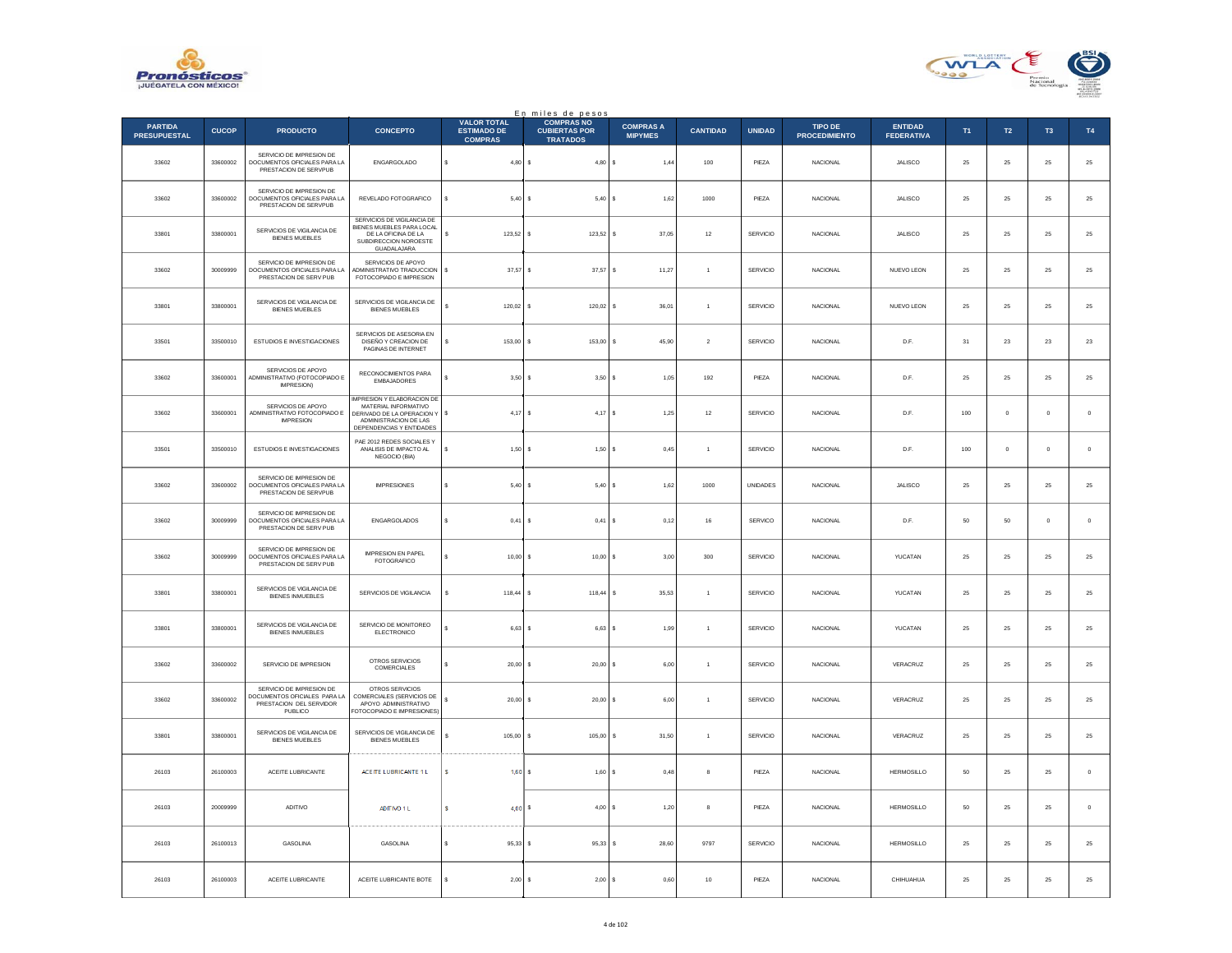



|                                       |              |                                                                                                |                                                                                                                                      |                                                            | En miles de pesos<br>COMPRAS NO         |                                    |                 |                 |                                        |                                     |                |             |                |             |
|---------------------------------------|--------------|------------------------------------------------------------------------------------------------|--------------------------------------------------------------------------------------------------------------------------------------|------------------------------------------------------------|-----------------------------------------|------------------------------------|-----------------|-----------------|----------------------------------------|-------------------------------------|----------------|-------------|----------------|-------------|
| <b>PARTIDA</b><br><b>PRESUPUESTAL</b> | <b>CUCOP</b> | <b>PRODUCTO</b>                                                                                | <b>CONCEPTO</b>                                                                                                                      | <b>VALOR TOTAL</b><br><b>ESTIMADO DE</b><br><b>COMPRAS</b> | <b>CUBIERTAS POR</b><br><b>TRATADOS</b> | <b>COMPRAS A</b><br><b>MIPYMES</b> | <b>CANTIDAD</b> | <b>UNIDAD</b>   | <b>TIPO DE</b><br><b>PROCEDIMIENTO</b> | <b>ENTIDAD</b><br><b>FEDERATIVA</b> | T <sub>1</sub> | T2          | T <sub>3</sub> | T4          |
| 33602                                 | 33600002     | SERVICIO DE IMPRESION DE<br>DOCUMENTOS OFICIALES PARA LA<br>PRESTACION DE SERVPUB              | ENGARGOLADO                                                                                                                          | s<br>4,80                                                  | 4,80<br>s                               | s<br>1,44                          | $100\,$         | PIEZA           | NACIONAL                               | JALISCO                             | 25             | $25\,$      | 25             | $25\,$      |
| 33602                                 | 33600002     | SERVICIO DE IMPRESION DE<br>DOCUMENTOS OFICIALES PARA LA<br>PRESTACION DE SERVPUB              | REVELADO FOTOGRAFICO                                                                                                                 | 5,40                                                       | <b>s</b><br>$5,40$ \$                   | 1.62                               | 1000            | PIF7A           | <b>NACIONAL</b>                        | <b>JALISCO</b>                      | 25             | 25          | 25             | $25\,$      |
| 33801                                 | 33800001     | SERVICIOS DE VIGILANCIA DE<br><b>BIENES MUEBLES</b>                                            | SERVICIOS DE VIGILANCIA DE<br>BIENES MUEBLES PARA LOCAL<br>DE LA OFICINA DE LA<br>SUBDIRECCION NOROESTE<br>GUADALAJARA               | 123,52                                                     | 123,52                                  | s<br>37,05                         | $12\,$          | SERVICIO        | NACIONAL                               | JALISCO                             | 25             | 25          | $25\,$         | $25\,$      |
| 33602                                 | 30009999     | SERVICIO DE IMPRESION DE<br>DOCUMENTOS OFICIALES PARA LA<br>PRESTACION DE SERV PUB             | SERVICIOS DE APOYO<br>ADMINISTRATIVO TRADUCCION<br>FOTOCOPIADO E IMPRESION                                                           | s<br>37,57                                                 | 37,57<br><b>s</b>                       | 11,27<br>s                         | $\overline{1}$  | SERVICIO        | <b>NACIONAL</b>                        | NUEVO LEON                          | 25             | $25\,$      | $25\,$         | $25\,$      |
| 33801                                 | 33800001     | SERVICIOS DE VIGILANCIA DE<br><b>BIENES MUEBLES</b>                                            | SERVICIOS DE VIGILANCIA DE<br><b>BIENES MUEBLES</b>                                                                                  | 120.02                                                     | 120.02<br>-S                            | 36.01<br>s                         | $\overline{1}$  | SERVICIO        | <b>NACIONAL</b>                        | NUEVO LEON                          | 25             | 25          | 25             | $2\sqrt{5}$ |
| 33501                                 | 33500010     | ESTUDIOS E INVESTIGACIONES                                                                     | SERVICIOS DE ASESORIA EN<br>DISEÑO Y CREACION DE<br>PAGINAS DE INTERNET                                                              | 153,00                                                     | 153,00<br>s                             | 45,90                              | $\sqrt{2}$      | SERVICIO        | <b>NACIONAL</b>                        | D.F.                                | $31\,$         | 23          | $\bf 23$       | $23\,$      |
| 33602                                 | 33600001     | SERVICIOS DE APOYO<br>ADMINISTRATIVO (FOTOCOPIADO E<br>IMPRESION)                              | RECONOCIMIENTOS PARA<br><b>EMBAJADORES</b>                                                                                           | 3.50                                                       | <b>s</b><br>$3.50$ S                    | 1.05                               | 192             | PIF7A           | <b>NACIONAL</b>                        | D.F                                 | 25             | 25          | 25             | $25\,$      |
| 33602                                 | 33600001     | SERVICIOS DE APOYO<br>ADMINISTRATIVO FOTOCOPIADO E<br><b>IMPRESION</b>                         | MPRESION Y ELABORACION DE<br>MATERIAL INFORMATIVO<br>DERIVADO DE LA OPERACION Y<br>ADMINISTRACION DE LAS<br>DEPENDENCIAS Y ENTIDADES | s<br>4,17                                                  | 4,17<br>s                               | l s<br>1,25                        | $12\,$          | SERVICIO        | NACIONAL                               | D.F.                                | 100            | $\circ$     | $\mathbf{0}$   | $\,$ 0 $\,$ |
| 33501                                 | 33500010     | ESTUDIOS E INVESTIGACIONES                                                                     | PAE 2012 REDES SOCIALES Y<br>ANALISIS DE IMPACTO AL<br>NEGOCIO (BIA)                                                                 | 1,50<br>\$                                                 | 1,50<br>-S                              | 0,45<br><b>s</b>                   | $\overline{1}$  | SERVICIO        | <b>NACIONAL</b>                        | D.F.                                | 100            | $\mathbb O$ | $\theta$       | $\,$ 0 $\,$ |
| 33602                                 | 33600002     | SERVICIO DE IMPRESION DE<br>DOCUMENTOS OFICIALES PARA LA<br>PRESTACION DE SERVPUB              | <b>IMPRESIONES</b>                                                                                                                   | 5,40                                                       | 5,40<br>s                               | 1,62                               | 1000            | <b>UNIDADES</b> | <b>NACIONAL</b>                        | JALISCO                             | 25             | 25          | 25             | $2\sqrt{5}$ |
| 33602                                 | 30009999     | SERVICIO DE IMPRESION DE<br>DOCUMENTOS OFICIALES PARA LA<br>PRESTACION DE SERV PUB             | ENGARGOLADOS                                                                                                                         | 0,41                                                       | 0,41                                    | 0,12                               | $16\,$          | SERVICO         | NACIONAL                               | D.F.                                | $50\,$         | 50          | $\mathbf 0$    | $\,$ 0 $\,$ |
| 33602                                 | 30009999     | SERVICIO DE IMPRESION DE<br>DOCUMENTOS OFICIALES PARA LA<br>PRESTACION DE SERV PUB             | IMPRESION EN PAPEL<br>FOTOGRAFICO                                                                                                    | 10,00<br>s                                                 | $10,00$ \$<br>-S                        | 3,00                               | 300             | SERVICIO        | <b>NACIONAL</b>                        | <b>YUCATAN</b>                      | 25             | 25          | 25             | $25\,$      |
| 33801                                 | 33800001     | SERVICIOS DE VIGILANCIA DE<br><b>BIENES INMUEBLES</b>                                          | SERVICIOS DE VIGILANCIA                                                                                                              | 118,44                                                     | 118,44<br>s                             | 35,53<br>s                         | $\overline{1}$  | SERVICIO        | <b>NACIONAL</b>                        | YUCATAN                             | 25             | 25          | 25             | $25\,$      |
| 33801                                 | 33800001     | SERVICIOS DE VIGILANCIA DE<br>BIENES INMUEBLES                                                 | SERVICIO DE MONITOREO<br>ELECTRONICO                                                                                                 | 6,63                                                       | 6,63<br>s                               | 1,99                               | $\overline{1}$  | SERVICIO        | <b>NACIONAL</b>                        | YUCATAN                             | 25             | ${\bf 25}$  | 25             | 25          |
| 33602                                 | 33600002     | SERVICIO DE IMPRESION                                                                          | OTROS SERVICIOS<br>COMERCIALES                                                                                                       | 20,00                                                      | 20,00<br>-S                             | 6,00                               | $\mathbf{1}$    | SERVICIO        | <b>NACIONAL</b>                        | VERACRUZ                            | 25             | 25          | 25             | $25\,$      |
| 33602                                 | 33600002     | SERVICIO DE IMPRESION DE<br>OOCUMENTOS OFICIALES PARA LA<br>PRESTACION DEL SERVIDOR<br>PUBLICO | OTROS SERVICIOS<br>COMERCIALES (SERVICIOS DE<br>APOYO ADMINISTRATIVO<br>OTOCOPIADO E IMPRESIONES)                                    | 20,00                                                      | 20,00                                   | 6,00                               | $\overline{1}$  | SERVICIO        | <b>NACIONAL</b>                        | VERACRUZ                            | $25\,$         | 25          | $25\,$         | $25\,$      |
| 33801                                 | 33800001     | SERVICIOS DE VIGILANCIA DE<br>BIENES MUEBLES                                                   | SERVICIOS DE VIGILANCIA DE<br>BIENES MUEBLES                                                                                         | 105.00                                                     | 105,00<br>s                             | s<br>31.50                         | $\overline{1}$  | <b>SERVICIO</b> | <b>NACIONAL</b>                        | VERACRUZ                            | 25             | 25          | 25             | $\bf 25$    |
| 26103                                 | 26100003     | ACEITE LUBRICANTE                                                                              | ACEITE LUBRICANTE 1 L                                                                                                                | 1,60S<br>s                                                 | 1,60S                                   | 0,48                               | 8               | PIEZA           | <b>NACIONAL</b>                        | <b>HERMOSILLO</b>                   | 50             | 25          | 25             | $\mathbb O$ |
| 26103                                 | 20009999     | ADITIVO                                                                                        | ADITIVO 1 L                                                                                                                          | $4,00$ \$<br>s                                             | 4,00S                                   | 1,20                               | 8               | PIEZA           | NACIONAL                               | <b>HERMOSILLO</b>                   | 50             | ${\bf 25}$  | 25             | $\,0\,$     |
| 26103                                 | 26100013     | <b>GASOLINA</b>                                                                                | GASOLINA                                                                                                                             | 95.33                                                      | 95.33<br>s                              | 28.60<br>s                         | 9797            | SERVICIO        | <b>NACIONAL</b>                        | <b>HERMOSILLO</b>                   | 25             | 25          | 25             | 25          |
| 26103                                 | 26100003     | ACEITE LUBRICANTE                                                                              | ACEITE LUBRICANTE BOTE                                                                                                               | 2,00                                                       | 2,00                                    | 0,60                               | 10              | PIEZA           | NACIONAL                               | CHIHUAHUA                           | 25             | 25          | 25             | $25\,$      |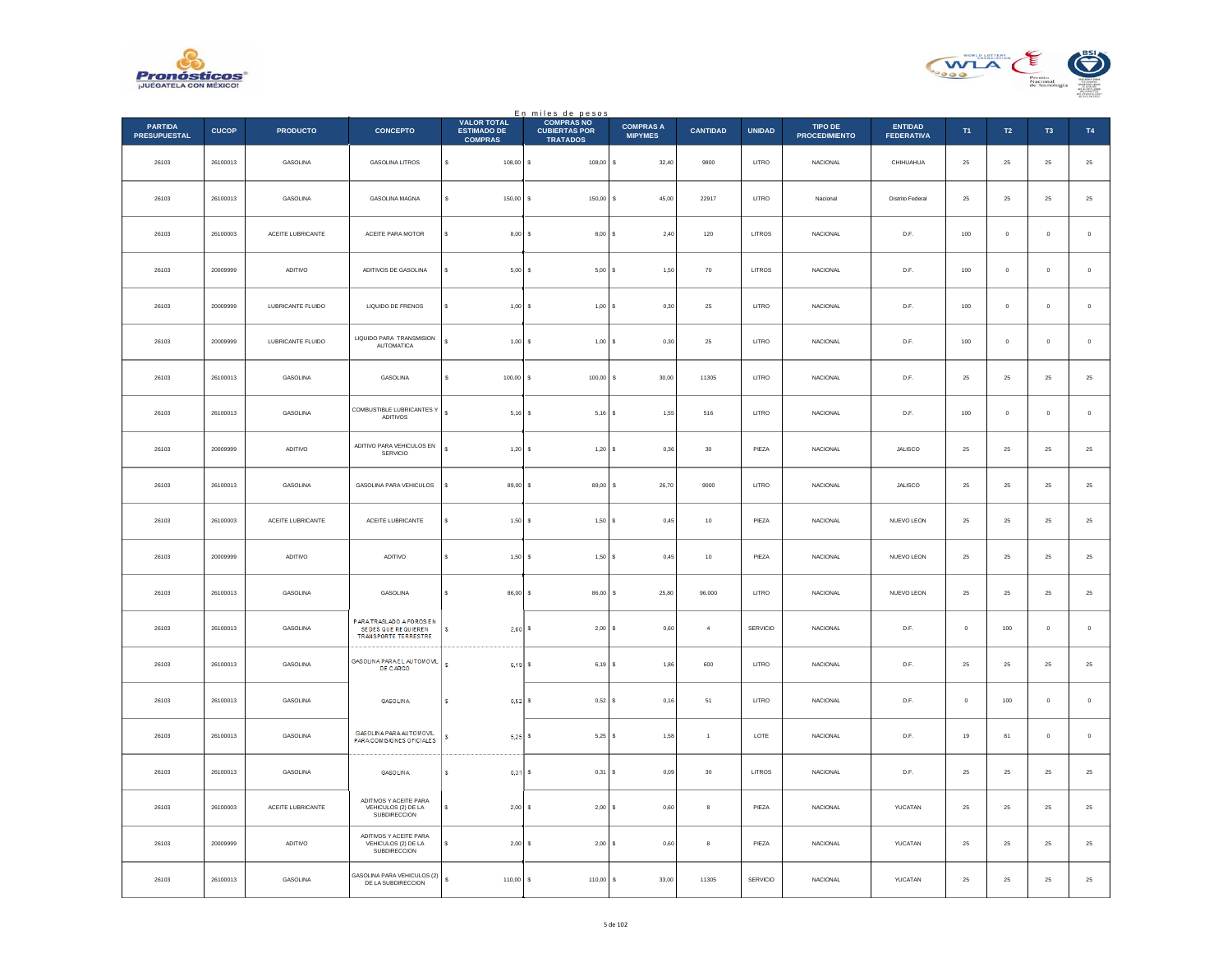



|                                       |              |                   |                                                                        |                                                            | En miles de pesos<br>COMPRAS NO         |                                    |                 |                |                                        |                                     |             |                  |                |               |
|---------------------------------------|--------------|-------------------|------------------------------------------------------------------------|------------------------------------------------------------|-----------------------------------------|------------------------------------|-----------------|----------------|----------------------------------------|-------------------------------------|-------------|------------------|----------------|---------------|
| <b>PARTIDA</b><br><b>PRESUPUESTAL</b> | <b>CUCOP</b> | <b>PRODUCTO</b>   | <b>CONCEPTO</b>                                                        | <b>VALOR TOTAL</b><br><b>ESTIMADO DE</b><br><b>COMPRAS</b> | <b>CUBIERTAS POR</b><br><b>TRATADOS</b> | <b>COMPRAS A</b><br><b>MIPYMES</b> | <b>CANTIDAD</b> | <b>UNIDAD</b>  | <b>TIPO DE</b><br><b>PROCEDIMIENTO</b> | <b>ENTIDAD</b><br><b>FEDERATIVA</b> | T1          | $\mathsf{T2}$    | T <sub>3</sub> | T4            |
| 26103                                 | 26100013     | GASOLINA          | <b>GASOLINA LITROS</b>                                                 | $\mathbb{S}$<br>108,00 S                                   | 108,00                                  | s<br>32,40                         | 9800            | LITRO          | <b>NACIONAL</b>                        | CHIHUAHUA                           | $\bf 25$    | 25               | $\bf 25$       | $25\,$        |
| 26103                                 | 26100013     | <b>GASOLINA</b>   | <b>GASOLINA MAGNA</b>                                                  | $\mathbf{s}$<br>$150.00$ S                                 | 150,00 \$                               | 45.00                              | 22917           | LITRO          | Nacional                               | Distrito Federal                    | 25          | ${\bf 25}$       | 25             | $25\,$        |
| 26103                                 | 26100003     | ACEITE LUBRICANTE | ACEITE PARA MOTOR                                                      | 8,00S<br>s                                                 | 8,00S                                   | 2,40                               | $120\,$         | LITROS         | NACIONAL                               | $\mathsf{D}.\mathsf{F}.$            | $100\,$     | $\mathbf 0$      | $\bf{0}$       | $\,$ 0 $\,$   |
| 26103                                 | 20009999     | ADITIVO           | ADITIVOS DE GASOLINA                                                   | s<br>5,00                                                  | 5,00S<br>-S.                            | 1,50                               | $70\,$          | LITROS         | NACIONAL                               | D.F.                                | $100\,$     | $\mathbf 0$      | $\mathbf 0$    | $\,$ 0        |
| 26103                                 | 20009999     | LUBRICANTE FLUIDO | LIQUIDO DE FRENOS                                                      | s<br>1.00                                                  | 1.00 S<br>-S                            | 0.30                               | 25              | LITRO          | NACIONAL                               | D.F.                                | 100         | $\circ$          | $\mathbf{0}$   | $\,$ 0 $\,$   |
| 26103                                 | 20009999     | LUBRICANTE FLUIDO | LIQUIDO PARA TRANSMISION<br><b>AUTOMATICA</b>                          | 1,00S<br>$\epsilon$                                        | $1,00$ \$                               | 0,30                               | $25\,$          | LITRO          | NACIONAL                               | D.F.                                | 100         | $\mathbf 0$      | $\mathbf 0$    | $\,$ 0        |
| 26103                                 | 26100013     | GASOLINA          | <b>GASOLINA</b>                                                        | $\mathbf{s}$<br>$100.00$ S                                 | $100.00$ S                              | 30.00                              | 11305           | <b>I ITRO</b>  | <b>NACIONAL</b>                        | D.F.                                | 25          | 25               | 25             | $25\,$        |
| 26103                                 | 26100013     | GASOLINA          | COMBUSTIBLE LUBRICANTES Y<br>ADITIVOS                                  | $\mathbf{s}$<br>$5,16$ \$                                  | $5,16$ \$                               | 1,55                               | 516             | $_{\rm LITRO}$ | NACIONAL                               | $\mathsf{D}.\mathsf{F}.$            | $100\,$     | $\mathbf 0$      | $\bf{0}$       | $\,$ 0        |
| 26103                                 | 20009999     | ADITIVO           | ADITIVO PARA VEHICULOS EN<br>SERVICIO                                  | s<br>1,20S                                                 | 1,20S                                   | 0,36                               | $30\,$          | PIEZA          | NACIONAL                               | JALISCO                             | $25\,$      | ${\bf 25}$       | ${\bf 25}$     | $\bf 25$      |
| 26103                                 | 26100013     | GASOLINA          | GASOLINA PARA VEHICULOS                                                | 89,00<br>s                                                 | 89,00 S                                 | 26,70                              | 9000            | LITRO          | NACIONAL                               | JALISCO                             | 25          | 25               | 25             | $2\mathsf{5}$ |
| 26103                                 | 26100003     | ACEITE LUBRICANTE | ACEITE LUBRICANTE                                                      | s<br>1,50                                                  | 1,50                                    | ١s<br>0,45                         | $10$            | PIEZA          | NACIONAL                               | NUEVO LEON                          | $\bf 25$    | $25\,$           | $2\mathsf{S}$  | $2\mathsf{5}$ |
| 26103                                 | 20009999     | ADITIVO           | ADITIVO                                                                | 1,50S<br>$\mathbf{s}$                                      | 1,50S                                   | 0,45                               | 10              | PIEZA          | <b>NACIONAL</b>                        | NUEVO LEON                          | 25          | ${\bf 25}$       | 25             | $25\,$        |
| 26103                                 | 26100013     | GASOLINA          | GASOLINA                                                               | 86,00<br>s                                                 | 86,00 \$                                | 25,80                              | 96.000          | LITRO          | NACIONAL                               | NUEVO LEON                          | 25          | 25               | 25             | $2\mathsf{5}$ |
| 26103                                 | 26100013     | GASOLINA          | PARATRASLADO A FOROS EN<br>SEDES QUE REQUIEREN<br>TRANSPORTE TERRESTRE | $\mathbf{s}$<br>2,00S                                      | 2,00S                                   | 0,60                               | $\overline{4}$  | SERVICIO       | NACIONAL                               | D.F.                                | $\mathbf 0$ | 100              | $\mathbf 0$    | $\,0\,$       |
| 26103                                 | 26100013     | GASOLINA          | GASOLINA PARA EL AUTOMOVIL<br><b>DE CARGO</b>                          | $\mathsf{s}$<br>6,19                                       | $6,19$ \$                               | 1,86                               | 600             | LITRO          | <b>NACIONAL</b>                        | D.F.                                | 25          | 25               | 25             | $25\,$        |
| 26103                                 | 26100013     | GASOLINA          | <b>GASOLINA</b>                                                        | 0,52<br>s                                                  | 0,52S                                   | 0,16                               | 51              | LITRO          | NACIONAL                               | $\mathsf{D}.\mathsf{F}.$            | $\,$ 0 $\,$ | 100              | $\mathbf 0$    | $\,$ 0        |
| 26103                                 | 26100013     | GASOLINA          | GASOLINA PARA AUTOMOVIL<br>PARA COMISIONES OFICIALES                   | $5,25$ \$<br>s                                             | $5.25$ \$                               | 1,58                               | $\overline{1}$  | LOTE           | <b>NACIONAL</b>                        | D.F.                                | 19          | 81               | $\,0\,$        | $\,$ 0        |
| 26103                                 | 26100013     | GASOLINA          | <b>GASOLINA</b>                                                        | $0,31$ \$<br>s                                             | $0,31$ \$                               | 0,09                               | $30\,$          | LITROS         | NACIONAL                               | D.F.                                | 25          | 25               | 25             | 25            |
| 26103                                 | 26100003     | ACEITE LUBRICANTE | ADITIVOS Y ACEITE PARA<br>VEHICULOS (2) DE LA<br>SUBDIRECCION          | 2,00<br>s                                                  | 2,00S<br>-S                             | 0,60                               | 8               | PIEZA          | <b>NACIONAL</b>                        | YUCATAN                             | 25          | $25\phantom{.0}$ | $25\,$         | ${\bf 25}$    |
| 26103                                 | 20009999     | ADITIVO           | ADITIVOS Y ACEITE PARA<br>VEHICULOS (2) DE LA<br>SUBDIRECCION          | 2,00                                                       | $2.00$ S<br>-S                          | 0.60                               | 8               | PIEZA          | <b>NACIONAL</b>                        | YUCATAN                             | 25          | 25               | 25             | 25            |
| 26103                                 | 26100013     | GASOLINA          | GASOLINA PARA VEHICULOS (2)<br>DE LA SUBDIRECCION                      | $\mathbb S$<br>110,00                                      | 110,00                                  | 33,00<br>s                         | 11305           | SERVICIO       | NACIONAL                               | YUCATAN                             | 25          | ${\bf 25}$       | ${\bf 25}$     | 25            |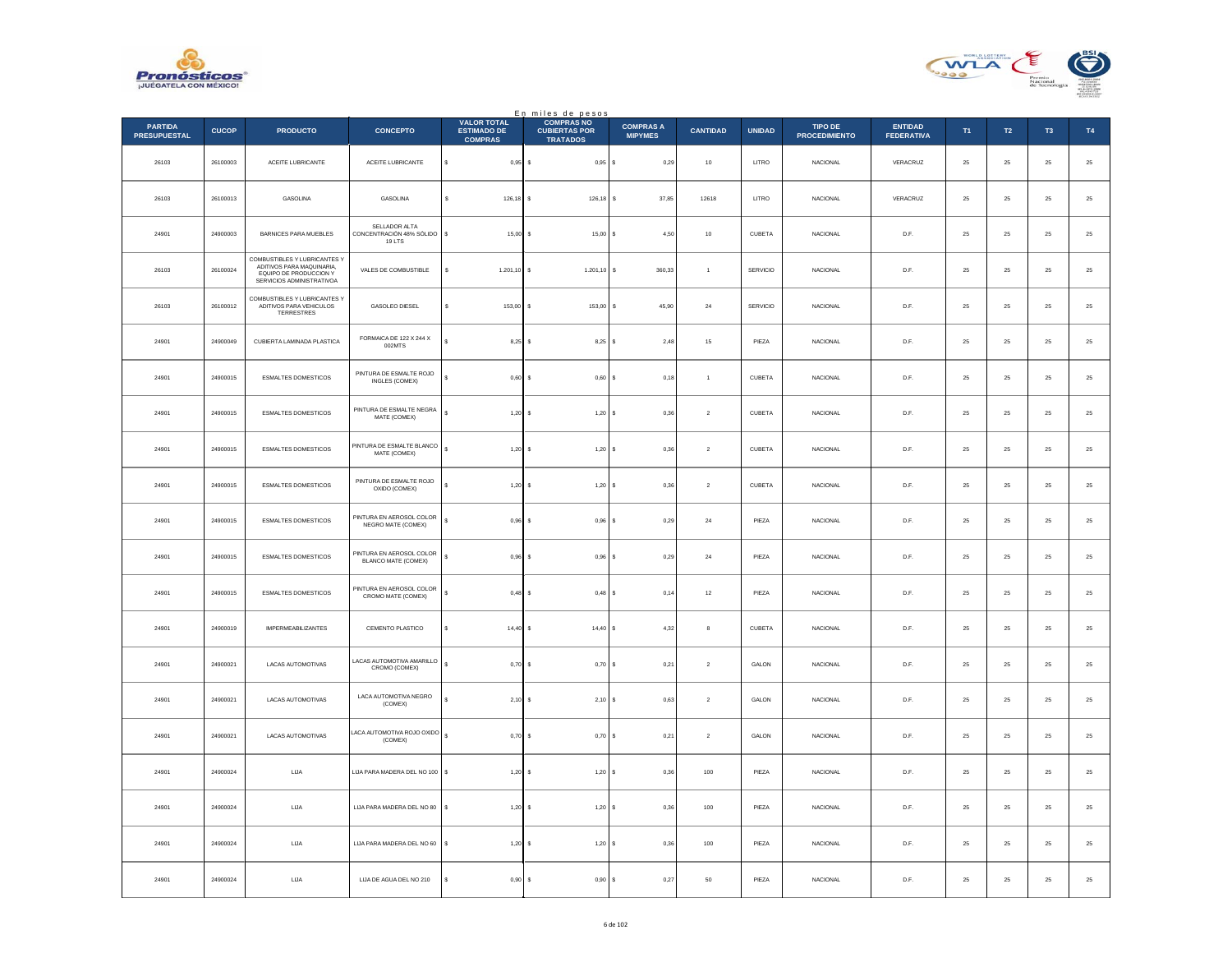



|                                       |              |                                                                                                                  |                                                     |                                                            | En miles de pesos<br>COMPRAS NO         |                                    |                 |               |                                 |                                     |             |                  |                |               |
|---------------------------------------|--------------|------------------------------------------------------------------------------------------------------------------|-----------------------------------------------------|------------------------------------------------------------|-----------------------------------------|------------------------------------|-----------------|---------------|---------------------------------|-------------------------------------|-------------|------------------|----------------|---------------|
| <b>PARTIDA</b><br><b>PRESUPUESTAL</b> | <b>CUCOP</b> | <b>PRODUCTO</b>                                                                                                  | <b>CONCEPTO</b>                                     | <b>VALOR TOTAL</b><br><b>ESTIMADO DE</b><br><b>COMPRAS</b> | <b>CUBIERTAS POR</b><br><b>TRATADOS</b> | <b>COMPRAS A</b><br><b>MIPYMES</b> | <b>CANTIDAD</b> | <b>UNIDAD</b> | TIPO DE<br><b>PROCEDIMIENTO</b> | <b>ENTIDAD</b><br><b>FEDERATIVA</b> | T1          | $\mathsf{T2}$    | T <sub>3</sub> | T4            |
| 26103                                 | 26100003     | ACEITE LUBRICANTE                                                                                                | ACEITE LUBRICANTE                                   | s<br>$0,95$ \$                                             | $0,95$ \$                               | 0,29                               | $10\,$          | LITRO         | NACIONAL                        | VERACRUZ                            | $\bf 25$    | 25               | $\bf 25$       | $25\,$        |
| 26103                                 | 26100013     | <b>GASOLINA</b>                                                                                                  | <b>GASOLINA</b>                                     | s.<br>$126,18$ \$                                          | 126,18                                  | Ιs<br>37.85                        | 12618           | LITRO         | <b>NACIONAL</b>                 | VERACRUZ                            | 25          | 25               | 25             | $25\,$        |
| 24901                                 | 24900003     | BARNICES PARA MUEBLES                                                                                            | SELLADOR ALTA<br>CONCENTRACIÓN 48% SÓLIDO<br>19 LTS | s<br>15,00                                                 | 15,00S                                  | 4,50                               | $10\,$          | CUBETA        | NACIONAL                        | D.F.                                | $25\,$      | $\bf 25$         | $25\,$         | 25            |
| 26103                                 | 26100024     | COMBUSTIBLES Y LUBRICANTES Y<br>ADITIVOS PARA MAQUINARIA,<br>EQUIPO DE PRODUCCION Y<br>SERVICIOS ADMINISTRATIVOA | VALES DE COMBUSTIBLE                                | $1.201, 10$ \$                                             | $1.201, 10$ \$                          | 360,33                             | $\overline{1}$  | SERVICIO      | NACIONAL                        | D.F.                                | $25\,$      | ${\bf 25}$       | 25             | 25            |
| 26103                                 | 26100012     | COMBUSTIBLES Y LUBRICANTES Y<br>ADITIVOS PARA VEHICULOS<br>TERRESTRES                                            | GASOLEO DIESEL                                      | 153.00<br>-S.                                              | 153.00                                  | 45.90<br>- S                       | 24              | SERVICIO      | <b>NACIONAL</b>                 | D.F.                                | 25          | 25               | 25             | $2\mathsf{5}$ |
| 24901                                 | 24900049     | CUBIERTA LAMINADA PLASTICA                                                                                       | FORMAICA DE 122 X 244 X<br>002MTS                   | 8,25                                                       | $8,25$ \$                               | 2,48                               | $15\,$          | PIEZA         | NACIONAL                        | D.F.                                | $25\,$      | ${\bf 25}$       | ${\bf 25}$     | $\bf 25$      |
| 24901                                 | 24900015     | <b>ESMALTES DOMESTICOS</b>                                                                                       | PINTURA DE ESMALTE ROJO<br>INGLES (COMEX)           | $\epsilon$<br>$0.60$ S                                     | $0.60$ S                                | 0.18                               | $\overline{1}$  | CURETA        | <b>NACIONAL</b>                 | D.F.                                | 25          | 25               | 25             | $25\,$        |
| 24901                                 | 24900015     | <b>ESMALTES DOMESTICOS</b>                                                                                       | PINTURA DE ESMALTE NEGRA<br>MATE (COMEX)            | $\mathbb{S}$<br>$1,20$ \$                                  | $1,20$ \$                               | 0,36                               | $\,$ 2 $\,$     | CUBETA        | NACIONAL                        | $\mathsf{D}.\mathsf{F}.$            | $25\,$      | $\bf 25$         | $\bf 25$       | 25            |
| 24901                                 | 24900015     | ESMALTES DOMESTICOS                                                                                              | PINTURA DE ESMALTE BLANCO<br>MATE (COMEX)           | $\mathbb{S}$<br>1,20                                       | 1,20S                                   | 0,36                               | $\sqrt{2}$      | CUBETA        | NACIONAL                        | D.F.                                | $25\,$      | ${\bf 25}$       | $25\,$         | 25            |
| 24901                                 | 24900015     | ESMALTES DOMESTICOS                                                                                              | PINTURA DE ESMALTE ROJO<br>OXIDO (COMEX)            | 1,20                                                       | $1,20$ \$                               | 0,36                               | $\overline{2}$  | CUBETA        | <b>NACIONAL</b>                 | D.F.                                | 25          | 25               | 25             | $2\mathsf{5}$ |
| 24901                                 | 24900015     | ESMALTES DOMESTICOS                                                                                              | PINTURA EN AEROSOL COLOR<br>NEGRO MATE (COMEX)      | $\mathbb{S}$<br>0,96                                       | 0,96                                    | s<br>0,29                          | $\bf{24}$       | PIEZA         | NACIONAL                        | $\mathsf{D}.\mathsf{F}.$            | $\bf 25$    | $\bf 25$         | $2\mathsf{S}$  | $2\mathsf{5}$ |
| 24901                                 | 24900015     | <b>ESMALTES DOMESTICOS</b>                                                                                       | PINTURA EN AEROSOL COLOR<br>BLANCO MATE (COMEX)     | $\mathbf{s}$<br>$0.96$ \$                                  | $0.96$ \$                               | 0,29                               | 24              | PIF7A         | <b>NACIONAL</b>                 | D.F.                                | 25          | 25               | 25             | $2\mathsf{5}$ |
| 24901                                 | 24900015     | <b>ESMALTES DOMESTICOS</b>                                                                                       | PINTURA EN AEROSOL COLOR<br>CROMO MATE (COMEX)      | s<br>0,48                                                  | $0,48$ \$                               | 0,14                               | 12              | PIEZA         | <b>NACIONAL</b>                 | D.F.                                | 25          | 25               | 25             | 25            |
| 24901                                 | 24900019     | <b>IMPERMEABILIZANTES</b>                                                                                        | CEMENTO PLASTICO                                    | s<br>14,40                                                 | 14,40 S                                 | 4,32                               | 8               | CUBETA        | <b>NACIONAL</b>                 | D.F.                                | 25          | $25\phantom{.0}$ | 25             | ${\bf 25}$    |
| 24901                                 | 24900021     | LACAS AUTOMOTIVAS                                                                                                | LACAS AUTOMOTIVA AMARILLO<br>CROMO (COMEX)          | s<br>0,70                                                  | $0,70$ \$                               | 0,21                               | $\overline{2}$  | GALON         | <b>NACIONAL</b>                 | D.F.                                | 25          | 25               | 25             | $2\mathsf{5}$ |
| 24901                                 | 24900021     | LACAS AUTOMOTIVAS                                                                                                | LACA AUTOMOTIVA NEGRO<br>(COMEX)                    | 2,10                                                       | 2,10                                    | $\mathsf{s}$<br>0,63               | $\,$ 2 $\,$     | GALON         | NACIONAL                        | $\mathsf{D}.\mathsf{F}.$            | $2\sqrt{5}$ | $\bf 25$         | $\bf 25$       | 25            |
| 24901                                 | 24900021     | LACAS AUTOMOTIVAS                                                                                                | ACA AUTOMOTIVA ROJO OXIDO<br>(COMEX)                | $\mathbf{s}$<br>$0,70$ \$                                  | $0,70$ \$                               | 0,21                               | $\overline{2}$  | GALON         | <b>NACIONAL</b>                 | D.F.                                | 25          | 25               | 25             | 25            |
| 24901                                 | 24900024     | LIJA                                                                                                             | LIJA PARA MADERA DEL NO 100 \$                      | $1,20$ \$                                                  | 1,20S                                   | 0,36                               | 100             | PIEZA         | NACIONAL                        | D.F.                                | 25          | 25               | 25             | 25            |
| 24901                                 | 24900024     | LIJA                                                                                                             | LIJA PARA MADERA DEL NO 80                          | s<br>1,20                                                  | 1,20S                                   | 0,36                               | 100             | PIEZA         | <b>NACIONAL</b>                 | D.F.                                | 25          | $25\phantom{.0}$ | $25\,$         | ${\bf 25}$    |
| 24901                                 | 24900024     | <b>LIJA</b>                                                                                                      | LIJA PARA MADERA DEL NO 60                          | s<br>1,20                                                  | 1,20S                                   | 0.36                               | 100             | PIEZA         | <b>NACIONAL</b>                 | D.F.                                | 25          | 25               | 25             | 25            |
| 24901                                 | 24900024     | LIJA                                                                                                             | LUA DE AGUA DEL NO 210                              | 0,90                                                       | 0,90                                    | 0,27<br>l s                        | 50              | PIEZA         | NACIONAL                        | D.F.                                | $\bf 25$    | $\bf 25$         | 25             | 25            |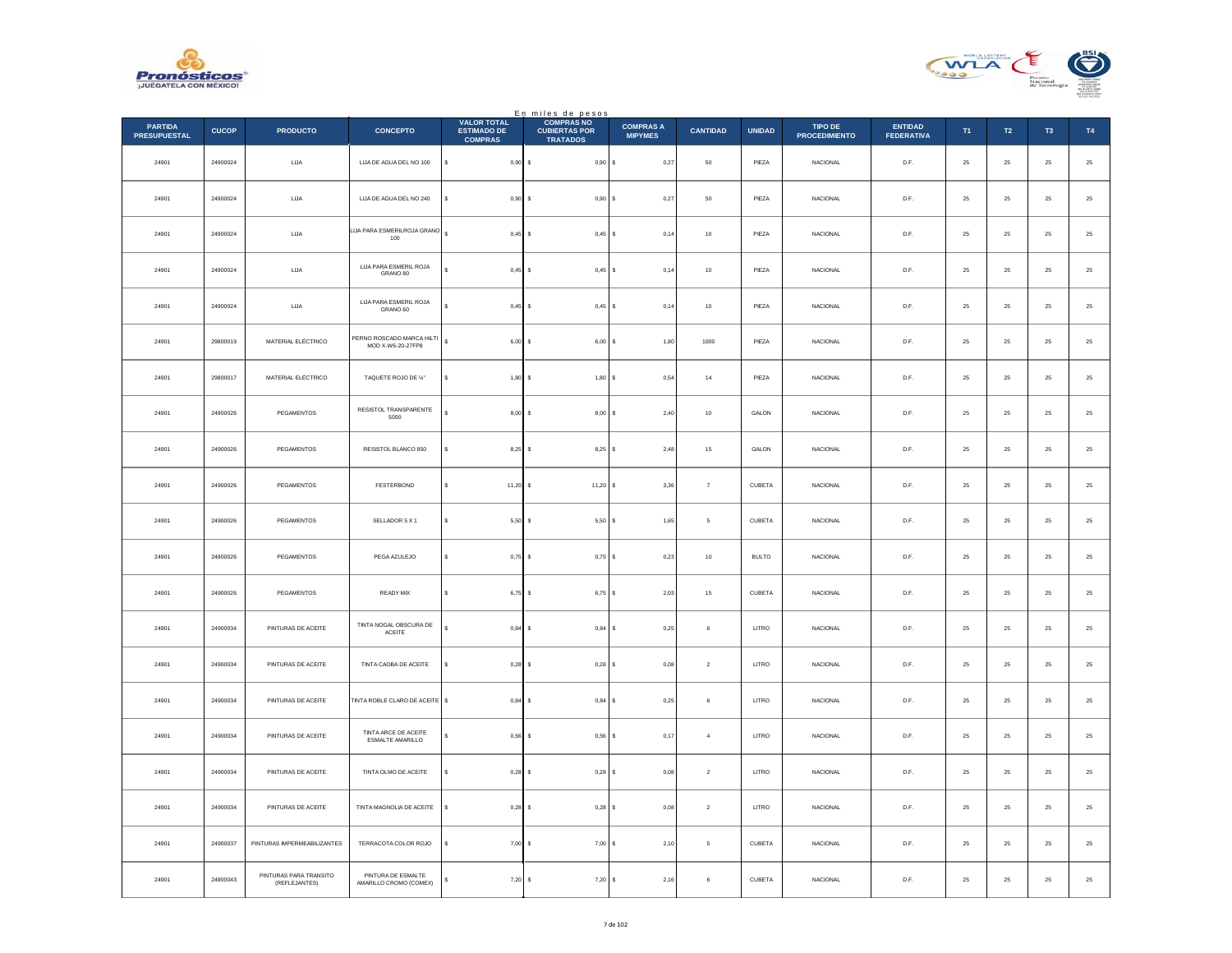



|                                       |              |                                         |                                                |                                                            | En miles de pesos<br>COMPRAS NO         |                                    |                   |               |                                 |                                     |        |               |                |          |
|---------------------------------------|--------------|-----------------------------------------|------------------------------------------------|------------------------------------------------------------|-----------------------------------------|------------------------------------|-------------------|---------------|---------------------------------|-------------------------------------|--------|---------------|----------------|----------|
| <b>PARTIDA</b><br><b>PRESUPUESTAL</b> | <b>CUCOP</b> | <b>PRODUCTO</b>                         | <b>CONCEPTO</b>                                | <b>VALOR TOTAL</b><br><b>ESTIMADO DE</b><br><b>COMPRAS</b> | <b>CUBIERTAS POR</b><br><b>TRATADOS</b> | <b>COMPRAS A</b><br><b>MIPYMES</b> | <b>CANTIDAD</b>   | <b>UNIDAD</b> | TIPO DE<br><b>PROCEDIMIENTO</b> | <b>ENTIDAD</b><br><b>FEDERATIVA</b> | T1     | T2            | T <sub>3</sub> | T4       |
| 24901                                 | 24900024     | ${\sf LIA}$                             | LUA DE AGUA DEL NO 100                         | \$<br>$0,90$ \$                                            | 0,90S                                   | 0,27                               | $50\,$            | PIEZA         | NACIONAL                        | D.F.                                | $25\,$ | $\bf 25$      | $\bf 25$       | $\bf 25$ |
| 24901                                 | 24900024     | LIJA                                    | LUA DE AGUA DEL NO 240                         | $0,90$ \$<br>¢                                             | 0,90S                                   | 0,27                               | $50\,$            | PIEZA         | <b>NACIONAL</b>                 | D.F.                                | 25     | 25            | 25             | $\bf 25$ |
| 24901                                 | 24900024     | LIJA                                    | LIJA PARA ESMERILROJA GRANO<br>100             | s<br>$0,45$ \$                                             | $0,45$ \$                               | 0,14                               | $10\,$            | PIEZA         | NACIONAL                        | $\mathsf{D}.\mathsf{F}.$            | 25     | $\bf 25$      | $\bf 25$       | $25\,$   |
| 24901                                 | 24900024     | ${\sf LIA}$                             | LIJA PARA ESMERIL ROJA<br>GRANO 80             | ś<br>0,45                                                  | I۶<br>$0,45$ \$                         | 0,14                               | $10\,$            | PIEZA         | NACIONAL                        | D.F.                                | $25\,$ | $\bf 25$      | $\bf 25$       | $25\,$   |
| 24901                                 | 24900024     | LIJA                                    | LUA PARA ESMERIL ROJA<br>GRANO 60              | $0,45$ \$<br>Ś.                                            | $0.45$ S                                | 0.14                               | 10                | PIEZA         | <b>NACIONAL</b>                 | D.F.                                | 25     | 25            | 25             | $25\,$   |
| 24901                                 | 29800019     | MATERIAL ELÉCTRICO                      | PERNO ROSCADO MARCA HILTI<br>MOD X-W6-20-27FP8 | s<br>6,00                                                  | Ιs<br>$6,00$ \$                         | 1,80                               | 1000              | PIEZA         | NACIONAL                        | D.F.                                | 25     | $\bf 25$      | $\bf 25$       | $\bf 25$ |
| 24901                                 | 29800017     | MATERIAL ELÉCTRICO                      | TAQUETE ROJO DE %"                             | s<br>1,80S                                                 | 1,80S                                   | 0,54                               | 14                | PIEZA         | <b>NACIONAL</b>                 | D.F.                                | 25     | $2\sqrt{5}$   | 25             | $\bf 25$ |
| 24901                                 | 24900026     | PEGAMENTOS                              | RESISTOL TRANSPARENTE<br>5000                  | $8,00$ \$                                                  | 8,00S                                   | 2,40                               | $10\,$            | GALON         | NACIONAL                        | D.F.                                | $25\,$ | $\bf 25$      | $\bf 25$       | $25\,$   |
| 24901                                 | 24900026     | PEGAMENTOS                              | RESISTOL BLANCO 850                            | $8,25$ \$<br>\$                                            | $8,25$ \$                               | 2,48                               | $15\,$            | GALON         | <b>NACIONAL</b>                 | D.F.                                | 25     | $\bf 25$      | $\bf 25$       | $25\,$   |
| 24901                                 | 24900026     | PEGAMENTOS                              | FESTERBOND                                     | $11,20$ \$<br>s                                            | $11,20$ \$                              | 3,36                               | $\scriptstyle{7}$ | CUBETA        | <b>NACIONAL</b>                 | D.F.                                | 25     | 25            | 25             | $25\,$   |
| 24901                                 | 24900026     | PEGAMENTOS                              | SELLADOR 5 X 1                                 | s<br>5,50                                                  | 5,50<br>s                               | 1,65<br>l s                        | $\mathsf s$       | CUBETA        | NACIONAL                        | $\mathsf{D}.\mathsf{F}.$            | $25\,$ | $\bf 25$      | $2\mathsf{S}$  | $25\,$   |
| 24901                                 | 24900026     | PEGAMENTOS                              | PEGA AZULEJO                                   | s<br>$0,75$ \$                                             | $0,75$ \$                               | 0,23                               | 10                | <b>BULTO</b>  | <b>NACIONAL</b>                 | D.F.                                | 25     | 25            | 25             | $\bf 25$ |
| 24901                                 | 24900026     | PEGAMENTOS                              | READY MIX                                      | s<br>$6,75$ \$                                             | 6,75 \$                                 | 2,03                               | 15                | CUBETA        | <b>NACIONAL</b>                 | D.F.                                | 25     | 25            | 25             | $25\,$   |
| 24901                                 | 24900034     | PINTURAS DE ACEITE                      | TINTA NOGAL OBSCURA DE<br>ACEITE               | s<br>0,84                                                  | I۶<br>$0,84$ \$                         | 0,25                               | 6                 | LITRO         | <b>NACIONAL</b>                 | D.F.                                | $25\,$ | 25            | $25\,$         | $\bf 25$ |
| 24901                                 | 24900034     | PINTURAS DE ACEITE                      | TINTA CAOBA DE ACEITE                          | $0.28$ \$<br>\$                                            | $0,28$ \$                               | 0,08                               | $\mathbf{2}$      | LITRO         | <b>NACIONAL</b>                 | D.F.                                | 25     | 25            | 25             | $25\,$   |
| 24901                                 | 24900034     | PINTURAS DE ACEITE                      | TINTA ROBLE CLARO DE ACEITE                    | s<br>0,84                                                  | 0,84<br>s                               | 0,25<br>l s                        | $\,$ 6            | LITRO         | NACIONAL                        | $\mathsf{D}.\mathsf{F}.$            | $25\,$ | $2\mathsf{S}$ | $2\mathsf{S}$  | $25\,$   |
| 24901                                 | 24900034     | PINTURAS DE ACEITE                      | TINTA ARCE DE ACEITE<br>ESMALTE AMARILLO       | $0,56$ \$<br>s                                             | $0,56$ \$                               | 0,17                               | $\overline{4}$    | LITRO         | <b>NACIONAL</b>                 | D.F.                                | 25     | 25            | 25             | $\bf 25$ |
| 24901                                 | 24900034     | PINTURAS DE ACEITE                      | TINTA OLMO DE ACEITE                           | $0,28$ \$<br>s                                             | $0,28$ \$                               | 0,08                               | $\sqrt{2}$        | LITRO         | NACIONAL                        | D.F.                                | 25     | $25\,$        | 25             | 25       |
| 24901                                 | 24900034     | PINTURAS DE ACEITE                      | TINTA MAGNOLIA DE ACEITE                       | \$<br>0,28                                                 | I۶<br>$0,28$ \$                         | 0.08                               | $\overline{a}$    | LITRO         | <b>NACIONAL</b>                 | D.F.                                | 25     | $25\,$        | 25             | $\bf 25$ |
| 24901                                 | 24900037     | PINTURAS IMPERMEABILIZANTES             | TERRACOTA COLOR ROJO                           | 7,00                                                       | $7,00$ $S$<br>Ιs                        | 2.10                               | 5                 | CUBETA        | <b>NACIONAL</b>                 | D.F.                                | 25     | 25            | 25             | 25       |
| 24901                                 | 24900043     | PINTURAS PARA TRANSITO<br>(REFLEJANTES) | PINTURA DE ESMALTE<br>AMARILLO CROMO (COMEX)   | $7,20$ \$<br>\$                                            | $7,20$ \$                               | 2,16                               | $\,6\,$           | CUBETA        | <b>NACIONAL</b>                 | D.F.                                | 25     | $\bf 25$      | 25             | $25\,$   |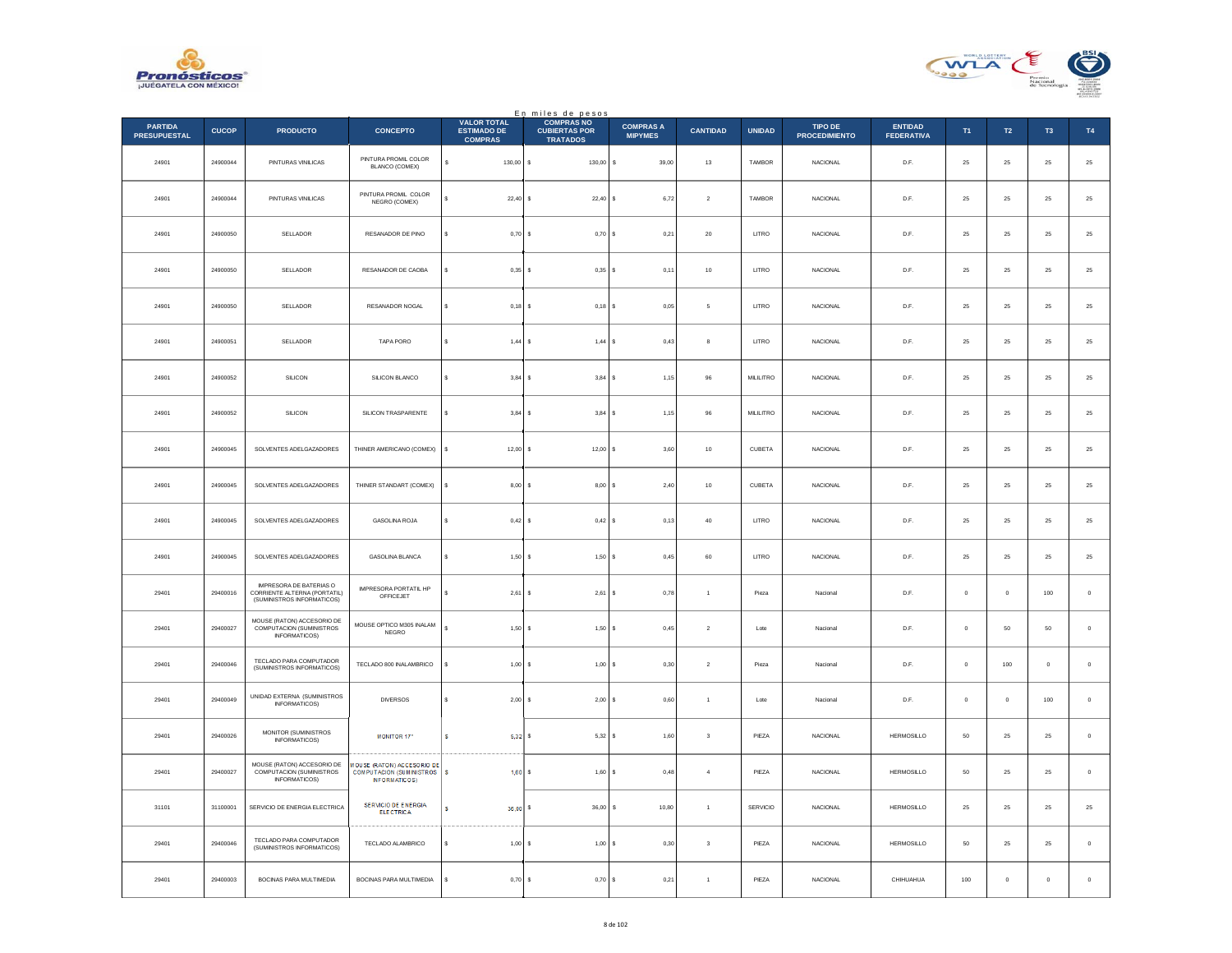



|                                       |              |                                                                                              |                                                                                                      |                                                            | En miles de pesos<br>COMPRAS NO         |                                    |                      |               |                                 |                                     |              |             |                |             |
|---------------------------------------|--------------|----------------------------------------------------------------------------------------------|------------------------------------------------------------------------------------------------------|------------------------------------------------------------|-----------------------------------------|------------------------------------|----------------------|---------------|---------------------------------|-------------------------------------|--------------|-------------|----------------|-------------|
| <b>PARTIDA</b><br><b>PRESUPUESTAL</b> | <b>CUCOP</b> | <b>PRODUCTO</b>                                                                              | <b>CONCEPTO</b>                                                                                      | <b>VALOR TOTAL</b><br><b>ESTIMADO DE</b><br><b>COMPRAS</b> | <b>CUBIERTAS POR</b><br><b>TRATADOS</b> | <b>COMPRAS A</b><br><b>MIPYMES</b> | <b>CANTIDAD</b>      | <b>UNIDAD</b> | TIPO DE<br><b>PROCEDIMIENTO</b> | <b>ENTIDAD</b><br><b>FEDERATIVA</b> | T1           | T2          | T <sub>3</sub> | <b>T4</b>   |
| 24901                                 | 24900044     | PINTURAS VINILICAS                                                                           | PINTURA PROMIL COLOR<br>BLANCO (COMEX)                                                               | s<br>130,00 \$                                             | 130,00                                  | 39,00<br>\$                        | $13\,$               | TAMBOR        | NACIONAL                        | D.F.                                | 25           | $\bf 25$    | ${\bf 25}$     | $\bf 25$    |
| 24901                                 | 24900044     | PINTURAS VINILICAS                                                                           | PINTURA PROMIL COLOR<br>NEGRO (COMEX)                                                                | 22.40S                                                     | $22,40$ \$                              | 6,72                               | $\overline{2}$       | TAMBOR        | <b>NACIONAL</b>                 | D.F.                                | 25           | 25          | 25             | $\bf 25$    |
| 24901                                 | 24900050     | SELLADOR                                                                                     | RESANADOR DE PINO                                                                                    | $0,70$ \$                                                  | 0,70S                                   | 0,21                               | $20\,$               | LITRO         | NACIONAL                        | D.F.                                | $25\,$       | $\bf 25$    | 25             | $25\,$      |
| 24901                                 | 24900050     | SELLADOR                                                                                     | RESANADOR DE CAOBA                                                                                   | $0,35$ \$                                                  | $0,35$ \$                               | 0,11                               | $10\,$               | LITRO         | NACIONAL                        | D.F.                                | $25\,$       | $\bf 25$    | 25             | $25\,$      |
| 24901                                 | 24900050     | SELLADOR                                                                                     | <b>RESANADOR NOGAL</b>                                                                               | $0.18$ S                                                   | $0.18$ S                                | 0.05                               | 5                    | LITRO         | <b>NACIONAL</b>                 | D.F.                                | 25           | 25          | 25             | $25\,$      |
| 24901                                 | 24900051     | SELLADOR                                                                                     | TAPA PORO                                                                                            | $1,44$ \$<br>Ś                                             | 1,44 S                                  | 0,43                               | 8                    | LITRO         | NACIONAL                        | D.F.                                | $25\,$       | $\bf 25$    | 25             | $25\,$      |
| 24901                                 | 24900052     | SILICON                                                                                      | SILICON BLANCO                                                                                       | $3,84$ \$<br>$\epsilon$                                    | $3.84$ S                                | 1.15                               | 96                   | MILILITRO     | <b>NACIONAL</b>                 | D.F.                                | 25           | 25          | 25             | $\bf 25$    |
| 24901                                 | 24900052     | SILICON                                                                                      | SILICON TRASPARENTE                                                                                  | $3,84$ \$<br>ś                                             | 3,84S                                   | 1,15                               | 96                   | MILILITRO     | NACIONAL                        | D.F.                                | $25\,$       | $\bf 25$    | $2\mathsf{S}$  | $25\,$      |
| 24901                                 | 24900045     | SOLVENTES ADELGAZADORES                                                                      | THINER AMERICANO (COMEX)                                                                             | $12,00$ \$<br>\$                                           | $12,00$ \$                              | 3,60                               | $10\,$               | CUBETA        | <b>NACIONAL</b>                 | D.F.                                | 25           | $2\sqrt{5}$ | 25             | $25\,$      |
| 24901                                 | 24900045     | SOLVENTES ADELGAZADORES                                                                      | THINER STANDART (COMEX)                                                                              | 8,00S                                                      | $8,00$ $S$                              | 2,40                               | 10                   | CUBETA        | <b>NACIONAL</b>                 | D.F.                                | 25           | 25          | 25             | $25\,$      |
| 24901                                 | 24900045     | SOLVENTES ADELGAZADORES                                                                      | GASOLINA ROJA                                                                                        | $0,42$ \$<br>\$                                            | 0,42S                                   | 0, 13                              | 40                   | LITRO         | NACIONAL                        | D.F.                                | $25\,$       | $\bf 25$    | $2\mathsf{S}$  | $25\,$      |
| 24901                                 | 24900045     | SOLVENTES ADELGAZADORES                                                                      | <b>GASOLINA BLANCA</b>                                                                               | $1,50$ \$<br>$\epsilon$                                    | 1,50S                                   | 0,45                               | 60                   | LITRO         | <b>NACIONAL</b>                 | D.F                                 | 25           | 25          | 25             | $25\,$      |
| 29401                                 | 29400016     | <b>IMPRESORA DE BATERIAS O</b><br>CORRIENTE ALTERNA (PORTATIL)<br>(SUMINISTROS INFORMATICOS) | IMPRESORA PORTATIL HP<br>OFFICEJET                                                                   | $2,61$ \$                                                  | $2,61$ \$                               | 0,78                               | $\overline{1}$       | Pieza         | Nacional                        | D.F.                                | $\mathbf 0$  | $\mathbf 0$ | 100            | $\,$ 0 $\,$ |
| 29401                                 | 29400027     | MOUSE (RATON) ACCESORIO DE<br>COMPUTACION (SUMINISTROS<br>INFORMATICOS)                      | MOUSE OPTICO M305 INALAM<br>NEGRO                                                                    | ¢<br>1,50S                                                 | 1,50S                                   | 0,45                               | $\sqrt{2}$           | Lote          | Nacional                        | D.F.                                | $\bf{0}$     | 50          | 50             | $\,0\,$     |
| 29401                                 | 29400046     | TECLADO PARA COMPUTADOR<br>(SUMINISTROS INFORMATICOS)                                        | TECLADO 800 INALAMBRICO                                                                              | $1,00$ \$<br>s                                             | 1,00S                                   | 0,30                               | $\sqrt{2}$           | Pieza         | Nacional                        | D.F.                                | $\mathbf 0$  | 100         | $\bf{0}$       | $\,$ 0 $\,$ |
| 29401                                 | 29400049     | UNIDAD EXTERNA (SUMINISTROS<br>INFORMATICOS)                                                 | <b>DIVERSOS</b>                                                                                      | $2,00$ \$                                                  | 2,00                                    | 0,60<br>-S                         | $\mathbf{1}$         | Lote          | Nacional                        | D.F.                                | $\mathbf{0}$ | $\mathbb O$ | $100\,$        | $\,$ 0 $\,$ |
| 29401                                 | 29400026     | MONITOR (SUMINISTROS<br>INFORMATICOS)                                                        | <b>MONITOR 17"</b>                                                                                   | s<br>$5,32$ \$                                             | 5,32S                                   | 1,60                               | 3                    | PIEZA         | NACIONAL                        | <b>HERMOSILLO</b>                   | 50           | 25          | 25             | $\,0\,$     |
| 29401                                 | 29400027     | MOUSE (RATON) ACCESORIO DE<br>COMPUTACION (SUMINISTROS<br>INFORMATICOS)                      | <b><i>INDUSE (RATON) ACCESORIO DE</i></b><br><b>COMPUTACION (SUMINISTROS</b><br><b>INFORMATICOS)</b> | s<br>1,60S                                                 | 1,60S                                   | 0,48                               | $\overline{4}$       | PIEZA         | <b>NACIONAL</b>                 | <b>HERMOSILLO</b>                   | 50           | $25\,$      | 25             | $\mathbf 0$ |
| 31101                                 | 31100001     | SERVICIO DE ENERGIA ELECTRICA                                                                | <b>SERVICIO DE ENERGIA</b><br><b>ELECTRICA</b>                                                       | s<br>$36,00$ \$                                            | 36,00                                   | l s<br>10,80                       | $\mathbf{1}$         | SERVICIO      | <b>NACIONAL</b>                 | HERMOSILLO                          | 25           | 25          | $25\,$         | $\bf 25$    |
| 29401                                 | 29400046     | TECLADO PARA COMPUTADOR<br>(SUMINISTROS INFORMATICOS)                                        | TECLADO ALAMBRICO                                                                                    | $1,00$ \$                                                  | $1,00$ \$                               | 0.30                               | 3                    | PIEZA         | <b>NACIONAL</b>                 | <b>HERMOSILLO</b>                   | 50           | 25          | 25             | $\circ$     |
| 29401                                 | 29400003     | <b>BOCINAS PARA MULTIMEDIA</b>                                                               | BOCINAS PARA MULTIMEDIA                                                                              | $0,70$ \$<br>\$                                            | 0,70                                    | 0,21                               | $\ddot{\phantom{1}}$ | PIEZA         | NACIONAL                        | CHIHUAHUA                           | 100          | $\mathbb O$ | $\mathbf 0$    | $\mathbb O$ |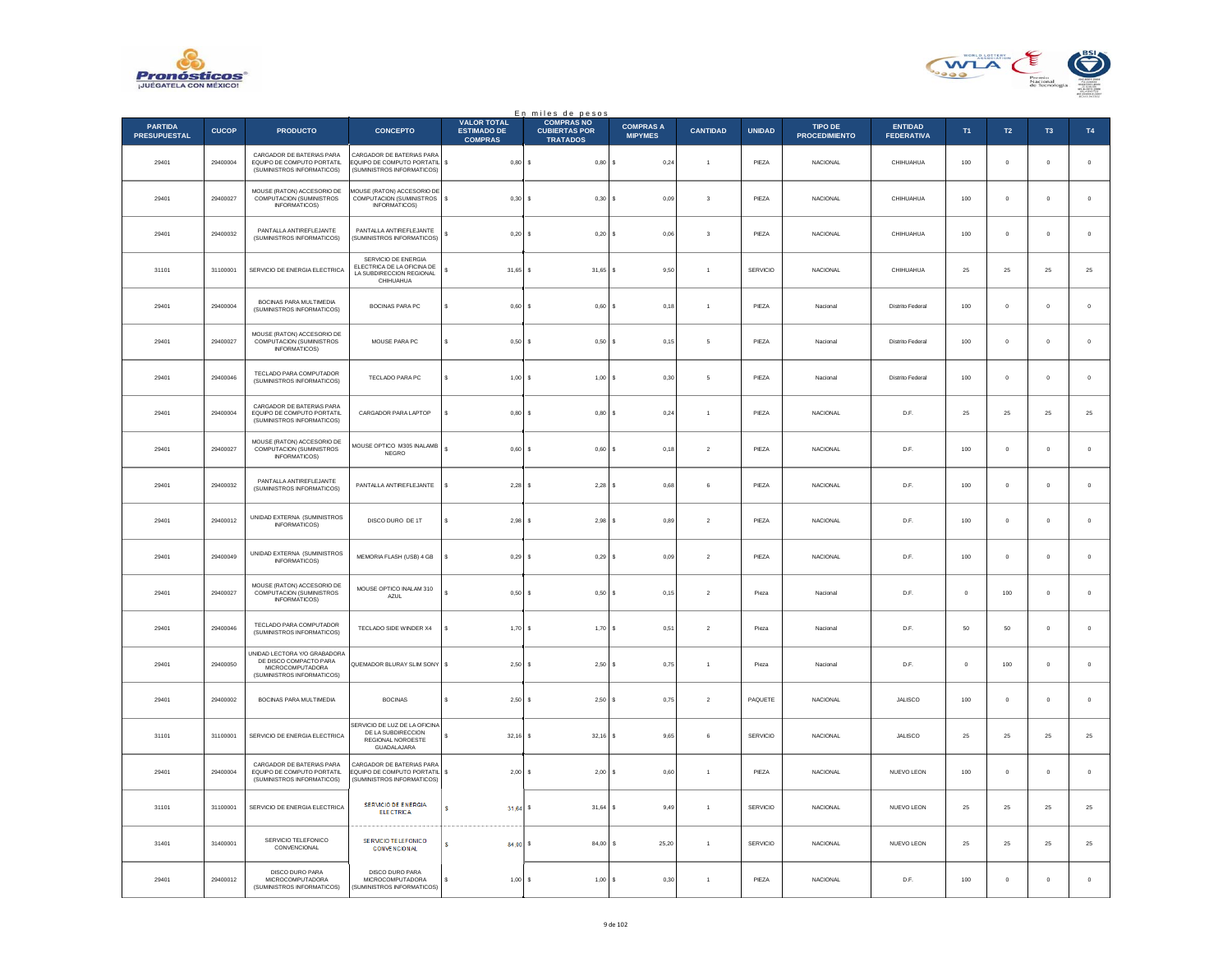



|                                       |              |                                                                                                                 |                                                                                                |                                                            | En miles de pesos                                            |                                    |                         |                 |                                        |                                     |         |               |                |              |
|---------------------------------------|--------------|-----------------------------------------------------------------------------------------------------------------|------------------------------------------------------------------------------------------------|------------------------------------------------------------|--------------------------------------------------------------|------------------------------------|-------------------------|-----------------|----------------------------------------|-------------------------------------|---------|---------------|----------------|--------------|
| <b>PARTIDA</b><br><b>PRESUPUESTAL</b> | <b>CUCOP</b> | <b>PRODUCTO</b>                                                                                                 | <b>CONCEPTO</b>                                                                                | <b>VALOR TOTAL</b><br><b>ESTIMADO DE</b><br><b>COMPRAS</b> | <b>COMPRAS NO</b><br><b>CUBIERTAS POR</b><br><b>TRATADOS</b> | <b>COMPRAS A</b><br><b>MIPYMES</b> | <b>CANTIDAD</b>         | <b>UNIDAD</b>   | <b>TIPO DE</b><br><b>PROCEDIMIENTO</b> | <b>ENTIDAD</b><br><b>FEDERATIVA</b> | T1      | $\mathsf{T2}$ | T <sub>3</sub> | T4           |
| 29401                                 | 29400004     | CARGADOR DE BATERIAS PARA<br>EQUIPO DE COMPUTO PORTATIL<br>(SUMINISTROS INFORMATICOS)                           | CARGADOR DE BATERIAS PARA<br>EQUIPO DE COMPUTO PORTATIL \$<br>(SUMINISTROS INFORMATICOS)       | 0,80                                                       | s<br>0,80                                                    | 0,24<br>$\mathbf{s}$               | $\ddot{\phantom{1}}$    | PIEZA           | NACIONAL                               | CHIHUAHUA                           | $100\,$ | $\mathbf 0$   | $\mathbf 0$    | $\,$ 0 $\,$  |
| 29401                                 | 29400027     | MOUSE (RATON) ACCESORIO DE<br>COMPUTACION (SUMINISTROS<br>INFORMATICOS)                                         | MOUSE (RATON) ACCESORIO DE<br>COMPUTACION (SUMINISTROS \$<br>INFORMATICOS)                     | 0.30                                                       | <b>s</b><br>0.30 S                                           | 0.09                               | $\overline{\mathbf{3}}$ | PIF7A           | <b>NACIONAL</b>                        | CHIHUAHUA                           | 100     | $\Omega$      | $\mathbf{0}$   | $\,$ 0       |
| 29401                                 | 29400032     | PANTALLA ANTIREFLEJANTE<br>(SUMINISTROS INFORMATICOS)                                                           | PANTALLA ANTIREFLEJANTE<br>(SUMINISTROS INFORMATICOS)                                          | s<br>0,20                                                  | s<br>$0,20$ \$                                               | 0,06                               | $\overline{\mathbf{3}}$ | PIEZA           | NACIONAL                               | CHIHUAHUA                           | $100\,$ | $\circ$       | $\mathbf{0}$   | $\mathbf{0}$ |
| 31101                                 | 31100001     | SERVICIO DE ENERGIA ELECTRICA                                                                                   | SERVICIO DE ENERGIA<br>ELECTRICA DE LA OFICINA DE<br>LA SUBDIRECCION REGIONAL<br>CHIHUAHUA     | \$<br>$31,65$ \$                                           | 31,65                                                        | 9,50<br>s                          | $\overline{1}$          | SERVICIO        | NACIONAL                               | CHIHUAHUA                           | 25      | 25            | $25\,$         | 25           |
| 29401                                 | 29400004     | BOCINAS PARA MULTIMEDIA<br>(SUMINISTROS INFORMATICOS)                                                           | BOCINAS PARA PC                                                                                | s<br>0.60                                                  | 0.60<br>s                                                    | 0.18                               | $\overline{1}$          | PIEZA           | Nacional                               | <b>Distrito Federal</b>             | 100     | $\mathbf 0$   | $\mathbf{0}$   | $\,$ 0 $\,$  |
| 29401                                 | 29400027     | MOUSE (RATON) ACCESORIO DE<br>COMPUTACION (SUMINISTROS<br><b>INFORMATICOS)</b>                                  | MOUSE PARA PC                                                                                  | s<br>0,50                                                  | 0,50<br><b>s</b>                                             | 0,15                               | $\sqrt{5}$              | PIEZA           | Nacional                               | Distrito Federal                    | $100\,$ | $\mathbf 0$   | $\mathbf 0$    | $\,$ 0       |
| 29401                                 | 29400046     | TECLADO PARA COMPUTADOR<br>(SUMINISTROS INFORMATICOS)                                                           | TECLADO PARA PC                                                                                | $\mathbf{s}$<br>1.00 S                                     | 1.00 S                                                       | 0.30                               | 5                       | PIF7A           | Nacional                               | <b>Distrito Federal</b>             | 100     | $\Omega$      | $\Omega$       | $\,$ 0 $\,$  |
| 29401                                 | 29400004     | CARGADOR DE BATERIAS PARA<br>EQUIPO DE COMPUTO PORTATIL<br>(SUMINISTROS INFORMATICOS)                           | CARGADOR PARA LAPTOP                                                                           | s<br>$0,80$ \$                                             | 0,80                                                         | s<br>0,24                          | $\overline{1}$          | PIEZA           | NACIONAL                               | D.F.                                | 25      | $25\,$        | $\bf 25$       | 25           |
| 29401                                 | 29400027     | MOUSE (RATON) ACCESORIO DE<br>COMPUTACION (SUMINISTROS<br>INFORMATICOS)                                         | MOUSE OPTICO M305 INALAMB<br>NEGRO                                                             | s<br>$0,60$ \$                                             | 0,60                                                         | 0,18<br>l s                        | $\boldsymbol{2}$        | PIEZA           | NACIONAL                               | D.F.                                | 100     | $\mathbf 0$   | $\mathbf 0$    | $\,$ 0       |
| 29401                                 | 29400032     | PANTALLA ANTIREFLEJANTE<br>(SUMINISTROS INFORMATICOS)                                                           | PANTALLA ANTIREFLEJANTE                                                                        | 2,28<br>s                                                  | 2,28<br>s                                                    | 0,68                               | 6                       | PIEZA           | <b>NACIONAL</b>                        | D.F.                                | 100     | $\bf{0}$      | $\bf{0}$       | $\,$ 0 $\,$  |
| 29401                                 | 29400012     | UNIDAD EXTERNA (SUMINISTROS<br>INFORMATICOS)                                                                    | DISCO DURO DE 1T                                                                               | 2,98<br>\$                                                 | 2,98<br>s                                                    | 0,89                               | $\overline{2}$          | PIEZA           | NACIONAL                               | D.F.                                | 100     | $\mathbf 0$   | $\mathbf 0$    | $\mathbf 0$  |
| 29401                                 | 29400049     | UNIDAD EXTERNA (SUMINISTROS<br>INFORMATICOS)                                                                    | MEMORIA FLASH (USB) 4 GB                                                                       | s<br>0.29S                                                 | 0.29S                                                        | 0.09                               | $\mathcal{P}$           | PIFZA           | <b>NACIONAL</b>                        | D.E.                                | 100     | $\Omega$      | $\Omega$       | $\mathbf 0$  |
| 29401                                 | 29400027     | MOUSE (RATON) ACCESORIO DE<br><b>COMPUTACION (SUMINISTROS</b><br>INFORMATICOS)                                  | MOUSE OPTICO INALAM 310<br>AZUL                                                                | 0,50                                                       | 0,50S<br>s                                                   | 0,15                               | $\overline{2}$          | Pieza           | Nacional                               | D.F.                                | $\circ$ | 100           | $\bf{0}$       | $\mathbf 0$  |
| 29401                                 | 29400046     | TECLADO PARA COMPUTADOR<br>(SUMINISTROS INFORMATICOS)                                                           | TECLADO SIDE WINDER X4                                                                         | 1,70S<br>\$                                                | 1,70S                                                        | 0,51                               | $\sqrt{2}$              | Pieza           | Nacional                               | D.F.                                | 50      | 50            | $\,0\,$        | $\,0\,$      |
| 29401                                 | 29400050     | UNIDAD LECTORA Y/O GRABADORA<br>DE DISCO COMPACTO PARA<br><b>MICROCOMPUTADORA</b><br>(SUMINISTROS INFORMATICOS) | QUEMADOR BLURAY SLIM SONY \$                                                                   | $2,50$ \$                                                  | 2,50                                                         | 0,75<br>s                          | $\overline{1}$          | Pieza           | Nacional                               | D.F.                                | $\circ$ | 100           | $\bf{0}$       | $\,$ 0 $\,$  |
| 29401                                 | 29400002     | BOCINAS PARA MULTIMEDIA                                                                                         | <b>BOCINAS</b>                                                                                 | 2,50<br>s                                                  | 2,50                                                         | 0,75                               | $\sqrt{2}$              | PAQUETE         | NACIONAL                               | JALISCO                             | 100     | $\mathbf 0$   | $\bf{0}$       | $\mathbf 0$  |
| 31101                                 | 31100001     | SERVICIO DE ENERGIA ELECTRICA                                                                                   | SERVICIO DE LUZ DE LA OFICINA<br>DE LA SUBDIRECCION<br>REGIONAL NOROESTE<br><b>GUADALAJARA</b> | s<br>32,16                                                 | $32.16$ S<br>s                                               | 9.65                               | 6                       | <b>SERVICIO</b> | NACIONAL                               | <b>JALISCO</b>                      | 25      | 25            | 25             | 25           |
| 29401                                 | 29400004     | CARGADOR DE BATERIAS PARA<br>EQUIPO DE COMPUTO PORTATIL<br>(SUMINISTROS INFORMATICOS)                           | CARGADOR DE BATERIAS PARA<br><b>EQUIPO DE COMPUTO PORTATIL</b> S<br>(SUMINISTROS INFORMATICOS) | 2,00                                                       | $2,00$ \$<br>s                                               | 0,60                               | $\overline{1}$          | PIEZA           | NACIONAL                               | NUEVO LEON                          | 100     | $\mathbf 0$   | $\bf{0}$       | $\,$ 0 $\,$  |
| 31101                                 | 31100001     | SERVICIO DE ENERGIA ELECTRICA                                                                                   | SERVICIO DE ENERGIA<br><b>ELECTRICA</b>                                                        | s<br>$31,64$ \$                                            | 31,64                                                        | 9,49<br>s                          | $\overline{1}$          | SERVICIO        | NACIONAL                               | NUEVO LEON                          | 25      | $25\,$        | $25\,$         | 25           |
| 31401                                 | 31400001     | SERVICIO TELEFONICO<br>CONVENCIONAL                                                                             | SE RVICIO TE LEFONICO<br><b>CONVENCIONAL</b>                                                   | s<br>84.00 S                                               | 84.00                                                        | 25.20<br>s                         | $\mathbf{1}$            | <b>SERVICIO</b> | <b>NACIONAL</b>                        | NUEVO LEON                          | 25      | 25            | 25             | 25           |
| 29401                                 | 29400012     | DISCO DURO PARA<br>MICROCOMPUTADORA<br>(SUMINISTROS INFORMATICOS)                                               | DISCO DURO PARA<br>MICROCOMPUTADORA<br>(SUMINISTROS INFORMATICOS)                              | 1,00<br>s                                                  | 1,00                                                         | 0,30                               | $\overline{1}$          | PIEZA           | <b>NACIONAL</b>                        | D.F.                                | 100     | $\mathbf 0$   | $\bf{0}$       | $\mathbf 0$  |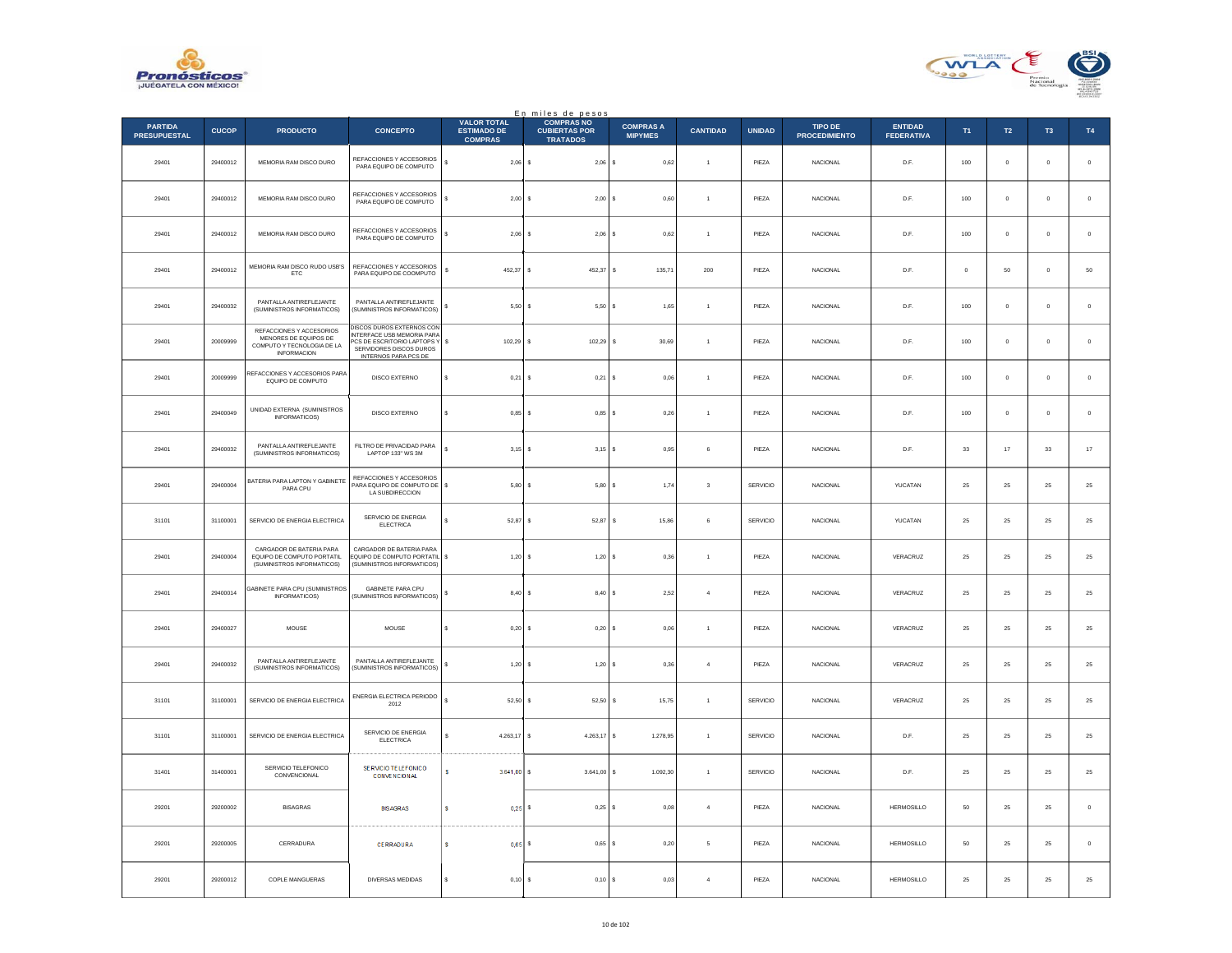



|                                       |              |                                                                                                       |                                                                                                                                                 |                                                            | En miles de pesos<br>COMPRAS NO         |                                    |                 |                 |                                        |                                     |                |                |               |               |
|---------------------------------------|--------------|-------------------------------------------------------------------------------------------------------|-------------------------------------------------------------------------------------------------------------------------------------------------|------------------------------------------------------------|-----------------------------------------|------------------------------------|-----------------|-----------------|----------------------------------------|-------------------------------------|----------------|----------------|---------------|---------------|
| <b>PARTIDA</b><br><b>PRESUPUESTAL</b> | <b>CUCOP</b> | <b>PRODUCTO</b>                                                                                       | <b>CONCEPTO</b>                                                                                                                                 | <b>VALOR TOTAL</b><br><b>ESTIMADO DE</b><br><b>COMPRAS</b> | <b>CUBIERTAS POR</b><br><b>TRATADOS</b> | <b>COMPRAS A</b><br><b>MIPYMES</b> | <b>CANTIDAD</b> | <b>UNIDAD</b>   | <b>TIPO DE</b><br><b>PROCEDIMIENTO</b> | <b>ENTIDAD</b><br><b>FEDERATIVA</b> | T <sub>1</sub> | $\mathsf{T2}$  | $\mathsf{T3}$ | $\mathsf{T4}$ |
| 29401                                 | 29400012     | MEMORIA RAM DISCO DURO                                                                                | REFACCIONES Y ACCESORIOS<br>PARA EQUIPO DE COMPUTO                                                                                              | \$<br>$2,06$ \$                                            | $2,06$ \$                               | 0,62                               | $\mathbf{1}$    | PIEZA           | NACIONAL                               | D.F.                                | 100            | $\mathbf 0$    | $\mathbf 0$   | $\mathbf 0$   |
| 29401                                 | 29400012     | MEMORIA RAM DISCO DURO                                                                                | REFACCIONES Y ACCESORIOS<br>PARA EQUIPO DE COMPUTO                                                                                              | $2,00$ \$<br>s                                             | $2.00$ S                                | 0.60                               | $\overline{1}$  | PIEZA           | <b>NACIONAL</b>                        | D.F.                                | 100            | $\overline{0}$ | $\mathbf{0}$  | $\circ$       |
| 29401                                 | 29400012     | MEMORIA RAM DISCO DURO                                                                                | REFACCIONES Y ACCESORIOS<br>PARA EQUIPO DE COMPUTO                                                                                              | $2,06$ \$<br>\$                                            | 2,06                                    | 0,62<br>l s                        | $\overline{1}$  | PIEZA           | <b>NACIONAL</b>                        | D.F.                                | 100            | $\mathbf 0$    | $\bf{0}$      | $\,$ 0 $\,$   |
| 29401                                 | 29400012     | MEMORIA RAM DISCO RUDO USB'S<br>ETC                                                                   | REFACCIONES Y ACCESORIOS<br>PARA EQUIPO DE COOMPUTO                                                                                             | s<br>452.37                                                | l s<br>452.37                           | s<br>135.71                        | 200             | PIEZA           | <b>NACIONAL</b>                        | D.E.                                | $\Omega$       | 50             | $\Omega$      | $50\,$        |
| 29401                                 | 29400032     | PANTALLA ANTIREFLEJANTE<br>(SUMINISTROS INFORMATICOS)                                                 | PANTALLA ANTIREFLEJANTE<br>(SUMINISTROS INFORMATICOS)                                                                                           | 5,50<br>\$                                                 | 5,50                                    | 1,65                               | $\,$ 1 $\,$     | PIEZA           | NACIONAL                               | $\mathsf{D}.\mathsf{F}.$            | $100\,$        | $\mathbf 0$    | $\mathbf 0$   | $\mathbf 0$   |
| 29401                                 | 20009999     | REFACCIONES Y ACCESORIOS<br>MENORES DE EQUIPOS DE<br>COMPUTO Y TECNOLOGIA DE LA<br><b>INFORMACION</b> | <b>DISCOS DUROS EXTERNOS CON</b><br>INTERFACE USB MEMORIA PARA<br>CS DE ESCRITORIO LAPTOPS Y<br>SERVIDORES DISCOS DUROS<br>INTERNOS PARA PCS DE | 102,29 \$<br>s                                             | 102,29                                  | s<br>30.69                         | $\overline{1}$  | PIEZA           | <b>NACIONAL</b>                        | D.F.                                | 100            | $\overline{0}$ | $^{\circ}$    | $\circ$       |
| 29401                                 | 20009999     | REFACCIONES Y ACCESORIOS PARA<br>EQUIPO DE COMPUTO                                                    | DISCO EXTERNO                                                                                                                                   | s<br>0,21                                                  | s<br>0,21                               | 0,06                               | $\overline{1}$  | PIEZA           | <b>NACIONAL</b>                        | D.F.                                | 100            | $\circ$        | $\mathbf 0$   | $\mathbf 0$   |
| 29401                                 | 29400049     | UNIDAD EXTERNA (SUMINISTROS<br>INFORMATICOS)                                                          | DISCO EXTERNO                                                                                                                                   | s<br>0.85S                                                 | 0.85S                                   | 0.26                               | $\overline{1}$  | PIEZA           | <b>NACIONAL</b>                        | D.F.                                | 100            | $\overline{0}$ | $\mathbf{0}$  | $\,$ 0 $\,$   |
| 29401                                 | 29400032     | PANTALLA ANTIREFLEJANTE<br>(SUMINISTROS INFORMATICOS)                                                 | FILTRO DE PRIVACIDAD PARA<br>LAPTOP 133" WS 3M                                                                                                  | s<br>3,15                                                  | 3,15<br>s                               | 0.95                               | 6               | PIEZA           | <b>NACIONAL</b>                        | D.F.                                | 33             | 17             | 33            | $17$          |
| 29401                                 | 29400004     | BATERIA PARA LAPTON Y GABINETE<br>PARA CPU                                                            | REFACCIONES Y ACCESORIOS<br>PARA EQUIPO DE COMPUTO DE \$<br>LA SUBDIRECCION                                                                     | 5,80                                                       | $\sim$<br>5,80S                         | 1,74                               | $\mathbf 3$     | SERVICIO        | NACIONAL                               | YUCATAN                             | 25             | $25\,$         | $25\,$        | ${\bf 25}$    |
| 31101                                 | 31100001     | SERVICIO DE ENERGIA ELECTRICA                                                                         | SERVICIO DE ENERGIA<br><b>ELECTRICA</b>                                                                                                         | s<br>$52.87$ S                                             | $52.87$ S                               | 15.86                              | 6               | SERVICIO        | <b>NACIONAL</b>                        | YUCATAN                             | 25             | 25             | 25            | 25            |
| 29401                                 | 29400004     | CARGADOR DE BATERIA PARA<br>EQUIPO DE COMPUTO PORTATIL<br>(SUMINISTROS INFORMATICOS)                  | CARGADOR DE BATERIA PARA<br>EQUIPO DE COMPUTO PORTATIL \$<br>(SUMINISTROS INFORMATICOS)                                                         | 1,20S                                                      | 1,20S                                   | 0,36                               | $\overline{1}$  | PIEZA           | <b>NACIONAL</b>                        | VERACRUZ                            | 25             | 25             | 25            | 25            |
| 29401                                 | 29400014     | SABINETE PARA CPU (SUMINISTROS<br>INFORMATICOS)                                                       | GABINETE PARA CPU<br>(SUMINISTROS INFORMATICOS)                                                                                                 | \$<br>8.40                                                 | $\mathbf{s}$<br>$8.40$ S                | 252                                | $\overline{a}$  | PIF7A           | <b>NACIONAL</b>                        | VERACRUZ                            | 25             | 25             | 25            | 25            |
| 29401                                 | 29400027     | MOUSE                                                                                                 | MOUSE                                                                                                                                           | 0,20<br>\$                                                 | 0,20                                    | 0,06                               | $\mathbf{1}$    | PIEZA           | NACIONAL                               | VERACRUZ                            | $25\,$         | $25\,$         | $2\sqrt{5}$   | 25            |
| 29401                                 | 29400032     | PANTALLA ANTIREFLEJANTE<br>(SUMINISTROS INFORMATICOS)                                                 | PANTALLA ANTIREFLEJANTE<br>(SUMINISTROS INFORMATICOS)                                                                                           | $1,20$ \$<br>s                                             | 1,20S                                   | 0.36                               | $\overline{4}$  | PIEZA           | <b>NACIONAL</b>                        | VERACRUZ                            | 25             | 25             | 25            | 25            |
| 31101                                 | 31100001     | SERVICIO DE ENERGIA ELECTRICA                                                                         | ENERGIA ELECTRICA PERIODO<br>2012                                                                                                               | s<br>52,50                                                 | 52,50<br>s                              | 15,75<br>s                         | $\overline{1}$  | SERVICIO        | NACIONAL                               | VERACRUZ                            | 25             | 25             | 25            | 25            |
| 31101                                 | 31100001     | SERVICIO DE ENERGIA ELECTRICA                                                                         | SERVICIO DE ENERGIA<br>ELECTRICA                                                                                                                | s<br>4.263.17                                              | l s<br>4.263,17                         | s<br>1,278.95                      | $\overline{1}$  | <b>SERVICIO</b> | <b>NACIONAL</b>                        | D.F.                                | 25             | 25             | 25            | 25            |
| 31401                                 | 31400001     | SERVICIO TELEFONICO<br>CONVENCIONAL                                                                   | SERVICIO TELEFONICO<br><b>CONVENCIONAL</b>                                                                                                      | s<br>$3.641,00$ \$                                         | 3.641,00                                | 1.092,30<br>s                      | $\mathbf{1}$    | SERVICIO        | <b>NACIONAL</b>                        | D.F.                                | 25             | 25             | 25            | $2\mathsf{5}$ |
| 29201                                 | 29200002     | <b>BISAGRAS</b>                                                                                       | <b>BIS AGRAS</b>                                                                                                                                | s<br>$0,25$ \$                                             | $0,25$ \$                               | 0,08                               | $\overline{4}$  | PIEZA           | NACIONAL                               | <b>HERMOSILLO</b>                   | 50             | $25\,$         | 25            | $\,0\,$       |
| 29201                                 | 29200005     | CERRADURA                                                                                             | <b>CERRADURA</b>                                                                                                                                | s<br>$0.65$ S                                              | 0.65S                                   | 0.20                               | 5               | PIEZA           | NACIONAL                               | <b>HERMOSILLO</b>                   | 50             | 25             | 25            | $\circ$       |
| 29201                                 | 29200012     | COPLE MANGUERAS                                                                                       | DIVERSAS MEDIDAS                                                                                                                                | $0,10$ \$<br>s                                             | $0,10$ \$                               | 0,03                               | $\overline{4}$  | PIEZA           | <b>NACIONAL</b>                        | <b>HERMOSILLO</b>                   | 25             | 25             | 25            | 25            |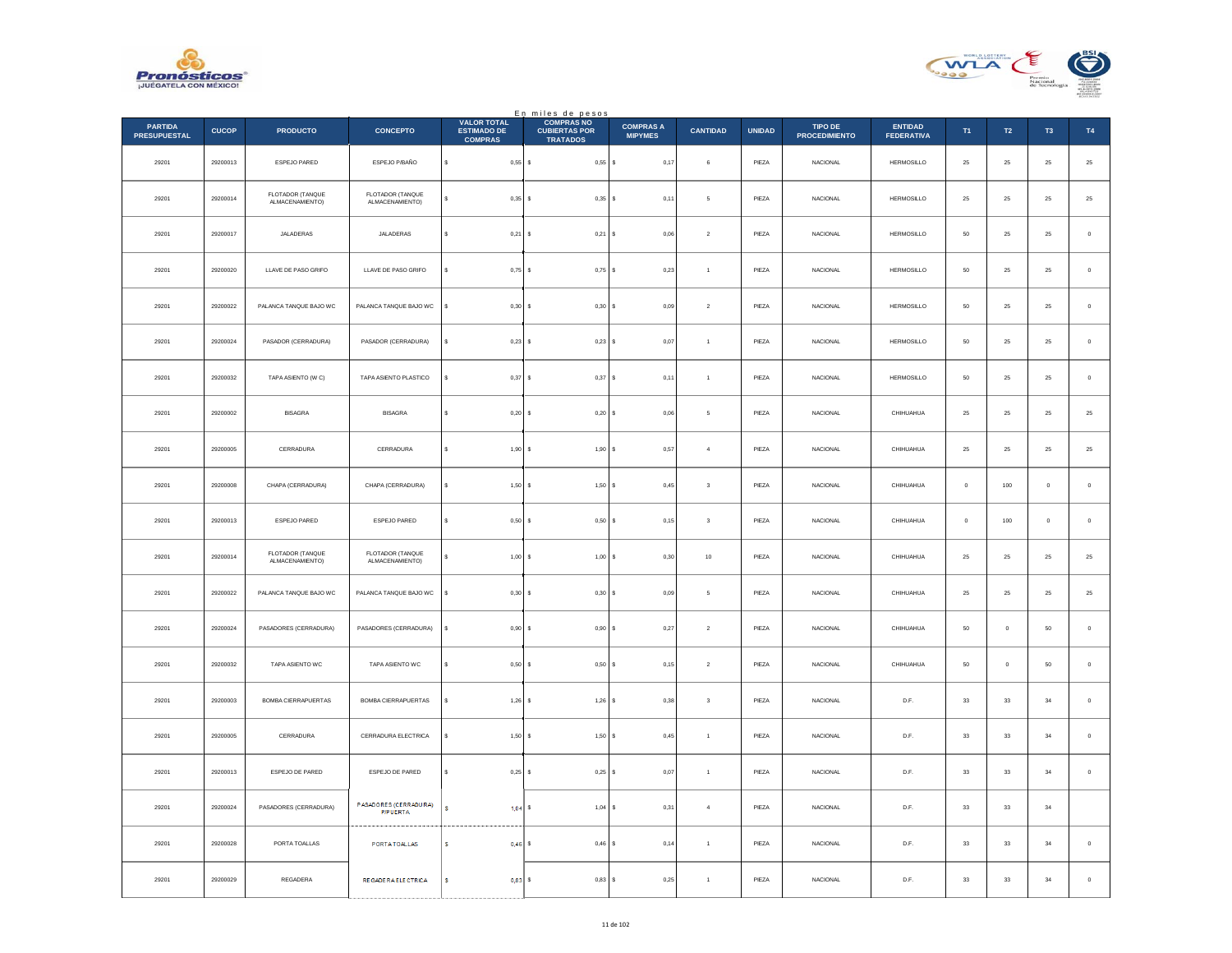



|                                       |              |                                     |                                          |                                                            | En miles de pesos<br>COMPRAS NO         |                                    |                  |               |                                 |                                     |             |                |                |             |
|---------------------------------------|--------------|-------------------------------------|------------------------------------------|------------------------------------------------------------|-----------------------------------------|------------------------------------|------------------|---------------|---------------------------------|-------------------------------------|-------------|----------------|----------------|-------------|
| <b>PARTIDA</b><br><b>PRESUPUESTAL</b> | <b>CUCOP</b> | <b>PRODUCTO</b>                     | <b>CONCEPTO</b>                          | <b>VALOR TOTAL</b><br><b>ESTIMADO DE</b><br><b>COMPRAS</b> | <b>CUBIERTAS POR</b><br><b>TRATADOS</b> | <b>COMPRAS A</b><br><b>MIPYMES</b> | <b>CANTIDAD</b>  | <b>UNIDAD</b> | TIPO DE<br><b>PROCEDIMIENTO</b> | <b>ENTIDAD</b><br><b>FEDERATIVA</b> | T1          | T2             | T <sub>3</sub> | <b>T4</b>   |
| 29201                                 | 29200013     | ESPEJO PARED                        | ESPEJO P/BAÑO                            | s<br>$0,55$ \$                                             | $0,55$ \$                               | 0,17                               | 6                | PIEZA         | NACIONAL                        | HERMOSILLO                          | $25\,$      | $\bf 25$       | $\bf 25$       | $\bf 25$    |
| 29201                                 | 29200014     | FLOTADOR (TANQUE<br>ALMACENAMIENTO) | FLOTADOR (TANQUE<br>ALMACENAMIENTO)      | 0,35<br>s                                                  | $0,35$ \$<br><b>s</b>                   | 0.11                               | 5                | PIEZA         | <b>NACIONAL</b>                 | <b>HERMOSILLO</b>                   | 25          | 25             | 25             | $\bf 25$    |
| 29201                                 | 29200017     | JALADERAS                           | JALADERAS                                | 0,21                                                       | 0,21<br>s                               | l s<br>0,06                        | $\overline{a}$   | PIEZA         | NACIONAL                        | <b>HERMOSILLO</b>                   | 50          | $\bf 25$       | $2\mathsf{S}$  | $\,$ 0 $\,$ |
| 29201                                 | 29200020     | LLAVE DE PASO GRIFO                 | LLAVE DE PASO GRIFO                      | s<br>$0,75$ \$                                             | $0,75$ \$                               | 0,23                               | $\mathbf{1}$     | PIEZA         | <b>NACIONAL</b>                 | HERMOSILLO                          | 50          | $25\,$         | 25             | $\,$ 0 $\,$ |
| 29201                                 | 29200022     | PALANCA TANQUE BAJO WC              | PALANCA TANQUE BAJO WC                   | 0,30<br>s                                                  | 0,30S<br>s                              | 0.09                               | $\,$ 2 $\,$      | PIEZA         | <b>NACIONAL</b>                 | HERMOSILLO                          | $50\,$      | 25             | 25             | $\mathbb O$ |
| 29201                                 | 29200024     | PASADOR (CERRADURA)                 | PASADOR (CERRADURA)                      | 0,23                                                       | s<br>$0,23$ \$                          | 0,07                               | $\overline{1}$   | PIEZA         | <b>NACIONAL</b>                 | HERMOSILLO                          | 50          | ${\bf 25}$     | 25             | $\,0\,$     |
| 29201                                 | 29200032     | TAPA ASIENTO (W C)                  | TAPA ASIENTO PLASTICO                    | 0.37S<br>s                                                 | 0,37S                                   | 0,11                               | $\overline{1}$   | PIEZA         | <b>NACIONAL</b>                 | <b>HERMOSILLO</b>                   | 50          | 25             | 25             | $\mathbb O$ |
| 29201                                 | 29200002     | <b>BISAGRA</b>                      | <b>BISAGRA</b>                           | $0,20$ \$<br>s                                             | 0,20S                                   | 0,06                               | 5                | PIEZA         | NACIONAL                        | CHIHUAHUA                           | $25\,$      | $25\,$         | 25             | $25\,$      |
| 29201                                 | 29200005     | CERRADURA                           | CERRADURA                                | s<br>1,90                                                  | s<br>1,90S                              | 0,57                               | $\overline{4}$   | PIEZA         | <b>NACIONAL</b>                 | CHIHUAHUA                           | 25          | ${\bf 25}$     | 25             | $\bf 25$    |
| 29201                                 | 29200008     | CHAPA (CERRADURA)                   | CHAPA (CERRADURA)                        | 1,50                                                       | 1,50<br>s                               | 0,45                               | $\mathbf 3$      | PIEZA         | <b>NACIONAL</b>                 | CHIHUAHUA                           | $\mathbf 0$ | 100            | $\pmb{0}$      | $\mathbf 0$ |
| 29201                                 | 29200013     | ESPEJO PARED                        | ESPEJO PARED                             | s<br>0,50                                                  | 0,50<br>s                               | 0,15<br>s                          | $\mathsf 3$      | PIEZA         | NACIONAL                        | CHIHUAHUA                           | $\mathbf 0$ | 100            | $\mathbf 0$    | $\,$ 0 $\,$ |
| 29201                                 | 29200014     | FLOTADOR (TANQUE<br>ALMACENAMIENTO) | FLOTADOR (TANQUE<br>ALMACENAMIENTO)      | 1,00S<br>s                                                 | $1,00$ \$                               | 0.30                               | 10               | PIEZA         | <b>NACIONAL</b>                 | CHIHUAHUA                           | 25          | 25             | 25             | $25\,$      |
| 29201                                 | 29200022     | PALANCA TANQUE BAJO WC              | PALANCA TANQUE BAJO WC                   | 0,30                                                       | 0,30S<br>s                              | 0,09                               | 5                | PIEZA         | <b>NACIONAL</b>                 | CHIHUAHUA                           | 25          | 25             | 25             | $2\sqrt{5}$ |
| 29201                                 | 29200024     | PASADORES (CERRADURA)               | PASADORES (CERRADURA)                    | 0,90                                                       | $\mathbf{s}$<br>0.90S                   | 0,27                               | $\overline{2}$   | PIEZA         | <b>NACIONAL</b>                 | CHIHUAHUA                           | 50          | $\overline{0}$ | 50             | $\mathbb O$ |
| 29201                                 | 29200032     | TAPA ASIENTO WC                     | TAPA ASIENTO WC                          | 0,50                                                       | 0,50<br>s                               | 0,15                               | $\,$ 2 $\,$      | PIEZA         | NACIONAL                        | CHIHUAHUA                           | ${\bf 50}$  | $\circ$        | 50             | $\,$ 0 $\,$ |
| 29201                                 | 29200003     | BOMBA CIERRAPUERTAS                 | BOMBA CIERRAPUERTAS                      | 1,26                                                       | $1,26$ \$<br>s                          | 0,38                               | $\mathsf 3$      | PIEZA         | NACIONAL                        | D.F.                                | $_{\rm 33}$ | $_{\rm 33}$    | $34\,$         | $\,$ 0 $\,$ |
| 29201                                 | 29200005     | CERRADURA                           | CERRADURA ELECTRICA                      | 1.50                                                       | 1,50S<br>s                              | 0.45                               | $\overline{1}$   | PIEZA         | <b>NACIONAL</b>                 | D.F.                                | 33          | 33             | 34             | $\,$ 0 $\,$ |
| 29201                                 | 29200013     | ESPEJO DE PARED                     | ESPEJO DE PARED                          | 0,25                                                       | $0,25$ \$<br>s                          | 0,07                               | $\overline{1}$   | PIEZA         | NACIONAL                        | D.F.                                | $_{\rm 33}$ | $_{\rm 33}$    | $34\,$         | $\,$ 0 $\,$ |
| 29201                                 | 29200024     | PASADORES (CERRADURA)               | PASADORES (CERRADURA)<br><b>P/PUERTA</b> | s<br>$1.04$ \$                                             | 1,04                                    | l s<br>0,31                        | $\boldsymbol{A}$ | PIEZA         | <b>NACIONAL</b>                 | D.F.                                | 33          | 33             | 34             |             |
| 29201                                 | 29200028     | PORTA TOALLAS                       | PORTATOALLAS                             | 0,46<br>s                                                  | 0,46                                    | 0,14                               | $\overline{1}$   | PIEZA         | <b>NACIONAL</b>                 | D.F.                                | 33          | 33             | 34             | $\,$ 0 $\,$ |
| 29201                                 | 29200029     | REGADERA                            | REGADE RAELE CTRICA                      | $0,83$ \$<br>s                                             | 0,83                                    | 0,25                               | $\overline{1}$   | PIEZA         | NACIONAL                        | D.F.                                | 33          | 33             | 34             | $\,0\,$     |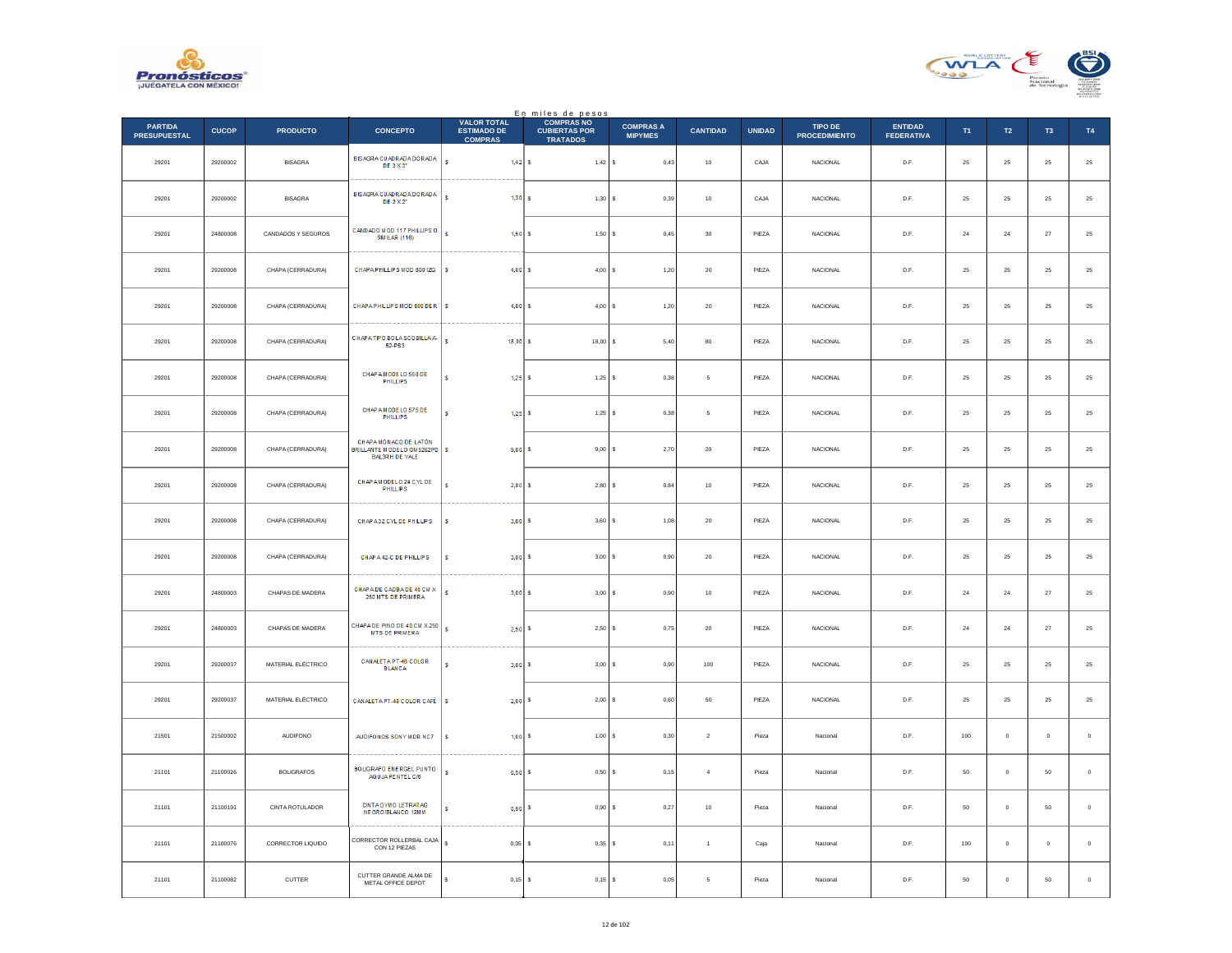



|                                |              |                    |                                                                              |                                                            | En miles de pesos                                            |                                    |                 |               |                                 |                                     |                |                |                     |             |
|--------------------------------|--------------|--------------------|------------------------------------------------------------------------------|------------------------------------------------------------|--------------------------------------------------------------|------------------------------------|-----------------|---------------|---------------------------------|-------------------------------------|----------------|----------------|---------------------|-------------|
| PARTIDA<br><b>PRESUPUESTAL</b> | <b>CUCOP</b> | <b>PRODUCTO</b>    | <b>CONCEPTO</b>                                                              | <b>VALOR TOTAL</b><br><b>ESTIMADO DE</b><br><b>COMPRAS</b> | <b>COMPRAS NO</b><br><b>CUBIERTAS POR</b><br><b>TRATADOS</b> | <b>COMPRAS A</b><br><b>MIPYMES</b> | <b>CANTIDAD</b> | <b>UNIDAD</b> | TIPO DE<br><b>PROCEDIMIENTO</b> | <b>ENTIDAD</b><br><b>FEDERATIVA</b> | T <sub>1</sub> | T2             | T <sub>3</sub>      | T4          |
| 29201                          | 29200002     | <b>BISAGRA</b>     | BISAGRA CUADRADA DORADA<br>DE 3 X 3"                                         | s.<br>1.42 S                                               | $1,42$ \$                                                    | 0.43                               | 10              | CAJA          | <b>NACIONAL</b>                 | D.F.                                | 25             | 25             | 25                  | $2\sqrt{5}$ |
| 29201                          | 29200002     | <b>BISAGRA</b>     | <b>BISAGRA CUADRADA DORADA</b><br>DE 2 X 2"                                  | $\bullet$<br>1,30                                          | 1,30S                                                        | 0,39                               | $10$            | CAJA          | NACIONAL                        | $\mathsf{D}.\mathsf{F}.$            | $25\,$         | 25             | $2\sqrt{5}$         | $25\,$      |
| 29201                          | 24800008     | CANDADOS Y SEGUROS | CANDADO M OD 117 PHILLIPS O<br><b>SIM LAR (116)</b>                          | $\mathbf{s}$<br>1,50                                       | s.<br>$1,50$ \$                                              | 0,45                               | 30              | PIF7A         | <b>NACIONAL</b>                 | D.E.                                | 24             | 24             | 27                  | 25          |
| 29201                          | 29200008     | CHAPA (CERRADURA)  | CHAPA PHILLIPS MOD 800 IZQ                                                   | $\sf{s}$<br>4,00                                           | 4,00S<br>s                                                   | 1,20                               | $20\,$          | PIEZA         | <b>NACIONAL</b>                 | D.F.                                | $\bf 25$       | $2\mathsf{S}$  | 25                  | $25\,$      |
| 29201                          | 29200008     | CHAPA (CERRADURA)  | CHAPA PHILLIPS MOD 800 DER   \$                                              | 4,00                                                       | s.<br>4,00S                                                  | 1,20                               | 20              | PIEZA         | <b>NACIONAL</b>                 | D.F.                                | 25             | ${\bf 25}$     | 25                  | $\bf 25$    |
| 29201                          | 29200008     | CHAPA (CERRADURA)  | CHAPATIPO BOLA SCOBILLA A-<br>52-PS3                                         | s<br>18,00                                                 | $18,00$ \$<br>s                                              | 5,40                               | 80              | PIEZA         | NACIONAL                        | D.F.                                | 25             | 25             | 25                  | $25\,$      |
| 29201                          | 29200008     | CHAPA (CERRADURA)  | CHAP A MODE LO 550 DE<br><b>PHILLIPS</b>                                     | 1,25                                                       | $1,25$ \$<br>s.                                              | 0,38                               | 5               | PIEZA         | <b>NACIONAL</b>                 | D.F.                                | 25             | 25             | 25                  | $25\,$      |
| 29201                          | 29200008     | CHAPA (CERRADURA)  | CHAP A MODE LO 575 DE<br>PHILLIPS                                            | 1.25<br>s                                                  | $1.25$ S                                                     | 0.38                               | -5              | PIEZA         | NACIONAL                        | D.F.                                | 25             | 25             | 25                  | $25\,$      |
| 29201                          | 29200008     | CHAPA (CERRADURA)  | CHAPA MÓNACO DE LATÓN<br>BRILLANTE MODELO GM 5262PD<br><b>BAL3RH DE YALE</b> | s.<br>9,00                                                 | $9,00$ \$                                                    | 2,70                               | $20\,$          | PIEZA         | NACIONAL                        | $\mathsf{D}.\mathsf{F}.$            | $25\,$         | 25             | $2\sqrt{5}$         | $25\,$      |
| 29201                          | 29200008     | CHAPA (CERRADURA)  | CHAP AM ODELO 24 C YL DE<br><b>PHILLPS</b>                                   | 2,80                                                       | $2,80$ \$<br>$\epsilon$                                      | 0,84                               | 10              | PIF7A         | <b>NACIONAL</b>                 | D.F                                 | 25             | 25             | 25                  | $25\,$      |
| 29201                          | 29200008     | CHAPA (CERRADURA)  | CHAPA32 CYLDE PHILLIPS                                                       | 3,60<br>s                                                  | 3,60S<br>s                                                   | 1,08                               | $20\,$          | PIEZA         | NACIONAL                        | D.F.                                | 25             | 25             | 25                  | 25          |
| 29201                          | 29200008     | CHAPA (CERRADURA)  | CHAPA 42-C DE PHILLIPS                                                       | 3,00<br>s                                                  | 3,00S                                                        | 0,90                               | 20              | PIEZA         | <b>NACIONAL</b>                 | D.F.                                | 25             | ${\bf 25}$     | 25                  | $\bf 25$    |
| 29201                          | 24800003     | CHAPAS DE MADERA   | CHAPADE CAOBADE 40 CM X<br>250 MTS DE PRIMERA                                | s<br>3.00                                                  | 3.00 S                                                       | 0.90                               | 10              | PIEZA         | <b>NACIONAL</b>                 | D.F.                                | 24             | 24             | 27                  | $25\,$      |
| 29201                          | 24800003     | CHAPAS DE MADERA   | CHAPADE PINO DE 40 CM X 250<br><b>MTS DE PRIMERA</b>                         | $\mathbf{s}$<br>2,50                                       | $2,50$ \$                                                    | 0,75                               | $20\,$          | PIEZA         | <b>NACIONAL</b>                 | D.F.                                | $\bf 24$       | $\bf 24$       | 27                  | $25\,$      |
| 29201                          | 29200037     | MATERIAL ELÉCTRICO | CANALETA PT-48 COLOR<br><b>BLANCA</b>                                        | 3,00<br>s                                                  | $3.00$ S<br>s.                                               | 0.90                               | 100             | PIEZA         | <b>NACIONAL</b>                 | D.F.                                | 25             | 25             | 25                  | $25\,$      |
| 29201                          | 29200037     | MATERIAL ELÉCTRICO | CANALETA PT-48 COLOR CAFÉ                                                    | 2,00<br>s                                                  | 2,00S                                                        | 0,60                               | 50              | PIEZA         | NACIONAL                        | D.F.                                | $25\,$         | 25             | $2\mathsf{S}$       | $25\,$      |
| 21501                          | 21500002     | <b>AUDIFONO</b>    | AUDIFONOS SONY MDR NC7                                                       | s<br>1,00                                                  | $1,00$ S<br>$\epsilon$                                       | 0,30                               | $\overline{2}$  | Pieza         | Nacional                        | D.F.                                | 100            | $\overline{0}$ | $\mathbf 0$         | $\mathbf 0$ |
| 21101                          | 21100026     | <b>BOLIGRAFOS</b>  | BOLIGRAFO ENERGEL PUNTO<br>AGUJA PENTEL C/6                                  | s<br>0,50                                                  | $0,50$ \$                                                    | 0,15                               | $\sqrt{4}$      | Pieza         | Nacional                        | D.F.                                | 50             | $\overline{0}$ | 50                  | $\mathbf 0$ |
| 21101                          | 21100191     | CINTA ROTULADOR    | CINTA DYMO LETRATAG<br>NEGRO/BLANCO 12MM                                     | 0,90<br>s                                                  | $0,90$ \$                                                    | 0,27                               | $10$            | Pieza         | Nacional                        | D.F.                                | 50             | $\overline{0}$ | 50                  | $\,0\,$     |
| 21101                          | 21100076     | CORRECTOR LIQUIDO  | CORRECTOR ROLLERBAL CAJA<br>CON 12 PIEZAS                                    | $\mathbf{s}$<br>$0.35$ S                                   | 0.35S                                                        | 0.11                               | $\overline{1}$  | Caia          | Nacional                        | D.F.                                | 100            | $\overline{0}$ | $\ddot{\mathbf{0}}$ | $\circ$     |
| 21101                          | 21100082     | CUTTER             | CUTTER GRANDE ALMA DE<br>METAL OFFICE DEPOT                                  | s<br>$0,15$ \$                                             | $0,15$ \$                                                    | 0,05                               | 5               | Pieza         | Nacional                        | D.F.                                | 50             | $\mathbb O$    | 50                  | $\mathbf 0$ |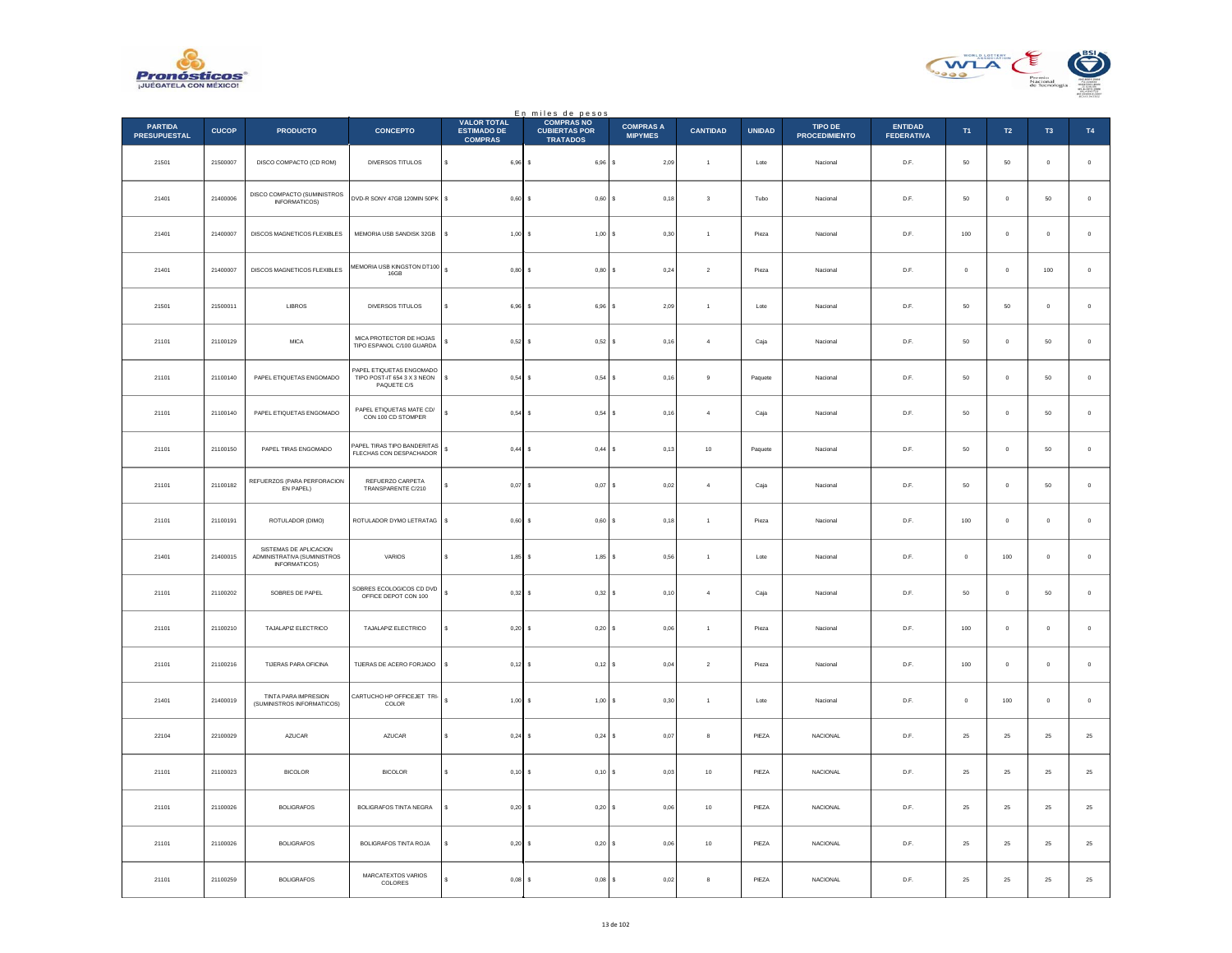



|                                       |              |                                                                        |                                                                        |                                                            | En miles de pesos<br>COMPRASNO          |                                    |                      |               |                                 |                                     |                |                |                |             |
|---------------------------------------|--------------|------------------------------------------------------------------------|------------------------------------------------------------------------|------------------------------------------------------------|-----------------------------------------|------------------------------------|----------------------|---------------|---------------------------------|-------------------------------------|----------------|----------------|----------------|-------------|
| <b>PARTIDA</b><br><b>PRESUPUESTAL</b> | <b>CUCOP</b> | <b>PRODUCTO</b>                                                        | <b>CONCEPTO</b>                                                        | <b>VALOR TOTAL</b><br><b>ESTIMADO DE</b><br><b>COMPRAS</b> | <b>CUBIERTAS POR</b><br><b>TRATADOS</b> | <b>COMPRAS A</b><br><b>MIPYMES</b> | <b>CANTIDAD</b>      | <b>UNIDAD</b> | TIPO DE<br><b>PROCEDIMIENTO</b> | <b>ENTIDAD</b><br><b>FEDERATIVA</b> | T <sub>1</sub> | T2             | T <sub>3</sub> | T4          |
| 21501                                 | 21500007     | DISCO COMPACTO (CD ROM)                                                | DIVERSOS TITULOS                                                       | $\mathbb{S}^-$<br>$6,96$ \$                                | 6,96 \$                                 | 2,09                               | $\ddot{\phantom{1}}$ | Lote          | Nacional                        | D.F.                                | ${\bf 50}$     | $50\,$         | $\pmb{0}$      | $\,$ 0 $\,$ |
| 21401                                 | 21400006     | DISCO COMPACTO (SUMINISTROS<br><b>INFORMATICOS)</b>                    | DVD-R SONY 47GB 120MIN 50PK \$                                         | $0.60$ S                                                   | 0,60S                                   | 0.18                               | $\mathbf{3}$         | Tubo          | Nacional                        | D.F.                                | 50             | $\Omega$       | 50             | $\,$ 0 $\,$ |
| 21401                                 | 21400007     | DISCOS MAGNETICOS FLEXIBLES                                            | MEMORIA USB SANDISK 32GB                                               | $1,00$ \$<br>s                                             | 1,00S                                   | 0,30                               | $\overline{1}$       | Pieza         | Nacional                        | D.F.                                | 100            | $\circ$        | $\mathbf{0}$   | $\mathbf 0$ |
| 21401                                 | 21400007     | DISCOS MAGNETICOS FLEXIBLES                                            | MEMORIA USB KINGSTON DT100<br>16GB                                     | $\epsilon$<br>$0,80$ \$                                    | $0,80$ \$                               | 0,24                               | $\sqrt{2}$           | Pieza         | Nacional                        | D.F.                                | $\mathbf 0$    | $\mathbf 0$    | $100\,$        | $\,$ 0 $\,$ |
| 21501                                 | 21500011     | LIBROS                                                                 | DIVERSOS TITULOS                                                       | 6,96 \$                                                    | 6,96S                                   | 2,09                               | $\overline{1}$       | Lote          | Nacional                        | D.F.                                | $50\,$         | $50\,$         | $\mathbf 0$    | $\,$ 0 $\,$ |
| 21101                                 | 21100129     | <b>MICA</b>                                                            | MICA PROTECTOR DE HOJAS<br>TIPO ESPANOL C/100 GUARDA                   | s<br>0,52S                                                 | $0,52$ \$                               | 0,16                               | $\overline{4}$       | Caja          | Nacional                        | D.F.                                | 50             | $\overline{0}$ | 50             | $\,0\,$     |
| 21101                                 | 21100140     | PAPEL ETIQUETAS ENGOMADO                                               | PAPEL ETIQUETAS ENGOMADO<br>TIPO POST-IT 654 3 X 3 NEON<br>PAQUETE C/5 | s<br>$0,54$ \$                                             | $0,54$ \$                               | 0,16                               | 9                    | Paguete       | Nacional                        | D.F.                                | 50             | $\overline{0}$ | 50             | $\mathbf 0$ |
| 21101                                 | 21100140     | PAPEL ETIQUETAS ENGOMADO                                               | PAPEL ETIQUETAS MATE CD/<br>CON 100 CD STOMPER                         | s<br>$0,54$ \$                                             | $0,54$ \$                               | 0,16                               | $\overline{4}$       | Caja          | Nacional                        | D.F.                                | 50             | $\mathbb O$    | 50             | $\,$ 0 $\,$ |
| 21101                                 | 21100150     | PAPEL TIRAS ENGOMADO                                                   | PAPEL TIRAS TIPO BANDERITAS<br>FLECHAS CON DESPACHADOR                 | $\mathbb{S}^-$<br>$0,44$ \$                                | $0,44$ \$                               | 0,13                               | $10$                 | Paquete       | Nacional                        | D.F.                                | 50             | $\overline{0}$ | 50             | $\,0\,$     |
| 21101                                 | 21100182     | REFUERZOS (PARA PERFORACION<br>EN PAPEL)                               | REFUERZO CARPETA<br>TRANSPARENTE C/210                                 | 0,07                                                       | 0,07                                    | 0,02<br>١s                         | $\overline{4}$       | Caja          | Nacional                        | D.F.                                | 50             | $\mathbb O$    | 50             | $\mathbf 0$ |
| 21101                                 | 21100191     | ROTULADOR (DIMO)                                                       | ROTULADOR DYMO LETRATAG                                                | s<br>0,60S                                                 | 0,60S                                   | 0,18                               | $\mathbf{1}$         | Pieza         | Nacional                        | D.F.                                | 100            | $\,$ 0 $\,$    | $\pmb{0}$      | $\,$ 0 $\,$ |
| 21401                                 | 21400015     | SISTEMAS DE APLICACION<br>ADMINISTRATIVA (SUMINISTROS<br>INFORMATICOS) | VARIOS                                                                 | $1,85$ \$<br>s                                             | $1.85$ S                                | 0.56                               | $\overline{1}$       | Lote          | Nacional                        | D.F.                                | $^{\circ}$     | 100            | $\mathbf 0$    | $\circ$     |
| 21101                                 | 21100202     | SOBRES DE PAPEL                                                        | SOBRES ECOLOGICOS CD DVD<br>OFFICE DEPOT CON 100                       | s<br>0,32                                                  | 0,32S                                   | 0,10                               | $\overline{4}$       | Caja          | Nacional                        | D.F.                                | 50             | $\mathbf{0}$   | 50             | $\mathbf 0$ |
| 21101                                 | 21100210     | TAJALAPIZ ELECTRICO                                                    | TAJALAPIZ ELECTRICO                                                    | s<br>$0.20$ S                                              | $0,20$ \$                               | 0.06                               | $\overline{1}$       | Pieza         | Nacional                        | D.F.                                | 100            | $\overline{0}$ | $\Omega$       | $\mathbb O$ |
| 21101                                 | 21100216     | TIJERAS PARA OFICINA                                                   | TIJERAS DE ACERO FORJADO                                               | s<br>$0,12$ \$                                             | 0,12S                                   | 0,04                               | $\,$ 2 $\,$          | Pieza         | Nacional                        | $D.F.$                              | 100            | $\mathbb O$    | $\mathbf{0}$   | $\mathbf 0$ |
| 21401                                 | 21400019     | <b>TINTA PARA IMPRESION</b><br>(SUMINISTROS INFORMATICOS)              | CARTUCHO HP OFFICEJET TRI-<br>COLOR                                    | $\epsilon$<br>$1,00$ \$                                    | $1,00$ \$                               | 0,30                               | $\overline{1}$       | Lote          | Nacional                        | D.F.                                | $\,$ 0         | 100            | $\bf{0}$       | $\,$ 0 $\,$ |
| 22104                                 | 22100029     | AZUCAR                                                                 | AZUCAR                                                                 | $0.24$ S                                                   | $0.24$ S                                | 0.07                               | 8                    | PIEZA         | <b>NACIONAL</b>                 | D.F.                                | 25             | 25             | 25             | $25\,$      |
| 21101                                 | 21100023     | <b>BICOLOR</b>                                                         | <b>BICOLOR</b>                                                         | $0,10$ \$<br>s                                             | 0,10S                                   | 0,03                               | $10$                 | PIEZA         | NACIONAL                        | D.F.                                | $25\,$         | $2\sqrt{5}$    | $2\mathsf{S}$  | $25\,$      |
| 21101                                 | 21100026     | BOLIGRAFOS                                                             | <b>BOLIGRAFOS TINTA NEGRA</b>                                          | $0.20$ \$<br>s.                                            | $0.20$ S                                | 0,06                               | 10                   | PIEZA         | <b>NACIONAL</b>                 | D.F.                                | 25             | 25             | 25             | $25\,$      |
| 21101                                 | 21100026     | <b>BOLIGRAFOS</b>                                                      | <b>BOLIGRAFOS TINTA ROJA</b>                                           | 0.20                                                       | $0,20$ \$                               | 0,06                               | 10                   | PIEZA         | <b>NACIONAL</b>                 | D.F.                                | 25             | 25             | 25             | $2\sqrt{5}$ |
| 21101                                 | 21100259     | <b>BOLIGRAFOS</b>                                                      | MARCATEXTOS VARIOS<br>COLORES                                          | 0.08S                                                      | $0,08$ \$                               | 0,02                               | $_{\rm 8}$           | PIEZA         | NACIONAL                        | D.F.                                | $25\,$         | ${\bf 25}$     | $25\,$         | $25\,$      |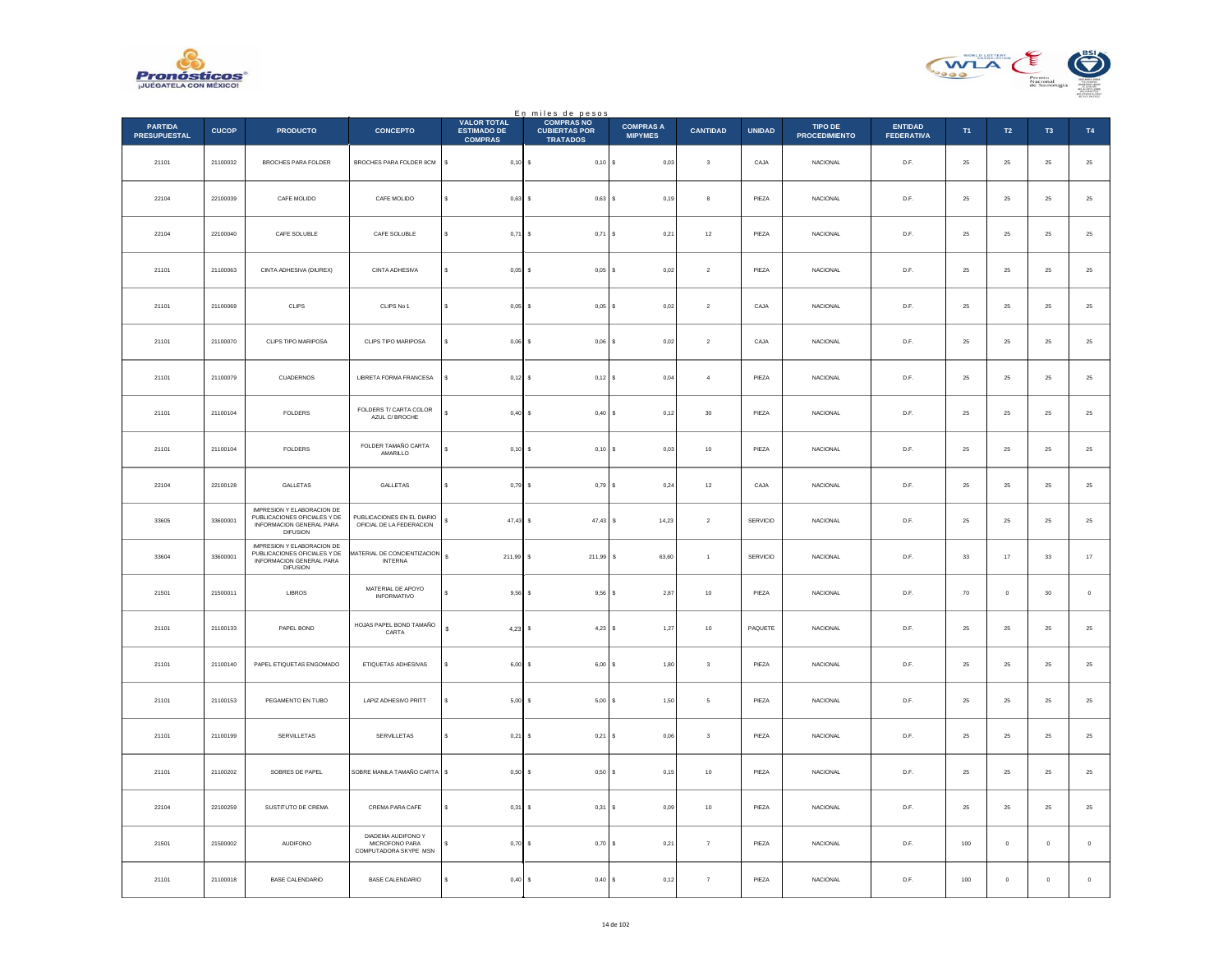



|                                       |              |                                                                                                           |                                                                      |                                                            | En miles de pesos<br>COMPRAS NO         |                                    |                 |               |                                        |                                     |               |               |                |                  |
|---------------------------------------|--------------|-----------------------------------------------------------------------------------------------------------|----------------------------------------------------------------------|------------------------------------------------------------|-----------------------------------------|------------------------------------|-----------------|---------------|----------------------------------------|-------------------------------------|---------------|---------------|----------------|------------------|
| <b>PARTIDA</b><br><b>PRESUPUESTAL</b> | <b>CUCOP</b> | <b>PRODUCTO</b>                                                                                           | <b>CONCEPTO</b>                                                      | <b>VALOR TOTAL</b><br><b>ESTIMADO DE</b><br><b>COMPRAS</b> | <b>CUBIERTAS POR</b><br><b>TRATADOS</b> | <b>COMPRAS A</b><br><b>MIPYMES</b> | <b>CANTIDAD</b> | <b>UNIDAD</b> | <b>TIPO DE</b><br><b>PROCEDIMIENTO</b> | <b>ENTIDAD</b><br><b>FEDERATIVA</b> | T1            | $\mathsf{T2}$ | T <sub>3</sub> | T4               |
| 21101                                 | 21100032     | BROCHES PARA FOLDER                                                                                       | BROCHES PARA FOLDER 8CM                                              | $\mathbb{S}^-$<br>$0,10$ \$                                | $0,10$ \$                               | 0,03                               | $\mathbf 3$     | CAJA          | NACIONAL                               | $\mathsf{D}.\mathsf{F}.$            | $25\,$        | $\bf 25$      | $25\,$         | $25\,$           |
| 22104                                 | 22100039     | CAFE MOLIDO                                                                                               | CAFE MOLIDO                                                          | s<br>$0,63$ \$                                             | $0,63$ \$                               | 0.19                               | $\mathbf{a}$    | PIEZA         | <b>NACIONAL</b>                        | D.F.                                | 25            | 25            | 25             | 25               |
| 22104                                 | 22100040     | CAFE SOLUBLE                                                                                              | CAFE SOLUBLE                                                         | $0,71$ \$                                                  | $0,71$ \$                               | 0,21                               | $12\,$          | PIEZA         | NACIONAL                               | D.F.                                | $\bf 25$      | $\bf 25$      | $2\sqrt{5}$    | $25\,$           |
| 21101                                 | 21100063     | CINTA ADHESIVA (DIUREX)                                                                                   | CINTA ADHESIVA                                                       | s<br>$0,05$ \$                                             | $0,05$ \$                               | 0,02                               | $\sqrt{2}$      | PIEZA         | NACIONAL                               | $\mathsf{D}.\mathsf{F}.$            | $\bf 25$      | ${\bf 25}$    | $25\,$         | 25               |
| 21101                                 | 21100069     | <b>CLIPS</b>                                                                                              | CLIPS No 1                                                           | s<br>$0.05$ S                                              | $0.05$ S                                | 0.02                               | $\overline{2}$  | CAJA          | <b>NACIONAL</b>                        | D.F.                                | 25            | 25            | 25             | $25\,$           |
| 21101                                 | 21100070     | CLIPS TIPO MARIPOSA                                                                                       | CLIPS TIPO MARIPOSA                                                  | $0,06$ \$                                                  | $0,06$ \$                               | 0,02                               | $\sqrt{2}$      | CAJA          | NACIONAL                               | D.F.                                | $\bf 25$      | ${\bf 25}$    | $25\,$         | $25\,$           |
| 21101                                 | 21100079     | <b>CUADERNOS</b>                                                                                          | LIBRETA FORMA FRANCESA                                               | $0.12$ S<br>$\epsilon$                                     | $0,12$ \$                               | 0.04                               | $\overline{a}$  | PIEZA         | <b>NACIONAL</b>                        | D.F.                                | 25            | 25            | $25\,$         | $25\,$           |
| 21101                                 | 21100104     | ${\tt FOLDERS}$                                                                                           | FOLDERS T/ CARTA COLOR<br>AZUL C/ BROCHE                             | s<br>$0,40$ \$                                             | $0,40$ \$                               | 0,12                               | $30\,$          | PIEZA         | NACIONAL                               | D.F.                                | $2\mathrm{5}$ | $\bf 25$      | $\bf 25$       | $25\,$           |
| 21101                                 | 21100104     | <b>FOLDERS</b>                                                                                            | FOLDER TAMAÑO CARTA<br>AMARILLO                                      | $0,10$ \$                                                  | $0,10$ \$                               | 0,03                               | $10\,$          | PIEZA         | NACIONAL                               | D.F.                                | 25            | ${\bf 25}$    | $\bf 25$       | $25\,$           |
| 22104                                 | 22100128     | GALLETAS                                                                                                  | GALLETAS                                                             | $0.79$ \$                                                  | $0.79$ S                                | 0,24                               | 12              | CAJA          | <b>NACIONAL</b>                        | D.F.                                | 25            | 25            | $25\,$         | 25               |
| 33605                                 | 33600001     | IMPRESION Y ELABORACION DE<br>PUBLICACIONES OFICIALES Y DE<br>INFORMACION GENERAL PARA<br><b>DIFUSION</b> | PUBLICACIONES EN EL DIARIO<br>OFICIAL DE LA FEDERACION               | \$<br>$47,43$ \$                                           | 47,43                                   | 14,23<br>s                         | $\,$ 2 $\,$     | SERVICIO      | NACIONAL                               | D.F.                                | $2\mathrm{5}$ | $\bf 25$      | $\bf 25$       | $25\,$           |
| 33604                                 | 33600001     | IMPRESION Y ELABORACION DE<br>PUBLICACIONES OFICIALES Y DE<br>INFORMACION GENERAL PARA<br><b>DIFUSION</b> | MATERIAL DE CONCIENTIZACION<br><b>INTERNA</b>                        | $\mathbb S$<br>211,99 \$                                   | 211,99 \$                               | 63,60                              | $\overline{1}$  | SERVICIO      | <b>NACIONAL</b>                        | D.F.                                | 33            | 17            | 33             | $17\,$           |
| 21501                                 | 21500011     | LIBROS                                                                                                    | MATERIAL DE APOYO<br><b>INFORMATIVO</b>                              | 9,56                                                       | $9,56$ \$                               | 2,87                               | $10$            | PIEZA         | NACIONAL                               | D.F.                                | 70            | $\circ$       | 30             | $\mathbf 0$      |
| 21101                                 | 21100133     | PAPEL BOND                                                                                                | HOJAS PAPEL BOND TAMAÑO<br>CARTA                                     | s<br>$4,23$ \$                                             | $4,23$ \$                               | 1,27                               | $10$            | PAQUETE       | <b>NACIONAL</b>                        | D.F.                                | ${\bf 25}$    | $25\,$        | 25             | $25\phantom{.0}$ |
| 21101                                 | 21100140     | PAPEL ETIQUETAS ENGOMADO                                                                                  | ETIQUETAS ADHESIVAS                                                  | $6,00$ \$                                                  | $6,00$ $S$                              | 1,80                               | $\mathbf{3}$    | PIEZA         | <b>NACIONAL</b>                        | D.F.                                | 25            | 25            | $25\,$         | 25               |
| 21101                                 | 21100153     | PEGAMENTO EN TUBO                                                                                         | LAPIZ ADHESIVO PRITT                                                 | 5,00                                                       | 5,00                                    | 1,50<br>l s                        | 5               | PIEZA         | NACIONAL                               | D.F.                                | $\bf 25$      | $2\mathsf{S}$ | $2\mathrm{5}$  | $25\,$           |
| 21101                                 | 21100199     | SERVILLETAS                                                                                               | SERVILLETAS                                                          | $0.21$ \$<br>s                                             | $0,21$ \$                               | 0.06                               | $\mathbf{3}$    | PIEZA         | <b>NACIONAL</b>                        | D.F.                                | 25            | 25            | 25             | $25\,$           |
| 21101                                 | 21100202     | SOBRES DE PAPEL                                                                                           | SOBRE MANILA TAMAÑO CARTA                                            | $\mathbb S$<br>$0,50$ \$                                   | 0,50S                                   | 0,15                               | $10$            | PIEZA         | <b>NACIONAL</b>                        | D.F.                                | 25            | 25            | 25             | 25               |
| 22104                                 | 22100259     | SUSTITUTO DE CREMA                                                                                        | CREMA PARA CAFE                                                      | \$<br>$0,31$ \$                                            | $0,31$ \$                               | 0,09                               | $10$            | PIEZA         | NACIONAL                               | D.F.                                | ${\bf 25}$    | $25\,$        | $25\,$         | $25\phantom{.0}$ |
| 21501                                 | 21500002     | <b>AUDIFONO</b>                                                                                           | DIADEMA AUDIFONO Y<br><b>MICROFONO PARA</b><br>COMPUTADORA SKYPE MSN | $0,70$ \$                                                  | $0,70$ \$                               | 0.21                               | $\overline{7}$  | PIEZA         | <b>NACIONAL</b>                        | D.F.                                | 100           | $\circ$       | $\circ$        | $\,$ 0           |
| 21101                                 | 21100018     | <b>BASE CALENDARIO</b>                                                                                    | BASE CALENDARIO                                                      | 0,40                                                       | 0,40                                    | 0,12<br>l s                        | $\overline{7}$  | PIEZA         | <b>NACIONAL</b>                        | D.F.                                | $100\,$       | $\mathbf 0$   | $\,$ 0 $\,$    | $\,$ 0           |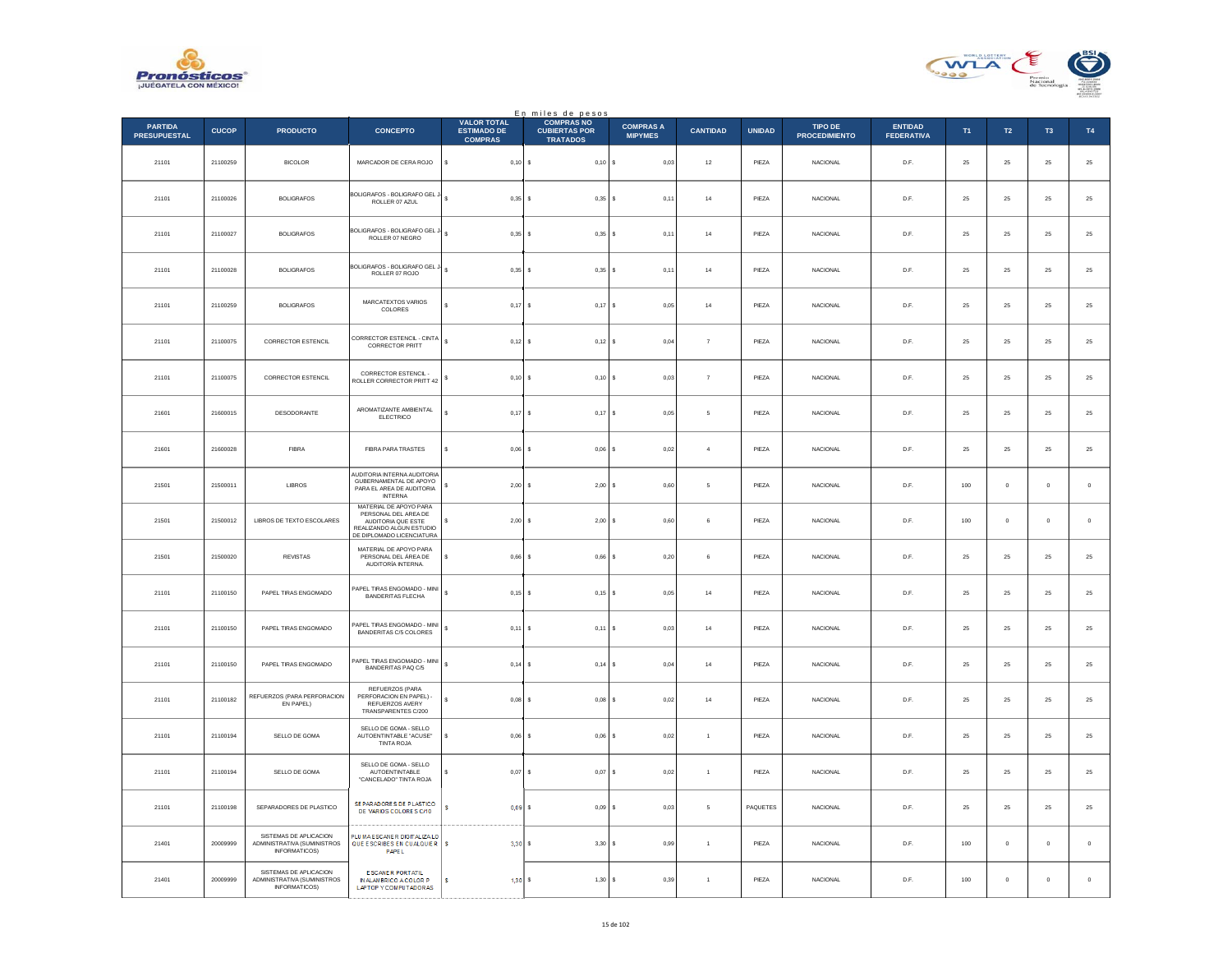



|                                       |              |                                                                        |                                                                                                                               |                                                            | En miles de pesos                                            |                                    |                 |               |                                        |                                     |             |                  |                |               |
|---------------------------------------|--------------|------------------------------------------------------------------------|-------------------------------------------------------------------------------------------------------------------------------|------------------------------------------------------------|--------------------------------------------------------------|------------------------------------|-----------------|---------------|----------------------------------------|-------------------------------------|-------------|------------------|----------------|---------------|
| <b>PARTIDA</b><br><b>PRESUPUESTAL</b> | <b>CUCOP</b> | <b>PRODUCTO</b>                                                        | <b>CONCEPTO</b>                                                                                                               | <b>VALOR TOTAL</b><br><b>ESTIMADO DE</b><br><b>COMPRAS</b> | <b>COMPRAS NO</b><br><b>CUBIERTAS POR</b><br><b>TRATADOS</b> | <b>COMPRAS A</b><br><b>MIPYMES</b> | <b>CANTIDAD</b> | <b>UNIDAD</b> | <b>TIPO DE</b><br><b>PROCEDIMIENTO</b> | <b>ENTIDAD</b><br><b>FEDERATIVA</b> | T1          | $\mathsf{T2}$    | T <sub>3</sub> | T4            |
| 21101                                 | 21100259     | <b>BICOLOR</b>                                                         | MARCADOR DE CERA ROJO                                                                                                         | $\mathbb S$<br>$0,10$ \$                                   | 0,10S                                                        | 0,03                               | $12\,$          | PIEZA         | NACIONAL                               | D.F.                                | $\bf 25$    | ${\bf 25}$       | $\bf 25$       | $\bf 25$      |
| 21101                                 | 21100026     | BOLIGRAFOS                                                             | BOLIGRAFOS - BOLIGRAFO GEL J<br>ROLLER 07 AZUL                                                                                | 0.35S                                                      | $0.35$ $\vert$ S                                             | 0,11                               | 14              | PIF7A         | <b>NACIONAL</b>                        | D.F.                                | 25          | ${\bf 25}$       | 25             | $25\,$        |
| 21101                                 | 21100027     | <b>BOLIGRAFOS</b>                                                      | <b>BOLIGRAFOS - BOLIGRAFO GEL J</b><br>ROLLER 07 NEGRO                                                                        | $\mathbb S$<br>0,35                                        | s<br>$0,35$ \$                                               | 0,11                               | $^{\rm 14}$     | PIEZA         | NACIONAL                               | $\mathsf{D}.\mathsf{F}.$            | 25          | $\bf 25$         | $2\sqrt{5}$    | 25            |
| 21101                                 | 21100028     | <b>BOLIGRAFOS</b>                                                      | BOLIGRAFOS - BOLIGRAFO GEL J-<br>ROLLER 07 ROJO                                                                               | $\epsilon$<br>$0,35$ \$                                    | $0,35$ \$                                                    | 0,11                               | $^{\rm 14}$     | PIEZA         | NACIONAL                               | D.F.                                | 25          | ${\bf 25}$       | 25             | $25\,$        |
| 21101                                 | 21100259     | <b>BOLIGRAFOS</b>                                                      | MARCATEXTOS VARIOS<br>COLORES                                                                                                 | 0.17<br>s                                                  | 0.17<br>-S                                                   | l s<br>0.05                        | 14              | PIEZA         | <b>NACIONAL</b>                        | D.F.                                | 25          | 25               | 25             | $2\mathsf{5}$ |
| 21101                                 | 21100075     | CORRECTOR ESTENCIL                                                     | CORRECTOR ESTENCIL - CINTA<br><b>CORRECTOR PRITT</b>                                                                          | $\epsilon$<br>$0,12$ \$                                    | $0,12$ \$                                                    | 0,04                               | $\overline{7}$  | PIEZA         | NACIONAL                               | D.F.                                | $25\,$      | ${\bf 25}$       | 25             | 25            |
| 21101                                 | 21100075     | <b>CORRECTOR ESTENCIL</b>                                              | CORRECTOR ESTENCIL -<br><b>ROLLER CORRECTOR PRITT 42</b>                                                                      | 0.10 S<br>s                                                | $0.10$ S                                                     | 0.03                               | $\overline{7}$  | PIF7A         | <b>NACIONAL</b>                        | D.F                                 | 25          | 25               | 25             | $25\,$        |
| 21601                                 | 21600015     | DESODORANTE                                                            | AROMATIZANTE AMBIENTAL<br><b>ELECTRICO</b>                                                                                    | s<br>$0,17$ \$                                             | $0,17$ \$                                                    | 0,05                               | 5               | PIEZA         | NACIONAL                               | $\mathsf{D}.\mathsf{F}.$            | $2\sqrt{5}$ | $\bf 25$         | $2\sqrt{5}$    | $25\,$        |
| 21601                                 | 21600028     | FIBRA                                                                  | FIBRA PARA TRASTES                                                                                                            | \$<br>0,06                                                 | $0,06$ \$<br>$\mathbf{s}$                                    | 0,02                               | $\overline{a}$  | PIEZA         | <b>NACIONAL</b>                        | D.F.                                | 25          | ${\bf 25}$       | 25             | 25            |
| 21501                                 | 21500011     | LIBROS                                                                 | AUDITORIA INTERNA AUDITORIA<br>GUBERNAMENTAL DE APOYO<br>PARA EL AREA DE AUDITORIA<br><b>INTERNA</b>                          | 2,00                                                       | 2,00                                                         | 0,60<br>١s                         | -5              | PIEZA         | <b>NACIONAL</b>                        | D.F.                                | 100         | $\mathbf 0$      | $\mathbf 0$    | $\,$ 0 $\,$   |
| 21501                                 | 21500012     | LIBROS DE TEXTO ESCOLARES                                              | MATERIAL DE APOYO PARA<br>PERSONAL DEL AREA DE<br>AUDITORIA QUE ESTE<br>REALIZANDO ALGUN ESTUDIO<br>DE DIPLOMADO LICENCIATURA | 2,00<br>\$                                                 | 2,00                                                         | <b>s</b><br>0,60                   | 6               | PIEZA         | NACIONAL                               | $\mathsf{D}.\mathsf{F}.$            | 100         | $\mathbf 0$      | $\mathbf 0$    | $\,$ 0        |
| 21501                                 | 21500020     | <b>REVISTAS</b>                                                        | MATERIAL DE APOYO PARA<br>PERSONAL DEL ÁREA DE<br>AUDITORÍA INTERNA.                                                          | $\mathbf{s}$<br>$0,66$ \$                                  | $0,66$ \$                                                    | 0,20                               | 6               | PIFZA         | <b>NACIONAL</b>                        | D.F                                 | 25          | 25               | 25             | $25\,$        |
| 21101                                 | 21100150     | PAPEL TIRAS ENGOMADO                                                   | APEL TIRAS ENGOMADO - MINI<br>BANDERITAS FLECHA                                                                               | $\mathbb S$<br>$0,15$ \$                                   | $0,15$ \$                                                    | 0,05                               | $14\,$          | PIEZA         | <b>NACIONAL</b>                        | D.F.                                | 25          | 25               | 25             | 25            |
| 21101                                 | 21100150     | PAPEL TIRAS ENGOMADO                                                   | APEL TIRAS ENGOMADO - MINI<br>BANDERITAS C/5 COLORES                                                                          | $\mathbb S$<br>$0,11$ \$                                   | $0,11$ \$                                                    | 0,03                               | 14              | PIEZA         | <b>NACIONAL</b>                        | D.F.                                | 25          | 25               | 25             | $\bf 25$      |
| 21101                                 | 21100150     | PAPEL TIRAS ENGOMADO                                                   | PAPEL TIRAS ENGOMADO - MINI<br>BANDERITAS PAQ C/5                                                                             | $\mathbb S$<br>$0,14$ \$                                   | $0,14$ \$                                                    | 0,04                               | $14\,$          | PIEZA         | <b>NACIONAL</b>                        | D.F.                                | $25\,$      | 25               | 25             | $2\mathsf{5}$ |
| 21101                                 | 21100182     | REFUERZOS (PARA PERFORACION<br>EN PAPEL)                               | REFUERZOS (PARA<br>PERFORACION EN PAPEL) -<br>REFUERZOS AVERY<br>TRANSPARENTES C/200                                          | 0,08<br>s                                                  | 0,08                                                         | s<br>0,02                          | $^{\rm 14}$     | PIEZA         | NACIONAL                               | D.F.                                | $2\sqrt{5}$ | $\bf 25$         | $2\mathsf{S}$  | 25            |
| 21101                                 | 21100194     | SELLO DE GOMA                                                          | SELLO DE GOMA - SELLO<br>AUTOENTINTABLE "ACUSE"<br>TINTA ROJA                                                                 | 0.06S<br>s                                                 | $0.06$ \$                                                    | 0,02                               | $\overline{1}$  | PIEZA         | <b>NACIONAL</b>                        | D.F.                                | 25          | 25               | 25             | $25\,$        |
| 21101                                 | 21100194     | SELLO DE GOMA                                                          | SELLO DE GOMA - SELLO<br>AUTOENTINTABLE<br>"CANCELADO" TINTA ROJA                                                             | $0,07$ \$                                                  | $0,07$ \$                                                    | 0,02                               | $\overline{1}$  | PIEZA         | NACIONAL                               | D.F.                                | 25          | 25               | 25             | 25            |
| 21101                                 | 21100198     | SEPARADORES DE PLASTICO                                                | SE PARADORES DE PLASTICO<br>DE VARIOS COLORES C/10                                                                            | s<br>0.09S                                                 | 0,09S                                                        | 0,03                               | 5               | PAQUETES      | <b>NACIONAL</b>                        | D.F.                                | 25          | $25\phantom{.0}$ | $25\,$         | $\bf 25$      |
| 21401                                 | 20009999     | SISTEMAS DE APLICACION<br>ADMINISTRATIVA (SUMINISTROS<br>INFORMATICOS) | PLUMA ESCANER DIGITALIZATO<br>QUE ESCRIBES EN CUALQUIER<br>PAPEL                                                              | s<br>3.30                                                  | $3.30$ $\overline{\phantom{0}}$                              | 0.99                               | $\overline{1}$  | PIEZA         | <b>NACIONAL</b>                        | D.F.                                | 100         | $\circ$          | $\circ$        | $\,$ 0 $\,$   |
| 21401                                 | 20009999     | SISTEMAS DE APLICACION<br>ADMINISTRATIVA (SUMINISTROS<br>INFORMATICOS) | E SCANER PORTATIL<br>IN ALAMBRICO A COLOR P<br>LAPTOP Y COMPUTADORAS                                                          | 1,30<br>s                                                  | 1,30S                                                        | 0,39                               | $\overline{1}$  | PIEZA         | <b>NACIONAL</b>                        | D.F.                                | 100         | $\mathbf 0$      | $\mathbf 0$    | $\mathbf 0$   |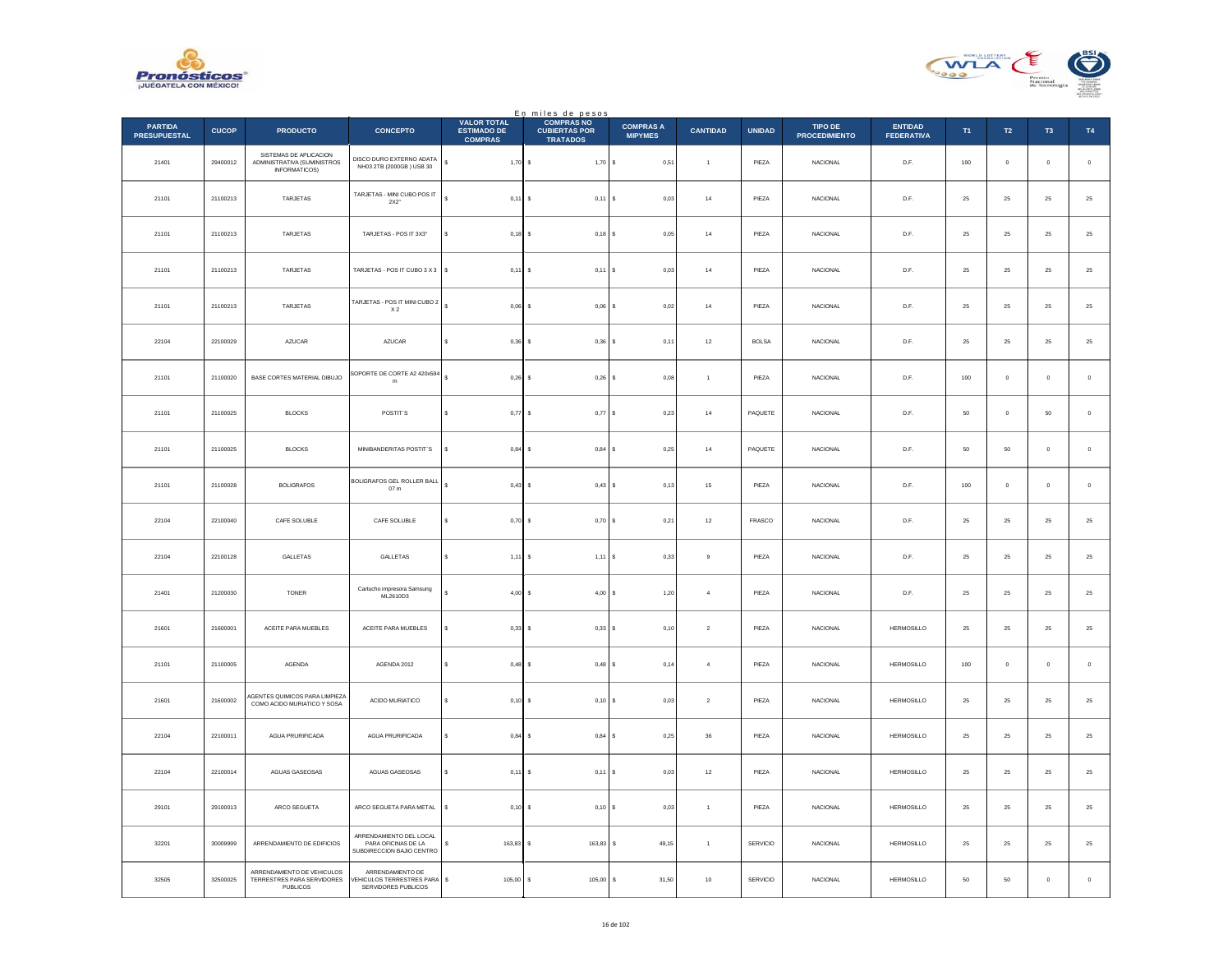



|                                       |              |                                                                               |                                                                             |                                                            | En miles de pesos<br>COMPRAS NO         |                                    |                 |                 |                                        |                                     |            |               |                |                  |
|---------------------------------------|--------------|-------------------------------------------------------------------------------|-----------------------------------------------------------------------------|------------------------------------------------------------|-----------------------------------------|------------------------------------|-----------------|-----------------|----------------------------------------|-------------------------------------|------------|---------------|----------------|------------------|
| <b>PARTIDA</b><br><b>PRESUPUESTAL</b> | <b>CUCOP</b> | <b>PRODUCTO</b>                                                               | <b>CONCEPTO</b>                                                             | <b>VALOR TOTAL</b><br><b>ESTIMADO DE</b><br><b>COMPRAS</b> | <b>CUBIERTAS POR</b><br><b>TRATADOS</b> | <b>COMPRAS A</b><br><b>MIPYMES</b> | <b>CANTIDAD</b> | <b>UNIDAD</b>   | <b>TIPO DE</b><br><b>PROCEDIMIENTO</b> | <b>ENTIDAD</b><br><b>FEDERATIVA</b> | T1         | $\mathsf{T2}$ | T <sub>3</sub> | T4               |
| 21401                                 | 29400012     | SISTEMAS DE APLICACION<br>ADMINISTRATIVA (SUMINISTROS<br><b>INFORMATICOS)</b> | DISCO DURO EXTERNO ADATA<br>NH03 2TB (2000GB) USB 30                        | $\mathbb{S}^-$<br>$1,70$ \$                                | $1,70$ \$                               | 0,51                               | $\mathbf{1}$    | PIEZA           | NACIONAL                               | D.F.                                | 100        | $\mathbb O$   | $\mathbf 0$    | $\,$ 0           |
| 21101                                 | 21100213     | <b>TARJETAS</b>                                                               | TARJETAS - MINI CUBO POSIT<br>$2X2"$                                        | $\mathbf{s}$<br>$0.11$ S                                   | $0,11$ \$                               | 0.03                               | $^{\rm 14}$     | PIEZA           | <b>NACIONAL</b>                        | D.F.                                | 25         | 25            | $\bf 25$       | 25               |
| 21101                                 | 21100213     | TARJETAS                                                                      | TARJETAS - POS IT 3X3"                                                      | $0,18$ \$<br>s                                             | $0,18$ \$                               | 0,05                               | $^{\rm 14}$     | PIEZA           | NACIONAL                               | D.F.                                | $\bf 25$   | $25\,$        | $2\sqrt{5}$    | $25\,$           |
| 21101                                 | 21100213     | TARJETAS                                                                      | TARJETAS - POS IT CUBO 3 X 3                                                | s<br>$0,11$ \$                                             | $0,11$ \$                               | 0,03                               | $^{\rm 14}$     | PIEZA           | NACIONAL                               | $\mathsf{D}.\mathsf{F}.$            | $\bf 25$   | ${\bf 25}$    | $25\,$         | $25\,$           |
| 21101                                 | 21100213     | TARJETAS                                                                      | TARJETAS - POS IT MINI CUBO 2<br>X <sub>2</sub>                             | $\mathbf{s}$<br>$0.06$ S                                   | $0.06$ S                                | 0.02                               | 14              | PIEZA           | NACIONAL                               | D.F.                                | 25         | 25            | 25             | $25\,$           |
| 22104                                 | 22100029     | AZUCAR                                                                        | AZUCAR                                                                      | $\epsilon$<br>$0,36$ \$                                    | $0,36$ \$                               | 0,11                               | $12\,$          | <b>BOLSA</b>    | NACIONAL                               | D.F.                                | $\bf 25$   | ${\bf 25}$    | $25\,$         | $25\,$           |
| 21101                                 | 21100020     | BASE CORTES MATERIAL DIBUJO                                                   | SOPORTE DE CORTE A2 420x594<br>m                                            | $\ddot{\phantom{a}}$<br>$0.26$ S                           | $0,26$ \$                               | 0.08                               | $\overline{1}$  | PIEZA           | <b>NACIONAL</b>                        | D.F.                                | 100        | $\mathbf{0}$  | $\circ$        | $\,$ 0 $\,$      |
| 21101                                 | 21100025     | <b>BLOCKS</b>                                                                 | POSTIT'S                                                                    | $0,77$ \$<br>s                                             | $0,77$ \$                               | 0,23                               | $^{\rm 14}$     | PAQUETE         | NACIONAL                               | D.F.                                | 50         | $\mathbf 0$   | $50\,$         | $\,$ 0           |
| 21101                                 | 21100025     | <b>BLOCKS</b>                                                                 | MINIBANDERITAS POSTIT'S                                                     | $0,84$ \$<br>s                                             | $0,84$ \$                               | 0,25                               | $^{\rm 14}$     | PAQUETE         | <b>NACIONAL</b>                        | D.F.                                | 50         | $50\,$        | $\mathbf 0$    | $\,$ 0           |
| 21101                                 | 21100028     | <b>BOLIGRAFOS</b>                                                             | BOLIGRAFOS GEL ROLLER BALL<br>07 <sub>m</sub>                               | $0.43$ \$                                                  | $0.43$ \$                               | 0,13                               | $15\,$          | PIEZA           | <b>NACIONAL</b>                        | D.F.                                | 100        | $\mathbf 0$   | $\mathbf 0$    | $\mathbf 0$      |
| 22104                                 | 22100040     | CAFE SOLUBLE                                                                  | CAFE SOLUBLE                                                                | $0,70$ \$<br>s                                             | 0,70S                                   | 0,21                               | $12\,$          | FRASCO          | NACIONAL                               | D.F.                                | $\bf 25$   | $25\,$        | $2\sqrt{5}$    | $25\,$           |
| 22104                                 | 22100128     | GALLETAS                                                                      | GALLETAS                                                                    | $\mathbf{s}$<br>$1,11$ \$                                  | $1,11$ S                                | 0,33                               | $\mathbf{Q}$    | PIFZA           | <b>NACIONAL</b>                        | D.F.                                | 25         | 25            | 25             | $25\,$           |
| 21401                                 | 21200030     | TONER                                                                         | Cartucho impresora Samsung<br>ML2610D3                                      | $4,00$ \$                                                  | 4,00S                                   | 1,20                               | $\overline{4}$  | PIEZA           | NACIONAL                               | D.F.                                | $25\,$     | 25            | $25\,$         | $25\,$           |
| 21601                                 | 21600001     | ACEITE PARA MUEBLES                                                           | ACEITE PARA MUEBLES                                                         | $0,33$ \$<br>s                                             | 0,33S                                   | 0, 10                              | $\overline{2}$  | PIEZA           | NACIONAL                               | HERMOSILLO                          | ${\bf 25}$ | $25\,$        | $25\,$         | $25\phantom{.0}$ |
| 21101                                 | 21100005     | AGENDA                                                                        | AGENDA 2012                                                                 | s<br>0.48S                                                 | $0,48$ \$                               | 0,14                               | $\overline{4}$  | PIEZA           | <b>NACIONAL</b>                        | <b>HERMOSILLO</b>                   | 100        | $\mathbb O$   | $\mathbf 0$    | $\,$ 0 $\,$      |
| 21601                                 | 21600002     | <b>AGENTES QUIMICOS PARA LIMPIEZA</b><br>COMO ACIDO MURIATICO Y SOSA          | ACIDO MURIATICO                                                             | $0,10$ \$<br>s                                             | $0,10$ \$                               | 0,03                               | $\,$ 2 $\,$     | PIEZA           | NACIONAL                               | <b>HERMOSILLO</b>                   | $\bf 25$   | $25\,$        | $2\sqrt{5}$    | $25\,$           |
| 22104                                 | 22100011     | AGUA PRURIFICADA                                                              | AGUA PRURIFICADA                                                            | s<br>$0,84$ \$                                             | $0,84$ S                                | 0,25                               | 36              | PIEZA           | <b>NACIONAL</b>                        | <b>HERMOSILLO</b>                   | 25         | 25            | 25             | $25\,$           |
| 22104                                 | 22100014     | AGUAS GASEOSAS                                                                | AGUAS GASEOSAS                                                              | s<br>$0,11$ \$                                             | $0,11$ S                                | 0,03                               | $12\,$          | PIEZA           | <b>NACIONAL</b>                        | <b>HERMOSILLO</b>                   | 25         | 25            | 25             | 25               |
| 29101                                 | 29100013     | ARCO SEGUETA                                                                  | ARCO SEGUETA PARA METAL                                                     | \$<br>$0,10$ \$                                            | 0,10S                                   | 0,03                               | $\overline{1}$  | PIEZA           | NACIONAL                               | <b>HERMOSILLO</b>                   | ${\bf 25}$ | $25\,$        | $25\,$         | $25\,$           |
| 32201                                 | 30009999     | ARRENDAMIENTO DE EDIFICIOS                                                    | ARRENDAMIENTO DEL LOCAL<br>PARA OFICINAS DE LA<br>SUBDIRECCION BAJIO CENTRO | $163.83$ S<br>s                                            | $163,83$ \$                             | 49.15                              | $\overline{1}$  | <b>SERVICIO</b> | <b>NACIONAL</b>                        | <b>HERMOSILLO</b>                   | 25         | 25            | 25             | 25               |
| 32505                                 | 32500025     | ARRENDAMIENTO DE VEHICULOS<br>TERRESTRES PARA SERVIDORES<br><b>PUBLICOS</b>   | ARRENDAMIENTO DE<br>VEHICULOS TERRESTRES PARA<br>SERVIDORES PUBLICOS        | $\mathbb{S}$<br>105,00                                     | 105,00                                  | 31,50<br>s                         | $10\,$          | SERVICIO        | <b>NACIONAL</b>                        | <b>HERMOSILLO</b>                   | 50         | 50            | $\mathbf 0$    | $\,$ 0 $\,$      |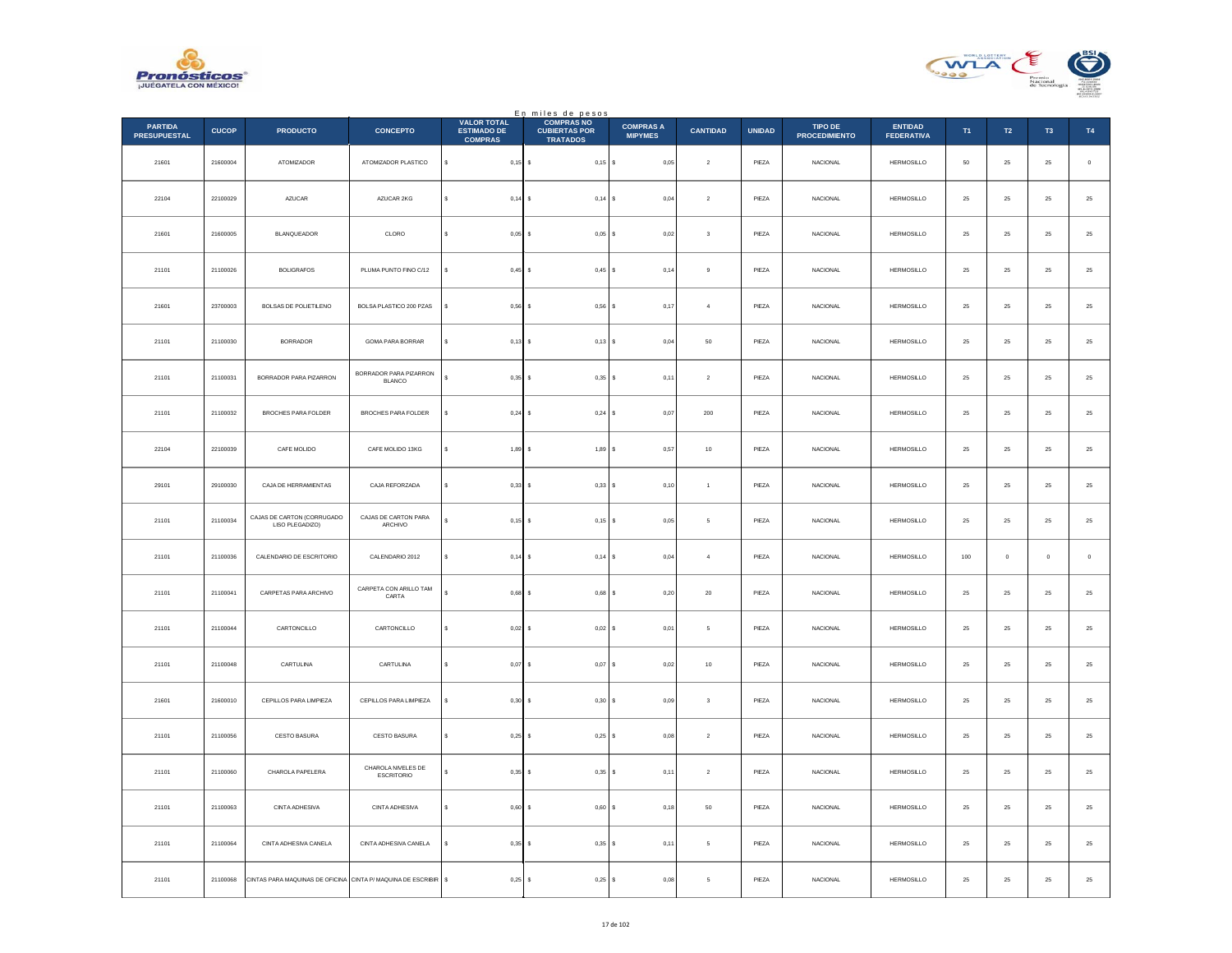



|                                       |              |                                                                 |                                  |                                                            | En miles de pesos<br>COMPRAS NO         |                                    |                 |               |                                 |                                     |             |                  |                |               |
|---------------------------------------|--------------|-----------------------------------------------------------------|----------------------------------|------------------------------------------------------------|-----------------------------------------|------------------------------------|-----------------|---------------|---------------------------------|-------------------------------------|-------------|------------------|----------------|---------------|
| <b>PARTIDA</b><br><b>PRESUPUESTAL</b> | <b>CUCOP</b> | <b>PRODUCTO</b>                                                 | <b>CONCEPTO</b>                  | <b>VALOR TOTAL</b><br><b>ESTIMADO DE</b><br><b>COMPRAS</b> | <b>CUBIERTAS POR</b><br><b>TRATADOS</b> | <b>COMPRAS A</b><br><b>MIPYMES</b> | <b>CANTIDAD</b> | <b>UNIDAD</b> | TIPO DE<br><b>PROCEDIMIENTO</b> | <b>ENTIDAD</b><br><b>FEDERATIVA</b> | T1          | $\mathsf{T2}$    | T <sub>3</sub> | T4            |
| 21601                                 | 21600004     | ATOMIZADOR                                                      | ATOMIZADOR PLASTICO              | $0,15$ \$<br>s                                             | $0,15$ \$                               | 0,05                               | $\mathbf{2}$    | PIEZA         | <b>NACIONAL</b>                 | <b>HERMOSILLO</b>                   | ${\bf 50}$  | ${\bf 25}$       | $\bf 25$       | $\,$ 0        |
| 22104                                 | 22100029     | <b>AZUCAR</b>                                                   | AZUCAR 2KG                       | $\mathbf{s}$<br>$0,14$ \$                                  | $0,14$ \$                               | 0,04                               | $\overline{2}$  | PIEZA         | <b>NACIONAL</b>                 | <b>HERMOSILLO</b>                   | 25          | 25               | 25             | $25\,$        |
| 21601                                 | 21600005     | BLANQUEADOR                                                     | CLORO                            | s<br>0,05                                                  | $0,05$ \$                               | 0,02                               | $\sqrt{3}$      | PIEZA         | NACIONAL                        | <b>HERMOSILLO</b>                   | $\bf 25$    | $\bf 25$         | $2\sqrt{5}$    | 25            |
| 21101                                 | 21100026     | <b>BOLIGRAFOS</b>                                               | PLUMA PUNTO FINO C/12            | 0,45                                                       | $0,45$ \$<br>$\sim$                     | 0,14                               | $_{9}$          | PIEZA         | <b>NACIONAL</b>                 | <b>HERMOSILLO</b>                   | $\bf 25$    | ${\bf 25}$       | 25             | 25            |
| 21601                                 | 23700003     | BOLSAS DE POLIETILENO                                           | BOLSA PLASTICO 200 PZAS          | s<br>0,56                                                  | $0,56$ \$                               | 0,17                               | $\overline{4}$  | PIEZA         | <b>NACIONAL</b>                 | <b>HERMOSILLO</b>                   | 25          | 25               | 25             | $2\mathsf{5}$ |
| 21101                                 | 21100030     | <b>BORRADOR</b>                                                 | GOMA PARA BORRAR                 | $0,13$ \$                                                  | $0,13$ \$                               | 0,04                               | 50              | PIEZA         | NACIONAL                        | HERMOSILLO                          | $\bf 25$    | $25\phantom{.0}$ | 25             | 25            |
| 21101                                 | 21100031     | BORRADOR PARA PIZARRON                                          | BORRADOR PARA PIZARRON<br>BLANCO | $0.35$ \$                                                  | $0.35$ \$                               | 0,11                               | $\overline{2}$  | PIEZA         | <b>NACIONAL</b>                 | <b>HERMOSILLO</b>                   | 25          | 25               | 25             | 25            |
| 21101                                 | 21100032     | BROCHES PARA FOLDER                                             | BROCHES PARA FOLDER              | $0,24$ \$                                                  | 0,24S                                   | 0,07                               | $200\,$         | PIEZA         | NACIONAL                        | <b>HERMOSILLO</b>                   | $\bf 25$    | 25               | 25             | 25            |
| 22104                                 | 22100039     | CAFE MOLIDO                                                     | CAFE MOLIDO 13KG                 | 1,89<br>s                                                  | 1,89S                                   | 0,57                               | $10$            | PIEZA         | <b>NACIONAL</b>                 | <b>HERMOSILLO</b>                   | 25          | 25               | 25             | 25            |
| 29101                                 | 29100030     | CAJA DE HERRAMIENTAS                                            | CAJA REFORZADA                   | 0,33                                                       | 0,33S                                   | 0,10                               | $\mathbf{1}$    | PIEZA         | NACIONAL                        | <b>HERMOSILLO</b>                   | 25          | 25               | 25             | $2\mathsf{5}$ |
| 21101                                 | 21100034     | CAJAS DE CARTON (CORRUGADO<br>LISO PLEGADIZO)                   | CAJAS DE CARTON PARA<br>ARCHIVO  | $0,15$ \$                                                  | $0,15$ \$                               | 0,05                               | 5               | PIEZA         | <b>NACIONAL</b>                 | <b>HERMOSILLO</b>                   | $25\,$      | ${\bf 25}$       | $\bf 25$       | 25            |
| 21101                                 | 21100036     | CALENDARIO DE ESCRITORIO                                        | CALENDARIO 2012                  | s<br>$0,14$ \$                                             | $0,14$ \$                               | 0,04                               | $\overline{4}$  | PIEZA         | <b>NACIONAL</b>                 | <b>HERMOSILLO</b>                   | 100         | $\mathbf{0}$     | $\mathbf{0}$   | $\,$ 0 $\,$   |
| 21101                                 | 21100041     | CARPETAS PARA ARCHIVO                                           | CARPETA CON ARILLO TAM<br>CARTA  | 0,68                                                       | $0,68$ \$                               | 0,20                               | $20\,$          | PIEZA         | <b>NACIONAL</b>                 | <b>HERMOSILLO</b>                   | 25          | $\bf 25$         | 25             | 25            |
| 21101                                 | 21100044     | CARTONCILLO                                                     | CARTONCILLO                      | s<br>0,02                                                  | $0.02$ \$<br>$\sim$                     | 0,01                               | -5              | PIEZA         | <b>NACIONAL</b>                 | <b>HERMOSILLO</b>                   | 25          | 25               | 25             | $\bf 25$      |
| 21101                                 | 21100048     | CARTULINA                                                       | CARTULINA                        | s<br>0,07                                                  | 0,07                                    | $\mathbb S$<br>0,02                | $10$            | PIEZA         | NACIONAL                        | <b>HERMOSILLO</b>                   | $\bf 25$    | $\bf 25$         | $2\mathrm{5}$  | $2\mathsf{5}$ |
| 21601                                 | 21600010     | CEPILLOS PARA LIMPIEZA                                          | CEPILLOS PARA LIMPIEZA           | 0,30                                                       | 0,30S                                   | 0,09                               | $\sqrt{3}$      | PIEZA         | NACIONAL                        | HERMOSILLO                          | $\bf 25$    | $25\,$           | $\bf 25$       | $\bf 25$      |
| 21101                                 | 21100056     | CESTO BASURA                                                    | CESTO BASURA                     | 0.25<br>s                                                  | $0.25$ S                                | 0.08                               | $\overline{2}$  | PIEZA         | NACIONAL                        | <b>HERMOSILLO</b>                   | 25          | 25               | 25             | 25            |
| 21101                                 | 21100060     | CHAROLA PAPELERA                                                | CHAROLA NIVELES DE<br>ESCRITORIO | $0,35$ \$<br>s                                             | $0,35$ \$                               | 0,11                               | $\,$ 2 $\,$     | PIEZA         | NACIONAL                        | <b>HERMOSILLO</b>                   | $2\sqrt{5}$ | $\bf 25$         | $\bf 25$       | 25            |
| 21101                                 | 21100063     | CINTA ADHESIVA                                                  | CINTA ADHESIVA                   | s<br>0,60                                                  | $0,60$ \$                               | 0,18                               | 50              | PIEZA         | NACIONAL                        | <b>HERMOSILLO</b>                   | 25          | 25               | 25             | 25            |
| 21101                                 | 21100064     | CINTA ADHESIVA CANELA                                           | CINTA ADHESIVA CANELA            | 0,35                                                       | $0,35$ \$                               | 0,11                               | 5               | PIEZA         | NACIONAL                        | HERMOSILLO                          | 25          | $25\,$           | 25             | $2\mathsf{5}$ |
| 21101                                 | 21100068     | CINTAS PARA MAQUINAS DE OFICINA CINTA P/ MAQUINA DE ESCRIBIR \$ |                                  | $0,25$ \$                                                  | 0,25S                                   | 0,08                               | 5               | PIEZA         | <b>NACIONAL</b>                 | HERMOSILLO                          | $\bf 25$    | $25\phantom{.0}$ | $25\,$         | 25            |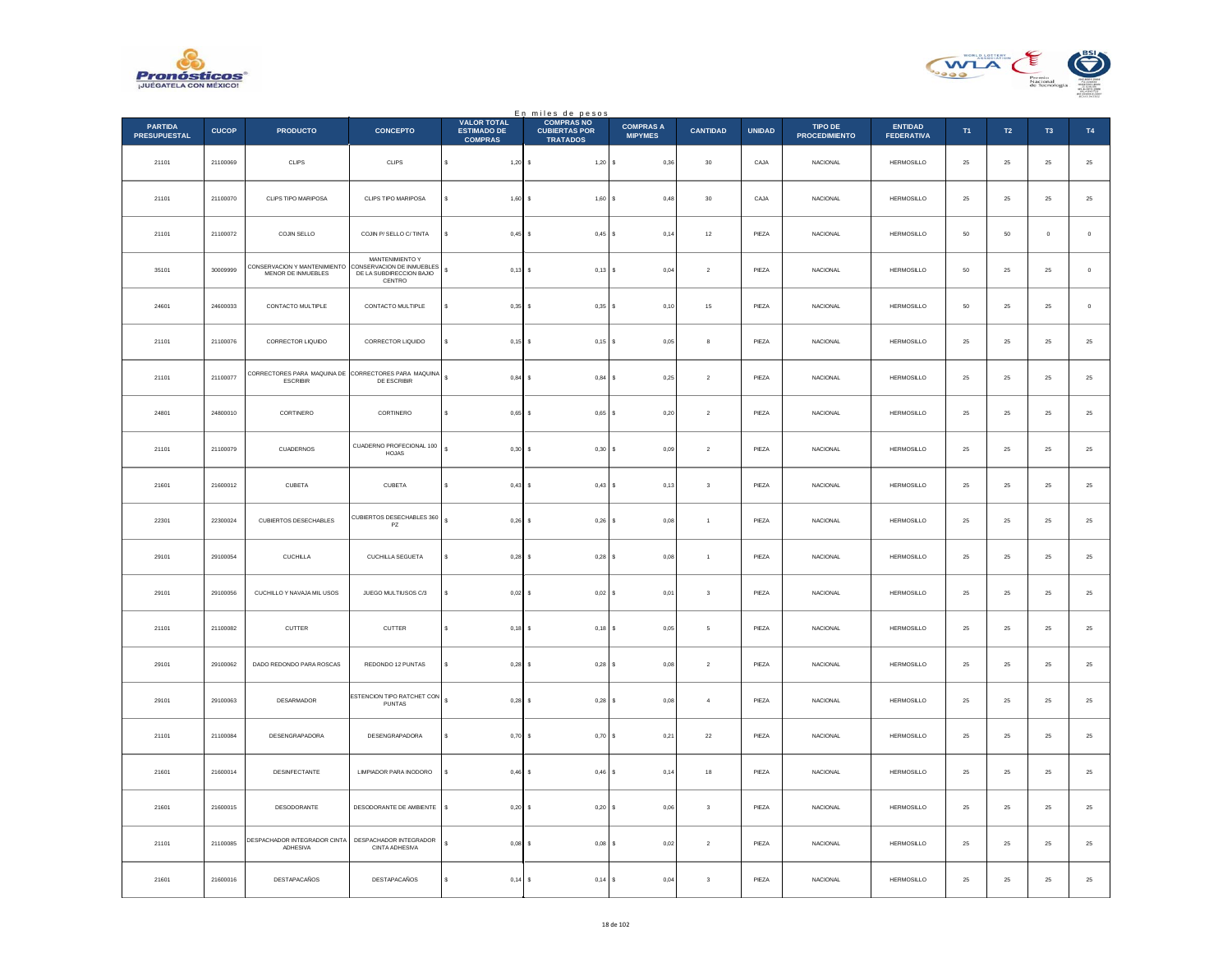



|                                       |              |                                                                         |                                                                                    |                                                            | En miles de pesos<br>COMPRAS NO         |                                    |                         |               |                                 |                                     |          |             |                |                  |
|---------------------------------------|--------------|-------------------------------------------------------------------------|------------------------------------------------------------------------------------|------------------------------------------------------------|-----------------------------------------|------------------------------------|-------------------------|---------------|---------------------------------|-------------------------------------|----------|-------------|----------------|------------------|
| <b>PARTIDA</b><br><b>PRESUPUESTAL</b> | <b>CUCOP</b> | <b>PRODUCTO</b>                                                         | <b>CONCEPTO</b>                                                                    | <b>VALOR TOTAL</b><br><b>ESTIMADO DE</b><br><b>COMPRAS</b> | <b>CUBIERTAS POR</b><br><b>TRATADOS</b> | <b>COMPRAS A</b><br><b>MIPYMES</b> | <b>CANTIDAD</b>         | <b>UNIDAD</b> | TIPO DE<br><b>PROCEDIMIENTO</b> | <b>ENTIDAD</b><br><b>FEDERATIVA</b> | T1       | T2          | T <sub>3</sub> | T4               |
| 21101                                 | 21100069     | CLIPS                                                                   | CLIPS                                                                              | s<br>$1,20$ \$                                             | $1,20$ \$                               | 0,36                               | $30\,$                  | CAJA          | NACIONAL                        | HERMOSILLO                          | $25\,$   | $25\,$      | $\bf 25$       | $\bf 25$         |
| 21101                                 | 21100070     | CLIPS TIPO MARIPOSA                                                     | CLIPS TIPO MARIPOSA                                                                | $1,60$ \$<br>$\epsilon$                                    | 1,60S                                   | 0,48                               | 30                      | CAJA          | <b>NACIONAL</b>                 | <b>HERMOSILLO</b>                   | 25       | 25          | 25             | $\bf 25$         |
| 21101                                 | 21100072     | COJIN SELLO                                                             | COJIN P/ SELLO C/ TINTA                                                            | $0,45$ \$<br>Ś                                             | $0,45$ \$                               | 0,14                               | $12\,$                  | PIEZA         | NACIONAL                        | <b>HERMOSILLO</b>                   | $50\,$   | 50          | $\mathbf{0}$   | $\mathbf 0$      |
| 35101                                 | 30009999     | CONSERVACION Y MANTENIMIENTO<br>MENOR DE INMUEBLES                      | MANTENIMIENTO Y<br>CONSERVACION DE INMUEBLES<br>DE LA SUBDIRECCION BAJIO<br>CENTRO | s<br>$0,13$ \$                                             | $0,13$ \$                               | 0,04                               | $\boldsymbol{2}$        | PIEZA         | <b>NACIONAL</b>                 | HERMOSILLO                          | 50       | $25\,$      | 25             | $\,$ 0 $\,$      |
| 24601                                 | 24600033     | CONTACTO MULTIPLE                                                       | CONTACTO MULTIPLE                                                                  | $0.35$ \$<br>s                                             | $0,35$ \$                               | 0,10                               | $15\,$                  | PIEZA         | <b>NACIONAL</b>                 | HERMOSILLO                          | $50\,$   | $25\,$      | 25             | $\mathbb O$      |
| 21101                                 | 21100076     | CORRECTOR LIQUIDO                                                       | CORRECTOR LIQUIDO                                                                  | $\epsilon$<br>$0,15$ \$                                    | $0,15$ \$                               | 0,05                               | 8                       | PIEZA         | <b>NACIONAL</b>                 | HERMOSILLO                          | $\bf 25$ | ${\bf 25}$  | 25             | $\mathbf{^{25}}$ |
| 21101                                 | 21100077     | CORRECTORES PARA MAQUINA DE CORRECTORES PARA MAQUINA<br><b>ESCRIBIR</b> | DE ESCRIBIR                                                                        | $0,84$ \$<br>s                                             | $0,84$ \$                               | 0,25                               | $\overline{2}$          | PIEZA         | <b>NACIONAL</b>                 | <b>HERMOSILLO</b>                   | 25       | 25          | 25             | $\bf 25$         |
| 24801                                 | 24800010     | CORTINERO                                                               | CORTINERO                                                                          | $0,65$ \$<br>\$                                            | $0,65$ \$                               | 0,20                               | $\sqrt{2}$              | PIEZA         | NACIONAL                        | HERMOSILLO                          | 25       | $25\,$      | 25             | $25\,$           |
| 21101                                 | 21100079     | <b>CUADERNOS</b>                                                        | CUADERNO PROFECIONAL 100<br>HOJAS                                                  | s<br>$0,30$ \$                                             | $0,30$ \$                               | 0,09                               | $\overline{2}$          | PIEZA         | <b>NACIONAL</b>                 | <b>HERMOSILLO</b>                   | 25       | ${\bf 25}$  | 25             | $\mathbf{^{25}}$ |
| 21601                                 | 21600012     | CUBETA                                                                  | CUBETA                                                                             | 0,43S                                                      | $0,43$ \$                               | 0,13                               | $\mathsf 3$             | PIEZA         | <b>NACIONAL</b>                 | <b>HERMOSILLO</b>                   | 25       | 25          | 25             | $25\,$           |
| 22301                                 | 22300024     | CUBIERTOS DESECHABLES                                                   | CUBIERTOS DESECHABLES 360<br>PZ                                                    | s<br>$0,26$ \$                                             | $0,26$ \$                               | 0,08                               | $\mathbf{1}$            | PIEZA         | NACIONAL                        | <b>HERMOSILLO</b>                   | 25       | $25\,$      | $\bf 25$       | $25\,$           |
| 29101                                 | 29100054     | <b>CUCHILLA</b>                                                         | CUCHILLA SEGUETA                                                                   | $0,28$ \$<br>s                                             | $0,28$ \$                               | 0.08                               | $\overline{1}$          | PIEZA         | <b>NACIONAL</b>                 | <b>HERMOSILLO</b>                   | 25       | 25          | 25             | $25\,$           |
| 29101                                 | 29100056     | CUCHILLO Y NAVAJA MIL USOS                                              | JUEGO MULTIUSOS C/3                                                                | $0,02$ \$                                                  | $0,02$ \$                               | 0,01                               | $\overline{\mathbf{3}}$ | PIEZA         | <b>NACIONAL</b>                 | <b>HERMOSILLO</b>                   | 25       | 25          | 25             | $2\sqrt{5}$      |
| 21101                                 | 21100082     | <b>CUTTER</b>                                                           | <b>CUTTER</b>                                                                      | s<br>$0,18$ \$                                             | $0,18$ \$                               | 0.05                               | 5                       | PIEZA         | <b>NACIONAL</b>                 | <b>HERMOSILLO</b>                   | 25       | 25          | 25             | 25               |
| 29101                                 | 29100062     | DADO REDONDO PARA ROSCAS                                                | REDONDO 12 PUNTAS                                                                  | $0,28$ \$                                                  | 0,28                                    | 0,08                               | $\,$ 2 $\,$             | PIEZA         | NACIONAL                        | <b>HERMOSILLO</b>                   | $25\,$   | $25\,$      | 25             | $25\,$           |
| 29101                                 | 29100063     | DESARMADOR                                                              | ESTENCION TIPO RATCHET CON<br>PUNTAS                                               | $0,28$ \$<br>s                                             | $0,28$ \$                               | 0,08                               | $\sqrt{4}$              | PIEZA         | NACIONAL                        | HERMOSILLO                          | 25       | $25\,$      | $25\,$         | $\bf 25$         |
| 21101                                 | 21100084     | DESENGRAPADORA                                                          | DESENGRAPADORA                                                                     | $0.70$ S<br>s                                              | 0,70S                                   | 0.21                               | $\bf{22}$               | PIEZA         | <b>NACIONAL</b>                 | <b>HERMOSILLO</b>                   | 25       | 25          | 25             | $\bf 25$         |
| 21601                                 | 21600014     | DESINFECTANTE                                                           | LIMPIADOR PARA INODORO                                                             | $0,46$ \$                                                  | $0,46$ \$                               | 0,14                               | $18\,$                  | PIEZA         | NACIONAL                        | <b>HERMOSILLO</b>                   | $25\,$   | $2\sqrt{5}$ | $2\mathsf{S}$  | $25\,$           |
| 21601                                 | 21600015     | DESODORANTE                                                             | DESODORANTE DE AMBIENTE                                                            | s<br>$0.20$ \$                                             | $0,20$ \$                               | 0.06                               | 3                       | PIEZA         | <b>NACIONAL</b>                 | <b>HERMOSILLO</b>                   | 25       | 25          | 25             | $25\,$           |
| 21101                                 | 21100085     | DESPACHADOR INTEGRADOR CINTA<br>ADHESIVA                                | DESPACHADOR INTEGRADOR<br>CINTA ADHESIVA                                           | $0.08$ \$                                                  | $0,08$ \$                               | 0,02                               | $\,$ 2 $\,$             | PIEZA         | <b>NACIONAL</b>                 | <b>HERMOSILLO</b>                   | 25       | $25\,$      | 25             | $25\,$           |
| 21601                                 | 21600016     | DESTAPACAÑOS                                                            | DESTAPACAÑOS                                                                       | s<br>$0,14$ \$                                             | 0,14S                                   | 0,04                               | $^{\rm 3}$              | PIEZA         | NACIONAL                        | HERMOSILLO                          | $\bf 25$ | ${\bf 25}$  | $25\,$         | $25\,$           |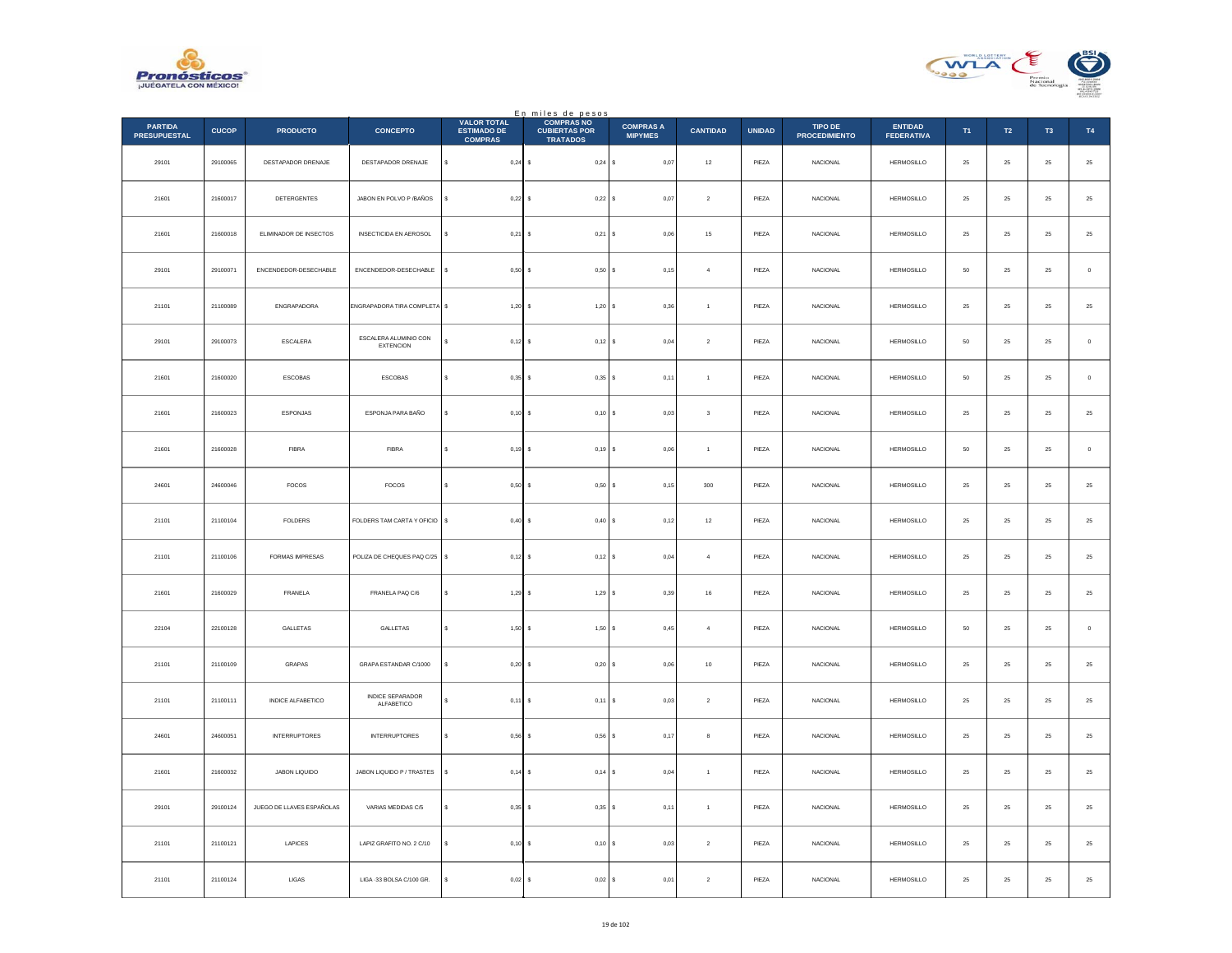



|                                       |              |                           |                                           |                                                            | En miles de pesos<br>COMPRAS NO         |                                    |                 |               |                                 |                                     |            |                  |                |               |
|---------------------------------------|--------------|---------------------------|-------------------------------------------|------------------------------------------------------------|-----------------------------------------|------------------------------------|-----------------|---------------|---------------------------------|-------------------------------------|------------|------------------|----------------|---------------|
| <b>PARTIDA</b><br><b>PRESUPUESTAL</b> | <b>CUCOP</b> | <b>PRODUCTO</b>           | <b>CONCEPTO</b>                           | <b>VALOR TOTAL</b><br><b>ESTIMADO DE</b><br><b>COMPRAS</b> | <b>CUBIERTAS POR</b><br><b>TRATADOS</b> | <b>COMPRAS A</b><br><b>MIPYMES</b> | <b>CANTIDAD</b> | <b>UNIDAD</b> | TIPO DE<br><b>PROCEDIMIENTO</b> | <b>ENTIDAD</b><br><b>FEDERATIVA</b> | T1         | $\mathsf{T2}$    | T <sub>3</sub> | T4            |
| 29101                                 | 29100065     | DESTAPADOR DRENAJE        | DESTAPADOR DRENAJE                        | s<br>$0,24$ \$                                             | $0,24$ \$                               | 0,07                               | $12\,$          | PIEZA         | <b>NACIONAL</b>                 | HERMOSILLO                          | $\bf 25$   | 25               | $\bf 25$       | $25\,$        |
| 21601                                 | 21600017     | <b>DETERGENTES</b>        | JABON EN POLVO P / BAÑOS                  | $0,22$ \$<br>$\epsilon$                                    | 0,22S                                   | 0.07                               | $\overline{2}$  | PIEZA         | <b>NACIONAL</b>                 | <b>HERMOSILLO</b>                   | 25         | ${\bf 25}$       | 25             | $25\,$        |
| 21601                                 | 21600018     | ELIMINADOR DE INSECTOS    | <b>INSECTICIDA EN AEROSOL</b>             | $0,21$ \$                                                  | $0,21$ \$                               | 0,06                               | $15\,$          | PIEZA         | NACIONAL                        | <b>HERMOSILLO</b>                   | $\bf 25$   | $25\,$           | $2\mathsf{S}$  | 25            |
| 29101                                 | 29100071     | ENCENDEDOR-DESECHABLE     | ENCENDEDOR-DESECHABLE                     | s<br>0,50                                                  | 0,50S                                   | 0,15                               | $\overline{4}$  | PIEZA         | NACIONAL                        | <b>HERMOSILLO</b>                   | ${\bf 50}$ | ${\bf 25}$       | $\bf 25$       | $\,$ 0        |
| 21101                                 | 21100089     | ENGRAPADORA               | <b>INGRAPADORA TIRA COMPLETA</b> \$       | 1,20                                                       | 1,20S                                   | 0,36                               | $\overline{1}$  | PIEZA         | NACIONAL                        | <b>HERMOSILLO</b>                   | 25         | 25               | 25             | $2\mathsf{5}$ |
| 29101                                 | 29100073     | ESCALERA                  | ESCALERA ALUMINIO CON<br><b>EXTENCION</b> | $0,12$ \$                                                  | $0,12$ \$                               | 0,04                               | $\overline{2}$  | PIEZA         | <b>NACIONAL</b>                 | HERMOSILLO                          | 50         | $25\phantom{.0}$ | 25             | $\,0\,$       |
| 21601                                 | 21600020     | <b>ESCOBAS</b>            | <b>ESCOBAS</b>                            | s<br>$0.35$ \$                                             | $0.35$ $S$                              | 0,11                               | $\overline{1}$  | PIEZA         | <b>NACIONAL</b>                 | <b>HERMOSILLO</b>                   | 50         | 25               | 25             | $\,$ 0 $\,$   |
| 21601                                 | 21600023     | ESPONJAS                  | ESPONJA PARA BAÑO                         | $0,10$ \$<br>s                                             | $0,10$ \$                               | 0,03                               | $\sqrt{3}$      | PIEZA         | NACIONAL                        | <b>HERMOSILLO</b>                   | $\bf 25$   | ${\bf 25}$       | 25             | 25            |
| 21601                                 | 21600028     | <b>FIBRA</b>              | <b>FIBRA</b>                              | s<br>0,19                                                  | 0,19S                                   | 0.06                               | $\overline{1}$  | PIEZA         | <b>NACIONAL</b>                 | <b>HERMOSILLO</b>                   | 50         | 25               | 25             | $\circ$       |
| 24601                                 | 24600046     | FOCOS                     | FOCOS                                     | 0,50                                                       | $0,50$ \$                               | 0,15                               | 300             | PIEZA         | NACIONAL                        | <b>HERMOSILLO</b>                   | 25         | 25               | 25             | $2\mathsf{5}$ |
| 21101                                 | 21100104     | FOLDERS                   | FOLDERS TAM CARTA Y OFICIO \$             | 0,40                                                       | 0,40S                                   | 0,12                               | $12\,$          | PIEZA         | NACIONAL                        | <b>HERMOSILLO</b>                   | $\bf 25$   | ${\bf 25}$       | 25             | $25\,$        |
| 21101                                 | 21100106     | FORMAS IMPRESAS           | POLIZA DE CHEQUES PAQ C/25                | s<br>$0,12$ \$                                             | 0,12S                                   | 0.04                               | $\overline{4}$  | PIEZA         | <b>NACIONAL</b>                 | <b>HERMOSILLO</b>                   | 25         | 25               | 25             | $25\,$        |
| 21601                                 | 21600029     | FRANELA                   | FRANELA PAQ C/6                           | 1,29                                                       | 1,29S                                   | 0,39                               | $16\,$          | PIEZA         | <b>NACIONAL</b>                 | <b>HERMOSILLO</b>                   | 25         | $\bf 25$         | $25\,$         | 25            |
| 22104                                 | 22100128     | <b>GALLETAS</b>           | GALLETAS                                  | $\mathbf{s}$<br>1,50                                       | 1,50S<br>$\epsilon$                     | 0.45                               | $\overline{a}$  | PIEZA         | <b>NACIONAL</b>                 | <b>HERMOSILLO</b>                   | 50         | 25               | 25             | $\,$ 0 $\,$   |
| 21101                                 | 21100109     | GRAPAS                    | GRAPA ESTANDAR C/1000                     | 0,20                                                       | 0,20S                                   | 0,06                               | $10$            | PIEZA         | NACIONAL                        | <b>HERMOSILLO</b>                   | $\bf 25$   | $\bf 25$         | $2\sqrt{5}$    | $2\mathsf{5}$ |
| 21101                                 | 21100111     | INDICE ALFABETICO         | <b>INDICE SEPARADOR</b><br>ALFABETICO     | $0,11$ \$                                                  | $0,11$ \$                               | 0,03                               | $\sqrt{2}$      | PIEZA         | <b>NACIONAL</b>                 | HERMOSILLO                          | $\bf 25$   | ${\bf 25}$       | $\bf 25$       | $\bf 25$      |
| 24601                                 | 24600051     | <b>INTERRUPTORES</b>      | <b>INTERRUPTORES</b>                      | s<br>$0.56$ S                                              | $0.56$ S                                | 0.17                               | 8               | PIEZA         | NACIONAL                        | <b>HERMOSILLO</b>                   | 25         | 25               | 25             | $25\,$        |
| 21601                                 | 21600032     | JABON LIQUIDO             | JABON LIQUIDO P / TRASTES                 | $0,14$ \$<br>\$                                            | $0,14$ \$                               | 0,04                               | $\overline{1}$  | PIEZA         | NACIONAL                        | <b>HERMOSILLO</b>                   | $\bf 25$   | $25\,$           | $2\mathsf{S}$  | $2\mathsf{5}$ |
| 29101                                 | 29100124     | JUEGO DE LLAVES ESPAÑOLAS | VARIAS MEDIDAS C/5                        | s<br>0,35                                                  | $0.35$ $S$                              | 0,11                               | $\overline{1}$  | PIEZA         | NACIONAL                        | <b>HERMOSILLO</b>                   | 25         | 25               | 25             | $25\,$        |
| 21101                                 | 21100121     | LAPICES                   | LAPIZ GRAFITO NO. 2 C/10                  | 0,10                                                       | $0,10$ S                                | 0,03                               | $\overline{2}$  | PIEZA         | NACIONAL                        | HERMOSILLO                          | 25         | 25               | 25             | $2\mathsf{5}$ |
| 21101                                 | 21100124     | LIGAS                     | LIGA -33 BOLSA C/100 GR.                  | $0,02$ \$                                                  | 0,02S                                   | 0,01                               | $\sqrt{2}$      | PIEZA         | NACIONAL                        | HERMOSILLO                          | ${\bf 25}$ | $25\phantom{.0}$ | 25             | 25            |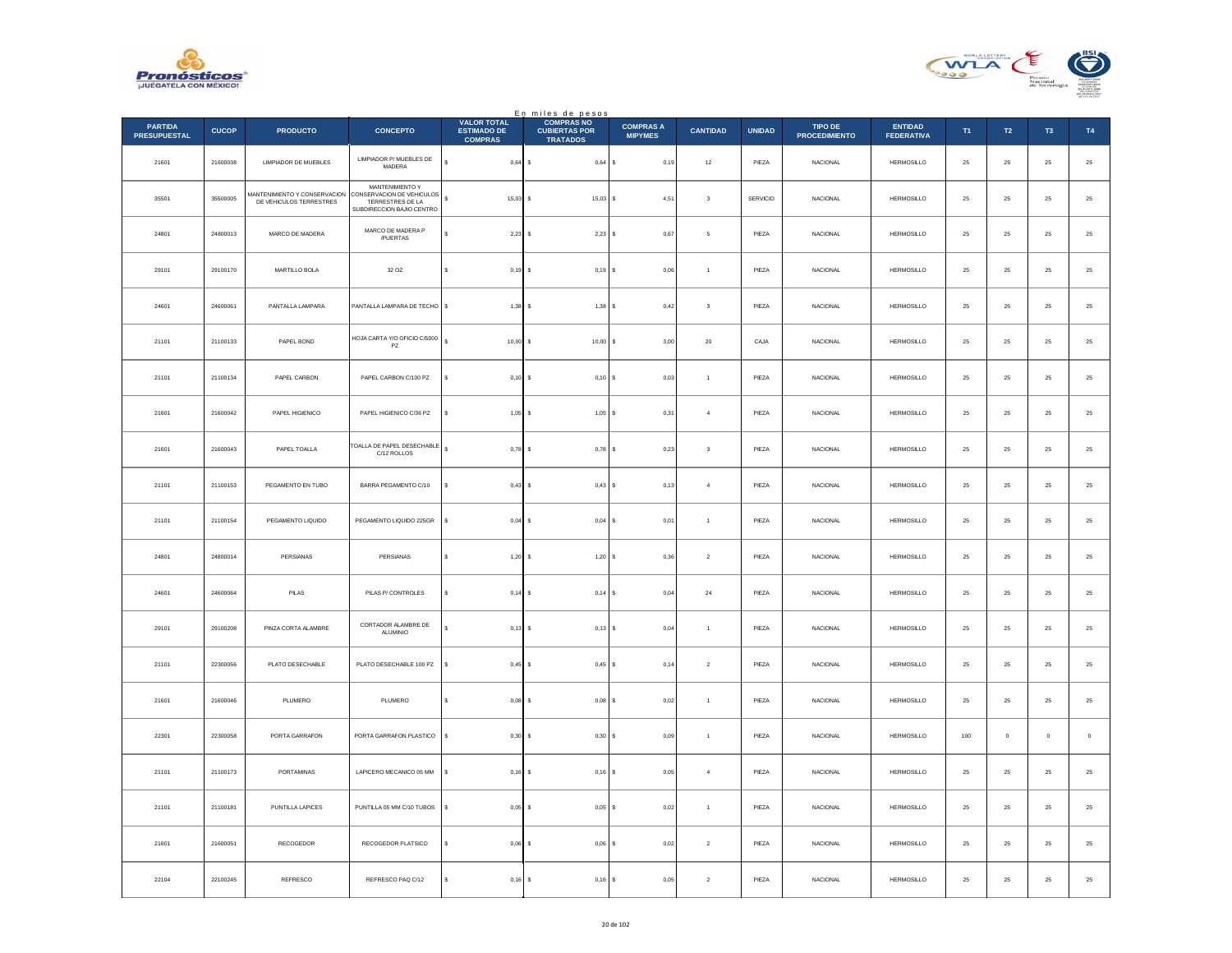



|                                       |              |                                                         |                                                                                               |                                                            | En miles de pesos<br>COMPRAS NO         |                                    |                         |               |                                 |                                     |            |                  |                |               |
|---------------------------------------|--------------|---------------------------------------------------------|-----------------------------------------------------------------------------------------------|------------------------------------------------------------|-----------------------------------------|------------------------------------|-------------------------|---------------|---------------------------------|-------------------------------------|------------|------------------|----------------|---------------|
| <b>PARTIDA</b><br><b>PRESUPUESTAL</b> | <b>CUCOP</b> | <b>PRODUCTO</b>                                         | <b>CONCEPTO</b>                                                                               | <b>VALOR TOTAL</b><br><b>ESTIMADO DE</b><br><b>COMPRAS</b> | <b>CUBIERTAS POR</b><br><b>TRATADOS</b> | <b>COMPRAS A</b><br><b>MIPYMES</b> | <b>CANTIDAD</b>         | <b>UNIDAD</b> | TIPO DE<br><b>PROCEDIMIENTO</b> | <b>ENTIDAD</b><br><b>FEDERATIVA</b> | T1         | $\mathsf{T2}$    | T <sub>3</sub> | T4            |
| 21601                                 | 21600038     | LIMPIADOR DE MUEBLES                                    | LIMPIADOR P/ MUEBLES DE<br>MADERA                                                             | s<br>$0,64$ \$                                             | $0,64$ \$                               | 0,19                               | $12\,$                  | PIEZA         | <b>NACIONAL</b>                 | <b>HERMOSILLO</b>                   | $\bf 25$   | ${\bf 25}$       | $\bf 25$       | $25\,$        |
| 35501                                 | 35500005     | MANTENIMIENTO Y CONSERVACION<br>DE VEHICULOS TERRESTRES | MANTENIMIENTO Y<br>CONSERVACION DE VEHICULOS<br>TERRESTRES DE LA<br>SUBDIRECCION BAJIO CENTRO | $\mathsf{s}$<br>$15.03$ S                                  | $15,03$ \$                              | 4.51                               | $\mathbf{3}$            | SERVICIO      | <b>NACIONAL</b>                 | <b>HERMOSILLO</b>                   | 25         | ${\bf 25}$       | 25             | $25\,$        |
| 24801                                 | 24800013     | MARCO DE MADERA                                         | MARCO DE MADERA P<br>/PUERTAS                                                                 | $2,23$ \$<br>s                                             | $2,23$ \$                               | 0,67                               | 5                       | PIEZA         | NACIONAL                        | <b>HERMOSILLO</b>                   | $25\,$     | $\bf 25$         | $\bf 25$       | 25            |
| 29101                                 | 29100170     | MARTILLO BOLA                                           | 32 OZ                                                                                         | \$<br>0,19                                                 | 0,19S<br>$\sim$                         | 0,06                               | $\overline{1}$          | PIEZA         | <b>NACIONAL</b>                 | <b>HERMOSILLO</b>                   | $\bf 25$   | ${\bf 25}$       | $\bf 25$       | $25\,$        |
| 24601                                 | 24600061     | PANTALLA LAMPARA                                        | PANTALLA LAMPARA DE TECHO \$                                                                  | 1,38                                                       | $1,38$ $S$                              | 0,42                               | $\sqrt{3}$              | PIEZA         | <b>NACIONAL</b>                 | <b>HERMOSILLO</b>                   | 25         | 25               | 25             | $2\mathsf{5}$ |
| 21101                                 | 21100133     | PAPEL BOND                                              | HOJA CARTA Y/O OFICIO C/5000<br>PZ.                                                           | s<br>$10,00$ \$                                            | 10,00 S                                 | 3,00                               | $20\,$                  | CAJA          | <b>NACIONAL</b>                 | <b>HERMOSILLO</b>                   | 25         | $25\phantom{.0}$ | $25\,$         | ${\bf 25}$    |
| 21101                                 | 21100134     | PAPEL CARBON                                            | PAPEL CARBON C/100 PZ                                                                         | $0,10$ \$<br>s                                             | $0,10$ S                                | 0,03                               | $\overline{1}$          | PIEZA         | <b>NACIONAL</b>                 | <b>HERMOSILLO</b>                   | 25         | 25               | 25             | $25\,$        |
| 21601                                 | 21600042     | PAPEL HIGIENICO                                         | PAPEL HIGIENICO C/36 PZ                                                                       | $1,05$ \$<br>\$                                            | $1,05$ \$                               | 0,31                               | $\overline{4}$          | PIEZA         | NACIONAL                        | <b>HERMOSILLO</b>                   | $\bf 25$   | $\bf 25$         | 25             | $25\,$        |
| 21601                                 | 21600043     | PAPEL TOALLA                                            | TOALLA DE PAPEL DESECHABLE<br>C/12 ROLLOS                                                     | s<br>0,78                                                  | $0,78$ \$                               | 0,23                               | $\overline{\mathbf{3}}$ | PIEZA         | <b>NACIONAL</b>                 | <b>HERMOSILLO</b>                   | 25         | 25               | 25             | ${\bf 25}$    |
| 21101                                 | 21100153     | PEGAMENTO EN TUBO                                       | BARRA PEGAMENTO C/10                                                                          | 0,43                                                       | 0,43S                                   | 0,13                               | $\overline{4}$          | PIEZA         | NACIONAL                        | <b>HERMOSILLO</b>                   | 25         | 25               | 25             | $2\mathsf{5}$ |
| 21101                                 | 21100154     | PEGAMENTO LIQUIDO                                       | PEGAMENTO LIQUIDO 225GR                                                                       | s<br>$0,04$ \$                                             | $0,04$ \$                               | 0,01                               | $\mathbf{1}$            | PIEZA         | NACIONAL                        | <b>HERMOSILLO</b>                   | $\bf 25$   | $25\,$           | 25             | $25\,$        |
| 24801                                 | 24800014     | PERSIANAS                                               | PERSIANAS                                                                                     | s<br>$1,20$ \$                                             | 1,20S                                   | 0.36                               | $\overline{2}$          | PIEZA         | <b>NACIONAL</b>                 | <b>HERMOSILLO</b>                   | 25         | 25               | 25             | $25\,$        |
| 24601                                 | 24600064     | $\mathsf{PILAS}$                                        | PILAS P/ CONTROLES                                                                            | 0,14                                                       | $0,14$ \$                               | 0,04                               | $\bf{24}$               | PIEZA         | <b>NACIONAL</b>                 | <b>HERMOSILLO</b>                   | 25         | $\bf 25$         | 25             | 25            |
| 29101                                 | 29100208     | PINZA CORTA ALAMBRE                                     | CORTADOR ALAMBRE DE<br>ALUMINIO                                                               | s.<br>$0,13$ \$                                            | $0,13$ \$                               | 0.04                               | $\overline{1}$          | PIEZA         | <b>NACIONAL</b>                 | <b>HERMOSILLO</b>                   | 25         | 25               | 25             | $25\,$        |
| 21101                                 | 22300056     | PLATO DESECHABLE                                        | PLATO DESECHABLE 100 PZ                                                                       | s<br>0,45                                                  | $0,45$ \$                               | 0,14                               | $\,$ 2 $\,$             | PIEZA         | NACIONAL                        | <b>HERMOSILLO</b>                   | $\bf 25$   | $\bf 25$         | $2\sqrt{5}$    | $2\mathsf{5}$ |
| 21601                                 | 21600046     | PLUMERO                                                 | PLUMERO                                                                                       | 0,08<br>$\epsilon$                                         | $0,08$ \$                               | 0,02                               | $\mathbf{1}$            | PIEZA         | NACIONAL                        | HERMOSILLO                          | $\bf 25$   | ${\bf 25}$       | $\bf 25$       | $\bf 25$      |
| 22301                                 | 22300058     | PORTA GARRAFON                                          | PORTA GARRAFON PLASTICO                                                                       | $\mathbf{s}$<br>0.30                                       | $0.30$ S                                | 0.09                               | $\overline{1}$          | PIEZA         | NACIONAL                        | <b>HERMOSILLO</b>                   | 100        | $\circ$          | $\mathbf{0}$   | $\,$ 0 $\,$   |
| 21101                                 | 21100173     | PORTAMINAS                                              | LAPICERO MECANICO 05 MM                                                                       | $0,16$ \$<br>\$                                            | $0,16$ \$                               | 0,05                               | $\overline{4}$          | PIEZA         | NACIONAL                        | <b>HERMOSILLO</b>                   | $\bf 25$   | $\bf 25$         | $2\sqrt{5}$    | 25            |
| 21101                                 | 21100181     | PUNTILLA LAPICES                                        | PUNTILLA 05 MM C/10 TUBOS                                                                     | s<br>0,05                                                  | $0,05$ \$<br>$\sim$                     | 0,02                               | $\overline{1}$          | PIEZA         | <b>NACIONAL</b>                 | <b>HERMOSILLO</b>                   | 25         | 25               | 25             | $25\,$        |
| 21601                                 | 21600051     | RECOGEDOR                                               | RECOGEDOR PLATSICO                                                                            | 0,06                                                       | $0,06$ $S$                              | 0,02                               | $\overline{2}$          | PIEZA         | NACIONAL                        | HERMOSILLO                          | 25         | 25               | 25             | $2\mathsf{5}$ |
| 22104                                 | 22100245     | <b>REFRESCO</b>                                         | REFRESCO PAQ C/12                                                                             | $0,16$ \$                                                  | $0,16$ \$                               | 0,05                               | $\sqrt{2}$              | PIEZA         | <b>NACIONAL</b>                 | HERMOSILLO                          | ${\bf 25}$ | $25\phantom{.0}$ | 25             | 25            |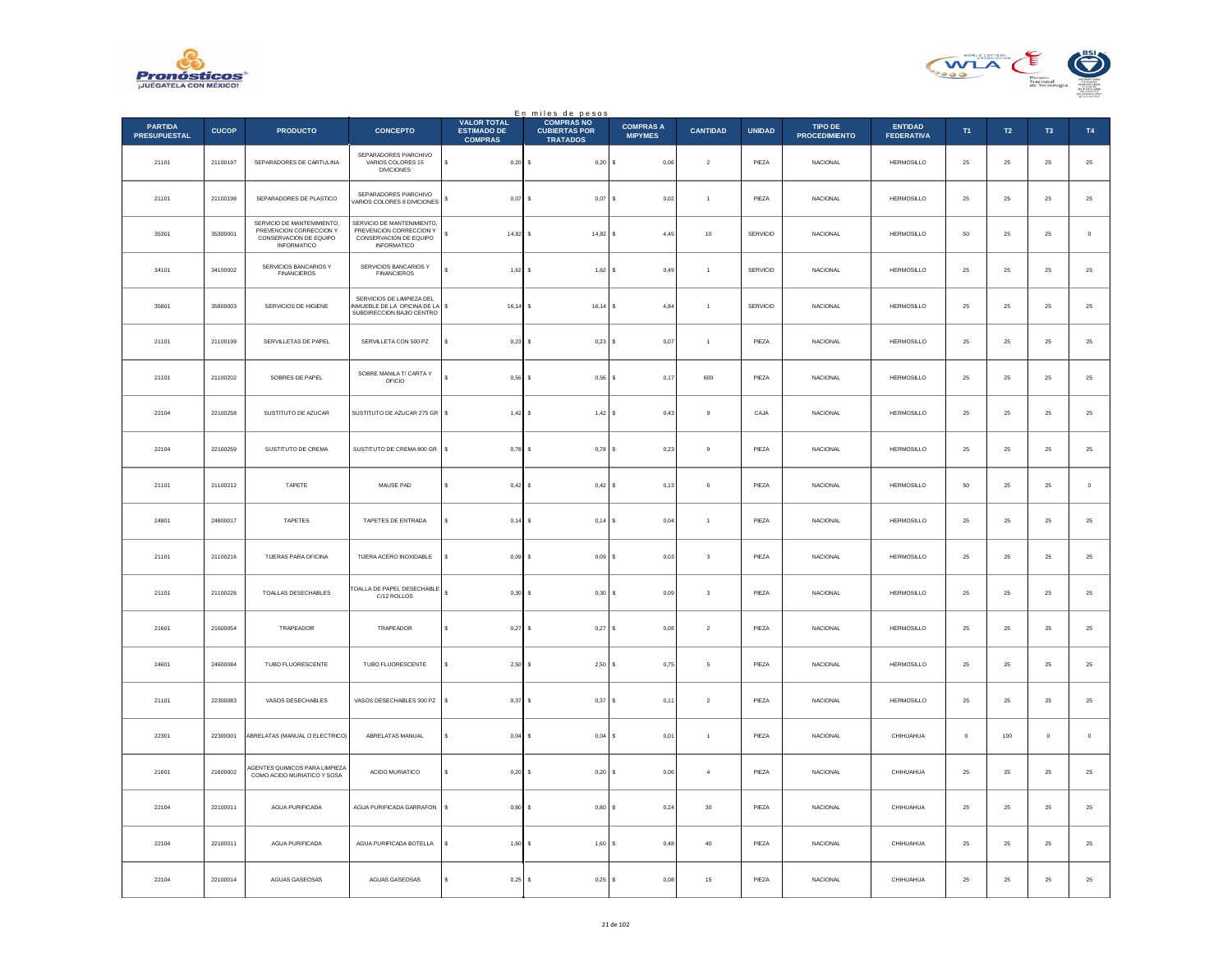



|                                       |              |                                                                                                       |                                                                                                       |                                                            | En miles de pesos<br>COMPRAS NO         |                                    |                         |               |                                 |                                     |                |            |                     |             |
|---------------------------------------|--------------|-------------------------------------------------------------------------------------------------------|-------------------------------------------------------------------------------------------------------|------------------------------------------------------------|-----------------------------------------|------------------------------------|-------------------------|---------------|---------------------------------|-------------------------------------|----------------|------------|---------------------|-------------|
| <b>PARTIDA</b><br><b>PRESUPUESTAL</b> | <b>CUCOP</b> | <b>PRODUCTO</b>                                                                                       | <b>CONCEPTO</b>                                                                                       | <b>VALOR TOTAL</b><br><b>ESTIMADO DE</b><br><b>COMPRAS</b> | <b>CUBIERTAS POR</b><br><b>TRATADOS</b> | <b>COMPRAS A</b><br><b>MIPYMES</b> | <b>CANTIDAD</b>         | <b>UNIDAD</b> | TIPO DE<br><b>PROCEDIMIENTO</b> | <b>ENTIDAD</b><br><b>FEDERATIVA</b> | T <sub>1</sub> | T2         | T <sub>3</sub>      | T4          |
| 21101                                 | 21100197     | SEPARADORES DE CARTULINA                                                                              | SEPARADORES P/ARCHIVO<br>VARIOS COLORES 15<br><b>DIVICIONES</b>                                       | s<br>$0,20$ \$                                             | $0,20$ \$                               | 0,06                               | $\sqrt{2}$              | PIEZA         | NACIONAL                        | HERMOSILLO                          | 25             | $25\,$     | ${\bf 25}$          | $25\,$      |
| 21101                                 | 21100198     | SEPARADORES DE PLASTICO                                                                               | SEPARADORES P/ARCHIVO<br>/ARIOS COLORES 8 DIVICIONES                                                  | $0.07$ S                                                   | $0,07$ \$                               | 0.02                               | $\overline{1}$          | PIEZA         | <b>NACIONAL</b>                 | <b>HERMOSILLO</b>                   | 25             | 25         | 25                  | $25\,$      |
| 35301                                 | 35300001     | SERVICIO DE MANTENIMIENTO,<br>PREVENCION CORRECCION Y<br>CONSERVACION DE EQUIPO<br><b>INFORMATICO</b> | SERVICIO DE MANTENIMIENTO,<br>PREVENCION CORRECCION Y<br>CONSERVACION DE EQUIPO<br><b>INFORMATICO</b> | $14,82$ \$<br>s                                            | $14,82$ \$                              | 4,45                               | $10$                    | SERVICIO      | NACIONAL                        | <b>HERMOSILLO</b>                   | 50             | 25         | $25\,$              | $\,$ 0 $\,$ |
| 34101                                 | 34100002     | SERVICIOS BANCARIOS Y<br>FINANCIEROS                                                                  | SERVICIOS BANCARIOS Y<br><b>FINANCIEROS</b>                                                           | s<br>$1,62$ \$                                             | $1,62$ \$                               | 0,49                               | $\mathbf{1}$            | SERVICIO      | <b>NACIONAL</b>                 | HERMOSILLO                          | 25             | $25\,$     | ${\bf 25}$          | $25\,$      |
| 35801                                 | 35800003     | SERVICIOS DE HIGIENE                                                                                  | SERVICIOS DE LIMPIEZA DEL<br>NMUEBLE DE LA OFICINA DE LA<br>SUBDIRECCION BAJIO CENTRO                 | $16, 14$ \$<br>-S                                          | 16,14                                   | 4,84<br>- S                        | $\mathbf{1}$            | SERVICIO      | <b>NACIONAL</b>                 | <b>HERMOSILLO</b>                   | 25             | 25         | 25                  | $25\,$      |
| 21101                                 | 21100199     | SERVILLETAS DE PAPEL                                                                                  | SERVILLETA CON 500 PZ                                                                                 | $0,23$ \$<br>¢                                             | $0,23$ \$                               | 0,07                               | $\overline{1}$          | PIEZA         | NACIONAL                        | HERMOSILLO                          | ${\bf 25}$     | ${\bf 25}$ | $25\,$              | $\bf 25$    |
| 21101                                 | 21100202     | SOBRES DE PAPEL                                                                                       | SOBRE MANILA T/ CARTA Y<br>OFICIO                                                                     | $0.56$ \$                                                  | $0,56$ \$                               | 0,17                               | 600                     | PIEZA         | <b>NACIONAL</b>                 | <b>HERMOSILLO</b>                   | 25             | 25         | 25                  | 25          |
| 22104                                 | 22100258     | SUSTITUTO DE AZUCAR                                                                                   | SUSTITUTO DE AZUCAR 275 GR                                                                            | $1,42$ \$<br>\$                                            | 1,42S                                   | 0,43                               | $\overline{9}$          | CAJA          | <b>NACIONAL</b>                 | HERMOSILLO                          | 25             | $25\,$     | 25                  | $25\,$      |
| 22104                                 | 22100259     | SUSTITUTO DE CREMA                                                                                    | SUSTITUTO DE CREMA 800 GR                                                                             | s<br>$0,78$ \$                                             | $0,78$ \$                               | 0,23                               | $\,9$                   | PIEZA         | <b>NACIONAL</b>                 | <b>HERMOSILLO</b>                   | 25             | ${\bf 25}$ | 25                  | 25          |
| 21101                                 | 21100212     | TAPETE                                                                                                | MAUSE PAD                                                                                             | 0.42S                                                      | 0,42                                    | 0,13                               | 6                       | PIEZA         | <b>NACIONAL</b>                 | <b>HERMOSILLO</b>                   | 50             | 25         | 25                  | $\mathbf 0$ |
| 24801                                 | 24800017     | TAPETES                                                                                               | TAPETES DE ENTRADA                                                                                    | $0,14$ \$<br>s                                             | 0,14                                    | 0,04                               | $\ddot{\phantom{1}}$    | PIEZA         | <b>NACIONAL</b>                 | <b>HERMOSILLO</b>                   | 25             | $25\,$     | 25                  | $25\,$      |
| 21101                                 | 21100216     | <b>TIJERAS PARA OFICINA</b>                                                                           | TIJERA ACERO INOXIDABLE                                                                               | $0.09$ S                                                   | 0.09S                                   | 0.03                               | $\overline{\mathbf{3}}$ | PIEZA         | <b>NACIONAL</b>                 | <b>HERMOSILLO</b>                   | 25             | 25         | 25                  | 25          |
| 21101                                 | 21100226     | TOALLAS DESECHABLES                                                                                   | <b>TOALLA DE PAPEL DESECHABLE</b><br>C/12 ROLLOS                                                      | $0,30$ \$                                                  | 0,30S                                   | 0,09                               | $\overline{\mathbf{3}}$ | PIEZA         | <b>NACIONAL</b>                 | <b>HERMOSILLO</b>                   | 25             | 25         | 25                  | $2\sqrt{5}$ |
| 21601                                 | 21600054     | TRAPEADOR                                                                                             | TRAPEADOR                                                                                             | s<br>0.27S                                                 | 0.27                                    | 0.08<br>$\sim$                     | $\overline{2}$          | PIEZA         | <b>NACIONAL</b>                 | <b>HERMOSILLO</b>                   | 25             | 25         | 25                  | 25          |
| 24601                                 | 24600084     | TUBO FLUORESCENTE                                                                                     | TUBO FLUORESCENTE                                                                                     | $2,50$ \$                                                  | 2,50                                    | 0,75                               | 5                       | PIEZA         | NACIONAL                        | <b>HERMOSILLO</b>                   | $25\,$         | 25         | 25                  | $25\,$      |
| 21101                                 | 22300083     | VASOS DESECHABLES                                                                                     | VASOS DESECHABLES 300 PZ                                                                              | $0,37$ \$<br>s                                             | $0,37$ \$                               | 0,11                               | $\sqrt{2}$              | PIEZA         | NACIONAL                        | HERMOSILLO                          | $25\,$         | $25\,$     | 25                  | $25\,$      |
| 22301                                 | 22300001     | ABRELATAS (MANUAL O ELECTRICO)                                                                        | ABRELATAS MANUAL                                                                                      | $0.04$ S<br>s                                              | $0.04$ S                                | 0.01                               | $\overline{1}$          | PIEZA         | <b>NACIONAL</b>                 | CHIHUAHUA                           | $\circ$        | 100        | $\ddot{\mathbf{0}}$ | $\mathbb O$ |
| 21601                                 | 21600002     | AGENTES QUIMICOS PARA LIMPIEZA<br>COMO ACIDO MURIATICO Y SOSA                                         | ACIDO MURIATICO                                                                                       | \$<br>$0,20$ \$                                            | $0,20$ \$                               | 0,06                               | $\overline{4}$          | PIEZA         | NACIONAL                        | CHIHUAHUA                           | 25             | $25\,$     | 25                  | $25\,$      |
| 22104                                 | 22100011     | AGUA PURIFICADA                                                                                       | AGUA PURIFICADA GARRAFON                                                                              | $0,80$ \$<br>s                                             | 0,80S                                   | 0,24                               | 30                      | PIEZA         | NACIONAL                        | CHIHIJAHUA                          | 25             | 25         | 25                  | $25\,$      |
| 22104                                 | 22100011     | AGUA PURIFICADA                                                                                       | AGUA PURIFICADA BOTELLA                                                                               | 1,60                                                       | 1,60<br>-S                              | 0,48                               | 40                      | PIEZA         | <b>NACIONAL</b>                 | CHIHUAHUA                           | 25             | 25         | 25                  | $2\sqrt{5}$ |
| 22104                                 | 22100014     | AGUAS GASEOSAS                                                                                        | AGUAS GASEOSAS                                                                                        | 0,25<br>s                                                  | $\mathbf{s}$<br>0,25                    | 0,08                               | 15                      | PIEZA         | NACIONAL                        | CHIHUAHUA                           | ${\bf 25}$     | ${\bf 25}$ | $25\,$              | $25\,$      |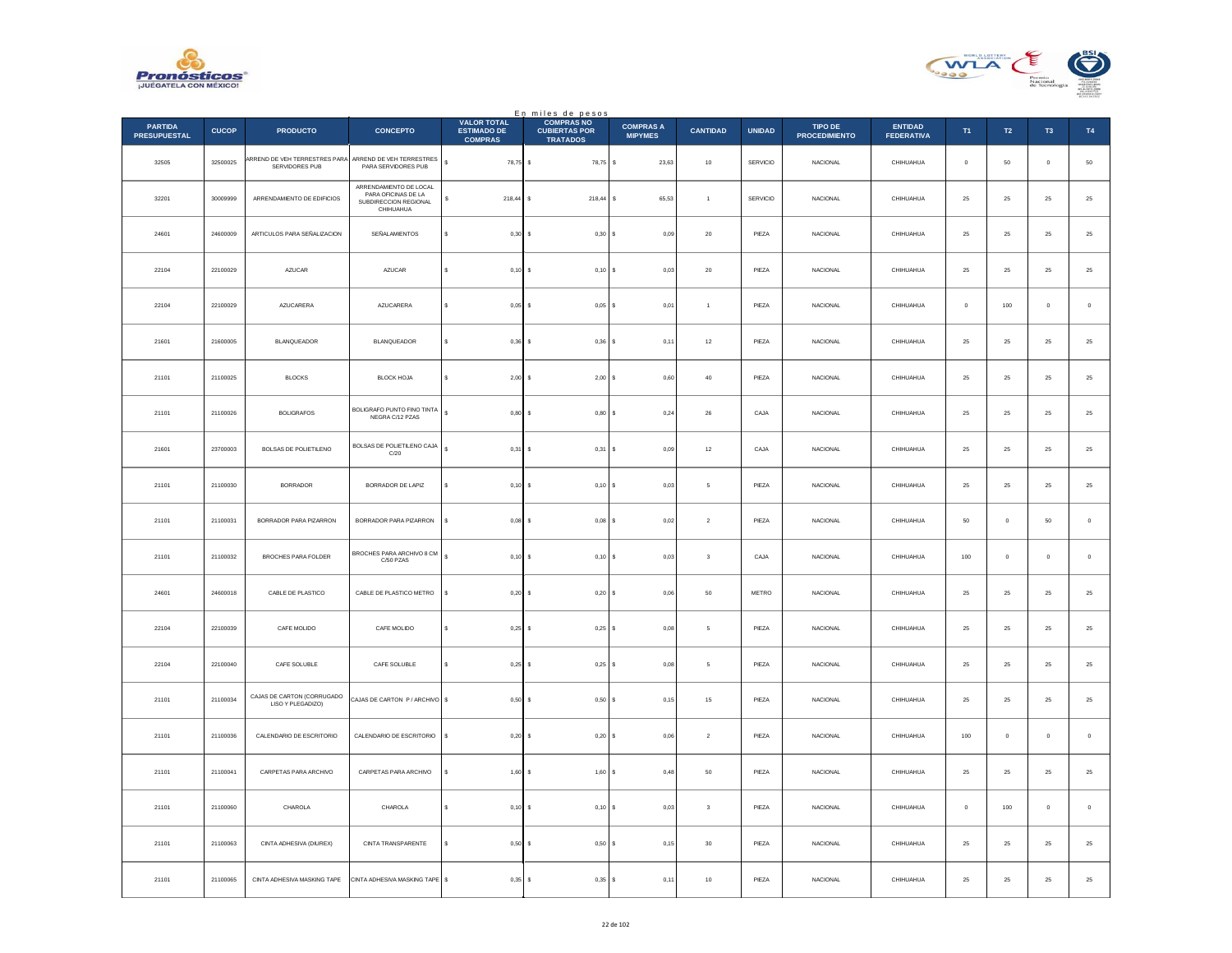



|                                       |              |                                                 |                                                                                     |                                                            | En miles de pesos<br>COMPRAS NO         |                                    |                 |               |                                 |                                     |             |               |             |               |
|---------------------------------------|--------------|-------------------------------------------------|-------------------------------------------------------------------------------------|------------------------------------------------------------|-----------------------------------------|------------------------------------|-----------------|---------------|---------------------------------|-------------------------------------|-------------|---------------|-------------|---------------|
| <b>PARTIDA</b><br><b>PRESUPUESTAL</b> | <b>CUCOP</b> | <b>PRODUCTO</b>                                 | <b>CONCEPTO</b>                                                                     | <b>VALOR TOTAL</b><br><b>ESTIMADO DE</b><br><b>COMPRAS</b> | <b>CUBIERTAS POR</b><br><b>TRATADOS</b> | <b>COMPRAS A</b><br><b>MIPYMES</b> | <b>CANTIDAD</b> | <b>UNIDAD</b> | TIPO DE<br><b>PROCEDIMIENTO</b> | <b>ENTIDAD</b><br><b>FEDERATIVA</b> | T1          | $\mathsf{T2}$ | T3          | $\mathsf{T4}$ |
| 32505                                 | 32500025     | ARREND DE VEH TERRESTRES PARA<br>SERVIDORES PUB | ARREND DE VEH TERRESTRES<br>PARA SERVIDORES PUB                                     | $\mathbb{S}$<br>78,75 \$                                   | 78,75 \$                                | 23,63                              | $10\,$          | SERVICIO      | NACIONAL                        | CHIHUAHUA                           | $\,$ 0 $\,$ | $50\,$        | $\mathbf 0$ | $50\,$        |
| 32201                                 | 30009999     | ARRENDAMIENTO DE EDIFICIOS                      | ARRENDAMIENTO DE LOCAL<br>PARA OFICINAS DE LA<br>SUBDIRECCION REGIONAL<br>CHIHUAHUA | s<br>$218,44$ S                                            | $218,44$ \$                             | 65,53                              | $\overline{1}$  | SERVICIO      | <b>NACIONAL</b>                 | CHIHUAHUA                           | 25          | 25            | 25          | $25\,$        |
| 24601                                 | 24600009     | ARTICULOS PARA SEÑALIZACION                     | SEÑALAMIENTOS                                                                       | 0,30<br>s                                                  | 0,30 S                                  | 0,09                               | $20\,$          | PIEZA         | NACIONAL                        | CHIHUAHUA                           | $\bf 25$    | $25\,$        | 25          | 25            |
| 22104                                 | 22100029     | <b>AZUCAR</b>                                   | <b>AZUCAR</b>                                                                       | $\mathbf{s}$<br>0,10                                       | $0,10$ \$<br>-S                         | 0,03                               | 20              | PIEZA         | <b>NACIONAL</b>                 | CHIHUAHUA                           | 25          | 25            | 25          | $\bf 25$      |
| 22104                                 | 22100029     | AZUCARERA                                       | AZUCARERA                                                                           | s<br>0,05                                                  | 0,05                                    | 0,01<br>l s                        | $\,$ 1 $\,$     | PIEZA         | NACIONAL                        | CHIHUAHUA                           | $\mathbf 0$ | 100           | $\bf{0}$    | $\,$ 0        |
| 21601                                 | 21600005     | <b>BLANQUEADOR</b>                              | <b>BLANQUEADOR</b>                                                                  | $0.36$ S<br>$\epsilon$                                     | $0,36$ \$                               | 0,11                               | $12\,$          | PIEZA         | <b>NACIONAL</b>                 | CHIHUAHUA                           | 25          | 25            | 25          | $\bf 25$      |
| 21101                                 | 21100025     | <b>BLOCKS</b>                                   | <b>BLOCK HOJA</b>                                                                   | $\sf s$<br>2,00                                            | 2,00S                                   | 0,60                               | $40\,$          | PIEZA         | <b>NACIONAL</b>                 | CHIHUAHUA                           | 25          | 25            | 25          | $2\mathsf{5}$ |
| 21101                                 | 21100026     | <b>BOLIGRAFOS</b>                               | BOLIGRAFO PUNTO FINO TINTA<br>NEGRA C/12 PZAS                                       | s<br>0,80                                                  | 0,80S<br>-S                             | 0,24                               | ${\bf 26}$      | CAJA          | <b>NACIONAL</b>                 | CHIHUAHUA                           | 25          | 25            | 25          | ${\bf 25}$    |
| 21601                                 | 23700003     | <b>BOLSAS DE POLIETILENO</b>                    | BOLSAS DE POLIETILENO CAJA<br>C/20                                                  | $\mathbb S$<br>0.31                                        | 0.31                                    | 0.09<br>١s                         | 12              | CAJA          | <b>NACIONAL</b>                 | CHIHUAHUA                           | 25          | 25            | 25          | 25            |
| 21101                                 | 21100030     | <b>BORRADOR</b>                                 | BORRADOR DE LAPIZ                                                                   | 0,10                                                       | 0,10S                                   | $_{0,03}$                          | $\mathsf s$     | PIEZA         | <b>NACIONAL</b>                 | CHIHUAHUA                           | 25          | 25            | 25          | $25\,$        |
| 21101                                 | 21100031     | BORRADOR PARA PIZARRON                          | BORRADOR PARA PIZARRON                                                              | $\mathbf{s}$<br>0.08S                                      | $0.08$ S                                | 0,02                               | $\overline{2}$  | PIEZA         | NACIONAL                        | CHIHUAHUA                           | 50          | $\mathbb O$   | 50          | $\mathbf 0$   |
| 21101                                 | 21100032     | BROCHES PARA FOLDER                             | BROCHES PARA ARCHIVO 8 CM<br>C/50 PZAS                                              | $\sf s$<br>0,10                                            | $0,10$ \$                               | 0,03                               | $\,$ 3          | CAJA          | NACIONAL                        | CHIHUAHUA                           | $100\,$     | $\mathbf 0$   | $\bf{0}$    | $\,$ 0 $\,$   |
| 24601                                 | 24600018     | CABLE DE PLASTICO                               | CABLE DE PLASTICO METRO                                                             | 0,20<br>s                                                  | 0,20S                                   | 0.06                               | 50              | METRO         | <b>NACIONAL</b>                 | CHIHUAHUA                           | 25          | 25            | 25          | 25            |
| 22104                                 | 22100039     | CAFE MOLIDO                                     | CAFE MOLIDO                                                                         | 0,25<br>s                                                  | $0,25$ \$                               | 0,08                               | $\mathsf s$     | PIEZA         | <b>NACIONAL</b>                 | CHIHUAHUA                           | 25          | 25            | 25          | $2\mathsf{5}$ |
| 22104                                 | 22100040     | CAFE SOLUBLE                                    | CAFE SOLUBLE                                                                        | $\mathbf{s}$<br>$0,25$ \$                                  | $0,25$ \$                               | 0,08                               | -5              | PIEZA         | <b>NACIONAL</b>                 | CHIHUAHUA                           | 25          | 25            | 25          | $25\,$        |
| 21101                                 | 21100034     | CAJAS DE CARTON (CORRUGADO<br>LISO Y PLEGADIZO) | CAJAS DE CARTON P / ARCHIVO S                                                       | 0.50                                                       | 0.50S                                   | 0.15                               | 15              | PIEZA         | <b>NACIONAL</b>                 | CHIHUAHUA                           | 25          | 25            | 25          | 25            |
| 21101                                 | 21100036     | CALENDARIO DE ESCRITORIO                        | CALENDARIO DE ESCRITORIO                                                            | s<br>0,20                                                  | 0,20S                                   | 0,06                               | $\mathbf{2}$    | PIEZA         | <b>NACIONAL</b>                 | CHIHUAHUA                           | $100\,$     | $\mathbb O$   | $\mathbf 0$ | $\mathbf 0$   |
| 21101                                 | 21100041     | CARPETAS PARA ARCHIVO                           | CARPETAS PARA ARCHIVO                                                               | s<br>$1,60$ \$                                             | $1,60$ S                                | 0,48                               | 50              | PIEZA         | <b>NACIONAL</b>                 | CHIHUAHUA                           | 25          | 25            | 25          | $25\,$        |
| 21101                                 | 21100060     | CHAROLA                                         | CHAROLA                                                                             | 0,10<br>s                                                  | 0,10S                                   | 0,03                               | $\sqrt{3}$      | PIEZA         | NACIONAL                        | CHIHUAHUA                           | $\,$ 0 $\,$ | $100\,$       | $\mathbf 0$ | $\,$ 0 $\,$   |
| 21101                                 | 21100063     | CINTA ADHESIVA (DIUREX)                         | CINTA TRANSPARENTE                                                                  | $\epsilon$<br>0,50                                         | 0,50S<br>$\sim$                         | 0,15                               | 30              | PIEZA         | <b>NACIONAL</b>                 | CHIHUAHUA                           | 25          | 25            | 25          | $\bf 25$      |
| 21101                                 | 21100065     | CINTA ADHESIVA MASKING TAPE                     | CINTA ADHESIVA MASKING TAPE \$                                                      | $0,35$ \$                                                  | 0,35S                                   | 0,11                               | $10\,$          | PIEZA         | NACIONAL                        | CHIHUAHUA                           | $25\,$      | $2\sqrt{5}$   | $2\sqrt{5}$ | 25            |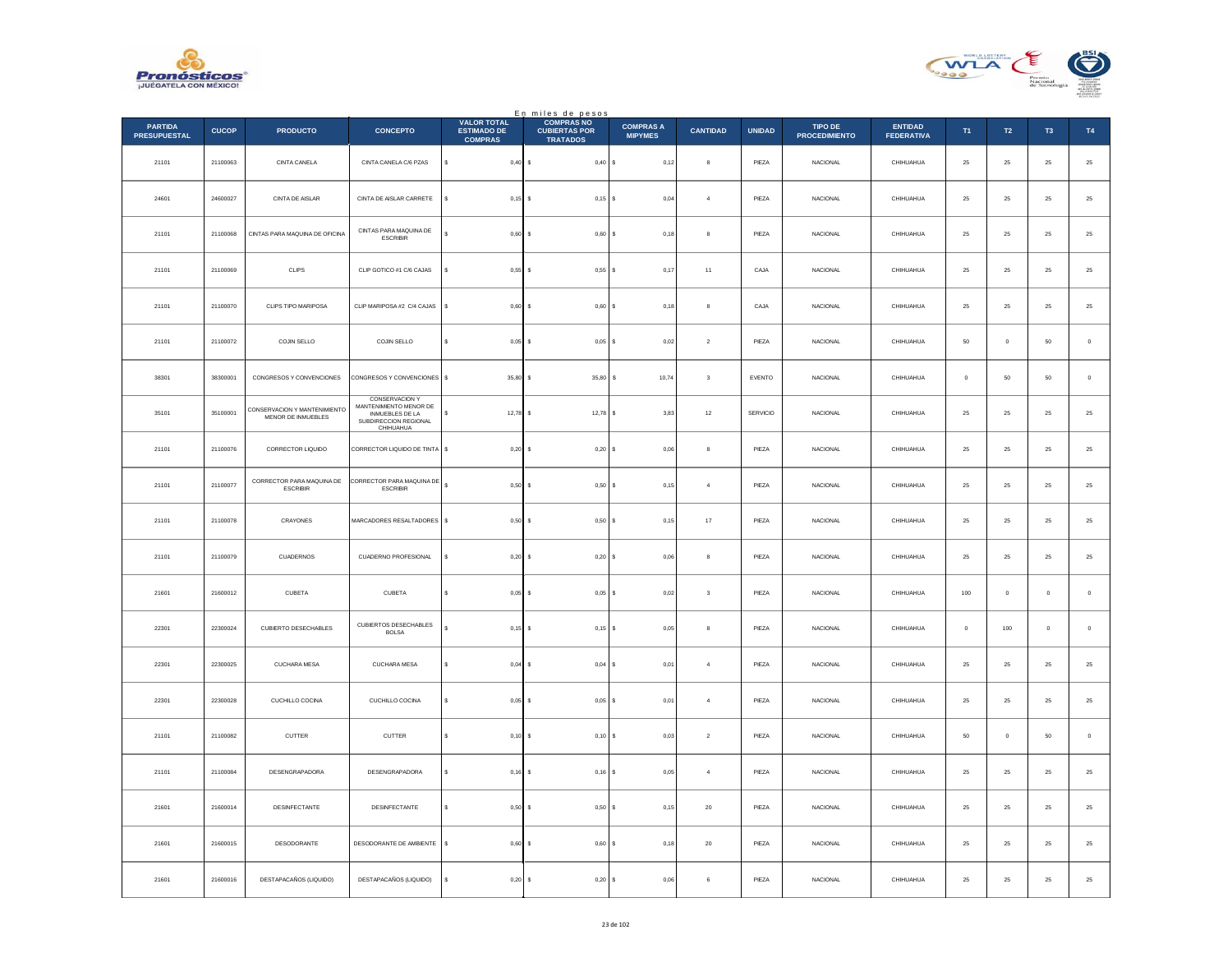



|                                       |              |                                                    |                                                                                                   | <b>VALOR TOTAL</b>                   | En miles de pesos<br>COMPRAS NO         |                                    |                         |               |                                 |                                     |            |                  |                |               |
|---------------------------------------|--------------|----------------------------------------------------|---------------------------------------------------------------------------------------------------|--------------------------------------|-----------------------------------------|------------------------------------|-------------------------|---------------|---------------------------------|-------------------------------------|------------|------------------|----------------|---------------|
| <b>PARTIDA</b><br><b>PRESUPUESTAL</b> | <b>CUCOP</b> | <b>PRODUCTO</b>                                    | <b>CONCEPTO</b>                                                                                   | <b>ESTIMADO DE</b><br><b>COMPRAS</b> | <b>CUBIERTAS POR</b><br><b>TRATADOS</b> | <b>COMPRAS A</b><br><b>MIPYMES</b> | <b>CANTIDAD</b>         | <b>UNIDAD</b> | TIPO DE<br><b>PROCEDIMIENTO</b> | <b>ENTIDAD</b><br><b>FEDERATIVA</b> | T1         | $\mathsf{T2}$    | T <sub>3</sub> | T4            |
| 21101                                 | 21100063     | CINTA CANELA                                       | CINTA CANELA C/6 PZAS                                                                             | s<br>$0,40$ \$                       | 0,40S                                   | 0,12                               | 8                       | PIEZA         | <b>NACIONAL</b>                 | CHIHUAHUA                           | $\bf 25$   | ${\bf 25}$       | $\bf 25$       | $25\,$        |
| 24601                                 | 24600027     | CINTA DE AISLAR                                    | CINTA DE AISLAR CARRETE                                                                           | $0,15$ \$                            | $0,15$ \$                               | 0,04                               | $\overline{a}$          | PIEZA         | <b>NACIONAL</b>                 | CHIHUAHUA                           | 25         | 25               | 25             | $25\,$        |
| 21101                                 | 21100068     | CINTAS PARA MAQUINA DE OFICINA                     | CINTAS PARA MAQUINA DE<br><b>ESCRIBIR</b>                                                         | 0,60                                 | $0,60$ \$                               | 0,18                               | 8                       | PIEZA         | NACIONAL                        | CHIHUAHUA                           | $25\,$     | $\bf 25$         | $\bf 25$       | 25            |
| 21101                                 | 21100069     | CLIPS                                              | CLIP GOTICO #1 C/6 CAJAS                                                                          | 0,55                                 | 0,55S<br>$\sim$                         | 0,17                               | $11\,$                  | CAJA          | <b>NACIONAL</b>                 | CHIHUAHUA                           | $\bf 25$   | ${\bf 25}$       | 25             | 25            |
| 21101                                 | 21100070     | CLIPS TIPO MARIPOSA                                | CLIP MARIPOSA #2 C/4 CAJAS                                                                        | \$<br>0,60                           | $0,60$ \$                               | 0,18                               | 8                       | CAJA          | <b>NACIONAL</b>                 | CHIHUAHUA                           | 25         | 25               | 25             | $2\mathsf{5}$ |
| 21101                                 | 21100072     | COJIN SELLO                                        | COJIN SELLO                                                                                       | $\epsilon$<br>$0,05$ \$              | $0,05$ \$                               | 0,02                               | $\sqrt{2}$              | PIEZA         | NACIONAL                        | CHIHUAHUA                           | $50\,$     | $\,$ 0           | 50             | $\,0\,$       |
| 38301                                 | 38300001     | CONGRESOS Y CONVENCIONES                           | CONGRESOS Y CONVENCIONES \$                                                                       | 35,80                                | 35.80 S<br>$\mathbf{s}$                 | 10,74                              | $\mathbf{3}$            | EVENTO        | <b>NACIONAL</b>                 | CHIHUAHUA                           | $^{\circ}$ | 50               | 50             | $\,$ 0 $\,$   |
| 35101                                 | 35100001     | CONSERVACION Y MANTENIMIENTO<br>MENOR DE INMUEBLES | CONSERVACIÓN Y<br>MANTENIMIENTO MENOR DE<br>INMUEBLES DE LA<br>SUBDIRECCION REGIONAL<br>CHIHUAHUA | $12,78$ \$<br>s                      | $12,78$ \$                              | 3,83                               | $12\,$                  | SERVICIO      | NACIONAL                        | CHIHUAHUA                           | $25\,$     | $\bf 25$         | ${\bf 25}$     | 25            |
| 21101                                 | 21100076     | CORRECTOR LIQUIDO                                  | CORRECTOR LIQUIDO DE TINTA                                                                        | $\mathsf{s}$<br>0,20                 | 0,20S                                   | 0.06                               | 8                       | PIEZA         | <b>NACIONAL</b>                 | CHIHUAHUA                           | 25         | 25               | 25             | 25            |
| 21101                                 | 21100077     | CORRECTOR PARA MAQUINA DE<br>ESCRIBIR              | CORRECTOR PARA MAQUINA DE<br><b>ESCRIBIR</b>                                                      | s<br>0,50                            | $0,50$ \$                               | 0,15                               | $\overline{4}$          | PIEZA         | NACIONAL                        | CHIHUAHUA                           | 25         | 25               | 25             | 25            |
| 21101                                 | 21100078     | CRAYONES                                           | MARCADORES RESALTADORES \$                                                                        | 0,50                                 | 0,50S                                   | 0,15                               | $17\,$                  | PIEZA         | NACIONAL                        | CHIHUAHUA                           | $\bf 25$   | ${\bf 25}$       | 25             | 25            |
| 21101                                 | 21100079     | CUADERNOS                                          | <b>CUADERNO PROFESIONAL</b>                                                                       | $0.20$ \$<br>s                       | 0,20S                                   | 0.06                               | 8                       | PIEZA         | <b>NACIONAL</b>                 | CHIHUAHUA                           | 25         | 25               | 25             | 25            |
| 21601                                 | 21600012     | CUBETA                                             | CUBETA                                                                                            | 0,05                                 | $0,05$ \$                               | 0,02                               | $\overline{\mathbf{3}}$ | PIEZA         | <b>NACIONAL</b>                 | CHIHUAHUA                           | 100        | $\mathbf 0$      | $\bf{0}$       | $\mathbf 0$   |
| 22301                                 | 22300024     | <b>CUBIERTO DESECHABLES</b>                        | CUBIERTOS DESECHABLES<br><b>BOLSA</b>                                                             | $\epsilon$<br>0,15                   | $0,15$ \$<br>-S                         | 0.05                               | 8                       | PIEZA         | <b>NACIONAL</b>                 | CHIHUAHUA                           | $\circ$    | 100              | $\circ$        | $\,$ 0 $\,$   |
| 22301                                 | 22300025     | CUCHARA MESA                                       | CUCHARA MESA                                                                                      | s<br>0,04                            | 0,04                                    | 0,01<br>l s                        | $\sqrt{4}$              | PIEZA         | NACIONAL                        | CHIHUAHUA                           | $\bf 25$   | $\bf 25$         | $2\sqrt{5}$    | $2\mathsf{5}$ |
| 22301                                 | 22300028     | CUCHILLO COCINA                                    | CUCHILLO COCINA                                                                                   | $0,05$ \$                            | $0,05$ \$                               | 0,01                               | $\overline{4}$          | PIEZA         | NACIONAL                        | CHIHUAHUA                           | $\bf 25$   | ${\bf 25}$       | $\bf 25$       | $\bf 25$      |
| 21101                                 | 21100082     | CUTTER                                             | CUTTER                                                                                            | $0.10$ S<br>s                        | $0.10$ S                                | 0.03                               | $\overline{2}$          | PIEZA         | NACIONAL                        | CHIHUAHUA                           | 50         | $\circ$          | 50             | $\,$ 0 $\,$   |
| 21101                                 | 21100084     | DESENGRAPADORA                                     | DESENGRAPADORA                                                                                    | $0,16$ \$<br>s                       | $0,16$ \$                               | 0,05                               | $\overline{4}$          | PIEZA         | NACIONAL                        | CHIHUAHUA                           | $\bf 25$   | $\bf 25$         | $2\sqrt{5}$    | 25            |
| 21601                                 | 21600014     | DESINFECTANTE                                      | DESINFECTANTE                                                                                     | s<br>0,50                            | $0,50$ \$                               | 0,15                               | 20                      | PIEZA         | NACIONAL                        | CHIHUAHUA                           | 25         | 25               | 25             | 25            |
| 21601                                 | 21600015     | DESODORANTE                                        | DESODORANTE DE AMBIENTE                                                                           | s<br>0,60                            | $0,60$ \$                               | 0,18                               | 20                      | PIEZA         | NACIONAL                        | CHIHUAHUA                           | 25         | 25               | 25             | $2\mathsf{5}$ |
| 21601                                 | 21600016     | DESTAPACAÑOS (LIQUIDO)                             | DESTAPACAÑOS (LIQUIDO)                                                                            | $0,20$ \$<br>s                       | 0,20S                                   | 0,06                               | 6                       | PIEZA         | <b>NACIONAL</b>                 | CHIHUAHUA                           | ${\bf 25}$ | $25\phantom{.0}$ | 25             | 25            |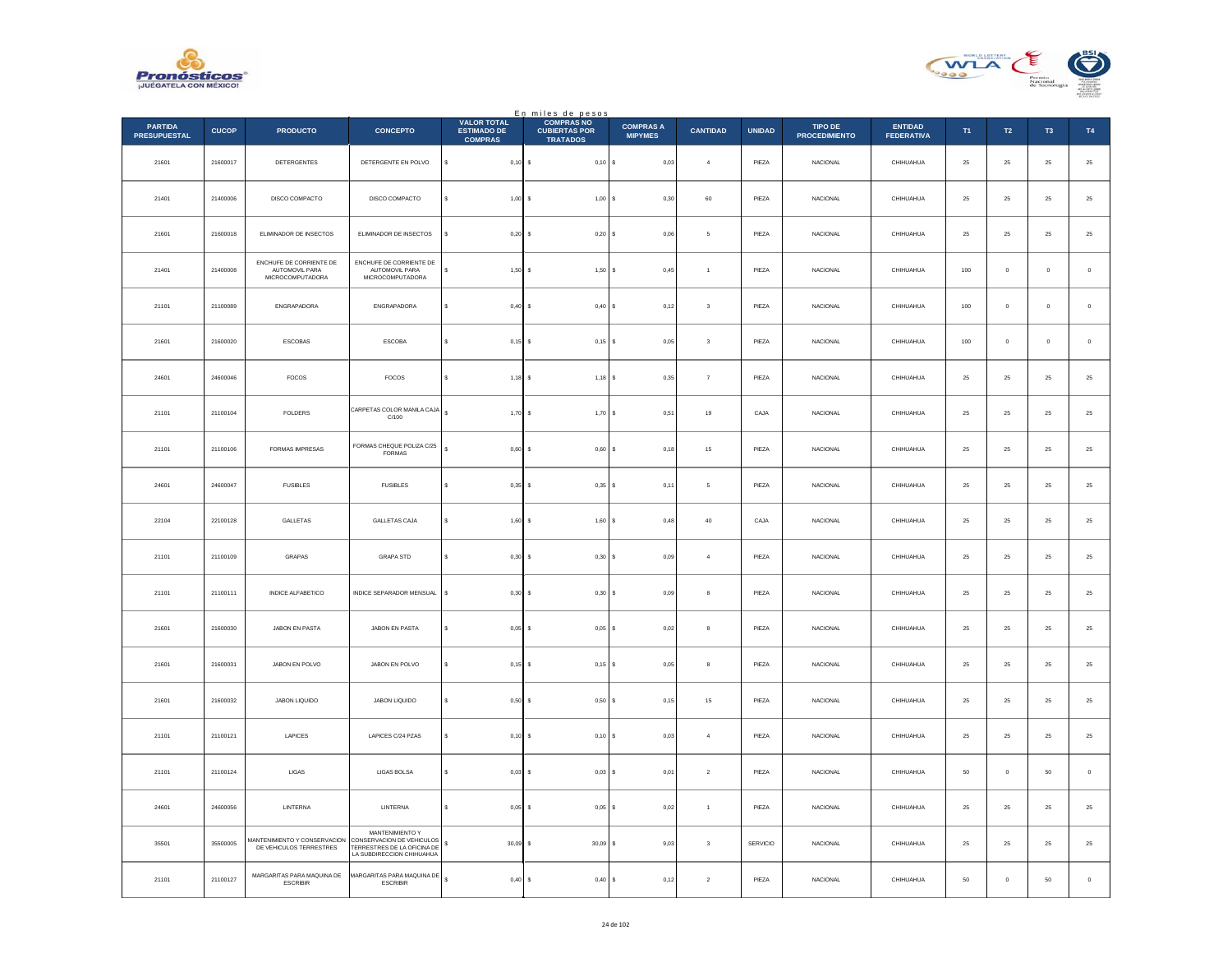



|                                       |              |                                                               |                                                                                                          |                                                            | En miles de pesos<br>COMPRAS NO         |                                    |                         |               |                                        |                                     |            |               |             |                  |
|---------------------------------------|--------------|---------------------------------------------------------------|----------------------------------------------------------------------------------------------------------|------------------------------------------------------------|-----------------------------------------|------------------------------------|-------------------------|---------------|----------------------------------------|-------------------------------------|------------|---------------|-------------|------------------|
| <b>PARTIDA</b><br><b>PRESUPUESTAL</b> | <b>CUCOP</b> | <b>PRODUCTO</b>                                               | <b>CONCEPTO</b>                                                                                          | <b>VALOR TOTAL</b><br><b>ESTIMADO DE</b><br><b>COMPRAS</b> | <b>CUBIERTAS POR</b><br><b>TRATADOS</b> | <b>COMPRAS A</b><br><b>MIPYMES</b> | <b>CANTIDAD</b>         | <b>UNIDAD</b> | <b>TIPO DE</b><br><b>PROCEDIMIENTO</b> | <b>ENTIDAD</b><br><b>FEDERATIVA</b> | T1         | $\mathsf{T2}$ | T3          | <b>T4</b>        |
| 21601                                 | 21600017     | DETERGENTES                                                   | DETERGENTE EN POLVO                                                                                      | $\mathbb{S}$<br>$0,10$ \$                                  | 0,10S                                   | 0,03                               | $\overline{4}$          | PIEZA         | NACIONAL                               | CHIHUAHUA                           | ${\bf 25}$ | ${\bf 25}$    | $25\,$      | $25\,$           |
| 21401                                 | 21400006     | DISCO COMPACTO                                                | DISCO COMPACTO                                                                                           | $1,00$ \$<br>s                                             | $1,00$ $S$                              | 0.30                               | 60                      | PIEZA         | <b>NACIONAL</b>                        | CHIHUAHUA                           | 25         | 25            | 25          | 25               |
| 21601                                 | 21600018     | ELIMINADOR DE INSECTOS                                        | ELIMINADOR DE INSECTOS                                                                                   | $0,20$ \$                                                  | 0,20S                                   | 0,06                               | 5                       | PIEZA         | <b>NACIONAL</b>                        | CHIHUAHUA                           | 25         | 25            | 25          | $25\,$           |
| 21401                                 | 21400008     | ENCHUFE DE CORRIENTE DE<br>AUTOMOVIL PARA<br>MICROCOMPUTADORA | ENCHUFE DE CORRIENTE DE<br>AUTOMOVIL PARA<br>MICROCOMPUTADORA                                            | s.<br>1.50                                                 | $1.50$ S<br>-S                          | 0.45                               | $\overline{1}$          | PIEZA         | <b>NACIONAL</b>                        | CHIHUAHUA                           | 100        | $\circ$       | $\circ$     | $\,$ 0           |
| 21101                                 | 21100089     | ENGRAPADORA                                                   | ENGRAPADORA                                                                                              | $0,40$ \$                                                  | 0,40                                    | l s<br>0,12                        | $\mathbf 3$             | PIEZA         | NACIONAL                               | CHIHUAHUA                           | $100\,$    | $\mathbf 0$   | $\,$ 0 $\,$ | $\mathbf 0$      |
| 21601                                 | 21600020     | ESCOBAS                                                       | <b>ESCOBA</b>                                                                                            | $0,15$ \$<br>s                                             | $0,15$ \$                               | 0.05                               | $\mathbf{3}$            | PIEZA         | <b>NACIONAL</b>                        | CHIHUAHUA                           | 100        | $^{\circ}$    | $^{\circ}$  | $\,$ 0           |
| 24601                                 | 24600046     | FOCOS                                                         | FOCOS                                                                                                    | s<br>$1,18$ \$                                             | $1,18$ \$                               | 0,35                               | $\scriptstyle{7}$       | PIEZA         | <b>NACIONAL</b>                        | CHIHUAHUA                           | 25         | 25            | 25          | $25\,$           |
| 21101                                 | 21100104     | <b>FOLDERS</b>                                                | CARPETAS COLOR MANILA CAJA<br>C/100                                                                      | $\mathsf{s}$<br>$1,70$ \$                                  | 1,70S                                   | 0,51                               | 19                      | CAJA          | <b>NACIONAL</b>                        | CHIHUAHUA                           | 25         | 25            | 25          | 25               |
| 21101                                 | 21100106     | FORMAS IMPRESAS                                               | FORMAS CHEQUE POLIZA C/25<br><b>FORMAS</b>                                                               | s<br>0,60                                                  | 0,60S                                   | 0,18                               | $15\,$                  | PIEZA         | NACIONAL                               | CHIHUAHUA                           | $25\,$     | 25            | 25          | $25\,$           |
| 24601                                 | 24600047     | <b>FUSIBLES</b>                                               | <b>FUSIBLES</b>                                                                                          | $\epsilon$<br>$0,35$ \$                                    | 0,35S                                   | 0,11                               | 5                       | PIEZA         | NACIONAL                               | CHIHUAHUA                           | ${\bf 25}$ | $25\,$        | $25\,$      | $25\,$           |
| 22104                                 | 22100128     | <b>GALLETAS</b>                                               | GALLETAS CAJA                                                                                            | s<br>$1,60$ \$                                             | 1,60S                                   | 0.48                               | 40                      | CAJA          | <b>NACIONAL</b>                        | CHIHUAHUA                           | 25         | 25            | 25          | 25               |
| 21101                                 | 21100109     | GRAPAS                                                        | <b>GRAPA STD</b>                                                                                         | s<br>$0,30$ \$                                             | 0,30S                                   | 0,09                               | $\sqrt{4}$              | PIEZA         | <b>NACIONAL</b>                        | CHIHUAHUA                           | 25         | 25            | $25\,$      | $25\,$           |
| 21101                                 | 21100111     | INDICE ALEARETICO                                             | INDICE SEPARADOR MENSUAL                                                                                 | s<br>0.30                                                  | 0.30 S<br>$\sim$                        | 0.09                               | $\mathbf{a}$            | PIEZA         | <b>NACIONAL</b>                        | CHIHUAHUA                           | 25         | 25            | 25          | $25\,$           |
| 21601                                 | 21600030     | JABON EN PASTA                                                | JABON EN PASTA                                                                                           | $0,05$ \$<br>s                                             | 0,05                                    | <b>s</b><br>0,02                   | $\bf8$                  | PIEZA         | NACIONAL                               | CHIHUAHUA                           | $\bf 25$   | $25\,$        | $2\sqrt{5}$ | $25\,$           |
| 21601                                 | 21600031     | JABON EN POLVO                                                | JABON EN POLVO                                                                                           | s<br>$0,15$ \$                                             | $0,15$ \$                               | 0,05                               | 8                       | PIEZA         | <b>NACIONAL</b>                        | CHIHUAHUA                           | 25         | 25            | 25          | $25\,$           |
| 21601                                 | 21600032     | JABON LIQUIDO                                                 | JABON LIQUIDO                                                                                            | $0,50$ \$                                                  | 0,50S                                   | 0,15                               | 15                      | PIEZA         | <b>NACIONAL</b>                        | CHIHUAHUA                           | 25         | 25            | 25          | $25\,$           |
| 21101                                 | 21100121     | LAPICES                                                       | LAPICES C/24 PZAS                                                                                        | s<br>$0.10$ S                                              | $0,10$ S                                | 0.03                               | $\overline{a}$          | PIEZA         | <b>NACIONAL</b>                        | CHIHUAHUA                           | 25         | 25            | 25          | $25\,$           |
| 21101                                 | 21100124     | ${\sf LIGAS}$                                                 | LIGAS BOLSA                                                                                              | $\mathbf{s}$<br>0.03S                                      | $0.03$ S                                | 0,01                               | $\sqrt{2}$              | PIEZA         | <b>NACIONAL</b>                        | CHIHUAHUA                           | 50         | $\mathbb O$   | 50          | $\,$ 0 $\,$      |
| 24601                                 | 24600056     | LINTERNA                                                      | LINTERNA                                                                                                 | s<br>$0,05$ \$                                             | 0,05S                                   | 0,02                               | $\mathbf{1}$            | PIEZA         | <b>NACIONAL</b>                        | CHIHUAHUA                           | ${\bf 25}$ | $25\,$        | $25\,$      | $25\phantom{.0}$ |
| 35501                                 | 35500005     | MANTENIMIENTO Y CONSERVACION<br>DE VEHICULOS TERRESTRES       | MANTENIMIENTO Y<br>CONSERVACION DE VEHICULOS<br>TERRESTRES DE LA OFICINA DE<br>LA SUBDIRECCION CHIHUAHUA | s<br>$30.09$ S                                             | $30.09$ S                               | 9.03                               | $\overline{\mathbf{3}}$ | SERVICIO      | <b>NACIONAL</b>                        | CHIHUAHUA                           | 25         | 25            | 25          | $25\,$           |
| 21101                                 | 21100127     | MARGARITAS PARA MAQUINA DE<br><b>ESCRIBIR</b>                 | MARGARITAS PARA MAQUINA DE<br><b>ESCRIBIR</b>                                                            | $\epsilon$<br>$0,40$ \$                                    | 0,40S                                   | 0,12                               | $\sqrt{2}$              | PIEZA         | <b>NACIONAL</b>                        | CHIHUAHUA                           | 50         | $\mathbf 0$   | 50          | $\,$ 0 $\,$      |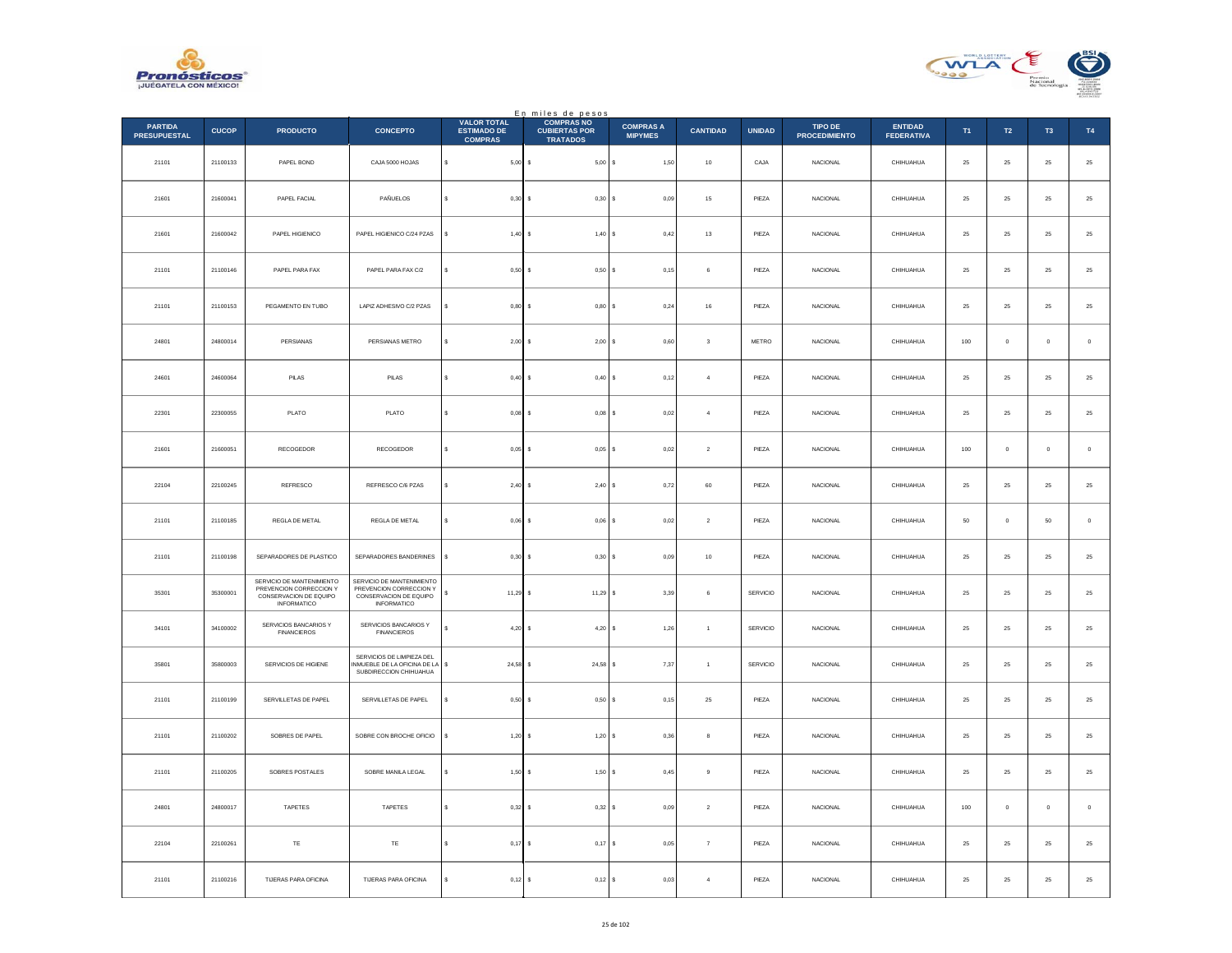



|                                       |              |                                                                                                      |                                                                                                      |                                                            | En miles de pesos<br>COMPRAS NO         |                                    |                 |               |                                 |                                     |          |                |                     |             |
|---------------------------------------|--------------|------------------------------------------------------------------------------------------------------|------------------------------------------------------------------------------------------------------|------------------------------------------------------------|-----------------------------------------|------------------------------------|-----------------|---------------|---------------------------------|-------------------------------------|----------|----------------|---------------------|-------------|
| <b>PARTIDA</b><br><b>PRESUPUESTAL</b> | <b>CUCOP</b> | <b>PRODUCTO</b>                                                                                      | <b>CONCEPTO</b>                                                                                      | <b>VALOR TOTAL</b><br><b>ESTIMADO DE</b><br><b>COMPRAS</b> | <b>CUBIERTAS POR</b><br><b>TRATADOS</b> | <b>COMPRAS A</b><br><b>MIPYMES</b> | <b>CANTIDAD</b> | <b>UNIDAD</b> | TIPO DE<br><b>PROCEDIMIENTO</b> | <b>ENTIDAD</b><br><b>FEDERATIVA</b> | T1       | T2             | T <sub>3</sub>      | T4          |
| 21101                                 | 21100133     | PAPEL BOND                                                                                           | CAJA 5000 HOJAS                                                                                      | $\mathbb{S}$<br>$5,00$ \$                                  |                                         | 1,50                               | $10\,$          | CAJA          | NACIONAL                        | CHIHUAHUA                           | $\bf 25$ | $25\,$         | $25\,$              | $\bf 25$    |
| 21601                                 | 21600041     | PAPEL FACIAL                                                                                         | PAÑUELOS                                                                                             | $0,30$ \$<br>s                                             | 0,30S                                   | 0.09                               | 15              | PIEZA         | <b>NACIONAL</b>                 | CHIHUAHUA                           | 25       | 25             | 25                  | $\bf 25$    |
| 21601                                 | 21600042     | PAPEL HIGIENICO                                                                                      | PAPEL HIGIENICO C/24 PZAS                                                                            | $1,40$ \$<br>Ś                                             | 1,40S                                   | 0,42                               | $13\,$          | PIEZA         | NACIONAL                        | CHIHUAHUA                           | $25\,$   | $2\sqrt{5}$    | $2\mathsf{S}$       | $25\,$      |
| 21101                                 | 21100146     | PAPEL PARA FAX                                                                                       | PAPEL PARA FAX C/2                                                                                   | \$<br>$0,50$ \$                                            | 0,50S                                   | 0,15                               | 6               | PIEZA         | <b>NACIONAL</b>                 | CHIHUAHUA                           | $\bf 25$ | $25\,$         | 25                  | $25\,$      |
| 21101                                 | 21100153     | PEGAMENTO EN TUBO                                                                                    | LAPIZ ADHESIVO C/2 PZAS                                                                              | \$<br>$0,80$ \$                                            | 0,80S                                   | 0,24                               | $16\,$          | PIEZA         | <b>NACIONAL</b>                 | CHIHUAHUA                           | $\bf 25$ | $2\mathsf{S}$  | $25\,$              | $25\,$      |
| 24801                                 | 24800014     | PERSIANAS                                                                                            | PERSIANAS METRO                                                                                      | $\epsilon$<br>$2,00$ \$                                    | 2,00S                                   | 0,60                               | $^{\rm 3}$      | METRO         | <b>NACIONAL</b>                 | CHIHUAHUA                           | 100      | $\overline{0}$ | $\bf{0}$            | $\,$ 0 $\,$ |
| 24601                                 | 24600064     | PILAS                                                                                                | PILAS                                                                                                | $0,40$ \$<br>s                                             | $0,40$ \$                               | 0,12                               | $\overline{4}$  | PIEZA         | <b>NACIONAL</b>                 | CHIHUAHUA                           | 25       | 25             | 25                  | 25          |
| 22301                                 | 22300055     | PLATO                                                                                                | PLATO                                                                                                | $0,08$ \$<br>s                                             | $0,08$ \$                               | 0,02                               | $\sqrt{4}$      | PIEZA         | NACIONAL                        | CHIHUAHUA                           | 25       | $25\,$         | 25                  | $25\,$      |
| 21601                                 | 21600051     | <b>RECOGEDOR</b>                                                                                     | RECOGEDOR                                                                                            | s<br>$0.05$ \$                                             | $0.05$ \$                               | 0.02                               | $\overline{2}$  | PIEZA         | <b>NACIONAL</b>                 | CHIHUAHUA                           | 100      | $\overline{0}$ | $\ddot{\mathbf{0}}$ | $\,$ 0 $\,$ |
| 22104                                 | 22100245     | REFRESCO                                                                                             | REFRESCO C/6 PZAS                                                                                    | 2,40S                                                      | 2,40                                    | 0,72                               | 60              | PIEZA         | <b>NACIONAL</b>                 | CHIHUAHUA                           | 25       | 25             | 25                  | $25\,$      |
| 21101                                 | 21100185     | REGLA DE METAL                                                                                       | REGLA DE METAL                                                                                       | s<br>$0,06$ \$                                             | 0,06                                    | 0,02                               | $\sqrt{2}$      | PIEZA         | <b>NACIONAL</b>                 | CHIHUAHUA                           | 50       | $\mathbb O$    | 50                  | $\,$ 0 $\,$ |
| 21101                                 | 21100198     | SEPARADORES DE PLASTICO                                                                              | SEPARADORES BANDERINES                                                                               | s<br>$0,30$ \$                                             | 0,30S                                   | 0.09                               | 10              | PIEZA         | <b>NACIONAL</b>                 | CHIHUAHUA                           | 25       | 25             | 25                  | $25\,$      |
| 35301                                 | 35300001     | SERVICIO DE MANTENIMIENTO<br>PREVENCION CORRECCION Y<br>CONSERVACION DE EQUIPO<br><b>INFORMATICO</b> | SERVICIO DE MANTENIMIENTO<br>PREVENCION CORRECCION Y<br>CONSERVACION DE EQUIPO<br><b>INFORMATICO</b> | $11,29$ \$<br>s                                            | 11,29 \$                                | 3,39                               | 6               | SERVICIO      | <b>NACIONAL</b>                 | CHIHUAHUA                           | 25       | 25             | 25                  | $2\sqrt{5}$ |
| 34101                                 | 34100002     | SERVICIOS BANCARIOS Y<br><b>FINANCIEROS</b>                                                          | SERVICIOS BANCARIOS Y<br><b>FINANCIEROS</b>                                                          | $\mathbf{s}$<br>$4.20$ S                                   | $4.20$ \$                               | 1,26                               | $\overline{1}$  | SERVICIO      | <b>NACIONAL</b>                 | CHIHUAHUA                           | 25       | 25             | 25                  | 25          |
| 35801                                 | 35800003     | SERVICIOS DE HIGIENE                                                                                 | SERVICIOS DE LIMPIEZA DEL<br>NMUEBLE DE LA OFICINA DE LA<br>SUBDIRECCION CHIHUAHUA                   | $24,58$ \$<br>s                                            | 24,58                                   | 7,37                               | $\,$ 1 $\,$     | SERVICIO      | NACIONAL                        | CHIHUAHUA                           | $25\,$   | $2\sqrt{5}$    | $2\sqrt{5}$         | $25\,$      |
| 21101                                 | 21100199     | SERVILLETAS DE PAPEL                                                                                 | SERVILLETAS DE PAPEL                                                                                 | $0,50$ \$<br>s                                             | $0,50$ \$                               | 0,15                               | $25\,$          | PIEZA         | NACIONAL                        | CHIHUAHUA                           | $25\,$   | $25\,$         | $25\,$              | $25\,$      |
| 21101                                 | 21100202     | SOBRES DE PAPEL                                                                                      | SOBRE CON BROCHE OFICIO                                                                              | s<br>$1.20$ S                                              | $1.20$ S                                | 0.36                               | 8               | PIEZA         | <b>NACIONAL</b>                 | CHIHUAHUA                           | 25       | 25             | 25                  | 25          |
| 21101                                 | 21100205     | SOBRES POSTALES                                                                                      | SOBRE MANILA LEGAL                                                                                   | $1,50$ \$<br>\$                                            | 1,50S                                   | 0,45                               | $\overline{9}$  | PIEZA         | NACIONAL                        | CHIHUAHUA                           | $25\,$   | $\bf 25$       | $2\mathsf{S}$       | $25\,$      |
| 24801                                 | 24800017     | TAPETES                                                                                              | <b>TAPFTES</b>                                                                                       | s<br>$0.32$ \$                                             | 0,32S                                   | 0.09                               | $\sqrt{2}$      | PIEZA         | <b>NACIONAL</b>                 | CHIHUAHUA                           | 100      | $\overline{0}$ | $\Omega$            | $\mathbf 0$ |
| 22104                                 | 22100261     | TE                                                                                                   | $\mathsf{TE}$                                                                                        | 0,17                                                       | ۱s<br>0,17                              | 0,05<br>-S                         | $\overline{7}$  | PIEZA         | <b>NACIONAL</b>                 | CHIHUAHUA                           | 25       | 25             | 25                  | $25\,$      |
| 21101                                 | 21100216     | <b>TIJERAS PARA OFICINA</b>                                                                          | TIJERAS PARA OFICINA                                                                                 | s<br>$0,12$ \$                                             | $0,12$ \$                               | 0,03                               | $\overline{4}$  | PIEZA         | NACIONAL                        | CHIHUAHUA                           | $\bf 25$ | ${\bf 25}$     | $25\,$              | $25\,$      |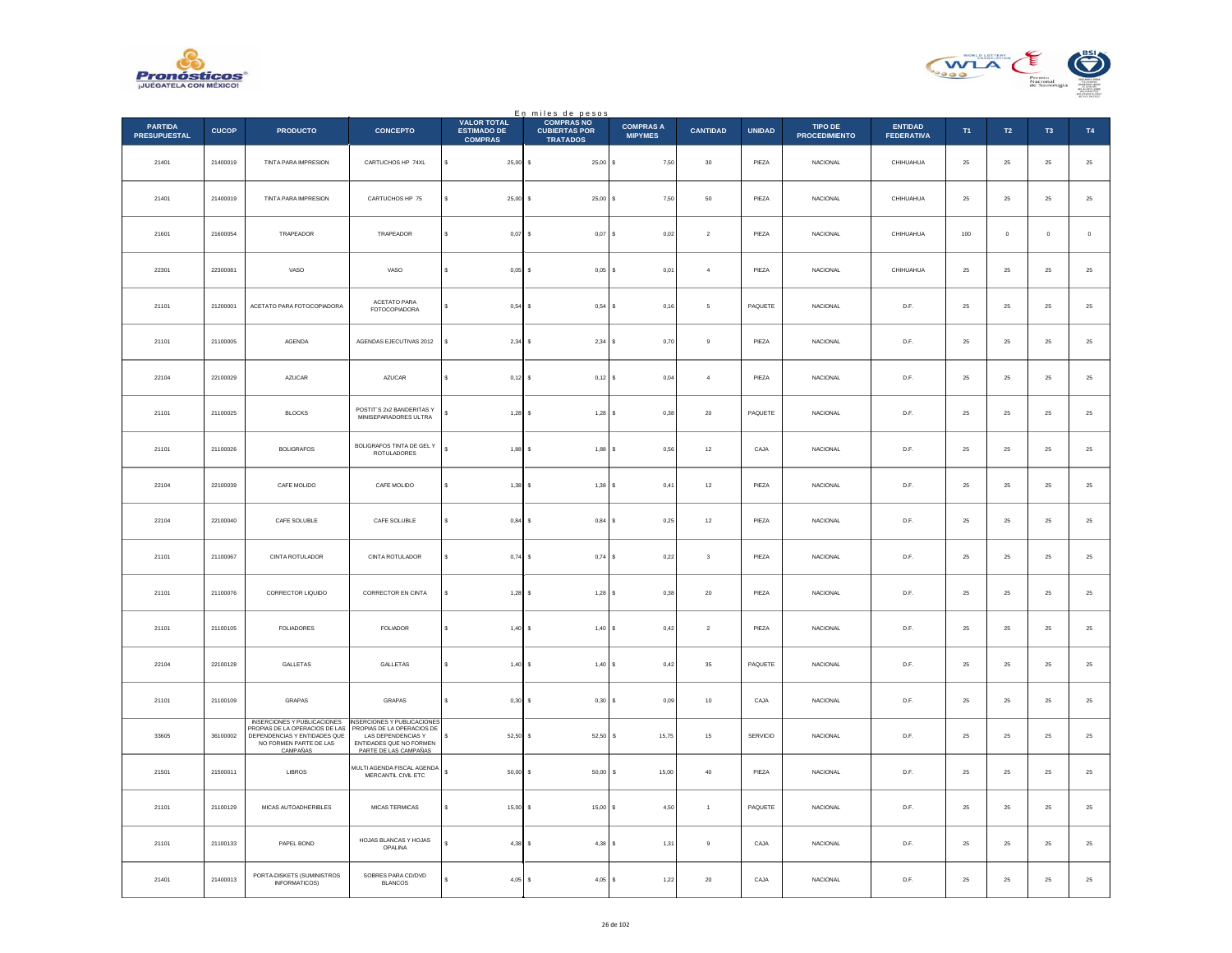



|                                       |              |                                                                                                                                            |                                                                                                                                     |                                                            | En miles de pesos<br>COMPRAS NO         |                                    |                 |               |                                 |                                     |            |            |                |             |
|---------------------------------------|--------------|--------------------------------------------------------------------------------------------------------------------------------------------|-------------------------------------------------------------------------------------------------------------------------------------|------------------------------------------------------------|-----------------------------------------|------------------------------------|-----------------|---------------|---------------------------------|-------------------------------------|------------|------------|----------------|-------------|
| <b>PARTIDA</b><br><b>PRESUPUESTAL</b> | <b>CUCOP</b> | <b>PRODUCTO</b>                                                                                                                            | <b>CONCEPTO</b>                                                                                                                     | <b>VALOR TOTAL</b><br><b>ESTIMADO DE</b><br><b>COMPRAS</b> | <b>CUBIERTAS POR</b><br><b>TRATADOS</b> | <b>COMPRAS A</b><br><b>MIPYMES</b> | <b>CANTIDAD</b> | <b>UNIDAD</b> | TIPO DE<br><b>PROCEDIMIENTO</b> | <b>ENTIDAD</b><br><b>FEDERATIVA</b> | T1         | T2         | T <sub>3</sub> | T4          |
| 21401                                 | 21400019     | TINTA PARA IMPRESION                                                                                                                       | CARTUCHOS HP 74XL                                                                                                                   | \$<br>$25,00$ \$                                           | 25,00S                                  | 7,50                               | $30\,$          | PIEZA         | NACIONAL                        | CHIHUAHUA                           | $\bf 25$   | $\bf 25$   | $\bf 25$       | $\bf 25$    |
| 21401                                 | 21400019     | <b>TINTA PARA IMPRESION</b>                                                                                                                | CARTUCHOS HP 75                                                                                                                     | s<br>$25,00$ \$                                            | 25,00S                                  | 7,50                               | 50              | PIEZA         | <b>NACIONAL</b>                 | CHIHUAHUA                           | 25         | 25         | 25             | $\bf 25$    |
| 21601                                 | 21600054     | TRAPEADOR                                                                                                                                  | TRAPEADOR                                                                                                                           | $0,07$ \$                                                  | $0,07$ \$                               | $_{0,02}$                          | $\overline{2}$  | PIEZA         | NACIONAL                        | CHIHUAHUA                           | $100\,$    | $\circ$    | $\mathbf{0}$   | $\mathbf 0$ |
| 22301                                 | 22300081     | VASO                                                                                                                                       | VASO                                                                                                                                | s<br>0,05                                                  | ۱s<br>$0,05$ \$                         | 0,01                               | $\sqrt{4}$      | PIEZA         | NACIONAL                        | CHIHUAHUA                           | $25\,$     | $\bf 25$   | $\bf 25$       | $25\,$      |
| 21101                                 | 21200001     | ACETATO PARA FOTOCOPIADORA                                                                                                                 | ACETATO PARA<br><b>FOTOCOPIADORA</b>                                                                                                | 0.54<br>s                                                  | $0.54$ S<br>Ιs                          | 0.16                               | 5               | PAQUETE       | <b>NACIONAL</b>                 | D.F.                                | 25         | 25         | 25             | $25\,$      |
| 21101                                 | 21100005     | AGENDA                                                                                                                                     | AGENDAS EJECUTIVAS 2012                                                                                                             | $2,34$ \$<br>Ś                                             | $2,34$ \$                               | 0,70                               | $\,9$           | PIEZA         | NACIONAL                        | D.F.                                | $25\,$     | $\bf 25$   | $\bf 25$       | $\bf 25$    |
| 22104                                 | 22100029     | AZUCAR                                                                                                                                     | <b>AZUCAR</b>                                                                                                                       | $0,12$ \$<br>s                                             | $0,12$ \$                               | 0.04                               | $\overline{a}$  | PIEZA         | <b>NACIONAL</b>                 | D.F.                                | 25         | 25         | 25             | $\bf 25$    |
| 21101                                 | 21100025     | BLOCKS                                                                                                                                     | POSTIT'S 2x2 BANDERITAS Y<br>MINISEPARADORES ULTRA                                                                                  | $1,28$ \$                                                  | $1,28$ \$                               | 0,38                               | $20\,$          | PAQUETE       | NACIONAL                        | D.F.                                | $25\,$     | $\bf 25$   | $\bf 25$       | $25\,$      |
| 21101                                 | 21100026     | <b>BOLIGRAFOS</b>                                                                                                                          | BOLIGRAFOS TINTA DE GEL Y<br>ROTULADORES                                                                                            | $\overline{\mathbf{s}}$<br>1,88                            | ۱s<br>$1,88$ \$                         | 0,56                               | $12\,$          | CAJA          | <b>NACIONAL</b>                 | D.F.                                | 25         | $\bf 25$   | $\bf 25$       | $25\,$      |
| 22104                                 | 22100039     | CAFE MOLIDO                                                                                                                                | CAFE MOLIDO                                                                                                                         | 1,38<br>s                                                  | $1,38$ $S$<br>۱s                        | 0,41                               | $12\,$          | PIEZA         | <b>NACIONAL</b>                 | D.F.                                | 25         | 25         | 25             | $25\,$      |
| 22104                                 | 22100040     | CAFE SOLUBLE                                                                                                                               | CAFE SOLUBLE                                                                                                                        | s<br>0,84                                                  | 0,84<br>s                               | 0,25                               | $12\,$          | PIEZA         | NACIONAL                        | D.F.                                | $25\,$     | $\bf 25$   | $2\mathsf{S}$  | $25\,$      |
| 21101                                 | 21100067     | CINTA ROTULADOR                                                                                                                            | CINTA ROTULADOR                                                                                                                     | s<br>$0,74$ \$                                             | $0,74$ S                                | 0,22                               | $\mathbf 3$     | PIFZA         | <b>NACIONAL</b>                 | D.F.                                | 25         | 25         | 25             | $\bf 25$    |
| 21101                                 | 21100076     | CORRECTOR LIQUIDO                                                                                                                          | CORRECTOR EN CINTA                                                                                                                  | $1.28$ \$                                                  | $1,28$ \$                               | 0,38                               | $20\,$          | PIEZA         | <b>NACIONAL</b>                 | D.F.                                | 25         | 25         | 25             | $25\,$      |
| 21101                                 | 21100105     | FOLIADORES                                                                                                                                 | <b>FOLIADOR</b>                                                                                                                     | s<br>1,40                                                  | I۶<br>1,40 S                            | 0,42                               | $\overline{a}$  | PIEZA         | NACIONAL                        | D.F.                                | ${\bf 25}$ | 25         | $25\,$         | $\bf 25$    |
| 22104                                 | 22100128     | GALLETAS                                                                                                                                   | GALLETAS                                                                                                                            | 1,40S<br>s                                                 | 1,40S                                   | 0,42                               | 35              | PAQUETE       | <b>NACIONAL</b>                 | D.F.                                | 25         | 25         | 25             | $25\,$      |
| 21101                                 | 21100109     | GRAPAS                                                                                                                                     | GRAPAS                                                                                                                              | 0,30<br>s                                                  | 0,30<br>s                               | 0,09                               | $10\,$          | CAJA          | NACIONAL                        | D.F.                                | $25\,$     | $\bf 25$   | $2\mathsf{S}$  | $25\,$      |
| 33605                                 | 36100002     | <b>INSERCIONES Y PUBLICACIONES</b><br>PROPIAS DE LA OPERACIOS DE LAS<br>DEPENDENCIAS Y ENTIDADES QUE<br>NO FORMEN PARTE DE LAS<br>CAMPAÑAS | INSERCIONES Y PUBLICACIONES<br>PROPIAS DE LA OPERACIOS DE<br>LAS DEPENDENCIAS Y<br>ENTIDADES QUE NO FORMEN<br>PARTE DE LAS CAMPAÑAS | $52,50$ \$<br>s                                            | $52,50$ \$                              | 15,75                              | 15              | SERVICIO      | NACIONAL                        | D.F.                                | 25         | 25         | 25             | $25\,$      |
| 21501                                 | 21500011     | LIBROS                                                                                                                                     | MULTI AGENDA FISCAL AGENDA<br>MERCANTIL CIVIL ETC                                                                                   | $\mathsf{s}$<br>$50,00$ \$                                 | $50,00$ \$                              | 15,00                              | 40              | PIEZA         | <b>NACIONAL</b>                 | D.F.                                | 25         | 25         | 25             | 25          |
| 21101                                 | 21100129     | MICAS AUTOADHERIBLES                                                                                                                       | <b>MICAS TERMICAS</b>                                                                                                               | \$<br>15,00                                                | ١s<br>15,00 \$                          | 4,50                               | $\mathbf{1}$    | PAQUETE       | <b>NACIONAL</b>                 | D.F.                                | 25         | ${\bf 25}$ | 25             | $\bf 25$    |
| 21101                                 | 21100133     | PAPEL BOND                                                                                                                                 | HOJAS BLANCAS Y HOJAS<br>OPALINA                                                                                                    | 4,38                                                       | $4,38$ \$<br>Ιs                         | 1.31                               | $_{9}$          | CAJA          | <b>NACIONAL</b>                 | D.F.                                | 25         | 25         | 25             | 25          |
| 21401                                 | 21400013     | PORTA-DISKETS (SUMINISTROS<br>INFORMATICOS)                                                                                                | SOBRES PARA CD/DVD<br><b>BLANCOS</b>                                                                                                | $4,05$ \$                                                  | $4,05$ \$                               | 1,22                               | $20\,$          | CAJA          | NACIONAL                        | D.F.                                | 25         | 25         | $\bf 25$       | $25\,$      |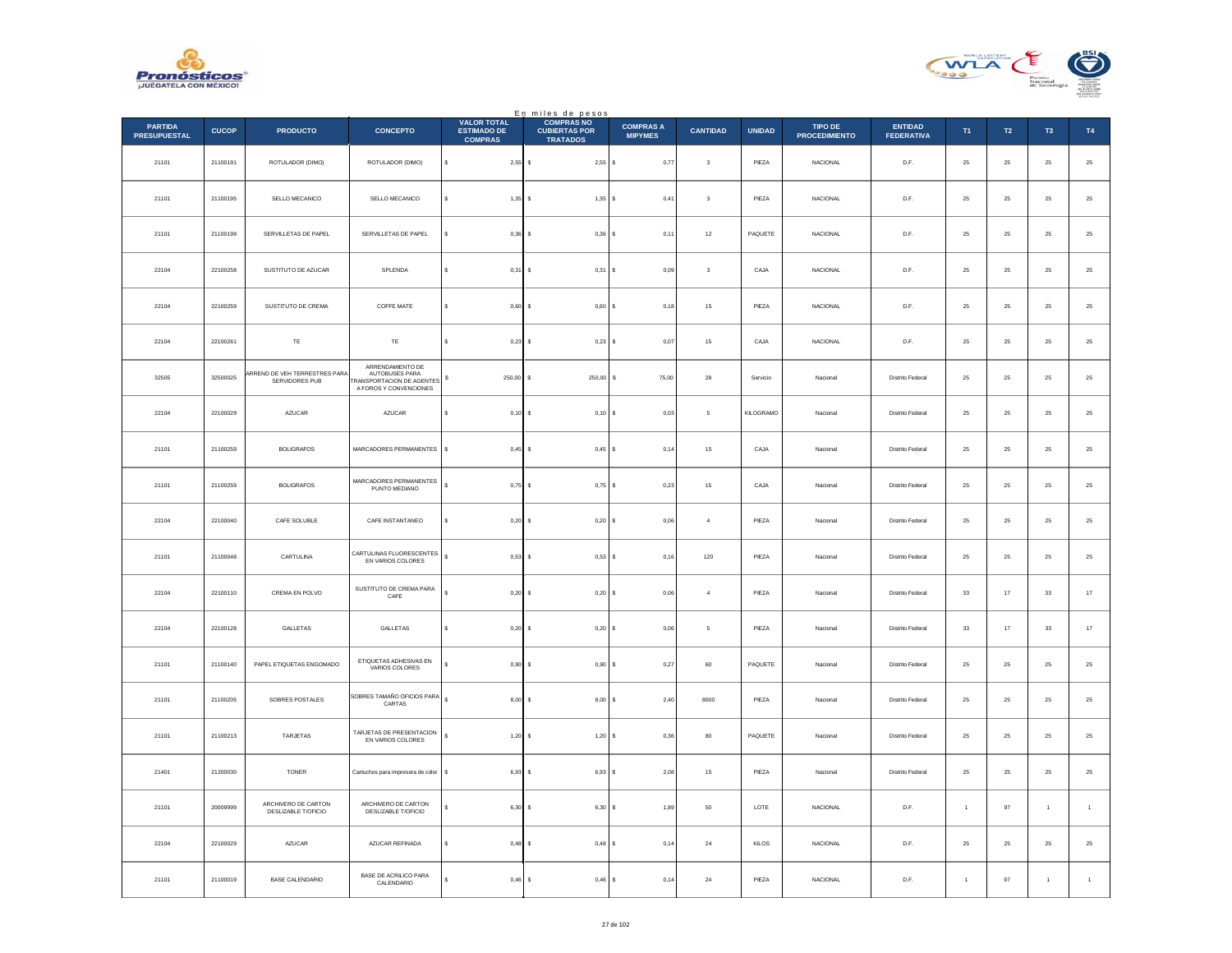



|                                       |              |                                                |                                                                                                  |                                                            | En miles de pesos<br>COMPRAS NO         |                                    |                         |               |                                 |                                     |                |           |                |              |
|---------------------------------------|--------------|------------------------------------------------|--------------------------------------------------------------------------------------------------|------------------------------------------------------------|-----------------------------------------|------------------------------------|-------------------------|---------------|---------------------------------|-------------------------------------|----------------|-----------|----------------|--------------|
| <b>PARTIDA</b><br><b>PRESUPUESTAL</b> | <b>CUCOP</b> | <b>PRODUCTO</b>                                | <b>CONCEPTO</b>                                                                                  | <b>VALOR TOTAL</b><br><b>ESTIMADO DE</b><br><b>COMPRAS</b> | <b>CUBIERTAS POR</b><br><b>TRATADOS</b> | <b>COMPRAS A</b><br><b>MIPYMES</b> | <b>CANTIDAD</b>         | <b>UNIDAD</b> | TIPO DE<br><b>PROCEDIMIENTO</b> | <b>ENTIDAD</b><br><b>FEDERATIVA</b> | T1             | <b>T2</b> | T <sub>3</sub> | <b>T4</b>    |
| 21101                                 | 21100191     | ROTULADOR (DIMO)                               | ROTULADOR (DIMO)                                                                                 | \$<br>$2,55$ \$                                            | 2,55S                                   | 0,77                               | $\sqrt{3}$              | PIEZA         | NACIONAL                        | D.F.                                | $\bf 25$       | $\bf 25$  | $25\,$         | $25\,$       |
| 21101                                 | 21100195     | SELLO MECANICO                                 | SELLO MECANICO                                                                                   | $1,35$ \$<br>s                                             | $1,35$ \$                               | 0.41                               | $\overline{\mathbf{3}}$ | PIEZA         | <b>NACIONAL</b>                 | D.F.                                | 25             | 25        | 25             | $25\,$       |
| 21101                                 | 21100199     | SERVILLETAS DE PAPEL                           | SERVILLETAS DE PAPEL                                                                             | 0,36<br>Ś                                                  | I۶<br>$0,36$ \$                         | 0,11                               | $12\,$                  | PAQUETE       | <b>NACIONAL</b>                 | D.F.                                | 25             | $25\,$    | 25             | $25\,$       |
| 22104                                 | 22100258     | SUSTITUTO DE AZUCAR                            | SPLENDA                                                                                          | s<br>0,31                                                  | l s<br>$0,31$ \$                        | 0.09                               | $\overline{\mathbf{3}}$ | CAJA          | <b>NACIONAL</b>                 | D.F.                                | 25             | $\bf 25$  | 25             | $25\,$       |
| 22104                                 | 22100259     | SUSTITUTO DE CREMA                             | COFFE MATE                                                                                       | 0,60<br>\$                                                 | 0,60<br>s                               | 0,18                               | $15\,$                  | PIEZA         | NACIONAL                        | $\mathsf{D}.\mathsf{F}.$            | $25\,$         | $\bf 25$  | $2\mathsf{S}$  | $25\,$       |
| 22104                                 | 22100261     | TE                                             | TE                                                                                               | s<br>$0.23$ \$                                             | $0.23$ \$                               | 0,07                               | 15                      | CAJA          | <b>NACIONAL</b>                 | D.F.                                | 25             | 25        | 25             | $\bf 25$     |
| 32505                                 | 32500025     | RREND DE VEH TERRESTRES PARA<br>SERVIDORES PUB | ARRENDAMIENTO DE<br>AUTOBUSES PARA<br><b>FRANSPORTACION DE AGENTES</b><br>A FOROS Y CONVENCIONES | 250,00<br>\$                                               | 250,00 \$<br>l s                        | 75,00                              | 28                      | Servicio      | Nacional                        | Distrito Federal                    | 25             | $25\,$    | 25             | $25\,$       |
| 22104                                 | 22100029     | AZUCAR                                         | <b>AZUCAR</b>                                                                                    | s<br>$0,10$ \$                                             | $0,10$ \$                               | 0.03                               | 5                       | KILOGRAMO     | Nacional                        | Distrito Federal                    | 25             | 25        | 25             | 25           |
| 21101                                 | 21100259     | <b>BOLIGRAFOS</b>                              | MARCADORES PERMANENTES                                                                           | \$<br>0,45                                                 | $0,45$ \$<br>-S                         | 0,14                               | 15                      | CAJA          | Nacional                        | Distrito Federal                    | 25             | 25        | 25             | $25\,$       |
| 21101                                 | 21100259     | <b>BOLIGRAFOS</b>                              | MARCADORES PERMANENTES<br>PUNTO MEDIANO                                                          | ¢<br>$0,75$ \$                                             | $0,75$ \$                               | 0,23                               | 15                      | CAJA          | Naciona                         | <b>Distrito Federal</b>             | 25             | 25        | $25\,$         | $\bf 25$     |
| 22104                                 | 22100040     | CAFE SOLUBLE                                   | CAFE INSTANTANEO                                                                                 | $0,20$ \$<br>s                                             | $0,20$ \$                               | 0.06                               | $\overline{4}$          | PIEZA         | Nacional                        | Distrito Federal                    | 25             | 25        | 25             | $25\,$       |
| 21101                                 | 21100048     | CARTULINA                                      | CARTULINAS FLUORESCENTES<br>EN VARIOS COLORES                                                    | s<br>0,53                                                  | $0,53$ \$<br>۱s                         | 0,16                               | 120                     | PIEZA         | Nacional                        | Distrito Federal                    | 25             | $\bf 25$  | 25             | $25\,$       |
| 22104                                 | 22100110     | CREMA EN POLVO                                 | SUSTITUTO DE CREMA PARA<br>CAFE                                                                  | Ś.<br>0.20                                                 | Ιs<br>$0,20$ \$                         | 0.06                               | $\boldsymbol{A}$        | PIEZA         | Nacional                        | Distrito Federal                    | 33             | 17        | 33             | $17\,$       |
| 22104                                 | 22100128     | GALLETAS                                       | GALLETAS                                                                                         | 0,20<br>\$                                                 | 0,20S<br>s                              | 0,06                               | $\sqrt{5}$              | PIEZA         | Nacional                        | Distrito Federal                    | $_{\rm 33}$    | $17\,$    | $_{\rm 33}$    | $17\,$       |
| 21101                                 | 21100140     | PAPEL ETIQUETAS ENGOMADO                       | ETIQUETAS ADHESIVAS EN<br>VARIOS COLORES                                                         | $0,90$ \$<br>s.                                            | $0.90$ \$                               | 0,27                               | 60                      | PAQUETE       | Nacional                        | Distrito Federal                    | 25             | 25        | 25             | $25\,$       |
| 21101                                 | 21100205     | SOBRES POSTALES                                | SOBRES TAMAÑO OFICIOS PARA<br>CARTAS                                                             | s<br>8,00S                                                 | 8,00S                                   | 2,40                               | 8000                    | PIEZA         | Nacional                        | Distrito Federal                    | 25             | $25\,$    | 25             | $25\,$       |
| 21101                                 | 21100213     | TARJETAS                                       | TARJETAS DE PRESENTACION<br>EN VARIOS COLORES                                                    | $\overline{\mathbf{s}}$<br>$1,20$ \$                       | 1,20S                                   | 0.36                               | 80                      | PAQUETE       | Nacional                        | Distrito Federal                    | 25             | 25        | 25             | $25\,$       |
| 21401                                 | 21200030     | <b>TONER</b>                                   | Cartuchos para impresora de color                                                                | $6,93$ \$<br>\$                                            | $6,93$ $S$                              | 2,08                               | 15                      | PIEZA         | Nacional                        | Distrito Federal                    | 25             | 25        | 25             | $25\,$       |
| 21101                                 | 20009999     | ARCHIVERO DE CARTON<br>DESLIZABLE T/OFICIO     | ARCHIVERO DE CARTON<br>DESLIZABLE T/OFICIO                                                       | 6,30 \$<br>s                                               | $6,30$ \$                               | 1,89                               | 50                      | LOTE          | NACIONAL                        | D.F.                                | $\overline{1}$ | 97        | $\,$ 1         | $\mathbf{1}$ |
| 22104                                 | 22100029     | AZUCAR                                         | AZUCAR REFINADA                                                                                  | $0,48$ \$                                                  | 0.48 S                                  | 0.14                               | 24                      | KILOS         | <b>NACIONAL</b>                 | D.F.                                | 25             | 25        | 25             | $25\,$       |
| 21101                                 | 21100019     | <b>BASE CALENDARIO</b>                         | BASE DE ACRILICO PARA<br>CALENDARIO                                                              | s<br>$0,46$ \$                                             | $0,46$ \$                               | 0,14                               | $\bf 24$                | PIEZA         | <b>NACIONAL</b>                 | D.F.                                |                | 97        | 1              | $\mathbf{1}$ |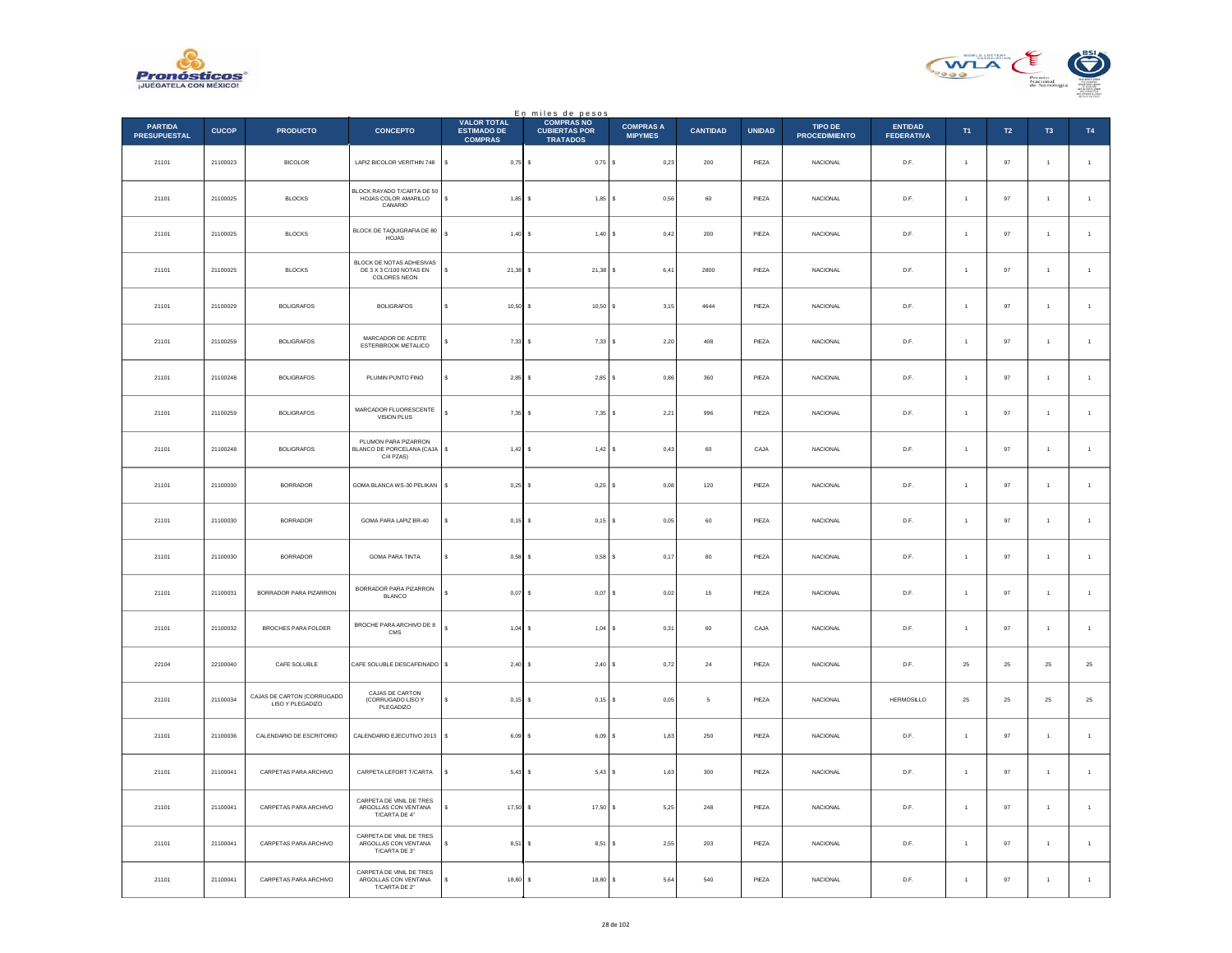



|                                       |              |                                                |                                                                            |                                                            | En miles de pesos<br>COMPRAS NO         |                                    |                 |               |                                 |                                     |                      |        |                |                |
|---------------------------------------|--------------|------------------------------------------------|----------------------------------------------------------------------------|------------------------------------------------------------|-----------------------------------------|------------------------------------|-----------------|---------------|---------------------------------|-------------------------------------|----------------------|--------|----------------|----------------|
| <b>PARTIDA</b><br><b>PRESUPUESTAL</b> | <b>CUCOP</b> | <b>PRODUCTO</b>                                | <b>CONCEPTO</b>                                                            | <b>VALOR TOTAL</b><br><b>ESTIMADO DE</b><br><b>COMPRAS</b> | <b>CUBIERTAS POR</b><br><b>TRATADOS</b> | <b>COMPRAS A</b><br><b>MIPYMES</b> | <b>CANTIDAD</b> | <b>UNIDAD</b> | TIPO DE<br><b>PROCEDIMIENTO</b> | <b>ENTIDAD</b><br><b>FEDERATIVA</b> | T1                   | T2     | T <sub>3</sub> | T4             |
| 21101                                 | 21100023     | <b>BICOLOR</b>                                 | LAPIZ BICOLOR VERITHIN 748                                                 | \$<br>$0,75$ \$                                            | $0,75$ \$                               | 0,23                               | $200\,$         | PIEZA         | NACIONAL                        | D.F.                                | $\ddot{\phantom{1}}$ | 97     | $\mathbf{1}$   | $\,$ 1 $\,$    |
| 21101                                 | 21100025     | BLOCKS                                         | BLOCK RAYADO T/CARTA DE 50<br>HOJAS COLOR AMARILLO<br>CANARIO              | $1,85$ \$<br>s                                             | $1,85$ \$                               | 0.56                               | 60              | PIEZA         | <b>NACIONAL</b>                 | D.F.                                | $\overline{1}$       | 97     | $\overline{1}$ | $\overline{1}$ |
| 21101                                 | 21100025     | <b>BLOCKS</b>                                  | BLOCK DE TAQUIGRAFIA DE 80<br><b>HOJAS</b>                                 | ś<br>$1,40$ \$                                             | 1,40S                                   | 0,42                               | $200\,$         | PIEZA         | NACIONAL                        | $\mathsf{D}.\mathsf{F}.$            | $\overline{1}$       | 97     | $\overline{1}$ | $\,$ 1 $\,$    |
| 21101                                 | 21100025     | <b>BLOCKS</b>                                  | BLOCK DE NOTAS ADHESIVAS<br>DE 3 X 3 C/100 NOTAS EN<br><b>COLORES NEON</b> | \$<br>$21,38$ \$                                           | $21,38$ \$                              | 6,41                               | 2800            | PIEZA         | <b>NACIONAL</b>                 | D.F.                                | $\overline{1}$       | $97\,$ | $\mathbf{1}$   | $\,$ 1 $\,$    |
| 21101                                 | 21100029     | <b>BOLIGRAFOS</b>                              | <b>BOLIGRAFOS</b>                                                          | $10,50$ \$<br>s                                            | 10,50S                                  | 3,15                               | 4644            | PIEZA         | <b>NACIONAL</b>                 | D.F.                                | $\overline{1}$       | 97     | $\mathbf{1}$   | $\overline{1}$ |
| 21101                                 | 21100259     | <b>BOLIGRAFOS</b>                              | MARCADOR DE ACEITE<br>ESTERBROOK METALICO                                  | 7,33S                                                      | 7,33S                                   | 2,20                               | 408             | PIEZA         | NACIONAL                        | D.F.                                | $\overline{1}$       | 97     | $\,$ 1         | $\mathbf{1}$   |
| 21101                                 | 21100248     | <b>BOLIGRAFOS</b>                              | PLUMIN PUNTO FINO                                                          | $2,85$ \$<br>s                                             | $2,85$ \$                               | 0,86                               | 360             | PIEZA         | <b>NACIONAL</b>                 | D.F.                                | $\overline{1}$       | 97     | $\mathbf{1}$   | $\mathbf{1}$   |
| 21101                                 | 21100259     | <b>BOLIGRAFOS</b>                              | MARCADOR FLUORESCENTE<br><b>VISION PLUS</b>                                | $7,35$ \$<br>s                                             | $7,35$ \$                               | 2,21                               | 996             | PIEZA         | NACIONAL                        | D.F.                                |                      | 97     | $\mathbf{1}$   | $\overline{1}$ |
| 21101                                 | 21100248     | <b>BOLIGRAFOS</b>                              | PLUMON PARA PIZARRON<br>BLANCO DE PORCELANA (CAJA<br>C/4 PZAS)             | $1,42$ \$<br>s                                             | $1,42$ \$                               | 0,43                               | 60              | CAJA          | <b>NACIONAL</b>                 | D.F.                                | $\mathbf{1}$         | 97     | $\overline{1}$ | $\overline{1}$ |
| 21101                                 | 21100030     | <b>BORRADOR</b>                                | GOMA BLANCA WS-30 PELIKAN                                                  | $0,25$ \$<br>s                                             | 0,25                                    | 0,08                               | 120             | PIEZA         | <b>NACIONAL</b>                 | D.F.                                | $\overline{1}$       | 97     | $\mathbf{1}$   | $\,1\,$        |
| 21101                                 | 21100030     | <b>BORRADOR</b>                                | GOMA PARA LAPIZ BR-40                                                      | $0,15$ \$                                                  | 0,15                                    | 0,05                               | 60              | PIEZA         | <b>NACIONAL</b>                 | D.F.                                | $\ddot{\phantom{1}}$ | 97     | $\mathbf{1}$   | $\mathbf{1}$   |
| 21101                                 | 21100030     | <b>BORRADOR</b>                                | <b>GOMA PARA TINTA</b>                                                     | $0,58$ \$<br>s                                             | 0.58S                                   | 0.17                               | 80              | PIEZA         | <b>NACIONAL</b>                 | D.F.                                | $\ddot{\phantom{1}}$ | 97     | $\overline{1}$ | $\overline{1}$ |
| 21101                                 | 21100031     | BORRADOR PARA PIZARRON                         | BORRADOR PARA PIZARRON<br><b>BLANCO</b>                                    | $0,07$ \$                                                  | 0,07                                    | s<br>0,02                          | 15              | PIEZA         | <b>NACIONAL</b>                 | D.F.                                | $\overline{1}$       | 97     | $\overline{1}$ | $\mathbf{1}$   |
| 21101                                 | 21100032     | BROCHES PARA FOLDER                            | BROCHE PARA ARCHIVO DE 8<br>${\tt CMS}$                                    | $\epsilon$<br>$1,04$ \$                                    | 1,04                                    | 0,31<br>s                          | 60              | CAJA          | <b>NACIONAL</b>                 | D.F.                                | $\overline{1}$       | 97     | $\overline{1}$ | $\overline{1}$ |
| 22104                                 | 22100040     | CAFE SOLUBLE                                   | CAFE SOLUBLE DESCAFEINADO                                                  | $2,40$ \$<br>s                                             | 2,40S                                   | 0,72                               | $\bf{24}$       | PIEZA         | NACIONAL                        | $\mathsf{D}.\mathsf{F}.$            | $25\,$               | $25\,$ | $2\mathsf{S}$  | $25\,$         |
| 21101                                 | 21100034     | CAJAS DE CARTON (CORRUGADO<br>LISO Y PLEGADIZO | CAJAS DE CARTON<br>(CORRUGADO LISO Y<br>PLEGADIZO                          | $0,15$ \$<br>s                                             | 0,15                                    | 0,05<br>١s                         | $\mathfrak s$   | PIEZA         | NACIONAL                        | HERMOSILLO                          | 25                   | $25\,$ | $25\,$         | $\bf 25$       |
| 21101                                 | 21100036     | CALENDARIO DE ESCRITORIO                       | CALENDARIO EJECUTIVO 2013                                                  | s<br>$6.09$ S                                              | $6.09$ S                                | 1.83                               | 250             | PIEZA         | <b>NACIONAL</b>                 | D.F.                                | $\overline{1}$       | 97     | $\overline{1}$ | $\overline{1}$ |
| 21101                                 | 21100041     | CARPETAS PARA ARCHIVO                          | CARPETA LEFORT T/CARTA                                                     | $5,43$ \$<br>\$                                            | 5,43S                                   | 1,63                               | $300\,$         | PIEZA         | NACIONAL                        | $\mathsf{D}.\mathsf{F}.$            | $\mathbf{1}$         | 97     | $\mathbf{1}$   | $\mathbf{1}$   |
| 21101                                 | 21100041     | CARPETAS PARA ARCHIVO                          | CARPETA DE VINIL DE TRES<br>ARGOLLAS CON VENTANA<br>T/CARTA DE 4"          | 17,50 \$<br>s                                              | 17,50 \$                                | 5,25                               | 248             | PIEZA         | <b>NACIONAL</b>                 | D.F.                                | $\overline{1}$       | 97     | $\overline{1}$ | $\overline{1}$ |
| 21101                                 | 21100041     | CARPETAS PARA ARCHIVO                          | CARPETA DE VINIL DE TRES<br>ARGOLLAS CON VENTANA<br>T/CARTA DE 3"          | 8,51                                                       | 8,51<br>-S                              | 2,55<br>s                          | 203             | PIEZA         | <b>NACIONAL</b>                 | D.F.                                | $\overline{1}$       | 97     | $\mathbf{1}$   | $\overline{1}$ |
| 21101                                 | 21100041     | CARPETAS PARA ARCHIVO                          | CARPETA DE VINIL DE TRES<br>ARGOLLAS CON VENTANA<br>T/CARTA DE 2"          | 18,80<br>s                                                 | s<br>18,80                              | 5,64                               | 540             | PIEZA         | NACIONAL                        | D.F.                                | $\mathbf{1}$         | 97     | $\,$ 1 $\,$    | $\overline{1}$ |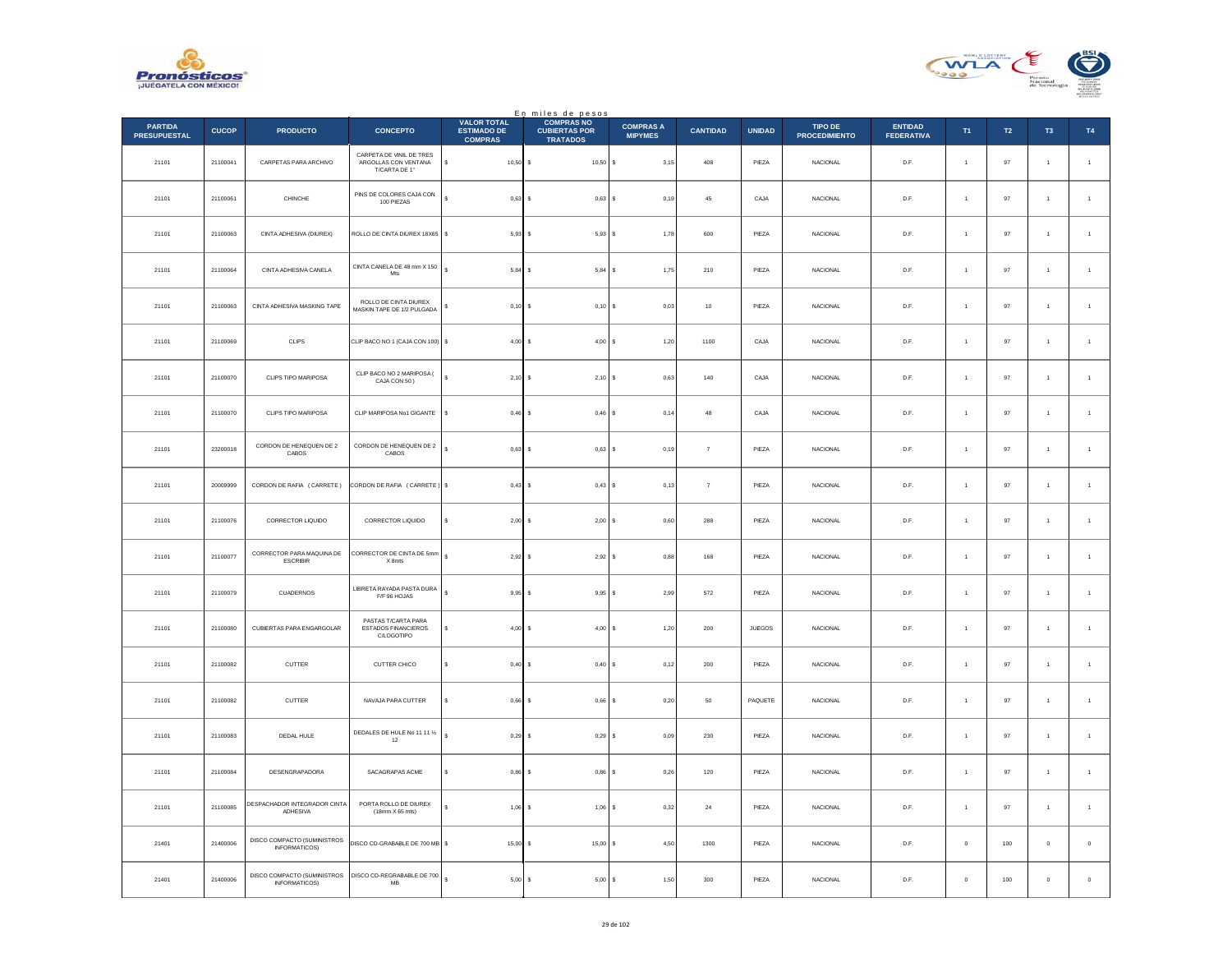



|                                       |              |                                                     |                                                                   |                                                            | En miles de pesos                                            |                                    |                 |               |                                        |                                     |                      |           |                      |                |
|---------------------------------------|--------------|-----------------------------------------------------|-------------------------------------------------------------------|------------------------------------------------------------|--------------------------------------------------------------|------------------------------------|-----------------|---------------|----------------------------------------|-------------------------------------|----------------------|-----------|----------------------|----------------|
| <b>PARTIDA</b><br><b>PRESUPUESTAL</b> | <b>CUCOP</b> | <b>PRODUCTO</b>                                     | <b>CONCEPTO</b>                                                   | <b>VALOR TOTAL</b><br><b>ESTIMADO DE</b><br><b>COMPRAS</b> | <b>COMPRAS NO</b><br><b>CUBIERTAS POR</b><br><b>TRATADOS</b> | <b>COMPRAS A</b><br><b>MIPYMES</b> | <b>CANTIDAD</b> | <b>UNIDAD</b> | <b>TIPO DE</b><br><b>PROCEDIMIENTO</b> | <b>ENTIDAD</b><br><b>FEDERATIVA</b> | T1                   | <b>T2</b> | T <sub>3</sub>       | <b>T4</b>      |
| 21101                                 | 21100041     | CARPETAS PARA ARCHIVO                               | CARPETA DE VINIL DE TRES<br>ARGOLLAS CON VENTANA<br>T/CARTA DE 1" | $10,50$ \$<br>Ś                                            | $10.50$ S                                                    | 3,15                               | 408             | PIEZA         | <b>NACIONAL</b>                        | D.F.                                | $\overline{1}$       | 97        | $\overline{1}$       | $\overline{1}$ |
| 21101                                 | 21100061     | CHINCHE                                             | PINS DE COLORES CAJA CON<br>100 PIEZAS                            | 0,63                                                       | $0,63$ \$<br>s                                               | 0,19                               | $45\,$          | CAJA          | <b>NACIONAL</b>                        | D.F.                                | $\overline{1}$       | 97        | $\overline{1}$       | $\mathbf{1}$   |
| 21101                                 | 21100063     | CINTA ADHESIVA (DIUREX)                             | ROLLO DE CINTA DIUREX 18X65                                       | s<br>$5,93$ \$                                             | 5,93S                                                        | 1.78                               | 600             | PIEZA         | <b>NACIONAL</b>                        | D.F.                                | $\overline{1}$       | 97        | $\overline{1}$       | $\overline{1}$ |
| 21101                                 | 21100064     | CINTA ADHESIVA CANELA                               | CINTA CANELA DE 48 mm X 150<br>Mts                                | ś<br>5.84                                                  | $5.84$ S<br>s                                                | 1.75                               | 210             | PIEZA         | <b>NACIONAL</b>                        | D.F.                                | $\overline{1}$       | 97        | $\overline{1}$       | $\overline{1}$ |
| 21101                                 | 21100063     | CINTA ADHESIVA MASKING TAPE                         | ROLLO DE CINTA DIUREX<br>MASKIN TAPE DE 1/2 PULGADA               | 0,10<br>\$                                                 | I۶<br>$0,10$ \$                                              | $_{0,03}$                          | $10\,$          | PIEZA         | NACIONAL                               | D.F.                                |                      | $97\,$    | $\,$ 1 $\,$          | $\,$ 1 $\,$    |
| 21101                                 | 21100069     | CLIPS                                               | CLIP BACO NO 1 (CAJA CON 100) \$                                  | 4.00                                                       | Ιs<br>$4.00$ S                                               | 1.20                               | 1100            | CAJA          | <b>NACIONAL</b>                        | D.F.                                | $\overline{1}$       | 97        | $\overline{1}$       | $\overline{1}$ |
| 21101                                 | 21100070     | CLIPS TIPO MARIPOSA                                 | CLIP BACO NO 2 MARIPOSA (<br>CAJA CON 50)                         | ś<br>2,10                                                  | $2,10$ \$<br>Is                                              | 0,63                               | $140\,$         | CAJA          | NACIONAL                               | D.F.                                | $\overline{1}$       | $97\,$    | $\mathbf{1}$         | $\mathbf{1}$   |
| 21101                                 | 21100070     | CLIPS TIPO MARIPOSA                                 | CLIP MARIPOSA No1 GIGANTE                                         | \$<br>$0,46$ \$                                            | $0,46$ \$                                                    | 0,14                               | 48              | CAJA          | <b>NACIONAL</b>                        | D.F.                                | $\overline{1}$       | 97        | $\ddot{\phantom{1}}$ | $\overline{1}$ |
| 21101                                 | 23200018     | CORDON DE HENEQUEN DE 2<br>CABOS                    | CORDON DE HENEQUEN DE 2<br>CABOS                                  | 0,63<br>Ś                                                  | $0,63$ \$<br>-S                                              | 0,19                               | $\overline{7}$  | PIEZA         | <b>NACIONAL</b>                        | D.F.                                | $\overline{1}$       | 97        | $\mathbf{1}$         | $\overline{1}$ |
| 21101                                 | 20009999     | CORDON DE RAFIA (CARRETE)                           | CORDON DE RAFIA (CARRETE)                                         | \$<br>$0,43$ \$                                            | 0,43S                                                        | 0,13                               | $\overline{7}$  | PIEZA         | NACIONAL                               | D.F.                                | $\ddot{\phantom{1}}$ | $97\,$    | $\mathbf{1}$         | $\mathbf{1}$   |
| 21101                                 | 21100076     | CORRECTOR LIQUIDO                                   | CORRECTOR LIQUIDO                                                 | $2,00$ \$<br>s                                             | $2,00$ \$                                                    | 0,60                               | 288             | PIEZA         | <b>NACIONAL</b>                        | D.F.                                | $\overline{1}$       | 97        | $\overline{1}$       | $\overline{1}$ |
| 21101                                 | 21100077     | CORRECTOR PARA MAQUINA DE<br>ESCRIBIR               | CORRECTOR DE CINTA DE 5mm<br>X 8mts                               | s<br>2,92                                                  | $2,92$ \$<br>۱s                                              | 0,88                               | 168             | PIEZA         | NACIONAL                               | D.F.                                |                      | $97\,$    | $\mathbf{1}$         | $\mathbf{1}$   |
| 21101                                 | 21100079     | CUADERNOS                                           | LIBRETA RAYADA PASTA DURA<br>F/F 96 HOJAS                         | ¢<br>9,95                                                  | Ιs<br>9,95S                                                  | 2,99                               | 572             | PIEZA         | <b>NACIONAL</b>                        | D.F.                                | $\ddot{\phantom{1}}$ | 97        | $\overline{1}$       | $\overline{1}$ |
| 21101                                 | 21100080     | CUBIERTAS PARA ENGARGOLAR                           | PASTAS T/CARTA PARA<br>ESTADOS FINANCIEROS<br>C/LOGOTIPO          | 4,00                                                       | 4,00S<br>s                                                   | 1,20                               | 200             | JUEGOS        | <b>NACIONAL</b>                        | D.F.                                | $\overline{1}$       | 97        | $\mathbf{1}$         | $\mathbf{1}$   |
| 21101                                 | 21100082     | CUTTER                                              | CUTTER CHICO                                                      | s<br>$0,40$ \$                                             | 0,40 S                                                       | 0,12                               | 200             | PIEZA         | NACIONAL                               | D.F.                                | $\ddot{\phantom{1}}$ | 97        | $\mathbf{1}$         | $\mathbf{1}$   |
| 21101                                 | 21100082     | <b>CUTTER</b>                                       | NAVAJA PARA CUTTER                                                | 0.66<br>Ś                                                  | $0.66$ S<br>Ιs                                               | 0.20                               | 50              | PAQUETE       | <b>NACIONAL</b>                        | D.F.                                | $\ddot{\phantom{1}}$ | 97        | $\overline{1}$       | $\overline{1}$ |
| 21101                                 | 21100083     | DEDAL HULE                                          | DEDALES DE HULE No 11 11 %<br>12                                  | ś<br>0,29                                                  | ١s<br>$0,29$ \$                                              | 0,09                               | 230             | PIEZA         | <b>NACIONAL</b>                        | D.F.                                |                      | 97        | $\mathbf{1}$         | $\mathbf{1}$   |
| 21101                                 | 21100084     | <b>DESENGRAPADORA</b>                               | SACAGRAPAS ACME                                                   | s<br>$0,86$ \$                                             | $0,86$ \$                                                    | 0.26                               | 120             | PIEZA         | <b>NACIONAL</b>                        | D.F.                                | $\overline{1}$       | 97        | $\overline{1}$       | $\mathbf{1}$   |
| 21101                                 | 21100085     | DESPACHADOR INTEGRADOR CINTA<br>ADHESIVA            | PORTA ROLLO DE DIUREX<br>(18mm X 65 mts)                          | 1,06                                                       | $1,06$ \$<br>s                                               | 0,32                               | $\bf{24}$       | PIEZA         | NACIONAL                               | $\mathsf{D}.\mathsf{F}.$            | $\overline{1}$       | $97\,$    | $\mathbf{1}$         | $\,$ 1 $\,$    |
| 21401                                 | 21400006     | DISCO COMPACTO (SUMINISTROS<br>INFORMATICOS)        | DISCO CD-GRABABLE DE 700 MB                                       | s<br>15,00                                                 | l s<br>$15,00$ \$                                            | 4,50                               | 1300            | PIEZA         | NACIONAL                               | D.F.                                | $\bf{0}$             | $100\,$   | $\bf{0}$             | $\,$ 0 $\,$    |
| 21401                                 | 21400006     | DISCO COMPACTO (SUMINISTROS<br><b>INFORMATICOS)</b> | DISCO CD-REGRABABLE DE 700<br>MB                                  | 5,00S<br>s                                                 | 5,00S                                                        | 1,50                               | 300             | PIEZA         | <b>NACIONAL</b>                        | D.F.                                | $\bf{0}$             | 100       | $\pmb{0}$            | $\mathbf 0$    |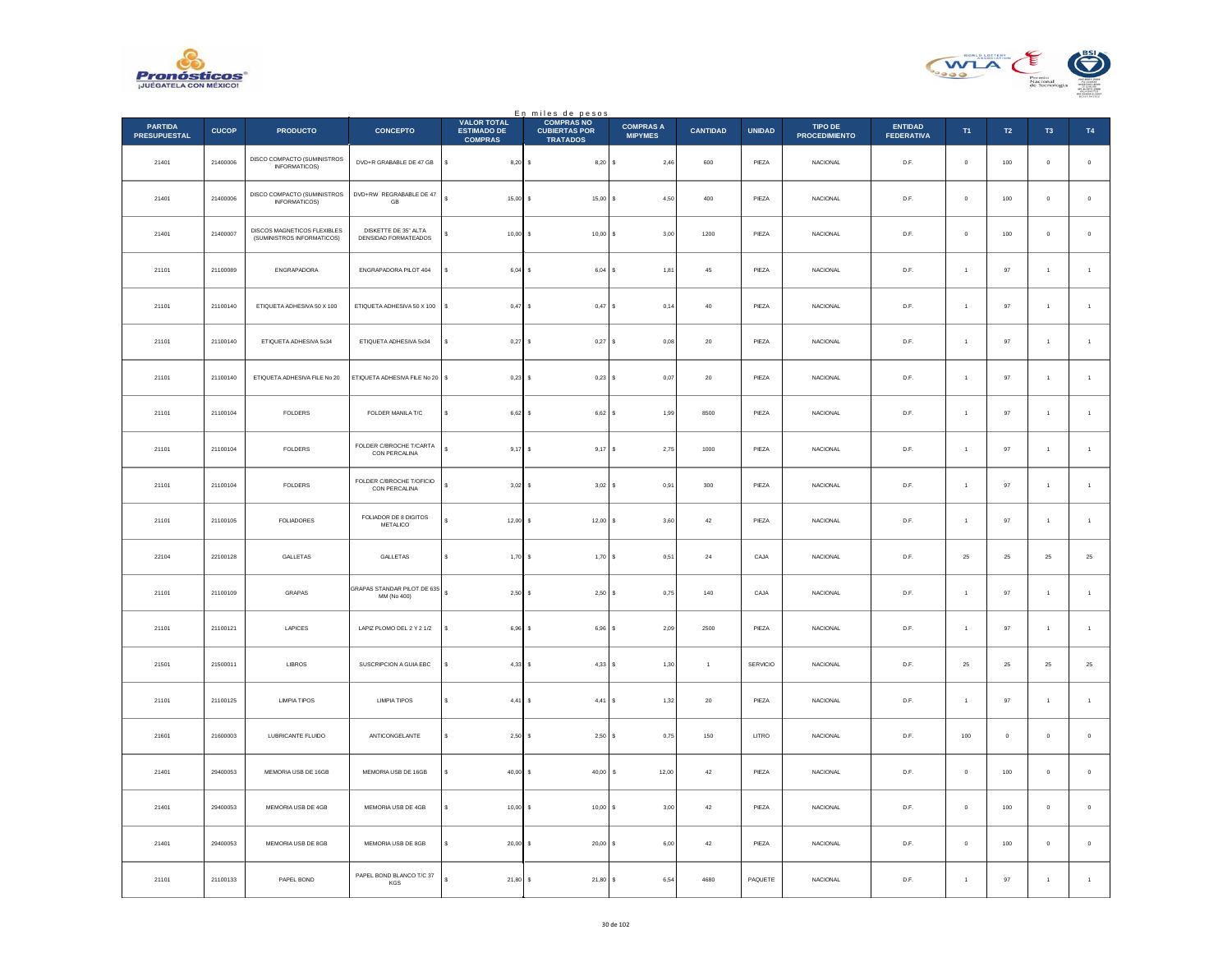



|                                       |              |                                                           |                                              |                                                            | En miles de pesos<br>COMPRAS NO         |                                    |                 |               |                                 |                                     |                      |                |                     |                |
|---------------------------------------|--------------|-----------------------------------------------------------|----------------------------------------------|------------------------------------------------------------|-----------------------------------------|------------------------------------|-----------------|---------------|---------------------------------|-------------------------------------|----------------------|----------------|---------------------|----------------|
| <b>PARTIDA</b><br><b>PRESUPUESTAL</b> | <b>CUCOP</b> | <b>PRODUCTO</b>                                           | <b>CONCEPTO</b>                              | <b>VALOR TOTAL</b><br><b>ESTIMADO DE</b><br><b>COMPRAS</b> | <b>CUBIERTAS POR</b><br><b>TRATADOS</b> | <b>COMPRAS A</b><br><b>MIPYMES</b> | <b>CANTIDAD</b> | <b>UNIDAD</b> | TIPO DE<br><b>PROCEDIMIENTO</b> | <b>ENTIDAD</b><br><b>FEDERATIVA</b> | T <sub>1</sub>       | T2             | T <sub>3</sub>      | T4             |
| 21401                                 | 21400006     | DISCO COMPACTO (SUMINISTROS<br>INFORMATICOS)              | DVD+R GRABABLE DE 47 GB                      | \$<br>$8,20$ \$                                            | $8,20$ \$                               | 2,46                               | 600             | PIEZA         | NACIONAL                        | D.F.                                | $\mathbf 0$          | 100            | $\pmb{0}$           | $\,$ 0 $\,$    |
| 21401                                 | 21400006     | DISCO COMPACTO (SUMINISTROS<br><b>INFORMATICOS)</b>       | DVD+RW REGRABABLE DE 47<br>GB                | $\overline{\mathbf{s}}$<br>$15,00$ \$                      | 15,00S                                  | 4.50                               | 400             | PIEZA         | <b>NACIONAL</b>                 | D.F.                                | $\Omega$             | 100            | $\mathbf{0}$        | $\,$ 0 $\,$    |
| 21401                                 | 21400007     | DISCOS MAGNETICOS FLEXIBLES<br>(SUMINISTROS INFORMATICOS) | DISKETTE DE 35" ALTA<br>DENSIDAD FORMATEADOS | $10,00$ \$                                                 | $10,00$ \$                              | 3,00                               | 1200            | PIEZA         | NACIONAL                        | $\mathsf{D}.\mathsf{F}.$            | $\bf{0}$             | 100            | $\bf{0}$            | $\mathbf 0$    |
| 21101                                 | 21100089     | ENGRAPADORA                                               | ENGRAPADORA PILOT 404                        | s<br>6,04S                                                 | 6,04S                                   | 1,81                               | $45\,$          | PIEZA         | <b>NACIONAL</b>                 | D.F.                                | $\overline{1}$       | $97\,$         | $\overline{1}$      | $\,$ 1 $\,$    |
| 21101                                 | 21100140     | ETIQUETA ADHESIVA 50 X 100                                | ETIQUETA ADHESIVA 50 X 100                   | $\mathbb{S}$<br>0.47S                                      | 0,47S                                   | 0,14                               | $40\,$          | PIEZA         | <b>NACIONAL</b>                 | D.F.                                | $\overline{1}$       | $97\,$         | $\mathbf{1}$        | $\,$ 1 $\,$    |
| 21101                                 | 21100140     | ETIQUETA ADHESIVA 5x34                                    | ETIQUETA ADHESIVA 5x34                       | $0,27$ \$<br>×.                                            | $0,27$ \$                               | 0,08                               | $20\,$          | PIEZA         | NACIONAL                        | D.F.                                | $\mathbf{1}$         | 97             | $\,$ 1 $\,$         | $\mathbf{1}$   |
| 21101                                 | 21100140     | ETIQUETA ADHESIVA FILE No 20                              | ETIQUETA ADHESIVA FILE No 20 \$              | $0.23$ \$                                                  | $0,23$ \$                               | 0.07                               | 20              | PIEZA         | <b>NACIONAL</b>                 | D.F.                                | $\overline{1}$       | 97             | $\overline{1}$      | $\overline{1}$ |
| 21101                                 | 21100104     | FOLDERS                                                   | FOLDER MANILA T/C                            | $6,62$ \$<br>\$                                            | 6,62S                                   | 1,99                               | 8500            | PIEZA         | NACIONAL                        | $\mathsf{D}.\mathsf{F}.$            | $\ddot{\phantom{1}}$ | 97             | $\mathbf{1}$        | $\overline{1}$ |
| 21101                                 | 21100104     | FOLDERS                                                   | FOLDER C/BROCHE T/CARTA<br>CON PERCALINA     | s<br>$9,17$ \$                                             | $9,17$ \$                               | 2,75                               | 1000            | PIEZA         | NACIONAL                        | D.F.                                | $\overline{1}$       | 97             | $\overline{1}$      | $\overline{1}$ |
| 21101                                 | 21100104     | FOLDERS                                                   | FOLDER C/BROCHE T/OFICIO<br>CON PERCALINA    | $3,02$ \$                                                  | $3,02$ \$                               | 0,91                               | 300             | PIEZA         | NACIONAL                        | D.F.                                | $\overline{1}$       | 97             | $\mathbf{1}$        | $\mathbf{1}$   |
| 21101                                 | 21100105     | <b>FOLIADORES</b>                                         | FOLIADOR DE 8 DIGITOS<br>METALICO            | $12,00$ \$                                                 | $12,00$ \$                              | 3,60                               | $42\,$          | PIEZA         | <b>NACIONAL</b>                 | D.F.                                | $\mathbf{1}$         | $97\,$         | $\mathbf{1}$        | $\,$ 1 $\,$    |
| 22104                                 | 22100128     | GALLETAS                                                  | GALLETAS                                     | 1,70S<br>s                                                 | 1,70S                                   | 0.51                               | 24              | CAJA          | <b>NACIONAL</b>                 | D.F.                                | 25                   | 25             | 25                  | 25             |
| 21101                                 | 21100109     | GRAPAS                                                    | GRAPAS STANDAR PILOT DE 635<br>MM (No 400)   | 2,50S<br>s                                                 | 2,50S                                   | 0,75                               | 140             | CAJA          | <b>NACIONAL</b>                 | D.F.                                | $\overline{1}$       | 97             | $\overline{1}$      | $\mathbf{1}$   |
| 21101                                 | 21100121     | LAPICES                                                   | LAPIZ PLOMO DEL 2 Y 2 1/2                    | s<br>$6.96$ $\overline{\phantom{0}}$                       | $6,96$ $S$                              | 2,09                               | 2500            | PIEZA         | <b>NACIONAL</b>                 | D.F.                                | $\overline{1}$       | 97             | $\overline{1}$      | $\overline{1}$ |
| 21501                                 | 21500011     | LIBROS                                                    | SUSCRIPCION A GUIA EBC                       | $4,33$ \$                                                  | 4,33S                                   | 1,30                               | $\,$ 1 $\,$     | SERVICIO      | NACIONAL                        | $D.F.$                              | $\bf 25$             | $2\sqrt{5}$    | $2\mathsf{S}$       | $25\,$         |
| 21101                                 | 21100125     | <b>LIMPIA TIPOS</b>                                       | <b>LIMPIA TIPOS</b>                          | s<br>$4,41$ \$                                             | 4,41S                                   | 1,32                               | $20\,$          | PIEZA         | NACIONAL                        | D.F.                                | $\mathbf{1}$         | $97\,$         | $\,$ 1 $\,$         | $\,$ 1 $\,$    |
| 21601                                 | 21600003     | LUBRICANTE FLUIDO                                         | ANTICONGELANTE                               | s<br>$2.50$ S                                              | 2,50S                                   | 0.75                               | 150             | LITRO         | <b>NACIONAL</b>                 | D.F.                                | 100                  | $\overline{0}$ | $\mathbf 0$         | $\,$ 0 $\,$    |
| 21401                                 | 29400053     | MEMORIA USB DE 16GB                                       | MEMORIA USB DE 16GB                          | $40,00$ \$                                                 | $40,00$ \$                              | 12,00                              | $42\,$          | PIEZA         | NACIONAL                        | $\mathsf{D}.\mathsf{F}.$            | $\bf{0}$             | 100            | $\ddot{\mathbf{0}}$ | $\,$ 0 $\,$    |
| 21401                                 | 29400053     | MEMORIA USB DE 4GB                                        | MEMORIA USB DE 4GB                           | s<br>$10,00$ \$                                            | 10,00 S                                 | 3,00                               | $42\,$          | PIEZA         | <b>NACIONAL</b>                 | D.F.                                | $\Omega$             | 100            | $\Omega$            | $\,$ 0 $\,$    |
| 21401                                 | 29400053     | MEMORIA USB DE 8GB                                        | MEMORIA USB DE 8GB                           | 20,00                                                      | $20,00$ \$                              | 6,00                               | $42\,$          | PIEZA         | <b>NACIONAL</b>                 | D.F.                                | $\mathbf 0$          | 100            | $\bf{0}$            | $\mathbb O$    |
| 21101                                 | 21100133     | PAPEL BOND                                                | PAPEL BOND BLANCO T/C 37<br>KGS              | s<br>21,80S                                                | 21,80 \$                                | 6,54                               | 4680            | PAQUETE       | NACIONAL                        | D.F.                                | $\mathbf{1}$         | 97             | $\,$ 1 $\,$         | $\overline{1}$ |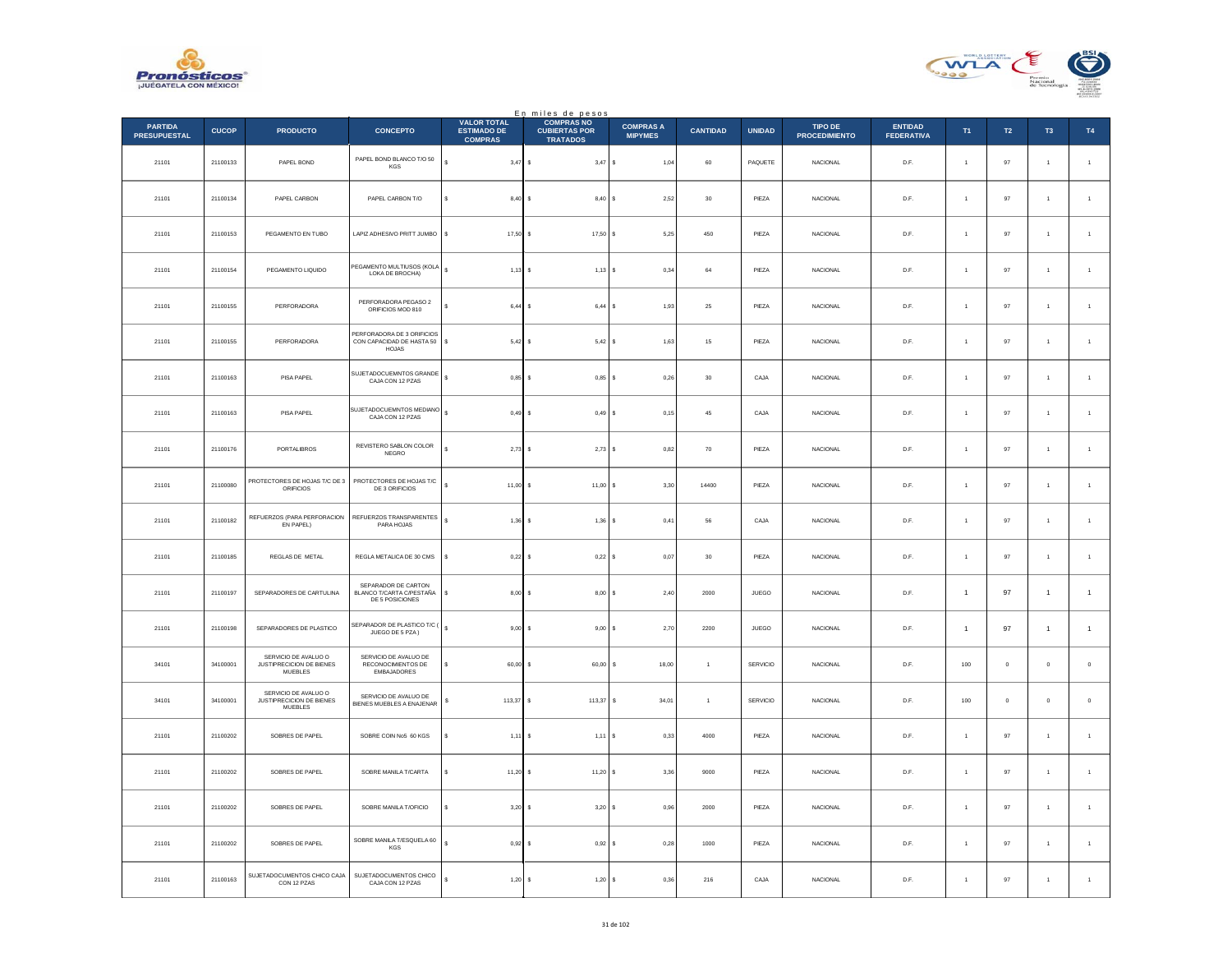



|                                       |              |                                                                    |                                                                         |                                                     | En miles de pesos                                            |                                    |                 |               |                                 |                                     |                      |                |                |                      |
|---------------------------------------|--------------|--------------------------------------------------------------------|-------------------------------------------------------------------------|-----------------------------------------------------|--------------------------------------------------------------|------------------------------------|-----------------|---------------|---------------------------------|-------------------------------------|----------------------|----------------|----------------|----------------------|
| <b>PARTIDA</b><br><b>PRESUPUESTAL</b> | <b>CUCOP</b> | <b>PRODUCTO</b>                                                    | <b>CONCEPTO</b>                                                         | VALOR TOTAL<br><b>ESTIMADO DE</b><br><b>COMPRAS</b> | <b>COMPRAS NO</b><br><b>CUBIERTAS POR</b><br><b>TRATADOS</b> | <b>COMPRAS A</b><br><b>MIPYMES</b> | <b>CANTIDAD</b> | <b>UNIDAD</b> | TIPO DE<br><b>PROCEDIMIENTO</b> | <b>ENTIDAD</b><br><b>FEDERATIVA</b> | T1                   | T2             | T <sub>3</sub> | T4                   |
| 21101                                 | 21100133     | PAPEL BOND                                                         | PAPEL BOND BLANCO T/O 50<br>KGS                                         | $3,47$ \$                                           | $3,47$ \$                                                    | 1,04                               | 60              | PAQUETE       | <b>NACIONAL</b>                 | D.F.                                | $\overline{1}$       | 97             | $\overline{1}$ | $\overline{1}$       |
| 21101                                 | 21100134     | PAPEL CARBON                                                       | PAPEL CARBON T/O                                                        | 8,40S                                               | 8,40                                                         | 2,52                               | 30              | PIEZA         | <b>NACIONAL</b>                 | D.F.                                | $\overline{1}$       | 97             | $\overline{1}$ | $\overline{1}$       |
| 21101                                 | 21100153     | PEGAMENTO EN TUBO                                                  | LAPIZ ADHESIVO PRITT JUMBO                                              | s<br>$17,50$ \$                                     | 17,50 S                                                      | 5,25                               | 450             | PIEZA         | <b>NACIONAL</b>                 | D.F.                                | $\ddot{\phantom{1}}$ | 97             | $\overline{1}$ | $\overline{1}$       |
| 21101                                 | 21100154     | PEGAMENTO LIQUIDO                                                  | PEGAMENTO MULTIUSOS (KOLA<br>LOKA DE BROCHA)                            | s<br>$1,13$ \$                                      | $1,13$ \$                                                    | 0.34                               | 64              | PIEZA         | <b>NACIONAL</b>                 | D.F.                                | $\overline{1}$       | 97             | $\overline{1}$ | $\overline{1}$       |
| 21101                                 | 21100155     | PERFORADORA                                                        | PERFORADORA PEGASO 2<br>ORIFICIOS MOD 810                               | $6,44$ \$                                           | 6,44                                                         | 1,93<br>s                          | $\bf 25$        | PIEZA         | NACIONAL                        | D.F.                                |                      | 97             | $\mathbf{1}$   | $\,$ 1 $\,$          |
| 21101                                 | 21100155     | PERFORADORA                                                        | PERFORADORA DE 3 ORIFICIOS<br>CON CAPACIDAD DE HASTA 50<br><b>HOJAS</b> | $5,42$ \$<br>s                                      | $5,42$ \$                                                    | 1.63                               | 15              | PIEZA         | <b>NACIONAL</b>                 | D.F.                                | $\ddot{\phantom{1}}$ | 97             | $\overline{1}$ | $\overline{1}$       |
| 21101                                 | 21100163     | PISA PAPEL                                                         | SUJETADOCUEMNTOS GRANDE<br>CAJA CON 12 PZAS                             | s<br>$0,85$ \$                                      | $0,85$ \$                                                    | 0,26                               | 30              | CAJA          | <b>NACIONAL</b>                 | D.F.                                | $\overline{1}$       | 97             | $\overline{1}$ | $\mathbf{1}$         |
| 21101                                 | 21100163     | PISA PAPEL                                                         | SUJETADOCUEMNTOS MEDIANO<br>CAJA CON 12 PZAS                            | s<br>0,49S                                          | $0,49$ \$                                                    | 0,15                               | 45              | CAJA          | <b>NACIONAL</b>                 | D.F.                                | $\ddot{\phantom{1}}$ | 97             | $\overline{1}$ | $\overline{1}$       |
| 21101                                 | 21100176     | <b>PORTALIBROS</b>                                                 | REVISTERO SABLON COLOR<br>NEGRO                                         | $2,73$ \$                                           | 2,73                                                         | 0.82<br>-S                         | 70              | PIEZA         | <b>NACIONAL</b>                 | D.F.                                | $\overline{1}$       | 97             | $\overline{1}$ | $\overline{1}$       |
| 21101                                 | 21100080     | PROTECTORES DE HOJAS T/C DE 3<br><b>ORIFICIOS</b>                  | PROTECTORES DE HOJAS T/C<br>DE 3 ORIFICIOS                              | $11,00$ \$                                          | 11,00                                                        | 3,30                               | 14400           | PIEZA         | NACIONAL                        | D.F.                                |                      | 97             | $\mathbf{1}$   | $\mathbf{1}$         |
| 21101                                 | 21100182     | REFUERZOS (PARA PERFORACION<br>EN PAPEL)                           | REFUERZOS TRANSPARENTES<br>PARA HOJAS                                   | s<br>$1,36$ \$                                      | $1,36$ \$                                                    | 0,41                               | 56              | CAJA          | NACIONAL                        | D.F.                                | $\ddot{\phantom{1}}$ | 97             | $\mathbf{1}$   | $\overline{1}$       |
| 21101                                 | 21100185     | REGLAS DE METAL                                                    | REGLA METALICA DE 30 CMS                                                | $0,22$ \$                                           | 0,22S                                                        | 0,07                               | 30              | PIEZA         | <b>NACIONAL</b>                 | D.F.                                | $\overline{1}$       | 97             | $\overline{1}$ | $\mathbf{1}$         |
| 21101                                 | 21100197     | SEPARADORES DE CARTULINA                                           | SEPARADOR DE CARTON<br>BLANCO T/CARTA C/PESTAÑA<br>DE 5 POSICIONES      | $8,00$ \$<br>\$                                     | 8,00                                                         | 2,40<br>l s                        | 2000            | JUEGO         | <b>NACIONAL</b>                 | D.F.                                | $\overline{1}$       | 97             | $\mathbf{1}$   | $\mathbf{1}$         |
| 21101                                 | 21100198     | SEPARADORES DE PLASTICO                                            | SEPARADOR DE PLASTICO T/C (<br>JUEGO DE 5 PZA)                          | s<br>$9.00$ S                                       | 9,00                                                         | 2,70<br>s                          | 2200            | <b>JUEGO</b>  | <b>NACIONAL</b>                 | D.F.                                | $\mathbf{1}$         | 97             | $\mathbf{1}$   | $\mathbf{1}$         |
| 34101                                 | 34100001     | SERVICIO DE AVALUO O<br>JUSTIPRECICION DE BIENES<br>MUEBLES        | SERVICIO DE AVALUO DE<br>RECONOCIMIENTOS DE<br>EMBAJADORES              | $60,00$ \$<br>\$                                    | 60,00                                                        | 18,00<br>\$                        | $\mathbf{1}$    | SERVICIO      | NACIONAL                        | D.F.                                | 100                  | $\mathbb O$    | $\mathbf 0$    | $\,$ 0 $\,$          |
| 34101                                 | 34100001     | SERVICIO DE AVALUO O<br>JUSTIPRECICION DE BIENES<br><b>MUEBLES</b> | SERVICIO DE AVALUO DE<br>BIENES MUEBLES A ENAJENAR                      | 113,37 \$                                           | 113,37                                                       | s<br>34,01                         | $\overline{1}$  | SERVICIO      | <b>NACIONAL</b>                 | D.F.                                | 100                  | $\overline{0}$ | $\bf{0}$       | $\,0\,$              |
| 21101                                 | 21100202     | SOBRES DE PAPEL                                                    | SOBRE COIN No5 60 KGS                                                   | $1,11$ \$<br>s                                      | 1,11                                                         | 0,33                               | 4000            | PIEZA         | <b>NACIONAL</b>                 | D.F.                                | $\overline{1}$       | 97             | $\overline{1}$ | $\mathbf{1}$         |
| 21101                                 | 21100202     | SOBRES DE PAPEL                                                    | SOBRE MANILA T/CARTA                                                    | $11,20$ \$<br>\$                                    | 11,20S                                                       | 3,36                               | $9000\,$        | PIEZA         | NACIONAL                        | D.F.                                |                      | 97             | $\mathbf{1}$   | $\mathbf{1}$         |
| 21101                                 | 21100202     | SOBRES DE PAPEL                                                    | SOBRE MANILA T/OFICIO                                                   | $3.20$ \$                                           | 3,20                                                         | 0.96                               | 2000            | PIEZA         | <b>NACIONAL</b>                 | D.F.                                | $\overline{1}$       | 97             | $\overline{1}$ | $\overline{1}$       |
| 21101                                 | 21100202     | SOBRES DE PAPEL                                                    | SOBRE MANILA T/ESQUELA 60<br>KGS                                        | 0,92                                                | 0,92<br>-S                                                   | 0,28<br>s                          | 1000            | PIEZA         | <b>NACIONAL</b>                 | D.F.                                | $\mathbf{1}$         | 97             | $\mathbf{1}$   | $\overline{1}$       |
| 21101                                 | 21100163     | SUJETADOCUMENTOS CHICO CAJA<br>CON 12 PZAS                         | SUJETADOCUMENTOS CHICO<br>CAJA CON 12 PZAS                              | s<br>1,20                                           | $\mathbf{s}$<br>$1,20$ \$                                    | 0,36                               | 216             | CAJA          | NACIONAL                        | D.F.                                | $\ddot{\phantom{1}}$ | 97             | $\mathbf{1}$   | $\ddot{\phantom{1}}$ |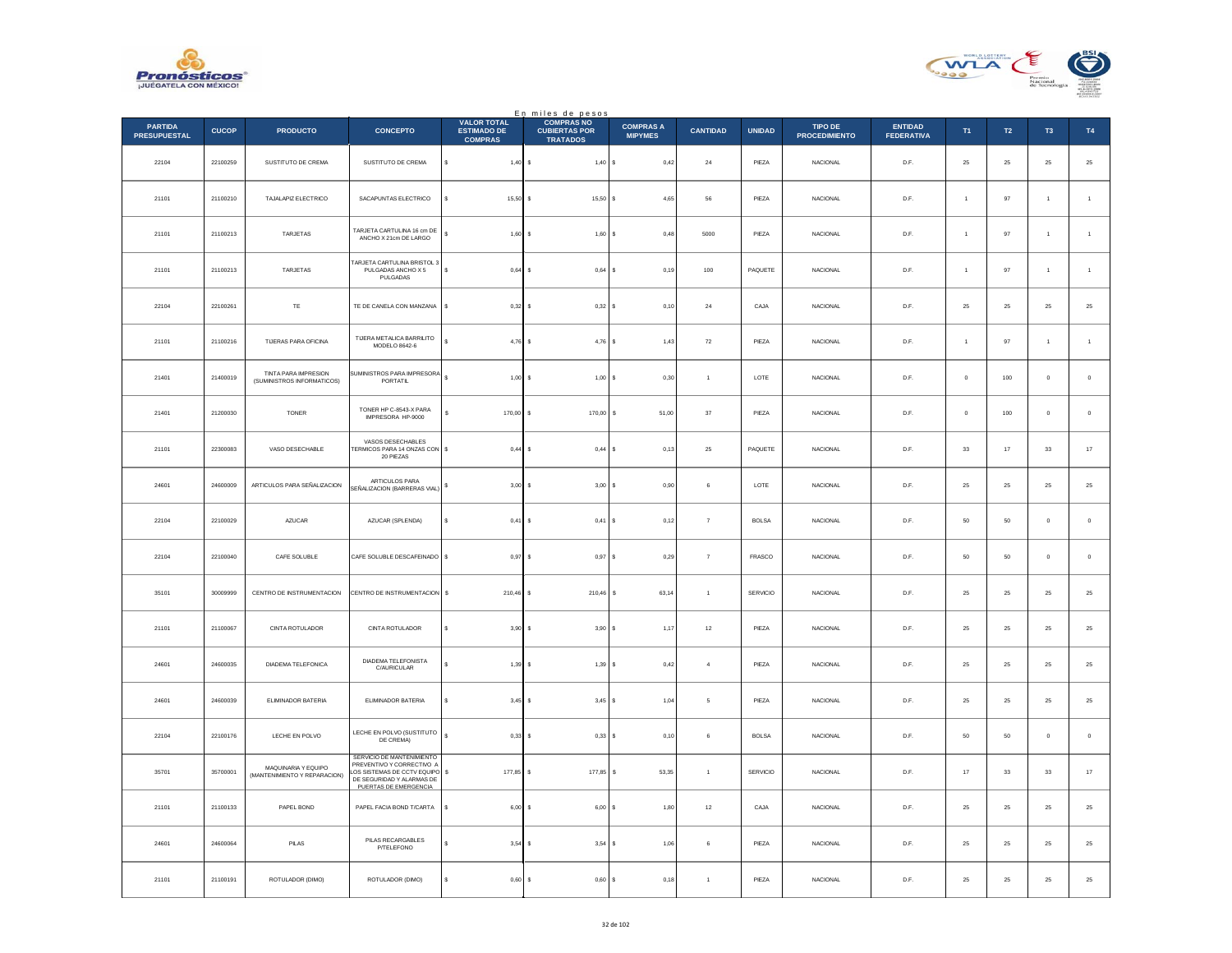



|                                       |              |                                                     |                                                                                                                                                |                                                            | En miles de pesos<br>COMPRAS NO         |                                    |                   |               |                                 |                              |                      |            |                     |                  |
|---------------------------------------|--------------|-----------------------------------------------------|------------------------------------------------------------------------------------------------------------------------------------------------|------------------------------------------------------------|-----------------------------------------|------------------------------------|-------------------|---------------|---------------------------------|------------------------------|----------------------|------------|---------------------|------------------|
| <b>PARTIDA</b><br><b>PRESUPUESTAL</b> | <b>CUCOP</b> | <b>PRODUCTO</b>                                     | <b>CONCEPTO</b>                                                                                                                                | <b>VALOR TOTAL</b><br><b>ESTIMADO DE</b><br><b>COMPRAS</b> | <b>CUBIERTAS POR</b><br><b>TRATADOS</b> | <b>COMPRAS A</b><br><b>MIPYMES</b> | <b>CANTIDAD</b>   | <b>UNIDAD</b> | TIPO DE<br><b>PROCEDIMIENTO</b> | ENTIDAD<br><b>FEDERATIVA</b> | T <sub>1</sub>       | T2         | T <sub>3</sub>      | T4               |
| 22104                                 | 22100259     | SUSTITUTO DE CREMA                                  | SUSTITUTO DE CREMA                                                                                                                             | \$<br>$1,40$ \$                                            | 1,40                                    | 0,42<br>l s                        | $\bf 24$          | PIEZA         | NACIONAL                        | D.F.                         | $25\,$               | $25\,$     | $\bf 25$            | $\bf 25$         |
| 21101                                 | 21100210     | TAJALAPIZ ELECTRICO                                 | SACAPUNTAS ELECTRICO                                                                                                                           | 15,50 \$                                                   | 15,50S                                  | 4.65                               | 56                | PIEZA         | <b>NACIONAL</b>                 | D.F.                         | $\overline{1}$       | 97         | $\overline{1}$      | $\overline{1}$   |
| 21101                                 | 21100213     | TARJETAS                                            | TARJETA CARTULINA 16 cm DE<br>ANCHO X 21cm DE LARGO                                                                                            | $1,60$ \$                                                  | 1,60S                                   | 0,48                               | 5000              | PIEZA         | NACIONAL                        | D.F.                         | $\overline{1}$       | 97         | 1                   | $\,$ 1 $\,$      |
| 21101                                 | 21100213     | TARJETAS                                            | <b>TARJETA CARTULINA BRISTOL 3</b><br>PULGADAS ANCHO X 5<br>PULGADAS                                                                           | s<br>$0,64$ \$                                             | 0,64                                    | 0,19<br>s                          | $100\,$           | PAQUETE       | NACIONAL                        | D.F.                         | $\overline{1}$       | 97         | $\overline{1}$      | $\,$ 1 $\,$      |
| 22104                                 | 22100261     | TE                                                  | TE DE CANELA CON MANZANA                                                                                                                       | s<br>$0.32$ S                                              | 0.32 S                                  | 0.10                               | 24                | CAJA          | <b>NACIONAL</b>                 | D.F.                         | 25                   | 25         | 25                  | $2\sqrt{5}$      |
| 21101                                 | 21100216     | TIJERAS PARA OFICINA                                | TUERA METALICA BARRILITO<br>MODELO 8642-6                                                                                                      | $4,76$ \$                                                  | $4,76$ \$                               | 1,43                               | ${\bf 72}$        | PIEZA         | NACIONAL                        | D.F.                         | $\ddot{\phantom{1}}$ | 97         | $\,$ 1 $\,$         | $\,$ 1 $\,$      |
| 21401                                 | 21400019     | TINTA PARA IMPRESION<br>(SUMINISTROS INFORMATICOS)  | SUMINISTROS PARA IMPRESORA<br>PORTATIL                                                                                                         | $\epsilon$<br>$1,00$ \$                                    | $1,00$ \$                               | 0.30                               | $\overline{1}$    | LOTE          | <b>NACIONAL</b>                 | D.F                          | $\Omega$             | 100        | $\theta$            | $\,$ 0 $\,$      |
| 21401                                 | 21200030     | TONER                                               | TONER HP C-8543-X PARA<br>IMPRESORA HP-9000                                                                                                    | 170,00 \$                                                  | 170,00                                  | s<br>51,00                         | $_{\rm 37}$       | PIEZA         | NACIONAL                        | D.F.                         | $\circ$              | 100        | $\mathbf{0}$        | $\,$ 0 $\,$      |
| 21101                                 | 22300083     | VASO DESECHABLE                                     | VASOS DESECHABLES<br>FERMICOS PARA 14 ONZAS CON \$<br>20 PIEZAS                                                                                | $0,44$ \$                                                  | 0,44                                    | 0,13<br><b>s</b>                   | ${\bf 25}$        | PAQUETE       | NACIONAL                        | D.F.                         | $_{\rm 33}$          | $17\,$     | $_{\rm 33}$         | $17\,$           |
| 24601                                 | 24600009     | ARTICULOS PARA SEÑALIZACION                         | ARTICULOS PARA<br>SEÑALIZACION (BARRERAS VIAL)                                                                                                 | 3,00<br>s                                                  | 3,00<br>ΙS                              | 0,90<br>s                          | 6                 | LOTE          | <b>NACIONAL</b>                 | D.F.                         | 25                   | 25         | 25                  | $25\,$           |
| 22104                                 | 22100029     | AZUCAR                                              | AZUCAR (SPLENDA)                                                                                                                               | $0,41$ \$<br>Ś                                             | 0,41                                    | 0,12                               | $\scriptstyle{7}$ | <b>BOLSA</b>  | NACIONAL                        | D.F.                         | $50\,$               | 50         | $\ddot{\mathbf{0}}$ | $\,$ 0 $\,$      |
| 22104                                 | 22100040     | CAFE SOLUBLE                                        | CAFE SOLUBLE DESCAFEINADO   \$                                                                                                                 | $0,97$ \$                                                  | 0.97S                                   | 0,29                               | $\overline{7}$    | FRASCO        | <b>NACIONAL</b>                 | D.F                          | 50                   | 50         | $\Omega$            | $\mathbb O$      |
| 35101                                 | 30009999     | CENTRO DE INSTRUMENTACION                           | CENTRO DE INSTRUMENTACION                                                                                                                      | 210,46 \$<br>s                                             | 210,46                                  | 63,14<br>s                         | $\overline{1}$    | SERVICIO      | <b>NACIONAL</b>                 | D.F.                         | 25                   | 25         | 25                  | $25\,$           |
| 21101                                 | 21100067     | CINTA ROTULADOR                                     | CINTA ROTULADOR                                                                                                                                | s<br>3,90S                                                 | 3,90                                    | 1,17                               | $12 \,$           | PIEZA         | NACIONAL                        | D.F.                         | 25                   | ${\bf 25}$ | $25\,$              | $\mathbf{^{25}}$ |
| 24601                                 | 24600035     | DIADEMA TELEFONICA                                  | DIADEMA TELEFONISTA<br>C/AURICULAR                                                                                                             | s<br>$1,39$ \$                                             | 1,39                                    | 0,42<br>s                          | $\overline{4}$    | PIEZA         | <b>NACIONAL</b>                 | D.F.                         | 25                   | 25         | 25                  | $25\,$           |
| 24601                                 | 24600039     | ELIMINADOR BATERIA                                  | ELIMINADOR BATERIA                                                                                                                             | 3,45                                                       | 3,45<br>s                               | 1,04                               | 5                 | PIEZA         | NACIONAL                        | $\mathsf{D}.\mathsf{F}.$     | $25\,$               | 25         | $2\mathsf{S}$       | $25\,$           |
| 22104                                 | 22100176     | LECHE EN POLVO                                      | LECHE EN POLVO (SUSTITUTO<br>DE CREMA)                                                                                                         | s<br>$0.33$ \$                                             | $0,33$ \$                               | 0,10                               | 6                 | <b>BOLSA</b>  | <b>NACIONAL</b>                 | D.F.                         | 50                   | 50         | $\mathbf 0$         | $\circ$          |
| 35701                                 | 35700001     | MAQUINARIA Y EQUIPO<br>(MANTENIMIENTO Y REPARACION) | SERVICIO DE MANTENIMIENTO<br>PREVENTIVO Y CORRECTIVO A<br>LOS SISTEMAS DE CCTV EQUIPO \$<br>DE SEGURIDAD Y ALARMAS DE<br>PUERTAS DE EMERGENCIA | 177,85 \$                                                  | 177,85                                  | s<br>53,35                         | $\overline{1}$    | SERVICIO      | <b>NACIONAL</b>                 | D.F.                         | 17                   | 33         | 33                  | $17\,$           |
| 21101                                 | 21100133     | PAPEL BOND                                          | PAPEL FACIA BOND T/CARTA                                                                                                                       | \$<br>$6,00$ \$                                            | 6,00S                                   | 1,80                               | $12 \,$           | CAJA          | NACIONAL                        | D.F.                         | 25                   | ${\bf 25}$ | $25\,$              | $25\,$           |
| 24601                                 | 24600064     | PILAS                                               | PILAS RECARGABLES<br>P/TELEFONO                                                                                                                | $3,54$ \$                                                  | 3,54                                    | 1.06<br>-S                         | 6                 | PIEZA         | <b>NACIONAL</b>                 | D.F.                         | 25                   | 25         | 25                  | 25               |
| 21101                                 | 21100191     | ROTULADOR (DIMO)                                    | ROTULADOR (DIMO)                                                                                                                               | 0,60                                                       | 0,60<br>s                               | 0,18                               | $\overline{1}$    | PIEZA         | NACIONAL                        | D.F.                         | 25                   | 25         | 25                  | $25\,$           |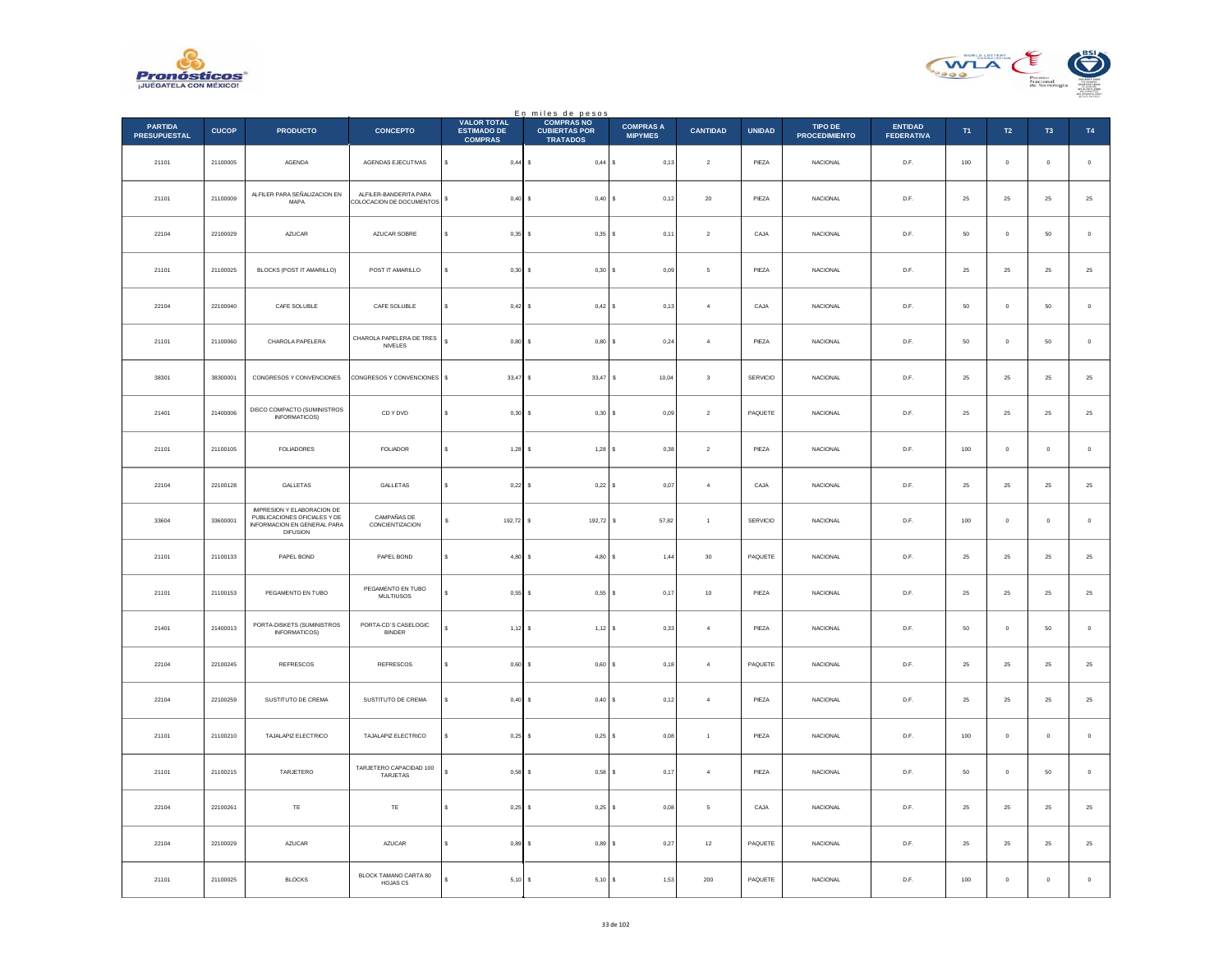



|                                       |              |                                                                                                                     |                                                    |                                                            | En miles de pesos<br>COMPRAS NO         |                                    |                         |               |                                 |                                     |            |                |                |             |
|---------------------------------------|--------------|---------------------------------------------------------------------------------------------------------------------|----------------------------------------------------|------------------------------------------------------------|-----------------------------------------|------------------------------------|-------------------------|---------------|---------------------------------|-------------------------------------|------------|----------------|----------------|-------------|
| <b>PARTIDA</b><br><b>PRESUPUESTAL</b> | <b>CUCOP</b> | <b>PRODUCTO</b>                                                                                                     | <b>CONCEPTO</b>                                    | <b>VALOR TOTAL</b><br><b>ESTIMADO DE</b><br><b>COMPRAS</b> | <b>CUBIERTAS POR</b><br><b>TRATADOS</b> | <b>COMPRAS A</b><br><b>MIPYMES</b> | <b>CANTIDAD</b>         | <b>UNIDAD</b> | TIPO DE<br><b>PROCEDIMIENTO</b> | <b>ENTIDAD</b><br><b>FEDERATIVA</b> | T1         | T2             | T <sub>3</sub> | T4          |
| 21101                                 | 21100005     | AGENDA                                                                                                              | AGENDAS EJECUTIVAS                                 | $\mathbb{S}$<br>$0,44$ \$                                  | 0,44S                                   | 0,13                               | $\boldsymbol{2}$        | PIEZA         | NACIONAL                        | D.F.                                | 100        | $\mathbf 0$    | $\mathbf 0$    | $\,$ 0 $\,$ |
| 21101                                 | 21100009     | ALFILER PARA SEÑALIZACION EN<br>MAPA                                                                                | ALFILER-BANDERITA PARA<br>COLOCACION DE DOCUMENTOS | $0,40$ \$<br>s                                             | $0,40$ \$                               | 0,12                               | 20                      | PIEZA         | <b>NACIONAL</b>                 | D.F.                                | 25         | $25\,$         | 25             | $\bf 25$    |
| 22104                                 | 22100029     | AZUCAR                                                                                                              | AZUCAR SOBRE                                       | $0,35$ \$                                                  | $0,35$ \$                               | 0,11                               | $\,2\,$                 | CAJA          | NACIONAL                        | $\mathsf{D}.\mathsf{F}.$            | ${\bf 50}$ | $\circ$        | $50\,$         | $\,$ 0 $\,$ |
| 21101                                 | 21100025     | BLOCKS (POST IT AMARILLO)                                                                                           | POST IT AMARILLO                                   | \$<br>$0,30$ \$                                            | 0,30S                                   | 0,09                               | $\mathsf{s}$            | PIEZA         | <b>NACIONAL</b>                 | D.F.                                | $25\,$     | $25\,$         | $\bf 25$       | $25\,$      |
| 22104                                 | 22100040     | CAFE SOLUBLE                                                                                                        | CAFE SOLUBLE                                       | s<br>$0.42$ \$                                             | 0,42S                                   | 0,13                               | $\boldsymbol{4}$        | CAJA          | <b>NACIONAL</b>                 | D.F.                                | $50\,$     | $\mathbf 0$    | $50\,$         | $\,$ 0 $\,$ |
| 21101                                 | 21100060     | CHAROLA PAPELERA                                                                                                    | CHAROLA PAPELERA DE TRES<br><b>NIVELES</b>         | $\epsilon$<br>$0,80$ \$                                    | 0,80S                                   | 0,24                               | $\overline{4}$          | PIEZA         | <b>NACIONAL</b>                 | D.F.                                | 50         | $\overline{0}$ | 50             | $\,0\,$     |
| 38301                                 | 38300001     | CONGRESOS Y CONVENCIONES                                                                                            | CONGRESOS Y CONVENCIONES \$                        | $33,47$ \$                                                 | 33,47 S                                 | 10,04                              | $\overline{\mathbf{3}}$ | SERVICIO      | <b>NACIONAL</b>                 | D.F.                                | 25         | 25             | 25             | $\sqrt{25}$ |
| 21401                                 | 21400006     | DISCO COMPACTO (SUMINISTROS<br><b>INFORMATICOS)</b>                                                                 | CD Y DVD                                           | $0,30$ \$<br>\$                                            | $0,30$ \$                               | 0,09                               | $\boldsymbol{2}$        | PAQUETE       | NACIONAL                        | D.F.                                | 25         | $25\,$         | $\bf 25$       | $25\,$      |
| 21101                                 | 21100105     | <b>FOLIADORES</b>                                                                                                   | <b>FOLIADOR</b>                                    | s<br>$1,28$ \$                                             | $1,28$ \$                               | 0,38                               | $\overline{2}$          | PIEZA         | <b>NACIONAL</b>                 | D.F.                                | 100        | $\overline{0}$ | $\mathbf{0}$   | $\,$ 0 $\,$ |
| 22104                                 | 22100128     | GALLETAS                                                                                                            | GALLETAS                                           | $0,22$ \$                                                  | 0,22S                                   | 0,07                               | $\sqrt{4}$              | CAJA          | <b>NACIONAL</b>                 | D.F.                                | 25         | 25             | 25             | $25\,$      |
| 33604                                 | 33600001     | <b>IMPRESION Y ELABORACION DE</b><br>PUBLICACIONES OFICIALES Y DE<br>INFORMACION EN GENERAL PARA<br><b>DIFUSION</b> | CAMPAÑAS DE<br>CONCIENTIZACION                     | s<br>192,72 \$                                             | 192,72                                  | 57,82<br>s                         | $\,$ 1 $\,$             | SERVICIO      | <b>NACIONAL</b>                 | D.F.                                | 100        | $\,$ 0 $\,$    | $\mathbf 0$    | $\,$ 0 $\,$ |
| 21101                                 | 21100133     | PAPEL BOND                                                                                                          | PAPEL BOND                                         | 4,80S<br>s                                                 | 4,80 \$                                 | 1,44                               | 30                      | PAQUETE       | <b>NACIONAL</b>                 | D.F.                                | 25         | 25             | 25             | $25\,$      |
| 21101                                 | 21100153     | PEGAMENTO EN TUBO                                                                                                   | PEGAMENTO EN TUBO<br><b>MULTIUSOS</b>              | $0,55$ \$                                                  | 0,55S                                   | 0,17                               | $10\,$                  | PIEZA         | <b>NACIONAL</b>                 | D.F.                                | 25         | $25\,$         | 25             | $2\sqrt{5}$ |
| 21401                                 | 21400013     | PORTA-DISKETS (SUMINISTROS<br>INFORMATICOS)                                                                         | PORTA-CD'S CASELOGIC<br><b>BINDER</b>              | $1,12$ \$                                                  | $1,12$ \$                               | 0,33                               | $\overline{4}$          | PIEZA         | <b>NACIONAL</b>                 | D.F.                                | 50         | $\overline{0}$ | 50             | $\mathbf 0$ |
| 22104                                 | 22100245     | REFRESCOS                                                                                                           | REFRESCOS                                          | $0,60$ \$                                                  | 0,60                                    | 0,18                               | $\,$ 4 $\,$             | PAQUETE       | NACIONAL                        | $\mathsf{D}.\mathsf{F}.$            | $25\,$     | $2\sqrt{5}$    | $2\mathsf{S}$  | $25\,$      |
| 22104                                 | 22100259     | SUSTITUTO DE CREMA                                                                                                  | SUSTITUTO DE CREMA                                 | $0,40$ \$<br>s                                             | 0,40S                                   | 0,12                               | $\sqrt{4}$              | PIEZA         | NACIONAL                        | D.F.                                | $25\,$     | $25\,$         | $25\,$         | $\bf 25$    |
| 21101                                 | 21100210     | TAJALAPIZ ELECTRICO                                                                                                 | TAJALAPIZ ELECTRICO                                | $0.25$ S<br>s                                              | $0,25$ \$                               | 0.08                               | $\overline{1}$          | PIEZA         | <b>NACIONAL</b>                 | D.F.                                | 100        | $\overline{0}$ | $\mathbf{0}$   | $\mathbb O$ |
| 21101                                 | 21100215     | TARJETERO                                                                                                           | TARJETERO CAPACIDAD 100<br>TARJETAS                | $0,58$ \$<br>ś                                             | $0,58$ \$                               | 0,17                               | $\overline{4}$          | PIEZA         | NACIONAL                        | $\mathsf{D}.\mathsf{F}.$            | $50\,$     | $\mathbf 0$    | $50\,$         | $\,$ 0 $\,$ |
| 22104                                 | 22100261     | $\mathsf{T}\mathsf{E}$                                                                                              | TE                                                 | s<br>$0.25$ \$                                             | 0.25S                                   | 0,08                               | 5                       | CAJA          | <b>NACIONAL</b>                 | D.F.                                | 25         | 25             | 25             | $25\,$      |
| 22104                                 | 22100029     | AZUCAR                                                                                                              | AZUCAR                                             | $0.89$ \$                                                  | 0,89S                                   | 0,27                               | 12                      | PAQUETE       | <b>NACIONAL</b>                 | D.F.                                | 25         | 25             | 25             | $25\,$      |
| 21101                                 | 21100025     | <b>BLOCKS</b>                                                                                                       | BLOCK TAMANO CARTA 80<br>HOJAS C5                  | $5,10$ \$                                                  | 5,10S                                   | 1,53                               | 200                     | PAQUETE       | NACIONAL                        | D.F.                                | 100        | $\overline{0}$ | $\bf 0$        | $\,0\,$     |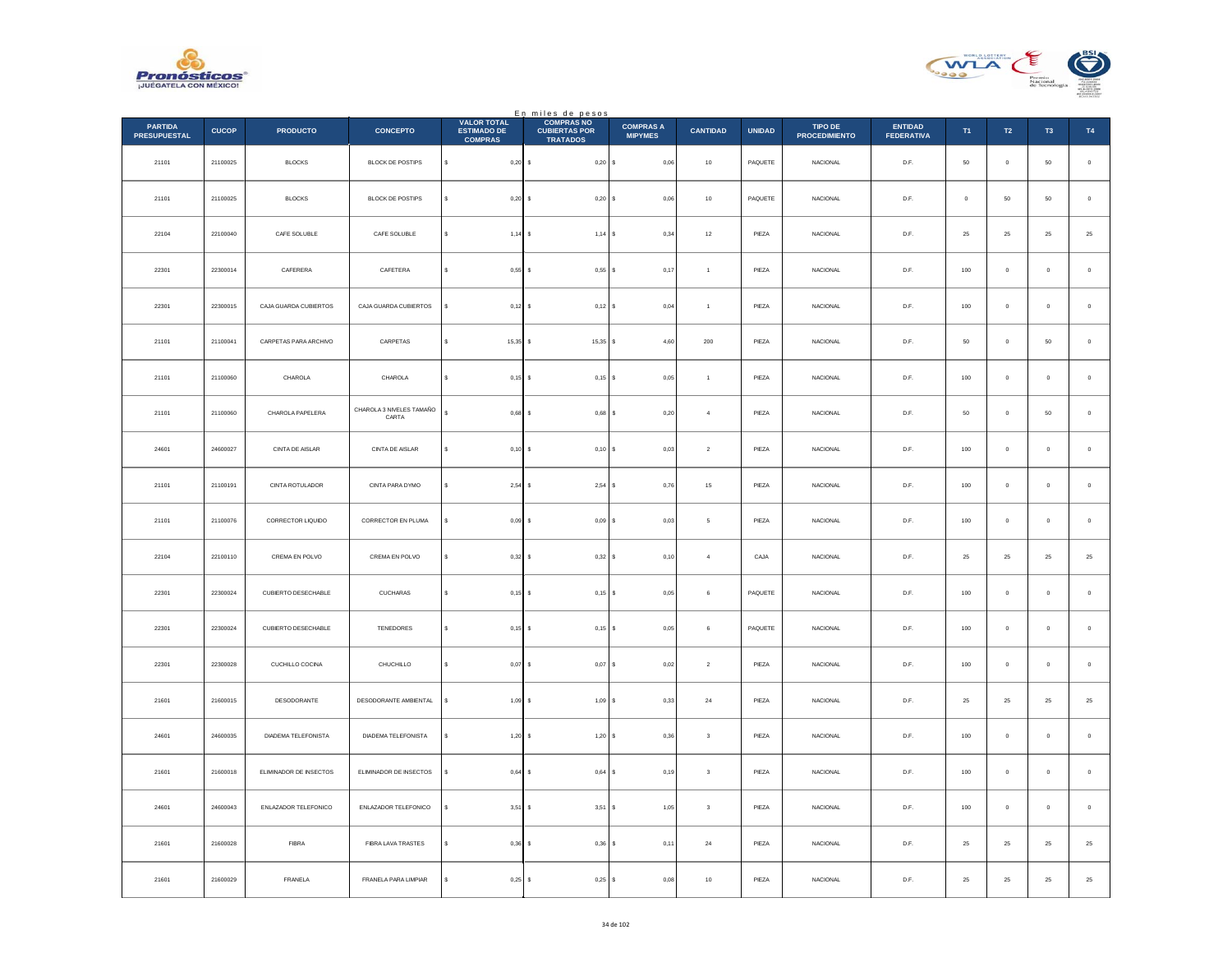



|                                       |              |                        |                                   |                                                            | En miles de pesos                                            |                                    |                         |               |                                 |                                     |             |                |                     |             |
|---------------------------------------|--------------|------------------------|-----------------------------------|------------------------------------------------------------|--------------------------------------------------------------|------------------------------------|-------------------------|---------------|---------------------------------|-------------------------------------|-------------|----------------|---------------------|-------------|
| <b>PARTIDA</b><br><b>PRESUPUESTAL</b> | <b>CUCOP</b> | <b>PRODUCTO</b>        | <b>CONCEPTO</b>                   | <b>VALOR TOTAL</b><br><b>ESTIMADO DE</b><br><b>COMPRAS</b> | <b>COMPRAS NO</b><br><b>CUBIERTAS POR</b><br><b>TRATADOS</b> | <b>COMPRAS A</b><br><b>MIPYMES</b> | <b>CANTIDAD</b>         | <b>UNIDAD</b> | TIPO DE<br><b>PROCEDIMIENTO</b> | <b>ENTIDAD</b><br><b>FEDERATIVA</b> | T1          | $\mathsf{T2}$  | T <sub>3</sub>      | <b>T4</b>   |
| 21101                                 | 21100025     | <b>BLOCKS</b>          | BLOCK DE POSTIPS                  | s<br>$0,20$ \$                                             | 0,20S                                                        | 0.06                               | 10                      | PAQUETE       | <b>NACIONAL</b>                 | D.F.                                | 50          | $\overline{0}$ | 50                  | $\mathbf 0$ |
| 21101                                 | 21100025     | <b>BLOCKS</b>          | BLOCK DE POSTIPS                  | $0,20$ \$                                                  | 0,20S                                                        | 0,06                               | $10$                    | PAQUETE       | <b>NACIONAL</b>                 | D.F.                                | $\mathbf 0$ | 50             | $50\,$              | $\,$ 0 $\,$ |
| 22104                                 | 22100040     | CAFE SOLUBLE           | CAFE SOLUBLE                      | $1,14$ \$                                                  | $1,14$ S                                                     | 0,34                               | 12                      | PIEZA         | <b>NACIONAL</b>                 | D.F.                                | 25          | $25\,$         | 25                  | $25\,$      |
| 22301                                 | 22300014     | CAFERERA               | CAFETERA                          | s<br>$0.55$ $\sqrt{S}$                                     | 0.55S                                                        | 0,17                               | $\overline{1}$          | PIEZA         | <b>NACIONAL</b>                 | D.F.                                | 100         | $\overline{0}$ | $\mathbf 0$         | $\mathbf 0$ |
| 22301                                 | 22300015     | CAJA GUARDA CUBIERTOS  | CAJA GUARDA CUBIERTOS             | $\mathbf{s}$<br>$0,12$ \$                                  | $0,12$ \$                                                    | 0,04                               | $\,$ 1 $\,$             | PIEZA         | <b>NACIONAL</b>                 | D.F.                                | $100\,$     | $\,$ 0 $\,$    | $\pmb{0}$           | $\,$ 0 $\,$ |
| 21101                                 | 21100041     | CARPETAS PARA ARCHIVO  | CARPETAS                          | $15.35$ S<br>s                                             | $15,35$ \$                                                   | 4.60                               | 200                     | PIEZA         | <b>NACIONAL</b>                 | D.F.                                | 50          | $\overline{0}$ | 50                  | $\circ$     |
| 21101                                 | 21100060     | CHAROLA                | CHAROLA                           | s<br>$0,15$ \$                                             | $0,15$ \$                                                    | 0,05                               | $\overline{1}$          | PIEZA         | <b>NACIONAL</b>                 | D.F.                                | 100         | $\,$ 0 $\,$    | $\mathbf{0}$        | $\,$ 0 $\,$ |
| 21101                                 | 21100060     | CHAROLA PAPELERA       | CHAROLA 3 NIVELES TAMAÑO<br>CARTA | $\epsilon$<br>$0,68$ \$                                    | $0,68$ \$                                                    | 0,20                               | $\overline{4}$          | PIEZA         | <b>NACIONAL</b>                 | D.F.                                | 50          | $\overline{0}$ | 50                  | $\mathbf 0$ |
| 24601                                 | 24600027     | CINTA DE AISLAR        | CINTA DE AISLAR                   | $0.10$ S<br>s                                              | $0.10$ S                                                     | 0.03                               | $\overline{2}$          | PIEZA         | NACIONAL                        | D.F.                                | 100         | $\overline{0}$ | $\mathbf 0$         | $\mathbf 0$ |
| 21101                                 | 21100191     | CINTA ROTULADOR        | CINTA PARA DYMO                   | $\epsilon$<br>$2,54$ \$                                    | 2,54S                                                        | 0,76                               | $15\,$                  | PIEZA         | NACIONAL                        | D.F.                                | 100         | $\mathbf 0$    | $\pmb{0}$           | $\,$ 0 $\,$ |
| 21101                                 | 21100076     | CORRECTOR LIQUIDO      | CORRECTOR EN PLUMA                | s<br>$0.09$ $\sqrt{S}$                                     | 0,09S                                                        | 0,03                               | -5                      | PIEZA         | <b>NACIONAL</b>                 | D.F.                                | 100         | $\overline{0}$ | $\mathbf{0}$        | $\,$ 0 $\,$ |
| 22104                                 | 22100110     | CREMA EN POLVO         | CREMA EN POLVO                    | $0,32 \ $ \$<br>s                                          | 0,32S                                                        | 0, 10                              | $\overline{4}$          | CAJA          | NACIONAL                        | $D.F.$                              | $25\,$      | $2\sqrt{5}$    | $2\mathsf{S}$       | $25\,$      |
| 22301                                 | 22300024     | CUBIERTO DESECHABLE    | CUCHARAS                          | $0,15$ \$                                                  | $0,15$ \$                                                    | 0,05                               | $\,6\,$                 | PAQUETE       | NACIONAL                        | D.F.                                | $100\,$     | $\mathbf 0$    | $\pmb{0}$           | $\,$ 0 $\,$ |
| 22301                                 | 22300024     | CUBIERTO DESECHABLE    | TENEDORES                         | s<br>$0.15$ S                                              | $0.15$ S                                                     | 0.05                               | 6                       | PAQUETE       | <b>NACIONAL</b>                 | D.F.                                | 100         | $\overline{0}$ | $\mathbf 0$         | $\,$ 0 $\,$ |
| 22301                                 | 22300028     | CUCHILLO COCINA        | CHUCHILLO                         | $\epsilon$<br>$0,07$ \$                                    | $0,07$ \$                                                    | 0,02                               | $\,$ 2 $\,$             | PIEZA         | NACIONAL                        | D.F.                                | $100\,$     | $\mathbf 0$    | $\pmb{0}$           | $\,$ 0 $\,$ |
| 21601                                 | 21600015     | DESODORANTE            | DESODORANTE AMBIENTAL             | $1,09$ \$<br>÷.                                            | 1,09S                                                        | 0,33                               | 24                      | PIEZA         | <b>NACIONAL</b>                 | D.F.                                | 25          | 25             | 25                  | $\bf 25$    |
| 24601                                 | 24600035     | DIADEMA TELEFONISTA    | DIADEMA TELEFONISTA               | $1,20$ \$<br>s                                             | 1,20S                                                        | 0,36                               | $\overline{\mathbf{3}}$ | PIEZA         | NACIONAL                        | $\mathsf{D}.\mathsf{F}.$            | 100         | $\mathbf 0$    | $\ddot{\mathbf{0}}$ | $\mathbf 0$ |
| 21601                                 | 21600018     | ELIMINADOR DE INSECTOS | ELIMINADOR DE INSECTOS            | \$<br>$0,64$ \$                                            | $0,64$ \$                                                    | 0, 19                              | $\,$ 3                  | PIEZA         | <b>NACIONAL</b>                 | D.F.                                | $100\,$     | $\mathbf 0$    | $\pmb{0}$           | $\,$ 0 $\,$ |
| 24601                                 | 24600043     | ENLAZADOR TELEFONICO   | ENLAZADOR TELEFONICO              | 3,51S                                                      | 3,51S                                                        | 1,05                               | $\sqrt{3}$              | PIEZA         | <b>NACIONAL</b>                 | D.F.                                | 100         | $\overline{0}$ | $\pmb{0}$           | $\mathbb O$ |
| 21601                                 | 21600028     | FIBRA                  | FIBRA LAVA TRASTES                | 0,36                                                       | $0,36$ \$                                                    | 0,11                               | $\bf{24}$               | PIEZA         | NACIONAL                        | $D.F.$                              | $25\,$      | $2\sqrt{5}$    | $2\mathsf{S}$       | $25\,$      |
| 21601                                 | 21600029     | FRANELA                | FRANELA PARA LIMPIAR              | 0.25S<br>$\epsilon$                                        | 0,25S                                                        | 0,08                               | 10                      | PIEZA         | <b>NACIONAL</b>                 | D.F.                                | 25          | 25             | 25                  | $25\,$      |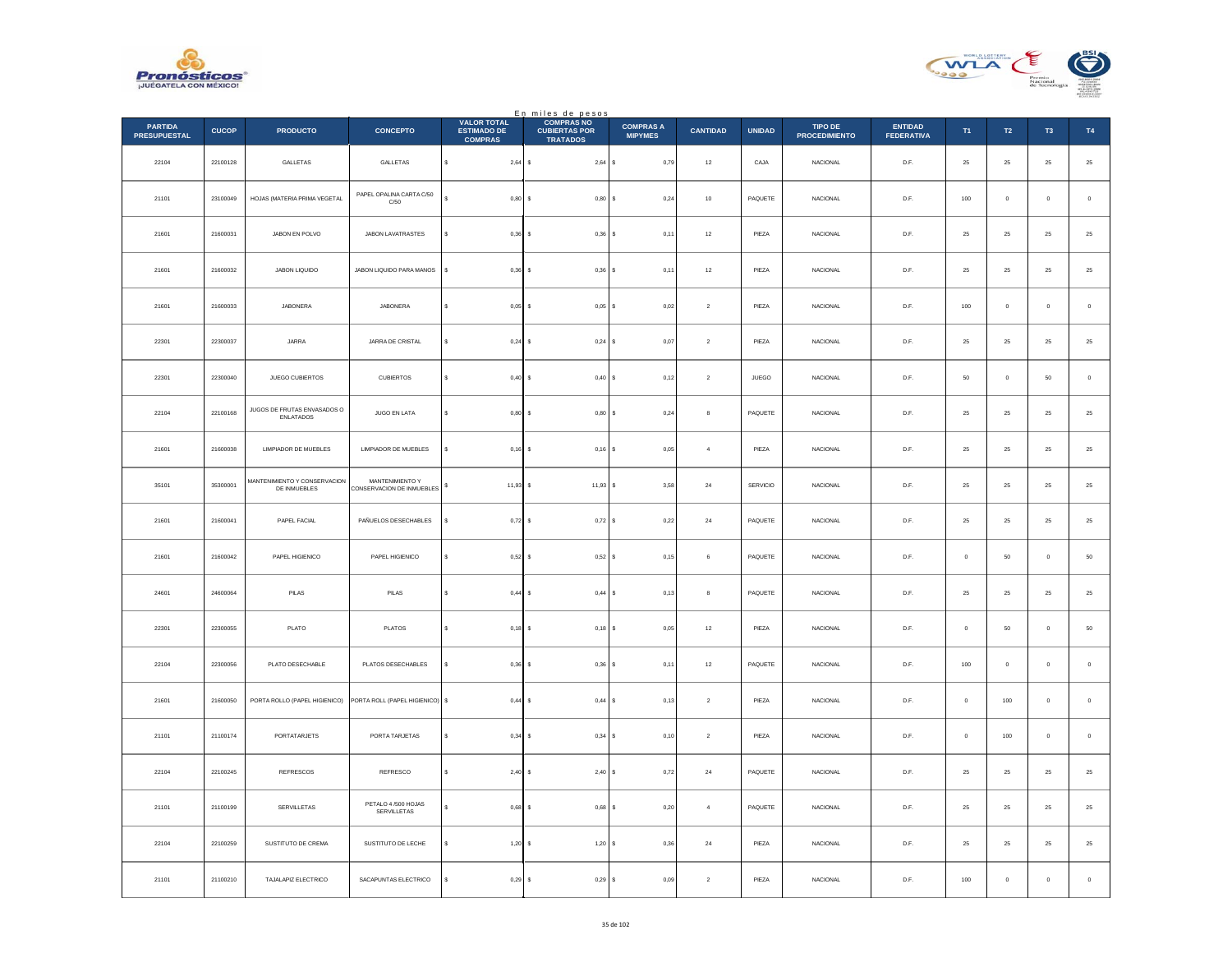



|                                       |              |                                              |                                              |                                                            | En miles de pesos                                            |                                    |                 |                               |                                 |                                     |             |                  |               |                |
|---------------------------------------|--------------|----------------------------------------------|----------------------------------------------|------------------------------------------------------------|--------------------------------------------------------------|------------------------------------|-----------------|-------------------------------|---------------------------------|-------------------------------------|-------------|------------------|---------------|----------------|
| <b>PARTIDA</b><br><b>PRESUPUESTAL</b> | <b>CUCOP</b> | <b>PRODUCTO</b>                              | <b>CONCEPTO</b>                              | <b>VALOR TOTAL</b><br><b>ESTIMADO DE</b><br><b>COMPRAS</b> | <b>COMPRAS NO</b><br><b>CUBIERTAS POR</b><br><b>TRATADOS</b> | <b>COMPRAS A</b><br><b>MIPYMES</b> | <b>CANTIDAD</b> | <b>UNIDAD</b>                 | TIPO DE<br><b>PROCEDIMIENTO</b> | <b>ENTIDAD</b><br><b>FEDERATIVA</b> | T1          | $\mathsf{T2}$    | T3            | $\mathsf{T4}$  |
| 22104                                 | 22100128     | GALLETAS                                     | GALLETAS                                     | $\mathbb S$<br>$2,64$ \$                                   | $2,64$ \$                                                    | 0,79                               | $12\,$          | CAJA                          | <b>NACIONAL</b>                 | D.F.                                | 25          | 25               | 25            | $2\mathsf{5}$  |
| 21101                                 | 23100049     | HOJAS (MATERIA PRIMA VEGETAL                 | PAPEL OPALINA CARTA C/50<br>C/50             | 0,80                                                       | 0,80S                                                        | 0,24                               | $10$            | PAQUETE                       | <b>NACIONAL</b>                 | D.F.                                | 100         | $\mathbf 0$      | $\mathbf 0$   | $\,$ 0 $\,$    |
| 21601                                 | 21600031     | JABON EN POLVO                               | JABON LAVATRASTES                            | 0,36<br>$\epsilon$                                         | $0,36$ \$                                                    | 0,11                               | 12              | PIEZA                         | <b>NACIONAL</b>                 | D.F.                                | 25          | 25               | 25            | $25\,$         |
| 21601                                 | 21600032     | JABON LIQUIDO                                | JABON LIQUIDO PARA MANOS                     | $\mathbb{S}$<br>0.36                                       | 0.36                                                         | 0.11<br>l s                        | 12              | PIEZA                         | <b>NACIONAL</b>                 | D.F.                                | 25          | 25               | 25            | $2\mathsf{5}$  |
| 21601                                 | 21600033     | JABONERA                                     | JABONERA                                     | $0,05$ \$<br>$\epsilon$                                    | $0,05$ \$                                                    | 0,02                               | $\sqrt{2}$      | PIEZA                         | NACIONAL                        | D.F.                                | 100         | $\mathbf 0$      | $\mathbf 0$   | $\,$ 0         |
| 22301                                 | 22300037     | JARRA                                        | JARRA DE CRISTAL                             | $0.24$ S                                                   | $0.24$ S                                                     | 0.07                               | $\overline{2}$  | PIEZA                         | <b>NACIONAL</b>                 | D.F.                                | 25          | 25               | 25            | 25             |
| 22301                                 | 22300040     | JUEGO CUBIERTOS                              | CUBIERTOS                                    | 0,40<br>\$                                                 | 0,40S                                                        | 0,12                               | $\,$ 2 $\,$     | $\ensuremath{\mathsf{JUEGO}}$ | NACIONAL                        | $\mathsf{D}.\mathsf{F}.$            | ${\bf 50}$  | $\mathbf 0$      | 50            | $\,$ 0         |
| 22104                                 | 22100168     | JUGOS DE FRUTAS ENVASADOS O<br>ENLATADOS     | JUGO EN LATA                                 | $\mathbf{s}$<br>0,80                                       | $0,80$ \$<br>$\mathbf{s}$                                    | 0,24                               | 8               | PAQUETE                       | <b>NACIONAL</b>                 | D.F.                                | 25          | 25               | 25            | $25\,$         |
| 21601                                 | 21600038     | <b>LIMPIADOR DE MUEBLES</b>                  | LIMPIADOR DE MUEBLES                         | 0,16                                                       | $0,16$ \$                                                    | 0.05                               | $\sim$          | PIEZA                         | NACIONAL                        | D.F.                                | 25          | 25               | 25            | 25             |
| 35101                                 | 35300001     | MANTENIMIENTO Y CONSERVACION<br>DE INMUEBLES | MANTENIMIENTO Y<br>CONSERVACION DE INMUEBLES | 11,93<br>\$                                                | $11,93$ \$<br>-S                                             | 3,58                               | ${\bf 24}$      | SERVICIO                      | <b>NACIONAL</b>                 | D.F.                                | 25          | $25\phantom{.0}$ | $25\,$        | $25\,$         |
| 21601                                 | 21600041     | PAPEL FACIAL                                 | PAÑUELOS DESECHABLES                         | $0,72$ \$<br>s                                             | $0.72$ S                                                     | 0,22                               | 24              | PAQUETE                       | <b>NACIONAL</b>                 | D.F.                                | 25          | 25               | 25            | 25             |
| 21601                                 | 21600042     | PAPEL HIGIENICO                              | PAPEL HIGIENICO                              | 0,52<br>\$                                                 | 0,52S                                                        | 0,15                               | 6               | PAQUETE                       | NACIONAL                        | D.F.                                | $\,$ 0 $\,$ | $50\,$           | $\bf{0}$      | $50\,$         |
| 24601                                 | 24600064     | PILAS                                        | PILAS                                        | 0,44                                                       | 0,44S                                                        | 0,13                               | 8               | PAQUETE                       | <b>NACIONAL</b>                 | D.F.                                | 25          | 25               | 25            | ${\bf 25}$     |
| 22301                                 | 22300055     | PLATO                                        | PLATOS                                       | 0,18<br>s                                                  | 0,18                                                         | 0,05<br>$\mathsf{s}$               | $12\,$          | PIEZA                         | NACIONAL                        | D.F.                                | $\,$ 0 $\,$ | 50               | $\mathbf 0$   | 50             |
| 22104                                 | 22300056     | PLATO DESECHABLE                             | PLATOS DESECHABLES                           | s<br>$0,36$ \$                                             | $0,36$ \$                                                    | 0,11                               | $12\,$          | PAQUETE                       | <b>NACIONAL</b>                 | D.F.                                | 100         | $\mathbf 0$      | $\circ$       | $\,$ 0         |
| 21601                                 | 21600050     | PORTA ROLLO (PAPEL HIGIENICO)                | PORTA ROLL (PAPEL HIGIENICO) \$              | 0,44                                                       | $0,44$ S                                                     | 0.13                               | $\overline{2}$  | PIEZA                         | <b>NACIONAL</b>                 | D.F.                                | $^{\circ}$  | 100              | $\mathbf{0}$  | $\overline{0}$ |
| 21101                                 | 21100174     | PORTATARJETS                                 | PORTA TARJETAS                               | \$<br>0,34                                                 | $0,34$ \$                                                    | 0, 10                              | $\sqrt{2}$      | PIEZA                         | NACIONAL                        | D.F.                                | $\,$ 0 $\,$ | $100\,$          | $\bf{0}$      | $\,$ 0 $\,$    |
| 22104                                 | 22100245     | <b>REFRESCOS</b>                             | REFRESCO                                     | $\mathbf{s}$<br>2,40S                                      | $2,40$ \$                                                    | 0,72                               | 24              | PAQUETE                       | <b>NACIONAL</b>                 | D.F.                                | 25          | 25               | 25            | $25\,$         |
| 21101                                 | 21100199     | SERVILLETAS                                  | PETALO 4/500 HOJAS<br>SERVILLETAS            | 0,68                                                       | 0,68                                                         | $\mathbb S$<br>0,20                | $\sqrt{4}$      | PAQUETE                       | NACIONAL                        | $\mathsf{D}.\mathsf{F}.$            | $2\sqrt{5}$ | $\bf 25$         | $2\mathsf{S}$ | $2\mathsf{5}$  |
| 22104                                 | 22100259     | SUSTITUTO DE CREMA                           | SUSTITUTO DE LECHE                           | 1,20                                                       | 1,20S                                                        | 0,36                               | $\bf{24}$       | PIEZA                         | NACIONAL                        | D.F.                                | $\bf 25$    | $25\,$           | $\bf 25$      | $25\,$         |
| 21101                                 | 21100210     | TAJALAPIZ ELECTRICO                          | SACAPUNTAS ELECTRICO                         | 0,29S<br>$\mathbf{s}$                                      | 0,29S                                                        | 0,09                               | $\sqrt{2}$      | PIEZA                         | NACIONAL                        | D.F.                                | 100         | $\mathbb O$      | $\mathbf 0$   | $\,$ 0 $\,$    |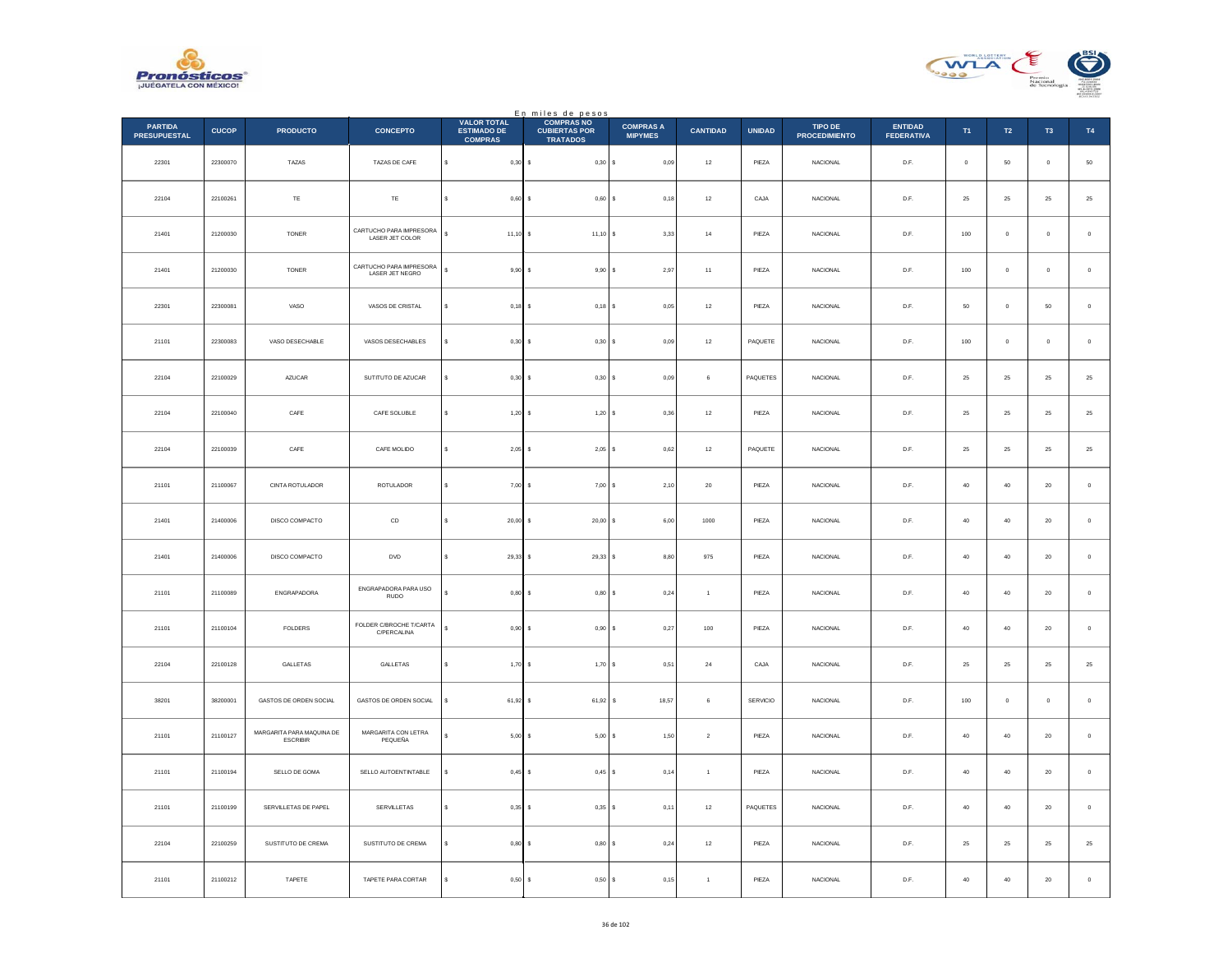



|                                       |              |                                              |                                            |                                                            | En miles de pesos                                            |                                    |                 |               |                                 |                                     |              |                |              |             |
|---------------------------------------|--------------|----------------------------------------------|--------------------------------------------|------------------------------------------------------------|--------------------------------------------------------------|------------------------------------|-----------------|---------------|---------------------------------|-------------------------------------|--------------|----------------|--------------|-------------|
| <b>PARTIDA</b><br><b>PRESUPUESTAL</b> | <b>CUCOP</b> | <b>PRODUCTO</b>                              | <b>CONCEPTO</b>                            | <b>VALOR TOTAL</b><br><b>ESTIMADO DE</b><br><b>COMPRAS</b> | <b>COMPRAS NO</b><br><b>CUBIERTAS POR</b><br><b>TRATADOS</b> | <b>COMPRAS A</b><br><b>MIPYMES</b> | <b>CANTIDAD</b> | <b>UNIDAD</b> | TIPO DE<br><b>PROCEDIMIENTO</b> | <b>ENTIDAD</b><br><b>FEDERATIVA</b> | T1           | $\mathsf{T2}$  | T3           | T4          |
| 22301                                 | 22300070     | TAZAS                                        | TAZAS DE CAFE                              | s<br>$0,30$ \$                                             | 0,30S                                                        | 0,09                               | 12              | PIEZA         | <b>NACIONAL</b>                 | D.F.                                | $\mathbf{0}$ | 50             | $\mathbf{0}$ | ${\bf 50}$  |
| 22104                                 | 22100261     | TE                                           | TE                                         | 0,60S                                                      | 0,60S                                                        | 0,18                               | $12\,$          | CAJA          | <b>NACIONAL</b>                 | D.F.                                | 25           | 25             | 25           | $25\,$      |
| 21401                                 | 21200030     | <b>TONER</b>                                 | CARTUCHO PARA IMPRESORA<br>LASER JET COLOR | s<br>$11,10$ \$                                            | $11,10$ \$                                                   | 3,33                               | 14              | PIEZA         | <b>NACIONAL</b>                 | D.F.                                | 100          | $\overline{0}$ | $\mathbf{0}$ | $\,0\,$     |
| 21401                                 | 21200030     | <b>TONER</b>                                 | CARTUCHO PARA IMPRESORA<br>LASER JET NEGRO | s<br>$9,90$ \$                                             | 9,90S                                                        | 2,97                               | 11              | PIEZA         | <b>NACIONAL</b>                 | D.F.                                | 100          | $\overline{0}$ | $\mathbf{0}$ | $\mathbf 0$ |
| 22301                                 | 22300081     | VASO                                         | VASOS DE CRISTAL                           | $0,18$ \$<br>s                                             | $0,18$ \$                                                    | 0,05                               | $12\,$          | PIEZA         | NACIONAL                        | D.F.                                | 50           | $\mathbb O$    | 50           | $\,$ 0 $\,$ |
| 21101                                 | 22300083     | VASO DESECHABLE                              | VASOS DESECHABLES                          | $0,30$ \$<br>s                                             | 0,30S                                                        | 0,09                               | 12              | PAQUETE       | <b>NACIONAL</b>                 | D.F.                                | 100          | $\overline{0}$ | $\mathbf{0}$ | $\circ$     |
| 22104                                 | 22100029     | AZUCAR                                       | SUTITUTO DE AZUCAR                         | $0,30$ \$<br>s                                             | 0,30S                                                        | 0,09                               | $\,$ 6 $\,$     | PAQUETES      | <b>NACIONAL</b>                 | D.F.                                | 25           | 25             | 25           | 25          |
| 22104                                 | 22100040     | CAFE                                         | CAFE SOLUBLE                               | s<br>$1,20$ \$                                             | 1,20S                                                        | 0,36                               | $12\,$          | PIEZA         | <b>NACIONAL</b>                 | D.F.                                | 25           | ${\bf 25}$     | 25           | $\bf 25$    |
| 22104                                 | 22100039     | CAFE                                         | CAFE MOLIDO                                | $2,05$ \$<br>s                                             | $2,05$ \$                                                    | 0.62                               | 12              | PAQUETE       | <b>NACIONAL</b>                 | D.F.                                | 25           | 25             | 25           | 25          |
| 21101                                 | 21100067     | CINTA ROTULADOR                              | ROTULADOR                                  | s<br>$7,00$ \$                                             | 7,00                                                         | 2,10                               | $20\,$          | PIEZA         | NACIONAL                        | D.F.                                | $40\,$       | $40\,$         | $20\,$       | $\,$ 0 $\,$ |
| 21401                                 | 21400006     | DISCO COMPACTO                               | CD                                         | s<br>$20,00$ \$                                            | 20,00S                                                       | 6,00                               | 1000            | PIEZA         | NACIONAL                        | D.F.                                | 40           | 40             | $20\,$       | $\,0\,$     |
| 21401                                 | 21400006     | DISCO COMPACTO                               | <b>DVD</b>                                 | $29,33$ \$<br>s                                            | 29,33S                                                       | 8,80                               | 975             | PIEZA         | <b>NACIONAL</b>                 | D.F.                                | 40           | 40             | $20\,$       | $\,$ 0 $\,$ |
| 21101                                 | 21100089     | ENGRAPADORA                                  | ENGRAPADORA PARA USO<br>RUDO               | $0,80$ \$                                                  | $0,80$ \$                                                    | 0,24                               | $\overline{1}$  | PIEZA         | <b>NACIONAL</b>                 | D.F.                                | 40           | $40\,$         | $20\,$       | $\,$ 0 $\,$ |
| 21101                                 | 21100104     | <b>FOLDERS</b>                               | FOLDER C/BROCHE T/CARTA<br>C/PERCALINA     | s<br>$0.90$ \$                                             | $0,90$ \$                                                    | 0,27                               | 100             | PIEZA         | <b>NACIONAL</b>                 | D.F.                                | 40           | 40             | 20           | $\mathbf 0$ |
| 22104                                 | 22100128     | GALLETAS                                     | GALLETAS                                   | $1,70$ \$<br>\$                                            | 1,70S                                                        | 0,51                               | ${\bf 24}$      | CAJA          | NACIONAL                        | D.F.                                | $25\,$       | $25\,$         | 25           | $25\,$      |
| 38201                                 | 38200001     | GASTOS DE ORDEN SOCIAL                       | GASTOS DE ORDEN SOCIAL                     | $61,92$ \$<br>s                                            | 61,92 \$                                                     | 18,57                              | 6               | SERVICIO      | NACIONAL                        | D.F.                                | 100          | $\overline{0}$ | $\bf{0}$     | $\,0\,$     |
| 21101                                 | 21100127     | MARGARITA PARA MAQUINA DE<br><b>ESCRIBIR</b> | MARGARITA CON LETRA<br>PEQUEÑA             | 5,00S                                                      | $5,00$ \$                                                    | 1,50                               | $\sqrt{2}$      | PIEZA         | <b>NACIONAL</b>                 | D.F.                                | 40           | 40             | $20\degree$  | $\mathbf 0$ |
| 21101                                 | 21100194     | SELLO DE GOMA                                | SELLO AUTOENTINTABLE                       | $0,45$ \$<br>\$                                            | $0,45$ \$                                                    | 0,14                               | $\overline{1}$  | PIEZA         | NACIONAL                        | D.F.                                | $40\,$       | $40\,$         | $20\,$       | $\,$ 0 $\,$ |
| 21101                                 | 21100199     | SERVILLETAS DE PAPEL                         | SERVILLETAS                                | $0.35$ \$<br>s                                             | $0,35$ \$                                                    | 0,11                               | $12\,$          | PAQUETES      | <b>NACIONAL</b>                 | D.F.                                | 40           | 40             | 20           | $\mathbf 0$ |
| 22104                                 | 22100259     | SUSTITUTO DE CREMA                           | SUSTITUTO DE CREMA                         | 0,80S                                                      | 0,80S                                                        | 0,24                               | 12              | PIEZA         | <b>NACIONAL</b>                 | D.F.                                | 25           | 25             | 25           | $25\,$      |
| 21101                                 | 21100212     | TAPETE                                       | TAPETE PARA CORTAR                         | s<br>0,50S                                                 | 0,50S                                                        | 0,15                               | $\overline{1}$  | PIEZA         | NACIONAL                        | D.F.                                | 40           | 40             | $20\,$       | $\,0\,$     |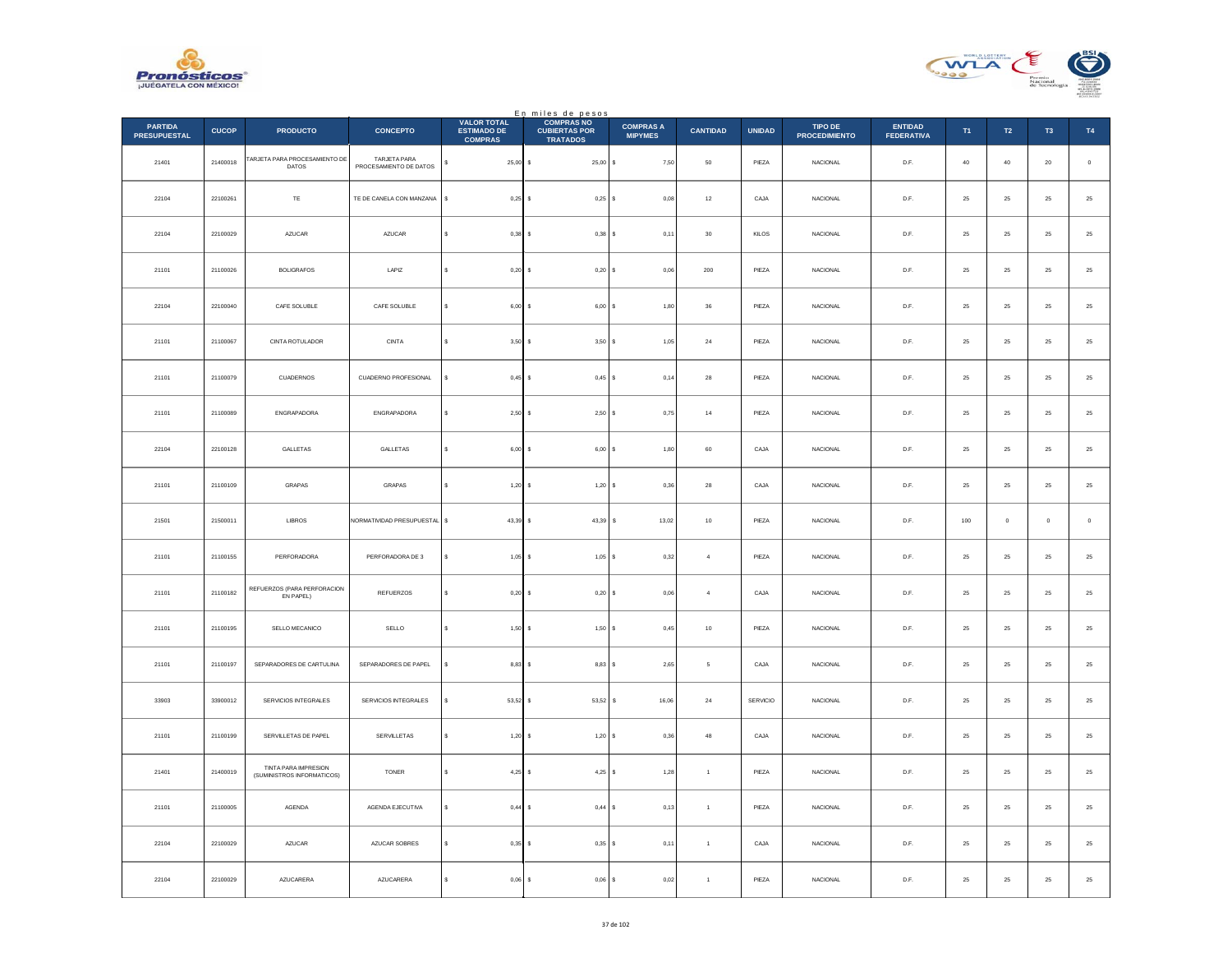



|                                       |              |                                                    |                                        |                                                            | En miles de pesos<br>COMPRAS NO         |                                    |                 |               |                                 |                                     |            |             |                |             |
|---------------------------------------|--------------|----------------------------------------------------|----------------------------------------|------------------------------------------------------------|-----------------------------------------|------------------------------------|-----------------|---------------|---------------------------------|-------------------------------------|------------|-------------|----------------|-------------|
| <b>PARTIDA</b><br><b>PRESUPUESTAL</b> | <b>CUCOP</b> | <b>PRODUCTO</b>                                    | <b>CONCEPTO</b>                        | <b>VALOR TOTAL</b><br><b>ESTIMADO DE</b><br><b>COMPRAS</b> | <b>CUBIERTAS POR</b><br><b>TRATADOS</b> | <b>COMPRAS A</b><br><b>MIPYMES</b> | <b>CANTIDAD</b> | <b>UNIDAD</b> | TIPO DE<br><b>PROCEDIMIENTO</b> | <b>ENTIDAD</b><br><b>FEDERATIVA</b> | T1         | T2          | T <sub>3</sub> | T4          |
| 21401                                 | 21400018     | TARJETA PARA PROCESAMIENTO DE<br><b>DATOS</b>      | TARJETA PARA<br>PROCESAMIENTO DE DATOS | s<br>$25,00$ \$                                            | $25,00$ \$                              | 7,50                               | ${\bf 50}$      | PIEZA         | NACIONAL                        | D.F.                                | $40\,$     | $40\,$      | $20\,$         | $\,$ 0 $\,$ |
| 22104                                 | 22100261     | $\mathsf{T}\mathsf{E}$                             | TE DE CANELA CON MANZANA               | $\mathbf{s}$<br>$0,25$ \$                                  | $0,25$ \$                               | 0.08                               | $12\,$          | CAJA          | <b>NACIONAL</b>                 | D.F.                                | 25         | $25\,$      | 25             | $\bf 25$    |
| 22104                                 | 22100029     | AZUCAR                                             | AZUCAR                                 | $0,38$ \$                                                  | $0,38$ \$                               | 0,11                               | $30\,$          | KILOS         | NACIONAL                        | $\mathsf{D}.\mathsf{F}.$            | $25\,$     | $\bf 25$    | $2\mathsf{S}$  | $25\,$      |
| 21101                                 | 21100026     | <b>BOLIGRAFOS</b>                                  | LAPIZ                                  | s<br>$0,20$ \$                                             | 0,20S                                   | 0,06                               | $200\,$         | PIEZA         | <b>NACIONAL</b>                 | D.F.                                | $\bf 25$   | 25          | $25\,$         | $25\,$      |
| 22104                                 | 22100040     | CAFE SOLUBLE                                       | CAFE SOLUBLE                           | $6,00$ \$<br>s                                             | 6,00S                                   | 1,80                               | $36\,$          | PIEZA         | <b>NACIONAL</b>                 | D.F.                                | 25         | $25\,$      | 25             | $25\,$      |
| 21101                                 | 21100067     | CINTA ROTULADOR                                    | CINTA                                  | $\epsilon$<br>3,50S                                        | 3,50S                                   | 1,05                               | 24              | PIEZA         | NACIONAL                        | D.F.                                | 25         | $25\,$      | 25             | $25\,$      |
| 21101                                 | 21100079     | CUADERNOS                                          | CUADERNO PROFESIONAL                   | s<br>0.45S                                                 | $0,45$ \$                               | 0,14                               | 28              | PIEZA         | <b>NACIONAL</b>                 | D.F.                                | 25         | 25          | 25             | $\bf 25$    |
| 21101                                 | 21100089     | ENGRAPADORA                                        | ENGRAPADORA                            | 2,50S<br>\$                                                | 2,50S                                   | 0,75                               | $14\,$          | PIEZA         | NACIONAL                        | $\mathsf{D}.\mathsf{F}.$            | ${\bf 25}$ | $25\,$      | 25             | $25\,$      |
| 22104                                 | 22100128     | GALLETAS                                           | GALLETAS                               | s<br>6,00S                                                 | 6,00S                                   | 1,80                               | 60              | CAJA          | NACIONAL                        | D.F.                                | 25         | $25\,$      | 25             | $25\,$      |
| 21101                                 | 21100109     | GRAPAS                                             | GRAPAS                                 | 1,20S                                                      | $1,20$ \$                               | 0,36                               | 28              | CAJA          | NACIONAL                        | D.F.                                | 25         | 25          | 25             | $25\,$      |
| 21501                                 | 21500011     | LIBROS                                             | NORMATIVIDAD PRESUPUESTAL \$           | $43,39$ \$                                                 | 43,39 \$                                | 13,02                              | $10\,$          | PIEZA         | NACIONAL                        | D.F.                                | 100        | $\,$ 0 $\,$ | $\pmb{0}$      | $\,$ 0 $\,$ |
| 21101                                 | 21100155     | PERFORADORA                                        | PERFORADORA DE 3                       | s<br>$1,05$ \$                                             | $1,05$ \$                               | 0.32                               | $\overline{4}$  | PIEZA         | NACIONAL                        | D.F.                                | 25         | 25          | 25             | 25          |
| 21101                                 | 21100182     | REFUERZOS (PARA PERFORACION<br>EN PAPEL)           | REFUERZOS                              | $0,20$ \$                                                  | 0,20S                                   | 0,06                               | $\overline{4}$  | CAJA          | <b>NACIONAL</b>                 | D.F.                                | 25         | $25\,$      | 25             | $25\,$      |
| 21101                                 | 21100195     | SELLO MECANICO                                     | SELLO                                  | s.<br>1,50S                                                | 1,50S                                   | 0,45                               | 10              | PIEZA         | <b>NACIONAL</b>                 | D.F.                                | 25         | 25          | 25             | 25          |
| 21101                                 | 21100197     | SEPARADORES DE CARTULINA                           | SEPARADORES DE PAPEL                   | $8,83$ \$                                                  | 8,83S                                   | 2,65                               | $\,$ 5 $\,$     | CAJA          | NACIONAL                        | $D.F.$                              | $\bf 25$   | $\bf 25$    | $2\mathsf{S}$  | $25\,$      |
| 33903                                 | 33900012     | SERVICIOS INTEGRALES                               | SERVICIOS INTEGRALES                   | 53,52 \$                                                   | $53{,}52$ $\,$ $\,$ $\,$ $\,$ $\,$      | 16,06                              | $\bf{24}$       | SERVICIO      | NACIONAL                        | D.F.                                | ${\bf 25}$ | 25          | $25\,$         | $\bf 25$    |
| 21101                                 | 21100199     | SERVILLETAS DE PAPEL                               | SERVILLETAS                            | $1,20$ \$<br>s                                             | 1,20S                                   | 0.36                               | $\bf 48$        | CAJA          | <b>NACIONAL</b>                 | D.F.                                | 25         | $\bf 25$    | 25             | $\bf 25$    |
| 21401                                 | 21400019     | TINTA PARA IMPRESION<br>(SUMINISTROS INFORMATICOS) | TONER                                  | 4,25 \$<br>s                                               | $4,25$ \$                               | 1,28                               | $\mathbf{1}$    | PIEZA         | NACIONAL                        | $D.F.$                              | $25\,$     | $\bf 25$    | $2\mathsf{S}$  | $25\,$      |
| 21101                                 | 21100005     | <b>AGENDA</b>                                      | AGENDA EJECUTIVA                       | s<br>$0,44$ \$                                             | 0,44S                                   | 0, 13                              | $\mathbf{1}$    | PIEZA         | <b>NACIONAL</b>                 | D.F.                                | 25         | 25          | 25             | $25\,$      |
| 22104                                 | 22100029     | AZUCAR                                             | AZUCAR SOBRES                          | $0.35$ \$                                                  | $0,35$ \$                               | 0,11                               | $\overline{1}$  | CAJA          | <b>NACIONAL</b>                 | D.F.                                | 25         | $25\,$      | 25             | $25\,$      |
| 22104                                 | 22100029     | AZUCARERA                                          | AZUCARERA                              | s.<br>$0,06$ \$                                            | $0,06$ \$                               | 0,02                               | $\mathbf{1}$    | PIEZA         | NACIONAL                        | D.F.                                | $\bf 25$   | ${\bf 25}$  | 25             | $25\,$      |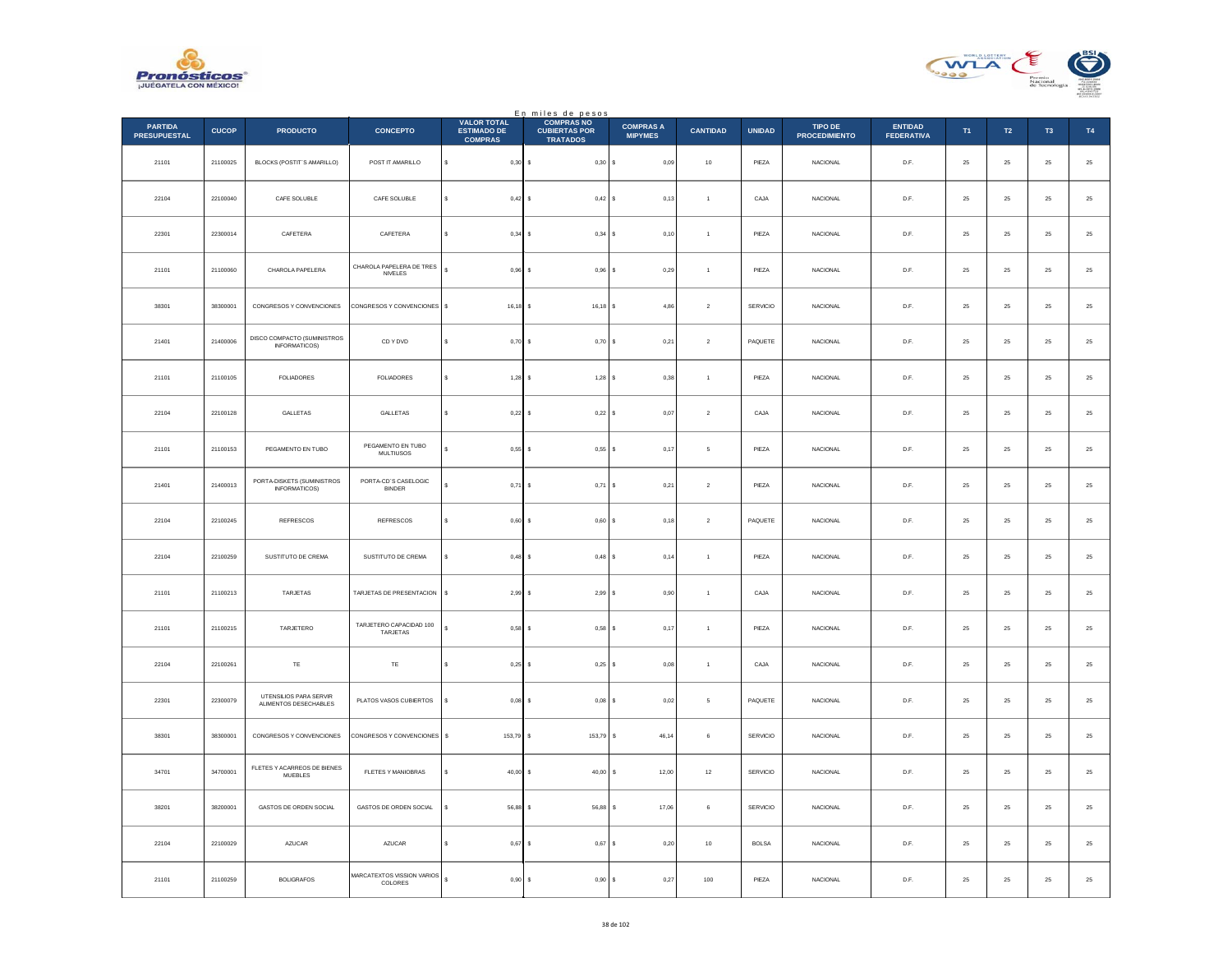



|                                       |              |                                                 |                                       |                                                            | En miles de pesos<br>COMPRAS NO         |                                    |                 |               |                                 |                                     |          |             |                |          |
|---------------------------------------|--------------|-------------------------------------------------|---------------------------------------|------------------------------------------------------------|-----------------------------------------|------------------------------------|-----------------|---------------|---------------------------------|-------------------------------------|----------|-------------|----------------|----------|
| <b>PARTIDA</b><br><b>PRESUPUESTAL</b> | <b>CUCOP</b> | <b>PRODUCTO</b>                                 | <b>CONCEPTO</b>                       | <b>VALOR TOTAL</b><br><b>ESTIMADO DE</b><br><b>COMPRAS</b> | <b>CUBIERTAS POR</b><br><b>TRATADOS</b> | <b>COMPRAS A</b><br><b>MIPYMES</b> | <b>CANTIDAD</b> | <b>UNIDAD</b> | TIPO DE<br><b>PROCEDIMIENTO</b> | <b>ENTIDAD</b><br><b>FEDERATIVA</b> | T1       | T2          | T <sub>3</sub> | T4       |
| 21101                                 | 21100025     | BLOCKS (POSTIT'S AMARILLO)                      | POST IT AMARILLO                      | \$<br>$0,30$ \$                                            | 0,30S                                   | 0,09                               | $10$            | PIEZA         | NACIONAL                        | D.F.                                | $\bf 25$ | $\bf 25$    | $25\,$         | $\bf 25$ |
| 22104                                 | 22100040     | CAFE SOLUBLE                                    | CAFE SOLUBLE                          | $0,42$ \$<br>s                                             | 0,42S                                   | 0.13                               | $\overline{1}$  | CAJA          | <b>NACIONAL</b>                 | D.F.                                | 25       | $\bf 25$    | 25             | $\bf 25$ |
| 22301                                 | 22300014     | CAFETERA                                        | CAFETERA                              | 0,34<br>Ś                                                  | 0,34S<br>l s                            | 0,10                               | $\overline{1}$  | PIEZA         | NACIONAL                        | D.F.                                | $25\,$   | $\bf 25$    | $2\mathsf{S}$  | $25\,$   |
| 21101                                 | 21100060     | CHAROLA PAPELERA                                | CHAROLA PAPELERA DE TRES<br>NIVELES   | $\epsilon$<br>0,96                                         | ١s<br>$0,96$ \$                         | 0,29                               | $\,$ 1 $\,$     | PIEZA         | NACIONAL                        | D.F.                                | 25       | $\bf 25$    | ${\bf 25}$     | $25\,$   |
| 38301                                 | 38300001     | CONGRESOS Y CONVENCIONES                        | CONGRESOS Y CONVENCIONES \$           | 16,18                                                      | 16,18 \$<br>١s                          | 4,86                               | $\mathbf{2}$    | SERVICIO      | <b>NACIONAL</b>                 | D.F.                                | 25       | 25          | 25             | $25\,$   |
| 21401                                 | 21400006     | DISCO COMPACTO (SUMINISTROS<br>INFORMATICOS)    | CD Y DVD                              | s<br>0,70                                                  | Ιs<br>$0,70$ \$                         | 0,21                               | $\sqrt{2}$      | PAQUETE       | NACIONAL                        | D.F.                                | $25\,$   | 25          | $25\,$         | $\bf 25$ |
| 21101                                 | 21100105     | <b>FOLIADORES</b>                               | FOLIADORES                            | s<br>$1.28$ $\sqrt{5}$                                     | $1,28$ $S$                              | 0,38                               | $\overline{1}$  | PIEZA         | NACIONAL                        | D.F.                                | 25       | 25          | 25             | $\bf 25$ |
| 22104                                 | 22100128     | GALLETAS                                        | GALLETAS                              | \$<br>$0,22$ \$                                            | 0,22S                                   | 0,07                               | $\sqrt{2}$      | CAJA          | NACIONAL                        | D.F.                                | $25\,$   | $\bf 25$    | 25             | $25\,$   |
| 21101                                 | 21100153     | PEGAMENTO EN TUBO                               | PEGAMENTO EN TUBO<br><b>MULTIUSOS</b> | s<br>0,55                                                  | s<br>0,55S                              | 0,17                               | 5               | PIEZA         | <b>NACIONAL</b>                 | D.F.                                | 25       | 25          | 25             | $25\,$   |
| 21401                                 | 21400013     | PORTA-DISKETS (SUMINISTROS<br>INFORMATICOS)     | PORTA-CD'S CASELOGIC<br><b>BINDER</b> | 0,71                                                       | 0,71<br>s                               | 0,21<br>l s                        | $\sqrt{2}$      | PIEZA         | <b>NACIONAL</b>                 | D.F.                                | 25       | 25          | 25             | $25\,$   |
| 22104                                 | 22100245     | REFRESCOS                                       | <b>REFRESCOS</b>                      | s<br>0,60                                                  | ۱s<br>0,60S                             | 0,18                               | $\sqrt{2}$      | PAQUETE       | <b>NACIONAL</b>                 | D.F.                                | 25       | $\bf 25$    | $\bf 25$       | $25\,$   |
| 22104                                 | 22100259     | SUSTITUTO DE CREMA                              | SUSTITUTO DE CREMA                    | s<br>$0,48$ \$                                             | $0.48$ S                                | 0.14                               | $\overline{1}$  | PIEZA         | <b>NACIONAL</b>                 | D.F.                                | 25       | 25          | 25             | 25       |
| 21101                                 | 21100213     | TARJETAS                                        | TARJETAS DE PRESENTACION              | s<br>2,99                                                  | 2,99S<br>s                              | 0,90                               | $\overline{1}$  | CAJA          | <b>NACIONAL</b>                 | D.F.                                | 25       | 25          | 25             | $25\,$   |
| 21101                                 | 21100215     | TARJETERO                                       | TARJETERO CAPACIDAD 100<br>TARJETAS   | Ś.<br>0.58                                                 | l s<br>$0.58$ \$                        | 0,17                               | $\overline{1}$  | PIEZA         | <b>NACIONAL</b>                 | D.F.                                | 25       | 25          | 25             | 25       |
| 22104                                 | 22100261     | $\mathsf{TE}$                                   | $\mathsf{T}\mathsf{E}$                | s<br>$0,25$ \$                                             | $0,25$ \$                               | $_{0,08}$                          | $\,$ 1 $\,$     | CAJA          | NACIONAL                        | D.F.                                | $25\,$   | $\bf 25$    | $2\mathsf{S}$  | $25\,$   |
| 22301                                 | 22300079     | UTENSILIOS PARA SERVIR<br>ALIMENTOS DESECHABLES | PLATOS VASOS CUBIERTOS                | 0,08<br>Ś                                                  | l s<br>$0,08$ \$                        | $_{0,02}$                          | $\sqrt{5}$      | PAQUETE       | NACIONAL                        | D.F.                                | $25\,$   | $\bf 25$    | $\bf 25$       | $\bf 25$ |
| 38301                                 | 38300001     | CONGRESOS Y CONVENCIONES                        | CONGRESOS Y CONVENCIONES              | s<br>153,79                                                | 153,79 \$<br>l s                        | 46.14                              | 6               | SERVICIO      | <b>NACIONAL</b>                 | D.F.                                | 25       | 25          | 25             | $\bf 25$ |
| 34701                                 | 34700001     | FLETES Y ACARREOS DE BIENES<br><b>MUEBLES</b>   | FLETES Y MANIOBRAS                    | $40,00$ \$<br>\$                                           | 40,00                                   | 12,00<br>$\mathbb S$               | $12\,$          | SERVICIO      | NACIONAL                        | D.F.                                | $25\,$   | $\bf 25$    | $2\mathsf{S}$  | $25\,$   |
| 38201                                 | 38200001     | GASTOS DE ORDEN SOCIAL                          | GASTOS DE ORDEN SOCIAL                | s.<br>56,88 \$                                             | 56,88                                   | l s<br>17,06                       | 6               | SERVICIO      | <b>NACIONAL</b>                 | D.F.                                | 25       | 25          | 25             | $25\,$   |
| 22104                                 | 22100029     | AZUCAR                                          | AZUCAR                                | 0,67                                                       | 0,67<br>-S                              | 0,20<br>۱s                         | $10\,$          | <b>BOLSA</b>  | <b>NACIONAL</b>                 | D.F.                                | $\bf 25$ | $2\sqrt{5}$ | 25             | $25\,$   |
| 21101                                 | 21100259     | <b>BOLIGRAFOS</b>                               | MARCATEXTOS VISSION VARIOS<br>COLORES | s<br>$0,90$ \$                                             | 0,90S                                   | 0,27                               | 100             | PIEZA         | NACIONAL                        | D.F.                                | $25\,$   | 25          | 25             | $25\,$   |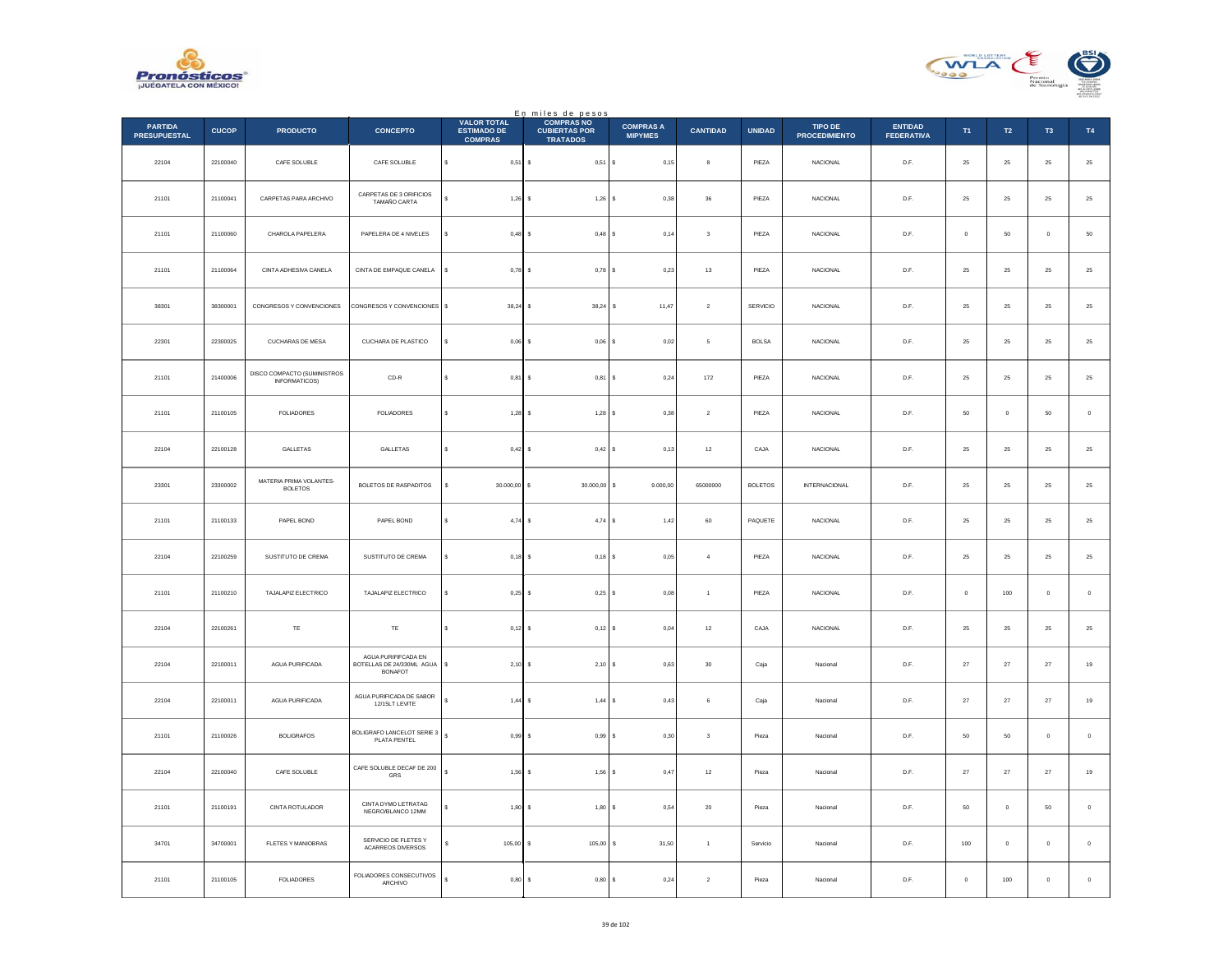



|                                       |              |                                                     |                                                                    |                                                            | En miles de pesos                                            |                                    |                         |                |                                 |                                     |          |             |                     |             |
|---------------------------------------|--------------|-----------------------------------------------------|--------------------------------------------------------------------|------------------------------------------------------------|--------------------------------------------------------------|------------------------------------|-------------------------|----------------|---------------------------------|-------------------------------------|----------|-------------|---------------------|-------------|
| <b>PARTIDA</b><br><b>PRESUPUESTAL</b> | <b>CUCOP</b> | <b>PRODUCTO</b>                                     | <b>CONCEPTO</b>                                                    | <b>VALOR TOTAL</b><br><b>ESTIMADO DE</b><br><b>COMPRAS</b> | <b>COMPRAS NO</b><br><b>CUBIERTAS POR</b><br><b>TRATADOS</b> | <b>COMPRAS A</b><br><b>MIPYMES</b> | <b>CANTIDAD</b>         | <b>UNIDAD</b>  | TIPO DE<br><b>PROCEDIMIENTO</b> | <b>ENTIDAD</b><br><b>FEDERATIVA</b> | T1       | <b>T2</b>   | T <sub>3</sub>      | T4          |
| 22104                                 | 22100040     | CAFE SOLUBLE                                        | CAFE SOLUBLE                                                       | s<br>$0,51$ \$                                             | $0,51$ \$                                                    | 0,15                               | 8                       | PIEZA          | <b>NACIONAL</b>                 | D.F.                                | 25       | 25          | 25                  | $25\,$      |
| 21101                                 | 21100041     | CARPETAS PARA ARCHIVO                               | CARPETAS DE 3 ORIFICIOS<br>TAMAÑO CARTA                            | 1,26                                                       | $1,26$ \$<br>s                                               | 0,38                               | 36                      | PIEZA          | <b>NACIONAL</b>                 | D.F.                                | 25       | 25          | 25                  | $25\,$      |
| 21101                                 | 21100060     | CHAROLA PAPELERA                                    | PAPELERA DE 4 NIVELES                                              | s<br>0,48                                                  | Is<br>$0,48$ \$                                              | 0,14                               | $\sqrt{3}$              | PIEZA          | <b>NACIONAL</b>                 | D.F.                                | $\circ$  | 50          | $\ddot{\mathbf{0}}$ | ${\bf 50}$  |
| 21101                                 | 21100064     | CINTA ADHESIVA CANELA                               | CINTA DE EMPAQUE CANELA                                            | s<br>0,78                                                  | $0.78$ S<br>Ιs                                               | 0.23                               | 13                      | PIEZA          | <b>NACIONAL</b>                 | D.F.                                | 25       | 25          | 25                  | 25          |
| 38301                                 | 38300001     | CONGRESOS Y CONVENCIONES                            | CONGRESOS Y CONVENCIONES                                           | s<br>38,24                                                 | 38,24<br>s                                                   | 11,47<br>s                         | $\sqrt{2}$              | SERVICIO       | NACIONAL                        | D.F.                                | 25       | $2\sqrt{5}$ | 25                  | $25\,$      |
| 22301                                 | 22300025     | CUCHARAS DE MESA                                    | CUCHARA DE PLASTICO                                                | $0.06$ \$<br>Ś                                             | $0,06$ \$                                                    | 0.02                               | 5                       | <b>BOLSA</b>   | <b>NACIONAL</b>                 | D.F.                                | 25       | 25          | 25                  | $\bf 25$    |
| 21101                                 | 21400006     | DISCO COMPACTO (SUMINISTROS<br><b>INFORMATICOS)</b> | $CD-R$                                                             | 0,81<br>s                                                  | ١s<br>$0,81$ \$                                              | 0,24                               | 172                     | PIEZA          | <b>NACIONAL</b>                 | D.F.                                | 25       | $25\,$      | 25                  | 25          |
| 21101                                 | 21100105     | <b>FOLIADORES</b>                                   | <b>FOLIADORES</b>                                                  | s<br>$1,28$ \$                                             | $1,28$ \$                                                    | 0,38                               | $\overline{2}$          | PIEZA          | <b>NACIONAL</b>                 | D.F.                                | 50       | $\mathbf 0$ | 50                  | $\,0\,$     |
| 22104                                 | 22100128     | GALLETAS                                            | GALLETAS                                                           | 0,42<br>s                                                  | $0,42$ \$<br>s                                               | 0, 13                              | 12                      | CAJA           | <b>NACIONAL</b>                 | D.F.                                | 25       | 25          | 25                  | 25          |
| 23301                                 | 23300002     | MATERIA PRIMA VOLANTES-<br><b>BOLETOS</b>           | BOLETOS DE RASPADITOS                                              | 30.000,00<br>s                                             | 30.000,00<br>\$                                              | 9.000,00<br>s                      | 65000000                | <b>BOLETOS</b> | <b>INTERNACIONAL</b>            | D.F.                                | 25       | $25\,$      | $25\,$              | $25\,$      |
| 21101                                 | 21100133     | PAPEL BOND                                          | PAPEL BOND                                                         | s<br>$4,74$ \$                                             | $4,74$ S                                                     | 1,42                               | 60                      | PAQUETE        | <b>NACIONAL</b>                 | D.F.                                | $\bf 25$ | 25          | 25                  | $\bf 25$    |
| 22104                                 | 22100259     | SUSTITUTO DE CREMA                                  | SUSTITUTO DE CREMA                                                 | 0,18<br>s                                                  | $0,18$ \$<br>Is                                              | 0,05                               | $\overline{4}$          | PIEZA          | <b>NACIONAL</b>                 | D.F.                                | 25       | $25\,$      | 25                  | $25\,$      |
| 21101                                 | 21100210     | TAJALAPIZ ELECTRICO                                 | TAJALAPIZ ELECTRICO                                                | 0,25                                                       | $0,25$ \$<br>١s                                              | 0,08                               | $\ddot{\phantom{1}}$    | PIEZA          | NACIONAL                        | D.F.                                | $\circ$  | 100         | $\mathbf 0$         | $\,$ 0 $\,$ |
| 22104                                 | 22100261     | TE                                                  | TE                                                                 | 0,12<br>s                                                  | $0,12$ \$<br>۱s                                              | 0.04                               | 12                      | CAJA           | <b>NACIONAL</b>                 | D.F.                                | 25       | 25          | 25                  | 25          |
| 22104                                 | 22100011     | AGUA PURIFICADA                                     | AGUA PURIFIFCADA EN<br>BOTELLAS DE 24/330ML AGUA<br><b>BONAFOT</b> | 2,10<br>\$                                                 | $2,10$ \$<br>١s                                              | 0,63                               | $30\,$                  | Caja           | Nacional                        | D.F.                                | $27\,$   | $\bf 27$    | $27\,$              | $19\,$      |
| 22104                                 | 22100011     | <b>AGUA PURIFICADA</b>                              | AGUA PURIFICADA DE SABOR<br>12/15LT LEVITE                         | s<br>1,44                                                  | ۱s<br>$1,44$ \$                                              | 0,43                               | 6                       | Caja           | Nacional                        | D.F.                                | 27       | 27          | $27\,$              | $19\,$      |
| 21101                                 | 21100026     | <b>BOLIGRAFOS</b>                                   | BOLIGRAFO LANCELOT SERIE 3<br>PLATA PENTEL                         | ś<br>0,99                                                  | 0,99S<br>Ιs                                                  | 0,30                               | $\overline{\mathbf{3}}$ | Pieza          | Naciona                         | D.F.                                | 50       | 50          | $\pmb{0}$           | $\mathbf 0$ |
| 22104                                 | 22100040     | CAFE SOLUBLE                                        | CAFE SOLUBLE DECAF DE 200<br>GRS                                   | s<br>1,56                                                  | $1,56$ \$<br>١s                                              | 0,47                               | $12\,$                  | Pieza          | Nacional                        | D.F.                                | $27\,$   | $\bf 27$    | $27\,$              | $19\,$      |
| 21101                                 | 21100191     | CINTA ROTULADOR                                     | CINTA DYMO LETRATAG<br>NEGRO/BLANCO 12MM                           | 1,80                                                       | 1,80S<br>s                                                   | 0,54                               | 20                      | Pieza          | Nacional                        | D.F.                                | 50       | $\circ$     | 50                  | $\circ$     |
| 34701                                 | 34700001     | FLETES Y MANIOBRAS                                  | SERVICIO DE FLETES Y<br><b>ACARREOS DIVERSOS</b>                   | 105,00                                                     | 105,00<br>s                                                  | 31,50<br>s                         | $\overline{1}$          | Servicio       | Nacional                        | D.F.                                | 100      | $\circ$     | $\pmb{0}$           | $\mathbf 0$ |
| 21101                                 | 21100105     | <b>FOLIADORES</b>                                   | FOLIADORES CONSECUTIVOS<br>ARCHIVO                                 | Ś.<br>$0,80$ \$                                            | 0,80S                                                        | 0,24                               | $\sqrt{2}$              | Pieza          | Nacional                        | D.F.                                | $\bf{0}$ | 100         | $\bf 0$             | $\,$ 0 $\,$ |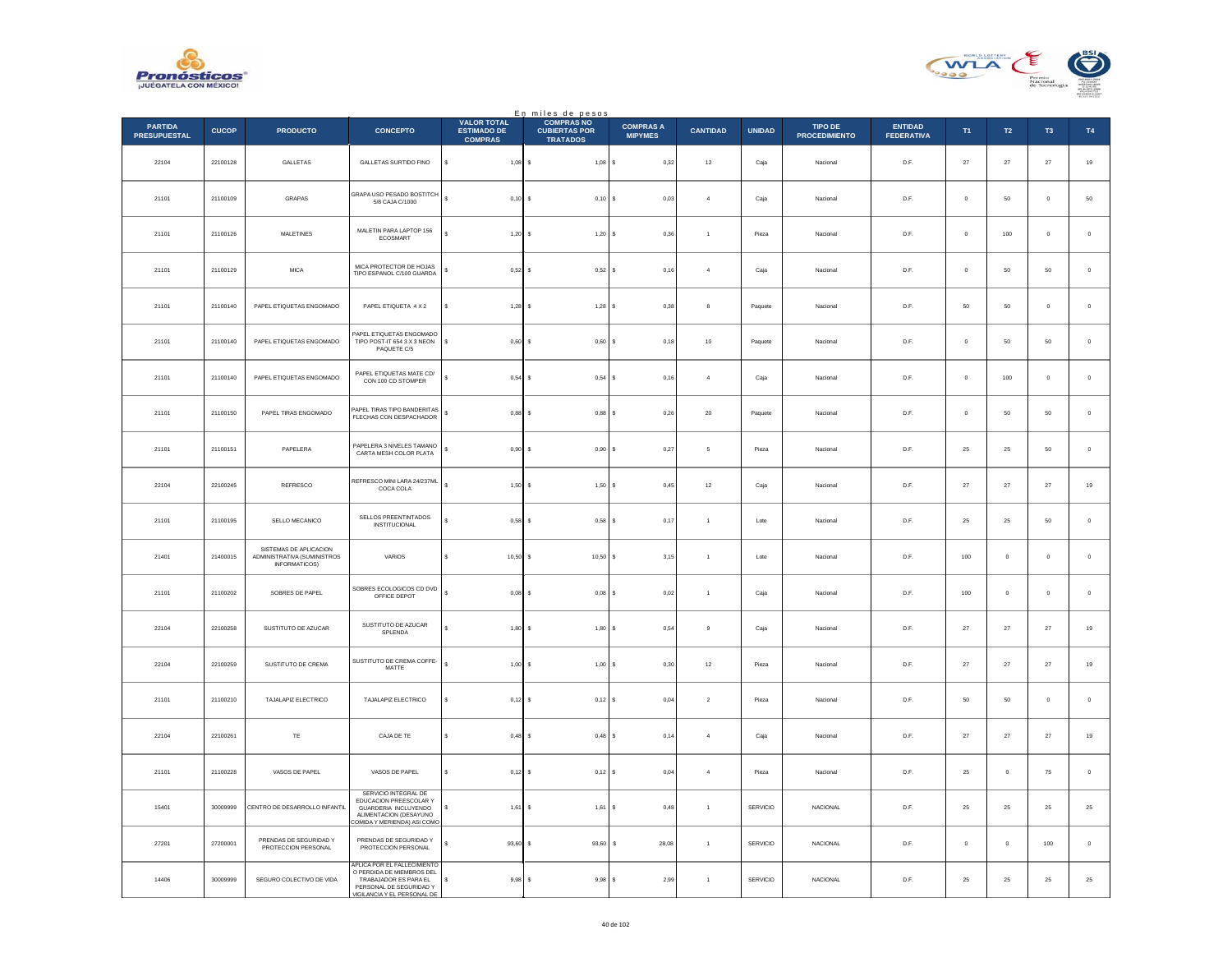



|                                       |              |                                                                        |                                                                                                                                                    |                                                            | En miles de pesos<br>COMPRAS NO         |                                    |                      |               |                                 |                                     |              |                |                |             |
|---------------------------------------|--------------|------------------------------------------------------------------------|----------------------------------------------------------------------------------------------------------------------------------------------------|------------------------------------------------------------|-----------------------------------------|------------------------------------|----------------------|---------------|---------------------------------|-------------------------------------|--------------|----------------|----------------|-------------|
| <b>PARTIDA</b><br><b>PRESUPUESTAL</b> | <b>CUCOP</b> | <b>PRODUCTO</b>                                                        | <b>CONCEPTO</b>                                                                                                                                    | <b>VALOR TOTAL</b><br><b>ESTIMADO DE</b><br><b>COMPRAS</b> | <b>CUBIERTAS POR</b><br><b>TRATADOS</b> | <b>COMPRAS A</b><br><b>MIPYMES</b> | <b>CANTIDAD</b>      | <b>UNIDAD</b> | TIPO DE<br><b>PROCEDIMIENTO</b> | <b>ENTIDAD</b><br><b>FEDERATIVA</b> | T1           | T2             | T <sub>3</sub> | T4          |
| 22104                                 | 22100128     | GALLETAS                                                               | GALLETAS SURTIDO FINO                                                                                                                              | s<br>$1,08$ \$                                             | $1,08$ \$                               | 0,32                               | $12\,$               | Caja          | Nacional                        | D.F.                                | $27\,$       | $27\,$         | $27\,$         | $19\,$      |
| 21101                                 | 21100109     | GRAPAS                                                                 | GRAPA USO PESADO BOSTITCH<br>5/8 CAJA C/1000                                                                                                       | $\mathsf{s}$<br>$0,10$ \$                                  | $0,10$ \$                               | 0.03                               | $\overline{4}$       | Caja          | Nacional                        | D.F.                                | $\mathbf{0}$ | 50             | $\mathbf 0$    | 50          |
| 21101                                 | 21100126     | MALETINES                                                              | MALETIN PARA LAPTOP 156<br>ECOSMART                                                                                                                | $1,20$ \$                                                  | $1,20$ \$                               | 0,36                               | $\overline{1}$       | Pieza         | Nacional                        | D.F.                                | $\mathbf 0$  | 100            | $\pmb{0}$      | $\,$ 0 $\,$ |
| 21101                                 | 21100129     | <b>MICA</b>                                                            | MICA PROTECTOR DE HOJAS<br>TIPO ESPANOL C/100 GUARDA                                                                                               | s<br>0,52                                                  | $0,52$ \$<br>١s                         | 0,16                               | $\overline{4}$       | Caja          | Nacional                        | D.F.                                | $\circ$      | 50             | 50             | $\,0\,$     |
| 21101                                 | 21100140     | PAPEL ETIQUETAS ENGOMADO                                               | PAPEL ETIQUETA 4 X 2                                                                                                                               | $1,28$ \$                                                  | $1,28$ \$                               | 0,38                               | $\bf8$               | Paquete       | Nacional                        | D.F.                                | 50           | 50             | $\mathbf{0}$   | $\mathbb O$ |
| 21101                                 | 21100140     | PAPEL ETIQUETAS ENGOMADO                                               | APEL ETIQUETAS ENGOMADO<br>TIPO POST-IT 654 3 X 3 NEON<br>PAQUETE C/5                                                                              | s.<br>$0.60$ S                                             | $0,60$ \$                               | 0,18                               | 10                   | Paquete       | Nacional                        | D.F.                                | $\circ$      | 50             | 50             | $\,$ 0 $\,$ |
| 21101                                 | 21100140     | PAPEL ETIQUETAS ENGOMADO                                               | PAPEL ETIQUETAS MATE CD/<br>CON 100 CD STOMPER                                                                                                     | s<br>$0.54$ S                                              | $0.54$ S                                | 0.16                               | $\overline{4}$       | Caia          | Nacional                        | D.F.                                | $\circ$      | 100            | $\mathbf{0}$   | $\,$ 0 $\,$ |
| 21101                                 | 21100150     | PAPEL TIRAS ENGOMADO                                                   | PAPEL TIRAS TIPO BANDERITAS<br>FLECHAS CON DESPACHADOR                                                                                             | $\mathbb{S}$<br>$0,88$ \$                                  | $0,88$ \$                               | 0,26                               | $20\,$               | Paquete       | Nacional                        | D.F.                                | $\mathbf 0$  | 50             | $50\,$         | $\,$ 0 $\,$ |
| 21101                                 | 21100151     | PAPELERA                                                               | PAPELERA 3 NIVELES TAMANO<br>CARTA MESH COLOR PLATA                                                                                                | $\mathsf{s}$<br>0.90                                       | 0.90S<br>$\sim$                         | 0,27                               | -5                   | Pieza         | Nacional                        | D.F.                                | 25           | 25             | 50             | $\circ$     |
| 22104                                 | 22100245     | REFRESCO                                                               | REFRESCO MINI LARA 24/237ML<br>COCA COLA                                                                                                           | $\epsilon$<br>1,50                                         | 1,50                                    | s<br>0,45                          | $12\,$               | Caja          | Nacional                        | D.F.                                | 27           | $\sqrt{27}$    | $\sqrt{27}$    | $19\,$      |
| 21101                                 | 21100195     | SELLO MECANICO                                                         | SELLOS PREENTINTADOS<br><b>INSTITUCIONAL</b>                                                                                                       | 0.58S                                                      | $0,58$ \$                               | 0,17                               | $\overline{1}$       | Lote          | Nacional                        | D.F.                                | 25           | ${\bf 25}$     | 50             | $\,0\,$     |
| 21401                                 | 21400015     | SISTEMAS DE APLICACION<br>ADMINISTRATIVA (SUMINISTROS<br>INFORMATICOS) | VARIOS                                                                                                                                             | 10,50                                                      | $10,50$ \$                              | 3,15                               | $\overline{1}$       | Lote          | Nacional                        | D.F.                                | 100          | $\circ$        | $\mathbf{0}$   | $\mathbf 0$ |
| 21101                                 | 21100202     | SOBRES DE PAPEL                                                        | SOBRES ECOLOGICOS CD DVD<br>OFFICE DEPOT                                                                                                           | 0,08                                                       | $0,08$ \$                               | 0,02                               | $\overline{1}$       | Caja          | Nacional                        | $\mathsf{D}.\mathsf{F}.$            | 100          | $\mathbf{0}$   | $\mathbf{0}$   | $\,$ 0 $\,$ |
| 22104                                 | 22100258     | SUSTITUTO DE AZUCAR                                                    | SUSTITUTO DE AZUCAR<br>SPLENDA                                                                                                                     | 1.80                                                       | $1.80$ S                                | 0.54                               | $_{9}$               | Caja          | Nacional                        | D.F.                                | 27           | 27             | 27             | $19\,$      |
| 22104                                 | 22100259     | SUSTITUTO DE CREMA                                                     | SUSTITUTO DE CREMA COFFE-<br>MATTE                                                                                                                 | $\epsilon$<br>$1,00$ \$                                    | $1,00$ \$                               | 0,30                               | $12\,$               | Pieza         | Nacional                        | D.F.                                | $27\,$       | $\sqrt{27}$    | $\bf 27$       | $19\,$      |
| 21101                                 | 21100210     | TAJALAPIZ ELECTRICO                                                    | TAJALAPIZ ELECTRICO                                                                                                                                | $0,12$ \$                                                  | $0,12$ \$                               | 0,04                               | $\overline{2}$       | Pieza         | Nacional                        | D.F.                                | 50           | 50             | $\mathbf{0}$   | $\circ$     |
| 22104                                 | 22100261     | $\mathsf{T}\mathsf{E}$                                                 | CAJA DE TE                                                                                                                                         | 0,48                                                       | $0,48$ \$                               | 0,14                               | $\overline{4}$       | Caja          | Nacional                        | D.F.                                | 27           | $\sqrt{27}$    | $27\,$         | $19\,$      |
| 21101                                 | 21100228     | VASOS DE PAPEL                                                         | VASOS DE PAPEL                                                                                                                                     | $0,12$ \$                                                  | $0,12$ \$                               | 0,04                               | $\overline{4}$       | Pieza         | Nacional                        | D.F.                                | 25           | $\overline{0}$ | 75             | $\,0\,$     |
| 15401                                 | 30009999     | CENTRO DE DESARROLLO INFANTIL                                          | SERVICIO INTEGRAL DE<br>EDUCACION PREESCOLAR Y<br>GUARDERIA INCLUYENDO<br>ALIMENTACION (DESAYUNO<br>OMIDA Y MERIENDA) ASI COMO                     | 1,61                                                       | $1,61$ \$                               | 0,48                               | $\overline{1}$       | SERVICIO      | <b>NACIONAL</b>                 | D.F.                                | 25           | 25             | 25             | $2\sqrt{5}$ |
| 27201                                 | 27200001     | PRENDAS DE SEGURIDAD Y<br>PROTECCION PERSONAL                          | PRENDAS DE SEGURIDAD Y<br>PROTECCION PERSONAL                                                                                                      | 93,60                                                      | 93,60                                   | 28,08<br>s                         | $\ddot{\phantom{1}}$ | SERVICIO      | NACIONAL                        | $\mathsf{D}.\mathsf{F}.$            | $\mathbf 0$  | $\mathbb O$    | $100\,$        | $\,$ 0 $\,$ |
| 14406                                 | 30009999     | SEGURO COLECTIVO DE VIDA                                               | <b>APLICA POR EL FALLECIMIENTO</b><br>O PERDIDA DE MIEMBROS DEL<br>TRABAJADOR ES PARA EL<br>PERSONAL DE SEGURIDAD Y<br>VIGILANCIA Y EL PERSONAL DE | s<br>9.98S                                                 | 9.98S                                   | 2.99                               | $\overline{1}$       | SERVICIO      | <b>NACIONAL</b>                 | D.F.                                | 25           | 25             | 25             | $2\sqrt{5}$ |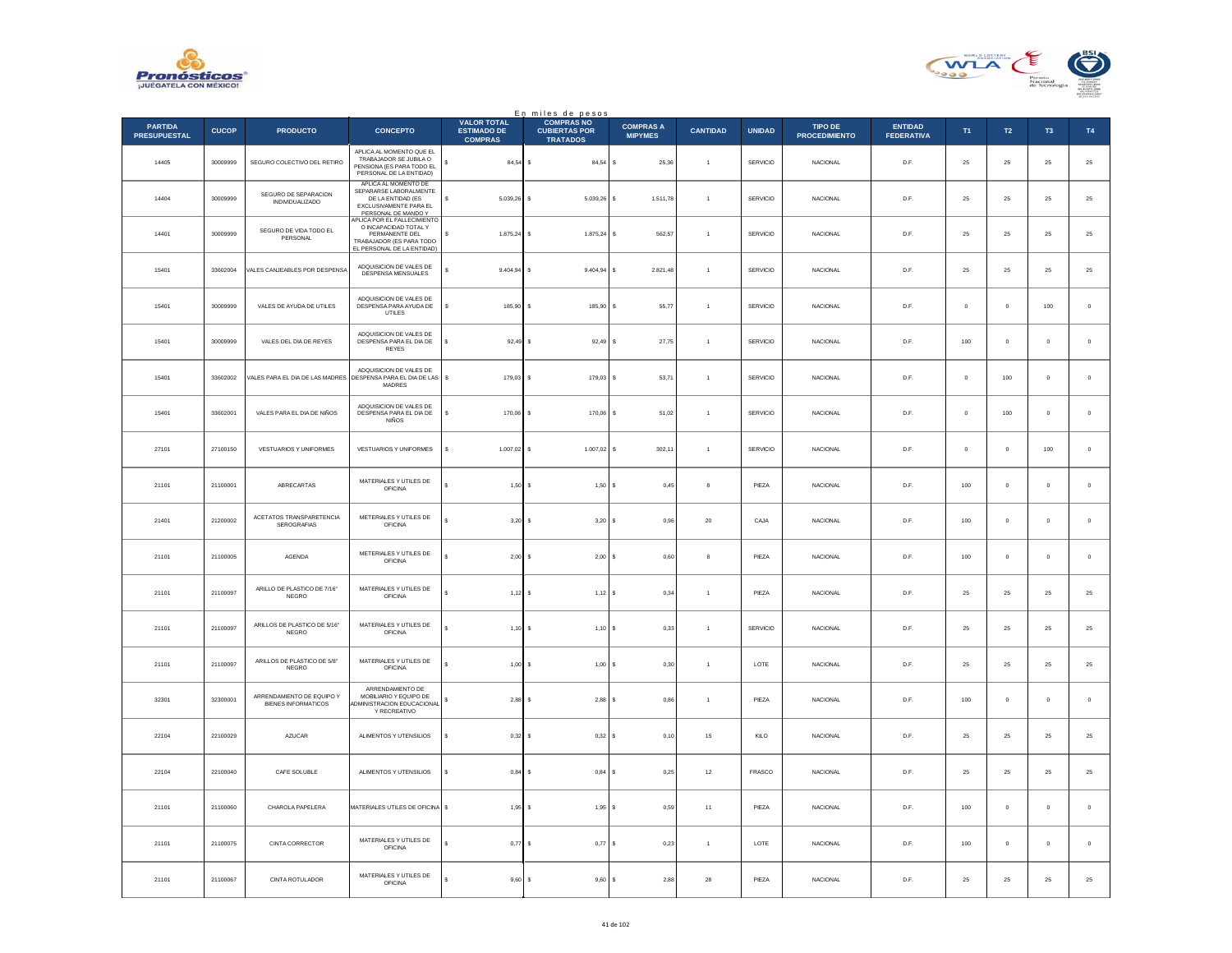



|                                       |              |                                                  |                                                                                                                                                     |                                                            | En miles de pesos<br><b>COMPRAS NO</b>  |                                    |                 |                 |                                        |                                     |            |                  |                |                |
|---------------------------------------|--------------|--------------------------------------------------|-----------------------------------------------------------------------------------------------------------------------------------------------------|------------------------------------------------------------|-----------------------------------------|------------------------------------|-----------------|-----------------|----------------------------------------|-------------------------------------|------------|------------------|----------------|----------------|
| <b>PARTIDA</b><br><b>PRESUPUESTAL</b> | <b>CUCOP</b> | <b>PRODUCTO</b>                                  | <b>CONCEPTO</b>                                                                                                                                     | <b>VALOR TOTAL</b><br><b>ESTIMADO DE</b><br><b>COMPRAS</b> | <b>CUBIERTAS POR</b><br><b>TRATADOS</b> | <b>COMPRAS A</b><br><b>MIPYMES</b> | <b>CANTIDAD</b> | <b>UNIDAD</b>   | <b>TIPO DE</b><br><b>PROCEDIMIENTO</b> | <b>ENTIDAD</b><br><b>FEDERATIVA</b> | T1         | $\mathsf{T2}$    | T <sub>3</sub> | T4             |
| 14405                                 | 30009999     | SEGURO COLECTIVO DEL RETIRO                      | APLICA AL MOMENTO QUE EL<br>TRABAJADOR SE JUBILA O<br>PENSIONA (ES PARA TODO EL<br>PERSONAL DE LA ENTIDAD)                                          | $84,54$ \$                                                 | 84,54                                   | l s<br>25,36                       | $\overline{1}$  | SERVICIO        | NACIONAL                               | D.F.                                | $\bf 25$   | ${\bf 25}$       | $\bf 25$       | 25             |
| 14404                                 | 30009999     | SEGURO DE SEPARACION<br><b>INDIVIDUALIZADO</b>   | APLICA AL MOMENTO DE<br>SEPARARSE LABORALMENTE<br>DE LA ENTIDAD (ES<br>EXCLUSIVAMENTE PARA EL<br>PERSONAL DE MANDO Y<br>APLICA POR EL FALLECIMIENTO | s<br>$5.039.26$ S                                          | 5.039.26 S                              | 1.511.78                           | $\overline{1}$  | <b>SERVICIO</b> | <b>NACIONAL</b>                        | D.F.                                | 25         | 25               | 25             | $25\,$         |
| 14401                                 | 30009999     | SEGURO DE VIDA TODO EL<br>PERSONAL               | O INCAPACIDAD TOTAL Y<br>PERMANENTE DEL<br>TRABAJADOR (ES PARA TODO<br>EL PERSONAL DE LA ENTIDAD)                                                   | $1.875,24$ \$<br>s                                         | 1.875,24                                | s<br>562,57                        | $\overline{1}$  | SERVICIO        | NACIONAL                               | $\mathsf{D}.\mathsf{F}.$            | 25         | $\bf 25$         | $25\,$         | 25             |
| 15401                                 | 33602004     | VALES CANJEABLES POR DESPENSA                    | ADQUISICION DE VALES DE<br>DESPENSA MENSUALES                                                                                                       | s<br>$9.404,94$ \$                                         | $9.404,94$ \$                           | 2.821,48                           | $\overline{1}$  | SERVICIO        | <b>NACIONAL</b>                        | D.F.                                | 25         | ${\bf 25}$       | $\bf 25$       | 25             |
| 15401                                 | 30009999     | VALES DE AYUDA DE UTILES                         | ADOUISICION DE VALES DE<br>DESPENSA PARA AYUDA DE<br>UTILES                                                                                         | 185,90<br>s                                                | 185,90                                  | 55,77<br>s                         | $\overline{1}$  | SERVICIO        | <b>NACIONAL</b>                        | D.F.                                | $\circ$    | $\mathbf 0$      | 100            | $\,$ 0 $\,$    |
| 15401                                 | 30009999     | VALES DEL DIA DE REYES                           | ADQUISICION DE VALES DE<br>DESPENSA PARA EL DIA DE<br><b>REYES</b>                                                                                  | s<br>92,49                                                 | 92,49 \$                                | 27,75                              | $\mathbf{1}$    | <b>SERVICIO</b> | NACIONAL                               | D.F.                                | 100        | $\mathbb O$      | $\mathbf 0$    | $\,0\,$        |
| 15401                                 | 33602002     | VALES PARA EL DIA DE LAS MADRES                  | ADOUISICION DE VALES DE<br>DESPENSA PARA EL DIA DE LAS<br>MADRES                                                                                    | $\mathbf{s}$<br>$179.03$ S                                 | 179,03 \$                               | 53.71                              | $\overline{1}$  | SERVICIO        | <b>NACIONAL</b>                        | D.F.                                | $^{\circ}$ | 100              | $\circ$        | $\,$ 0 $\,$    |
| 15401                                 | 33602001     | VALES PARA EL DIA DE NIÑOS                       | ADQUISICION DE VALES DE<br>DESPENSA PARA EL DIA DE<br>NIÑOS                                                                                         | 170,06 \$<br>s                                             | 170,06                                  | 51,02<br>l s                       | $\mathbf{1}$    | SERVICIO        | NACIONAL                               | D.F.                                | $\bf{0}$   | $100\,$          | $\bf{0}$       | $\mathbf 0$    |
| 27101                                 | 27100150     | VESTUARIOS Y UNIFORMES                           | VESTUARIOS Y UNIFORMES                                                                                                                              | s<br>1.007,02                                              | $1.007,02$ \$                           | 302.11                             | $\overline{1}$  | SERVICIO        | <b>NACIONAL</b>                        | D.F.                                | $\circ$    | $\mathbf 0$      | 100            | $\overline{0}$ |
| 21101                                 | 21100001     | ABRECARTAS                                       | MATERIALES Y UTILES DE<br><b>OFICINA</b>                                                                                                            | 1,50                                                       | 1,50                                    | 0,45<br>l s                        | 8               | PIEZA           | NACIONAL                               | D.F.                                | 100        | $\mathbb O$      | $\mathbf 0$    | $\,$ 0 $\,$    |
| 21401                                 | 21200002     | ACETATOS TRANSPARETENCIA<br>SEROGRAFIAS          | METERIALES Y UTILES DE<br><b>OFICINA</b>                                                                                                            | 3,20                                                       | $3,20$ \$                               | 0,96                               | $20\,$          | CAJA            | NACIONAL                               | D.F.                                | $100\,$    | $\mathbf 0$      | $\mathbf 0$    | $\,$ 0 $\,$    |
| 21101                                 | 21100005     | <b>AGENDA</b>                                    | METERIALES Y UTILES DE<br>OFICINA                                                                                                                   | $2.00$ S                                                   | $2.00$ S                                | 0.60                               | 8               | PIEZA           | <b>NACIONAL</b>                        | D.F.                                | 100        | $\mathbf{0}$     | $\mathbf{0}$   | $\mathbf 0$    |
| 21101                                 | 21100097     | ARILLO DE PLASTICO DE 7/16"<br><b>NEGRO</b>      | MATERIALES Y UTILES DE<br><b>OFICINA</b>                                                                                                            | 1,12                                                       | $1,12$ \$                               | 0,34                               | $\overline{1}$  | PIEZA           | NACIONAL                               | D.F.                                | 25         | 25               | 25             | 25             |
| 21101                                 | 21100097     | ARILLOS DE PLASTICO DE 5/16"<br>NEGRO            | MATERIALES Y UTILES DE<br><b>OFICINA</b>                                                                                                            | 1,10                                                       | 1,10S<br>$\sim$                         | 0.33                               | $\overline{1}$  | <b>SERVICIO</b> | <b>NACIONAL</b>                        | D.F.                                | 25         | 25               | 25             | 25             |
| 21101                                 | 21100097     | ARILLOS DE PLASTICO DE 5/8"<br><b>NEGRO</b>      | MATERIALES Y UTILES DE<br><b>OFICINA</b>                                                                                                            | 1,00                                                       | 1,00                                    | l s<br>0,30                        | $\overline{1}$  | LOTE            | NACIONAL                               | D.F.                                | $25\,$     | $\bf 25$         | $\bf 25$       | $25\,$         |
| 32301                                 | 32300001     | ARRENDAMIENTO DE EQUIPO Y<br>BIENES INFORMATICOS | ARRENDAMIENTO DE<br>MOBILIARIO Y EQUIPO DE<br><b>IDMINISTRACION EDUCACIONAL</b><br>Y RECREATIVO                                                     | 2,88                                                       | $2,88$ \$                               | 0,86                               | $\overline{1}$  | PIEZA           | NACIONAL                               | D.F.                                | $100\,$    | $\mathbb O$      | $\mathbf 0$    | $\,$ 0         |
| 22104                                 | 22100029     | AZUCAR                                           | ALIMENTOS Y UTENSILIOS                                                                                                                              | s<br>0.32                                                  | 0.32 S                                  | 0.10                               | 15              | KILO            | <b>NACIONAL</b>                        | D.F.                                | 25         | 25               | 25             | 25             |
| 22104                                 | 22100040     | CAFE SOLUBLE                                     | ALIMENTOS Y UTENSILIOS                                                                                                                              | \$<br>$0,84$ \$                                            | $0,84$ \$                               | 0,25                               | $12\,$          | FRASCO          | NACIONAL                               | $\mathsf{D}.\mathsf{F}.$            | $\bf 25$   | $\bf 25$         | $2\sqrt{5}$    | 25             |
| 21101                                 | 21100060     | CHAROLA PAPELERA                                 | MATERIALES UTILES DE OFICINA \$                                                                                                                     | 1,95                                                       | $1,95$ $S$                              | 0.59                               | 11              | PIEZA           | <b>NACIONAL</b>                        | D.F                                 | 100        | $\circ$          | $\mathbf 0$    | $\mathbf 0$    |
| 21101                                 | 21100075     | CINTA CORRECTOR                                  | MATERIALES Y UTILES DE<br><b>OFICINA</b>                                                                                                            | 0,77                                                       | 0,77                                    | l s<br>0,23                        | $\mathbf{1}$    | LOTE            | <b>NACIONAL</b>                        | D.F.                                | 100        | $\mathbf 0$      | $\bf 0$        | $\,$ 0 $\,$    |
| 21101                                 | 21100067     | CINTA ROTULADOR                                  | MATERIALES Y UTILES DE<br><b>OFICINA</b>                                                                                                            | 9,60                                                       | 9,60S<br>$\mathbf{s}$                   | 2,88                               | ${\bf 28}$      | PIEZA           | NACIONAL                               | D.F.                                | $25\,$     | $25\phantom{.0}$ | $25\,$         | 25             |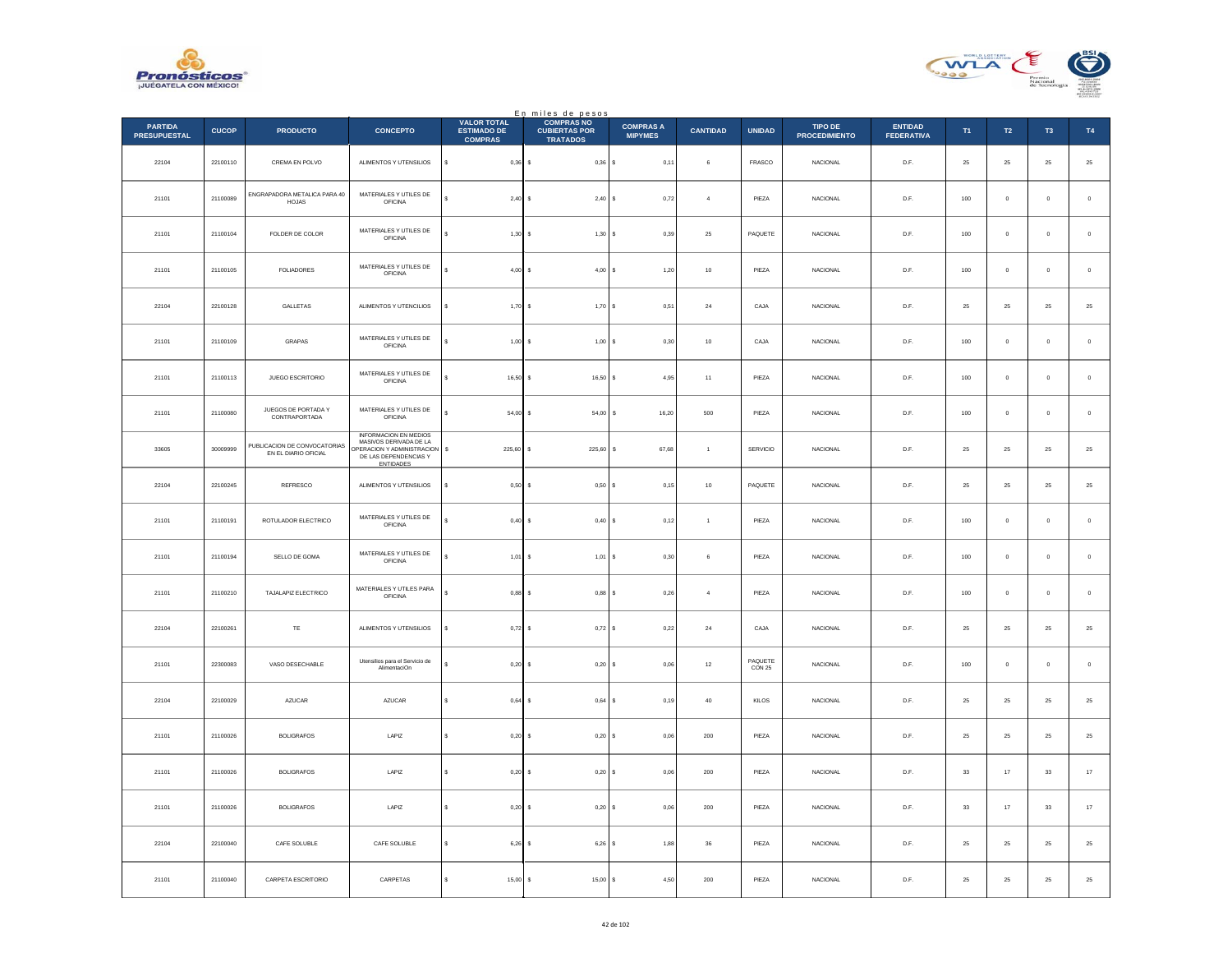



|                                       |              |                                                      |                                                                                                                            |                                                            | En miles de pesos<br>COMPRAS NO         |                                    |                 |                   |                                        |                                     |             |                  |                |               |
|---------------------------------------|--------------|------------------------------------------------------|----------------------------------------------------------------------------------------------------------------------------|------------------------------------------------------------|-----------------------------------------|------------------------------------|-----------------|-------------------|----------------------------------------|-------------------------------------|-------------|------------------|----------------|---------------|
| <b>PARTIDA</b><br><b>PRESUPUESTAL</b> | <b>CUCOP</b> | <b>PRODUCTO</b>                                      | <b>CONCEPTO</b>                                                                                                            | <b>VALOR TOTAL</b><br><b>ESTIMADO DE</b><br><b>COMPRAS</b> | <b>CUBIERTAS POR</b><br><b>TRATADOS</b> | <b>COMPRAS A</b><br><b>MIPYMES</b> | <b>CANTIDAD</b> | <b>UNIDAD</b>     | <b>TIPO DE</b><br><b>PROCEDIMIENTO</b> | <b>ENTIDAD</b><br><b>FEDERATIVA</b> | T1          | $\mathsf{T2}$    | T <sub>3</sub> | T4            |
| 22104                                 | 22100110     | CREMA EN POLVO                                       | ALIMENTOS Y UTENSILIOS                                                                                                     | s<br>$0,36$ \$                                             | $0,36$ \$                               | 0,11                               | 6               | FRASCO            | <b>NACIONAL</b>                        | D.F.                                | $\bf 25$    | 25               | $\bf 25$       | $25\,$        |
| 21101                                 | 21100089     | ENGRAPADORA METALICA PARA 40<br>HOJAS                | MATERIALES Y UTILES DE<br><b>OFICINA</b>                                                                                   | 2,40S                                                      | $2,40$ \$                               | 0.72                               | $\overline{a}$  | PIEZA             | <b>NACIONAL</b>                        | D.F.                                | 100         | $\overline{0}$   | $\mathbf{0}$   | $\,$ 0        |
| 21101                                 | 21100104     | FOLDER DE COLOR                                      | MATERIALES Y UTILES DE<br><b>OFICINA</b>                                                                                   | 1,30                                                       | 1,30S                                   | 0,39                               | $\bf 25$        | PAQUETE           | NACIONAL                               | $\mathsf{D}.\mathsf{F}.$            | $100\,$     | $\mathbf 0$      | $\bf{0}$       | $\,$ 0        |
| 21101                                 | 21100105     | FOLIADORES                                           | MATERIALES Y UTILES DE<br>OFICINA                                                                                          | 4,00                                                       | $4,00$ \$                               | 1,20                               | $10\,$          | PIEZA             | NACIONAL                               | D.F.                                | 100         | $\,$ 0           | $\mathbf 0$    | $\,$ 0        |
| 22104                                 | 22100128     | GALLETAS                                             | ALIMENTOS Y UTENCILIOS                                                                                                     | 1,70                                                       | 1,70S<br>-S                             | 0,51                               | $\bf{24}$       | CAJA              | NACIONAL                               | D.F.                                | 25          | 25               | 25             | $2\mathsf{5}$ |
| 21101                                 | 21100109     | GRAPAS                                               | MATERIALES Y UTILES DE<br><b>OFICINA</b>                                                                                   | $1,00$ \$                                                  | 1,00S                                   | 0,30                               | $10$            | CAJA              | <b>NACIONAL</b>                        | D.F.                                | 100         | $\,$ 0           | $\mathbf 0$    | $\,0\,$       |
| 21101                                 | 21100113     | JUEGO ESCRITORIO                                     | MATERIALES Y UTILES DE<br>OFICINA                                                                                          | $16,50$ \$                                                 | 16,50 \$                                | 4.95                               | 11              | PIEZA             | <b>NACIONAL</b>                        | D.F.                                | 100         | $\overline{0}$   | $\circ$        | $\,$ 0 $\,$   |
| 21101                                 | 21100080     | JUEGOS DE PORTADA Y<br>CONTRAPORTADA                 | MATERIALES Y UTILES DE<br>OFICINA                                                                                          | 54,00 \$<br>s                                              | 54,00 \$                                | 16,20                              | 500             | PIEZA             | NACIONAL                               | D.F.                                | $100\,$     | $\mathbf 0$      | $\bf{0}$       | $\,$ 0        |
| 33605                                 | 30009999     | PUBLICACION DE CONVOCATORIAS<br>EN EL DIARIO OFICIAL | <b>INFORMACION EN MEDIOS</b><br>MASIVOS DERIVADA DE LA<br>OPERACION Y ADMINISTRACION<br>DE LAS DEPENDENCIAS Y<br>ENTIDADES | $\mathsf{s}$<br>225,60                                     | $225,60$ \$                             | 67,68                              | $\overline{1}$  | <b>SERVICIO</b>   | <b>NACIONAL</b>                        | D.F.                                | 25          | 25               | 25             | 25            |
| 22104                                 | 22100245     | REFRESCO                                             | ALIMENTOS Y UTENSILIOS                                                                                                     | 0,50                                                       | 0,50S                                   | 0,15                               | $10$            | PAQUETE           | NACIONAL                               | D.F.                                | 25          | 25               | 25             | $25\,$        |
| 21101                                 | 21100191     | ROTULADOR ELECTRICO                                  | MATERIALES Y UTILES DE<br><b>OFICINA</b>                                                                                   | 0,40                                                       | $0,40$ \$<br>$\sim$                     | 0,12                               | $\mathbf{1}$    | PIEZA             | NACIONAL                               | D.F.                                | $100\,$     | $\mathbf 0$      | $\mathbf 0$    | $\,$ 0 $\,$   |
| 21101                                 | 21100194     | SELLO DE GOMA                                        | MATERIALES Y UTILES DE<br><b>OFICINA</b>                                                                                   | $1,01$ \$                                                  | $1,01$ \$                               | 0.30                               | 6               | PIEZA             | <b>NACIONAL</b>                        | D.F.                                | 100         | $\mathbf{0}$     | $\circ$        | $\,$ 0 $\,$   |
| 21101                                 | 21100210     | TAJALAPIZ ELECTRICO                                  | MATERIALES Y UTILES PARA<br><b>OFICINA</b>                                                                                 | 0,88                                                       | $0,88$ \$                               | 0,26                               | $\overline{4}$  | PIEZA             | <b>NACIONAL</b>                        | D.F.                                | 100         | $\mathbf 0$      | $\bf{0}$       | $\,$ 0 $\,$   |
| 22104                                 | 22100261     | TE                                                   | ALIMENTOS Y UTENSILIOS                                                                                                     | s<br>$0,72$ \$                                             | 0,72S                                   | 0,22                               | 24              | CAJA              | <b>NACIONAL</b>                        | D.F.                                | 25          | 25               | 25             | $25\,$        |
| 21101                                 | 22300083     | VASO DESECHABLE                                      | Utensilios para el Servicio de<br>AlimentaciOn                                                                             | 0,20                                                       | $0,20$ \$                               | 0,06                               | $12\,$          | PAQUETE<br>CON 25 | NACIONAL                               | $\mathsf{D}.\mathsf{F}.$            | $100\,$     | $\mathbf 0$      | $\bf{0}$       | $\,$ 0        |
| 22104                                 | 22100029     | AZUCAR                                               | AZUCAR                                                                                                                     | 0,64                                                       | $0,64$ \$                               | 0, 19                              | $40\,$          | KILOS             | <b>NACIONAL</b>                        | D.F.                                | $\bf 25$    | ${\bf 25}$       | $\bf 25$       | $\bf 25$      |
| 21101                                 | 21100026     | <b>BOLIGRAFOS</b>                                    | LAPIZ                                                                                                                      | $0.20$ S<br>s                                              | $0.20$ S                                | 0.06                               | 200             | PIEZA             | NACIONAL                               | D.F.                                | 25          | 25               | 25             | $25\,$        |
| 21101                                 | 21100026     | <b>BOLIGRAFOS</b>                                    | $\ensuremath{\mathsf{LAPIZ}}$                                                                                              | $0,20$ \$<br>\$                                            | 0,20S                                   | 0,06                               | $200\,$         | PIEZA             | NACIONAL                               | $\mathsf{D}.\mathsf{F}.$            | $^{\rm 33}$ | $17\,$           | $_{33}$        | $17\,$        |
| 21101                                 | 21100026     | <b>BOLIGRAFOS</b>                                    | I APIZ                                                                                                                     | $\mathbf{s}$<br>0,20                                       | $0.20$ S                                | 0.06                               | 200             | PIEZA             | NACIONAL                               | D.F.                                | 33          | 17               | 33             | $17\,$        |
| 22104                                 | 22100040     | CAFE SOLUBLE                                         | CAFE SOLUBLE                                                                                                               | 6,26                                                       | $6,26$ \$                               | 1,88                               | 36              | PIEZA             | NACIONAL                               | D.F.                                | 25          | 25               | 25             | $25\,$        |
| 21101                                 | 21100040     | CARPETA ESCRITORIO                                   | CARPETAS                                                                                                                   | 15,00S<br>s                                                | 15,00 S                                 | 4,50                               | 200             | PIEZA             | NACIONAL                               | D.F.                                | ${\bf 25}$  | $25\phantom{.0}$ | 25             | 25            |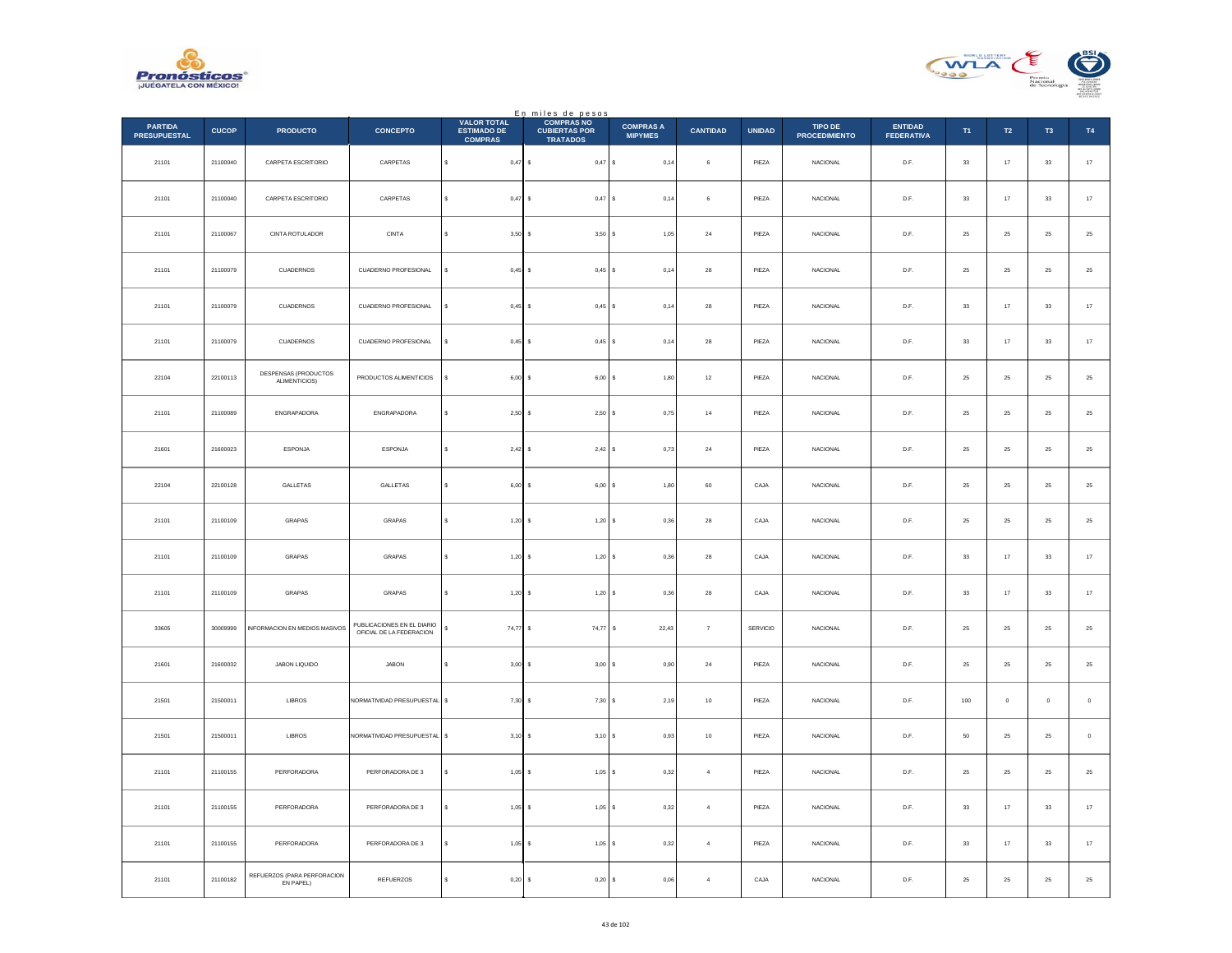



|                                       |              |                                          |                                                        | <b>VALOR TOTAL</b>                   | En miles de pesos<br>COMPRAS NO         |                                    |                 |               |                                        |                                     |             |                  |                |        |
|---------------------------------------|--------------|------------------------------------------|--------------------------------------------------------|--------------------------------------|-----------------------------------------|------------------------------------|-----------------|---------------|----------------------------------------|-------------------------------------|-------------|------------------|----------------|--------|
| <b>PARTIDA</b><br><b>PRESUPUESTAL</b> | <b>CUCOP</b> | <b>PRODUCTO</b>                          | <b>CONCEPTO</b>                                        | <b>ESTIMADO DE</b><br><b>COMPRAS</b> | <b>CUBIERTAS POR</b><br><b>TRATADOS</b> | <b>COMPRAS A</b><br><b>MIPYMES</b> | <b>CANTIDAD</b> | <b>UNIDAD</b> | <b>TIPO DE</b><br><b>PROCEDIMIENTO</b> | <b>ENTIDAD</b><br><b>FEDERATIVA</b> | T1          | $\mathsf{T2}$    | T <sub>3</sub> | T4     |
| 21101                                 | 21100040     | CARPETA ESCRITORIO                       | CARPETAS                                               | $\mathbb S$<br>$0,47$ \$             | $0,47$ \$                               | 0,14                               | $\,$ 6 $\,$     | PIEZA         | <b>NACIONAL</b>                        | D.F.                                | $_{\rm 33}$ | $17\,$           | $_{\rm 33}$    | $17\,$ |
| 21101                                 | 21100040     | CARPETA ESCRITORIO                       | CARPETAS                                               | $\mathbf{s}$<br>$0,47$ \$            | $0,47$ \$                               | 0,14                               | 6               | PIEZA         | <b>NACIONAL</b>                        | D.F.                                | 33          | $17\,$           | 33             | $17\,$ |
| 21101                                 | 21100067     | CINTA ROTULADOR                          | $\texttt{CINTA}$                                       | 3,50<br>s                            | 3,50S                                   | 1,05                               | $\bf{24}$       | PIEZA         | NACIONAL                               | $\mathsf{D}.\mathsf{F}.$            | $\bf 25$    | $25\,$           | $25\,$         | $25\,$ |
| 21101                                 | 21100079     | CUADERNOS                                | CUADERNO PROFESIONAL                                   | s<br>$0,45$ \$                       | $0,45$ \$                               | 0,14                               | $\bf 28$        | PIEZA         | <b>NACIONAL</b>                        | D.F.                                | $\bf 25$    | ${\bf 25}$       | $\bf 25$       | $25\,$ |
| 21101                                 | 21100079     | CUADERNOS                                | CUADERNO PROFESIONAL                                   | s<br>$0.45$ S                        | $0.45$ S                                | 0.14                               | $\bf{28}$       | PIEZA         | NACIONAL                               | D.F.                                | 33          | 17               | 33             | $17\,$ |
| 21101                                 | 21100079     | CUADERNOS                                | CUADERNO PROFESIONAL                                   | $0,45$ \$<br>s                       | $0,45$ \$                               | 0,14                               | ${\bf 28}$      | PIEZA         | <b>NACIONAL</b>                        | D.F.                                | $_{\rm 33}$ | $17\,$           | $_{\rm 33}$    | $17\,$ |
| 22104                                 | 22100113     | DESPENSAS (PRODUCTOS<br>ALIMENTICIOS)    | PRODUCTOS ALIMENTICIOS                                 | $\mathbf{s}$<br>$6,00$ \$            | $6,00$ \$                               | 1,80                               | 12              | PIEZA         | <b>NACIONAL</b>                        | D.F.                                | 25          | ${\bf 25}$       | 25             | $25\,$ |
| 21101                                 | 21100089     | ENGRAPADORA                              | ENGRAPADORA                                            | $2,50$ \$<br>s                       | 2,50S                                   | 0,75                               | $^{\rm 14}$     | PIEZA         | NACIONAL                               | $\mathsf{D}.\mathsf{F}.$            | $\bf 25$    | $25\,$           | $25\,$         | $25\,$ |
| 21601                                 | 21600023     | ESPONJA                                  | ESPONJA                                                | $\mathbb{S}$<br>2,42                 | 2,42S                                   | 0,73                               | $\bf{24}$       | PIEZA         | <b>NACIONAL</b>                        | D.F.                                | $\bf 25$    | ${\bf 25}$       | 25             | $25\,$ |
| 22104                                 | 22100128     | GALLETAS                                 | GALLETAS                                               | 6,00                                 | $6,00$ $S$                              | 1,80                               | 60              | CAJA          | NACIONAL                               | D.F.                                | 25          | 25               | 25             | $25\,$ |
| 21101                                 | 21100109     | GRAPAS                                   | GRAPAS                                                 | s<br>$1,20$ \$                       | $1,20$ \$                               | 0,36                               | $_{\rm 28}$     | CAJA          | NACIONAL                               | $\mathsf{D}.\mathsf{F}.$            | $\bf 25$    | $25\,$           | $25\,$         | $25\,$ |
| 21101                                 | 21100109     | GRAPAS                                   | GRAPAS                                                 | $\mathbf{s}$<br>$1,20$ \$            | $1,20$ \$                               | 0,36                               | 28              | CAJA          | <b>NACIONAL</b>                        | D.F.                                | 33          | 17               | 33             | $17\,$ |
| 21101                                 | 21100109     | GRAPAS                                   | GRAPAS                                                 | s<br>1,20                            | 1,20S                                   | 0,36                               | $\bf{28}$       | CAJA          | NACIONAL                               | D.F.                                | $_{\rm 33}$ | 17               | $_{33}$        | $17$   |
| 33605                                 | 30009999     | <b>INFORMACION EN MEDIOS MASIVOS</b>     | PUBLICACIONES EN EL DIARIO<br>OFICIAL DE LA FEDERACION | $\mathbb{S}$<br>$74,77$ \$           | 74,77 \$                                | 22,43                              | $\overline{7}$  | SERVICIO      | NACIONAL                               | D.F.                                | 25          | $25\phantom{.0}$ | $25\,$         | $25\,$ |
| 21601                                 | 21600032     | JABON LIQUIDO                            | JABON                                                  | 3,00<br>\$                           | $3,00$ $S$                              | 0,90                               | $\sqrt{24}$     | PIEZA         | NACIONAL                               | D.F.                                | 25          | 25               | 25             | $25\,$ |
| 21501                                 | 21500011     | LIBROS                                   | NORMATIVIDAD PRESUPUESTAL                              | $\mathbb S$<br>7,30                  | 7,30S                                   | 2,19                               | $10$            | PIEZA         | NACIONAL                               | $\mathsf{D}.\mathsf{F}.$            | $100\,$     | $\,$ 0 $\,$      | $\mathbf 0$    | $\,$ 0 |
| 21501                                 | 21500011     | LIBROS                                   | NORMATIVIDAD PRESUPUESTAL \$                           | $3,10$ \$                            | 3,10S                                   | 0,93                               | 10              | PIEZA         | <b>NACIONAL</b>                        | D.F.                                | 50          | $25\phantom{.0}$ | 25             | $\,$ 0 |
| 21101                                 | 21100155     | PERFORADORA                              | PERFORADORA DE 3                                       | $1,05$ \$<br>s                       | $1,05$ \$                               | 0,32                               | $\overline{4}$  | PIEZA         | NACIONAL                               | D.F.                                | 25          | 25               | 25             | 25     |
| 21101                                 | 21100155     | PERFORADORA                              | PERFORADORA DE 3                                       | s<br>1,05                            | 1,05S<br>-S                             | 0,32                               | $\overline{4}$  | PIEZA         | NACIONAL                               | D.F.                                | 33          | 17               | 33             | $17\,$ |
| 21101                                 | 21100155     | PERFORADORA                              | PERFORADORA DE 3                                       | 1,05                                 | $1,05$ $S$<br>$\mathbf{s}$              | 0.32                               | $\overline{4}$  | PIEZA         | <b>NACIONAL</b>                        | D.F.                                | 33          | 17               | 33             | 17     |
| 21101                                 | 21100182     | REFUERZOS (PARA PERFORACION<br>EN PAPEL) | REFUERZOS                                              | 0,20<br>s                            | $0,20$ \$                               | 0,06                               | $\overline{4}$  | CAJA          | NACIONAL                               | D.F.                                | $25\,$      | ${\bf 25}$       | $\bf 25$       | 25     |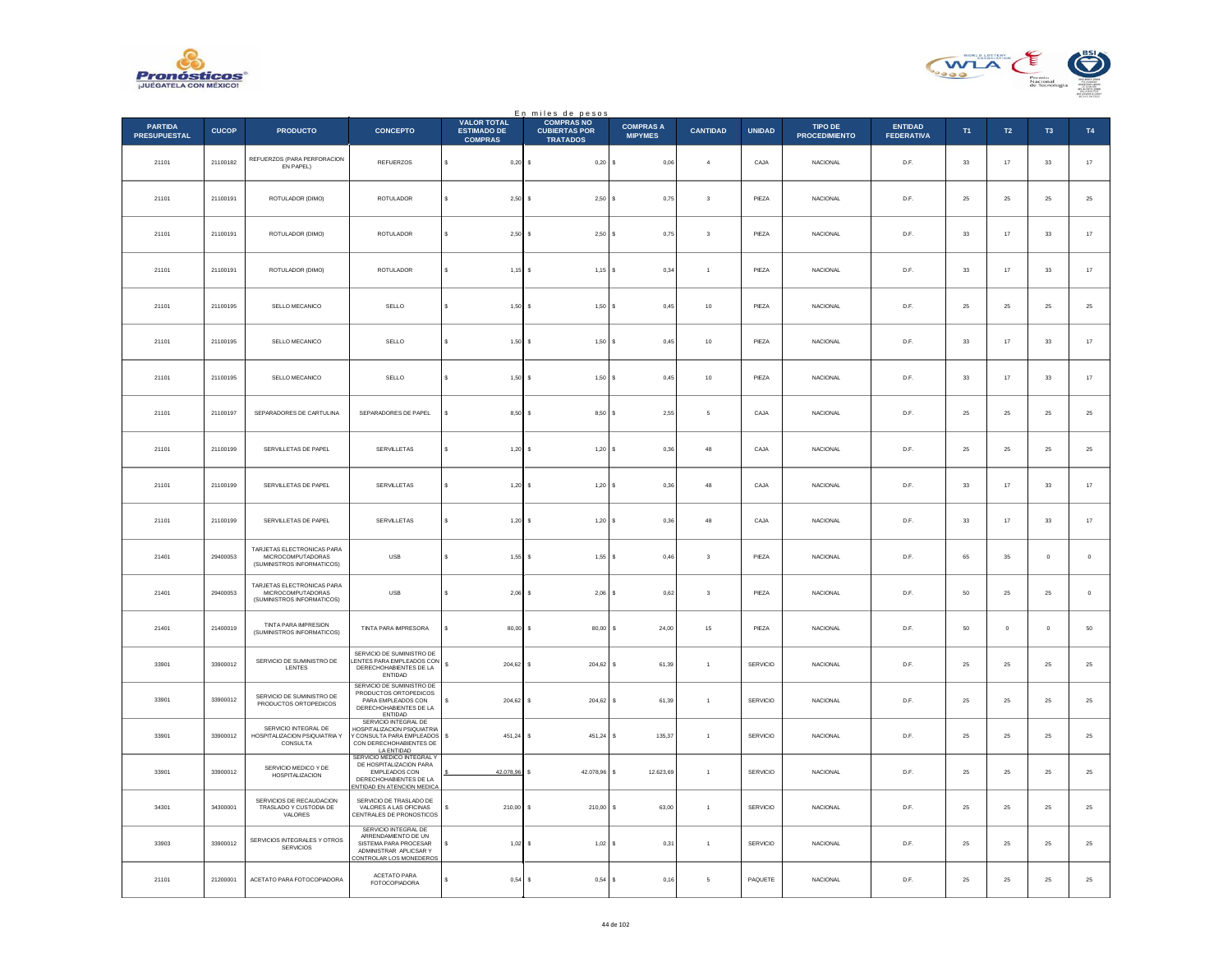



|                                       |              |                                                                               |                                                                                                                                  |                                                            | En miles de pesos                                            |                                    |                         |                 |                                        |                                     |             |                |                     |             |
|---------------------------------------|--------------|-------------------------------------------------------------------------------|----------------------------------------------------------------------------------------------------------------------------------|------------------------------------------------------------|--------------------------------------------------------------|------------------------------------|-------------------------|-----------------|----------------------------------------|-------------------------------------|-------------|----------------|---------------------|-------------|
| <b>PARTIDA</b><br><b>PRESUPUESTAL</b> | <b>CUCOP</b> | <b>PRODUCTO</b>                                                               | <b>CONCEPTO</b>                                                                                                                  | <b>VALOR TOTAL</b><br><b>ESTIMADO DE</b><br><b>COMPRAS</b> | <b>COMPRAS NO</b><br><b>CUBIERTAS POR</b><br><b>TRATADOS</b> | <b>COMPRAS A</b><br><b>MIPYMES</b> | <b>CANTIDAD</b>         | <b>UNIDAD</b>   | <b>TIPO DE</b><br><b>PROCEDIMIENTO</b> | <b>ENTIDAD</b><br><b>FEDERATIVA</b> | T1          | T2             | T <sub>3</sub>      | T4          |
| 21101                                 | 21100182     | REFUERZOS (PARA PERFORACION<br>EN PAPEL)                                      | <b>REFUERZOS</b>                                                                                                                 | $0,20$ \$<br>s                                             | $0,20$ \$                                                    | 0,06                               | $\overline{4}$          | CAJA            | <b>NACIONAL</b>                        | D.F.                                | 33          | 17             | 33                  | $17\,$      |
| 21101                                 | 21100191     | ROTULADOR (DIMO)                                                              | ROTULADOR                                                                                                                        | 2,50S                                                      | 2,50S                                                        | 0,75                               | $\overline{\mathbf{3}}$ | PIEZA           | <b>NACIONAL</b>                        | D.F.                                | 25          | 25             | 25                  | 25          |
| 21101                                 | 21100191     | ROTULADOR (DIMO)                                                              | ROTULADOR                                                                                                                        | 2,50S                                                      | 2,50S                                                        | 0,75                               | $\sqrt{3}$              | PIEZA           | <b>NACIONAL</b>                        | D.F.                                | 33          | 17             | 33                  | $17\,$      |
| 21101                                 | 21100191     | ROTULADOR (DIMO)                                                              | <b>ROTULADOR</b>                                                                                                                 | $1,15$ \$<br>s                                             | $1,15$ \$                                                    | 0.34                               | $\mathbf{1}$            | PIEZA           | <b>NACIONAL</b>                        | D.F.                                | 33          | 17             | 33                  | $17\,$      |
| 21101                                 | 21100195     | SELLO MECANICO                                                                | SELLO                                                                                                                            | $1,50$ \$                                                  | 1,50                                                         | 0,45                               | $10\,$                  | PIEZA           | <b>NACIONAL</b>                        | $\mathsf{D}.\mathsf{F}.$            | $\bf 25$    | $2\sqrt{5}$    | $25\,$              | $25\,$      |
| 21101                                 | 21100195     | SELLO MECANICO                                                                | SELLO                                                                                                                            | $1,50$ \$                                                  | $1,50$ S                                                     | 0,45                               | 10                      | PIEZA           | <b>NACIONAL</b>                        | D.F.                                | 33          | 17             | 33                  | $17\,$      |
| 21101                                 | 21100195     | SELLO MECANICO                                                                | SELLO                                                                                                                            | $1,50$ \$                                                  | $1,50$ S                                                     | 0,45                               | 10                      | PIEZA           | <b>NACIONAL</b>                        | D.F.                                | 33          | 17             | 33                  | $17\,$      |
| 21101                                 | 21100197     | SEPARADORES DE CARTULINA                                                      | SEPARADORES DE PAPEL                                                                                                             | $8,50$ \$<br>s                                             | 8,50S                                                        | 2,55                               | $\mathfrak s$           | CAJA            | NACIONAL                               | D.F.                                | $25\,$      | $25\,$         | 25                  | $25\,$      |
| 21101                                 | 21100199     | SERVILLETAS DE PAPEL                                                          | SERVILLETAS                                                                                                                      | s<br>$1,20$ \$                                             | 1,20S                                                        | 0,36                               | 48                      | CAJA            | <b>NACIONAL</b>                        | D.E.                                | 25          | 25             | 25                  | $25\,$      |
| 21101                                 | 21100199     | SERVILLETAS DE PAPEL                                                          | SERVILLETAS                                                                                                                      | 1,20                                                       | 1,20<br>s                                                    | 0,36                               | 48                      | CAJA            | NACIONAL                               | D.F.                                | $_{\rm 33}$ | $17\,$         | $_{\rm 33}$         | $17\,$      |
| 21101                                 | 21100199     | SERVILLETAS DE PAPEL                                                          | SERVILLETAS                                                                                                                      | $1,20$ \$<br>$\epsilon$                                    | 1,20S                                                        | 0,36                               | 48                      | CAJA            | NACIONAL                               | D.F.                                | $_{\rm 33}$ | $17\,$         | $_{\rm 33}$         | $17\,$      |
| 21401                                 | 29400053     | TARJETAS ELECTRONICAS PARA<br>MICROCOMPUTADORAS<br>(SUMINISTROS INFORMATICOS) | <b>USB</b>                                                                                                                       | $1.55$ S<br>s                                              | $1.55$ S                                                     | 0.46                               | $\overline{\mathbf{3}}$ | PIEZA           | <b>NACIONAL</b>                        | D.F.                                | 65          | 35             | $\ddot{\mathbf{0}}$ | $\mathbf 0$ |
| 21401                                 | 29400053     | TARJETAS ELECTRONICAS PARA<br>MICROCOMPUTADORAS<br>(SUMINISTROS INFORMATICOS) | $_{\rm{USE}}$                                                                                                                    | $2,06$ \$                                                  | $2,06$ \$                                                    | 0,62                               | $\overline{\mathbf{3}}$ | PIEZA           | NACIONAL                               | D.F.                                | 50          | 25             | 25                  | $\,$ 0 $\,$ |
| 21401                                 | 21400019     | TINTA PARA IMPRESION<br>(SUMINISTROS INFORMATICOS)                            | TINTA PARA IMPRESORA                                                                                                             | $80.00$ S                                                  | 80,00                                                        | 24.00<br>s                         | 15                      | PIEZA           | <b>NACIONAL</b>                        | D.F.                                | 50          | $\overline{0}$ | $\Omega$            | ${\bf 50}$  |
| 33901                                 | 33900012     | SERVICIO DE SUMINISTRO DE<br>LENTES                                           | SERVICIO DE SUMINISTRO DE<br>LENTES PARA EMPLEADOS CON<br>DERECHOHABIENTES DE LA<br>ENTIDAD                                      | 204,62                                                     | 204,62<br>Ιs                                                 | 61,39<br>s                         | $\mathbf{1}$            | <b>SERVICIO</b> | <b>NACIONAL</b>                        | D.F.                                | 25          | 25             | 25                  | $25\,$      |
| 33901                                 | 33900012     | SERVICIO DE SUMINISTRO DE<br>PRODUCTOS ORTOPEDICOS                            | SERVICIO DE SUMINISTRO DE<br>PRODUCTOS ORTOPEDICOS<br>PARA EMPLEADOS CON<br>DERECHOHABIENTES DE LA<br><b>ENTIDAD</b>             | $204,62$ \$<br>s                                           | 204,62                                                       | 61,39                              | $\overline{1}$          | SERVICIO        | NACIONAL                               | D.F.                                | 25          | 25             | 25                  | $25\,$      |
| 33901                                 | 33900012     | SERVICIO INTEGRAL DE<br>HOSPITALIZACION PSIQUIATRIA Y<br>CONSULTA             | SERVICIO INTEGRAL DE<br>HOSPITALIZACION PSIQUIATRIA<br>Y CONSULTA PARA EMPLEADOS<br>CON DERECHOHABIENTES DE<br><b>LA ENTIDAD</b> | s<br>$451.24$ S                                            | 451.24                                                       | 135.37<br>s                        | $\overline{1}$          | SERVICIO        | <b>NACIONAL</b>                        | D.F.                                | 25          | 25             | 25                  | 25          |
| 33901                                 | 33900012     | SERVICIO MEDICO Y DE<br><b>HOSPITALIZACION</b>                                | SERVICIO MEDICO INTEGRAL Y<br>DE HOSPITALIZACION PARA<br>EMPLEADOS CON<br>DERECHOHABIENTES DE LA<br>ENTIDAD EN ATENCION MEDICA   | 42.078.96 \$                                               | 42.078,96                                                    | 12.623,69<br>s                     | $\overline{1}$          | SERVICIO        | <b>NACIONAL</b>                        | D.F.                                | 25          | 25             | 25                  | 25          |
| 34301                                 | 34300001     | SERVICIOS DE RECAUDACION<br>TRASLADO Y CUSTODIA DE<br>VALORES                 | SERVICIO DE TRASLADO DE<br>VALORES A LAS OFICINAS<br>CENTRALES DE PRONOSTICOS                                                    | $210,00$ S                                                 | 210,00                                                       | 63,00<br>s                         | $\mathbf{1}$            | SERVICIO        | <b>NACIONAL</b>                        | D.F.                                | 25          | ${\bf 25}$     | 25                  | $25\,$      |
| 33903                                 | 33900012     | SERVICIOS INTEGRALES Y OTROS<br>SERVICIOS                                     | SERVICIO INTEGRAL DE<br>ARRENDAMIENTO DE UN<br>SISTEMA PARA PROCESAR<br>ADMINISTRAR APLICSAR Y<br>ONTROLAR LOS MONEDEROS         | $1,02$ \$                                                  | $1,02$ \$                                                    | 0.31                               | $\overline{1}$          | <b>SERVICIO</b> | <b>NACIONAL</b>                        | D.F.                                | 25          | 25             | 25                  | 25          |
| 21101                                 | 21200001     | ACETATO PARA FOTOCOPIADORA                                                    | ACFTATO PARA<br><b>FOTOCOPIADORA</b>                                                                                             | 0,54<br>\$                                                 | 0,54                                                         | 0,16                               | 5                       | PAQUETE         | NACIONAL                               | D.F.                                | 25          | 25             | 25                  | $25\,$      |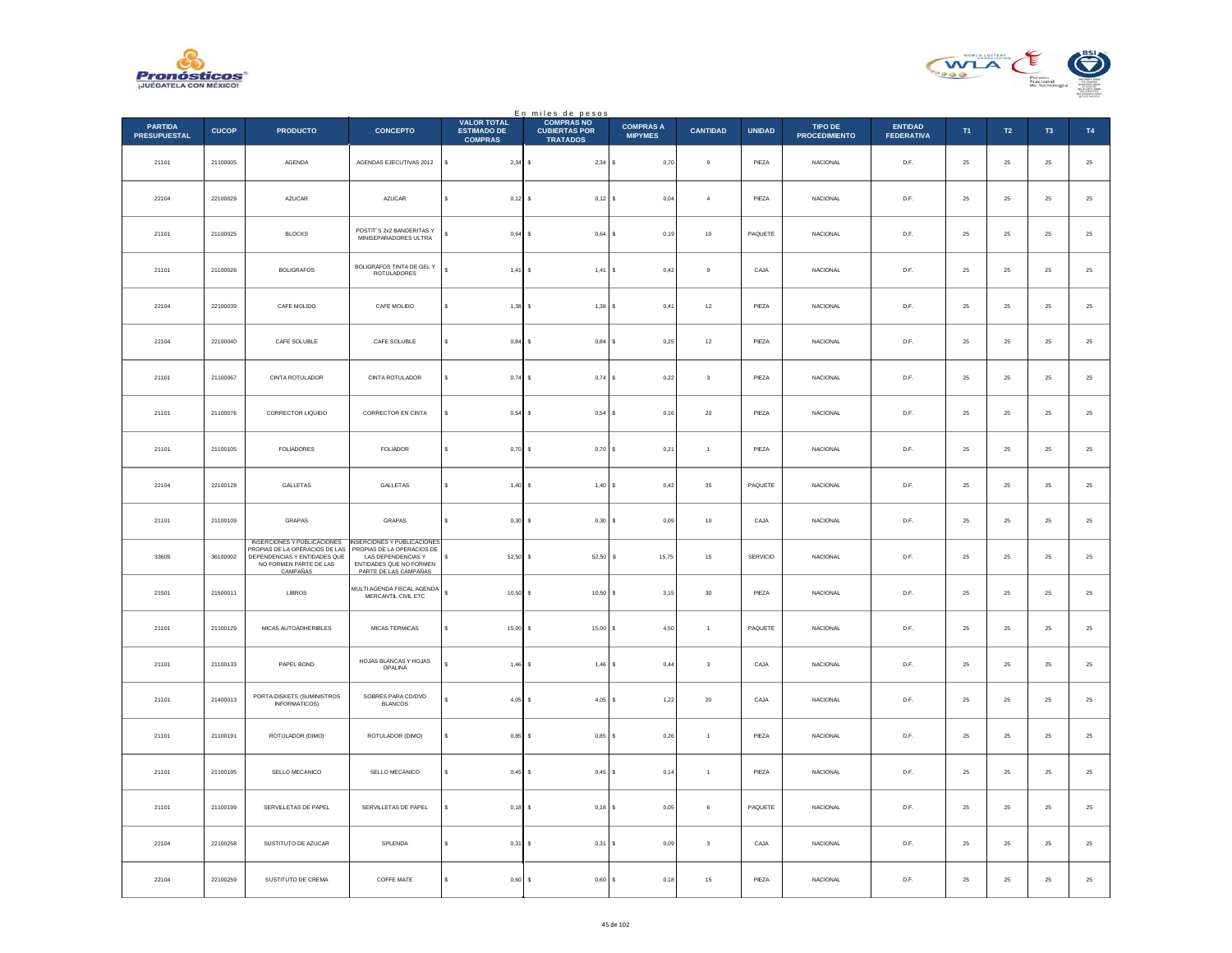



|                                       |              |                                                                                                                                     |                                                                                                                                    |                                                            | En miles de pesos                                            |                                    |                 |               |                                 |                                     |             |               |             |               |
|---------------------------------------|--------------|-------------------------------------------------------------------------------------------------------------------------------------|------------------------------------------------------------------------------------------------------------------------------------|------------------------------------------------------------|--------------------------------------------------------------|------------------------------------|-----------------|---------------|---------------------------------|-------------------------------------|-------------|---------------|-------------|---------------|
| <b>PARTIDA</b><br><b>PRESUPUESTAL</b> | <b>CUCOP</b> | <b>PRODUCTO</b>                                                                                                                     | <b>CONCEPTO</b>                                                                                                                    | <b>VALOR TOTAL</b><br><b>ESTIMADO DE</b><br><b>COMPRAS</b> | <b>COMPRAS NO</b><br><b>CUBIERTAS POR</b><br><b>TRATADOS</b> | <b>COMPRAS A</b><br><b>MIPYMES</b> | <b>CANTIDAD</b> | <b>UNIDAD</b> | TIPO DE<br><b>PROCEDIMIENTO</b> | <b>ENTIDAD</b><br><b>FEDERATIVA</b> | T1          | $\mathsf{T2}$ | T3          | $\mathsf{T4}$ |
| 21101                                 | 21100005     | AGENDA                                                                                                                              | AGENDAS EJECUTIVAS 2012                                                                                                            | s<br>$2,34$ \$                                             | $2,34$ \$                                                    | 0,70                               | 9               | PIEZA         | <b>NACIONAL</b>                 | D.F.                                | 25          | 25            | 25          | $2\mathsf{5}$ |
| 22104                                 | 22100029     | AZUCAR                                                                                                                              | AZUCAR                                                                                                                             | s<br>0,12                                                  | $0,12$ \$                                                    | 0,04                               | $\overline{4}$  | PIEZA         | <b>NACIONAL</b>                 | D.F.                                | 25          | 25            | 25          | 25            |
| 21101                                 | 21100025     | <b>BLOCKS</b>                                                                                                                       | POSTIT'S 2x2 BANDERITAS Y<br>MINISEPARADORES ULTRA                                                                                 | 0,64                                                       | $0,64$ \$                                                    | 0,19                               | 10              | PAQUETE       | <b>NACIONAL</b>                 | D.F.                                | 25          | 25            | 25          | $\bf 25$      |
| 21101                                 | 21100026     | <b>BOLIGRAFOS</b>                                                                                                                   | BOLIGRAFOS TINTA DE GEL Y<br>ROTULADORES                                                                                           | $\mathbf{s}$<br>1,41                                       | 1,41                                                         | ١s<br>0.42                         | 9               | CAJA          | <b>NACIONAL</b>                 | D.F.                                | 25          | 25            | 25          | $2\mathsf{5}$ |
| 22104                                 | 22100039     | CAFE MOLIDO                                                                                                                         | CAFE MOLIDO                                                                                                                        | $1,38$ \$<br>$\epsilon$                                    | $1,38$ \$                                                    | 0,41                               | $^{\rm 12}$     | PIEZA         | <b>NACIONAL</b>                 | D.F.                                | 25          | 25            | 25          | $25\,$        |
| 22104                                 | 22100040     | CAFE SOLUBLE                                                                                                                        | CAFE SOLUBLE                                                                                                                       | $0.84$ S<br>s                                              | 0.84S                                                        | 0.25                               | 12              | PIEZA         | <b>NACIONAL</b>                 | D.F.                                | 25          | 25            | 25          | 25            |
| 21101                                 | 21100067     | CINTA ROTULADOR                                                                                                                     | CINTA ROTULADOR                                                                                                                    | s<br>$0,74$ \$                                             | 0,74S                                                        | 0,22                               | $\sqrt{3}$      | PIEZA         | <b>NACIONAL</b>                 | D.F.                                | $2\sqrt{5}$ | 25            | $25\,$      | 25            |
| 21101                                 | 21100076     | CORRECTOR LIQUIDO                                                                                                                   | <b>CORRECTOR EN CINTA</b>                                                                                                          | s<br>$0.54$ \$                                             | $0,54$ \$                                                    | 0.16                               | 20              | PIEZA         | <b>NACIONAL</b>                 | D.F.                                | 25          | 25            | 25          | $25\,$        |
| 21101                                 | 21100105     | <b>FOLIADORES</b>                                                                                                                   | <b>FOLIADOR</b>                                                                                                                    | 0.70<br>s                                                  | $0.70$ S                                                     | 0.21                               | $\overline{1}$  | PIEZA         | <b>NACIONAL</b>                 | D.F.                                | 25          | 25            | 25          | 25            |
| 22104                                 | 22100128     | GALLETAS                                                                                                                            | GALLETAS                                                                                                                           | 1,40<br>$\epsilon$                                         | 1,40S                                                        | 0,42                               | $35\,$          | PAQUETE       | NACIONAL                        | D.F.                                | $\bf 25$    | ${\bf 25}$    | 25          | $25\,$        |
| 21101                                 | 21100109     | <b>GRAPAS</b>                                                                                                                       | GRAPAS                                                                                                                             | s<br>$0.30$ S                                              | $0,30$ \$                                                    | 0.09                               | 10              | CAJA          | <b>NACIONAL</b>                 | D.F.                                | 25          | 25            | 25          | $25\,$        |
| 33605                                 | 36100002     | INSERCIONES Y PUBLICACIONES<br>PROPIAS DE LA OPERACIOS DE LAS<br>DEPENDENCIAS Y ENTIDADES QUE<br>NO FORMEN PARTE DE LAS<br>CAMPAÑAS | NSERCIONES Y PUBLICACIONES<br>PROPIAS DE LA OPERACIOS DE<br>LAS DEPENDENCIAS Y<br>ENTIDADES QUE NO FORMEN<br>PARTE DE LAS CAMPAÑAS | 52,50<br>s                                                 | 52,50 \$                                                     | 15,75                              | $15\,$          | SERVICIO      | NACIONAL                        | $\mathsf{D}.\mathsf{F}.$            | $2\sqrt{5}$ | $\bf 25$      | $\bf 25$    | 25            |
| 21501                                 | 21500011     | LIBROS                                                                                                                              | MULTI AGENDA FISCAL AGENDA<br>MERCANTIL CIVIL ETC                                                                                  | s<br>10,50                                                 | $10,50$ \$                                                   | 3,15                               | $30\,$          | PIEZA         | NACIONAL                        | D.F.                                | $25\,$      | ${\bf 25}$    | 25          | $\bf 25$      |
| 21101                                 | 21100129     | MICAS AUTOADHERIBLES                                                                                                                | MICAS TERMICAS                                                                                                                     | 15.00<br>s                                                 | $15.00$ S                                                    | 4.50                               | $\overline{1}$  | PAQUETE       | <b>NACIONAL</b>                 | D.F.                                | 25          | 25            | 25          | 25            |
| 21101                                 | 21100133     | PAPEL BOND                                                                                                                          | HOJAS BLANCAS Y HOJAS<br>OPALINA                                                                                                   | $1,46$ \$                                                  | 1,46                                                         | <sup>s</sup><br>0,44               | $\mathbf 3$     | CAJA          | NACIONAL                        | D.F.                                | $\bf 25$    | 25            | 25          | $25\,$        |
| 21101                                 | 21400013     | PORTA-DISKETS (SUMINISTROS<br>INFORMATICOS)                                                                                         | SOBRES PARA CD/DVD<br><b>BLANCOS</b>                                                                                               | 4,05                                                       | $4.05$ \$<br>$\sim$                                          | 1,22                               | 20              | CAJA          | <b>NACIONAL</b>                 | D.F.                                | 25          | 25            | 25          | $\bf 25$      |
| 21101                                 | 21100191     | ROTULADOR (DIMO)                                                                                                                    | ROTULADOR (DIMO)                                                                                                                   | s<br>0,85                                                  | 0,85                                                         | ١s<br>0,26                         | $\mathbf{1}$    | PIEZA         | NACIONAL                        | $\mathsf{D}.\mathsf{F}.$            | $\bf 25$    | $\bf 25$      | $2\sqrt{5}$ | 25            |
| 21101                                 | 21100195     | SELLO MECANICO                                                                                                                      | SELLO MECANICO                                                                                                                     | \$<br>$0,45$ \$                                            | $0,45$ \$                                                    | 0,14                               | $\overline{1}$  | PIEZA         | <b>NACIONAL</b>                 | D.F.                                | $\bf 25$    | ${\bf 25}$    | 25          | $25\,$        |
| 21101                                 | 21100199     | SERVILLETAS DE PAPEL                                                                                                                | SERVILLETAS DE PAPEL                                                                                                               | 0,18                                                       | $0,18$ S                                                     | 0,05                               | 6               | PAQUETE       | NACIONAL                        | D.F.                                | 25          | 25            | 25          | $2\mathsf{5}$ |
| 22104                                 | 22100258     | SUSTITUTO DE AZUCAR                                                                                                                 | SPLENDA                                                                                                                            | 0,31                                                       | 0,31                                                         | s<br>0,09                          | $\sqrt{3}$      | CAJA          | NACIONAL                        | $\mathsf{D}.\mathsf{F}.$            | $\bf 25$    | $\bf 25$      | $2\sqrt{5}$ | $2\mathsf{5}$ |
| 22104                                 | 22100259     | SUSTITUTO DE CREMA                                                                                                                  | COFFE MATE                                                                                                                         | $0,60$ \$<br>$\epsilon$                                    | $0,60$ \$                                                    | 0,18                               | 15              | PIEZA         | <b>NACIONAL</b>                 | D.F.                                | 25          | 25            | 25          | 25            |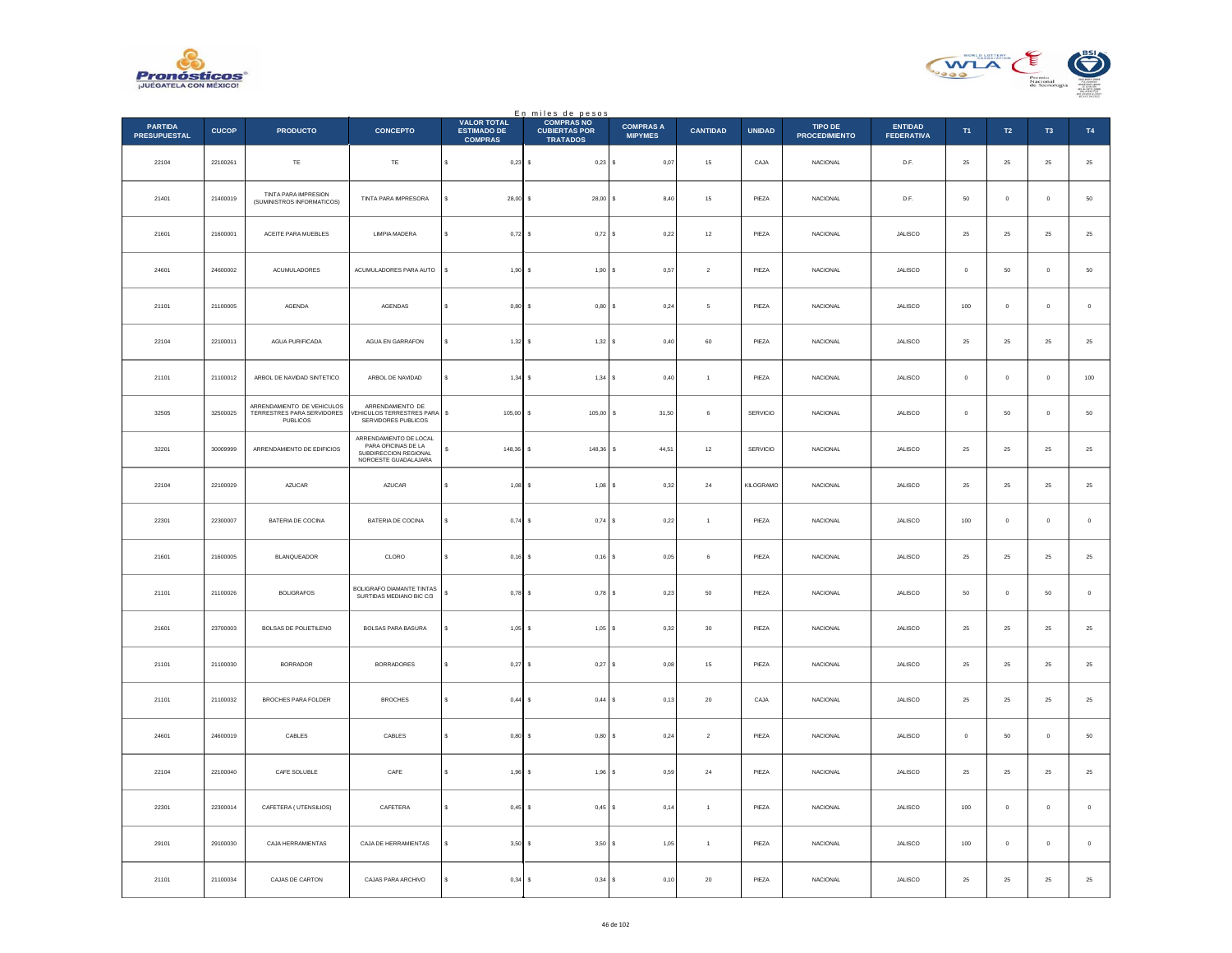



|                                       |              |                                                                             |                                                                                                |                                                            | En miles de pesos                                            |                                    |                 |               |                                 |                                     |             |                  |              |             |
|---------------------------------------|--------------|-----------------------------------------------------------------------------|------------------------------------------------------------------------------------------------|------------------------------------------------------------|--------------------------------------------------------------|------------------------------------|-----------------|---------------|---------------------------------|-------------------------------------|-------------|------------------|--------------|-------------|
| <b>PARTIDA</b><br><b>PRESUPUESTAL</b> | <b>CUCOP</b> | <b>PRODUCTO</b>                                                             | <b>CONCEPTO</b>                                                                                | <b>VALOR TOTAL</b><br><b>ESTIMADO DE</b><br><b>COMPRAS</b> | <b>COMPRAS NO</b><br><b>CUBIERTAS POR</b><br><b>TRATADOS</b> | <b>COMPRAS A</b><br><b>MIPYMES</b> | <b>CANTIDAD</b> | <b>UNIDAD</b> | TIPO DE<br><b>PROCEDIMIENTO</b> | <b>ENTIDAD</b><br><b>FEDERATIVA</b> | T1          | T <sub>2</sub>   | T3           | T4          |
| 22104                                 | 22100261     | $\mathsf{T}\mathsf{E}$                                                      | TE                                                                                             | s<br>$0.23$ \$                                             | $0,23$ \$                                                    | 0,07                               | 15              | CAJA          | <b>NACIONAL</b>                 | D.F.                                | 25          | 25               | 25           | 25          |
| 21401                                 | 21400019     | TINTA PARA IMPRESION<br>(SUMINISTROS INFORMATICOS)                          | TINTA PARA IMPRESORA                                                                           | 28,00                                                      | $28,00$ \$                                                   | 8,40                               | 15              | PIEZA         | NACIONAL                        | D.F.                                | 50          | $\mathbf 0$      | $\mathbf{0}$ | 50          |
| 21601                                 | 21600001     | ACEITE PARA MUEBLES                                                         | <b>LIMPIA MADERA</b>                                                                           | 0,72                                                       | 0,72S                                                        | 0,22                               | $12\,$          | PIEZA         | <b>NACIONAL</b>                 | <b>JALISCO</b>                      | 25          | $25\phantom{.0}$ | 25           | ${\bf 25}$  |
| 24601                                 | 24600002     | <b>ACUMULADORES</b>                                                         | ACUMULADORES PARA AUTO                                                                         | s<br>1,90                                                  | 1,90S                                                        | 0.57                               | $\overline{2}$  | PIEZA         | <b>NACIONAL</b>                 | <b>JALISCO</b>                      | $^{\circ}$  | 50               | $\mathbf{0}$ | 50          |
| 21101                                 | 21100005     | <b>AGENDA</b>                                                               | AGENDAS                                                                                        | 0,80                                                       | 0,80                                                         | 0,24<br>١s                         | $\mathsf s$     | PIEZA         | NACIONAL                        | JALISCO                             | $100\,$     | $\mathbf 0$      | $\bf{0}$     | $\,$ 0      |
| 22104                                 | 22100011     | <b>AGUA PURIFICADA</b>                                                      | AGUA EN GARRAFON                                                                               | $1,32$ \$<br>s                                             | 1,32S                                                        | 0.40                               | 60              | PIEZA         | <b>NACIONAL</b>                 | <b>JALISCO</b>                      | 25          | 25               | 25           | 25          |
| 21101                                 | 21100012     | ARBOL DE NAVIDAD SINTETICO                                                  | ARBOL DE NAVIDAD                                                                               | s<br>1,34                                                  | 1,34S                                                        | 0,40                               | $\overline{1}$  | PIEZA         | <b>NACIONAL</b>                 | <b>JALISCO</b>                      | $\mathbf 0$ | $\mathbf 0$      | $\bf{0}$     | 100         |
| 32505                                 | 32500025     | ARRENDAMIENTO DE VEHICULOS<br>TERRESTRES PARA SERVIDORES<br><b>PUBLICOS</b> | ARRENDAMIENTO DE<br>/EHICULOS TERRESTRES PARA<br>SERVIDORES PUBLICOS                           | \$<br>$105,00$ \$                                          | $105,00$ \$                                                  | 31,50                              | 6               | SERVICIO      | <b>NACIONAL</b>                 | <b>JALISCO</b>                      | $\circ$     | 50               | $\mathbf{0}$ | $50\,$      |
| 32201                                 | 30009999     | ARRENDAMIENTO DE EDIFICIOS                                                  | ARRENDAMIENTO DE LOCAL<br>PARA OFICINAS DE LA<br>SUBDIRECCION REGIONAL<br>NOROESTE GUADALAJARA | 148.36<br>s                                                | 148,36                                                       | s<br>44,51                         | 12              | SERVICIO      | <b>NACIONAL</b>                 | <b>JALISCO</b>                      | 25          | 25               | 25           | 25          |
| 22104                                 | 22100029     | AZUCAR                                                                      | AZUCAR                                                                                         | 1,08                                                       | 1,08                                                         | s<br>0,32                          | $\bf{24}$       | KILOGRAMO     | NACIONAL                        | JALISCO                             | $\bf 25$    | $\bf 25$         | 25           | $25\,$      |
| 22301                                 | 22300007     | <b>BATERIA DE COCINA</b>                                                    | BATERIA DE COCINA                                                                              | $0,74$ \$<br>s                                             | $0,74$ \$                                                    | 0,22                               | $\overline{1}$  | PIEZA         | <b>NACIONAL</b>                 | <b>JALISCO</b>                      | 100         | $\,$ 0           | $\bf{0}$     | $\,0\,$     |
| 21601                                 | 21600005     | BLANQUEADOR                                                                 | CLORO                                                                                          | 0,16<br>s                                                  | $0,16$ \$                                                    | 0.05                               | 6               | PIEZA         | NACIONAL                        | JALISCO                             | 25          | 25               | 25           | 25          |
| 21101                                 | 21100026     | <b>BOLIGRAFOS</b>                                                           | BOLIGRAFO DIAMANTE TINTAS<br>SURTIDAS MEDIANO BIC C/3                                          | 0,78<br>s                                                  | $0,78$ \$                                                    | 0,23                               | 50              | PIEZA         | <b>NACIONAL</b>                 | JALISCO                             | $50\,$      | $\mathbf 0$      | 50           | $\mathbf 0$ |
| 21601                                 | 23700003     | <b>BOLSAS DE POLIETILENO</b>                                                | <b>BOLSAS PARA BASURA</b>                                                                      | 1,05                                                       | $1,05$ $S$                                                   | 0,32                               | 30              | PIEZA         | <b>NACIONAL</b>                 | <b>JALISCO</b>                      | 25          | 25               | 25           | 25          |
| 21101                                 | 21100030     | <b>BORRADOR</b>                                                             | <b>BORRADORES</b>                                                                              | $0,27$ \$<br>s                                             | 0,27                                                         | 0,08<br>١s                         | $15\,$          | PIEZA         | NACIONAL                        | JALISCO                             | $\bf 25$    | $\bf 25$         | 25           | $25\,$      |
| 21101                                 | 21100032     | BROCHES PARA FOLDER                                                         | <b>BROCHES</b>                                                                                 | $0,44$ \$                                                  | 0,44S                                                        | 0,13                               | 20              | CAJA          | <b>NACIONAL</b>                 | JALISCO                             | 25          | $25\phantom{.0}$ | 25           | 25          |
| 24601                                 | 24600019     | CABLES                                                                      | CABLES                                                                                         | 0,80<br>s                                                  | 0,80S                                                        | 0,24                               | $\sqrt{2}$      | PIEZA         | NACIONAL                        | JALISCO                             | $\mathbf 0$ | 50               | $\bf{0}$     | 50          |
| 22104                                 | 22100040     | CAFE SOLUBLE                                                                | $\mathsf{CAFE}$                                                                                | 1,96<br>s                                                  | 1,96                                                         | l s<br>0,59                        | $\bf{24}$       | PIEZA         | NACIONAL                        | JALISCO                             | $\bf 25$    | $\bf 25$         | 25           | 25          |
| 22301                                 | 22300014     | CAFETERA (UTENSILIOS)                                                       | CAFETERA                                                                                       | s<br>0,45                                                  | $0,45$ \$                                                    | 0,14                               | $\overline{1}$  | PIEZA         | <b>NACIONAL</b>                 | <b>JALISCO</b>                      | 100         | $\overline{0}$   | $^{\circ}$   | $\circ$     |
| 29101                                 | 29100030     | CAJA HERRAMIENTAS                                                           | CAJA DE HERRAMIENTAS                                                                           | 3,50                                                       | 3,50                                                         | 1,05<br>١s                         | $\overline{1}$  | PIEZA         | NACIONAL                        | JALISCO                             | 100         | $\mathbb O$      | $\bf{0}$     | $\,$ 0 $\,$ |
| 21101                                 | 21100034     | CAJAS DE CARTON                                                             | CAJAS PARA ARCHIVO                                                                             | $0,34$ \$                                                  | 0,34S                                                        | 0, 10                              | $20\,$          | PIEZA         | NACIONAL                        | JALISCO                             | $\bf 25$    | $25\phantom{.0}$ | 25           | 25          |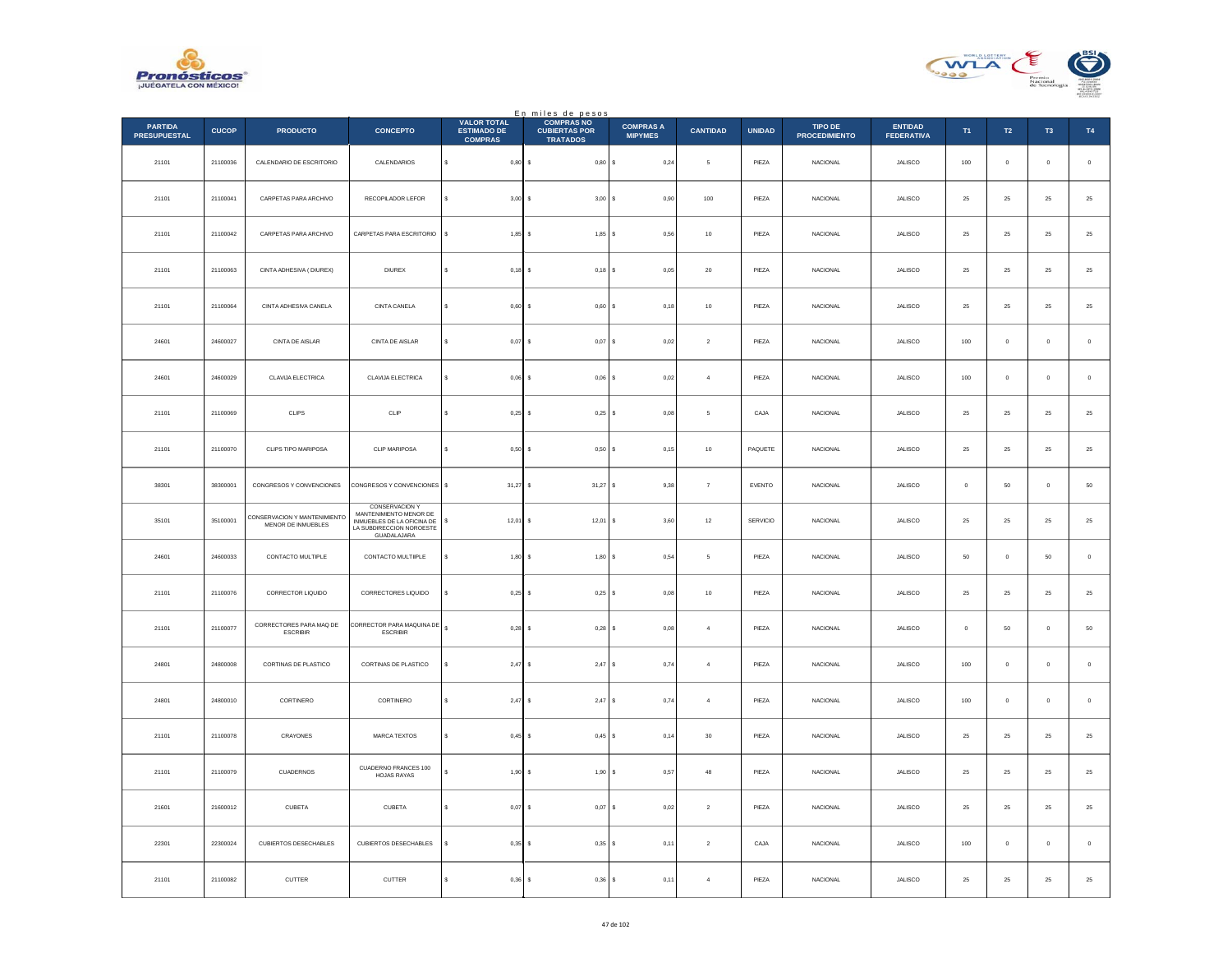



|                                       |              |                                                    |                                                                                                                          |                                                            | En miles de pesos<br>COMPRAS NO         |                                    |                 |               |                                        |                                     |               |                |                |             |
|---------------------------------------|--------------|----------------------------------------------------|--------------------------------------------------------------------------------------------------------------------------|------------------------------------------------------------|-----------------------------------------|------------------------------------|-----------------|---------------|----------------------------------------|-------------------------------------|---------------|----------------|----------------|-------------|
| <b>PARTIDA</b><br><b>PRESUPUESTAL</b> | <b>CUCOP</b> | <b>PRODUCTO</b>                                    | <b>CONCEPTO</b>                                                                                                          | <b>VALOR TOTAL</b><br><b>ESTIMADO DE</b><br><b>COMPRAS</b> | <b>CUBIERTAS POR</b><br><b>TRATADOS</b> | <b>COMPRAS A</b><br><b>MIPYMES</b> | <b>CANTIDAD</b> | <b>UNIDAD</b> | <b>TIPO DE</b><br><b>PROCEDIMIENTO</b> | <b>ENTIDAD</b><br><b>FEDERATIVA</b> | T1            | $\mathsf{T2}$  | T <sub>3</sub> | T4          |
| 21101                                 | 21100036     | CALENDARIO DE ESCRITORIO                           | CALENDARIOS                                                                                                              | $\mathbb S$<br>$0,80$ \$                                   | 0,80S                                   | 0,24                               | $\mathsf{s}\,$  | PIEZA         | NACIONAL                               | JALISCO                             | 100           | $\mathbb O$    | $\mathbf 0$    | $\,$ 0      |
| 21101                                 | 21100041     | CARPETAS PARA ARCHIVO                              | RECOPILADOR LEFOR                                                                                                        | $3.00$ S<br>$\epsilon$                                     | 3,00S                                   | 0.90                               | 100             | PIEZA         | <b>NACIONAL</b>                        | <b>JALISCO</b>                      | 25            | 25             | 25             | 25          |
| 21101                                 | 21100042     | CARPETAS PARA ARCHIVO                              | CARPETAS PARA ESCRITORIO                                                                                                 | $1,85$ \$<br>s                                             | $1,85$ \$                               | 0,56                               | $10$            | PIEZA         | NACIONAL                               | JALISCO                             | $\bf 25$      | $25\,$         | $2\sqrt{5}$    | $25\,$      |
| 21101                                 | 21100063     | CINTA ADHESIVA ( DIUREX)                           | <b>DIUREX</b>                                                                                                            | s<br>$0,18$ \$                                             | $0,18$ \$                               | 0,05                               | $20\,$          | PIEZA         | NACIONAL                               | JALISCO                             | $\bf 25$      | ${\bf 25}$     | $25\,$         | 25          |
| 21101                                 | 21100064     | CINTA ADHESIVA CANELA                              | CINTA CANELA                                                                                                             | $0,60$ \$<br>s                                             | $0,60$ \$                               | 0,18                               | $10$            | PIEZA         | <b>NACIONAL</b>                        | <b>JALISCO</b>                      | 25            | 25             | $25\,$         | $25\,$      |
| 24601                                 | 24600027     | CINTA DE AISLAR                                    | CINTA DE AISLAR                                                                                                          | $\epsilon$<br>$0,07$ \$                                    | $0,07$ \$                               | 0,02                               | $\overline{2}$  | PIEZA         | <b>NACIONAL</b>                        | JALISCO                             | 100           | $\,0\,$        | $\mathbf 0$    | $\,0\,$     |
| 24601                                 | 24600029     | CLAVIJA ELECTRICA                                  | CLAVIJA ELECTRICA                                                                                                        | s<br>$0.06$ \$                                             | $0,06$ \$                               | 0,02                               | $\overline{4}$  | PIEZA         | <b>NACIONAL</b>                        | <b>JALISCO</b>                      | 100           | $\circ$        | $\circ$        | $\mathbf 0$ |
| 21101                                 | 21100069     | CLIPS                                              | CLIP                                                                                                                     | $0,25$ \$<br>s                                             | $0,25$ \$                               | 0,08                               | 5               | CAJA          | NACIONAL                               | JALISCO                             | $25\,$        | ${\bf 25}$     | $25\,$         | $25\,$      |
| 21101                                 | 21100070     | CLIPS TIPO MARIPOSA                                | CLIP MARIPOSA                                                                                                            | s<br>0,50                                                  | 0,50S<br>-S                             | 0,15                               | $10$            | PAQUETE       | <b>NACIONAL</b>                        | <b>JALISCO</b>                      | 25            | 25             | 25             | $25\,$      |
| 38301                                 | 38300001     | CONGRESOS Y CONVENCIONES                           | CONGRESOS Y CONVENCIONES                                                                                                 | 31,27<br>s                                                 | $31,27$ \$                              | 9,38                               | $\overline{7}$  | EVENTO        | <b>NACIONAL</b>                        | JALISCO                             | $\mathbf{0}$  | $50\,$         | $\mathbf 0$    | $50\,$      |
| 35101                                 | 35100001     | CONSERVACION Y MANTENIMIENTO<br>MENOR DE INMUEBLES | <b>CONSERVACION Y</b><br>MANTENIMIENTO MENOR DE<br>INMUEBLES DE LA OFICINA DE<br>LA SUBDIRECCION NOROESTE<br>GUADALAJARA | \$<br>$12,01$ \$                                           | $12,01$ \$                              | 3,60                               | $12\,$          | SERVICIO      | <b>NACIONAL</b>                        | JALISCO                             | 25            | ${\bf 25}$     | $\bf 25$       | $25\,$      |
| 24601                                 | 24600033     | CONTACTO MULTIPLE                                  | CONTACTO MULTIIPLE                                                                                                       | $1,80$ \$<br>s                                             | 1,80S                                   | 0.54                               | -5              | PIEZA         | <b>NACIONAL</b>                        | <b>JALISCO</b>                      | 50            | $\overline{0}$ | 50             | $\,$ 0 $\,$ |
| 21101                                 | 21100076     | CORRECTOR LIQUIDO                                  | CORRECTORES LIQUIDO                                                                                                      | $0,25$ \$                                                  | $0,25$ \$                               | 0,08                               | $10$            | PIEZA         | <b>NACIONAL</b>                        | JALISCO                             | $2\sqrt{5}$   | 25             | $25\,$         | $25\,$      |
| 21101                                 | 21100077     | CORRECTORES PARA MAQ DE<br><b>ESCRIBIR</b>         | CORRECTOR PARA MAQUINA DE<br><b>ESCRIBIR</b>                                                                             | $\mathbf{s}$<br>$0.28$ S                                   | $0.28$ \$                               | 0.08                               | $\overline{a}$  | PIEZA         | <b>NACIONAL</b>                        | <b>JALISCO</b>                      | $\Omega$      | 50             | $\circ$        | $50\,$      |
| 24801                                 | 24800008     | CORTINAS DE PLASTICO                               | CORTINAS DE PLASTICO                                                                                                     | 2,47S                                                      | 2,47                                    | l s<br>0,74                        | $\sqrt{4}$      | PIEZA         | NACIONAL                               | JALISCO                             | $100\,$       | $\mathbf 0$    | $\,$ 0 $\,$    | $\mathbf 0$ |
| 24801                                 | 24800010     | CORTINERO                                          | CORTINERO                                                                                                                | $2,47$ \$<br>$\epsilon$                                    | $2,47$ \$                               | 0,74                               | $\sqrt{4}$      | PIEZA         | NACIONAL                               | JALISCO                             | 100           | $\,0\,$        | $\mathbf 0$    | $\,$ 0      |
| 21101                                 | 21100078     | CRAYONES                                           | MARCA TEXTOS                                                                                                             | $0.45$ S                                                   | $0.45$ S                                | 0.14                               | 30              | PIEZA         | <b>NACIONAL</b>                        | <b>JALISCO</b>                      | 25            | 25             | 25             | $25\,$      |
| 21101                                 | 21100079     | CUADERNOS                                          | CUADERNO FRANCES 100<br><b>HOJAS RAYAS</b>                                                                               | $1,90$ \$                                                  | 1,90S                                   | 0,57                               | $_{\rm 48}$     | PIEZA         | NACIONAL                               | JALISCO                             | $2\mathrm{5}$ | $\bf 25$       | $\bf 25$       | $25\,$      |
| 21601                                 | 21600012     | CUBETA                                             | CUBETA                                                                                                                   | $0.07$ \$<br>s                                             | $0.07$ \$                               | 0,02                               | $\overline{2}$  | PIEZA         | NACIONAL                               | <b>JALISCO</b>                      | 25            | 25             | 25             | $25\,$      |
| 22301                                 | 22300024     | CUBIERTOS DESECHABLES                              | CUBIERTOS DESECHABLES                                                                                                    | 0,35                                                       | $0.35$ $S$                              | 0,11                               | $\overline{2}$  | CAJA          | <b>NACIONAL</b>                        | JALISCO                             | 100           | $\circ$        | $\,$ 0 $\,$    | $\mathbf 0$ |
| 21101                                 | 21100082     | CUTTER                                             | CUTTER                                                                                                                   | $0,36$ \$<br>s                                             | $0,36$ \$                               | 0,11                               | $\overline{4}$  | PIEZA         | NACIONAL                               | JALISCO                             | $\bf 25$      | $25\,$         | $25\,$         | $25\,$      |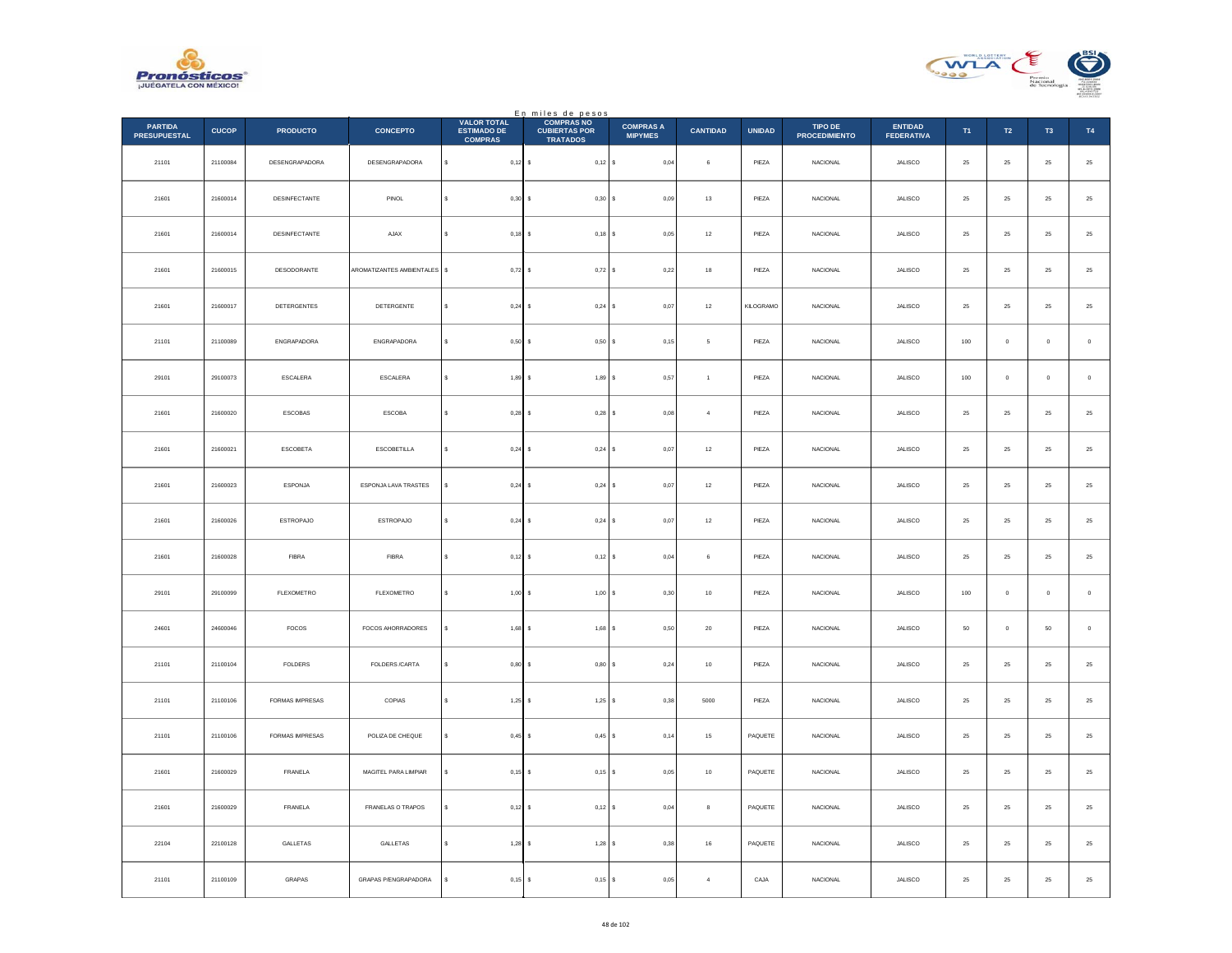



|                                       |              |                  |                              |                                                            | En miles de pesos<br>COMPRAS NO         |                                    |                 |               |                                 |                                     |          |                |                |             |
|---------------------------------------|--------------|------------------|------------------------------|------------------------------------------------------------|-----------------------------------------|------------------------------------|-----------------|---------------|---------------------------------|-------------------------------------|----------|----------------|----------------|-------------|
| <b>PARTIDA</b><br><b>PRESUPUESTAL</b> | <b>CUCOP</b> | <b>PRODUCTO</b>  | <b>CONCEPTO</b>              | <b>VALOR TOTAL</b><br><b>ESTIMADO DE</b><br><b>COMPRAS</b> | <b>CUBIERTAS POR</b><br><b>TRATADOS</b> | <b>COMPRAS A</b><br><b>MIPYMES</b> | <b>CANTIDAD</b> | <b>UNIDAD</b> | TIPO DE<br><b>PROCEDIMIENTO</b> | <b>ENTIDAD</b><br><b>FEDERATIVA</b> | T1       | T2             | T <sub>3</sub> | T4          |
| 21101                                 | 21100084     | DESENGRAPADORA   | DESENGRAPADORA               | $\mathbb{S}^-$<br>$0,12$ \$                                | $0,12$ \$                               | 0,04                               | $\,$ 6 $\,$     | PIEZA         | NACIONAL                        | JALISCO                             | $\bf 25$ | $\bf 25$       | 25             | $\bf 25$    |
| 21601                                 | 21600014     | DESINFECTANTE    | PINOL                        | $0.30$ S<br>s                                              | 0,30S                                   | 0.09                               | $13\,$          | PIEZA         | <b>NACIONAL</b>                 | <b>JALISCO</b>                      | 25       | $25\,$         | 25             | $\bf 25$    |
| 21601                                 | 21600014     | DESINFECTANTE    | AJAX                         | $0,18$ \$<br>s                                             | $0,18$ \$                               | 0,05                               | $12\,$          | PIEZA         | NACIONAL                        | JALISCO                             | $25\,$   | $2\sqrt{5}$    | $2\mathsf{S}$  | $25\,$      |
| 21601                                 | 21600015     | DESODORANTE      | AROMATIZANTES AMBIENTALES \$ | $0,72$ \$                                                  | 0,72S                                   | 0,22                               | $18\,$          | PIEZA         | <b>NACIONAL</b>                 | JALISCO                             | $\bf 25$ | 25             | $25\,$         | $25\,$      |
| 21601                                 | 21600017     | DETERGENTES      | DETERGENTE                   | 0.24S<br>s                                                 | 0,24S                                   | 0.07                               | $12\,$          | KILOGRAMO     | <b>NACIONAL</b>                 | JALISCO                             | 25       | $25\,$         | 25             | $25\,$      |
| 21101                                 | 21100089     | ENGRAPADORA      | ENGRAPADORA                  | $\epsilon$<br>$0,50$ \$                                    | 0,50S                                   | 0,15                               | $\overline{5}$  | PIEZA         | NACIONAL                        | JALISCO                             | 100      | $\,0\,$        | $\mathbf 0$    | $\,0\,$     |
| 29101                                 | 29100073     | <b>ESCALERA</b>  | ESCALERA                     | s<br>$1,89$ \$                                             | 1,89 \$                                 | 0,57                               | $\overline{1}$  | PIEZA         | <b>NACIONAL</b>                 | <b>JALISCO</b>                      | 100      | $\overline{0}$ | $\circ$        | $\,$ 0 $\,$ |
| 21601                                 | 21600020     | ESCOBAS          | ESCOBA                       | $0,28$ \$<br>s                                             | $0,28$ \$                               | 0,08                               | $\sqrt{4}$      | PIEZA         | NACIONAL                        | JALISCO                             | $25\,$   | $25\,$         | 25             | $25\,$      |
| 21601                                 | 21600021     | <b>ESCOBETA</b>  | <b>ESCOBETILLA</b>           | s<br>$0,24$ \$                                             | $0,24$ \$                               | 0,07                               | 12              | PIEZA         | NACIONAL                        | <b>JALISCO</b>                      | 25       | $\bf 25$       | 25             | $25\,$      |
| 21601                                 | 21600023     | ESPONJA          | ESPONJA LAVA TRASTES         | $0,24$ \$                                                  | $0,24$ \$                               | 0,07                               | $12\,$          | PIEZA         | NACIONAL                        | JALISCO                             | 25       | 25             | 25             | $25\,$      |
| 21601                                 | 21600026     | <b>ESTROPAJO</b> | <b>ESTROPAJO</b>             | s<br>$0,24$ \$                                             | 0,24S                                   | 0,07                               | $12\,$          | PIEZA         | NACIONAL                        | JALISCO                             | $\bf 25$ | 25             | $25\,$         | $25\,$      |
| 21601                                 | 21600028     | <b>FIBRA</b>     | <b>FIBRA</b>                 | $0,12$ \$<br>s                                             | $0,12$ \$                               | 0.04                               | 6               | PIEZA         | NACIONAL                        | <b>JALISCO</b>                      | 25       | 25             | 25             | 25          |
| 29101                                 | 29100099     | FLEXOMETRO       | FLEXOMETRO                   | $1,00$ \$                                                  | 1,00S                                   | 0,30                               | $10$            | PIEZA         | <b>NACIONAL</b>                 | JALISCO                             | 100      | $\,$ 0 $\,$    | $\mathbf 0$    | $\,$ 0 $\,$ |
| 24601                                 | 24600046     | FOCOS            | FOCOS AHORRADORES            | $1,68$ \$                                                  | 1,68 \$                                 | 0,50                               | 20              | PIEZA         | <b>NACIONAL</b>                 | <b>JALISCO</b>                      | 50       | $\overline{0}$ | 50             | $\,$ 0 $\,$ |
| 21101                                 | 21100104     | ${\tt FOLDERS}$  | FOLDERS /CARTA               | $0,80$ \$                                                  | 0,80S                                   | 0,24                               | $10$            | PIEZA         | NACIONAL                        | JALISCO                             | $\bf 25$ | $2\sqrt{5}$    | $2\mathsf{S}$  | $25\,$      |
| 21101                                 | 21100106     | FORMAS IMPRESAS  | COPIAS                       | s<br>$1,25$ \$                                             | $1,25$ \$                               | 0,38                               | 5000            | PIEZA         | NACIONAL                        | JALISCO                             | $\bf 25$ | $25\,$         | $25\,$         | $\bf 25$    |
| 21101                                 | 21100106     | FORMAS IMPRESAS  | POLIZA DE CHEQUE             | s<br>$0.45$ S                                              | $0.45$ S                                | 0.14                               | 15              | PAQUETE       | <b>NACIONAL</b>                 | JALISCO                             | 25       | $\bf 25$       | 25             | $\bf 25$    |
| 21601                                 | 21600029     | FRANELA          | MAGITEL PARA LIMPIAR         | $0,15$ \$                                                  | $0,15$ \$                               | 0,05                               | $10$            | PAQUETE       | NACIONAL                        | JALISCO                             | $25\,$   | $2\sqrt{5}$    | 25             | $25\,$      |
| 21601                                 | 21600029     | FRANELA          | FRANELAS O TRAPOS            | $0,12$ \$<br>s                                             | $0,12$ \$                               | 0,04                               | $\,$ 8 $\,$     | PAQUETE       | <b>NACIONAL</b>                 | JALISCO                             | 25       | 25             | 25             | $25\,$      |
| 22104                                 | 22100128     | GALLETAS         | GALLETAS                     | $1,28$ \$                                                  | 1,28S                                   | 0,38                               | 16              | PAQUETE       | <b>NACIONAL</b>                 | JALISCO                             | 25       | $25\,$         | 25             | $25\,$      |
| 21101                                 | 21100109     | GRAPAS           | GRAPAS P/ENGRAPADORA         | s<br>$0,15$ \$                                             | $0,15$ \$                               | 0,05                               | $\sqrt{4}$      | CAJA          | <b>NACIONAL</b>                 | JALISCO                             | $\bf 25$ | ${\bf 25}$     | 25             | $25\,$      |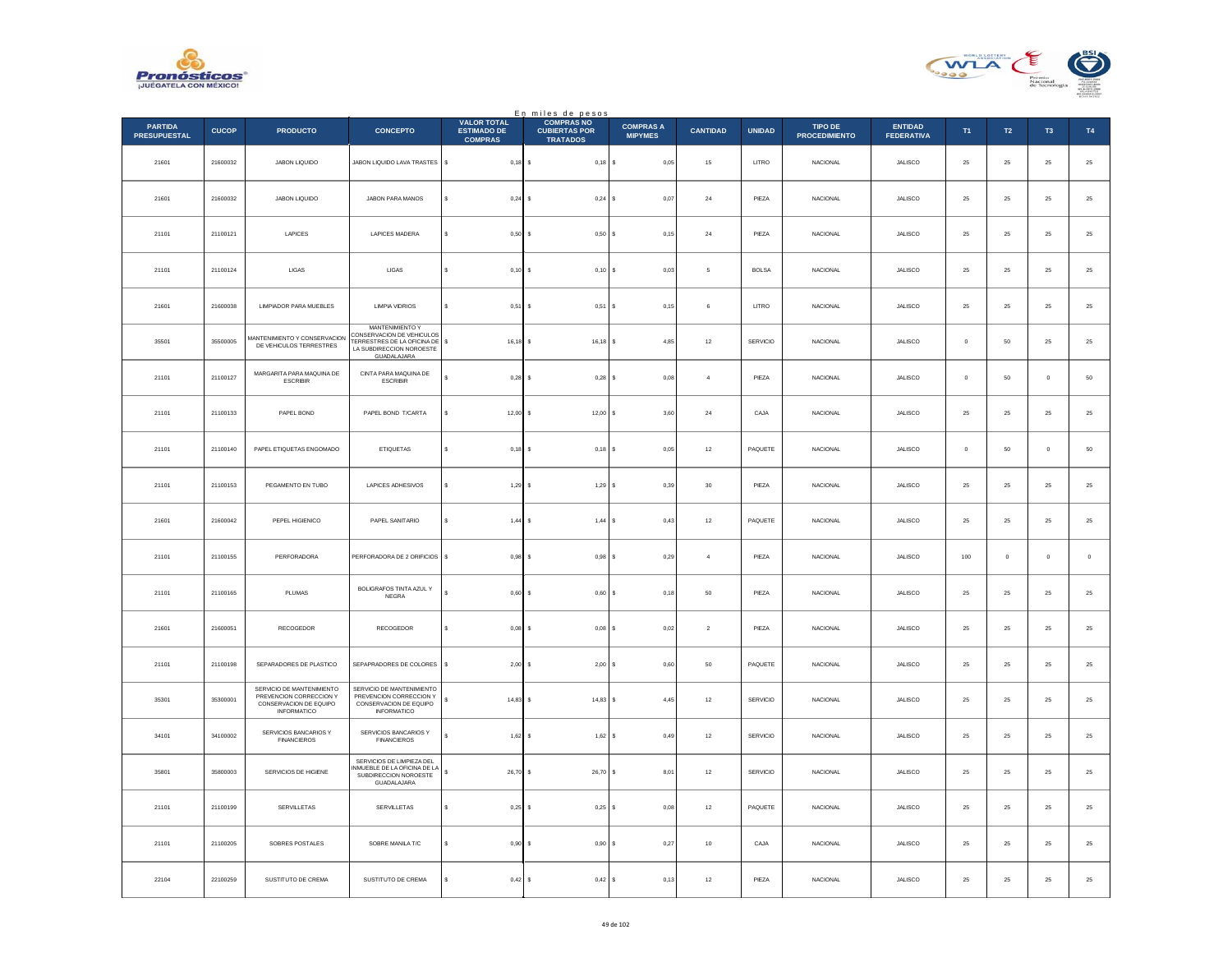



|                                       |              |                                                                                                      |                                                                                                                               |                                                            | En miles de pesos<br>COMPRAS NO         |                                    |                 |               |                                 |                                     |            |            |                |             |
|---------------------------------------|--------------|------------------------------------------------------------------------------------------------------|-------------------------------------------------------------------------------------------------------------------------------|------------------------------------------------------------|-----------------------------------------|------------------------------------|-----------------|---------------|---------------------------------|-------------------------------------|------------|------------|----------------|-------------|
| <b>PARTIDA</b><br><b>PRESUPUESTAL</b> | <b>CUCOP</b> | <b>PRODUCTO</b>                                                                                      | <b>CONCEPTO</b>                                                                                                               | <b>VALOR TOTAL</b><br><b>ESTIMADO DE</b><br><b>COMPRAS</b> | <b>CUBIERTAS POR</b><br><b>TRATADOS</b> | <b>COMPRAS A</b><br><b>MIPYMES</b> | <b>CANTIDAD</b> | <b>UNIDAD</b> | TIPO DE<br><b>PROCEDIMIENTO</b> | <b>ENTIDAD</b><br><b>FEDERATIVA</b> | T1         | T2         | T <sub>3</sub> | T4          |
| 21601                                 | 21600032     | JABON LIQUIDO                                                                                        | JABON LIQUIDO LAVA TRASTES                                                                                                    | \$<br>0,18                                                 | I۶<br>$0,18$ \$                         | 0,05                               | 15              | LITRO         | NACIONAL                        | JALISCO                             | 25         | $\bf 25$   | $\bf 25$       | $\bf 25$    |
| 21601                                 | 21600032     | JABON LIQUIDO                                                                                        | JABON PARA MANOS                                                                                                              | ¢<br>0.24S                                                 | $0,24$ \$                               | 0.07                               | 24              | PIEZA         | <b>NACIONAL</b>                 | <b>JALISCO</b>                      | 25         | 25         | 25             | $\bf 25$    |
| 21101                                 | 21100121     | LAPICES                                                                                              | LAPICES MADERA                                                                                                                | $0,50$ \$                                                  | 0,50S                                   | 0,15                               | $\bf{24}$       | PIEZA         | NACIONAL                        | JALISCO                             | $25\,$     | $\bf 25$   | 25             | $25\,$      |
| 21101                                 | 21100124     | LIGAS                                                                                                | <b>LIGAS</b>                                                                                                                  | s<br>0,10                                                  | ۱s<br>$0,10$ \$                         | $_{0,03}$                          | $\sqrt{5}$      | <b>BOLSA</b>  | NACIONAL                        | JALISCO                             | $25\,$     | $\bf 25$   | 25             | $25\,$      |
| 21601                                 | 21600038     | LIMPIADOR PARA MUEBLES                                                                               | <b>LIMPIA VIDRIOS</b>                                                                                                         | 0.51                                                       | 0.51<br>۱s                              | 0.15<br>l s                        | 6               | LITRO         | <b>NACIONAL</b>                 | JALISCO                             | 25         | 25         | 25             | $25\,$      |
| 35501                                 | 35500005     | MANTENIMIENTO Y CONSERVACION<br>DE VEHICULOS TERRESTRES                                              | <b>MANTENIMIENTO Y</b><br>CONSERVACION DE VEHICULOS<br>TERRESTRES DE LA OFICINA DE<br>LA SUBDIRECCION NOROESTE<br>GUADALAJARA | 16,18<br>\$                                                | $16, 18$ \$<br>s                        | 4,85                               | $12\,$          | SERVICIO      | NACIONAL                        | JALISCO                             | $\bf{0}$   | $50\,$     | 25             | $\bf 25$    |
| 21101                                 | 21100127     | MARGARITA PARA MAQUINA DE<br><b>ESCRIBIR</b>                                                         | CINTA PARA MAQUINA DE<br><b>ESCRIBIR</b>                                                                                      | $0.28$ S<br>¢                                              | $0,28$ \$                               | 0.08                               | $\overline{a}$  | PIEZA         | <b>NACIONAL</b>                 | JALISCO                             | $\Omega$   | 50         | $\Omega$       | ${\bf 50}$  |
| 21101                                 | 21100133     | PAPEL BOND                                                                                           | PAPEL BOND T/CARTA                                                                                                            | $12,00$ \$<br>ś                                            | 12,00S                                  | 3,60                               | $\bf{24}$       | CAJA          | NACIONAL                        | JALISCO                             | 25         | $\bf 25$   | $2\mathsf{S}$  | $25\,$      |
| 21101                                 | 21100140     | PAPEL ETIQUETAS ENGOMADO                                                                             | <b>ETIQUETAS</b>                                                                                                              | 0,18<br>\$                                                 | $0,18$ \$<br>-S                         | 0.05                               | $12\,$          | PAQUETE       | <b>NACIONAL</b>                 | JALISCO                             | $\Omega$   | ${\bf 50}$ | $\theta$       | ${\bf 50}$  |
| 21101                                 | 21100153     | PEGAMENTO EN TUBO                                                                                    | LAPICES ADHESIVOS                                                                                                             | 1,29                                                       | 1,29S<br>-S                             | 0,39                               | 30              | PIEZA         | <b>NACIONAL</b>                 | JALISCO                             | 25         | 25         | 25             | $25\,$      |
| 21601                                 | 21600042     | PEPEL HIGIENICO                                                                                      | PAPEL SANITARIO                                                                                                               | ś<br>1,44                                                  | 1,44<br>s                               | 0,43                               | $12\,$          | PAQUETE       | NACIONAL                        | JALISCO                             | $25\,$     | $\bf 25$   | $2\mathsf{S}$  | $25\,$      |
| 21101                                 | 21100155     | PERFORADORA                                                                                          | PERFORADORA DE 2 ORIFICIOS                                                                                                    | $0,98$ \$<br>s                                             | $0.98$ S                                | 0,29                               | $\overline{a}$  | PIF7A         | <b>NACIONAL</b>                 | JALISCO                             | 100        | $\Omega$   | $\Omega$       | $\mathbb O$ |
| 21101                                 | 21100165     | PLUMAS                                                                                               | BOLIGRAFOS TINTA AZUL Y<br><b>NEGRA</b>                                                                                       | 0,60                                                       | 0,60S<br>Ιs                             | 0,18                               | 50              | PIEZA         | <b>NACIONAL</b>                 | JALISCO                             | 25         | 25         | 25             | $25\,$      |
| 21601                                 | 21600051     | RECOGEDOR                                                                                            | RECOGEDOR                                                                                                                     | \$<br>0,08                                                 | s<br>$0,08$ \$                          | 0,02                               | $\overline{a}$  | PIEZA         | <b>NACIONAL</b>                 | JALISCO                             | ${\bf 25}$ | 25         | $25\,$         | $\bf 25$    |
| 21101                                 | 21100198     | SEPARADORES DE PLASTICO                                                                              | SEPAPRADORES DE COLORES                                                                                                       | \$<br>2,00                                                 | $2,00$ \$<br>١s                         | 0,60                               | $50\,$          | PAQUETE       | <b>NACIONAL</b>                 | JALISCO                             | 25         | 25         | 25             | $25\,$      |
| 35301                                 | 35300001     | SERVICIO DE MANTENIMIENTO<br>PREVENCION CORRECCION Y<br>CONSERVACION DE EQUIPO<br><b>INFORMATICO</b> | SERVICIO DE MANTENIMIENTO<br>PREVENCION CORRECCION Y<br>CONSERVACION DE EQUIPO<br>INFORMATICO                                 | 14,83                                                      | 14,83                                   | 4,45                               | $12\,$          | SERVICIO      | NACIONAL                        | JALISCO                             | $25\,$     | $\bf 25$   | $2\mathsf{S}$  | $25\,$      |
| 34101                                 | 34100002     | SERVICIOS BANCARIOS Y<br><b>FINANCIEROS</b>                                                          | SERVICIOS BANCARIOS Y<br><b>FINANCIEROS</b>                                                                                   | $1,62$ \$<br>s.                                            | 1,62S                                   | 0,49                               | 12              | SERVICIO      | NACIONAL                        | <b>JALISCO</b>                      | 25         | 25         | 25             | $\bf 25$    |
| 35801                                 | 35800003     | SERVICIOS DE HIGIENE                                                                                 | SERVICIOS DE LIMPIEZA DEL<br>INMUEBLE DE LA OFICINA DE LA<br>SUBDIRECCION NOROESTE<br>GUADALAJARA                             | 26,70 \$<br>s                                              | 26,70 \$                                | 8,01                               | $12\,$          | SERVICIO      | <b>NACIONAL</b>                 | JALISCO                             | 25         | 25         | 25             | 25          |
| 21101                                 | 21100199     | SERVILLETAS                                                                                          | SERVILLETAS                                                                                                                   | \$<br>0,25                                                 | ۱s<br>0,25S                             | 0.08                               | $12\,$          | PAQUETE       | <b>NACIONAL</b>                 | JALISCO                             | 25         | 25         | $25\,$         | $\bf 25$    |
| 21101                                 | 21100205     | SOBRES POSTALES                                                                                      | SOBRE MANILA T/C                                                                                                              | 0,90                                                       | s<br>0,90S                              | 0.27                               | 10              | CAJA          | <b>NACIONAL</b>                 | <b>JALISCO</b>                      | 25         | 25         | 25             | 25          |
| 22104                                 | 22100259     | SUSTITUTO DE CREMA                                                                                   | SUSTITUTO DE CREMA                                                                                                            | $0,42$ \$                                                  | 0,42S                                   | 0, 13                              | 12              | PIEZA         | NACIONAL                        | JALISCO                             | 25         | $25\,$     | 25             | $25\,$      |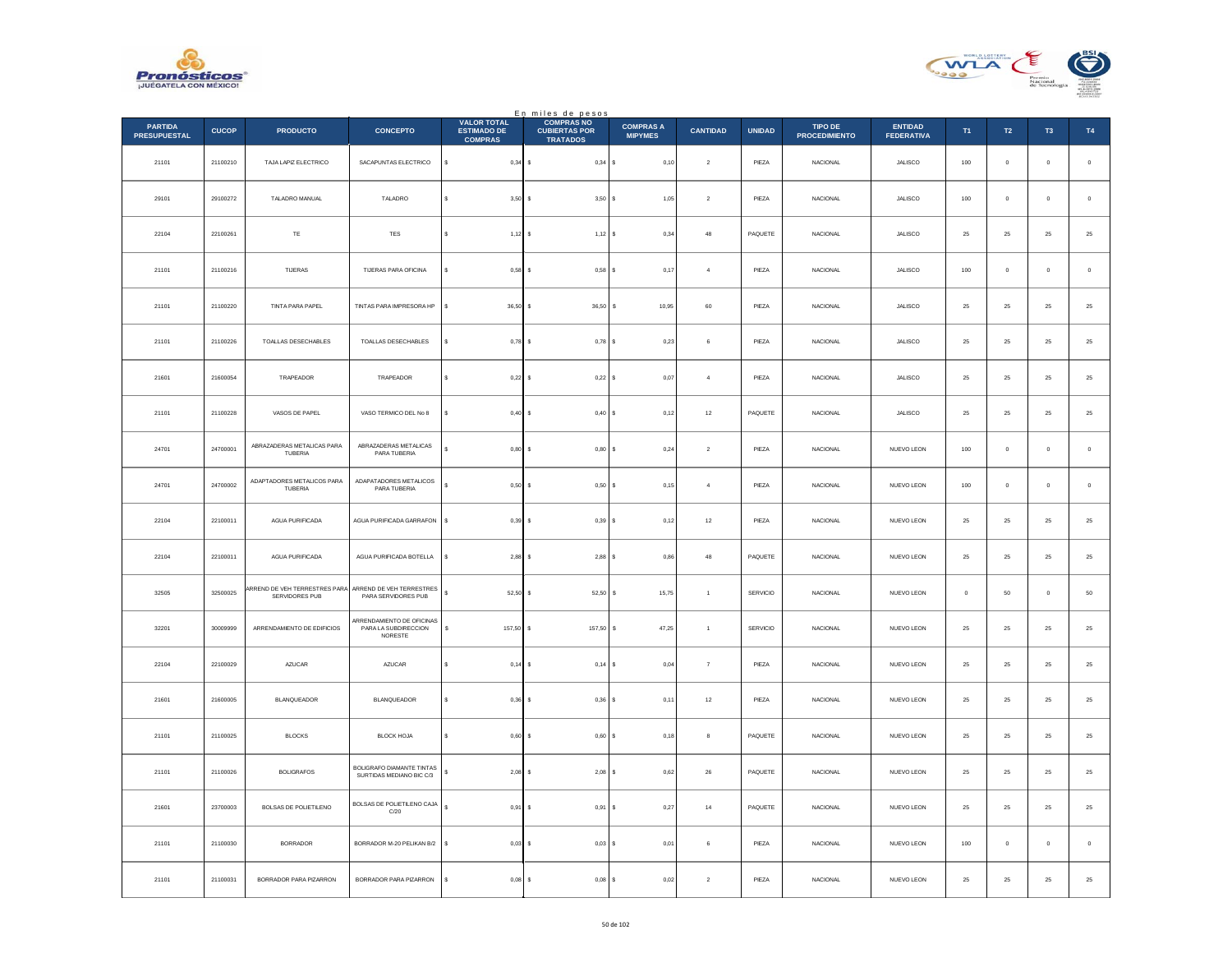



|                                       |              |                                                |                                                              |                                                            | En miles de pesos                                            |                                    |                   |               |                                 |                                     |             |                  |                |                |
|---------------------------------------|--------------|------------------------------------------------|--------------------------------------------------------------|------------------------------------------------------------|--------------------------------------------------------------|------------------------------------|-------------------|---------------|---------------------------------|-------------------------------------|-------------|------------------|----------------|----------------|
| <b>PARTIDA</b><br><b>PRESUPUESTAL</b> | <b>CUCOP</b> | <b>PRODUCTO</b>                                | <b>CONCEPTO</b>                                              | <b>VALOR TOTAL</b><br><b>ESTIMADO DE</b><br><b>COMPRAS</b> | <b>COMPRAS NO</b><br><b>CUBIERTAS POR</b><br><b>TRATADOS</b> | <b>COMPRAS A</b><br><b>MIPYMES</b> | <b>CANTIDAD</b>   | <b>UNIDAD</b> | TIPO DE<br><b>PROCEDIMIENTO</b> | <b>ENTIDAD</b><br><b>FEDERATIVA</b> | T1          | $\mathsf{T2}$    | T <sub>3</sub> | T4             |
| 21101                                 | 21100210     | TAJA LAPIZ ELECTRICO                           | SACAPUNTAS ELECTRICO                                         | s<br>$0.34$ \$                                             | 0,34S                                                        | 0,10                               | $\overline{2}$    | PIEZA         | <b>NACIONAL</b>                 | <b>JALISCO</b>                      | 100         | $\mathbf{0}$     | $\circ$        | $\overline{0}$ |
| 29101                                 | 29100272     | TALADRO MANUAL                                 | TALADRO                                                      | 3,50<br>s                                                  | 3,50S                                                        | 1,05                               | $\sqrt{2}$        | PIEZA         | NACIONAL                        | JALISCO                             | 100         | $\mathbf 0$      | $\bf{0}$       | $\,$ 0 $\,$    |
| 22104                                 | 22100261     | TE                                             | TES                                                          | 1,12<br>s                                                  | 1,12S                                                        | 0,34                               | 48                | PAQUETE       | <b>NACIONAL</b>                 | JALISCO                             | 25          | $25\phantom{.0}$ | 25             | $\bf 25$       |
| 21101                                 | 21100216     | <b>TUERAS</b>                                  | TIJERAS PARA OFICINA                                         | 0.58<br>s                                                  | $0.58$ S                                                     | 0.17                               | $\overline{4}$    | PIEZA         | <b>NACIONAL</b>                 | <b>JALISCO</b>                      | 100         | $\overline{0}$   | $\mathbf{0}$   | $\mathbf 0$    |
| 21101                                 | 21100220     | TINTA PARA PAPEL                               | TINTAS PARA IMPRESORA HP                                     | \$<br>36,50                                                | 36,50                                                        | 10,95<br>s                         | $_{\rm 60}$       | PIEZA         | NACIONAL                        | JALISCO                             | 25          | $\bf 25$         | 25             | $25\,$         |
| 21101                                 | 21100226     | TOALLAS DESECHABLES                            | TOALLAS DESECHABLES                                          | $0.78$ \$                                                  | $0,78$ S                                                     | 0,23                               | 6                 | PIEZA         | <b>NACIONAL</b>                 | <b>JALISCO</b>                      | 25          | 25               | 25             | 25             |
| 21601                                 | 21600054     | TRAPEADOR                                      | TRAPEADOR                                                    | s<br>0,22                                                  | 0,22S                                                        | 0,07                               | $\overline{4}$    | PIEZA         | NACIONAL                        | JALISCO                             | 25          | 25               | 25             | $2\mathsf{5}$  |
| 21101                                 | 21100228     | VASOS DE PAPEL                                 | VASO TERMICO DEL No 8                                        | 0,40<br>s                                                  | 0,40 S<br>-S                                                 | 0,12                               | 12                | PAQUETE       | <b>NACIONAL</b>                 | <b>JALISCO</b>                      | 25          | 25               | 25             | $\bf 25$       |
| 24701                                 | 24700001     | ABRAZADERAS METALICAS PARA<br>TUBERIA          | ABRAZADERAS METALICAS<br>PARA TUBERIA                        | 0.80                                                       | $0.80$ \$                                                    | 0,24                               | $\overline{2}$    | PIEZA         | <b>NACIONAL</b>                 | NUEVO LEON                          | 100         | $\mathbf{0}$     | $\mathbf{0}$   | $\,$ 0 $\,$    |
| 24701                                 | 24700002     | ADAPTADORES METALICOS PARA<br>TUBERIA          | ADAPATADORES METALICOS<br>PARA TUBERIA                       | 0,50<br>s                                                  | 0,50                                                         | ١s<br>0,15                         | $\overline{4}$    | PIEZA         | NACIONAL                        | NUEVO LEON                          | $100\,$     | $\mathbf 0$      | $\bf{0}$       | $\,$ 0         |
| 22104                                 | 22100011     | <b>AGUA PURIFICADA</b>                         | AGUA PURIFICADA GARRAFON                                     | \$<br>$0,39$ \$                                            | 0,39S                                                        | 0,12                               | $12\,$            | PIEZA         | <b>NACIONAL</b>                 | NUEVO LEON                          | $\bf 25$    | $25\phantom{.0}$ | 25             | 25             |
| 22104                                 | 22100011     | AGUA PURIFICADA                                | AGUA PURIFICADA BOTELLA                                      | s<br>2,88                                                  | 2,88S                                                        | 0,86                               | 48                | PAQUETE       | NACIONAL                        | NUEVO LEON                          | 25          | 25               | 25             | 25             |
| 32505                                 | 32500025     | RREND DE VEH TERRESTRES PARA<br>SERVIDORES PUB | ARREND DE VEH TERRESTRES<br>PARA SERVIDORES PUB              | \$<br>52,50                                                | 52,50 \$                                                     | 15,75                              | $\overline{1}$    | SERVICIO      | <b>NACIONAL</b>                 | NUEVO LEON                          | $\mathbf 0$ | 50               | $\bf{0}$       | $50\,$         |
| 32201                                 | 30009999     | ARRENDAMIENTO DE EDIFICIOS                     | ARRENDAMIENTO DE OFICINAS<br>PARA LA SUBDIRECCION<br>NORESTE | s<br>157.50                                                | $157.50$ S                                                   | 47,25                              | $\overline{1}$    | SERVICIO      | <b>NACIONAL</b>                 | NUEVO LEON                          | 25          | 25               | 25             | 25             |
| 22104                                 | 22100029     | AZUCAR                                         | AZUCAR                                                       | $0,14$ \$<br>s                                             | 0,14                                                         | 0,04<br>١s                         | $\scriptstyle{7}$ | PIEZA         | NACIONAL                        | NUEVO LEON                          | $\bf 25$    | $\bf 25$         | 25             | $25\,$         |
| 21601                                 | 21600005     | <b>BLANQUEADOR</b>                             | <b>BLANQUEADOR</b>                                           | 0,36                                                       | $0,36$ \$                                                    | 0,11                               | $12\,$            | PIEZA         | <b>NACIONAL</b>                 | NUEVO LEON                          | 25          | $25\phantom{.0}$ | 25             | 25             |
| 21101                                 | 21100025     | <b>BLOCKS</b>                                  | <b>BLOCK HOJA</b>                                            | s<br>0,60                                                  | 0,60S                                                        | 0,18                               | 8                 | PAQUETE       | NACIONAL                        | NUEVO LEON                          | 25          | 25               | 25             | 25             |
| 21101                                 | 21100026     | <b>BOLIGRAFOS</b>                              | BOLIGRAFO DIAMANTE TINTAS<br>SURTIDAS MEDIANO BIC C/3        | s<br>2,08                                                  | $2,08$ \$                                                    | 0,62                               | ${\bf 26}$        | PAQUETE       | NACIONAL                        | NUEVO LEON                          | $25\,$      | $\bf 25$         | $25\,$         | 25             |
| 21601                                 | 23700003     | <b>BOLSAS DE POLIETILENO</b>                   | BOLSAS DE POLIETILENO CAJA<br>$\mathbb{C}/20$                | $\mathbb S$<br>0,91                                        | 0,91                                                         | ١s<br>0,27                         | 14                | PAQUETE       | <b>NACIONAL</b>                 | NUEVO LEON                          | 25          | 25               | 25             | 25             |
| 21101                                 | 21100030     | <b>BORRADOR</b>                                | BORRADOR M-20 PELIKAN B/2                                    | 0,03<br>\$                                                 | $0.03$ S                                                     | 0,01                               | 6                 | PIEZA         | NACIONAL                        | NUEVO LEON                          | 100         | $\mathbb O$      | $\bf{0}$       | $\,$ 0 $\,$    |
| 21101                                 | 21100031     | BORRADOR PARA PIZARRON                         | BORRADOR PARA PIZARRON                                       | s<br>0,08                                                  | $0,08$ \$<br>$\mathbf{s}$                                    | 0,02                               | $\overline{2}$    | PIEZA         | NACIONAL                        | NUEVO LEON                          | $\bf 25$    | $\mathbf{25}$    | $25\,$         | 25             |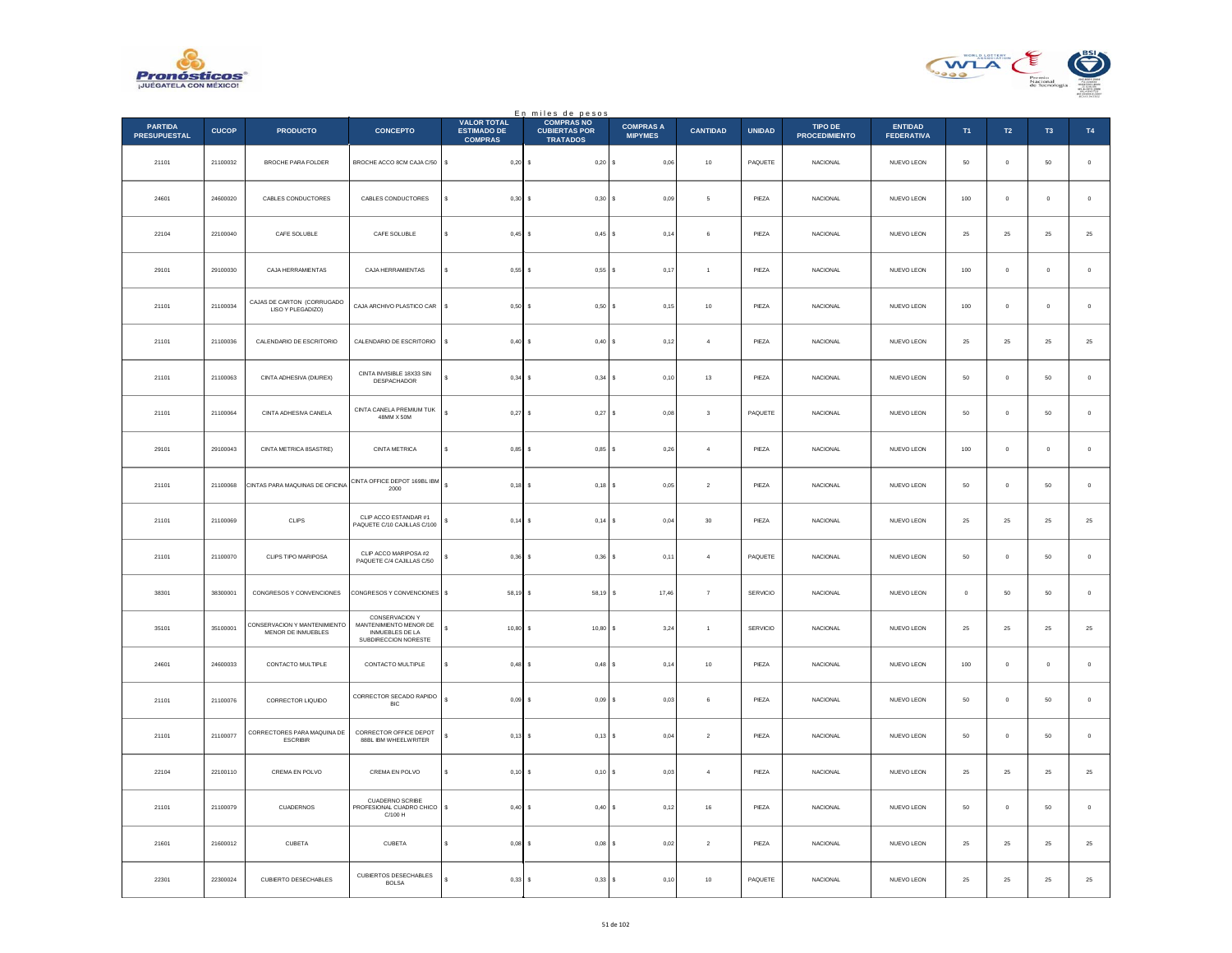



|                                       |              |                                                    |                                                                                            |                                                            | En miles de pesos<br>COMPRAS NO         |                                    |                         |               |                                 |                              |                |                |                     |                  |
|---------------------------------------|--------------|----------------------------------------------------|--------------------------------------------------------------------------------------------|------------------------------------------------------------|-----------------------------------------|------------------------------------|-------------------------|---------------|---------------------------------|------------------------------|----------------|----------------|---------------------|------------------|
| <b>PARTIDA</b><br><b>PRESUPUESTAL</b> | <b>CUCOP</b> | <b>PRODUCTO</b>                                    | <b>CONCEPTO</b>                                                                            | <b>VALOR TOTAL</b><br><b>ESTIMADO DE</b><br><b>COMPRAS</b> | <b>CUBIERTAS POR</b><br><b>TRATADOS</b> | <b>COMPRAS A</b><br><b>MIPYMES</b> | <b>CANTIDAD</b>         | <b>UNIDAD</b> | TIPO DE<br><b>PROCEDIMIENTO</b> | ENTIDAD<br><b>FEDERATIVA</b> | T1             | T2             | T <sub>3</sub>      | T4               |
| 21101                                 | 21100032     | BROCHE PARA FOLDER                                 | BROCHE ACCO 8CM CAJA C/50                                                                  | s<br>$0,20$ \$                                             | $0,20$ \$                               | 0,06                               | $10$                    | PAQUETE       | NACIONAL                        | NUEVO LEON                   | $50\,$         | $\mathbf 0$    | $50\,$              | $\,$ 0 $\,$      |
| 24601                                 | 24600020     | CABLES CONDUCTORES                                 | CABLES CONDUCTORES                                                                         | $0,30$ \$                                                  | 0,30S                                   | 0.09                               | 5                       | PIEZA         | <b>NACIONAL</b>                 | NUEVO LEON                   | 100            | $\Omega$       | $\theta$            | $\,$ 0 $\,$      |
| 22104                                 | 22100040     | CAFE SOLUBLE                                       | CAFE SOLUBLE                                                                               | $0,45$ \$                                                  | $0,45$ \$                               | 0,14                               | 6                       | PIEZA         | NACIONAL                        | NUEVO LEON                   | $25\,$         | $25\,$         | 25                  | $25\,$           |
| 29101                                 | 29100030     | CAJA HERRAMIENTAS                                  | CAJA HERRAMIENTAS                                                                          | s<br>$0,55$ \$                                             | 0,55S                                   | 0,17                               | $\,$ 1 $\,$             | PIEZA         | NACIONAL                        | NUEVO LEON                   | 100            | $\mathbf{0}$   | $\theta$            | $\,$ 0 $\,$      |
| 21101                                 | 21100034     | CAJAS DE CARTON (CORRUGADO<br>LISO Y PLEGADIZO)    | CAJA ARCHIVO PLASTICO CAR                                                                  | s<br>$0.50$ S                                              | $0.50$ S                                | 0.15                               | 10                      | PIEZA         | <b>NACIONAL</b>                 | NUEVO LEON                   | 100            | $\circ$        | $\ddot{\mathbf{0}}$ | $\,$ 0 $\,$      |
| 21101                                 | 21100036     | CALENDARIO DE ESCRITORIO                           | CALENDARIO DE ESCRITORIO                                                                   | s<br>$0,40$ \$                                             | 0,40                                    | 0,12<br>I۹                         | $\sqrt{4}$              | PIEZA         | NACIONAL                        | NUEVO LEON                   | $25\,$         | 25             | 25                  | $\bf 25$         |
| 21101                                 | 21100063     | CINTA ADHESIVA (DIUREX)                            | CINTA INVISIBLE 18X33 SIN<br>DESPACHADOR                                                   | 0,34S                                                      | $0,34$ \$                               | 0.10                               | 13                      | PIF7A         | <b>NACIONAL</b>                 | NUEVO LEON                   | 50             | $\Omega$       | 50                  | $\,$ 0 $\,$      |
| 21101                                 | 21100064     | CINTA ADHESIVA CANELA                              | CINTA CANELA PREMIUM TUK<br>48MM X 50M                                                     | $0,27$ \$<br>ś                                             | $0,27$ \$                               | 0,08                               | $\overline{\mathbf{3}}$ | PAQUETE       | NACIONAL                        | NUEVO LEON                   | 50             | $\circ$        | $50\,$              | $\,$ 0 $\,$      |
| 29101                                 | 29100043     | CINTA METRICA 8SASTRE)                             | CINTA METRICA                                                                              | $0,85$ \$<br>s                                             | $0,85$ \$                               | 0,26                               | $\overline{4}$          | PIEZA         | NACIONAL                        | NUEVO LEON                   | 100            | $\mathbf 0$    | $\theta$            | $\,$ 0 $\,$      |
| 21101                                 | 21100068     | CINTAS PARA MAQUINAS DE OFICINA                    | CINTA OFFICE DEPOT 169BL IBM<br>2000                                                       | $0,18$ \$                                                  | $0,18$ \$                               | 0,05                               | $\sqrt{2}$              | PIEZA         | <b>NACIONAL</b>                 | NUEVO LEON                   | 50             | $\circ$        | 50                  | $\,$ 0 $\,$      |
| 21101                                 | 21100069     | CLIPS                                              | CLIP ACCO ESTANDAR #1<br>PAQUETE C/10 CAJILLAS C/100                                       | $0,14$ \$                                                  | 0,14                                    | 0,04                               | $30\,$                  | PIEZA         | NACIONAL                        | NUEVO LEON                   | $25\,$         | $2\sqrt{5}$    | $2\sqrt{5}$         | $25\,$           |
| 21101                                 | 21100070     | CLIPS TIPO MARIPOSA                                | CLIP ACCO MARIPOSA #2<br>PAQUETE C/4 CAJILLAS C/50                                         | $0,36$ \$                                                  | $0,36$ \$                               | 0,11                               | $\overline{a}$          | PAQUETE       | <b>NACIONAL</b>                 | NUEVO LEON                   | 50             | $\Omega$       | 50                  | $\,$ 0 $\,$      |
| 38301                                 | 38300001     | CONGRESOS Y CONVENCIONES                           | CONGRESOS Y CONVENCIONES \$                                                                | 58,19 \$                                                   | 58,19 \$                                | 17,46                              | $\overline{7}$          | SERVICIO      | <b>NACIONAL</b>                 | NUEVO LEON                   | $\overline{0}$ | 50             | 50                  | $\mathbb O$      |
| 35101                                 | 35100001     | CONSERVACION Y MANTENIMIENTO<br>MENOR DE INMUEBLES | CONSERVACION Y<br>MANTENIMIENTO MENOR DE<br><b>INMUEBLES DE LA</b><br>SUBDIRECCION NORESTE | s<br>$10,80$ \$                                            | 10,80S                                  | 3,24                               | $\mathbf{1}$            | SERVICIO      | <b>NACIONAL</b>                 | NUEVO LEON                   | 25             | ${\bf 25}$     | $25\,$              | $\mathbf{^{25}}$ |
| 24601                                 | 24600033     | CONTACTO MULTIPLE                                  | CONTACTO MULTIPLE                                                                          | $0.48$ \$<br>s                                             | $0,48$ \$                               | 0,14                               | 10                      | PIEZA         | <b>NACIONAL</b>                 | NUEVO LEON                   | 100            | $\circ$        | $\pmb{0}$           | $\mathbb O$      |
| 21101                                 | 21100076     | CORRECTOR LIQUIDO                                  | CORRECTOR SECADO RAPIDO<br><b>BIC</b>                                                      | $0,09$ \$                                                  | 0,09                                    | 0,03                               | 6                       | PIEZA         | NACIONAL                        | NUEVO LEON                   | $50\,$         | $\mathbb O$    | $50\,$              | $\,$ 0 $\,$      |
| 21101                                 | 21100077     | CORRECTORES PARA MAQUINA DE<br><b>ESCRIBIR</b>     | CORRECTOR OFFICE DEPOT<br>88BL IBM WHEELWRITER                                             | $0,13$ \$                                                  | $0,13$ \$                               | 0,04                               | $\overline{2}$          | PIEZA         | <b>NACIONAL</b>                 | NUEVO LEON                   | 50             | $\overline{0}$ | 50                  | $\,0\,$          |
| 22104                                 | 22100110     | CREMA EN POLVO                                     | CREMA EN POLVO                                                                             | $0,10$ \$<br>s                                             | $0,10$ \$                               | 0,03                               | $\overline{4}$          | PIEZA         | <b>NACIONAL</b>                 | NUEVO LEON                   | 25             | 25             | 25                  | 25               |
| 21101                                 | 21100079     | CUADERNOS                                          | CUADERNO SCRIBE<br>PROFESIONAL CUADRO CHICO<br>C/100 H                                     | s<br>$0,40$ \$                                             | 0,40S                                   | 0,12                               | 16                      | PIEZA         | <b>NACIONAL</b>                 | NUEVO LEON                   | 50             | $\overline{0}$ | 50                  | $\,0\,$          |
| 21601                                 | 21600012     | CUBETA                                             | CUBETA                                                                                     | $0,08$ \$                                                  | $0.08$ S                                | 0.02                               | $\overline{2}$          | PIEZA         | <b>NACIONAL</b>                 | NUEVO LEON                   | 25             | 25             | 25                  | 25               |
| 22301                                 | 22300024     | CUBIERTO DESECHABLES                               | CUBIERTOS DESECHABLES<br><b>BOLSA</b>                                                      | 0,33                                                       | 0,33<br>s                               | 0,10                               | $10$                    | PAQUETE       | NACIONAL                        | NUEVO LEON                   | 25             | 25             | 25                  | $25\,$           |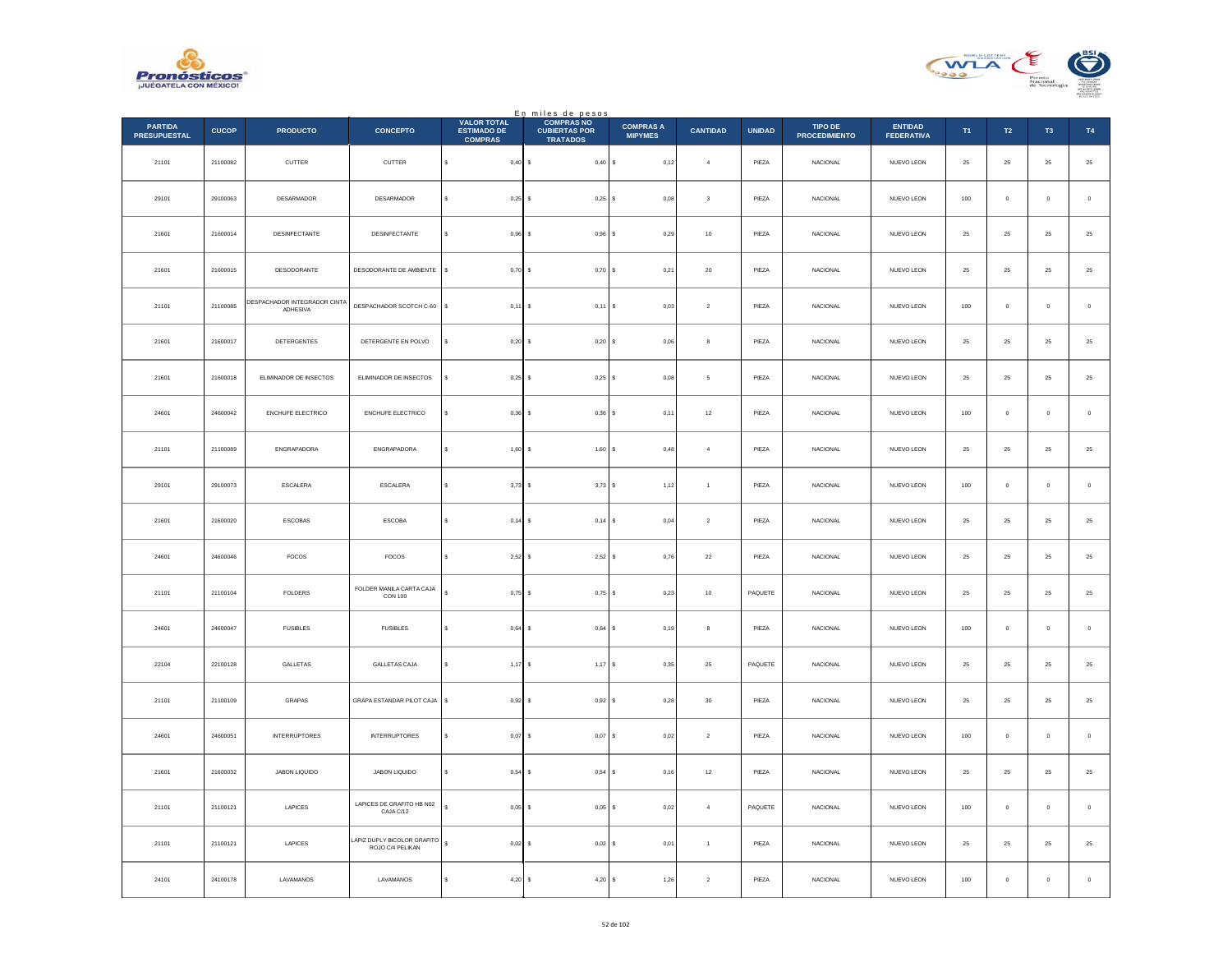



|                                       |              |                                          |                                                 |                                                            | En miles de pesos<br>COMPRAS NO         |                                    |                 |               |                                 |                                     |            |                |                     |             |
|---------------------------------------|--------------|------------------------------------------|-------------------------------------------------|------------------------------------------------------------|-----------------------------------------|------------------------------------|-----------------|---------------|---------------------------------|-------------------------------------|------------|----------------|---------------------|-------------|
| <b>PARTIDA</b><br><b>PRESUPUESTAL</b> | <b>CUCOP</b> | <b>PRODUCTO</b>                          | <b>CONCEPTO</b>                                 | <b>VALOR TOTAL</b><br><b>ESTIMADO DE</b><br><b>COMPRAS</b> | <b>CUBIERTAS POR</b><br><b>TRATADOS</b> | <b>COMPRAS A</b><br><b>MIPYMES</b> | <b>CANTIDAD</b> | <b>UNIDAD</b> | TIPO DE<br><b>PROCEDIMIENTO</b> | <b>ENTIDAD</b><br><b>FEDERATIVA</b> | T1         | T2             | T <sub>3</sub>      | T4          |
| 21101                                 | 21100082     | CUTTER                                   | CUTTER                                          | s<br>$0,40$ \$                                             | $0,40\,$ \$                             | 0,12                               | $\,$ 4 $\,$     | PIEZA         | NACIONAL                        | NUEVO LEON                          | ${\bf 25}$ | $\bf 25$       | $25\,$              | $\bf 25$    |
| 29101                                 | 29100063     | DESARMADOR                               | <b>DESARMADOR</b>                               | $0,25$ \$<br>s                                             | $0,25$ \$                               | 0.08                               | $_{3}$          | PIEZA         | <b>NACIONAL</b>                 | NUEVO LEON                          | 100        | $\overline{0}$ | $\mathbf{0}$        | $\,$ 0 $\,$ |
| 21601                                 | 21600014     | DESINFECTANTE                            | DESINFECTANTE                                   | $0,96$ \$                                                  | $0,96$ \$                               | 0,29                               | $10\,$          | PIEZA         | NACIONAL                        | NUEVO LEON                          | $25\,$     | $2\sqrt{5}$    | 25                  | $25\,$      |
| 21601                                 | 21600015     | DESODORANTE                              | DESODORANTE DE AMBIENTE                         | s<br>$0,70$ \$                                             | 0,70S                                   | 0,21                               | $20\,$          | PIEZA         | <b>NACIONAL</b>                 | NUEVO LEON                          | $25\,$     | $25\,$         | $\bf 25$            | $25\,$      |
| 21101                                 | 21100085     | DESPACHADOR INTEGRADOR CINTA<br>ADHESIVA | DESPACHADOR SCOTCH C-60                         | s<br>$0,11$ \$                                             | 0.11                                    | 0.03<br>l s                        | $\,$ 2 $\,$     | PIEZA         | <b>NACIONAL</b>                 | NUEVO LEON                          | 100        | $\overline{0}$ | $\ddot{\mathbf{0}}$ | $\,$ 0 $\,$ |
| 21601                                 | 21600017     | DETERGENTES                              | DETERGENTE EN POLVO                             | $0,20$ \$<br>s                                             | $0,20$ \$                               | 0,06                               | $^{\rm 8}$      | PIEZA         | NACIONAL                        | NUEVO LEON                          | ${\bf 25}$ | $25\,$         | $25\,$              | $\bf 25$    |
| 21601                                 | 21600018     | ELIMINADOR DE INSECTOS                   | ELIMINADOR DE INSECTOS                          | $0,25$ \$<br>$\epsilon$                                    | $0,25$ \$                               | 0.08                               | 5               | PIFZA         | <b>NACIONAL</b>                 | NUEVO LEON                          | 25         | 25             | 25                  | $\bf 25$    |
| 24601                                 | 24600042     | ENCHUFE ELECTRICO                        | <b>ENCHUFE ELECTRICO</b>                        | $0,36$ \$<br>Ś                                             | $0,36$ \$                               | 0,11                               | $12\,$          | PIEZA         | NACIONAL                        | NUEVO LEON                          | 100        | $\mathbf 0$    | $\bf{0}$            | $\mathbf 0$ |
| 21101                                 | 21100089     | ENGRAPADORA                              | ENGRAPADORA                                     | \$<br>$1,60$ \$                                            | 1,60S                                   | 0,48                               | $\sqrt{4}$      | PIEZA         | NACIONAL                        | NUEVO LEON                          | ${\bf 25}$ | $25\,$         | 25                  | $25\,$      |
| 29101                                 | 29100073     | ESCALERA                                 | ESCALERA                                        | $3,73$ \$<br>s                                             | $3,73$ \$                               | 1,12                               | $\mathbf{1}$    | PIEZA         | <b>NACIONAL</b>                 | NUEVO LEON                          | 100        | $\overline{0}$ | $\bf{0}$            | $\,$ 0 $\,$ |
| 21601                                 | 21600020     | ESCOBAS                                  | ESCOBA                                          | s<br>$0,14$ \$                                             | 0,14                                    | 0,04                               | $\,$ 2 $\,$     | PIEZA         | NACIONAL                        | NUEVO LEON                          | $25\,$     | $2\sqrt{5}$    | $2\mathsf{S}$       | $25\,$      |
| 24601                                 | 24600046     | FOCOS                                    | <b>FOCOS</b>                                    | $2,52$ \$<br>s                                             | $2,52$ \$                               | 0,76                               | $\bf{22}$       | PIEZA         | <b>NACIONAL</b>                 | NUEVO LEON                          | 25         | 25             | 25                  | $25\,$      |
| 21101                                 | 21100104     | FOLDERS                                  | FOLDER MANILA CARTA CAJA<br>CON 100             | $0,75$ \$                                                  | $0,75$ \$                               | 0,23                               | $10\,$          | PAQUETE       | <b>NACIONAL</b>                 | NUEVO LEON                          | $25\,$     | $25\,$         | 25                  | 25          |
| 24601                                 | 24600047     | <b>FUSIBLES</b>                          | <b>FUSIBLES</b>                                 | s<br>$0,64$ \$                                             | $0,64$ \$                               | 0, 19                              | $^{\rm 8}$      | PIEZA         | NACIONAL                        | NUEVO LEON                          | 100        | $\,0\,$        | $\bf{0}$            | $\,0\,$     |
| 22104                                 | 22100128     | GALLETAS                                 | GALLETAS CAJA                                   | $1,17$ \$<br>s                                             | $1,17$ \$                               | 0,35                               | 25              | PAQUETE       | <b>NACIONAL</b>                 | NUEVO LEON                          | 25         | $25\,$         | 25                  | $25\,$      |
| 21101                                 | 21100109     | GRAPAS                                   | GRAPA ESTANDAR PILOT CAJA                       | s<br>$0,92$ \$                                             | 0,92                                    | 0,28                               | $30\,$          | PIEZA         | NACIONAL                        | NUEVO LEON                          | $25\,$     | $2\sqrt{5}$    | $2\mathsf{S}$       | $25\,$      |
| 24601                                 | 24600051     | <b>INTERRUPTORES</b>                     | <b>INTERRUPTORES</b>                            | $0,07$ \$<br>s                                             | 0.07S                                   | 0,02                               | $\overline{2}$  | PIEZA         | <b>NACIONAL</b>                 | NUEVO LEON                          | 100        | $\overline{0}$ | $\mathbf{0}$        | $\,$ 0 $\,$ |
| 21601                                 | 21600032     | JABON LIQUIDO                            | JABON LIQUIDO                                   | 0,54S<br>s                                                 | $0,54$ \$                               | 0,16                               | 12              | PIEZA         | <b>NACIONAL</b>                 | NUEVO LEON                          | 25         | 25             | 25                  | 25          |
| 21101                                 | 21100121     | LAPICES                                  | LAPICES DE GRAFITO HB N02<br>CAJA C/12          | s<br>$0,05$ \$                                             | $0,05$ \$                               | 0,02                               | $\overline{4}$  | PAQUETE       | <b>NACIONAL</b>                 | NUEVO LEON                          | 100        | $\,0\,$        | $\bf{0}$            | $\,0\,$     |
| 21101                                 | 21100121     | LAPICES                                  | LAPIZ DUPLY BICOLOR GRAFITO<br>ROJO C/4 PELIKAN | s<br>$0,02$ \$                                             | $0,02$ \$                               | 0.01                               | $\mathbf{1}$    | PIEZA         | <b>NACIONAL</b>                 | NUEVO LEON                          | 25         | 25             | 25                  | 25          |
| 24101                                 | 24100178     | LAVAMANOS                                | LAVAMANOS                                       | 4,20<br>\$                                                 | 4,20<br>s                               | 1,26<br>s                          | $\sqrt{2}$      | PIEZA         | <b>NACIONAL</b>                 | NUEVO LEON                          | 100        | $\mathbb O$    | $\mathbf 0$         | $\,$ 0 $\,$ |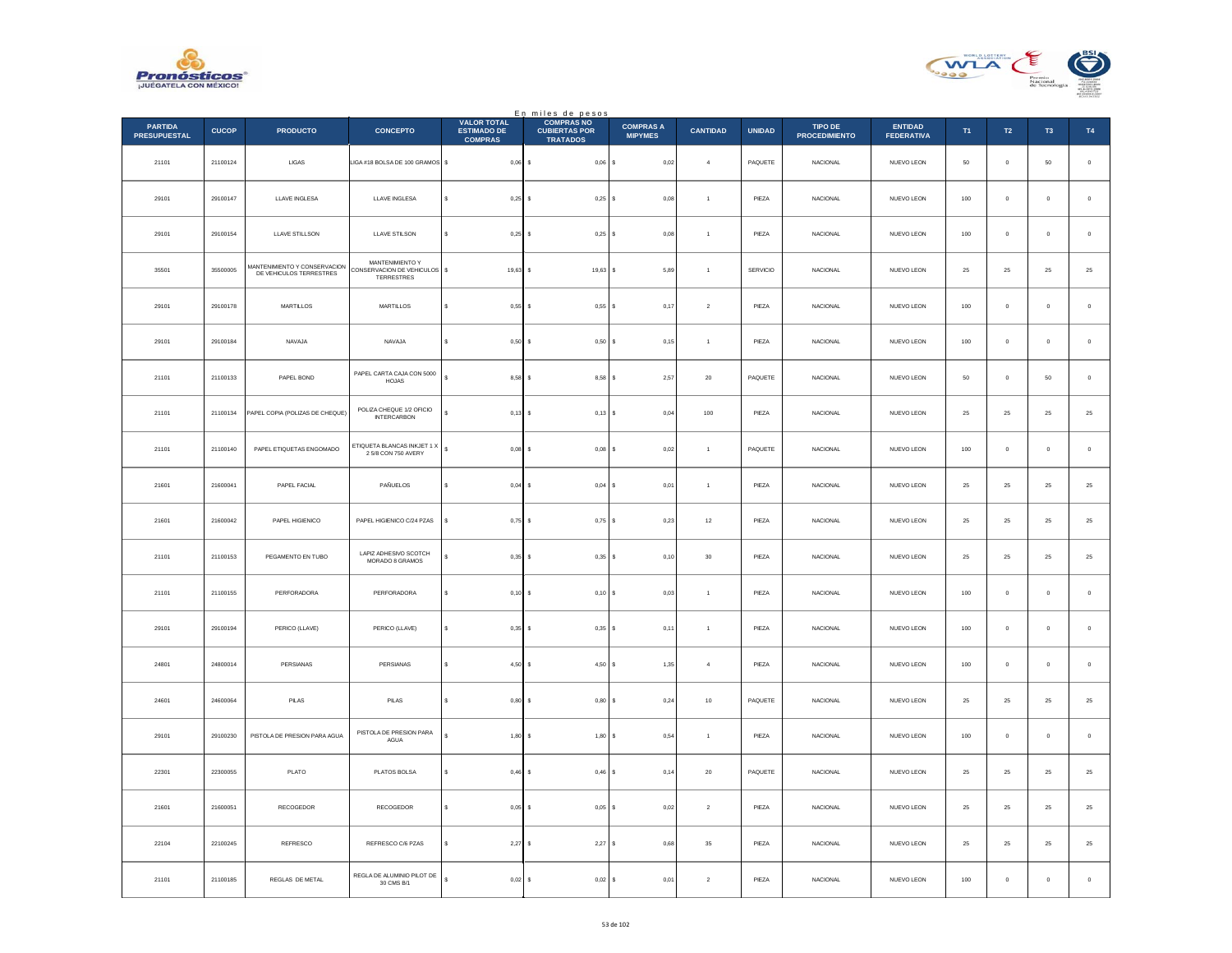



|                                       |              |                                                         |                                                                      |                                                            | En miles de pesos<br>COMPRAS NO         |                                    |                  |               |                                 |                                     |                |                |                     |             |
|---------------------------------------|--------------|---------------------------------------------------------|----------------------------------------------------------------------|------------------------------------------------------------|-----------------------------------------|------------------------------------|------------------|---------------|---------------------------------|-------------------------------------|----------------|----------------|---------------------|-------------|
| <b>PARTIDA</b><br><b>PRESUPUESTAL</b> | <b>CUCOP</b> | <b>PRODUCTO</b>                                         | <b>CONCEPTO</b>                                                      | <b>VALOR TOTAL</b><br><b>ESTIMADO DE</b><br><b>COMPRAS</b> | <b>CUBIERTAS POR</b><br><b>TRATADOS</b> | <b>COMPRAS A</b><br><b>MIPYMES</b> | <b>CANTIDAD</b>  | <b>UNIDAD</b> | TIPO DE<br><b>PROCEDIMIENTO</b> | <b>ENTIDAD</b><br><b>FEDERATIVA</b> | T <sub>1</sub> | T2             | T <sub>3</sub>      | T4          |
| 21101                                 | 21100124     | $_{\rm LIGAS}$                                          | LIGA#18 BOLSA DE 100 GRAMOS \$                                       | $0,06$ \$                                                  | 0,06                                    | 0,02<br>l s                        | $\sqrt{4}$       | PAQUETE       | NACIONAL                        | NUEVO LEON                          | $50\,$         | $\mathbf 0$    | $50\,$              | $\,$ 0 $\,$ |
| 29101                                 | 29100147     | LLAVE INGLESA                                           | LLAVE INGLESA                                                        | $0,25$ \$<br>s                                             | $0,25$ \$                               | 0.08                               | $\overline{1}$   | PIEZA         | <b>NACIONAL</b>                 | NUEVO LEON                          | 100            | $\Omega$       | $\theta$            | $\,$ 0 $\,$ |
| 29101                                 | 29100154     | LLAVE STILLSON                                          | LLAVE STILSON                                                        | $0,25$ \$                                                  | $0,25$ \$                               | 0,08                               | $\overline{1}$   | PIEZA         | NACIONAL                        | NUEVO LEON                          | 100            | $\circ$        | $\mathbf{0}$        | $\,$ 0 $\,$ |
| 35501                                 | 35500005     | MANTENIMIENTO Y CONSERVACION<br>DE VEHICULOS TERRESTRES | MANTENIMIENTO Y<br>CONSERVACION DE VEHICULOS \$<br><b>TERRESTRES</b> | $19,63$ \$                                                 | 19,63 \$                                | 5,89                               | $\overline{1}$   | SERVICIO      | NACIONAL                        | NUEVO LEON                          | 25             | $25\,$         | $\bf 25$            | $25\,$      |
| 29101                                 | 29100178     | MARTILLOS                                               | MARTILLOS                                                            | $0.55$ $\sqrt{S}$<br>s                                     | 0.55S                                   | 0.17                               | $\overline{2}$   | PIEZA         | <b>NACIONAL</b>                 | NUEVO LEON                          | 100            | $\overline{0}$ | $\ddot{\mathbf{0}}$ | $\,$ 0 $\,$ |
| 29101                                 | 29100184     | NAVAJA                                                  | NAVAJA                                                               | $\ddot{\phantom{0}}$<br>$0,50$ \$                          | $0,50$ \$                               | 0,15                               | $\overline{1}$   | PIEZA         | NACIONAL                        | NUEVO LEON                          | 100            | $\mathbf 0$    | $\mathbf 0$         | $\,$ 0 $\,$ |
| 21101                                 | 21100133     | PAPEL BOND                                              | PAPEL CARTA CAJA CON 5000<br>HOJAS                                   | $8,58$ \$<br>¢                                             | $8,58$ \$                               | 2.57                               | 20               | PAQUETE       | <b>NACIONAL</b>                 | NUEVO LEON                          | 50             | $\Omega$       | 50                  | $\,$ 0 $\,$ |
| 21101                                 | 21100134     | PAPEL COPIA (POLIZAS DE CHEQUE)                         | POLIZA CHEQUE 1/2 OFICIO<br><b>INTERCARBON</b>                       | $0,13$ \$                                                  | $0,13$ \$                               | 0,04                               | $100\,$          | PIEZA         | NACIONAL                        | NUEVO LEON                          | $25\,$         | $2\sqrt{5}$    | $\bf 25$            | $25\,$      |
| 21101                                 | 21100140     | PAPEL ETIQUETAS ENGOMADO                                | ETIQUETA BLANCAS INKJET 1 X<br>2 5/8 CON 750 AVERY                   | s<br>$0,08$ \$                                             | $0,08$ \$                               | 0,02                               | $\overline{1}$   | PAQUETE       | NACIONAL                        | NUEVO LEON                          | 100            | $\mathbf 0$    | $\mathbf 0$         | $\,$ 0 $\,$ |
| 21601                                 | 21600041     | PAPEL FACIAL                                            | PAÑUELOS                                                             | $0,04$ \$                                                  | 0,04S                                   | 0,01                               | $\mathbf{1}$     | PIEZA         | <b>NACIONAL</b>                 | NUEVO LEON                          | 25             | 25             | 25                  | $25\,$      |
| 21601                                 | 21600042     | PAPEL HIGIENICO                                         | PAPEL HIGIENICO C/24 PZAS                                            | $0,75$ \$<br>\$                                            | 0,75                                    | 0,23                               | $12\,$           | PIEZA         | NACIONAL                        | NUEVO LEON                          | $25\,$         | $2\sqrt{5}$    | $2\mathsf{S}$       | $25\,$      |
| 21101                                 | 21100153     | PEGAMENTO EN TUBO                                       | LAPIZ ADHESIVO SCOTCH<br>MORADO 8 GRAMOS                             | $0,35$ \$                                                  | $0,35$ \$                               | 0,10                               | 30               | PIEZA         | <b>NACIONAL</b>                 | NUEVO LEON                          | 25             | 25             | 25                  | $25\,$      |
| 21101                                 | 21100155     | PERFORADORA                                             | PERFORADORA                                                          | $0,10$ \$                                                  | $0,10$ \$                               | 0,03                               | $\overline{1}$   | PIEZA         | <b>NACIONAL</b>                 | NUEVO LEON                          | 100            | $\mathbb O$    | $\pmb{0}$           | $\,$ 0 $\,$ |
| 29101                                 | 29100194     | PERICO (LLAVE)                                          | PERICO (LLAVE)                                                       | s<br>$0,35$ \$                                             | $0,35$ \$                               | 0,11                               | $\mathbf{1}$     | PIEZA         | NACIONAL                        | NUEVO LEON                          | 100            | $\overline{0}$ | $\bf{0}$            | $\,$ 0 $\,$ |
| 24801                                 | 24800014     | PERSIANAS                                               | PERSIANAS                                                            | $4,50$ \$<br>s                                             | 4,50S                                   | 1,35                               | $\boldsymbol{4}$ | PIEZA         | <b>NACIONAL</b>                 | NUEVO LEON                          | 100            | $\overline{0}$ | $\pmb{0}$           | $\,$ 0 $\,$ |
| 24601                                 | 24600064     | $\ensuremath{\mathsf{P}}\xspace\mathsf{ILAS}$           | $\ensuremath{\mathsf{PILAS}}$                                        | $0,80$ \$                                                  | 0,80                                    | 0,24                               | $10\,$           | PAQUETE       | NACIONAL                        | NUEVO LEON                          | $25\,$         | $2\sqrt{5}$    | $2\mathsf{S}$       | $25\,$      |
| 29101                                 | 29100230     | PISTOLA DE PRESION PARA AGUA                            | PISTOLA DE PRESION PARA<br>AGUA                                      | 1,80S                                                      | $1,80$ \$                               | 0,54                               | $\mathbf{1}$     | PIEZA         | <b>NACIONAL</b>                 | NUEVO LEON                          | 100            | $\overline{0}$ | $\mathbf{0}$        | $\mathbf 0$ |
| 22301                                 | 22300055     | PLATO                                                   | PLATOS BOLSA                                                         | $0,46$ \$                                                  | $0,46$ \$                               | 0,14                               | 20               | PAQUETE       | <b>NACIONAL</b>                 | NUEVO LEON                          | 25             | 25             | 25                  | 25          |
| 21601                                 | 21600051     | RECOGEDOR                                               | RECOGEDOR                                                            | s<br>$0,05$ \$                                             | $0,05$ \$                               | 0,02                               | $\sqrt{2}$       | PIEZA         | NACIONAL                        | NUEVO LEON                          | 25             | ${\bf 25}$     | $25\,$              | $\bf 25$    |
| 22104                                 | 22100245     | REFRESCO                                                | REFRESCO C/6 PZAS                                                    | 2,27                                                       | 2,27S<br>Ιs                             | 0.68                               | 35               | PIEZA         | <b>NACIONAL</b>                 | NUEVO LEON                          | 25             | 25             | 25                  | 25          |
| 21101                                 | 21100185     | REGLAS DE METAL                                         | REGLA DE ALUMINIO PILOT DE<br>30 CMS B/1                             | $_{0,02}$<br>s                                             | 0,02<br>s                               | 0,01                               | $\sqrt{2}$       | PIEZA         | <b>NACIONAL</b>                 | NUEVO LEON                          | 100            | $\mathbb O$    | $\mathbf 0$         | $\,$ 0 $\,$ |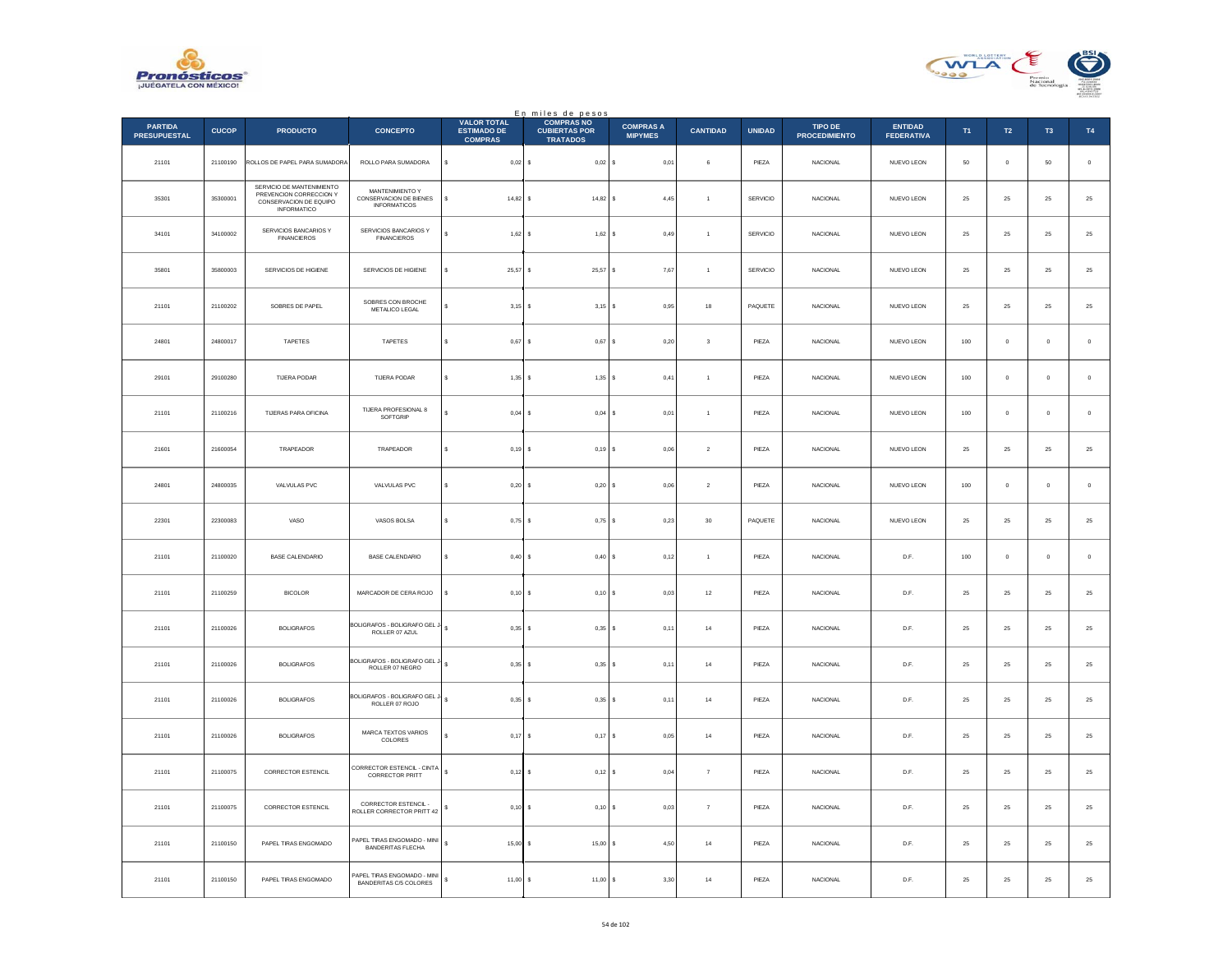



|                                       |              |                                                                                               |                                                                  |                                                            | En miles de pesos<br>COMPRAS NO         |                                    |                         |               |                                        |                                     |               |               |                |                  |
|---------------------------------------|--------------|-----------------------------------------------------------------------------------------------|------------------------------------------------------------------|------------------------------------------------------------|-----------------------------------------|------------------------------------|-------------------------|---------------|----------------------------------------|-------------------------------------|---------------|---------------|----------------|------------------|
| <b>PARTIDA</b><br><b>PRESUPUESTAL</b> | <b>CUCOP</b> | <b>PRODUCTO</b>                                                                               | <b>CONCEPTO</b>                                                  | <b>VALOR TOTAL</b><br><b>ESTIMADO DE</b><br><b>COMPRAS</b> | <b>CUBIERTAS POR</b><br><b>TRATADOS</b> | <b>COMPRAS A</b><br><b>MIPYMES</b> | <b>CANTIDAD</b>         | <b>UNIDAD</b> | <b>TIPO DE</b><br><b>PROCEDIMIENTO</b> | <b>ENTIDAD</b><br><b>FEDERATIVA</b> | T1            | $\mathsf{T2}$ | T <sub>3</sub> | T4               |
| 21101                                 | 21100190     | ROLLOS DE PAPEL PARA SUMADORA                                                                 | ROLLO PARA SUMADORA                                              | s<br>$0,02$ \$                                             | $0,02$ \$                               | 0,01                               | 6                       | PIEZA         | NACIONAL                               | NUEVO LEON                          | $50\,$        | $\mathbf 0$   | $50\,$         | $\,$ 0           |
| 35301                                 | 35300001     | SERVICIO DE MANTENIMIENTO<br>PREVENCION CORRECCION Y<br>CONSERVACION DE EQUIPO<br>INFORMATICO | MANTENIMIENTO Y<br>CONSERVACION DE BIENES<br><b>INFORMATICOS</b> | $14,82$ \$                                                 | $14,82$ \$                              | 4.45                               | $\overline{1}$          | SERVICIO      | <b>NACIONAL</b>                        | NUEVO LEON                          | 25            | 25            | 25             | $25\,$           |
| 34101                                 | 34100002     | SERVICIOS BANCARIOS Y<br><b>FINANCIEROS</b>                                                   | SERVICIOS BANCARIOS Y<br><b>FINANCIEROS</b>                      | 1,62                                                       | $1,62$ \$                               | 0,49                               | $\overline{1}$          | SERVICIO      | NACIONAL                               | NUEVO LEON                          | $2\mathsf{5}$ | ${\bf 25}$    | $\bf 25$       | $25\,$           |
| 35801                                 | 35800003     | SERVICIOS DE HIGIENE                                                                          | SERVICIOS DE HIGIENE                                             | 25,57 \$                                                   | 25,57 \$                                | 7,67                               | $\overline{1}$          | SERVICIO      | NACIONAL                               | NUEVO LEON                          | $\bf 25$      | ${\bf 25}$    | $25\,$         | $25\,$           |
| 21101                                 | 21100202     | SOBRES DE PAPEL                                                                               | SOBRES CON BROCHE<br>METALICO LEGAL                              | $3.15$ S                                                   | $3.15$ S                                | 0.95                               | 18                      | PAQUETE       | <b>NACIONAL</b>                        | NUEVO LEON                          | 25            | 25            | 25             | $25\,$           |
| 24801                                 | 24800017     | TAPETES                                                                                       | TAPETES                                                          | 0,67                                                       | $0,67$ \$<br>$\epsilon$                 | 0,20                               | $\overline{\mathbf{3}}$ | PIEZA         | NACIONAL                               | NUEVO LEON                          | 100           | $\mathbf 0$   | $\,$ 0 $\,$    | $\,$ 0           |
| 29101                                 | 29100280     | TIJERA PODAR                                                                                  | TUERA PODAR                                                      | $1.35$ S<br>$\epsilon$                                     | 1.35 S                                  | 0.41                               | $\overline{1}$          | PIEZA         | <b>NACIONAL</b>                        | NUEVO LEON                          | 100           | $\Omega$      | $^{\circ}$     | $\mathbf 0$      |
| 21101                                 | 21100216     | TIJERAS PARA OFICINA                                                                          | TIJERA PROFESIONAL 8<br>SOFTGRIP                                 | 0,04                                                       | $0,04$ \$                               | 0,01                               | $\overline{1}$          | PIEZA         | NACIONAL                               | NUEVO LEON                          | $100\,$       | $\mathbf 0$   | $\,$ 0 $\,$    | $\,$ 0           |
| 21601                                 | 21600054     | TRAPEADOR                                                                                     | TRAPEADOR                                                        | $0,19$ \$                                                  | 0,19S                                   | 0,06                               | $\sqrt{2}$              | PIEZA         | <b>NACIONAL</b>                        | NUEVO LEON                          | $\bf 25$      | ${\bf 25}$    | 25             | $25\,$           |
| 24801                                 | 24800035     | VALVULAS PVC                                                                                  | VALVULAS PVC                                                     | 0,20                                                       | $0,20$ \$                               | 0.06                               | $\sqrt{2}$              | PIEZA         | <b>NACIONAL</b>                        | NUEVO LEON                          | 100           | $\mathbf 0$   | $\mathbf 0$    | $\mathbf 0$      |
| 22301                                 | 22300083     | VASO                                                                                          | VASOS BOLSA                                                      | $0,75$ \$                                                  | 0,75                                    | l s<br>0,23                        | $30\,$                  | PAQUETE       | NACIONAL                               | NUEVO LEON                          | $\bf 25$      | $25\,$        | $2\sqrt{5}$    | $25\,$           |
| 21101                                 | 21100020     | BASE CALENDARIO                                                                               | BASE CALENDARIO                                                  | 0.40S<br>$\epsilon$                                        | $0,40$ S                                | 0,12                               | $\overline{1}$          | PIF7A         | <b>NACIONAL</b>                        | D.F.                                | 100           | $\Omega$      | $\Omega$       | $\,$ 0           |
| 21101                                 | 21100259     | <b>BICOLOR</b>                                                                                | MARCADOR DE CERA ROJO                                            | $0,10$ \$                                                  | $0,10$ S                                | 0,03                               | $12\,$                  | PIEZA         | <b>NACIONAL</b>                        | D.F.                                | 25            | 25            | 25             | $25\,$           |
| 21101                                 | 21100026     | <b>BOLIGRAFOS</b>                                                                             | BOLIGRAFOS - BOLIGRAFO GEL J<br>ROLLER 07 AZUL                   | $\epsilon$<br>$0,35$ \$                                    | $0,35$ \$                               | 0,11                               | $14\,$                  | PIEZA         | <b>NACIONAL</b>                        | D.F.                                | 25            | $25\,$        | 25             | $25\phantom{.0}$ |
| 21101                                 | 21100026     | <b>BOLIGRAFOS</b>                                                                             | BOLIGRAFOS - BOLIGRAFO GEL.<br>ROLLER 07 NEGRO                   | $0.35S$ \$                                                 | $0.35$ \$                               | 0,11                               | 14                      | PIEZA         | <b>NACIONAL</b>                        | D.F.                                | 25            | 25            | 25             | 25               |
| 21101                                 | 21100026     | <b>BOLIGRAFOS</b>                                                                             | BOLIGRAFOS - BOLIGRAFO GEL.<br>ROLLER 07 ROJO                    | s<br>0,35                                                  | 0,35                                    | s<br>0,11                          | $^{\rm 14}$             | PIEZA         | NACIONAL                               | D.F.                                | $2\mathrm{5}$ | $25\,$        | $2\sqrt{5}$    | $25\,$           |
| 21101                                 | 21100026     | <b>BOLIGRAFOS</b>                                                                             | MARCA TEXTOS VARIOS<br>COLORES                                   | 0,17S                                                      | $0,17$ \$                               | 0,05                               | 14                      | PIEZA         | <b>NACIONAL</b>                        | D.F.                                | 25            | 25            | 25             | $25\,$           |
| 21101                                 | 21100075     | <b>CORRECTOR ESTENCIL</b>                                                                     | CORRECTOR ESTENCIL - CINTA<br>CORRECTOR PRITT                    | $\mathsf{s}$<br>$0,12$ \$                                  | $0,12$ \$                               | 0,04                               | $\overline{7}$          | PIEZA         | <b>NACIONAL</b>                        | D.F.                                | 25            | 25            | 25             | 25               |
| 21101                                 | 21100075     | <b>CORRECTOR ESTENCIL</b>                                                                     | <b>CORRECTOR ESTENCIL</b><br>ROLLER CORRECTOR PRITT 42           | 0,10                                                       | $0,10$ \$<br>-S                         | 0,03                               | $\overline{7}$          | PIEZA         | NACIONAL                               | D.F.                                | 25            | $25\,$        | 25             | $25\,$           |
| 21101                                 | 21100150     | PAPEL TIRAS ENGOMADO                                                                          | PAPEL TIRAS ENGOMADO - MINI<br><b>BANDERITAS FLECHA</b>          | s<br>15,00                                                 | $15,00$ \$                              | 4.50                               | 14                      | PIEZA         | <b>NACIONAL</b>                        | D.F.                                | 25            | 25            | 25             | 25               |
| 21101                                 | 21100150     | PAPEL TIRAS ENGOMADO                                                                          | PAPEL TIRAS ENGOMADO - MINI<br>BANDERITAS C/5 COLORES            | s<br>11,00                                                 | 11,00                                   | 3,30<br>l s                        | $14\,$                  | PIEZA         | <b>NACIONAL</b>                        | D.F.                                | 25            | 25            | $25\,$         | $25\,$           |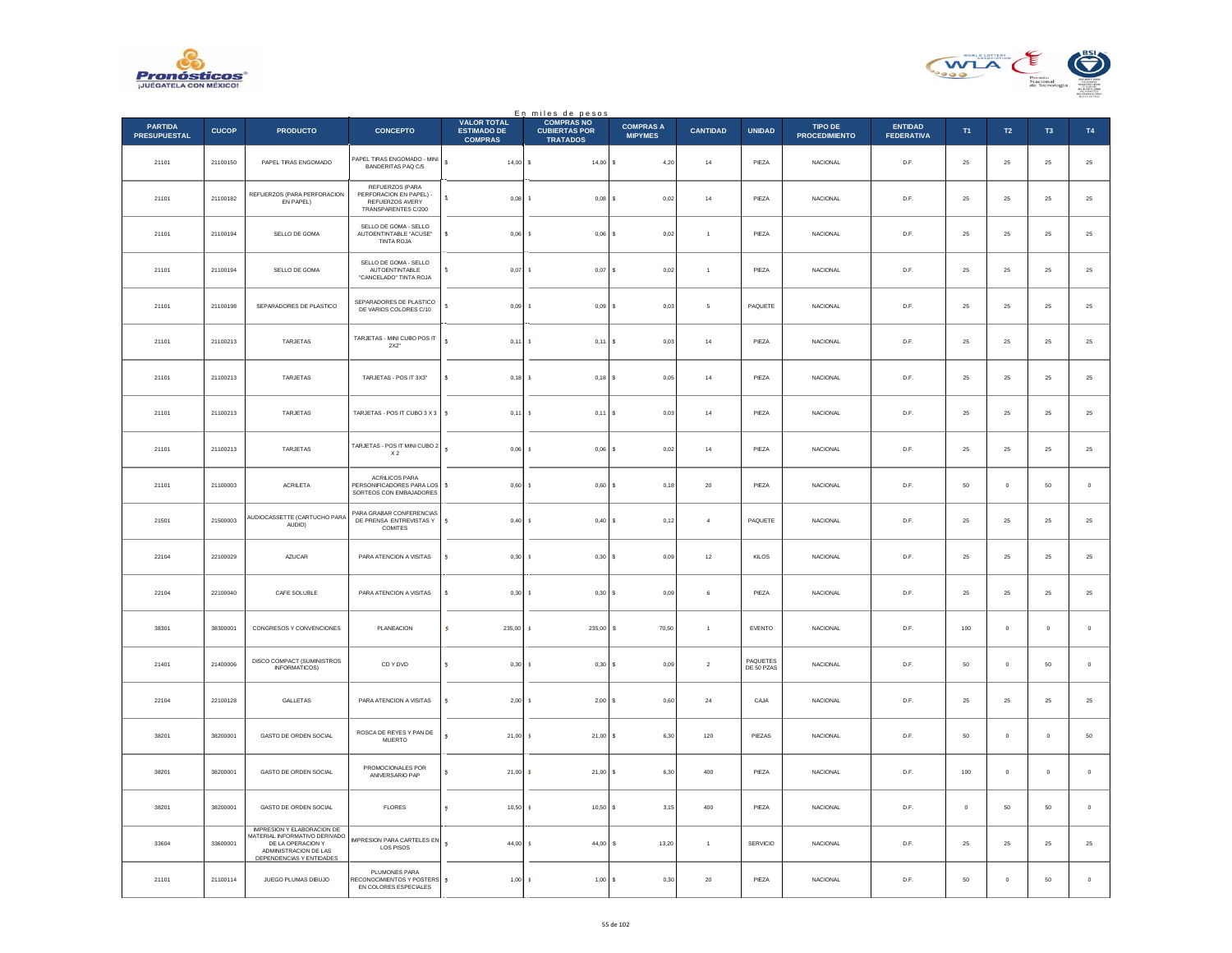



|                                       |              |                                                                                                                                              |                                                                                      |                                                            | En miles de pesos                                            |                                    |                 |                                |                                        |                                     |               |               |               |             |
|---------------------------------------|--------------|----------------------------------------------------------------------------------------------------------------------------------------------|--------------------------------------------------------------------------------------|------------------------------------------------------------|--------------------------------------------------------------|------------------------------------|-----------------|--------------------------------|----------------------------------------|-------------------------------------|---------------|---------------|---------------|-------------|
| <b>PARTIDA</b><br><b>PRESUPUESTAL</b> | <b>CUCOP</b> | <b>PRODUCTO</b>                                                                                                                              | <b>CONCEPTO</b>                                                                      | <b>VALOR TOTAL</b><br><b>ESTIMADO DE</b><br><b>COMPRAS</b> | <b>COMPRAS NO</b><br><b>CUBIERTAS POR</b><br><b>TRATADOS</b> | <b>COMPRAS A</b><br><b>MIPYMES</b> | <b>CANTIDAD</b> | <b>UNIDAD</b>                  | <b>TIPO DE</b><br><b>PROCEDIMIENTO</b> | <b>ENTIDAD</b><br><b>FEDERATIVA</b> | T1            | $\mathsf{T2}$ | T3            | T4          |
| 21101                                 | 21100150     | PAPEL TIRAS ENGOMADO                                                                                                                         | PAPEL TIRAS ENGOMADO - MINI<br>BANDERITAS PAQ C/5                                    | $\mathbb S$<br>$14,00$ \$                                  | $14,00$ \$                                                   | 4,20                               | $^{\rm 14}$     | PIEZA                          | NACIONAL                               | D.F.                                | $25\,$        | ${\bf 25}$    | $\bf 25$      | $25\,$      |
| 21101                                 | 21100182     | REFUERZOS (PARA PERFORACION<br>EN PAPEL)                                                                                                     | REFUERZOS (PARA<br>PERFORACION EN PAPEL) -<br>REFUERZOS AVERY<br>TRANSPARENTES C/200 | s.<br>$0.08 - $$                                           | $0.08$ \$                                                    | 0,02                               | 14              | PIF7A                          | <b>NACIONAL</b>                        | D.F.                                | 25            | 25            | 25            | $25\,$      |
| 21101                                 | 21100194     | SELLO DE GOMA                                                                                                                                | SELLO DE GOMA - SELLO<br>AUTOENTINTABLE "ACUSE"<br>TINTA ROJA                        | s<br>0,06                                                  | $0,06$ \$<br><b>s</b>                                        | 0,02                               | $\overline{1}$  | PIEZA                          | NACIONAL                               | D.F.                                | $2\mathrm{5}$ | $25\,$        | $\bf 25$      | $25\,$      |
| 21101                                 | 21100194     | SELLO DE GOMA                                                                                                                                | SELLO DE GOMA - SELLO<br><b>AUTOENTINTABLE</b><br>"CANCELADO" TINTA ROJA             | s.<br>0.07 <sup>3</sup>                                    | $0,07$ \$                                                    | 0,02                               | $\overline{1}$  | PIEZA                          | <b>NACIONAL</b>                        | D.F.                                | 25            | $25\,$        | ${\bf 25}$    | $25\,$      |
| 21101                                 | 21100198     | SEPARADORES DE PLASTICO                                                                                                                      | SEPARADORES DE PLASTICO<br>DE VARIOS COLORES C/10                                    | s<br>0,09                                                  | 0,09S<br>-S                                                  | 0,03                               | 5               | PAQUETE                        | <b>NACIONAL</b>                        | D.F.                                | 25            | 25            | 25            | 25          |
| 21101                                 | 21100213     | TARJETAS                                                                                                                                     | TARJETAS - MINI CUBO POSIT<br>2X2"                                                   | s.<br>$0,11$ \$                                            | $0,11$ \$                                                    | 0,03                               | 14              | PIEZA                          | <b>NACIONAL</b>                        | D.F.                                | 25            | 25            | 25            | $25\,$      |
| 21101                                 | 21100213     | TARJETAS                                                                                                                                     | TARJETAS - POS IT 3X3"                                                               | s.<br>$0.18$ S                                             | $0.18$ S                                                     | 0.05                               | 14              | PIEZA                          | <b>NACIONAL</b>                        | D.F.                                | 25            | 25            | 25            | $25\,$      |
| 21101                                 | 21100213     | TARJETAS                                                                                                                                     | TARJETAS - POS IT CUBO 3 X 3                                                         | s<br>$0,11$ \$                                             | $0,11$ \$                                                    | 0,03                               | $14\,$          | PIEZA                          | <b>NACIONAL</b>                        | D.F.                                | 25            | 25            | 25            | $25\,$      |
| 21101                                 | 21100213     | <b>TARJETAS</b>                                                                                                                              | TARJETAS - POS IT MINI CUBO 2<br>$\chi_{2}$                                          | $\mathbf{s}$<br>0.06                                       | <b>s</b><br>$0.06$ S                                         | 0.02                               | 14              | PIEZA                          | <b>NACIONAL</b>                        | D.F.                                | 25            | 25            | 25            | $25\,$      |
| 21101                                 | 21100003     | ACRILETA                                                                                                                                     | <b>ACRILICOS PARA</b><br>PERSONIFICADORES PARA LOS<br>SORTEOS CON EMBAJADORES        | $\mathsf{s}$<br>0,60                                       | 0,60                                                         | l s<br>0,18                        | $20\,$          | PIEZA                          | NACIONAL                               | D.F.                                | $50\,$        | $\mathbf 0$   | $50\,$        | $\,$ 0      |
| 21501                                 | 21500003     | AUDIOCASSETTE (CARTUCHO PARA<br>AUDIO)                                                                                                       | PARA GRABAR CONFERENCIAS<br>DE PRENSA ENTREVISTAS Y<br><b>COMITES</b>                | s.<br>$0,40\,$ \$                                          | $0,40$ \$                                                    | 0,12                               | $\overline{4}$  | PAQUETE                        | <b>NACIONAL</b>                        | D.F.                                | $25\,$        | ${\bf 25}$    | $25\,$        | $25\,$      |
| 22104                                 | 22100029     | AZUCAR                                                                                                                                       | PARA ATENCION A VISITAS                                                              | $\mathsf{s}$<br>$0,30$ \$                                  | 0,30S                                                        | 0,09                               | $12\,$          | KILOS                          | <b>NACIONAL</b>                        | D.F.                                | $2\sqrt{5}$   | 25            | $25\,$        | $25\,$      |
| 22104                                 | 22100040     | CAFE SOLUBLE                                                                                                                                 | PARA ATENCION A VISITAS                                                              | s<br>0,30                                                  | 0,30S<br>-S                                                  | 0,09                               | 6               | PIEZA                          | <b>NACIONAL</b>                        | D.F.                                | 25            | 25            | 25            | $25\,$      |
| 38301                                 | 38300001     | CONGRESOS Y CONVENCIONES                                                                                                                     | PLANEACION                                                                           | <b>S</b><br>235.00                                         | 235.00<br>- s                                                | l s<br>70,50                       | $\overline{1}$  | EVENTO                         | <b>NACIONAL</b>                        | D.F.                                | 100           | $\circ$       | $\circ$       | $\,$ 0 $\,$ |
| 21401                                 | 21400006     | DISCO COMPACT (SUMINISTROS<br><b>INFORMATICOS)</b>                                                                                           | CD Y DVD                                                                             | s<br>$0,30$ \$                                             | $0,30$ \$                                                    | 0,09                               | $\sqrt{2}$      | <b>PAOLIFTES</b><br>DE 50 PZAS | <b>NACIONAL</b>                        | D.F.                                | $50\,$        | $\mathbf 0$   | 50            | $\,$ 0      |
| 22104                                 | 22100128     | GALLETAS                                                                                                                                     | PARA ATENCION A VISITAS                                                              | s<br>$2,00$ \$                                             | $2,00$ \$                                                    | 0,60                               | 24              | CAJA                           | <b>NACIONAL</b>                        | D.F.                                | 25            | 25            | 25            | $25\,$      |
| 38201                                 | 38200001     | GASTO DE ORDEN SOCIAL                                                                                                                        | ROSCA DE REYES Y PAN DE<br><b>MUERTO</b>                                             | 21,00<br>s                                                 | $21,00$ \$<br><b>S</b>                                       | 6,30                               | 120             | PIEZAS                         | <b>NACIONAL</b>                        | D.F.                                | $50\,$        | $\mathbf 0$   | $\mathbf 0$   | $50\,$      |
| 38201                                 | 38200001     | GASTO DE ORDEN SOCIAL                                                                                                                        | PROMOCIONALES POR<br>ANIVERSARIO PAP                                                 | s.<br>$21,00$ \$                                           | $21,00$ \$                                                   | 6,30                               | $400\,$         | PIEZA                          | NACIONAL                               | D.F.                                | 100           | $\mathbf 0$   | $\,$ 0 $\,$   | $\,$ 0      |
| 38201                                 | 38200001     | GASTO DE ORDEN SOCIAL                                                                                                                        | <b>FLORES</b>                                                                        | s<br>10.50                                                 | 10.50 S<br>- 5                                               | 3.15                               | 400             | PIEZA                          | <b>NACIONAL</b>                        | D.F.                                | $\circ$       | 50            | 50            | $\mathbf 0$ |
| 33604                                 | 33600001     | <b>IMPRESION Y ELABORACION DE</b><br>MATERIAL INFORMATIVO DERIVADO<br>DE LA OPERACION Y<br>ADMINISTRACION DE LAS<br>DEPENDENCIAS Y ENTIDADES | IMPRESION PARA CARTELES EN<br><b>LOS PISOS</b>                                       | s<br>44,00                                                 | 44,00                                                        | 13,20<br>-S                        | $\mathbf{1}$    | SERVICIO                       | NACIONAL                               | D.F.                                | $2\mathrm{5}$ | 25            | $2\mathrm{5}$ | $25\,$      |
| 21101                                 | 21100114     | JUEGO PLUMAS DIBUJO                                                                                                                          | PLUMONES PARA<br>RECONOCIMIENTOS Y POSTERS 5<br>EN COLORES ESPECIALES                | $1,00$ \$                                                  | $1,00$ \$                                                    | 0,30                               | 20              | PIEZA                          | <b>NACIONAL</b>                        | D.F.                                | 50            | $\Omega$      | 50            | $\,$ 0      |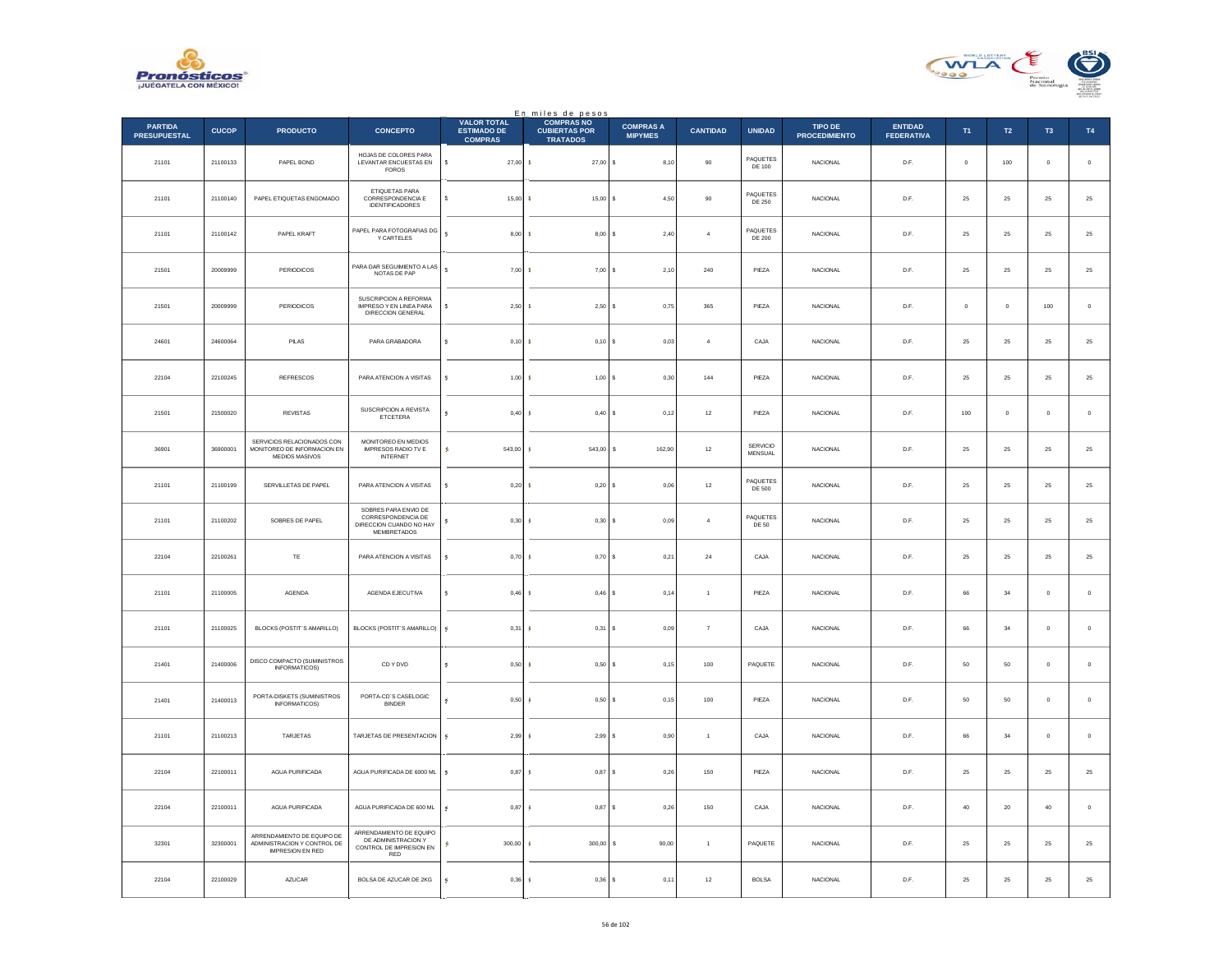



|                                       |              |                                                                                      |                                                                                      |                                                            | En miles de pesos<br>COMPRAS NO         |                                    |                 |                            |                                        |                                     |               |               |                |             |
|---------------------------------------|--------------|--------------------------------------------------------------------------------------|--------------------------------------------------------------------------------------|------------------------------------------------------------|-----------------------------------------|------------------------------------|-----------------|----------------------------|----------------------------------------|-------------------------------------|---------------|---------------|----------------|-------------|
| <b>PARTIDA</b><br><b>PRESUPUESTAL</b> | <b>CUCOP</b> | <b>PRODUCTO</b>                                                                      | <b>CONCEPTO</b>                                                                      | <b>VALOR TOTAL</b><br><b>ESTIMADO DE</b><br><b>COMPRAS</b> | <b>CUBIERTAS POR</b><br><b>TRATADOS</b> | <b>COMPRAS A</b><br><b>MIPYMES</b> | <b>CANTIDAD</b> | <b>UNIDAD</b>              | <b>TIPO DE</b><br><b>PROCEDIMIENTO</b> | <b>ENTIDAD</b><br><b>FEDERATIVA</b> | T1            | $\mathsf{T2}$ | T <sub>3</sub> | T4          |
| 21101                                 | 21100133     | PAPEL BOND                                                                           | HOJAS DE COLORES PARA<br>LEVANTAR ENCUESTAS EN<br><b>FOROS</b>                       | $\mathbf{s}$<br>$27,00$ \$                                 | $27,00$ \$                              | 8,10                               | $90\,$          | PAQUETES<br>DE 100         | NACIONAL                               | D.F.                                | $\,$ 0 $\,$   | $100\,$       | $\,$ 0 $\,$    | $\,$ 0      |
| 21101                                 | 21100140     | PAPEL ETIQUETAS ENGOMADO                                                             | ETIQUETAS PARA<br>CORRESPONDENCIA E<br><b>IDENTIFICADORES</b>                        | s.<br>15,00                                                | $15,00$ \$<br>$\mathbf{S}$              | 4.50                               | 90              | PAQUETES<br>DE 250         | <b>NACIONAL</b>                        | D.F.                                | 25            | 25            | 25             | $25\,$      |
| 21101                                 | 21100142     | PAPEL KRAFT                                                                          | PAPEL PARA FOTOGRAFIAS DG<br><b>Y CARTELES</b>                                       | s.<br>8,00                                                 | 8,00S<br><b>s</b>                       | 2,40                               | $\overline{4}$  | PAQUETES<br>DE 200         | NACIONAL                               | D.F.                                | $2\mathrm{5}$ | $25\,$        | $\bf 25$       | $25\,$      |
| 21501                                 | 20009999     | PERIODICOS                                                                           | PARA DAR SEGUIMIENTO A LAS<br>NOTAS DE PAP                                           | $\mathbf{s}$<br>$7,00$ \$                                  | $7,00$ \$                               | 2,10                               | ${\bf 240}$     | PIEZA                      | NACIONAL                               | $\mathsf{D}.\mathsf{F}.$            | $2\mathsf{5}$ | ${\bf 25}$    | $\bf 25$       | $25\,$      |
| 21501                                 | 20009999     | PERIODICOS                                                                           | SUSCRIPCION A REFORMA<br>IMPRESO Y EN LINEA PARA<br>DIRECCION GENERAL                | 2,50<br>s                                                  | $2,50$ \$<br>-S                         | 0,75                               | 365             | PIEZA                      | <b>NACIONAL</b>                        | D.F.                                | $^{\circ}$    | $\mathbf 0$   | 100            | $\,$ 0 $\,$ |
| 24601                                 | 24600064     | PILAS                                                                                | PARA GRABADORA                                                                       | s<br>$0,10$ \$                                             | 0,10S                                   | 0,03                               | $\overline{4}$  | CAJA                       | NACIONAL                               | D.F.                                | ${\bf 25}$    | $25\,$        | 25             | 25          |
| 22104                                 | 22100245     | <b>REFRESCOS</b>                                                                     | PARA ATENCION A VISITAS                                                              | s<br>1,00S                                                 | 1,00S                                   | 0,30                               | 144             | PIEZA                      | <b>NACIONAL</b>                        | D.F.                                | 25            | 25            | 25             | $25\,$      |
| 21501                                 | 21500020     | REVISTAS                                                                             | SUSCRIPCION A REVISTA<br>ETCETERA                                                    | $0,40$ \$<br>s                                             | $0,40$ \$                               | 0,12                               | $12\,$          | PIEZA                      | NACIONAL                               | D.F.                                | $100\,$       | $\bf{0}$      | $\mathbf 0$    | $\,$ 0      |
| 36901                                 | 36900001     | SERVICIOS RELACIONADOS CON<br>MONITOREO DE INFORMACION EN<br>MEDIOS MASIVOS          | MONITOREO EN MEDIOS<br>IMPRESOS RADIO TV E<br><b>INTERNET</b>                        | s<br>543,00                                                | 543,00 \$                               | 162,90                             | $12\,$          | <b>SERVICIO</b><br>MENSUAL | <b>NACIONAL</b>                        | D.F.                                | 25            | 25            | 25             | $25\,$      |
| 21101                                 | 21100199     | SERVILLETAS DE PAPEL                                                                 | PARA ATENCION A VISITAS                                                              | 0,20<br>s                                                  | 0,20S                                   | 0.06                               | $12\,$          | PAQUETES<br>DE 500         | <b>NACIONAL</b>                        | D.F.                                | 25            | 25            | 25             | $25\,$      |
| 21101                                 | 21100202     | SOBRES DE PAPEL                                                                      | SOBRES PARA ENVIO DE<br>CORRESPONDENCIA DE<br>DIRECCION CUANDO NO HAY<br>MEMBRETADOS | $0,30$ \$<br>s                                             | $0,30$ \$                               | 0,09                               | $\overline{4}$  | PAQUETES<br>DE 50          | <b>NACIONAL</b>                        | D.F.                                | 25            | 25            | $\bf 25$       | $25\,$      |
| 22104                                 | 22100261     | TE                                                                                   | PARA ATENCION A VISITAS                                                              | 0.70 <sub>5</sub><br>s                                     | $0.70$ S                                | 0.21                               | 24              | CAJA                       | <b>NACIONAL</b>                        | D.F.                                | 25            | 25            | 25             | $25\,$      |
| 21101                                 | 21100005     | AGENDA                                                                               | AGENDA EJECUTIVA                                                                     | s<br>$0,46$ \$                                             | $0,46$ \$                               | 0,14                               | $\overline{1}$  | PIEZA                      | <b>NACIONAL</b>                        | D.F.                                | 66            | $34\,$        | $\mathbf 0$    | $\,$ 0 $\,$ |
| 21101                                 | 21100025     | BLOCKS (POSTIT'S AMARILLO)                                                           | BLOCKS (POSTIT'S AMARILLO)                                                           | s<br>0.31                                                  | 0,31<br><b>S</b>                        | l s<br>0.09                        | $\overline{7}$  | CAJA                       | <b>NACIONAL</b>                        | D.F.                                | 66            | 34            | $\circ$        | $\,$ 0      |
| 21401                                 | 21400006     | DISCO COMPACTO (SUMINISTROS<br><b>INFORMATICOS)</b>                                  | CD Y DVD                                                                             | $0,50$ \$<br>s                                             | 0,50                                    | 0,15<br>l s                        | $100\,$         | PAQUETE                    | NACIONAL                               | D.F.                                | $50\,$        | $50\,$        | $\,$ 0 $\,$    | $\,$ 0      |
| 21401                                 | 21400013     | PORTA-DISKETS (SUMINISTROS<br>INFORMATICOS)                                          | PORTA-CD'S CASELOGIC<br><b>BINDER</b>                                                | $0,50$ \$<br>s                                             | $0,50$ \$                               | 0,15                               | 100             | PIEZA                      | NACIONAL                               | D.F.                                | $50\,$        | $50\,$        | $\,$ 0 $\,$    | $\,$ 0      |
| 21101                                 | 21100213     | TARJETAS                                                                             | TARJETAS DE PRESENTACION                                                             | s<br>2.99S                                                 | 2.99S                                   | 0.90                               | $\overline{1}$  | CAJA                       | <b>NACIONAL</b>                        | D.F.                                | 66            | 34            | $\mathbf{0}$   | $\mathbf 0$ |
| 22104                                 | 22100011     | AGUA PURIFICADA                                                                      | AGUA PURIFICADA DE 6000 ML                                                           | s<br>$0,87$ \$                                             | $0,87$ \$                               | 0,26                               | 150             | PIEZA                      | NACIONAL                               | D.F.                                | $\bf 25$      | $2\sqrt{5}$   | $2\mathrm{5}$  | $25\,$      |
| 22104                                 | 22100011     | AGUA PURIFICADA                                                                      | AGUA PURIFICADA DE 600 ML                                                            | s<br>0,87                                                  | 0.87S<br>-G                             | 0,26                               | 150             | CAJA                       | NACIONAL                               | D.F.                                | 40            | 20            | 40             | $\,$ 0 $\,$ |
| 32301                                 | 32300001     | ARRENDAMIENTO DE EQUIPO DE<br>ADMINISTRACION Y CONTROL DE<br><b>IMPRESION EN RED</b> | ARRENDAMIENTO DE EQUIPO<br>DE ADMINISTRACION Y<br>CONTROL DE IMPRESION EN<br>RED     | 300,00                                                     | 300,00                                  | 90,00<br>-S                        | $\mathbf{1}$    | PAQUETE                    | <b>NACIONAL</b>                        | D.F.                                | $25\,$        | 25            | $2\sqrt{5}$    | $25\,$      |
| 22104                                 | 22100029     | AZUCAR                                                                               | BOLSA DE AZUCAR DE 2KG                                                               | 0,36<br>s                                                  | 0,36                                    | l s<br>0,11                        | $12\,$          | <b>BOLSA</b>               | NACIONAL                               | D.F.                                | 25            | $\bf 25$      | 25             | $\bf 25$    |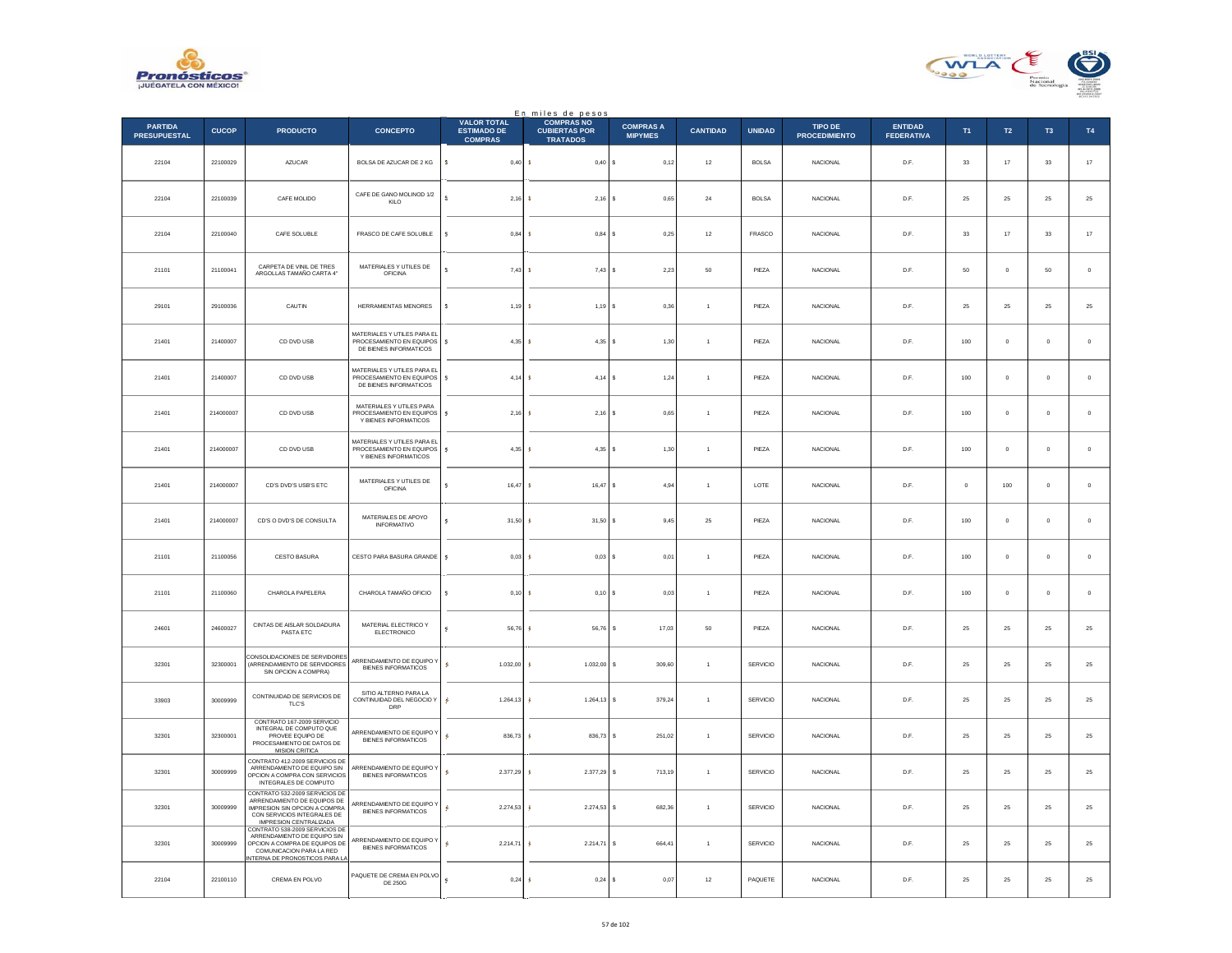



|                                       |              |                                                                                                                                                                   |                                                                                   |                                                            | En miles de pesos                                            |                                    |                 |                 |                                        |                                     |             |                  |             |               |
|---------------------------------------|--------------|-------------------------------------------------------------------------------------------------------------------------------------------------------------------|-----------------------------------------------------------------------------------|------------------------------------------------------------|--------------------------------------------------------------|------------------------------------|-----------------|-----------------|----------------------------------------|-------------------------------------|-------------|------------------|-------------|---------------|
| <b>PARTIDA</b><br><b>PRESUPUESTAL</b> | <b>CUCOP</b> | <b>PRODUCTO</b>                                                                                                                                                   | <b>CONCEPTO</b>                                                                   | <b>VALOR TOTAL</b><br><b>ESTIMADO DE</b><br><b>COMPRAS</b> | <b>COMPRAS NO</b><br><b>CUBIERTAS POR</b><br><b>TRATADOS</b> | <b>COMPRAS A</b><br><b>MIPYMES</b> | <b>CANTIDAD</b> | <b>UNIDAD</b>   | <b>TIPO DE</b><br><b>PROCEDIMIENTO</b> | <b>ENTIDAD</b><br><b>FEDERATIVA</b> | T1          | $\mathsf{T2}$    | T3          | $\mathsf{T4}$ |
| 22104                                 | 22100029     | AZUCAR                                                                                                                                                            | BOLSA DE AZUCAR DE 2 KG                                                           | $\mathsf{s}$<br>0,40S                                      | 0,40S                                                        | 0,12                               | $12\,$          | <b>BOLSA</b>    | <b>NACIONAL</b>                        | D.F.                                | $_{\rm 33}$ | $17\,$           | $_{\rm 33}$ | $17\,$        |
| 22104                                 | 22100039     | CAFE MOLIDO                                                                                                                                                       | CAFE DE GANO MOLINOD 1/2<br>KILO                                                  | s<br>$2.16 - $$                                            | $2,16$ \$                                                    | 0.65                               | 24              | <b>BOLSA</b>    | <b>NACIONAL</b>                        | D.F.                                | 25          | 25               | 25          | 25            |
| 22104                                 | 22100040     | CAFE SOLUBLE                                                                                                                                                      | FRASCO DE CAFE SOLUBLE                                                            | 0,84<br>s                                                  | $0,84$ \$                                                    | 0,25                               | $12\,$          | FRASCO          | NACIONAL                               | D.F.                                | $_{33}$     | $17\,$           | $_{33}$     | 17            |
| 21101                                 | 21100041     | CARPETA DE VINIL DE TRES<br>ARGOLLAS TAMAÑO CARTA 4"                                                                                                              | MATERIALES Y UTILES DE<br><b>OFICINA</b>                                          | ×<br>7.43                                                  | $7,43$ \$<br>-8                                              | 2.23                               | 50              | PIEZA           | <b>NACIONAL</b>                        | D.F.                                | 50          | $\overline{0}$   | 50          | $\,$ 0 $\,$   |
| 29101                                 | 29100036     | CAUTIN                                                                                                                                                            | HERRAMIENTAS MENORES                                                              | s<br>1,19                                                  | 1,19                                                         | ١s<br>0,36                         | $\mathbf{1}$    | PIEZA           | NACIONAL                               | $\mathsf{D}.\mathsf{F}.$            | $\bf 25$    | $\bf 25$         | $2\sqrt{5}$ | $2\mathsf{5}$ |
| 21401                                 | 21400007     | CD DVD USB                                                                                                                                                        | MATERIALES Y UTILES PARA EL<br>PROCESAMIENTO EN EQUIPOS<br>DE BIENES INFORMATICOS | 4.35 S<br>s                                                | $4.35$ \$                                                    | 1.30                               | $\overline{1}$  | PIEZA           | <b>NACIONAL</b>                        | D.F.                                | 100         | $\circ$          | $^{\circ}$  | $\circ$       |
| 21401                                 | 21400007     | CD DVD USB                                                                                                                                                        | MATERIALES Y UTILES PARA EL<br>PROCESAMIENTO EN EQUIPOS<br>DE BIENES INFORMATICOS | $4,14$ \$<br>s                                             | $4,14$ \$                                                    | 1,24                               | $\overline{1}$  | PIEZA           | <b>NACIONAL</b>                        | D.F.                                | 100         | $\mathbf 0$      | $\bf{0}$    | $\,$ 0 $\,$   |
| 21401                                 | 214000007    | CD DVD USB                                                                                                                                                        | MATERIALES Y UTILES PARA<br>PROCESAMIENTO EN EQUIPOS<br>Y BIENES INFORMATICOS     | s<br>$2,16$ \$                                             | $2,16$ \$                                                    | 0.65                               | $\overline{1}$  | PIEZA           | <b>NACIONAL</b>                        | D.F.                                | 100         | $\mathbf{0}$     | $\circ$     | $\,$ 0 $\,$   |
| 21401                                 | 214000007    | CD DVD USB                                                                                                                                                        | MATERIALES Y UTILES PARA EL<br>PROCESAMIENTO EN EQUIPOS<br>Y BIENES INFORMATICOS  | s<br>4,35                                                  | $4.35$ \$                                                    | 1,30                               | $\mathbf{1}$    | PIEZA           | <b>NACIONAL</b>                        | D.F.                                | 100         | $\mathbb O$      | $\mathbf 0$ | $\,$ 0 $\,$   |
| 21401                                 | 214000007    | CD'S DVD'S USB'S ETC                                                                                                                                              | MATERIALES Y UTILES DE<br><b>OFICINA</b>                                          | 16,47                                                      | $16,47$ \$                                                   | 4,94                               | $\overline{1}$  | LOTE            | NACIONAL                               | D.F.                                | $\mathbf 0$ | 100              | $\mathbf 0$ | $\,0\,$       |
| 21401                                 | 214000007    | CD'S O DVD'S DE CONSULTA                                                                                                                                          | MATERIALES DE APOYO<br><b>INFORMATIVO</b>                                         | s<br>$31.50$ S                                             | $31.50$ S                                                    | 9.45                               | 25              | PIEZA           | <b>NACIONAL</b>                        | D.F.                                | 100         | $\mathbf{0}$     | $\circ$     | $\circ$       |
| 21101                                 | 21100056     | CESTO BASURA                                                                                                                                                      | CESTO PARA BASURA GRANDE                                                          | 0,03<br>s                                                  | 0,03S                                                        | 0,01                               | $\overline{1}$  | PIEZA           | NACIONAL                               | D.F.                                | 100         | $\mathbf 0$      | $\mathbf 0$ | $\,$ 0 $\,$   |
| 21101                                 | 21100060     | CHAROLA PAPELERA                                                                                                                                                  | CHAROLA TAMAÑO OFICIO                                                             | s<br>0.10                                                  | 0.10 S<br>- 8                                                | 0.03                               | $\overline{1}$  | PIFZA           | <b>NACIONAL</b>                        | D.E                                 | 100         | $\Omega$         | $\Omega$    | $\mathbf 0$   |
| 24601                                 | 24600027     | CINTAS DE AISLAR SOLDADURA<br>PASTA ETC                                                                                                                           | MATERIAL ELECTRICO Y<br><b>ELECTRONICO</b>                                        | 56,76<br>s                                                 | 56,76                                                        | s<br>17,03                         | 50              | PIEZA           | NACIONAL                               | D.F.                                | $2\sqrt{5}$ | $\bf 25$         | $\bf 25$    | 25            |
| 32301                                 | 32300001     | ONSOLIDACIONES DE SERVIDORES<br>(ARRENDAMIENTO DE SERVIDORES<br>SIN OPCION A COMPRA)                                                                              | ARRENDAMIENTO DE EQUIPO Y<br>BIENES INFORMATICOS                                  | s.<br>$1.032.00$ \$                                        | 1.032,00 \$                                                  | 309.60                             | $\overline{1}$  | <b>SERVICIO</b> | <b>NACIONAL</b>                        | D.F.                                | 25          | 25               | 25          | 25            |
| 33903                                 | 30009999     | CONTINUIDAD DE SERVICIOS DE<br>TLC'S                                                                                                                              | SITIO ALTERNO PARA LA<br>CONTINUIDAD DEL NEGOCIO Y<br><b>DRP</b>                  | $1.264,13$ \$<br>s                                         | $1.264, 13$ \$                                               | 379,24                             | $\overline{1}$  | SERVICIO        | <b>NACIONAL</b>                        | D.F.                                | 25          | 25               | 25          | 25            |
| 32301                                 | 32300001     | CONTRATO 167-2009 SERVICIO<br>INTEGRAL DE COMPUTO QUE<br>PROVEE EQUIPO DE<br>PROCESAMIENTO DE DATOS DE<br><b>MISION CRITICA</b>                                   | ARRENDAMIENTO DE EQUIPO Y<br><b>BIENES INFORMATICOS</b>                           | s.<br>836.73                                               | 836,73 \$                                                    | 251.02                             | $\overline{1}$  | <b>SERVICIO</b> | <b>NACIONAL</b>                        | D.F.                                | 25          | 25               | 25          | 25            |
| 32301                                 | 30009999     | CONTRATO 412-2009 SERVICIOS DE<br>ARRENDAMIENTO DE EQUIPO SIN<br>OPCION A COMPRA CON SERVICIOS<br>INTEGRALES DE COMPUTO                                           | ARRENDAMIENTO DE EQUIPO Y<br><b>BIENES INFORMATICOS</b>                           | $\mathsf{s}$<br>2.377,29 \$                                | 2.377,29 \$                                                  | 713,19                             | $\overline{1}$  | SERVICIO        | <b>NACIONAL</b>                        | D.F.                                | 25          | 25               | 25          | $2\mathsf{5}$ |
| 32301                                 | 30009999     | CONTRATO 532-2009 SERVICIOS DE<br>ARRENDAMIENTO DE EQUIPOS DE<br>IMPRESION SIN OPCION A COMPRA<br>CON SERVICIOS INTEGRALES DE<br>IMPRESION CENTRALIZADA           | ARRENDAMIENTO DE EQUIPO Y<br><b>BIENES INFORMATICOS</b>                           | $2.274,53$ \$<br>s.                                        | 2.274,53 \$                                                  | 682,36                             | $\mathbf{1}$    | <b>SERVICIO</b> | <b>NACIONAL</b>                        | D.F.                                | 25          | $25\phantom{.0}$ | $25\,$      | 25            |
| 32301                                 | 30009999     | CONTRATO 538-2009 SERVICIOS DE<br>ARRENDAMIENTO DE FOUIPO SIN<br>OPCION A COMPRA DE EQUIPOS DE<br>COMUNICACION PARA LA RED<br><b>ITERNA DE PRONOSTICOS PARA I</b> | ARRENDAMIENTO DE EQUIPO Y<br><b>BIENES INFORMATICOS</b>                           | s<br>2.214.71 S                                            | 2.214.71 S                                                   | 664.41                             | $\overline{1}$  | <b>SERVICIO</b> | <b>NACIONAL</b>                        | D.F.                                | 25          | 25               | 25          | 25            |
| 22104                                 | 22100110     | CREMA EN POLVO                                                                                                                                                    | PAQUETE DE CREMA EN POLVO<br><b>DE 250G</b>                                       | $0,24$ \$                                                  | 0,24S                                                        | 0,07                               | $12\,$          | PAQUETE         | <b>NACIONAL</b>                        | D.F.                                | 25          | 25               | 25          | 25            |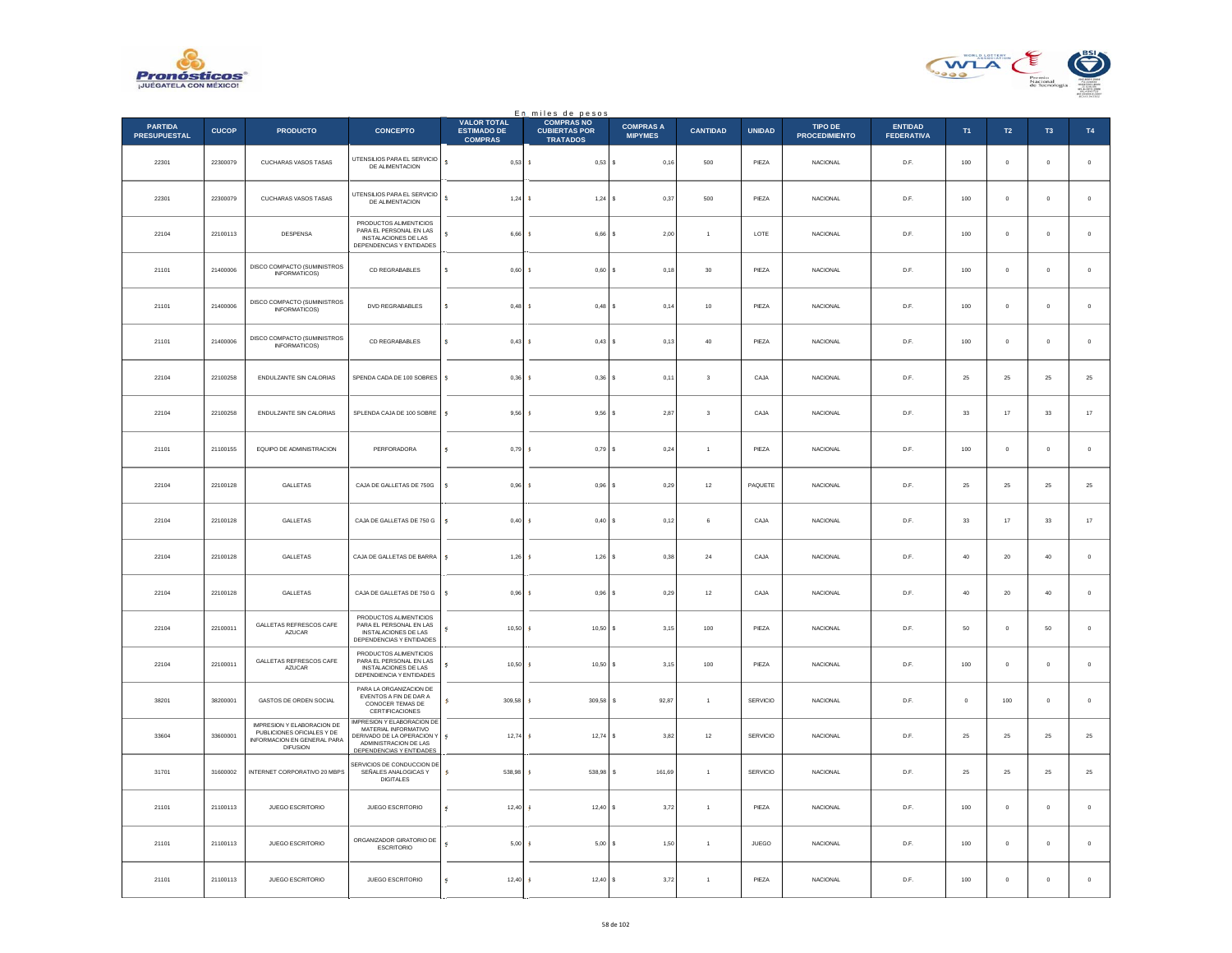



|                                       |              |                                                                                                            |                                                                                                                                      |                                                            | En_miles de pesos                                            |                                    |                         |                 |                                 |                                     |             |                |               |               |
|---------------------------------------|--------------|------------------------------------------------------------------------------------------------------------|--------------------------------------------------------------------------------------------------------------------------------------|------------------------------------------------------------|--------------------------------------------------------------|------------------------------------|-------------------------|-----------------|---------------------------------|-------------------------------------|-------------|----------------|---------------|---------------|
| <b>PARTIDA</b><br><b>PRESUPUESTAL</b> | <b>CUCOP</b> | <b>PRODUCTO</b>                                                                                            | <b>CONCEPTO</b>                                                                                                                      | <b>VALOR TOTAL</b><br><b>ESTIMADO DE</b><br><b>COMPRAS</b> | <b>COMPRAS NO</b><br><b>CUBIERTAS POR</b><br><b>TRATADOS</b> | <b>COMPRAS A</b><br><b>MIPYMES</b> | <b>CANTIDAD</b>         | <b>UNIDAD</b>   | TIPO DE<br><b>PROCEDIMIENTO</b> | <b>ENTIDAD</b><br><b>FEDERATIVA</b> | T1          | $\mathsf{T2}$  | $\mathsf{T3}$ | $\mathsf{T4}$ |
| 22301                                 | 22300079     | CUCHARAS VASOS TASAS                                                                                       | UTENSILIOS PARA EL SERVICIO<br>DE ALIMENTACION                                                                                       | $\overline{\mathbf{s}}$<br>0,53S                           | $0,53$ \$                                                    | 0,16                               | 500                     | PIEZA           | NACIONAL                        | D.F.                                | 100         | $\mathbf 0$    | $\mathbf 0$   | $\,$ 0        |
| 22301                                 | 22300079     | CUCHARAS VASOS TASAS                                                                                       | UTENSILIOS PARA EL SERVICIO<br>DE ALIMENTACION                                                                                       | s.<br>$1,24$ \$                                            | 1.24S                                                        | 0.37                               | 500                     | PIEZA           | <b>NACIONAL</b>                 | D.F.                                | 100         | $\overline{0}$ | $^{\circ}$    | $\circ$       |
| 22104                                 | 22100113     | DESPENSA                                                                                                   | PRODUCTOS ALIMENTICIOS<br>PARA EL PERSONAL EN LAS<br>INSTALACIONES DE LAS<br>DEPENDENCIAS Y ENTIDADES                                | 6,66<br>s                                                  | 6,66<br>s                                                    | 2,00<br>s                          | $\overline{1}$          | LOTE            | <b>NACIONAL</b>                 | D.F.                                | $100\,$     | $\mathbf 0$    | $\mathbf 0$   | $\mathbf 0$   |
| 21101                                 | 21400006     | DISCO COMPACTO (SUMINISTROS<br>INFORMATICOS)                                                               | CD REGRABABLES                                                                                                                       | s.<br>$0,60$ \$                                            | $0,60$ \$                                                    | 0,18                               | 30                      | PIEZA           | <b>NACIONAL</b>                 | D.F.                                | 100         | $\,$ 0         | $\mathbf{0}$  | $\,$ 0 $\,$   |
| 21101                                 | 21400006     | DISCO COMPACTO (SUMINISTROS<br>INFORMATICOS)                                                               | DVD REGRABABLES                                                                                                                      | ś<br>0,48                                                  | 0,48<br><b>s</b>                                             | 0,14<br>s                          | 10                      | PIEZA           | NACIONAL                        | D.F.                                | 100         | $\mathbb O$    | $\bf{0}$      | $\,$ 0 $\,$   |
| 21101                                 | 21400006     | DISCO COMPACTO (SUMINISTROS<br><b>INFORMATICOS)</b>                                                        | CD REGRABABLES                                                                                                                       | s<br>0,43S                                                 | 0.43S                                                        | 0.13                               | 40                      | PIEZA           | NACIONAL                        | D.F.                                | 100         | $\overline{0}$ | $\circ$       | $\,$ 0 $\,$   |
| 22104                                 | 22100258     | ENDULZANTE SIN CALORIAS                                                                                    | SPENDA CADA DE 100 SOBRES                                                                                                            | ś<br>0.36                                                  | $0.36$ S<br><b>S</b>                                         | 0.11                               | $\overline{\mathbf{3}}$ | CAJA            | <b>NACIONAL</b>                 | D.F.                                | 25          | 25             | 25            | 25            |
| 22104                                 | 22100258     | ENDULZANTE SIN CALORIAS                                                                                    | SPLENDA CAJA DE 100 SOBRE                                                                                                            | s<br>$9,56$ \$                                             | $9,56$ \$                                                    | 2,87                               | $\mathbf 3$             | CAJA            | NACIONAL                        | D.F.                                | $_{\rm 33}$ | $17\,$         | $33\,$        | $17\,$        |
| 21101                                 | 21100155     | EQUIPO DE ADMINISTRACION                                                                                   | PERFORADORA                                                                                                                          | s<br>0,79                                                  | 0.79S<br><b>S</b>                                            | 0,24                               | $\mathbf{1}$            | PIEZA           | <b>NACIONAL</b>                 | D.F.                                | 100         | $\overline{0}$ | $^{\circ}$    | $\,$ 0 $\,$   |
| 22104                                 | 22100128     | GALLETAS                                                                                                   | CAJA DE GALLETAS DE 750G                                                                                                             | 0,96<br>s                                                  | 0,96<br>s                                                    | 0,29                               | $12\,$                  | PAQUETE         | NACIONAL                        | D.F.                                | 25          | 25             | $25\,$        | 25            |
| 22104                                 | 22100128     | GALLETAS                                                                                                   | CAJA DE GALLETAS DE 750 G                                                                                                            | s.<br>0,40S                                                | 0,40S                                                        | 0,12                               | 6                       | CAJA            | NACIONAL                        | D.F.                                | 33          | 17             | 33            | $17\,$        |
| 22104                                 | 22100128     | GALLETAS                                                                                                   | CAJA DE GALLETAS DE BARRA                                                                                                            | $\mathbf{s}$<br>1,26                                       | $1,26$ \$<br>- 5                                             | 0,38                               | $\bf{24}$               | CAJA            | <b>NACIONAL</b>                 | D.F.                                | 40          | $20\,$         | 40            | $\,$ 0 $\,$   |
| 22104                                 | 22100128     | GALLETAS                                                                                                   | CAJA DE GALLETAS DE 750 G                                                                                                            | s<br>0,96                                                  | $0,96$ \$<br><b>s</b>                                        | 0,29                               | $12\,$                  | CAJA            | NACIONAL                        | D.F.                                | 40          | $20\,$         | 40            | $\,$ 0        |
| 22104                                 | 22100011     | GALLETAS REFRESCOS CAFE<br>AZUCAR                                                                          | PRODUCTOS ALIMENTICIOS<br>PARA EL PERSONAL EN LAS<br>INSTALACIONES DE LAS<br>DEPENDENCIAS Y ENTIDADES                                | s<br>10.50                                                 | 10.50<br>-S                                                  | 3.15                               | 100                     | PIEZA           | <b>NACIONAL</b>                 | D.F.                                | $50\,$      | $\mathbf{0}$   | 50            | $\,$ 0 $\,$   |
| 22104                                 | 22100011     | GALLETAS REFRESCOS CAFE<br>AZUCAR                                                                          | PRODUCTOS ALIMENTICIOS<br>PARA EL PERSONAL EN LAS<br>INSTALACIONES DE LAS<br>DEPENDIENCIA Y ENTIDADES                                | 10,50<br>s                                                 | $10,50$ \$<br>s                                              | 3,15                               | 100                     | PIEZA           | NACIONAL                        | D.F.                                | 100         | $\mathbf 0$    | $\mathbf 0$   | $\,$ 0        |
| 38201                                 | 38200001     | GASTOS DE ORDEN SOCIAL                                                                                     | PARA LA ORGANIZACION DE<br>EVENTOS A FIN DE DAR A<br>CONOCER TEMAS DE<br>CERTIFICACIONES                                             | 309,58<br>s                                                | 309,58<br><b>s</b>                                           | s<br>92.87                         | $\overline{1}$          | SERVICIO        | <b>NACIONAL</b>                 | D.F.                                | $\circ$     | 100            | $\circ$       | $\circ$       |
| 33604                                 | 33600001     | IMPRESION Y ELABORACION DE<br>PUBLICIONES OFICIALES Y DE<br>INFORMACION EN GENERAL PARA<br><b>DIFUSION</b> | MPRESION Y ELABORACIÓN DE<br>MATERIAL INFORMATIVO<br>DERIVADO DE LA OPERACION Y<br>ADMINISTRACION DE LAS<br>DEPENDENCIAS Y ENTIDADES | 12,74<br>s.                                                | 12,74<br>ś                                                   | s<br>3,82                          | $12\,$                  | SERVICIO        | <b>NACIONAL</b>                 | D.F.                                | 25          | 25             | 25            | 25            |
| 31701                                 | 31600002     | INTERNET CORPORATIVO 20 MBPS                                                                               | SERVICIOS DE CONDUCCION DE<br>SEÑALES ANALOGICAS Y<br><b>DIGITALES</b>                                                               | s<br>538,98                                                | <b>S</b><br>538,98                                           | s<br>161,69                        | $\mathbf{1}$            | <b>SERVICIO</b> | <b>NACIONAL</b>                 | D.F.                                | 25          | 25             | 25            | 25            |
| 21101                                 | 21100113     | JUEGO ESCRITORIO                                                                                           | JUEGO ESCRITORIO                                                                                                                     | 12,40<br>ś                                                 | 12,40<br><b>S</b>                                            | 3,72                               | $\mathbf{1}$            | PIEZA           | NACIONAL                        | D.F.                                | 100         | $\mathbb O$    | $\mathbf 0$   | $\mathbf 0$   |
| 21101                                 | 21100113     | JUEGO ESCRITORIO                                                                                           | ORGANIZADOR GIRATORIO DE<br><b>ESCRITORIO</b>                                                                                        | ś<br>5,00                                                  | 5,00                                                         | 1,50                               | $\overline{1}$          | JUEGO           | NACIONAL                        | D.F.                                | $100\,$     | $\mathbf 0$    | $\mathbf 0$   | $\,$ 0        |
| 21101                                 | 21100113     | JUEGO ESCRITORIO                                                                                           | JUEGO ESCRITORIO                                                                                                                     | 12.40S<br>×                                                | $12.40$ S                                                    | 3.72                               | $\overline{1}$          | PIEZA           | NACIONAL                        | D.F.                                | 100         | $\overline{0}$ | $\mathbf{0}$  | $\mathbf{0}$  |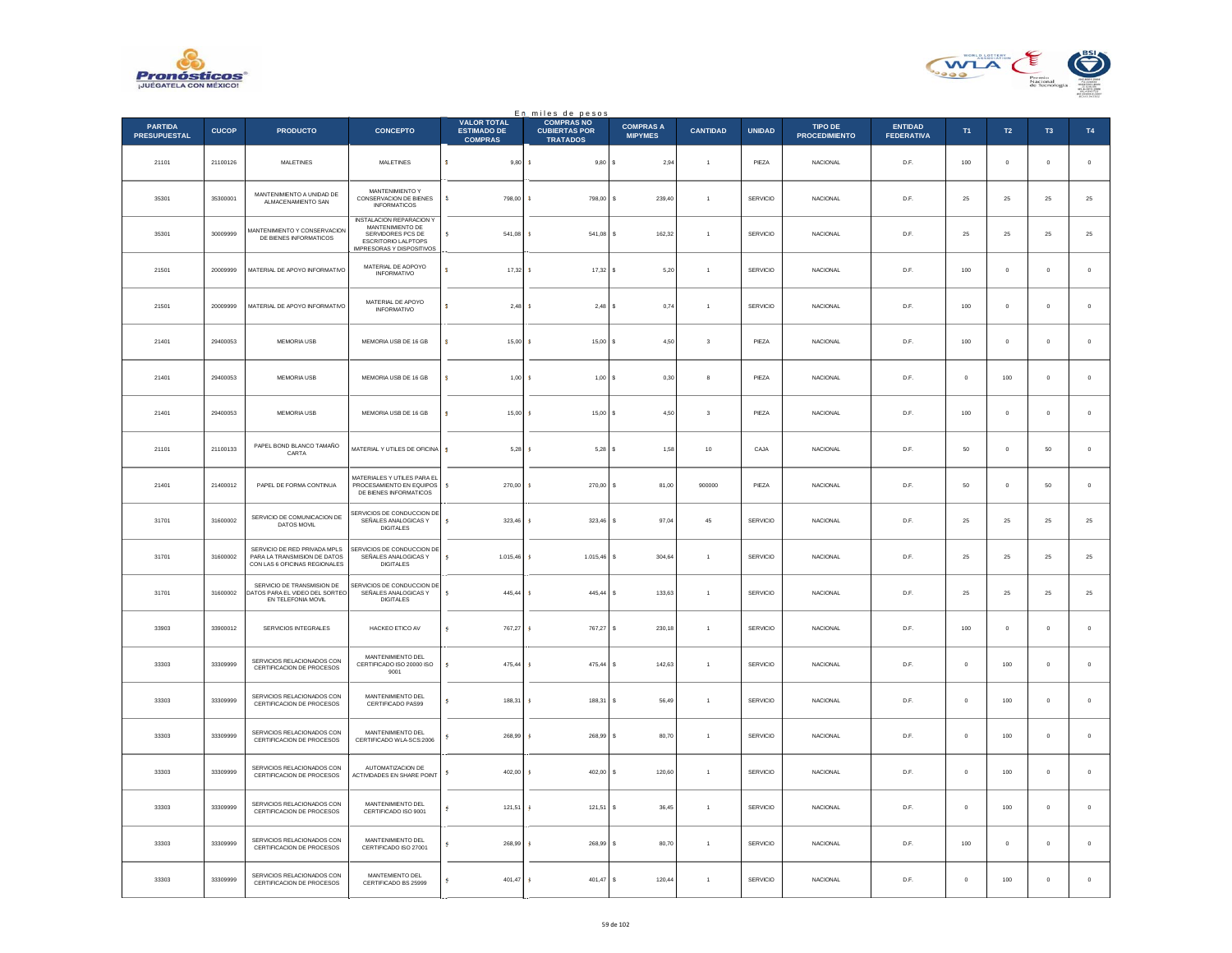



|                                       |              |                                                                                               |                                                                                                                                     |                                                            | En miles de pesos<br><b>COMPRAS NO</b>  |                                    |                         |                 |                                        |                                     |              |                |                |             |
|---------------------------------------|--------------|-----------------------------------------------------------------------------------------------|-------------------------------------------------------------------------------------------------------------------------------------|------------------------------------------------------------|-----------------------------------------|------------------------------------|-------------------------|-----------------|----------------------------------------|-------------------------------------|--------------|----------------|----------------|-------------|
| <b>PARTIDA</b><br><b>PRESUPUESTAL</b> | <b>CUCOP</b> | <b>PRODUCTO</b>                                                                               | <b>CONCEPTO</b>                                                                                                                     | <b>VALOR TOTAL</b><br><b>ESTIMADO DE</b><br><b>COMPRAS</b> | <b>CUBIERTAS POR</b><br><b>TRATADOS</b> | <b>COMPRAS A</b><br><b>MIPYMES</b> | <b>CANTIDAD</b>         | <b>UNIDAD</b>   | <b>TIPO DE</b><br><b>PROCEDIMIENTO</b> | <b>ENTIDAD</b><br><b>FEDERATIVA</b> | T1           | $\mathsf{T2}$  | T <sub>3</sub> | T4          |
| 21101                                 | 21100126     | MALETINES                                                                                     | MALETINES                                                                                                                           | $\mathbf{s}$<br>$9,80$ \$                                  | 9,80S                                   | 2,94                               |                         | PIEZA           | NACIONAL                               | D.F.                                | $100\,$      | $\mathbf 0$    | $\mathbf 0$    | $\,$ 0 $\,$ |
| 35301                                 | 35300001     | MANTENIMIENTO A UNIDAD DE<br>ALMACENAMIENTO SAN                                               | MANTENIMIENTO Y<br>CONSERVACION DE BIENES<br><b>INFORMATICOS</b>                                                                    | -81<br>798.00                                              | 798.00 S                                | 239.40                             | $\overline{1}$          | <b>SERVICIO</b> | <b>NACIONAL</b>                        | D.F.                                | 25           | 25             | 25             | 25          |
| 35301                                 | 30009999     | <b>IANTENIMIENTO Y CONSERVACION</b><br>DE BIENES INFORMATICOS                                 | <b>INSTALACION REPARACION Y</b><br>MANTENIMIENTO DE<br>SERVIDORES PCS DE<br>ESCRITORIO LALPTOPS<br><b>IMPRESORAS Y DISPOSITIVOS</b> | 541,08                                                     | 541,08                                  | s<br>162,32                        |                         | SERVICIO        | NACIONAL                               | D.F.                                | $25\,$       | $\bf 25$       | $25\,$         | 25          |
| 21501                                 | 20009999     | MATERIAL DE APOYO INFORMATIVO                                                                 | MATERIAL DE AOPOYO<br>INFORMATIVO                                                                                                   | s.<br>17,32                                                | 17,32 \$<br>-8                          | 5,20                               | $\overline{1}$          | SERVICIO        | <b>NACIONAL</b>                        | D.F.                                | $100\,$      | $\mathbf 0$    | $\mathbf 0$    | $\,$ 0      |
| 21501                                 | 20009999     | MATERIAL DE APOYO INFORMATIVO                                                                 | MATERIAL DE APOYO<br><b>INFORMATIVO</b>                                                                                             | s<br>2,48                                                  | 2,48                                    | 0,74<br>۱s                         | $\mathbf{1}$            | SERVICIO        | <b>NACIONAL</b>                        | D.F.                                | 100          | $\mathbf 0$    | $\bf{0}$       | $\,$ 0 $\,$ |
| 21401                                 | 29400053     | MEMORIA USB                                                                                   | MEMORIA USB DE 16 GB                                                                                                                | 15,00<br>R                                                 | 15,00S<br>-c                            | 4,50                               | $\overline{\mathbf{3}}$ | PIEZA           | NACIONAL                               | D.F.                                | 100          | $\mathbb O$    | $\,0\,$        | $\,0\,$     |
| 21401                                 | 29400053     | MEMORIA USB                                                                                   | MEMORIA USB DE 16 GB                                                                                                                | 1,00S<br>s                                                 | 1,00S                                   | 0.30                               | 8                       | PIEZA           | <b>NACIONAL</b>                        | D.F.                                | $\circ$      | 100            | $\circ$        | $\circ$     |
| 21401                                 | 29400053     | MEMORIA USB                                                                                   | MEMORIA USB DE 16 GB                                                                                                                | 15,00S<br>s                                                | 15,00S                                  | 4,50                               | $\overline{\mathbf{3}}$ | PIEZA           | NACIONAL                               | D.F.                                | 100          | $\mathbf 0$    | $\mathbf 0$    | $\mathbf 0$ |
| 21101                                 | 21100133     | PAPEL BOND BLANCO TAMAÑO<br>CARTA                                                             | MATERIAL Y UTILES DE OFICINA                                                                                                        | s<br>5,28                                                  | $5.28$ $S$                              | 1.58                               | 10                      | CAJA            | <b>NACIONAL</b>                        | D.F.                                | 50           | $\overline{0}$ | 50             | $\circ$     |
| 21401                                 | 21400012     | PAPEL DE FORMA CONTINUA                                                                       | MATERIALES Y UTILES PARA EL<br>PROCESAMIENTO EN EQUIPOS<br>DE BIENES INFORMATICOS                                                   | 270,00<br>s.                                               | 270,00                                  | 81,00<br>s                         | 900000                  | PIEZA           | <b>NACIONAL</b>                        | D.F.                                | $50\,$       | $\mathbf 0$    | 50             | $\,$ 0 $\,$ |
| 31701                                 | 31600002     | SERVICIO DE COMUNICACION DE<br><b>DATOS MOVIL</b>                                             | SERVICIOS DE CONDUCCION DE<br>SEÑALES ANALOGICAS Y<br>DIGITALES.                                                                    | s.<br>$323,46$ \$                                          | 323,46                                  | 97,04<br>s                         | 45                      | SERVICIO        | <b>NACIONAL</b>                        | D.F.                                | 25           | 25             | 25             | 25          |
| 31701                                 | 31600002     | SERVICIO DE RED PRIVADA MPLS<br>PARA LA TRANSMISION DE DATOS<br>CON LAS 6 OFICINAS REGIONALES | SERVICIOS DE CONDUCCION DE<br>SEÑALES ANALOGICAS Y<br><b>DIGITALES</b>                                                              | 1.015.46 \$<br>5                                           | 1.015.46 S                              | 304.64                             | $\overline{1}$          | <b>SERVICIO</b> | <b>NACIONAL</b>                        | D.F.                                | 25           | 25             | 25             | 25          |
| 31701                                 | 31600002     | SERVICIO DE TRANSMISION DE<br>ATOS PARA EL VIDEO DEL SORTEO<br>EN TELEFONIA MOVIL             | SERVICIOS DE CONDUCCION DE<br>SEÑALES ANALOGICAS Y<br><b>DIGITALES</b>                                                              | s.<br>445,44                                               | 445,44                                  | s<br>133,63                        |                         | <b>SERVICIO</b> | <b>NACIONAL</b>                        | D.F.                                | 25           | 25             | 25             | 25          |
| 33903                                 | 33900012     | SERVICIOS INTEGRALES                                                                          | HACKEO ETICO AV                                                                                                                     | s<br>767.27                                                | 767.27                                  | -S<br>230.18                       | $\overline{1}$          | SERVICIO        | <b>NACIONAL</b>                        | D.F.                                | 100          | $\mathbf{0}$   | $\mathbf{0}$   | $\circ$     |
| 33303                                 | 33309999     | SERVICIOS RELACIONADOS CON<br>CERTIFICACION DE PROCESOS                                       | MANTENIMIENTO DEL<br>CERTIFICADO ISO 20000 ISO<br>9001                                                                              | 475,44 \$<br>s                                             | 475,44                                  | 142,63<br>s                        | $\overline{1}$          | SERVICIO        | NACIONAL                               | D.F.                                | $\circ$      | $100\,$        | $\bf{0}$       | $\,$ 0 $\,$ |
| 33303                                 | 33309999     | SERVICIOS RELACIONADOS CON<br>CERTIFICACION DE PROCESOS                                       | MANTENIMIENTO DEL<br>CERTIFICADO PAS99                                                                                              | 188,31<br>s                                                | 188,31                                  | 56,49<br>s                         | $\overline{1}$          | SERVICIO        | <b>NACIONAL</b>                        | D.F.                                | $\,$ 0 $\,$  | $100\,$        | $\mathbf 0$    | $\,$ 0 $\,$ |
| 33303                                 | 33309999     | SERVICIOS RELACIONADOS CON<br>CERTIFICACION DE PROCESOS                                       | MANTENIMIENTO DEL<br>CERTIFICADO WLA-SCS:2006                                                                                       | 268.99<br><b>S</b>                                         | 268.99                                  | 80.70<br>ΙS                        | $\overline{1}$          | SERVICIO        | <b>NACIONAL</b>                        | D.F.                                | $\mathbf{0}$ | 100            | $\mathbf{0}$   | $\circ$     |
| 33303                                 | 33309999     | SERVICIOS RELACIONADOS CON<br>CERTIFICACION DE PROCESOS                                       | AUTOMATIZACION DE<br>ACTIVIDADES EN SHARE POINT                                                                                     | s<br>402,00 \$                                             | 402,00                                  | l s<br>120,60                      | $\overline{1}$          | SERVICIO        | NACIONAL                               | D.F.                                | $\circ$      | $100\,$        | $\mathbf 0$    | $\mathbf 0$ |
| 33303                                 | 33309999     | SERVICIOS RELACIONADOS CON<br>CERTIFICACION DE PROCESOS                                       | MANTENIMIENTO DEL<br>CERTIFICADO ISO 9001                                                                                           | 121,51<br>s                                                | 121,51                                  | -S<br>36.45                        | $\overline{1}$          | SERVICIO        | <b>NACIONAL</b>                        | D.F                                 | $\Omega$     | 100            | $\Omega$       | $\mathbf 0$ |
| 33303                                 | 33309999     | SERVICIOS RELACIONADOS CON<br>CERTIFICACION DE PROCESOS                                       | MANTENIMIENTO DEL<br>CERTIFICADO ISO 27001                                                                                          | 268,99                                                     | 268,99                                  | 80,70<br>s                         | $\overline{1}$          | SERVICIO        | <b>NACIONAL</b>                        | D.F.                                | 100          | $\mathbf 0$    | $\bf{0}$       | $\,$ 0 $\,$ |
| 33303                                 | 33309999     | SERVICIOS RELACIONADOS CON<br>CERTIFICACION DE PROCESOS                                       | MANTEMIENTO DEL<br>CERTIFICADO BS 25999                                                                                             | 401,47 \$                                                  | 401,47                                  | l s<br>120,44                      |                         | SERVICIO        | NACIONAL                               | D.F.                                | $\mathbf 0$  | 100            | $\,0\,$        | $\mathbf 0$ |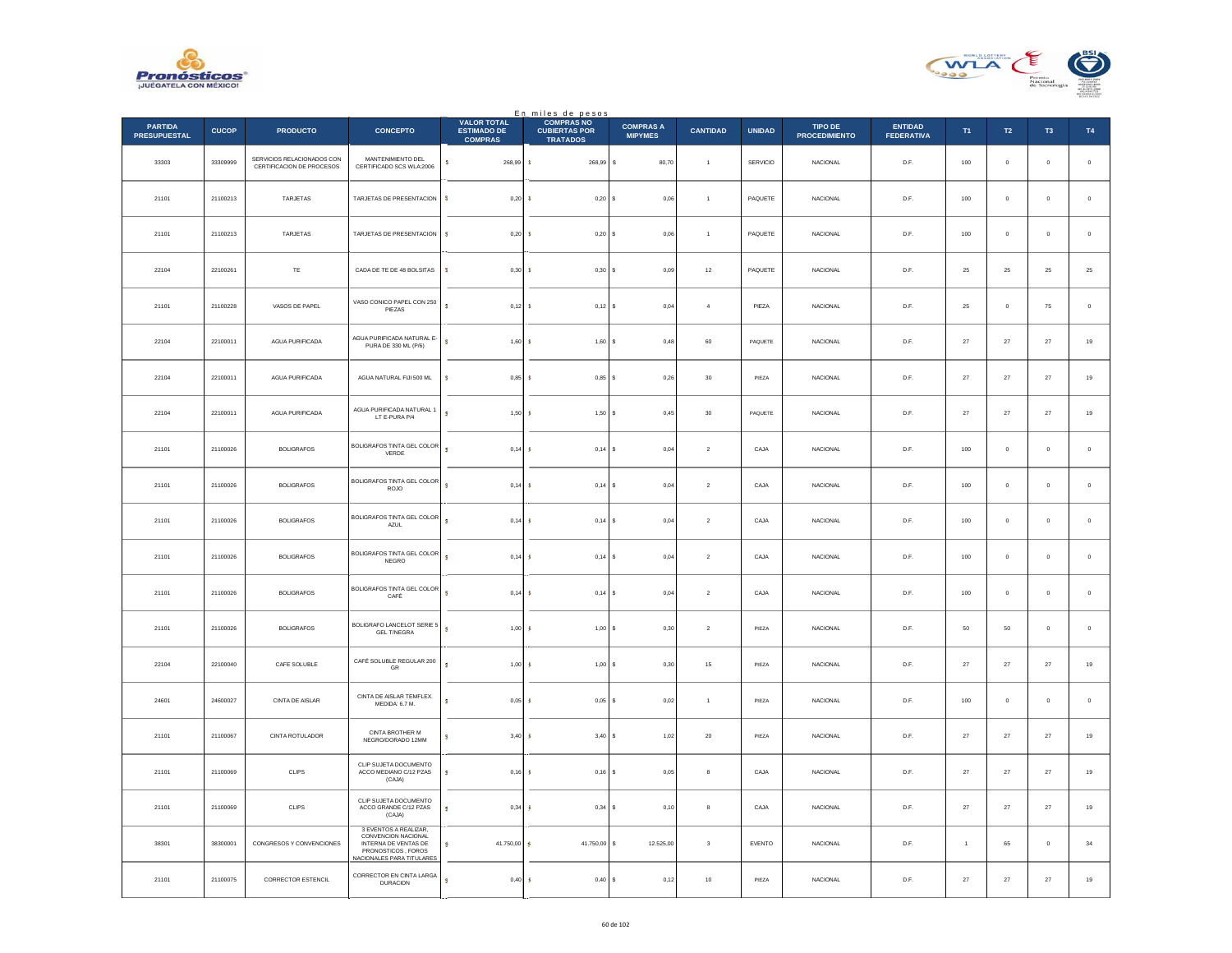



|                                       |              |                                                         |                                                                                                                         |                                                            | En miles de pesos<br>COMPRAS NO         |                                    |                  |                 |                                 |                                     |                |                |             |             |
|---------------------------------------|--------------|---------------------------------------------------------|-------------------------------------------------------------------------------------------------------------------------|------------------------------------------------------------|-----------------------------------------|------------------------------------|------------------|-----------------|---------------------------------|-------------------------------------|----------------|----------------|-------------|-------------|
| <b>PARTIDA</b><br><b>PRESUPUESTAL</b> | <b>CUCOP</b> | <b>PRODUCTO</b>                                         | <b>CONCEPTO</b>                                                                                                         | <b>VALOR TOTAL</b><br><b>ESTIMADO DE</b><br><b>COMPRAS</b> | <b>CUBIERTAS POR</b><br><b>TRATADOS</b> | <b>COMPRAS A</b><br><b>MIPYMES</b> | <b>CANTIDAD</b>  | <b>UNIDAD</b>   | TIPO DE<br><b>PROCEDIMIENTO</b> | <b>ENTIDAD</b><br><b>FEDERATIVA</b> | T1             | $\mathsf{T2}$  | T3          | T4          |
| 33303                                 | 33309999     | SERVICIOS RELACIONADOS CON<br>CERTIFICACION DE PROCESOS | MANTENIMIENTO DEL<br>CERTIFICADO SCS WLA:2006                                                                           | $\mathbf{s}$<br>268,99 \$                                  | 268,99                                  | s<br>80,70                         | $\overline{1}$   | <b>SERVICIO</b> | <b>NACIONAL</b>                 | D.F.                                | 100            | $\,$ 0         | $\bf 0$     | $\,$ 0 $\,$ |
| 21101                                 | 21100213     | TARJETAS                                                | TARJETAS DE PRESENTACION                                                                                                | s<br>$0,20$ \$                                             | 0,20S                                   | 0.06                               | $\overline{1}$   | PAQUETE         | <b>NACIONAL</b>                 | D.F.                                | 100            | $\mathbb O$    | $\mathbf 0$ | $\,$ 0 $\,$ |
| 21101                                 | 21100213     | <b>TARJETAS</b>                                         | TARJETAS DE PRESENTACION                                                                                                | s<br>0.20S                                                 | 0,20S                                   | 0.06                               | $\mathbf{1}$     | PAQUETE         | <b>NACIONAL</b>                 | D.F.                                | 100            | $\,$ 0         | $\circ$     | $\,$ 0 $\,$ |
| 22104                                 | 22100261     | TE                                                      | CADA DE TE DE 48 BOLSITAS                                                                                               | s<br>0,30                                                  | s<br>0,30                               | 0,09                               | $12\,$           | PAQUETE         | NACIONAL                        | D.F.                                | 25             | 25             | 25          | 25          |
| 21101                                 | 21100228     | VASOS DE PAPEL                                          | VASO CONICO PAPEL CON 250<br>PIEZAS                                                                                     | $\mathbf{s}$<br>$0,12$ \$                                  | $0,12$ \$                               | 0,04                               | $\overline{4}$   | PIEZA           | NACIONAL                        | D.F.                                | 25             | $\overline{0}$ | 75          | $\,$ 0      |
| 22104                                 | 22100011     | AGUA PURIFICADA                                         | AGUA PURIFICADA NATURAL E-<br>PURA DE 330 ML (P/6)                                                                      | s<br>1,60                                                  | $1,60$ \$<br><b>S</b>                   | 0,48                               | 60               | PAQUETE         | NACIONAL                        | D.F.                                | $27\,$         | $27\,$         | $\sqrt{27}$ | 19          |
| 22104                                 | 22100011     | AGUA PURIFICADA                                         | AGUA NATURAL FIJI 500 ML                                                                                                | s<br>0,85                                                  | <b>S</b><br>$0,85$ \$                   | 0.26                               | 30               | PIEZA           | <b>NACIONAL</b>                 | D.F.                                | 27             | 27             | 27          | $19\,$      |
| 22104                                 | 22100011     | AGUA PURIFICADA                                         | AGUA PURIFICADA NATURAL 1<br>LT E-PURA P/4                                                                              | s<br>1,50                                                  | 1,50S<br>s                              | 0,45                               | $30\,$           | PAQUETE         | <b>NACIONAL</b>                 | D.F.                                | $27\,$         | $\bf 27$       | $\sqrt{27}$ | 19          |
| 21101                                 | 21100026     | <b>BOLIGRAFOS</b>                                       | BOLIGRAFOS TINTA GEL COLOR<br>VERDE                                                                                     | $\overline{\mathbf{s}}$<br>$0,14$ \$                       | 0,14S                                   | 0,04                               | $\sqrt{2}$       | CAJA            | <b>NACIONAL</b>                 | D.F.                                | 100            | $\,$ 0         | $\bf 0$     | $\mathbf 0$ |
| 21101                                 | 21100026     | <b>BOLIGRAFOS</b>                                       | BOLIGRAFOS TINTA GEL COLOR<br><b>ROJO</b>                                                                               | s<br>0,14                                                  | $0,14$ \$<br>s                          | 0,04                               | $\sqrt{2}$       | CAJA            | <b>NACIONAL</b>                 | D.F.                                | 100            | $\mathbf 0$    | $\bf{0}$    | $\,$ 0 $\,$ |
| 21101                                 | 21100026     | <b>BOLIGRAFOS</b>                                       | BOLIGRAFOS TINTA GEL COLOR<br><b>AZUL</b>                                                                               | s<br>$0,14$ \$                                             | 0,14S                                   | 0,04                               | $\sqrt{2}$       | CAJA            | <b>NACIONAL</b>                 | D.F.                                | 100            | $\overline{0}$ | $^{\circ}$  | $\,$ 0 $\,$ |
| 21101                                 | 21100026     | <b>BOLIGRAFOS</b>                                       | BOLIGRAFOS TINTA GEL COLOR<br>NEGRO                                                                                     | s<br>0,14                                                  | 0,14<br>s                               | 0,04<br>s                          | $\,$ 2 $\,$      | CAJA            | <b>NACIONAL</b>                 | D.F.                                | $100\,$        | $\mathbf 0$    | $\mathbf 0$ | $\,$ 0 $\,$ |
| 21101                                 | 21100026     | <b>BOLIGRAFOS</b>                                       | BOLIGRAFOS TINTA GEL COLOR<br>CAFÉ                                                                                      | $\overline{\mathbf{s}}$<br>$0,14$ \$                       | $0,14$ \$                               | 0,04                               | $\overline{2}$   | CAJA            | <b>NACIONAL</b>                 | D.F.                                | 100            | $\overline{0}$ | $\circ$     | $\,$ 0 $\,$ |
| 21101                                 | 21100026     | <b>BOLIGRAFOS</b>                                       | BOLIGRAFO LANCELOT SERIE 5<br><b>GEL T/NEGRA</b>                                                                        | ś<br>1,005                                                 | $1,00$ \$                               | 0,30                               | $\boldsymbol{2}$ | PIEZA           | NACIONAL                        | D.F.                                | $50\,$         | $50\,$         | $\mathbf 0$ | $\,$ 0      |
| 22104                                 | 22100040     | CAFE SOLUBLE                                            | CAFÉ SOLUBLE REGULAR 200<br>GR                                                                                          | $\overline{\mathbf{s}}$<br>1,00                            | 1,00S<br>-S                             | 0,30                               | 15               | PIEZA           | <b>NACIONAL</b>                 | D.F.                                | $27\,$         | $27\,$         | $27\,$      | 19          |
| 24601                                 | 24600027     | CINTA DE AISLAR                                         | CINTA DE AISLAR TEMFLEX.<br>MEDIDA: 6.7 M.                                                                              | 0,05<br>s                                                  | $0,05$ \$<br>s                          | 0,02                               | $\,$ 1 $\,$      | PIEZA           | NACIONAL                        | D.F.                                | 100            | $\mathbf 0$    | $\mathbf 0$ | $\,$ 0      |
| 21101                                 | 21100067     | CINTA ROTULADOR                                         | CINTA BROTHER M<br>NEGRO/DORADO 12MM                                                                                    | $3,40$ \$<br>s                                             | $3,40$ \$                               | 1,02                               | $20\,$           | PIEZA           | NACIONAL                        | D.F.                                | 27             | $27\,$         | 27          | 19          |
| 21101                                 | 21100069     | CLIPS                                                   | CLIP SUJETA DOCUMENTO<br>ACCO MEDIANO C/12 PZAS<br>(CAJA)                                                               | s<br>0,16                                                  | $0,16$ \$<br><b>s</b>                   | 0,05                               | $\bf 8$          | CAJA            | NACIONAL                        | D.F.                                | $27\,$         | $\bf 27$       | $27\,$      | 19          |
| 21101                                 | 21100069     | CLIPS                                                   | CLIP SUJETA DOCUMENTO<br>ACCO GRANDE C/12 PZAS<br>(CAJA)                                                                | 0,34<br>s                                                  | 0,34<br>-S                              | 0,10<br>s                          | $^{\rm 8}$       | CAJA            | NACIONAL                        | D.F.                                | 27             | $27\,$         | 27          | 19          |
| 38301                                 | 38300001     | CONGRESOS Y CONVENCIONES                                | 3 EVENTOS A REALIZAR,<br>CONVENCION NACIONAL<br>INTERNA DE VENTAS DE<br>PRONOSTICOS, FOROS<br>NACIONALES PARA TITULARES | s.<br>41.750,00 \$                                         | 41.750,00                               | s<br>12.525,00                     | $\mathbf 3$      | EVENTO          | NACIONAL                        | D.F.                                | $\overline{1}$ | 65             | $\mathbf 0$ | $^{\rm 34}$ |
| 21101                                 | 21100075     | CORRECTOR ESTENCIL                                      | CORRECTOR EN CINTA LARGA<br><b>DURACION</b>                                                                             | s.<br>$0,40$ \$                                            | $0,40$ \$                               | 0,12                               | 10               | PIEZA           | <b>NACIONAL</b>                 | D.F.                                | 27             | $27\,$         | $27\,$      | 19          |
|                                       |              |                                                         |                                                                                                                         |                                                            |                                         |                                    |                  |                 |                                 |                                     |                |                |             |             |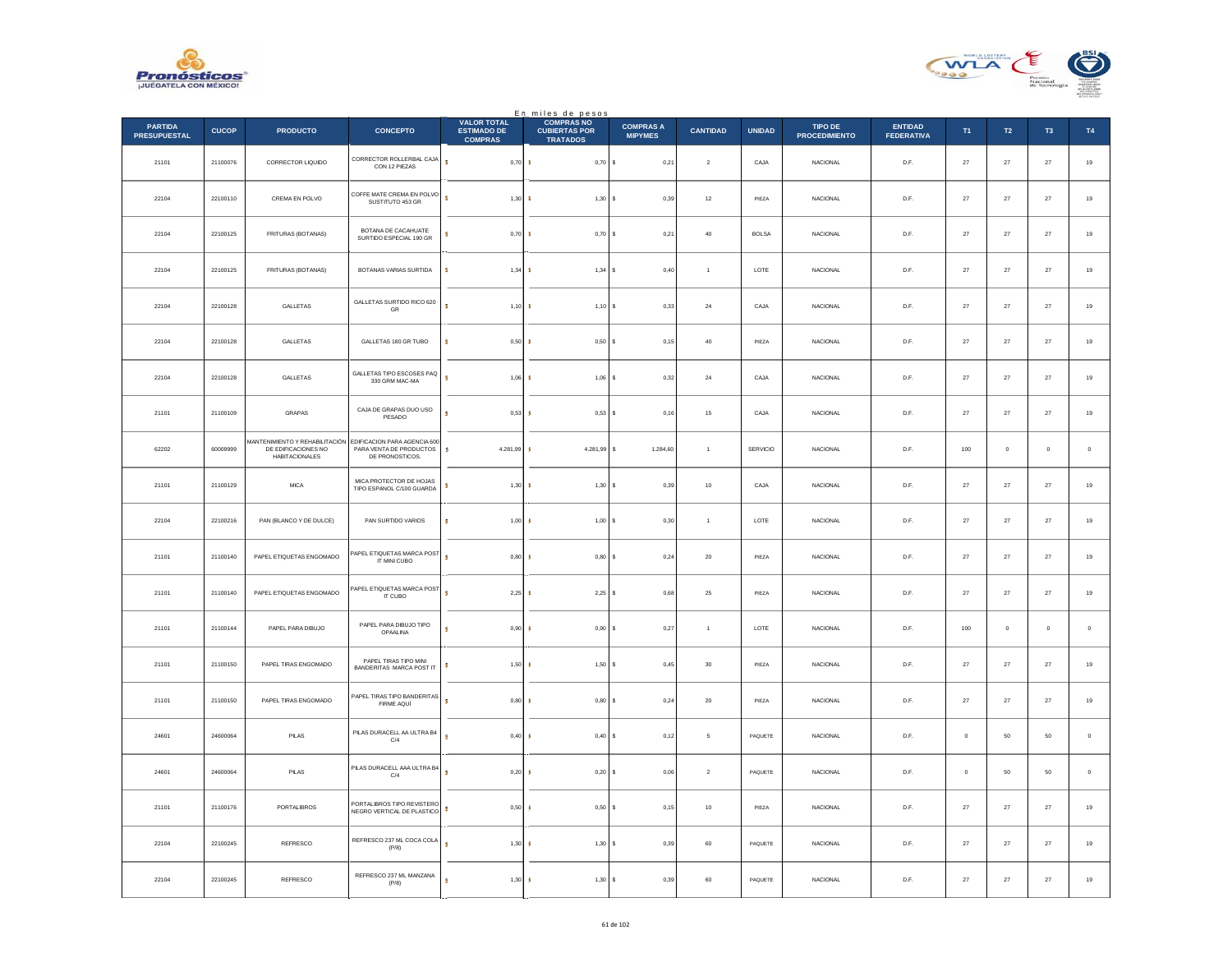



|                                       |              |                                                                                |                                                                            |                                                            | En miles de pesos<br>COMPRAS NO         |                                    |                 |               |                                 |                                     |             |             |                     |             |
|---------------------------------------|--------------|--------------------------------------------------------------------------------|----------------------------------------------------------------------------|------------------------------------------------------------|-----------------------------------------|------------------------------------|-----------------|---------------|---------------------------------|-------------------------------------|-------------|-------------|---------------------|-------------|
| <b>PARTIDA</b><br><b>PRESUPUESTAL</b> | <b>CUCOP</b> | <b>PRODUCTO</b>                                                                | <b>CONCEPTO</b>                                                            | <b>VALOR TOTAL</b><br><b>ESTIMADO DE</b><br><b>COMPRAS</b> | <b>CUBIERTAS POR</b><br><b>TRATADOS</b> | <b>COMPRAS A</b><br><b>MIPYMES</b> | <b>CANTIDAD</b> | <b>UNIDAD</b> | TIPO DE<br><b>PROCEDIMIENTO</b> | <b>ENTIDAD</b><br><b>FEDERATIVA</b> | T1          | <b>T2</b>   | T <sub>3</sub>      | T4          |
| 21101                                 | 21100076     | CORRECTOR LIQUIDO                                                              | CORRECTOR ROLLERBAL CAJA<br>CON 12 PIEZAS                                  | $\overline{\mathbf{s}}$<br>0,70S                           | $0,70$ \$                               | 0,21                               | $\sqrt{2}$      | CAJA          | NACIONAL                        | D.F.                                | $27\,$      | $\sqrt{27}$ | $\bf 27$            | $19\,$      |
| 22104                                 | 22100110     | CREMA EN POLVO                                                                 | COFFE MATE CREMA EN POLVO<br>SUSTITUTO 453 GR                              | $\overline{\mathbf{s}}$<br>$1,30$ \$                       | 1,30S                                   | 0.39                               | 12              | PIEZA         | <b>NACIONAL</b>                 | D.F.                                | 27          | 27          | 27                  | $19\,$      |
| 22104                                 | 22100125     | FRITURAS (BOTANAS)                                                             | BOTANA DE CACAHUATE<br>SURTIDO ESPECIAL 190 GR                             | Ś<br>$0,70$ \$                                             | $0,70$ \$                               | 0,21                               | $40\,$          | <b>BOLSA</b>  | <b>NACIONAL</b>                 | D.F.                                | $27\,$      | $27\,$      | 27                  | $19\,$      |
| 22104                                 | 22100125     | FRITURAS (BOTANAS)                                                             | BOTANAS VARIAS SURTIDA                                                     | s<br>1,34                                                  | 1,34S<br>- 3                            | 0.40                               | $\overline{1}$  | LOTE          | <b>NACIONAL</b>                 | D.F.                                | 27          | 27          | 27                  | $19\,$      |
| 22104                                 | 22100128     | GALLETAS                                                                       | GALLETAS SURTIDO RICO 620<br>GR                                            | s<br>$1,10$ \$                                             | $1,10$ \$                               | 0,33                               | $\bf{24}$       | CAJA          | NACIONAL                        | $\mathsf{D}.\mathsf{F}.$            | $27\,$      | $\bf 27$    | $27\,$              | $19\,$      |
| 22104                                 | 22100128     | GALLETAS                                                                       | GALLETAS 180 GR TUBO                                                       | ś<br>0,50S                                                 | $0,50$ \$                               | 0,15                               | 40              | PIEZA         | <b>NACIONAL</b>                 | D.F.                                | 27          | 27          | 27                  | $19\,$      |
| 22104                                 | 22100128     | GALLETAS                                                                       | GALLETAS TIPO ESCOSES PAQ<br>330 GRM MAC-MA                                | ś<br>$1,06$ \$                                             | $1,06$ \$                               | 0,32                               | $\bf 24$        | CAJA          | <b>NACIONAL</b>                 | D.F.                                | 27          | $27\,$      | $27\,$              | 19          |
| 21101                                 | 21100109     | <b>GRAPAS</b>                                                                  | CAJA DE GRAPAS DUO USO<br>PESADO                                           | ś<br>0.53S                                                 | $0,53$ \$                               | 0,16                               | 15              | CAJA          | <b>NACIONAL</b>                 | D.F.                                | 27          | 27          | 27                  | $19\,$      |
| 62202                                 | 60009999     | MANTENIMIENTO Y REHABILITACIÓN<br>DE EDIFICACIONES NO<br><b>HABITACIONALES</b> | EDIFICACION PARA AGENCIA 600<br>PARA VENTA DE PRODUCTOS<br>DE PRONOSTICOS. | s<br>4.281,99                                              | 4.281,99 \$<br>ు                        | 1.284,60                           | $\mathbf{1}$    | SERVICIO      | <b>NACIONAL</b>                 | D.F.                                | 100         | $\mathbf 0$ | $\mathbf 0$         | $\,$ 0 $\,$ |
| 21101                                 | 21100129     | <b>MICA</b>                                                                    | MICA PROTECTOR DE HOJAS<br>TIPO ESPANOL C/100 GUARDA                       | Ś<br>$1,30$ \$                                             | 1,30S                                   | 0,39                               | $10$            | CAJA          | NACIONAL                        | D.F.                                | 27          | 27          | $27\,$              | $19\,$      |
| 22104                                 | 22100216     | PAN (BLANCO Y DE DULCE)                                                        | PAN SURTIDO VARIOS                                                         | s<br>$1,00 - 5$                                            | 1,00S                                   | 0.30                               | $\overline{1}$  | LOTE          | <b>NACIONAL</b>                 | D.F.                                | 27          | 27          | 27                  | $19\,$      |
| 21101                                 | 21100140     | PAPEL ETIQUETAS ENGOMADO                                                       | PAPEL ETIQUETAS MARCA POST<br>IT MINI CUBO                                 | s<br>$0,80$ \$                                             | $0,80$ \$                               | 0,24                               | ${\bf 20}$      | PIEZA         | NACIONAL                        | D.F.                                | $27\,$      | $27\,$      | 27                  | $19\,$      |
| 21101                                 | 21100140     | PAPEL ETIQUETAS ENGOMADO                                                       | PAPEL ETIQUETAS MARCA POST<br>IT CUBO                                      | s<br>2.25S                                                 | $2.25$ S                                | 0.68                               | 25              | PIEZA         | <b>NACIONAL</b>                 | D.F.                                | 27          | 27          | 27                  | $19\,$      |
| 21101                                 | 21100144     | PAPEL PARA DIBUJO                                                              | PAPEL PARA DIBUJO TIPO<br>OPAALINA                                         | 0,90<br>ś                                                  | 0,90<br>-S                              | 0,27                               | $\mathbf{1}$    | LOTE          | NACIONAL                        | D.F.                                | 100         | $\mathbb O$ | $\ddot{\mathbf{0}}$ | $\,$ 0 $\,$ |
| 21101                                 | 21100150     | PAPEL TIRAS ENGOMADO                                                           | PAPEL TIRAS TIPO MINI<br>BANDERITAS MARCA POST IT                          | $1,50$ \$<br>s                                             | 1,50S                                   | 0,45                               | 30              | PIEZA         | NACIONAL                        | D.F.                                | 27          | 27          | 27                  | 19          |
| 21101                                 | 21100150     | PAPEL TIRAS ENGOMADO                                                           | PAPEL TIRAS TIPO BANDERITAS<br>FIRME AQUÍ                                  | $0,80$ \$<br>s                                             | 0,80S                                   | 0,24                               | 20              | PIEZA         | NACIONAL                        | D.F.                                | 27          | $27\,$      | $27\,$              | 19          |
| 24601                                 | 24600064     | PILAS                                                                          | PILAS DURACELL AA ULTRA B4<br>C/4                                          | $\overline{\mathbf{s}}$<br>$0,40$ \$                       | $0,40$ \$                               | 0,12                               | 5               | PAQUETE       | <b>NACIONAL</b>                 | D.F.                                | $\Omega$    | 50          | 50                  | $\,$ 0 $\,$ |
| 24601                                 | 24600064     | PILAS                                                                          | PILAS DURACELL AAA ULTRA B4<br>C/4                                         | $\overline{\mathbf{s}}$<br>0.20S                           | $0.20$ \$                               | 0,06                               | $\mathbf{2}$    | PAQUETE       | <b>NACIONAL</b>                 | D.F.                                | $\mathbf 0$ | 50          | 50                  | $\,$ 0 $\,$ |
| 21101                                 | 21100176     | PORTALIBROS                                                                    | PORTALIBROS TIPO REVISTERO<br>NEGRO VERTICAL DE PLASTICO                   | 0,50<br>s                                                  | 0,50S<br>-s                             | 0,15                               | $10$            | PIEZA         | NACIONAL                        | D.F.                                | 27          | $\bf 27$    | $27\,$              | $19$        |
| 22104                                 | 22100245     | REFRESCO                                                                       | REFRESCO 237 ML COCA COLA<br>(P/8)                                         | ś<br>1,30S                                                 | 1,30S                                   | 0.39                               | 60              | PAQUETE       | <b>NACIONAL</b>                 | D.F.                                | 27          | 27          | 27                  | $19\,$      |
| 22104                                 | 22100245     | REFRESCO                                                                       | REFRESCO 237 ML MANZANA<br>(P/8)                                           | $1,30$ \$<br>ś                                             | 1,30S                                   | 0,39                               | 60              | PAQUETE       | NACIONAL                        | D.F.                                | $27\,$      | $27\,$      | 27                  | 19          |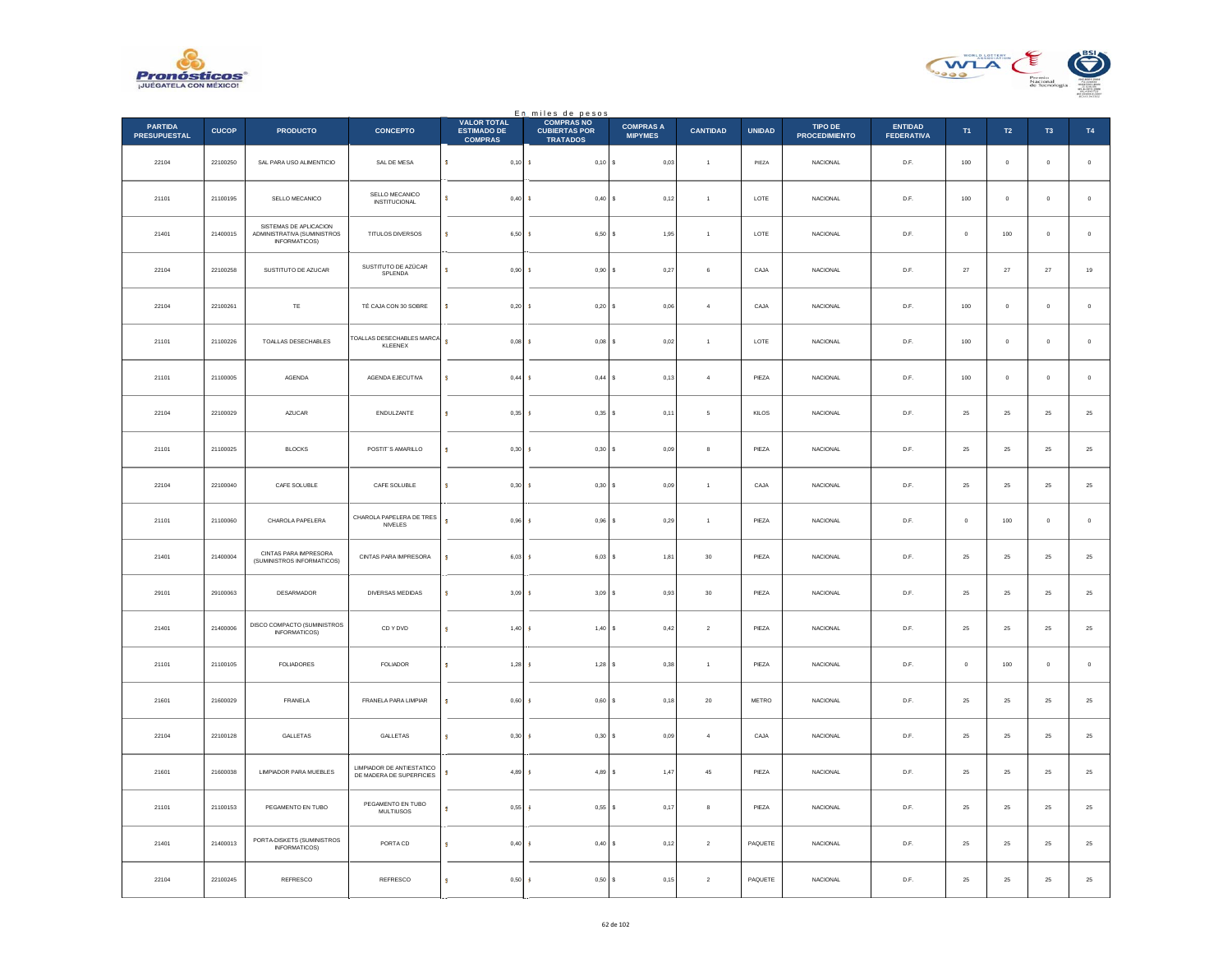



|                                       |              |                                                                        |                                                       |                                                            | En miles de pesos<br>COMPRAS NO         |                                    |                 |               |                                        |                                     |              |                |                     |             |
|---------------------------------------|--------------|------------------------------------------------------------------------|-------------------------------------------------------|------------------------------------------------------------|-----------------------------------------|------------------------------------|-----------------|---------------|----------------------------------------|-------------------------------------|--------------|----------------|---------------------|-------------|
| <b>PARTIDA</b><br><b>PRESUPUESTAL</b> | <b>CUCOP</b> | <b>PRODUCTO</b>                                                        | <b>CONCEPTO</b>                                       | <b>VALOR TOTAL</b><br><b>ESTIMADO DE</b><br><b>COMPRAS</b> | <b>CUBIERTAS POR</b><br><b>TRATADOS</b> | <b>COMPRAS A</b><br><b>MIPYMES</b> | <b>CANTIDAD</b> | <b>UNIDAD</b> | <b>TIPO DE</b><br><b>PROCEDIMIENTO</b> | <b>ENTIDAD</b><br><b>FEDERATIVA</b> | T1           | T2             | T <sub>3</sub>      | <b>T4</b>   |
| 22104                                 | 22100250     | SAL PARA USO ALIMENTICIO                                               | SAL DE MESA                                           | s.<br>0,10                                                 | <b>S</b><br>$0,10$ \$                   | 0,03                               | $\overline{1}$  | PIEZA         | NACIONAL                               | D.F.                                | 100          | $\mathbf 0$    | $\mathbf 0$         | $\,$ 0 $\,$ |
| 21101                                 | 21100195     | SELLO MECANICO                                                         | SELLO MECANICO<br><b>INSTITUCIONAL</b>                | s<br>0,40                                                  | -8<br>$0,40$ \$                         | 0,12                               | $\overline{1}$  | LOTE          | <b>NACIONAL</b>                        | D.F.                                | 100          | $\overline{0}$ | $\mathbf{0}$        | $\mathbf 0$ |
| 21401                                 | 21400015     | SISTEMAS DE APLICACION<br>ADMINISTRATIVA (SUMINISTROS<br>INFORMATICOS) | TITULOS DIVERSOS                                      | s<br>6,50                                                  | <b>s</b><br>$6,50$ \$                   | 1,95                               | $\overline{1}$  | LOTE          | <b>NACIONAL</b>                        | D.F.                                | $\mathbf 0$  | 100            | $\mathbf 0$         | $\,$ 0 $\,$ |
| 22104                                 | 22100258     | SUSTITUTO DE AZUCAR                                                    | SUSTITUTO DE AZÚCAR<br>SPLENDA                        | s<br>0,90                                                  | -8<br>$0.90$ S                          | 0.27                               | $6 \,$          | CAJA          | <b>NACIONAL</b>                        | D.F.                                | 27           | 27             | 27                  | $19\,$      |
| 22104                                 | 22100261     | $\mathsf{TE}$                                                          | TÉ CAJA CON 30 SOBRE                                  | s<br>0,20                                                  | 0,20<br><b>s</b>                        | 0,06                               | $\sqrt{4}$      | CAJA          | NACIONAL                               | $\mathsf{D}.\mathsf{F}.$            | 100          | $\mathbb O$    | $\ddot{\mathbf{0}}$ | $\,$ 0 $\,$ |
| 21101                                 | 21100226     | TOALLAS DESECHABLES                                                    | TOALLAS DESECHABLES MARCA<br>KLEENEX                  | ś<br>0,08                                                  | <b>S</b><br>$0,08$ \$                   | 0,02                               | $\overline{1}$  | LOTE          | <b>NACIONAL</b>                        | D.F.                                | 100          | $\overline{0}$ | $\mathbf{0}$        | $\circ$     |
| 21101                                 | 21100005     | AGENDA                                                                 | AGENDA EJECUTIVA                                      | s<br>0,44                                                  | 0,44S<br><b>s</b>                       | 0,13                               | $\overline{4}$  | PIEZA         | <b>NACIONAL</b>                        | D.F.                                | 100          | $\,$ 0 $\,$    | $\mathbf 0$         | $\,$ 0 $\,$ |
| 22104                                 | 22100029     | <b>AZUCAR</b>                                                          | ENDULZANTE                                            | s<br>0,35                                                  | s<br>$0,35$ \$                          | 0,11                               | 5               | KILOS         | <b>NACIONAL</b>                        | D.F.                                | 25           | 25             | 25                  | $25\,$      |
| 21101                                 | 21100025     | <b>BLOCKS</b>                                                          | POSTIT'S AMARILLO                                     | s<br>0,30                                                  | 0,30<br>-S                              | 0,09                               | 8               | PIEZA         | <b>NACIONAL</b>                        | D.F.                                | 25           | 25             | 25                  | $25\,$      |
| 22104                                 | 22100040     | CAFE SOLUBLE                                                           | CAFE SOLUBLE                                          | s<br>0,30                                                  | <b>s</b><br>0,30S                       | 0,09                               | $\overline{1}$  | CAJA          | NACIONAL                               | D.F.                                | ${\bf 25}$   | ${\bf 25}$     | 25                  | $\bf 25$    |
| 21101                                 | 21100060     | CHAROLA PAPELERA                                                       | CHAROLA PAPELERA DE TRES<br>NIVELES                   | s<br>$0,96$ \$                                             | $0,96$ \$                               | 0,29                               | $\overline{1}$  | PIEZA         | <b>NACIONAL</b>                        | D.F.                                | $\mathbf{0}$ | 100            | $\mathbf{0}$        | $\mathbf 0$ |
| 21401                                 | 21400004     | CINTAS PARA IMPRESORA<br>(SUMINISTROS INFORMATICOS)                    | CINTAS PARA IMPRESORA                                 | $\pmb{\mathsf{s}}$<br>6,03                                 | $6,03$ \$<br><b>s</b>                   | 1,81                               | $30\,$          | PIEZA         | <b>NACIONAL</b>                        | D.F.                                | 25           | $\bf 25$       | 25                  | $25\,$      |
| 29101                                 | 29100063     | <b>DESARMADOR</b>                                                      | DIVERSAS MEDIDAS                                      | s<br>3,09                                                  | <b>s</b><br>$3.09$ S                    | 0.93                               | 30              | PIEZA         | <b>NACIONAL</b>                        | D.F.                                | 25           | 25             | 25                  | $25\,$      |
| 21401                                 | 21400006     | DISCO COMPACTO (SUMINISTROS<br><b>INFORMATICOS)</b>                    | CD Y DVD                                              | 1,40<br>$\overline{\mathbf{s}}$                            | 1,40<br>-S                              | 0,42                               | $\,2\,$         | PIEZA         | NACIONAL                               | D.F.                                | $25\,$       | $\bf 25$       | $2\sqrt{5}$         | $25\,$      |
| 21101                                 | 21100105     | <b>FOLIADORES</b>                                                      | <b>FOLIADOR</b>                                       | s.<br>$1,28$ \$                                            | $1.28$ S                                | 0,38                               | $\overline{1}$  | PIEZA         | <b>NACIONAL</b>                        | D.F.                                | $\mathbf{0}$ | 100            | $\mathbf{0}$        | $\,$ 0 $\,$ |
| 21601                                 | 21600029     | FRANELA                                                                | FRANELA PARA LIMPIAR                                  | 0,60<br>s                                                  | 0,60S<br>-S                             | 0,18                               | $20\,$          | METRO         | <b>NACIONAL</b>                        | D.F.                                | 25           | 25             | 25                  | $25\,$      |
| 22104                                 | 22100128     | <b>GALLETAS</b>                                                        | GALLETAS                                              | s<br>0,30                                                  | <b>s</b><br>0.30 S                      | 0,09                               | $\overline{a}$  | CAJA          | <b>NACIONAL</b>                        | D.F.                                | 25           | 25             | 25                  | $25\,$      |
| 21601                                 | 21600038     | LIMPIADOR PARA MUEBLES                                                 | LIMPIADOR DE ANTIESTATICO<br>DE MADERA DE SUPERFICIES | s<br>4,89                                                  | 4,89 \$<br>-S                           | 1,47                               | 45              | PIEZA         | <b>NACIONAL</b>                        | D.F.                                | 25           | 25             | 25                  | $25\,$      |
| 21101                                 | 21100153     | PEGAMENTO EN TUBO                                                      | PEGAMENTO EN TUBO<br><b>MULTIUSOS</b>                 | s<br>0,55                                                  | 0,55S<br>-S                             | 0,17                               | 8               | PIEZA         | NACIONAL                               | D.F.                                | $25\,$       | ${\bf 25}$     | 25                  | $\bf 25$    |
| 21401                                 | 21400013     | PORTA-DISKETS (SUMINISTROS<br>INFORMATICOS)                            | PORTA CD                                              | s<br>0,40                                                  | $0,40$ \$<br>-S                         | 0,12                               | $\overline{2}$  | PAQUETE       | <b>NACIONAL</b>                        | D.F.                                | 25           | 25             | 25                  | $25\,$      |
| 22104                                 | 22100245     | REFRESCO                                                               | REFRESCO                                              | s<br>0,50                                                  | 0,50S<br><b>s</b>                       | 0,15                               | $\sqrt{2}$      | PAQUETE       | <b>NACIONAL</b>                        | D.F.                                | 25           | 25             | 25                  | $25\,$      |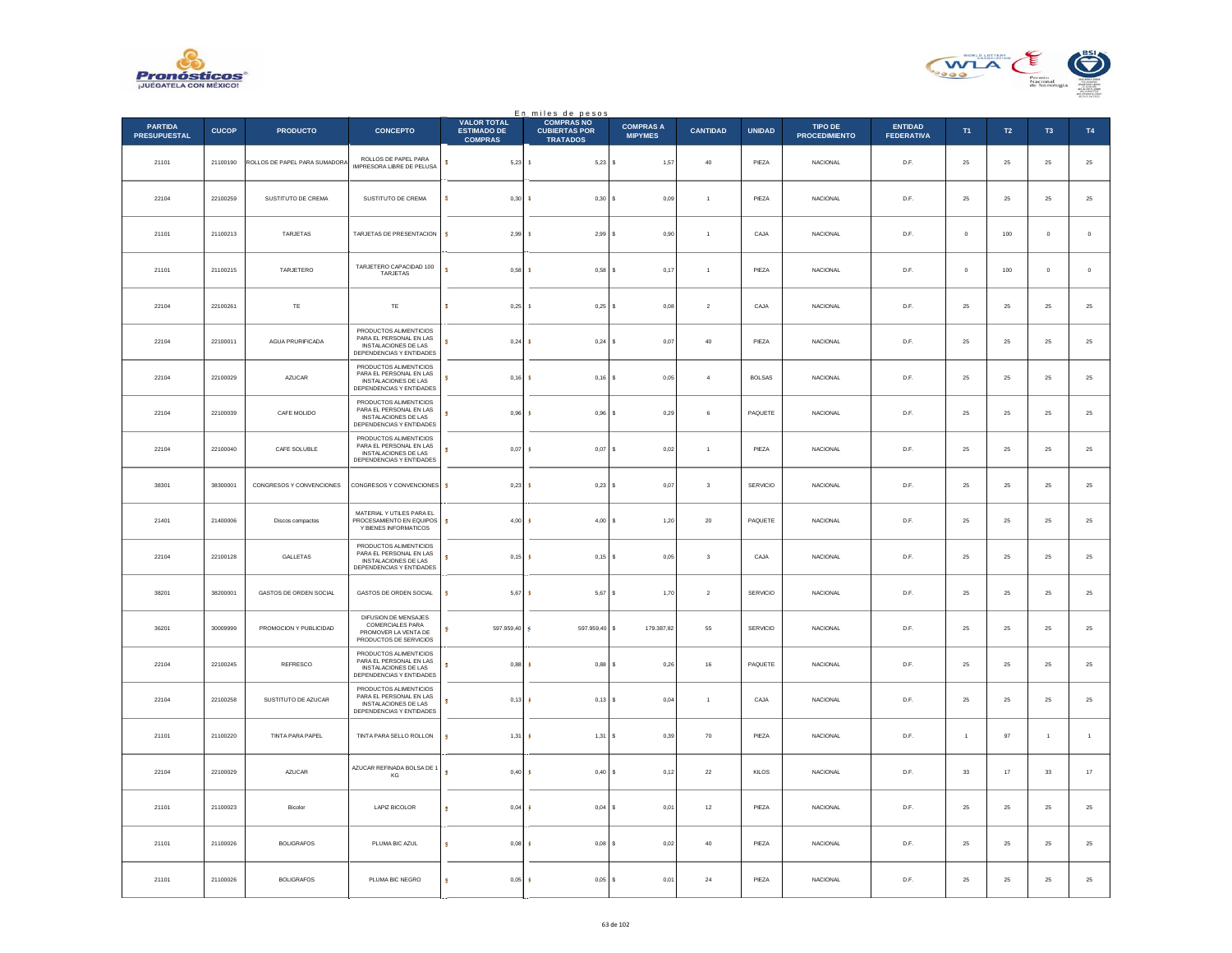



|                                       |              |                               |                                                                                                       |                                                            | En miles de pesos<br><b>COMPRAS NO</b>  |                                    |                 |                 |                                 |                                     |                |                  |                |                |
|---------------------------------------|--------------|-------------------------------|-------------------------------------------------------------------------------------------------------|------------------------------------------------------------|-----------------------------------------|------------------------------------|-----------------|-----------------|---------------------------------|-------------------------------------|----------------|------------------|----------------|----------------|
| <b>PARTIDA</b><br><b>PRESUPUESTAL</b> | <b>CUCOP</b> | <b>PRODUCTO</b>               | <b>CONCEPTO</b>                                                                                       | <b>VALOR TOTAL</b><br><b>ESTIMADO DE</b><br><b>COMPRAS</b> | <b>CUBIERTAS POR</b><br><b>TRATADOS</b> | <b>COMPRAS A</b><br><b>MIPYMES</b> | <b>CANTIDAD</b> | <b>UNIDAD</b>   | TIPO DE<br><b>PROCEDIMIENTO</b> | <b>ENTIDAD</b><br><b>FEDERATIVA</b> | T1             | $\mathsf{T2}$    | T <sub>3</sub> | T4             |
| 21101                                 | 21100190     | ROLLOS DE PAPEL PARA SUMADORA | ROLLOS DE PAPEL PARA<br><b>IMPRESORA LIBRE DE PELUSA</b>                                              | s<br>5,23S                                                 | $5,23$ \$                               | 1,57                               | $40\,$          | PIEZA           | NACIONAL                        | D.F.                                | $\bf 25$       | ${\bf 25}$       | $\bf 25$       | $\bf 25$       |
| 22104                                 | 22100259     | SUSTITUTO DE CREMA            | SUSTITUTO DE CREMA                                                                                    | 0.30<br>s                                                  | $0.30$ S<br>-8                          | 0.09                               | $\overline{1}$  | PIEZA           | <b>NACIONAL</b>                 | D.F.                                | 25             | 25               | 25             | $\bf 25$       |
| 21101                                 | 21100213     | TARJETAS                      | TARJETAS DE PRESENTACION                                                                              | s<br>2,99                                                  | 2,99S                                   | $_{0,90}$                          |                 | CAJA            | NACIONAL                        | D.F.                                | $\mathbf 0$    | $100\,$          | $\bf{0}$       | $\mathbf 0$    |
| 21101                                 | 21100215     | TARJETERO                     | TARJETERO CAPACIDAD 100<br>TARJETAS                                                                   | s<br>0,58                                                  | $0,58$ \$<br>-8                         | 0,17                               | $\overline{1}$  | PIEZA           | NACIONAL                        | D.F.                                | $\circ$        | $100\,$          | $\mathbf{0}$   | $\,$ 0         |
| 22104                                 | 22100261     | TE                            | TE                                                                                                    | 0.25<br>s                                                  | $0.25$ S                                | 0.08                               | $\overline{2}$  | CAJA            | <b>NACIONAL</b>                 | D.F.                                | 25             | 25               | 25             | $2\mathsf{5}$  |
| 22104                                 | 22100011     | AGUA PRURIFICADA              | PRODUCTOS ALIMENTICIOS<br>PARA EL PERSONAL EN LAS<br>INSTALACIONES DE LAS<br>DEPENDENCIAS Y ENTIDADES | 0,24<br>s                                                  | $0,24$ \$                               | 0,07                               | $40\,$          | PIEZA           | NACIONAL                        | D.F.                                | $25\,$         | ${\bf 25}$       | $\bf 25$       | $\bf 25$       |
| 22104                                 | 22100029     | AZUCAR                        | PRODUCTOS ALIMENTICIOS<br>PARA EL PERSONAL EN LAS<br>INSTALACIONES DE LAS<br>DEPENDENCIAS Y ENTIDADES | $0.16$ S                                                   | $0,16$ \$                               | 0.05                               | $\overline{a}$  | <b>BOLSAS</b>   | <b>NACIONAL</b>                 | D.E                                 | 25             | 25               | 25             | 25             |
| 22104                                 | 22100039     | CAFE MOLIDO                   | PRODUCTOS ALIMENTICIOS<br>PARA EL PERSONAL EN LAS<br>INSTALACIONES DE LAS<br>DEPENDENCIAS Y ENTIDADES | 0,96                                                       | $0,96$ \$                               | 0,29                               | 6               | PAQUETE         | NACIONAL                        | $\mathsf{D}.\mathsf{F}.$            | $25\,$         | $\bf 25$         | $2\sqrt{5}$    | 25             |
| 22104                                 | 22100040     | CAFE SOLUBLE                  | PRODUCTOS ALIMENTICIOS<br>PARA EL PERSONAL EN LAS<br>INSTALACIONES DE LAS<br>DEPENDENCIAS Y ENTIDADES | 0,07<br>s                                                  | 0,07                                    | l s<br>0,02                        | $\mathbf{1}$    | PIEZA           | NACIONAL                        | D.F.                                | $25\,$         | ${\bf 25}$       | $25\,$         | 25             |
| 38301                                 | 38300001     | CONGRESOS Y CONVENCIONES      | CONGRESOS Y CONVENCIONES                                                                              | 0,23<br>s                                                  | $0,23$ \$                               | 0.07                               | 3               | SERVICIO        | <b>NACIONAL</b>                 | D.F.                                | 25             | 25               | 25             | $2\mathsf{5}$  |
| 21401                                 | 21400006     | Discos compactos              | MATERIAL Y UTILES PARA EL<br>PROCESAMIENTO EN EQUIPOS<br>Y BIENES INFORMATICOS                        | s<br>4,00                                                  | 4,00                                    | s<br>1,20                          | $20\,$          | PAQUETE         | NACIONAL                        | $\mathsf{D}.\mathsf{F}.$            | $2\sqrt{5}$    | $\bf 25$         | $\bf 25$       | 25             |
| 22104                                 | 22100128     | GALLETAS                      | PRODUCTOS ALIMENTICIOS<br>PARA EL PERSONAL EN LAS<br>INSTALACIONES DE LAS<br>DEPENDENCIAS Y ENTIDADES | $0,15$ \$<br>×                                             | $0,15$ \$                               | 0,05                               | $\mathbf{3}$    | CAJA            | <b>NACIONAL</b>                 | D.F.                                | 25             | 25               | 25             | 25             |
| 38201                                 | 38200001     | GASTOS DE ORDEN SOCIAL        | GASTOS DE ORDEN SOCIAL                                                                                | 5,67<br>s                                                  | $5,67$ \$                               | 1,70                               | $\overline{2}$  | SERVICIO        | <b>NACIONAL</b>                 | D.F.                                | 25             | 25               | 25             | 25             |
| 36201                                 | 30009999     | PROMOCIÓN Y PUBLICIDAD        | DIFUSION DE MENSAJES<br><b>COMERCIALES PARA</b><br>PROMOVER LA VENTA DE<br>PRODUCTOS DE SERVICIOS     | 597.959,40<br>s                                            | 597.959,40 \$                           | 179.387,82                         | 55              | <b>SERVICIO</b> | <b>NACIONAL</b>                 | D.F.                                | 25             | $25\phantom{.0}$ | 25             | 25             |
| 22104                                 | 22100245     | REFRESCO                      | PRODUCTOS ALIMENTICIOS<br>PARA EL PERSONAL EN LAS<br>INSTALACIONES DE LAS<br>DEPENDENCIAS Y ENTIDADES | 0,88<br>s                                                  | 0,88                                    | 0,26<br>s                          | 16              | PAQUETE         | <b>NACIONAL</b>                 | D.F.                                | 25             | 25               | 25             | $2\mathsf{5}$  |
| 22104                                 | 22100258     | SUSTITUTO DE AZUCAR           | PRODUCTOS ALIMENTICIOS<br>PARA EL PERSONAL EN LAS<br>INSTALACIONES DE LAS<br>DEPENDENCIAS Y ENTIDADES | 0,13<br>s                                                  | 0,13                                    | ١s<br>0,04                         | $\mathbf{1}$    | CAJA            | NACIONAL                        | $\mathsf{D}.\mathsf{F}.$            | $2\sqrt{5}$    | $\bf 25$         | $2\sqrt{5}$    | 25             |
| 21101                                 | 21100220     | TINTA PARA PAPEL              | TINTA PARA SELLO ROLLON                                                                               | s<br>$1,31$ $\frac{6}{5}$                                  | 1,31S                                   | 0,39                               | 70              | PIEZA           | <b>NACIONAL</b>                 | D.F.                                | $\overline{1}$ | 97               | $\overline{1}$ | $\overline{1}$ |
| 22104                                 | 22100029     | AZUCAR                        | AZUCAR REFINADA BOLSA DE 1<br>KG                                                                      | s<br>0,40S                                                 | $0,40$ \$                               | 0,12                               | $\bf 22$        | KILOS           | NACIONAL                        | D.F.                                | 33             | 17               | 33             | 17             |
| 21101                                 | 21100023     | Bicolor                       | LAPIZ BICOLOR                                                                                         | 0,04<br>s                                                  | 0,04S                                   | 0,01                               | $12\,$          | PIEZA           | <b>NACIONAL</b>                 | D.F.                                | 25             | $25\phantom{.0}$ | $25\,$         | 25             |
| 21101                                 | 21100026     | <b>BOLIGRAFOS</b>             | PLUMA BIC AZUL                                                                                        | 0,08<br>s                                                  | 0.08                                    | l s<br>0.02                        | 40              | PIEZA           | <b>NACIONAL</b>                 | D.F.                                | 25             | 25               | 25             | 25             |
| 21101                                 | 21100026     | <b>BOLIGRAFOS</b>             | PLUMA BIC NEGRO                                                                                       | 0,05<br>s                                                  | 0,05                                    | s<br>0,01                          | $\bf{24}$       | PIEZA           | NACIONAL                        | D.F.                                | $\bf 25$       | $\bf 25$         | 25             | 25             |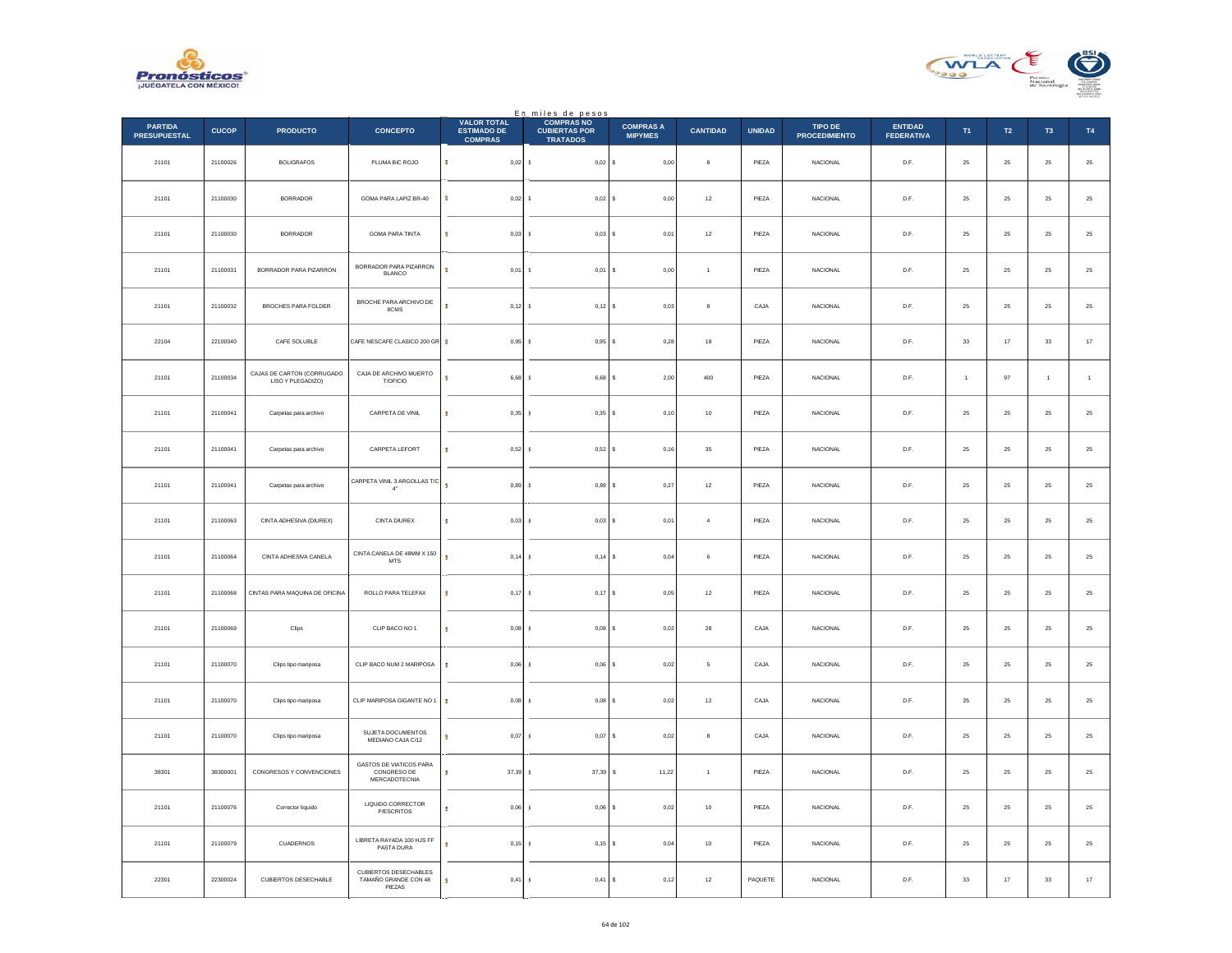



|                                       |              |                                                 |                                                           | <b>VALOR TOTAL</b>                   | En miles de pesos<br><b>COMPRAS NO</b>  |                                    |                 |               |                                        |                                     |                |                  |                |                |
|---------------------------------------|--------------|-------------------------------------------------|-----------------------------------------------------------|--------------------------------------|-----------------------------------------|------------------------------------|-----------------|---------------|----------------------------------------|-------------------------------------|----------------|------------------|----------------|----------------|
| <b>PARTIDA</b><br><b>PRESUPUESTAL</b> | <b>CUCOP</b> | <b>PRODUCTO</b>                                 | <b>CONCEPTO</b>                                           | <b>ESTIMADO DE</b><br><b>COMPRAS</b> | <b>CUBIERTAS POR</b><br><b>TRATADOS</b> | <b>COMPRAS A</b><br><b>MIPYMES</b> | <b>CANTIDAD</b> | <b>UNIDAD</b> | <b>TIPO DE</b><br><b>PROCEDIMIENTO</b> | <b>ENTIDAD</b><br><b>FEDERATIVA</b> | T1             | $\mathsf{T2}$    | T <sub>3</sub> | T4             |
| 21101                                 | 21100026     | <b>BOLIGRAFOS</b>                               | PLUMA BIC ROJO                                            | $\mathsf{s}$<br>$0,02$ \$            | $0,02$ \$                               | 0,00                               | $\bf8$          | PIEZA         | <b>NACIONAL</b>                        | D.F.                                | $\bf 25$       | 25               | $\bf 25$       | $25\,$         |
| 21101                                 | 21100030     | <b>BORRADOR</b>                                 | GOMA PARA LAPIZ BR-40                                     | $0,02$ \$<br>s                       | 0,02S                                   | 0,00                               | $12\,$          | PIEZA         | <b>NACIONAL</b>                        | D.F.                                | 25             | ${\bf 25}$       | 25             | $25\,$         |
| 21101                                 | 21100030     | <b>BORRADOR</b>                                 | GOMA PARA TINTA                                           | s<br>$0,03$ \$                       | $0,03$ \$                               | 0,01                               | $12\,$          | PIEZA         | NACIONAL                               | $\mathsf{D}.\mathsf{F}.$            | $\bf 25$       | $25\,$           | $25\,$         | 25             |
| 21101                                 | 21100031     | BORRADOR PARA PIZARRON                          | BORRADOR PARA PIZARRON<br><b>BLANCO</b>                   | s.<br>0,01                           | $0,01$ \$<br>$\mathbf{r}$               | $_{0,00}$                          | $\overline{1}$  | PIEZA         | NACIONAL                               | D.F.                                | $\bf 25$       | ${\bf 25}$       | $\bf 25$       | $25\,$         |
| 21101                                 | 21100032     | BROCHES PARA FOLDER                             | BROCHE PARA ARCHIVO DE<br>8CMS                            | s<br>0.12 S                          | $0.12$ S                                | 0.03                               | 8               | CAJA          | NACIONAL                               | D.F.                                | 25             | 25               | 25             | $2\mathsf{5}$  |
| 22104                                 | 22100040     | CAFE SOLUBLE                                    | CAFE NESCAFE CLASICO 200 GR                               | s<br>$0,95$ \$                       | $0,95$ \$                               | 0,28                               | $18\,$          | PIEZA         | NACIONAL                               | D.F.                                | $_{\rm 33}$    | $17\,$           | $_{\rm 33}$    | $17\,$         |
| 21101                                 | 21100034     | CAJAS DE CARTON (CORRUGADO<br>LISO Y PLEGADIZO) | CAJA DE ARCHIVO MUERTO<br>T/OFICIO                        | $6,68$ \$<br>s                       | 6.68 S                                  | 2.00                               | 400             | PIF7A         | <b>NACIONAL</b>                        | D.F.                                | $\overline{1}$ | 97               | $\overline{1}$ | $\overline{1}$ |
| 21101                                 | 21100041     | Carpetas para archivo                           | CARPETA DE VINIL                                          | $0,35 - 5$<br>s                      | $0,35$ \$                               | 0,10                               | $10$            | PIEZA         | NACIONAL                               | $\mathsf{D}.\mathsf{F}.$            | $\bf 25$       | $25\,$           | $2\mathsf{S}$  | 25             |
| 21101                                 | 21100041     | Carpetas para archivo                           | CARPETA LEFORT                                            | 0,52<br>s                            | 0,52S                                   | 0,16                               | $35\,$          | PIEZA         | NACIONAL                               | D.F.                                | $\bf 25$       | $25\,$           | 25             | $25\,$         |
| 21101                                 | 21100041     | Carpetas para archivo                           | CARPETA VINIL 3 ARGOLLAS T/C<br>$4^*$                     | s<br>0,89                            | 0.89S<br>-5                             | 0,27                               | 12              | PIEZA         | NACIONAL                               | D.F.                                | 25             | 25               | 25             | $25\,$         |
| 21101                                 | 21100063     | CINTA ADHESIVA (DIUREX)                         | CINTA DIUREX                                              | 0,03<br>s                            | 0,03S                                   | 0,01                               | $\overline{4}$  | PIEZA         | NACIONAL                               | $\mathsf{D}.\mathsf{F}.$            | $\bf 25$       | $\bf 25$         | $2\mathsf{S}$  | $25\,$         |
| 21101                                 | 21100064     | CINTA ADHESIVA CANELA                           | CINTA CANELA DE 48MM X 150<br>$\ensuremath{\mathsf{MTS}}$ | $0,14$ \$<br><b>S</b>                | $0,14$ \$                               | 0,04                               | 6               | PIEZA         | <b>NACIONAL</b>                        | D.F.                                | 25             | ${\bf 25}$       | 25             | $25\,$         |
| 21101                                 | 21100068     | CINTAS PARA MAQUINA DE OFICINA                  | ROLLO PARA TELEFAX                                        | $0,17$ \$<br>s                       | $0,17$ \$                               | 0,05                               | $12\,$          | PIEZA         | NACIONAL                               | D.F.                                | 25             | 25               | 25             | $2\mathsf{5}$  |
| 21101                                 | 21100069     | Clips                                           | CLIP BACO NO 1                                            | s<br>0,08                            | $0,08$ \$                               | 0,02                               | ${\bf 28}$      | CAJA          | NACIONAL                               | D.F.                                | 25             | $25\phantom{.0}$ | 25             | $\bf 25$       |
| 21101                                 | 21100070     | Clips tipo mariposa                             | CLIP BACO NUM 2 MARIPOSA                                  | 0.06 <sub>5</sub><br>s.              | $0,06$ \$                               | 0,02                               | 5               | CAJA          | NACIONAL                               | D.F.                                | 25             | 25               | 25             | $25\,$         |
| 21101                                 | 21100070     | Clips tipo mariposa                             | CLIP MARIPOSA GIGANTE NO 1                                | 0,08<br>s                            | 0,08                                    | l s<br>0,02                        | $12\,$          | CAJA          | NACIONAL                               | $\mathsf{D}.\mathsf{F}.$            | $\bf 25$       | $25\,$           | $25\,$         | 25             |
| 21101                                 | 21100070     | Clips tipo mariposa                             | SUJETA DOCUMENTOS<br>MEDIANO CAJA C/12                    | 0.07S<br>s                           | $0.07$ \$                               | 0,02                               | 8               | CAJA          | <b>NACIONAL</b>                        | D.F.                                | 25             | 25               | 25             | $25\,$         |
| 38301                                 | 38300001     | CONGRESOS Y CONVENCIONES                        | GASTOS DE VIATICOS PARA<br>CONGRESO DE<br>MERCADOTECNIA   | 37,39 \$<br>s                        | 37,39 \$                                | 11,22                              | $\overline{1}$  | PIEZA         | NACIONAL                               | D.F.                                | 25             | 25               | 25             | 25             |
| 21101                                 | 21100076     | Corrector liquido                               | LIQUIDO CORRECTOR<br>P/ESCRITOS                           | 0,06<br>s                            | $0,06$ \$                               | 0,02                               | $10$            | PIEZA         | <b>NACIONAL</b>                        | D.F.                                | 25             | $25\phantom{.0}$ | $25\,$         | $\bf 25$       |
| 21101                                 | 21100079     | <b>CUADERNOS</b>                                | LIBRETA RAYADA 100 HJS FF<br>PASTA DURA                   | 0,15<br>s                            | $0,15$ \$<br>-S                         | 0.04                               | 10              | PIEZA         | <b>NACIONAL</b>                        | D.F.                                | 25             | 25               | 25             | 25             |
| 22301                                 | 22300024     | <b>CUBIERTOS DESECHABLE</b>                     | CUBIERTOS DESECHABLES<br>TAMAÑO GRANDE CON 48<br>PIEZAS   | 0,41<br>s                            | 0,41                                    | 0,12<br>$\mathsf{s}$               | $12\,$          | PAQUETE       | <b>NACIONAL</b>                        | D.F.                                | $33\,$         | $17\,$           | $_{\rm 33}$    | $17\,$         |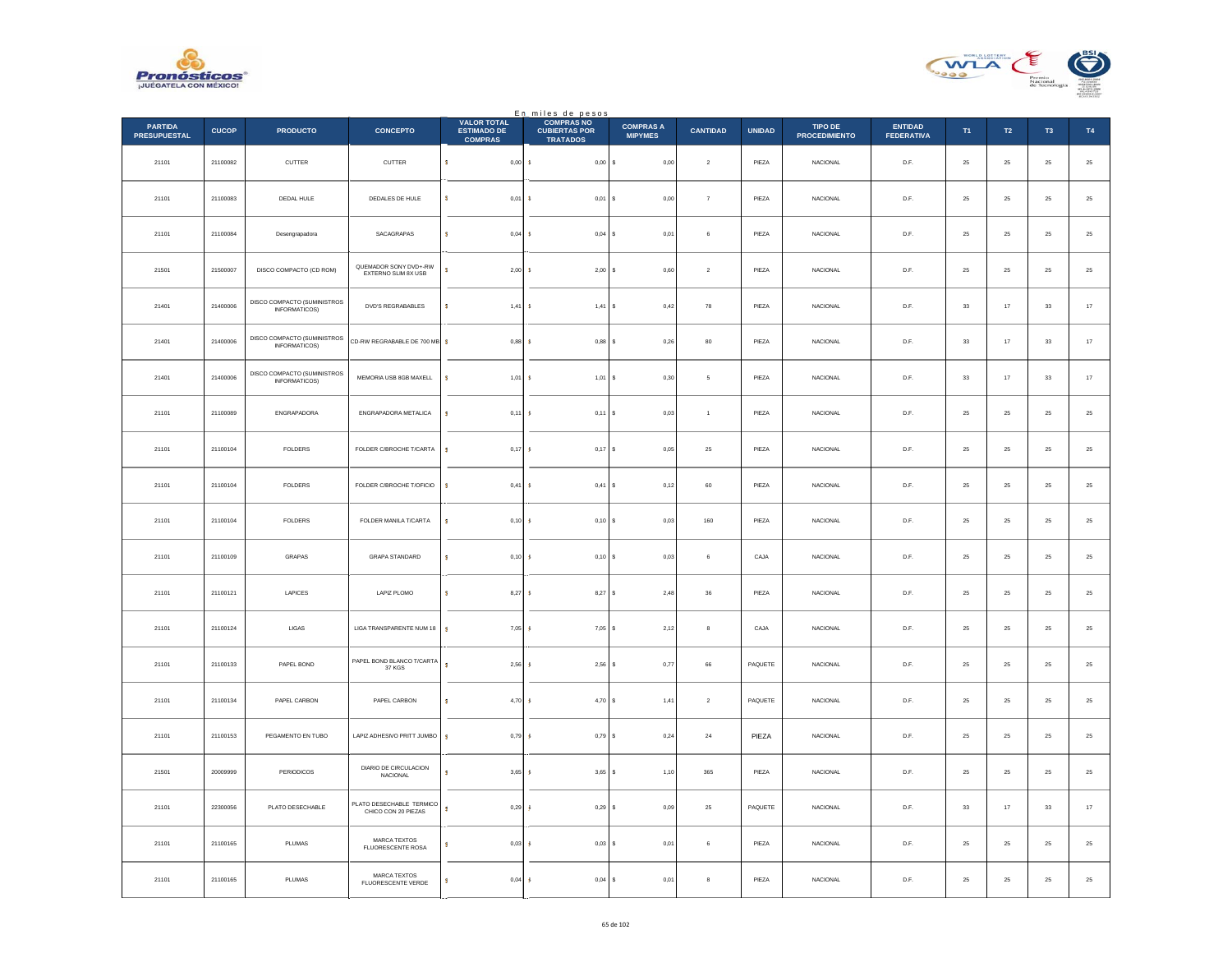



|                                       |              |                                                     |                                                 | <b>VALOR TOTAL</b>                   | En miles de pesos<br><b>COMPRAS NO</b>  |                                    |                 |               |                                        |                                     |             |                  |                |               |
|---------------------------------------|--------------|-----------------------------------------------------|-------------------------------------------------|--------------------------------------|-----------------------------------------|------------------------------------|-----------------|---------------|----------------------------------------|-------------------------------------|-------------|------------------|----------------|---------------|
| <b>PARTIDA</b><br><b>PRESUPUESTAL</b> | <b>CUCOP</b> | <b>PRODUCTO</b>                                     | <b>CONCEPTO</b>                                 | <b>ESTIMADO DE</b><br><b>COMPRAS</b> | <b>CUBIERTAS POR</b><br><b>TRATADOS</b> | <b>COMPRAS A</b><br><b>MIPYMES</b> | <b>CANTIDAD</b> | <b>UNIDAD</b> | <b>TIPO DE</b><br><b>PROCEDIMIENTO</b> | <b>ENTIDAD</b><br><b>FEDERATIVA</b> | T1          | $\mathsf{T2}$    | T <sub>3</sub> | T4            |
| 21101                                 | 21100082     | CUTTER                                              | CUTTER                                          | $\mathsf{s}$<br>0,00S                | $0,00$ \$                               | $_{0,00}$                          | $\mathbf{2}$    | PIEZA         | <b>NACIONAL</b>                        | D.F.                                | $\bf 25$    | 25               | $\bf 25$       | $25\,$        |
| 21101                                 | 21100083     | DEDAL HULE                                          | DEDALES DE HULE                                 | s<br>$0,01$ \$                       | $0,01$ \$                               | 0.00                               | $\overline{7}$  | PIEZA         | <b>NACIONAL</b>                        | D.F.                                | 25          | ${\bf 25}$       | 25             | $25\,$        |
| 21101                                 | 21100084     | Desengrapadora                                      | SACAGRAPAS                                      | s<br>$0,04$ \$                       | $0,04$ \$                               | 0,01                               | 6               | PIEZA         | NACIONAL                               | $\mathsf{D}.\mathsf{F}.$            | $\bf 25$    | $25\,$           | $25\,$         | 25            |
| 21501                                 | 21500007     | DISCO COMPACTO (CD ROM)                             | QUEMADOR SONY DVD+-RW<br>EXTERNO SLIM 8X USB    | s.<br>2,00                           | $2,00$ \$<br>-8                         | 0,60                               | $\mathbf{2}$    | PIEZA         | NACIONAL                               | D.F.                                | $\bf 25$    | ${\bf 25}$       | $\bf 25$       | $25\,$        |
| 21401                                 | 21400006     | DISCO COMPACTO (SUMINISTROS<br>INFORMATICOS)        | DVD'S REGRABABLES                               | s<br>1,41S                           | 1,41                                    | l s<br>0.42                        | 78              | PIEZA         | NACIONAL                               | D.F.                                | 33          | 17               | 33             | $17\,$        |
| 21401                                 | 21400006     | DISCO COMPACTO (SUMINISTROS<br>INFORMATICOS)        | CD-RW REGRABABLE DE 700 MB                      | s<br>$0,88$ \$                       | $0,88$ \$                               | 0,26                               | $_{\rm 80}$     | PIEZA         | NACIONAL                               | D.F.                                | $_{\rm 33}$ | $17\,$           | $_{\rm 33}$    | $17\,$        |
| 21401                                 | 21400006     | DISCO COMPACTO (SUMINISTROS<br><b>INFORMATICOS)</b> | MEMORIA USB 8GB MAXELL                          | $1,01$ \$<br>s                       | $1,01$ \$                               | 0.30                               | 5 <sup>5</sup>  | PIF7A         | <b>NACIONAL</b>                        | D.F.                                | 33          | 17               | 33             | $17\,$        |
| 21101                                 | 21100089     | ENGRAPADORA                                         | ENGRAPADORA METALICA                            | $0,11$ \$<br>$\mathbf s$             | $0,11$ \$                               | 0,03                               | $\overline{1}$  | PIEZA         | NACIONAL                               | $\mathsf{D}.\mathsf{F}.$            | $\bf 25$    | $25\,$           | $2\mathsf{S}$  | $25\,$        |
| 21101                                 | 21100104     | FOLDERS                                             | FOLDER C/BROCHE T/CARTA                         | 0,17<br>s                            | $0,17$ \$                               | 0,05                               | $2\sqrt{5}$     | PIEZA         | NACIONAL                               | D.F.                                | $\bf 25$    | ${\bf 25}$       | 25             | $25\,$        |
| 21101                                 | 21100104     | FOLDERS                                             | FOLDER C/BROCHE T/OFICIO                        | 0,41<br>s                            | 0,41                                    | 0,12<br>١s                         | 60              | PIEZA         | NACIONAL                               | D.F.                                | 25          | 25               | 25             | $25\,$        |
| 21101                                 | 21100104     | ${\tt FOLDERS}$                                     | FOLDER MANILA T/CARTA                           | s<br>0,10                            | 0,10S                                   | 0,03                               | 160             | PIEZA         | NACIONAL                               | $\mathsf{D}.\mathsf{F}.$            | $\bf 25$    | $25\,$           | $2\mathsf{S}$  | $25\,$        |
| 21101                                 | 21100109     | GRAPAS                                              | <b>GRAPA STANDARD</b>                           | $0,10$ \$<br><b>S</b>                | 0,10S                                   | 0,03                               | 6               | CAJA          | <b>NACIONAL</b>                        | D.F.                                | 25          | ${\bf 25}$       | 25             | $25\,$        |
| 21101                                 | 21100121     | LAPICES                                             | LAPIZ PLOMO                                     | $\mathbf{s}$<br>8,27S                | 8,27S                                   | 2,48                               | 36              | PIEZA         | NACIONAL                               | D.F.                                | 25          | 25               | 25             | $2\mathsf{5}$ |
| 21101                                 | 21100124     | LIGAS                                               | LIGA TRANSPARENTE NUM 18                        | s<br>$7,05$ \$                       | 7,05S                                   | 2,12                               | 8               | CAJA          | NACIONAL                               | D.F.                                | 25          | $25\phantom{.0}$ | 25             | $\bf 25$      |
| 21101                                 | 21100133     | PAPEL BOND                                          | PAPEL BOND BLANCO T/CARTA<br>37 KGS             | $2,56$ \$<br>s.                      | 2,56                                    | 0,77<br>١s                         | 66              | PAQUETE       | <b>NACIONAL</b>                        | D.F.                                | 25          | 25               | 25             | $25\,$        |
| 21101                                 | 21100134     | PAPEL CARBON                                        | PAPEL CARBON                                    | 4,70<br>s                            | 4,70S                                   | 1,41                               | $\,$ 2 $\,$     | PAQUETE       | NACIONAL                               | $\mathsf{D}.\mathsf{F}.$            | $\bf 25$    | $25\,$           | $25\,$         | 25            |
| 21101                                 | 21100153     | PEGAMENTO EN TUBO                                   | LAPIZ ADHESIVO PRITT JUMBO                      | $0,79$ \$<br>s                       | 0.79S                                   | 0,24                               | 24              | PIEZA         | <b>NACIONAL</b>                        | D.F.                                | 25          | 25               | 25             | $25\,$        |
| 21501                                 | 20009999     | PERIODICOS                                          | DIARIO DE CIRCULACION<br>NACIONAL               | $3,65$ \$<br>s                       | $3,65$ \$                               | 1,10                               | 365             | PIEZA         | NACIONAL                               | D.F.                                | 25          | 25               | 25             | 25            |
| 21101                                 | 22300056     | PLATO DESECHABLE                                    | PLATO DESECHABLE TERMICO<br>CHICO CON 20 PIEZAS | s<br>0,29                            | 0,29S<br>-S                             | 0,09                               | 25              | PAQUETE       | <b>NACIONAL</b>                        | D.F.                                | 33          | 17               | 33             | $17\,$        |
| 21101                                 | 21100165     | PLUMAS                                              | MARCA TEXTOS<br>FLUORESCENTE ROSA               | 0,03<br>s                            | $0.03$ \$<br>-S                         | 0.01                               | 6               | PIEZA         | <b>NACIONAL</b>                        | D.F.                                | 25          | 25               | 25             | 25            |
| 21101                                 | 21100165     | PLUMAS                                              | MARCA TEXTOS<br>FLUORESCENTE VERDE              | 0,04                                 | 0,04                                    | 0,01<br>١s                         | 8               | PIEZA         | NACIONAL                               | D.F.                                | $25\,$      | ${\bf 25}$       | $\bf 25$       | 25            |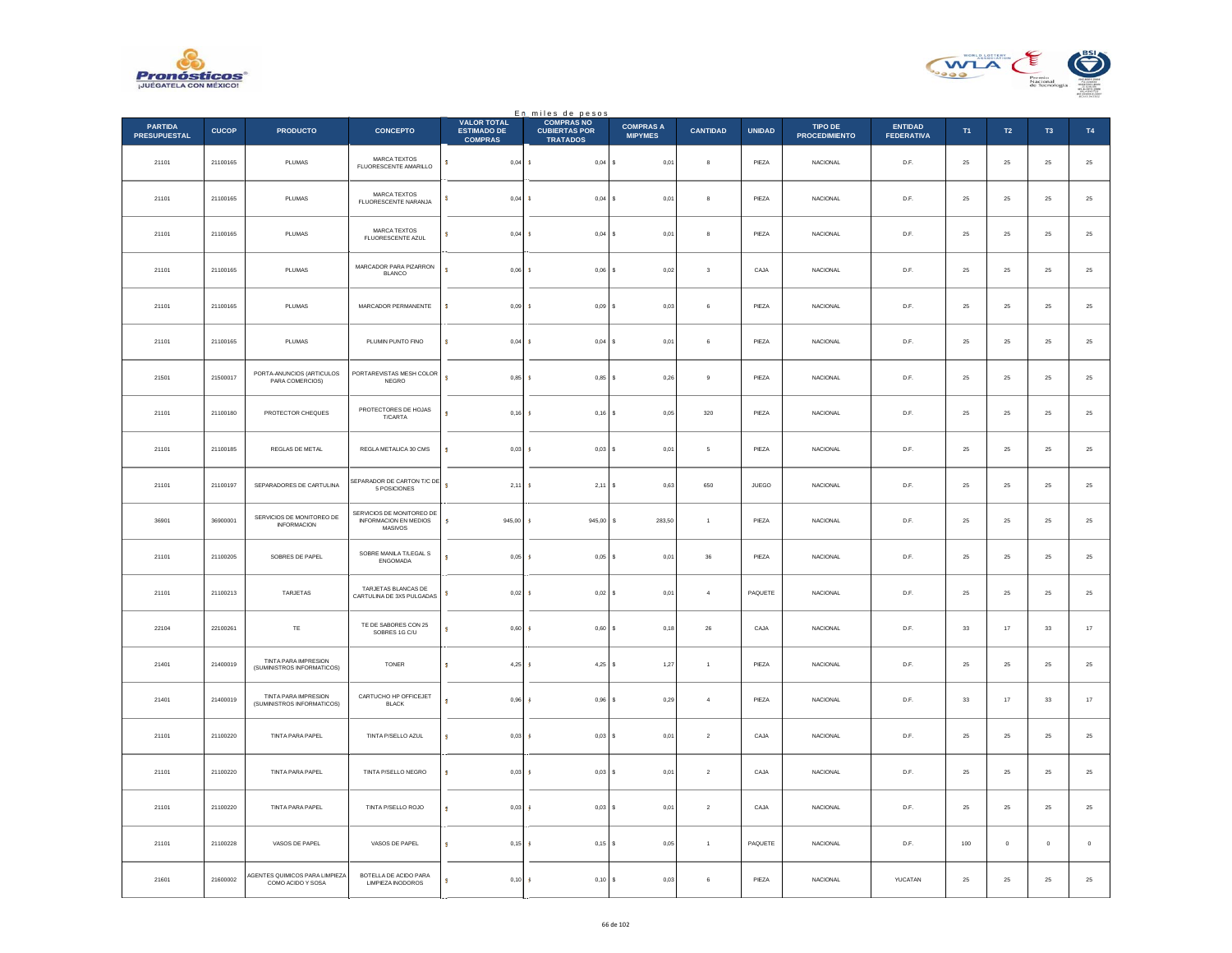



|                                       |              |                                                     |                                                               | <b>VALOR TOTAL</b>                   | En miles de pesos<br><b>COMPRAS NO</b>  |                                    |                         |               |                                        |                                     |             |                  |                |               |
|---------------------------------------|--------------|-----------------------------------------------------|---------------------------------------------------------------|--------------------------------------|-----------------------------------------|------------------------------------|-------------------------|---------------|----------------------------------------|-------------------------------------|-------------|------------------|----------------|---------------|
| <b>PARTIDA</b><br><b>PRESUPUESTAL</b> | <b>CUCOP</b> | <b>PRODUCTO</b>                                     | <b>CONCEPTO</b>                                               | <b>ESTIMADO DE</b><br><b>COMPRAS</b> | <b>CUBIERTAS POR</b><br><b>TRATADOS</b> | <b>COMPRAS A</b><br><b>MIPYMES</b> | <b>CANTIDAD</b>         | <b>UNIDAD</b> | <b>TIPO DE</b><br><b>PROCEDIMIENTO</b> | <b>ENTIDAD</b><br><b>FEDERATIVA</b> | T1          | $\mathsf{T2}$    | T <sub>3</sub> | T4            |
| 21101                                 | 21100165     | PLUMAS                                              | MARCA TEXTOS<br>FLUORESCENTE AMARILLO                         | $\mathbb S$<br>$0,04$ \$             | $0,04$ \$                               | 0,01                               | 8                       | PIEZA         | <b>NACIONAL</b>                        | D.F.                                | $\bf 25$    | 25               | $\bf 25$       | $25\,$        |
| 21101                                 | 21100165     | PLUMAS                                              | MARCA TEXTOS<br>FLUORESCENTE NARANJA                          | $0,04$ \$<br>s                       | $0,04$ \$                               | 0.01                               | $\mathbf{a}$            | PIEZA         | <b>NACIONAL</b>                        | D.F.                                | 25          | 25               | 25             | $25\,$        |
| 21101                                 | 21100165     | PLUMAS                                              | <b>MARCA TEXTOS</b><br>FLUORESCENTE AZUL                      | s<br>0,04                            | $0,04$ \$<br><b>S</b>                   | 0,01                               | 8                       | PIEZA         | NACIONAL                               | $\mathsf{D}.\mathsf{F}.$            | $25\,$      | $\bf 25$         | $\bf 25$       | 25            |
| 21101                                 | 21100165     | PLUMAS                                              | MARCADOR PARA PIZARRON<br><b>BLANCO</b>                       | s<br>0,06                            | 0,06<br>-8                              | l s<br>0,02                        | $\overline{\mathbf{3}}$ | CAJA          | NACIONAL                               | D.F.                                | $25\,$      | ${\bf 25}$       | $\bf 25$       | $25\,$        |
| 21101                                 | 21100165     | PLUMAS                                              | MARCADOR PERMANENTE                                           | 0.09<br>s                            | $0.09$ S<br>- 8                         | 0.03                               | 6                       | PIEZA         | NACIONAL                               | D.F.                                | 25          | 25               | 25             | $2\mathsf{5}$ |
| 21101                                 | 21100165     | PLUMAS                                              | PLUMIN PUNTO FINO                                             | $0,04$ \$<br>s                       | $0,04$ \$                               | 0,01                               | 6                       | PIEZA         | NACIONAL                               | D.F.                                | $\bf 25$    | ${\bf 25}$       | 25             | $\bf 25$      |
| 21501                                 | 21500017     | PORTA-ANUNCIOS (ARTICULOS<br>PARA COMERCIOS)        | PORTAREVISTAS MESH COLOR<br>NEGRO                             | s.<br>0.85S                          | $0.85$ $S$                              | 0.26                               | $\mathbf{Q}$            | PIF7A         | <b>NACIONAL</b>                        | D.F.                                | 25          | 25               | 25             | $25\,$        |
| 21101                                 | 21100180     | PROTECTOR CHEQUES                                   | PROTECTORES DE HOJAS<br>T/CARTA                               | $0,16$ \$<br>s                       | $0,16$ \$                               | 0,05                               | $320\,$                 | PIEZA         | NACIONAL                               | $\mathsf{D}.\mathsf{F}.$            | $2\sqrt{5}$ | $\bf 25$         | $2\sqrt{5}$    | 25            |
| 21101                                 | 21100185     | REGLAS DE METAL                                     | REGLA METALICA 30 CMS                                         | 0,03                                 | $0,03$ \$                               | 0,01                               | $\,$ 5 $\,$             | PIEZA         | NACIONAL                               | D.F.                                | $\bf 25$    | ${\bf 25}$       | 25             | 25            |
| 21101                                 | 21100197     | SEPARADORES DE CARTULINA                            | SEPARADOR DE CARTON T/C DE<br>5 POSICIONES                    | s<br>2,11                            | 2,11                                    | 0,63<br>١s                         | 650                     | JUEGO         | NACIONAL                               | D.F.                                | 25          | 25               | 25             | $2\mathsf{5}$ |
| 36901                                 | 36900001     | SERVICIOS DE MONITOREO DE<br><b>INFORMACION</b>     | SERVICIOS DE MONITOREO DE<br>INFORMACION EN MEDIOS<br>MASIVOS | 945,00<br>s                          | 945,00                                  | 283,50<br>s                        | $\mathbf{1}$            | PIEZA         | NACIONAL                               | $\mathsf{D}.\mathsf{F}.$            | $2\sqrt{5}$ | $\bf 25$         | $\bf 25$       | $2\mathsf{5}$ |
| 21101                                 | 21100205     | SOBRES DE PAPEL                                     | SOBRE MANILA T/LEGAL S<br>ENGOMADA                            | 0.05S<br>×                           | $0.05$ \$                               | 0,01                               | 36                      | PIEZA         | <b>NACIONAL</b>                        | D.F.                                | 25          | 25               | 25             | $25\,$        |
| 21101                                 | 21100213     | TARJETAS                                            | TARJETAS BLANCAS DE<br>CARTULINA DE 3X5 PULGADAS              | $0,02$ \$<br>s                       | $0,02$ \$                               | 0,01                               | $\overline{4}$          | PAQUETE       | <b>NACIONAL</b>                        | D.F.                                | 25          | 25               | 25             | 25            |
| 22104                                 | 22100261     | TE                                                  | TE DE SABORES CON 25<br>SOBRES 1G C/U                         | 0,60                                 | 0,60S                                   | 0,18                               | ${\bf 26}$              | CAJA          | <b>NACIONAL</b>                        | D.F.                                | 33          | 17               | 33             | $17\,$        |
| 21401                                 | 21400019     | TINTA PARA IMPRESION<br>(SUMINISTROS INFORMATICOS)  | <b>TONER</b>                                                  | $4.25$ \$<br>s                       | $4.25$ \$                               | 1,27                               | $\overline{1}$          | PIEZA         | <b>NACIONAL</b>                        | D.F.                                | 25          | 25               | 25             | $2\mathsf{5}$ |
| 21401                                 | 21400019     | TINTA PARA IMPRESION<br>(SUMINISTROS INFORMATICOS)  | CARTUCHO HP OFFICEJET<br><b>BLACK</b>                         | 0,96                                 | 0,96                                    | s<br>0,29                          | $\overline{4}$          | PIEZA         | NACIONAL                               | $\mathsf{D}.\mathsf{F}.$            | $_{\rm 33}$ | $17\,$           | $_{\rm 33}$    | $17\,$        |
| 21101                                 | 21100220     | <b>TINTA PARA PAPEL</b>                             | TINTA P/SELLO AZUL                                            | 0.03S<br>s                           | $0.03$ S                                | 0,01                               | $\overline{2}$          | CAJA          | <b>NACIONAL</b>                        | D.F.                                | 25          | 25               | 25             | $25\,$        |
| 21101                                 | 21100220     | TINTA PARA PAPEL                                    | TINTA P/SELLO NEGRO                                           | $0,03$ \$<br>s                       | 0,03S                                   | 0,01                               | $\sqrt{2}$              | CAJA          | NACIONAL                               | D.F.                                | 25          | 25               | 25             | 25            |
| 21101                                 | 21100220     | <b>TINTA PARA PAPEL</b>                             | TINTA P/SELLO ROJO                                            | 0,03<br>s                            | 0,03S                                   | 0,01                               | $\overline{2}$          | CAJA          | <b>NACIONAL</b>                        | D.F.                                | 25          | $25\phantom{.0}$ | $25\,$         | ${\bf 25}$    |
| 21101                                 | 21100228     | VASOS DE PAPEL                                      | VASOS DE PAPEL                                                | s<br>0,15                            | $0,15$ \$<br>-S                         | 0.05                               | $\overline{1}$          | PAQUETE       | <b>NACIONAL</b>                        | D.F.                                | 100         | $\circ$          | $\mathbf{0}$   | $\,$ 0 $\,$   |
| 21601                                 | 21600002     | AGENTES QUIMICOS PARA LIMPIEZA<br>COMO ACIDO Y SOSA | BOTELLA DE ACIDO PARA<br><b>LIMPIEZA INODOROS</b>             | 0,10<br>s                            | 0,10                                    | 0,03<br>١s                         | 6                       | PIEZA         | <b>NACIONAL</b>                        | YUCATAN                             | 25          | $\bf 25$         | ${\bf 25}$     | 25            |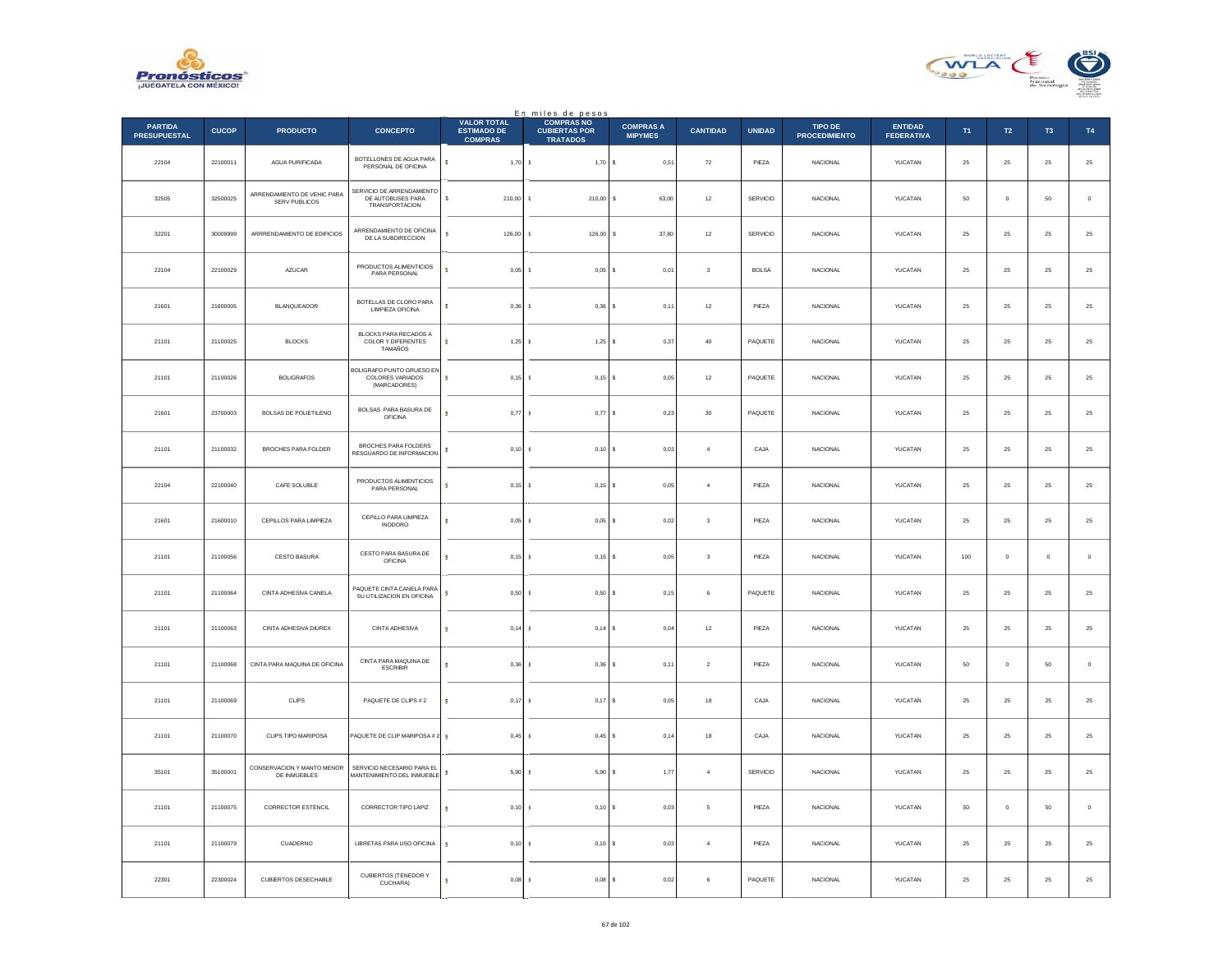



|                                       |              |                                              |                                                                  |                                                            | En miles de pesos<br>COMPRAS NO         |                                    |                 |               |                                 |                                     |            |             |                |             |
|---------------------------------------|--------------|----------------------------------------------|------------------------------------------------------------------|------------------------------------------------------------|-----------------------------------------|------------------------------------|-----------------|---------------|---------------------------------|-------------------------------------|------------|-------------|----------------|-------------|
| <b>PARTIDA</b><br><b>PRESUPUESTAL</b> | <b>CUCOP</b> | <b>PRODUCTO</b>                              | <b>CONCEPTO</b>                                                  | <b>VALOR TOTAL</b><br><b>ESTIMADO DE</b><br><b>COMPRAS</b> | <b>CUBIERTAS POR</b><br><b>TRATADOS</b> | <b>COMPRAS A</b><br><b>MIPYMES</b> | <b>CANTIDAD</b> | <b>UNIDAD</b> | TIPO DE<br><b>PROCEDIMIENTO</b> | <b>ENTIDAD</b><br><b>FEDERATIVA</b> | T1         | T2          | T <sub>3</sub> | T4          |
| 22104                                 | 22100011     | AGUA PURIFICADA                              | BOTELLONES DE AGUA PARA<br>PERSONAL DE OFICINA                   | s<br>$1,70$ \$                                             | 1,70S                                   | 0,51                               | ${\bf 72}$      | PIEZA         | NACIONAL                        | YUCATAN                             | 25         | $\bf 25$    | ${\bf 25}$     | $\bf 25$    |
| 32505                                 | 32500025     | ARRENDAMIENTO DE VEHIC PARA<br>SERV PUBLICOS | SERVICIO DE ARRENDAMIENTO<br>DE AUTOBUSES PARA<br>TRANSPORTACION | s.<br>$210,00$ \$                                          | $210,00$ \$                             | 63.00                              | 12              | SERVICIO      | <b>NACIONAL</b>                 | YUCATAN                             | 50         | $\Omega$    | 50             | $\,$ 0 $\,$ |
| 32201                                 | 30009999     | ARRRENDAMIENTO DE EDIFICIOS                  | ARRENDAMIENTO DE OFICINA<br>DE LA SUBDIRECCION                   | š.<br>126,00                                               | 126,00<br><b>s</b>                      | s<br>37,80                         | $12\,$          | SERVICIO      | NACIONAL                        | YUCATAN                             | 25         | $\bf 25$    | ${\bf 25}$     | $25\,$      |
| 22104                                 | 22100029     | AZUCAR                                       | PRODUCTOS ALIMENTICIOS<br>PARA PERSONAL                          | $\overline{\mathbf{s}}$<br>0,05                            | <b>s</b><br>$0,05$ \$                   | 0,01                               | $\sqrt{3}$      | <b>BOLSA</b>  | NACIONAL                        | YUCATAN                             | 25         | $\bf 25$    | ${\bf 25}$     | $25\,$      |
| 21601                                 | 21600005     | <b>BLANQUEADOR</b>                           | BOTELLAS DE CLORO PARA<br>LIMPIEZA OFICINA                       | ś<br>0.36S                                                 | $0.36$ S                                | 0.11                               | 12              | PIEZA         | <b>NACIONAL</b>                 | YUCATAN                             | 25         | 25          | 25             | $25\,$      |
| 21101                                 | 21100025     | <b>BLOCKS</b>                                | BLOCKS PARA RECADOS A<br>COLOR Y DIFERENTES<br>TAMAÑOS           | s<br>1,25                                                  | $1,25$ \$<br><b>s</b>                   | 0,37                               | $40\,$          | PAQUETE       | NACIONAL                        | YUCATAN                             | 25         | $\bf 25$    | ${\bf 25}$     | $\bf 25$    |
| 21101                                 | 21100026     | <b>BOLIGRAFOS</b>                            | BOLIGRAFO PUNTO GRUESO EN<br>COLORES VARIADOS<br>(MARCADORES)    | $0,15$ \$<br>ś                                             | $0,15$ \$                               | 0.05                               | 12              | PAQUETE       | <b>NACIONAL</b>                 | <b>YUCATAN</b>                      | 25         | 25          | 25             | $\bf 25$    |
| 21601                                 | 23700003     | BOLSAS DE POLIETILENO                        | BOLSAS PARA BASURA DE<br>OFICINA                                 | $0,77$ \$<br>ś                                             | $0,77$ \$                               | 0,23                               | $30\,$          | PAQUETE       | NACIONAL                        | YUCATAN                             | 25         | $\bf 25$    | $2\sqrt{5}$    | $25\,$      |
| 21101                                 | 21100032     | BROCHES PARA FOLDER                          | BROCHES PARA FOLDERS<br>RESGUARDO DE INFORMACION                 | 0,10                                                       | $0,10$ \$<br>-S                         | $_{0,03}$                          | $\overline{4}$  | CAJA          | <b>NACIONAL</b>                 | YUCATAN                             | 25         | $\bf 25$    | ${\bf 25}$     | $25\,$      |
| 22104                                 | 22100040     | CAFE SOLUBLE                                 | PRODUCTOS ALIMENTICIOS<br>PARA PERSONAL                          | 0,15<br>ś                                                  | $0,15$ \$<br>١s                         | 0,05                               | $\overline{4}$  | PIEZA         | <b>NACIONAL</b>                 | YUCATAN                             | 25         | 25          | 25             | $25\,$      |
| 21601                                 | 21600010     | CEPILLOS PARA LIMPIEZA                       | CEPILLO PARA LIMPIEZA<br><b>INODORO</b>                          | s<br>0,05                                                  | 0,05<br>s                               | $_{0,02}$                          | $\sqrt{3}$      | PIEZA         | NACIONAL                        | YUCATAN                             | $25\,$     | $\bf 25$    | $2\sqrt{5}$    | $25\,$      |
| 21101                                 | 21100056     | CESTO BASURA                                 | CESTO PARA BASURA DE<br>OFICINA                                  | $0,15$ \$<br>s                                             | $0,15$ \$                               | 0,05                               | 3               | PIF7A         | <b>NACIONAL</b>                 | <b>YUCATAN</b>                      | 100        | $\Omega$    | $\Omega$       | $\mathbf 0$ |
| 21101                                 | 21100064     | CINTA ADHESIVA CANELA                        | PAQUETE CINTA CANELA PARA<br>SU UTILIZACION EN OFICINA           | ś<br>0,50S                                                 | 0,50S                                   | 0,15                               | 6               | PAQUETE       | <b>NACIONAL</b>                 | YUCATAN                             | 25         | 25          | 25             | $25\,$      |
| 21101                                 | 21100063     | CINTA ADHESIVA DIUREX                        | <b>CINTA ADHESIVA</b>                                            | s<br>0,14                                                  | $0,14$ S<br>-\$                         | 0,04                               | 12              | PIEZA         | <b>NACIONAL</b>                 | YUCATAN                             | ${\bf 25}$ | 25          | $25\,$         | $\bf 25$    |
| 21101                                 | 21100068     | CINTA PARA MAQUINA DE OFICINA                | CINTA PARA MAQUINA DE<br><b>ESCRIBIR</b>                         | 0.36 <sub>5</sub><br>s                                     | $0,36$ \$                               | 0,11                               | $\sqrt{2}$      | PIEZA         | <b>NACIONAL</b>                 | YUCATAN                             | 50         | $\circ$     | 50             | $\,$ 0 $\,$ |
| 21101                                 | 21100069     | CLIPS                                        | PAQUETE DE CLIPS # 2                                             | 0,17<br>ś                                                  | 0,17                                    | 0,05                               | 18              | CAJA          | NACIONAL                        | YUCATAN                             | $25\,$     | $\bf 25$    | $2\mathsf{S}$  | $25\,$      |
| 21101                                 | 21100070     | CLIPS TIPO MARIPOSA                          | PAQUETE DE CLIP MARIPOSA # 2                                     | 0.45 <sub>5</sub><br>s                                     | $0,45$ \$                               | 0,14                               | 18              | CAJA          | NACIONAL                        | YUCATAN                             | 25         | 25          | 25             | $\bf 25$    |
| 35101                                 | 35100001     | CONSERVACION Y MANTO MENOR<br>DE INMUEBLES   | SERVICIO NECESARIO PARA EL<br><b>MANTENIMIENTO DEL INMUEBLE</b>  | 5,90S<br>s                                                 | 5,90S                                   | 1,77                               | $\overline{4}$  | SERVICIO      | <b>NACIONAL</b>                 | YUCATAN                             | 25         | $25\,$      | 25             | 25          |
| 21101                                 | 21100075     | <b>CORRECTOR ESTENCIL</b>                    | CORRECTOR TIPO LAPIZ                                             | 0, 10<br>Ś                                                 | 0,10S<br>-S                             | 0.03                               | 5               | PIEZA         | <b>NACIONAL</b>                 | YUCATAN                             | 50         | $\mathbf 0$ | 50             | $\,0\,$     |
| 21101                                 | 21100079     | CUADERNO                                     | LIBRETAS PARA USO OFICINA                                        | $0,10$ \$<br>s                                             | $0,10$ S                                | 0.03                               | $\overline{4}$  | PIEZA         | <b>NACIONAL</b>                 | YUCATAN                             | 25         | 25          | 25             | 25          |
| 22301                                 | 22300024     | <b>CUBIERTOS DESECHABLE</b>                  | <b>CUBIERTOS (TENEDOR Y</b><br>CUCHARA)                          | 0,08<br>Ś                                                  | 0,08                                    | 0,02                               | 6               | PAQUETE       | NACIONAL                        | YUCATAN                             | 25         | $25\,$      | 25             | $25\,$      |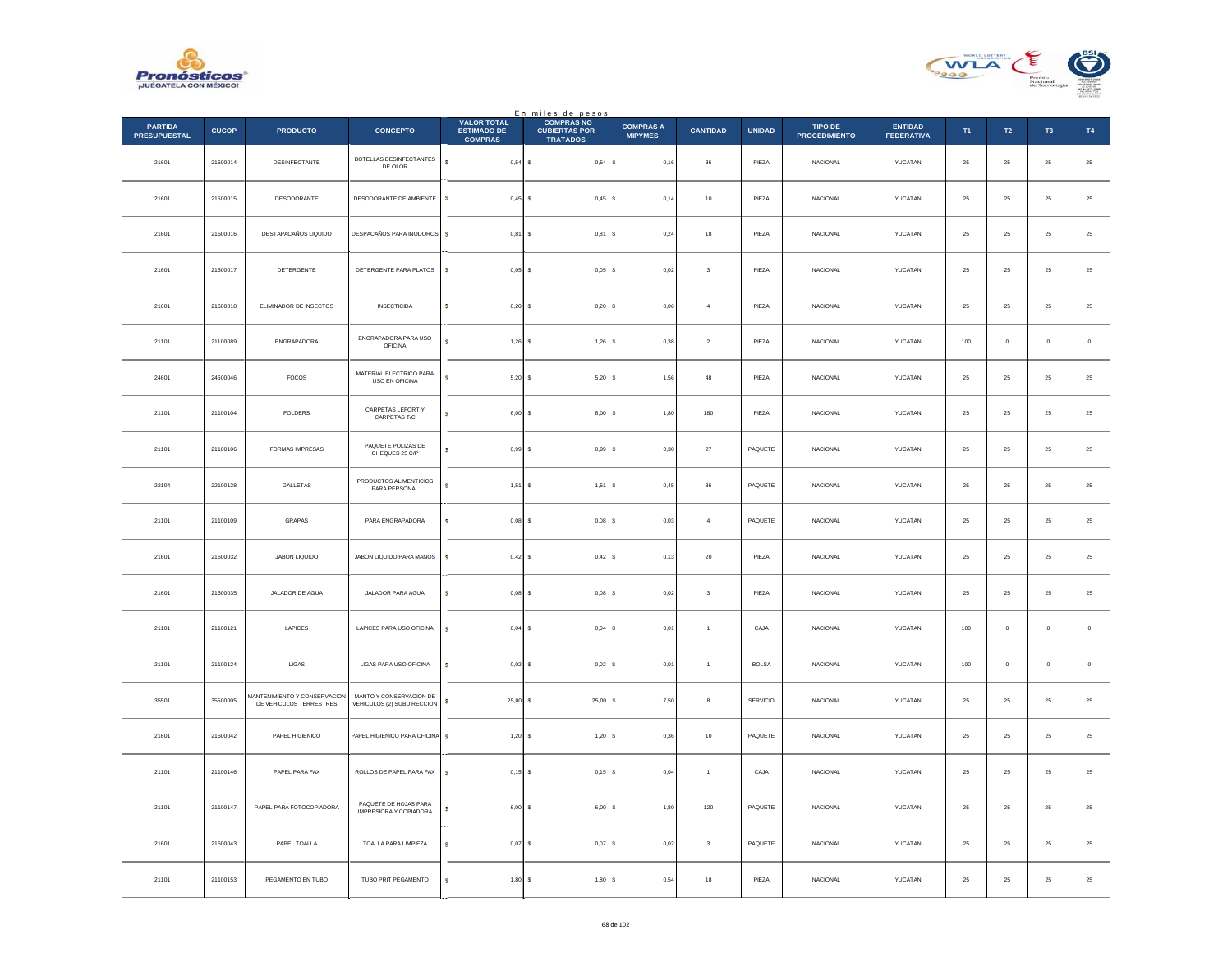



|                                       |              |                                                                |                                                       |                                                            | En miles de pesos                                            |                                    |                         |               |                                        |                                     |          |                |                |                  |
|---------------------------------------|--------------|----------------------------------------------------------------|-------------------------------------------------------|------------------------------------------------------------|--------------------------------------------------------------|------------------------------------|-------------------------|---------------|----------------------------------------|-------------------------------------|----------|----------------|----------------|------------------|
| <b>PARTIDA</b><br><b>PRESUPUESTAL</b> | <b>CUCOP</b> | <b>PRODUCTO</b>                                                | <b>CONCEPTO</b>                                       | <b>VALOR TOTAL</b><br><b>ESTIMADO DE</b><br><b>COMPRAS</b> | <b>COMPRAS NO</b><br><b>CUBIERTAS POR</b><br><b>TRATADOS</b> | <b>COMPRAS A</b><br><b>MIPYMES</b> | <b>CANTIDAD</b>         | <b>UNIDAD</b> | <b>TIPO DE</b><br><b>PROCEDIMIENTO</b> | <b>ENTIDAD</b><br><b>FEDERATIVA</b> | T1       | T2             | T <sub>3</sub> | T4               |
| 21601                                 | 21600014     | DESINFECTANTE                                                  | BOTELLAS DESINFECTANTES<br>DE OLOR                    | s<br>$0,54$ \$                                             | 0,54S                                                        | 0,16                               | 36                      | PIEZA         | <b>NACIONAL</b>                        | YUCATAN                             | 25       | 25             | 25             | $25\,$           |
| 21601                                 | 21600015     | DESODORANTE                                                    | DESODORANTE DE AMBIENTE                               | s<br>0,45S                                                 | $0,45$ \$                                                    | 0,14                               | 10                      | PIEZA         | <b>NACIONAL</b>                        | YUCATAN                             | 25       | 25             | 25             | $2\sqrt{5}$      |
| 21601                                 | 21600016     | DESTAPACAÑOS LIQUIDO                                           | DESPACAÑOS PARA INODOROS                              | S.<br>$0,81$ \$                                            | 0,81                                                         | 0,24<br>l s                        | 18                      | PIEZA         | NACIONAL                               | YUCATAN                             | 25       | ${\bf 25}$     | 25             | $25\,$           |
| 21601                                 | 21600017     | DETERGENTE                                                     | DETERGENTE PARA PLATOS                                | s<br>$0.05$ $\vert$ S                                      | $0.05$ S                                                     | 0.02                               | 3                       | PIEZA         | <b>NACIONAL</b>                        | YUCATAN                             | 25       | 25             | 25             | 25               |
| 21601                                 | 21600018     | ELIMINADOR DE INSECTOS                                         | <b>INSECTICIDA</b>                                    | s<br>$0,20$ \$                                             | 0,20                                                         | 0,06                               | $\sqrt{4}$              | PIEZA         | NACIONAL                               | YUCATAN                             | 25       | 25             | 25             | $25\,$           |
| 21101                                 | 21100089     | ENGRAPADORA                                                    | ENGRAPADORA PARA USO<br><b>OFICINA</b>                | s<br>$1,26$ \$                                             | $1,26$ \$                                                    | 0.38                               | $\overline{2}$          | PIEZA         | <b>NACIONAL</b>                        | YUCATAN                             | 100      | $\overline{0}$ | $\mathbf 0$    | $\circ$          |
| 24601                                 | 24600046     | FOCOS                                                          | MATERIAL ELECTRICO PARA<br>USO EN OFICINA             | s<br>$5,20$ \$                                             | $5,20$ \$                                                    | 1,56                               | 48                      | PIEZA         | <b>NACIONAL</b>                        | YUCATAN                             | 25       | 25             | 25             | $25\,$           |
| 21101                                 | 21100104     | <b>FOLDERS</b>                                                 | CARPETAS LEFORT Y<br>CARPETAS T/C                     | s<br>$6,00$ \$                                             | $6,00$ \$                                                    | 1,80                               | 180                     | PIEZA         | <b>NACIONAL</b>                        | YUCATAN                             | 25       | ${\bf 25}$     | 25             | $\mathbf{^{25}}$ |
| 21101                                 | 21100106     | FORMAS IMPRESAS                                                | PAQUETE POLIZAS DE<br>CHEQUES 25 C/P                  | s<br>0.99S                                                 | 0.99S                                                        | 0.30                               | 27                      | PAQUETE       | <b>NACIONAL</b>                        | YUCATAN                             | 25       | 25             | 25             | 25               |
| 22104                                 | 22100128     | GALLETAS                                                       | PRODUCTOS ALIMENTICIOS<br>PARA PERSONAL               | s<br>$1,51$ \$                                             | 1,51                                                         | 0,45                               | $36\,$                  | PAQUETE       | NACIONAL                               | YUCATAN                             | 25       | 25             | 25             | $25\,$           |
| 21101                                 | 21100109     | GRAPAS                                                         | PARA ENGRAPADORA                                      | s<br>$0,08$ \$                                             | $0,08$ \$                                                    | 0,03                               | $\overline{4}$          | PAQUETE       | NACIONAL                               | YUCATAN                             | $\bf 25$ | ${\bf 25}$     | 25             | $\mathbf{^{25}}$ |
| 21601                                 | 21600032     | JABON LIQUIDO                                                  | JABON LIQUIDO PARA MANOS                              | s<br>0,42S                                                 | 0,42S                                                        | 0,13                               | $20\,$                  | PIEZA         | <b>NACIONAL</b>                        | YUCATAN                             | 25       | 25             | 25             | $25\,$           |
| 21601                                 | 21600035     | JALADOR DE AGUA                                                | JALADOR PARA AGUA                                     | $0,08$ \$<br>s                                             | $0,08$ \$                                                    | 0,02                               | $\overline{\mathbf{3}}$ | PIEZA         | <b>NACIONAL</b>                        | YUCATAN                             | 25       | 25             | 25             | $25\,$           |
| 21101                                 | 21100121     | LAPICES                                                        | LAPICES PARA USO OFICINA                              | s<br>$0.04$ \$                                             | 0,04                                                         | 0,01<br>Ιs                         | $\mathbf{1}$            | CAJA          | <b>NACIONAL</b>                        | YUCATAN                             | 100      | $\overline{0}$ | $\mathbf 0$    | $\circ$          |
| 21101                                 | 21100124     | $_{\rm LIGAS}$                                                 | LIGAS PARA USO OFICINA                                | $0,02$ \$<br>s                                             | 0,02                                                         | 0,01                               | $\mathbf{1}$            | <b>BOLSA</b>  | NACIONAL                               | YUCATAN                             | 100      | $\mathbb O$    | $\pmb{0}$      | $\,$ 0 $\,$      |
| 35501                                 | 35500005     | <b>MANTENIMIENTO Y CONSERVACION</b><br>DE VEHICULOS TERRESTRES | MANTO Y CONSERVACION DE<br>VEHICULOS (2) SUBDIRECCION | s<br>$25,00$ \$                                            | $25,00$ \$                                                   | 7,50                               | 8                       | SERVICIO      | <b>NACIONAL</b>                        | YUCATAN                             | 25       | ${\bf 25}$     | $25\,$         | $\mathbf{^{25}}$ |
| 21601                                 | 21600042     | PAPEL HIGIENICO                                                | PAPEL HIGIENICO PARA OFICINA \$                       | $1,20$ \$                                                  | 1,20S                                                        | 0,36                               | 10                      | PAQUETE       | <b>NACIONAL</b>                        | YUCATAN                             | 25       | 25             | 25             | 25               |
| 21101                                 | 21100146     | PAPEL PARA FAX                                                 | ROLLOS DE PAPEL PARA FAX                              | s.<br>$0,15$ \$                                            | $0,15$ \$                                                    | 0,04                               | $\overline{1}$          | CAJA          | NACIONAL                               | YUCATAN                             | $25\,$   | 25             | 25             | $25\,$           |
| 21101                                 | 21100147     | PAPEL PARA FOTOCOPIADORA                                       | PAQUETE DE HOJAS PARA<br>IMPRESIORA Y COPIADORA       | $6,00$ \$<br>s                                             | $6,00$ \$                                                    | 1,80                               | 120                     | PAQUETE       | NACIONAL                               | YUCATAN                             | 25       | 25             | 25             | $25\,$           |
| 21601                                 | 21600043     | PAPEL TOALLA                                                   | TOALLA PARA LIMPIEZA                                  | 0,07<br>s                                                  | 0,07<br>-S                                                   | 0,02                               | $\sqrt{3}$              | PAQUETE       | <b>NACIONAL</b>                        | YUCATAN                             | 25       | 25             | 25             | $25\,$           |
| 21101                                 | 21100153     | PEGAMENTO EN TUBO                                              | TUBO PRIT PEGAMENTO                                   | 1,80S<br>s                                                 | 1,80                                                         | 0,54                               | 18                      | PIEZA         | NACIONAL                               | YUCATAN                             | $\bf 25$ | ${\bf 25}$     | $25\,$         | $25\,$           |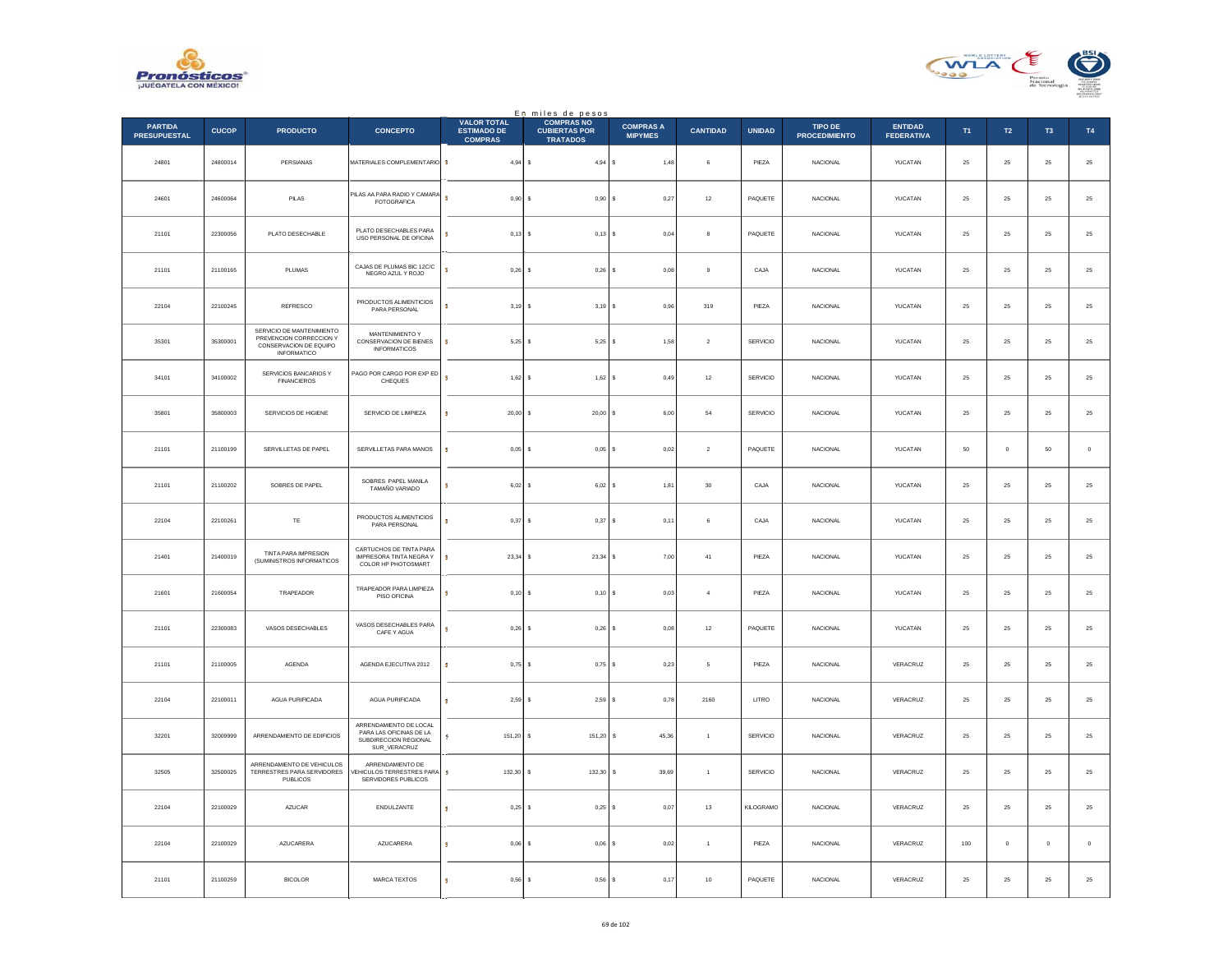



|                                       |              |                                                                                                      |                                                                                            |                                                            | En miles de pesos<br>COMPRAS NO         |                                    |                 |                 |                                 |                                     |        |                |                     |                  |
|---------------------------------------|--------------|------------------------------------------------------------------------------------------------------|--------------------------------------------------------------------------------------------|------------------------------------------------------------|-----------------------------------------|------------------------------------|-----------------|-----------------|---------------------------------|-------------------------------------|--------|----------------|---------------------|------------------|
| <b>PARTIDA</b><br><b>PRESUPUESTAL</b> | <b>CUCOP</b> | <b>PRODUCTO</b>                                                                                      | <b>CONCEPTO</b>                                                                            | <b>VALOR TOTAL</b><br><b>ESTIMADO DE</b><br><b>COMPRAS</b> | <b>CUBIERTAS POR</b><br><b>TRATADOS</b> | <b>COMPRAS A</b><br><b>MIPYMES</b> | <b>CANTIDAD</b> | <b>UNIDAD</b>   | TIPO DE<br><b>PROCEDIMIENTO</b> | <b>ENTIDAD</b><br><b>FEDERATIVA</b> | T1     | <b>T2</b>      | T <sub>3</sub>      | <b>T4</b>        |
| 24801                                 | 24800014     | PERSIANAS                                                                                            | MATERIALES COMPLEMENTARIO \$                                                               | $4,94$ \$                                                  | 4,94S                                   | 1,48                               | 6               | PIEZA           | NACIONAL                        | YUCATAN                             | $25\,$ | $\bf 25$       | $\bf 25$            | $25\,$           |
| 24601                                 | 24600064     | PILAS                                                                                                | PILAS AA PARA RADIO Y CAMARA<br>FOTOGRAFICA                                                | s.<br>$0,90$ \$                                            | 0.90 S                                  | 0.27                               | 12              | PAQUETE         | <b>NACIONAL</b>                 | YUCATAN                             | 25     | 25             | 25                  | 25               |
| 21101                                 | 22300056     | PLATO DESECHABLE                                                                                     | PLATO DESECHABLES PARA<br>USO PERSONAL DE OFICINA                                          | ś<br>0,13                                                  | I۶<br>$0,13$ \$                         | 0,04                               | 8               | PAQUETE         | NACIONAL                        | YUCATAN                             | 25     | $25\,$         | 25                  | $25\,$           |
| 21101                                 | 21100165     | PLUMAS                                                                                               | CAJAS DE PLUMAS BIC 12C/C<br>NEGRO AZUL Y ROJO                                             | ś<br>0.26                                                  | Ιs<br>$0,26$ \$                         | 0.08                               | $\mathbf{Q}$    | CAJA            | <b>NACIONAL</b>                 | YUCATAN                             | 25     | 25             | 25                  | $25\,$           |
| 22104                                 | 22100245     | REFRESCO                                                                                             | PRODUCTOS ALIMENTICIOS<br>PARA PERSONAL                                                    | ś<br>3,19                                                  | $3,19$ \$<br>s                          | 0,96                               | 319             | PIEZA           | NACIONAL                        | YUCATAN                             | $25\,$ | $\bf 25$       | $2\sqrt{5}$         | $25\,$           |
| 35301                                 | 35300001     | SERVICIO DE MANTENIMIENTO<br>PREVENCION CORRECCION Y<br>CONSERVACION DE EQUIPO<br><b>INFORMATICO</b> | MANTENIMIENTO Y<br>CONSERVACION DE BIENES<br><b>INFORMATICOS</b>                           | s<br>$5.25$ \$                                             | $5.25$ \$                               | 1.58                               | $\overline{2}$  | SERVICIO        | <b>NACIONAL</b>                 | YUCATAN                             | 25     | 25             | 25                  | $\mathbf{^{25}}$ |
| 34101                                 | 34100002     | SERVICIOS BANCARIOS Y<br><b>FINANCIEROS</b>                                                          | PAGO POR CARGO POR EXP ED<br><b>CHEQUES</b>                                                | ś<br>$1,62$ \$                                             | 1,62S                                   | 0,49                               | $12\,$          | SERVICIO        | <b>NACIONAL</b>                 | YUCATAN                             | 25     | 25             | 25                  | $25\,$           |
| 35801                                 | 35800003     | SERVICIOS DE HIGIENE                                                                                 | SERVICIO DE LIMPIEZA                                                                       | s<br>$20,00$ \$                                            | $20,00$ \$                              | 6.00                               | 54              | SERVICIO        | <b>NACIONAL</b>                 | YUCATAN                             | 25     | 25             | 25                  | 25               |
| 21101                                 | 21100199     | SERVILLETAS DE PAPEL                                                                                 | SERVILLETAS PARA MANOS                                                                     | 0.05<br>Ś                                                  | $0.05$ $S$<br>-S                        | 0.02                               | $\sqrt{2}$      | PAQUETE         | <b>NACIONAL</b>                 | YUCATAN                             | 50     | $\mathbf 0$    | 50                  | $\mathbb O$      |
| 21101                                 | 21100202     | SOBRES DE PAPEL                                                                                      | SOBRES PAPEL MANILA<br>TAMAÑO VARIADO                                                      | ś<br>$6,02$ \$                                             | $6,02$ \$                               | 1,81                               | 30              | CAJA            | NACIONAL                        | YUCATAN                             | 25     | 25             | $25\,$              | $\mathbf{^{25}}$ |
| 22104                                 | 22100261     | TE                                                                                                   | PRODUCTOS ALIMENTICIOS<br>PARA PERSONAL                                                    | s<br>$0,37$ \$                                             | $0.37$ S                                | 0.11                               | 6               | CAJA            | <b>NACIONAL</b>                 | YUCATAN                             | 25     | 25             | 25                  | $25\,$           |
| 21401                                 | 21400019     | TINTA PARA IMPRESION<br>(SUMINISTROS INFORMATICOS                                                    | CARTUCHOS DE TINTA PARA<br>IMPRESORA TINTA NEGRA Y<br>COLOR HP PHOTOSMART                  | 23,34<br>s                                                 | $23,34$ \$<br>s                         | 7,00                               | 41              | PIEZA           | NACIONAL                        | YUCATAN                             | 25     | 25             | 25                  | $25\,$           |
| 21601                                 | 21600054     | TRAPEADOR                                                                                            | TRAPEADOR PARA LIMPIEZA<br>PISO OFICINA                                                    | ś<br>0.10                                                  | ١s<br>$0.10$ S                          | 0.03                               | $\overline{a}$  | PIEZA           | <b>NACIONAL</b>                 | <b>YUCATAN</b>                      | 25     | 25             | 25                  | $25\,$           |
| 21101                                 | 22300083     | VASOS DESECHABLES                                                                                    | VASOS DESECHABLES PARA<br>CAFE Y AGUA                                                      | 0,26<br>ś                                                  | 0,26<br>s                               | 0,08                               | $12\,$          | PAQUETE         | NACIONAL                        | YUCATAN                             | $25\,$ | $\bf 25$       | $2\sqrt{5}$         | $25\,$           |
| 21101                                 | 21100005     | <b>AGENDA</b>                                                                                        | AGENDA EJECUTIVA 2012                                                                      | s<br>0.75S                                                 | $0,75$ \$                               | 0,23                               | 5               | PIEZA           | NACIONAL                        | VERACRUZ                            | 25     | 25             | 25                  | $25\,$           |
| 22104                                 | 22100011     | AGUA PURIFICADA                                                                                      | AGUA PURIFICADA                                                                            | $2,59$ \$<br>s                                             | 2,59S                                   | 0,78                               | 2160            | LITRO           | NACIONAL                        | VERACRUZ                            | 25     | 25             | 25                  | $25\,$           |
| 32201                                 | 32009999     | ARRENDAMIENTO DE EDIFICIOS                                                                           | ARRENDAMIENTO DE LOCAL<br>PARA LAS OFICINAS DE LA<br>SUBDIRECCION REGIONAL<br>SUR_VERACRUZ | 151,20<br>s                                                | l s<br>151,20                           | $\mathbf{s}$<br>45.36              | $\overline{1}$  | <b>SERVICIO</b> | <b>NACIONAL</b>                 | VERACRUZ                            | 25     | 25             | 25                  | $25\,$           |
| 32505                                 | 32500025     | ARRENDAMIENTO DE VEHICULOS<br>TERRESTRES PARA SERVIDORES<br>PUBLICOS                                 | ARRENDAMIENTO DE<br>EHICULOS TERRESTRES PARA<br>SERVIDORES PUBLICOS                        | 132,30<br>s                                                | $132,30$ \$<br>١s                       | 39,69                              | $\mathbf{1}$    | SERVICIO        | <b>NACIONAL</b>                 | VERACRUZ                            | 25     | 25             | 25                  | $25\,$           |
| 22104                                 | 22100029     | AZUCAR                                                                                               | ENDULZANTE                                                                                 | Ś<br>$0,25$ \$                                             | $0,25$ \$                               | 0,07                               | 13              | KILOGRAMO       | NACIONAL                        | VERACRUZ                            | 25     | 25             | 25                  | $\mathbf{^{25}}$ |
| 22104                                 | 22100029     | AZUCARERA                                                                                            | AZUCARERA                                                                                  | s<br>0,06                                                  | $0.06$ S<br>Ιs                          | 0.02                               | $\overline{1}$  | PIEZA           | <b>NACIONAL</b>                 | VERACRUZ                            | 100    | $\overline{0}$ | $\ddot{\mathbf{0}}$ | $\mathbf 0$      |
| 21101                                 | 21100259     | <b>BICOLOR</b>                                                                                       | MARCA TEXTOS                                                                               | 0,56<br>s                                                  | I۶<br>$0,56$ \$                         | 0,17                               | 10              | PAQUETE         | NACIONAL                        | VERACRUZ                            | 25     | 25             | 25                  | $25\,$           |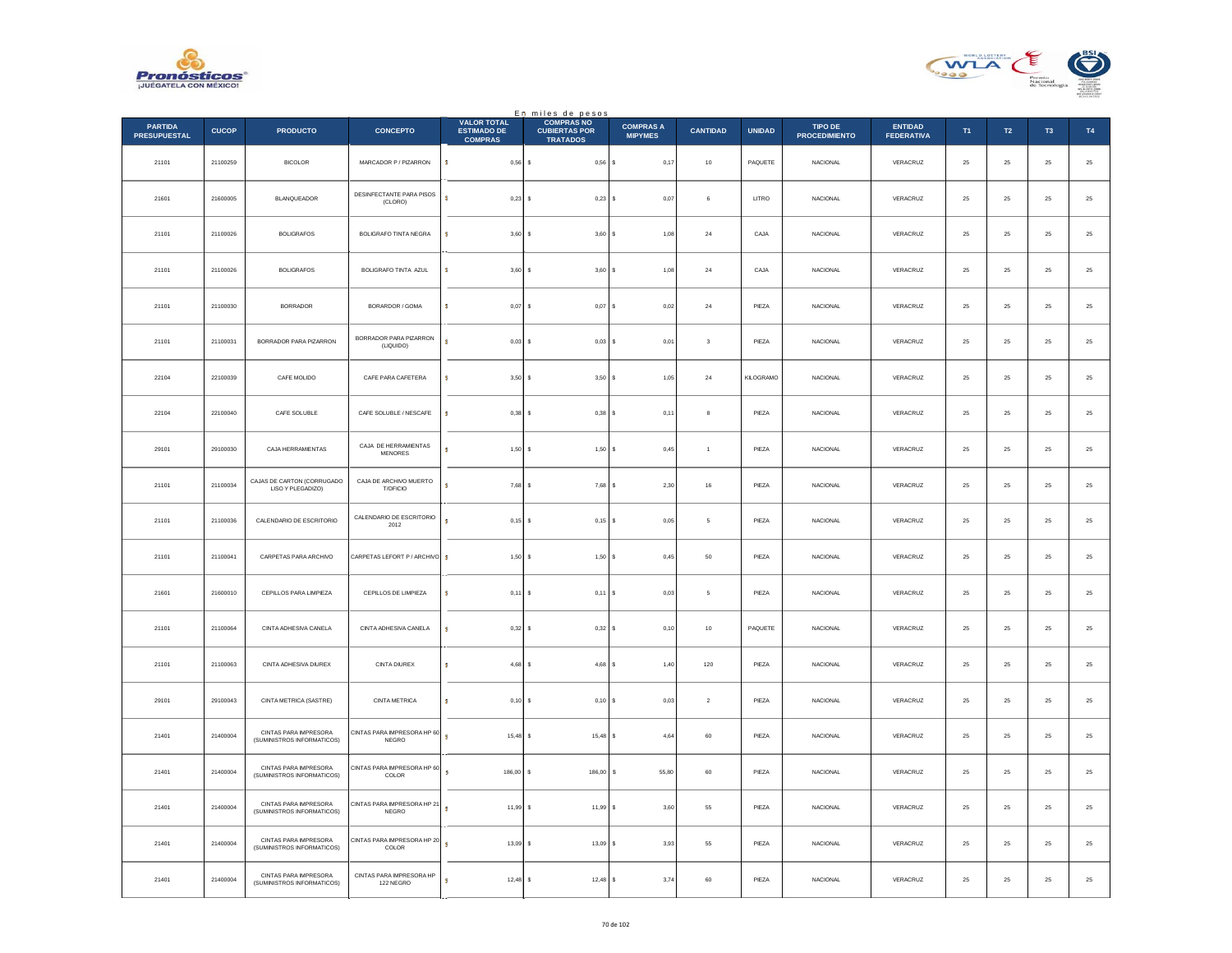



|                                       |              |                                                     |                                             |                                                            | En miles de pesos                                            |                                    |                 |               |                                 |                                     |          |             |                |                  |
|---------------------------------------|--------------|-----------------------------------------------------|---------------------------------------------|------------------------------------------------------------|--------------------------------------------------------------|------------------------------------|-----------------|---------------|---------------------------------|-------------------------------------|----------|-------------|----------------|------------------|
| <b>PARTIDA</b><br><b>PRESUPUESTAL</b> | <b>CUCOP</b> | <b>PRODUCTO</b>                                     | <b>CONCEPTO</b>                             | <b>VALOR TOTAL</b><br><b>ESTIMADO DE</b><br><b>COMPRAS</b> | <b>COMPRAS NO</b><br><b>CUBIERTAS POR</b><br><b>TRATADOS</b> | <b>COMPRAS A</b><br><b>MIPYMES</b> | <b>CANTIDAD</b> | <b>UNIDAD</b> | TIPO DE<br><b>PROCEDIMIENTO</b> | <b>ENTIDAD</b><br><b>FEDERATIVA</b> | T1       | T2          | T <sub>3</sub> | T4               |
| 21101                                 | 21100259     | <b>BICOLOR</b>                                      | MARCADOR P / PIZARRON                       | $\mathbf{s}$<br>$0,56$ \$                                  | $0,56$ \$                                                    | 0,17                               | 10              | PAQUETE       | <b>NACIONAL</b>                 | VERACRUZ                            | 25       | 25          | 25             | $25\,$           |
| 21601                                 | 21600005     | BLANQUEADOR                                         | DESINFECTANTE PARA PISOS<br>(CLORO)         | s<br>$0,23$ \$                                             | $0,23$ \$                                                    | 0,07                               | 6               | LITRO         | <b>NACIONAL</b>                 | VERACRUZ                            | 25       | 25          | 25             | $25\,$           |
| 21101                                 | 21100026     | <b>BOLIGRAFOS</b>                                   | <b>BOLIGRAFO TINTA NEGRA</b>                | s<br>3,60S                                                 | 3,60S                                                        | 1,08                               | 24              | CAJA          | NACIONAL                        | VERACRUZ                            | 25       | ${\bf 25}$  | $25\,$         | $25\,$           |
| 21101                                 | 21100026     | <b>BOLIGRAFOS</b>                                   | BOLIGRAFO TINTA AZUL                        | s<br>$3,60$ \$                                             | 3.60                                                         | 1.08                               | 24              | CAJA          | <b>NACIONAL</b>                 | VERACRUZ                            | 25       | 25          | 25             | 25               |
| 21101                                 | 21100030     | <b>BORRADOR</b>                                     | BORARDOR / GOMA                             | s<br>$0,07$ \$                                             | 0,07                                                         | 0,02                               | $\bf{24}$       | PIEZA         | <b>NACIONAL</b>                 | VERACRUZ                            | $\bf 25$ | $2\sqrt{5}$ | $25\,$         | $25\,$           |
| 21101                                 | 21100031     | <b>BORRADOR PARA PIZARRON</b>                       | BORRADOR PARA PIZARRON<br>(LIQUIDO)         | ś<br>$0.03$ \$                                             | $0,03$ \$                                                    | 0,01                               | 3               | PIEZA         | <b>NACIONAL</b>                 | VERACRUZ                            | 25       | 25          | 25             | $\mathbf{^{25}}$ |
| 22104                                 | 22100039     | CAFE MOLIDO                                         | CAFE PARA CAFETERA                          | s<br>3,50S                                                 | 3,50S                                                        | 1,05                               | $\bf{^{24}}$    | KILOGRAMO     | <b>NACIONAL</b>                 | VERACRUZ                            | 25       | $25\,$      | 25             | $25\,$           |
| 22104                                 | 22100040     | CAFE SOLUBLE                                        | CAFE SOLUBLE / NESCAFE                      | s<br>$0,38$ \$                                             | $0,38$ \$                                                    | 0,11                               | 8               | PIEZA         | NACIONAL                        | VERACRUZ                            | $25\,$   | $25\,$      | 25             | $25\,$           |
| 29101                                 | 29100030     | CAJA HERRAMIENTAS                                   | CAJA DE HERRAMIENTAS<br>MENORES             | s<br>1,50S                                                 | $1,50$ \$                                                    | 0,45                               | $\mathbf{1}$    | PIEZA         | <b>NACIONAL</b>                 | VERACRUZ                            | 25       | 25          | 25             | $25\,$           |
| 21101                                 | 21100034     | CAJAS DE CARTON (CORRUGADO<br>LISO Y PLEGADIZO)     | CAJA DE ARCHIVO MUERTO<br>T/OFICIO          | $7,68$ \$<br>ś                                             | 7,68                                                         | 2,30                               | $16\,$          | PIEZA         | NACIONAL                        | VERACRUZ                            | 25       | 25          | $2\sqrt{5}$    | $25\,$           |
| 21101                                 | 21100036     | CALENDARIO DE ESCRITORIO                            | CALENDARIO DE ESCRITORIO<br>2012            | $\bullet$<br>$0,15$ \$                                     | $0,15$ \$                                                    | 0,05                               | $\mathsf{s}$    | PIEZA         | NACIONAL                        | VERACRUZ                            | 25       | $25\,$      | ${\bf 25}$     | $25\,$           |
| 21101                                 | 21100041     | CARPETAS PARA ARCHIVO                               | CARPETAS LEFORT P / ARCHIVO \$              | $1,50$ \$                                                  | 1,50S                                                        | 0.45                               | 50              | PIEZA         | <b>NACIONAL</b>                 | VERACRUZ                            | 25       | 25          | 25             | 25               |
| 21601                                 | 21600010     | CEPILLOS PARA LIMPIEZA                              | CEPILLOS DE LIMPIEZA                        | s<br>$0,11$ \$                                             | 0,11                                                         | 0,03<br>l s                        | 5               | PIEZA         | NACIONAL                        | VERACRUZ                            | $25\,$   | 25          | 25             | $25\,$           |
| 21101                                 | 21100064     | CINTA ADHESIVA CANELA                               | CINTA ADHESIVA CANELA                       | s<br>$0.32$ \$                                             | $0,32$ \$                                                    | 0,10                               | 10              | PAQUETE       | <b>NACIONAL</b>                 | VERACRUZ                            | 25       | 25          | 25             | $25\,$           |
| 21101                                 | 21100063     | CINTA ADHESIVA DIUREX                               | CINTA DIUREX                                | $4,68$ \$<br>s.                                            | 4,68                                                         | 1,40                               | 120             | PIEZA         | <b>NACIONAL</b>                 | VERACRUZ                            | 25       | 25          | 25             | $25\,$           |
| 29101                                 | 29100043     | CINTA METRICA (SASTRE)                              | CINTA METRICA                               | ś<br>$0,10$ \$                                             | 0, 10                                                        | 0,03                               | $\sqrt{2}$      | PIEZA         | NACIONAL                        | VERACRUZ                            | 25       | 25          | 25             | $25\,$           |
| 21401                                 | 21400004     | CINTAS PARA IMPRESORA<br>(SUMINISTROS INFORMATICOS) | CINTAS PARA IMPRESORA HP 60<br>NEGRO        | s.<br>$15.48$ S                                            | $15.48$ S                                                    | 4.64                               | 60              | PIEZA         | <b>NACIONAL</b>                 | VERACRUZ                            | 25       | 25          | 25             | 25               |
| 21401                                 | 21400004     | CINTAS PARA IMPRESORA<br>(SUMINISTROS INFORMATICOS) | CINTAS PARA IMPRESORA HP 60<br>COLOR        | s<br>186,00 \$                                             | 186,00                                                       | 55,80<br>s                         | 60              | PIEZA         | <b>NACIONAL</b>                 | VERACRUZ                            | 25       | 25          | 25             | $25\,$           |
| 21401                                 | 21400004     | CINTAS PARA IMPRESORA<br>(SUMINISTROS INFORMATICOS) | CINTAS PARA IMPRESORA HP 21<br><b>NEGRO</b> | s<br>$11,99$ \$                                            | 11,99 \$                                                     | 3,60                               | 55              | PIEZA         | <b>NACIONAL</b>                 | VERACRUZ                            | 25       | ${\bf 25}$  | 25             | $25\,$           |
| 21401                                 | 21400004     | CINTAS PARA IMPRESORA<br>(SUMINISTROS INFORMATICOS) | CINTAS PARA IMPRESORA HP 20<br>COLOR        | s<br>$13.09$ S                                             | 13,09                                                        | 3.93<br>s                          | 55              | PIEZA         | <b>NACIONAL</b>                 | VERACRUZ                            | 25       | 25          | 25             | 25               |
| 21401                                 | 21400004     | CINTAS PARA IMPRESORA<br>(SUMINISTROS INFORMATICOS) | CINTAS PARA IMPRESORA HP<br>122 NEGRO       | $12,48$ \$<br>ś                                            | 12,48                                                        | 3,74                               | 60              | PIEZA         | NACIONAL                        | VERACRUZ                            | 25       | 25          | 25             | $25\,$           |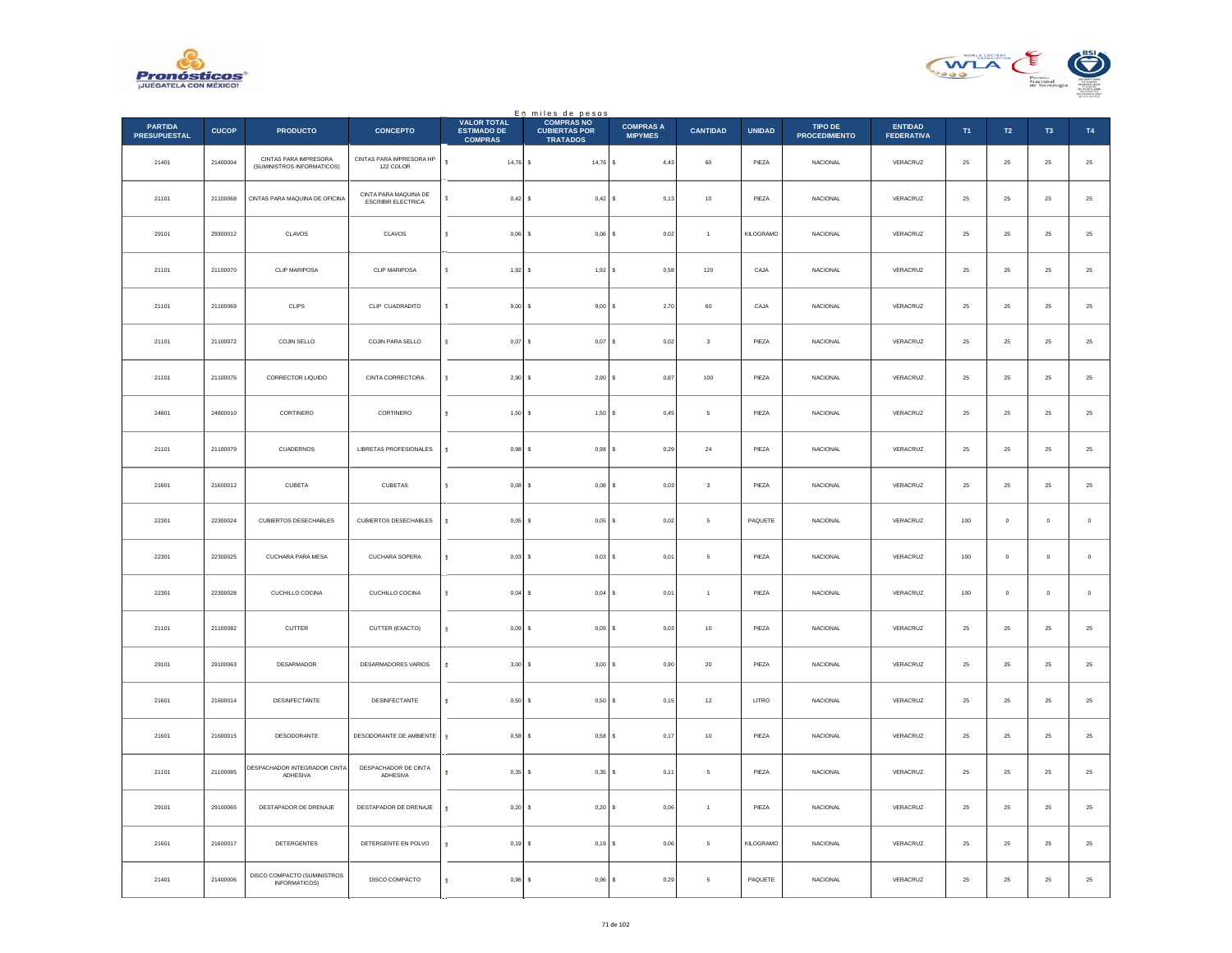



|                                       |              |                                                     |                                             |                                                            | En miles de pesos<br>COMPRAS NO         |                                    |                 |               |                                        |                                     |            |                |               |             |
|---------------------------------------|--------------|-----------------------------------------------------|---------------------------------------------|------------------------------------------------------------|-----------------------------------------|------------------------------------|-----------------|---------------|----------------------------------------|-------------------------------------|------------|----------------|---------------|-------------|
| <b>PARTIDA</b><br><b>PRESUPUESTAL</b> | <b>CUCOP</b> | <b>PRODUCTO</b>                                     | <b>CONCEPTO</b>                             | <b>VALOR TOTAL</b><br><b>ESTIMADO DE</b><br><b>COMPRAS</b> | <b>CUBIERTAS POR</b><br><b>TRATADOS</b> | <b>COMPRAS A</b><br><b>MIPYMES</b> | <b>CANTIDAD</b> | <b>UNIDAD</b> | <b>TIPO DE</b><br><b>PROCEDIMIENTO</b> | <b>ENTIDAD</b><br><b>FEDERATIVA</b> | T1         | T2             | T3            | <b>T4</b>   |
| 21401                                 | 21400004     | CINTAS PARA IMPRESORA<br>(SUMINISTROS INFORMATICOS) | CINTAS PARA IMPRESORA HP<br>122 COLOR       | s.<br>$14,76$ \$                                           | 14,76 \$                                | 4,43                               | $_{\rm 60}$     | PIEZA         | <b>NACIONAL</b>                        | VERACRUZ                            | $\bf 25$   | 25             | $25\,$        | $25\,$      |
| 21101                                 | 21100068     | CINTAS PARA MAQUINA DE OFICINA                      | CINTA PARA MAQUINA DE<br>ESCRIBIR ELECTRICA | s.<br>$0,42$ \$                                            | $0,42$ \$                               | 0,13                               | 10              | PIEZA         | <b>NACIONAL</b>                        | VERACRUZ                            | 25         | 25             | 25            | $25\,$      |
| 29101                                 | 29300012     | CLAVOS                                              | CLAVOS                                      | s<br>$0,06$ \$                                             | $0,06$ \$                               | 0,02                               | $\mathbf{1}$    | KILOGRAMO     | <b>NACIONAL</b>                        | VERACRUZ                            | 25         | 25             | 25            | $25\,$      |
| 21101                                 | 21100070     | CLIP MARIPOSA                                       | CLIP MARIPOSA                               | s.<br>$1.92$ S                                             | 1,92S                                   | 0.58                               | 120             | CAJA          | <b>NACIONAL</b>                        | VERACRUZ                            | 25         | $25\,$         | 25            | $25\,$      |
| 21101                                 | 21100069     | CLIPS                                               | CLIP CUADRADITO                             | s<br>$9,00$ \$                                             | 9,00                                    | 2,70                               | $_{\rm 60}$     | CAJA          | NACIONAL                               | VERACRUZ                            | $25\,$     | $2\sqrt{5}$    | $2\mathsf{S}$ | $25\,$      |
| 21101                                 | 21100072     | COJIN SELLO                                         | COJIN PARA SELLO                            | ś<br>$0,07$ \$                                             | 0.07S                                   | 0,02                               | 3               | PIEZA         | <b>NACIONAL</b>                        | VERACRUZ                            | 25         | 25             | 25            | $\bf 25$    |
| 21101                                 | 21100076     | CORRECTOR LIQUIDO                                   | CINTA CORRECTORA                            | s<br>2,90S                                                 | 2,90S                                   | 0,87                               | 100             | PIEZA         | <b>NACIONAL</b>                        | VERACRUZ                            | 25         | 25             | 25            | $25\,$      |
| 24801                                 | 24800010     | CORTINERO                                           | CORTINERO                                   | s.<br>$1,50$ \$                                            | $1,50$ S                                | 0,45                               | 5               | PIEZA         | <b>NACIONAL</b>                        | VERACRUZ                            | 25         | 25             | 25            | 25          |
| 21101                                 | 21100079     | CUADERNOS                                           | LIBRETAS PROFESIONALES                      | s<br>0.98S                                                 | $0,98$ \$                               | 0,29                               | $\bf{^{24}}$    | PIEZA         | <b>NACIONAL</b>                        | VERACRUZ                            | 25         | 25             | 25            | $25\,$      |
| 21601                                 | 21600012     | CUBETA                                              | <b>CUBETAS</b>                              | s<br>$0,08$ \$                                             | $0,08$ \$                               | 0,03                               | $\mathbf 3$     | PIEZA         | <b>NACIONAL</b>                        | VERACRUZ                            | ${\bf 25}$ | ${\bf 25}$     | 25            | $\bf 25$    |
| 22301                                 | 22300024     | CUBIERTOS DESECHABLES                               | CUBIERTOS DESECHABLES                       | s<br>$0,05$ \$                                             | 0.05S                                   | 0.02                               | 5               | PAQUETE       | <b>NACIONAL</b>                        | VERACRUZ                            | 100        | $\overline{0}$ | $\mathbf{0}$  | $\mathbf 0$ |
| 22301                                 | 22300025     | CUCHARA PARA MESA                                   | CUCHARA SOPERA                              | s<br>$0,03$ \$                                             | $0,03$ \$                               | 0,01                               | 5               | PIEZA         | <b>NACIONAL</b>                        | VERACRUZ                            | 100        | $\mathbb O$    | $\mathbf 0$   | $\,$ 0 $\,$ |
| 22301                                 | 22300028     | CUCHILLO COCINA                                     | CUCHILLO COCINA                             | s<br>$0.04$ S                                              | 0.04S                                   | 0.01                               | $\overline{1}$  | PIEZA         | <b>NACIONAL</b>                        | VERACRUZ                            | 100        | $\Omega$       | $\Omega$      | $\,$ 0 $\,$ |
| 21101                                 | 21100082     | CUTTER                                              | CUTTER (EXACTO)                             | s<br>$0,09$ \$                                             | 0,09                                    | 0,03                               | $10\,$          | PIEZA         | NACIONAL                               | VERACRUZ                            | $25\,$     | $2\sqrt{5}$    | $2\mathsf{S}$ | $25\,$      |
| 29101                                 | 29100063     | DESARMADOR                                          | DESARMADORES VARIOS                         | s<br>$3,00$ $\,$ $\,$ $\,$                                 | 3,00S                                   | 0,90                               | 20              | PIEZA         | <b>NACIONAL</b>                        | VERACRUZ                            | 25         | 25             | 25            | $25\,$      |
| 21601                                 | 21600014     | DESINFECTANTE                                       | DESINFECTANTE                               | s<br>$0,50$ \$                                             | 0,50S                                   | 0,15                               | $12\,$          | LITRO         | <b>NACIONAL</b>                        | VERACRUZ                            | 25         | 25             | 25            | $25\,$      |
| 21601                                 | 21600015     | DESODORANTE                                         | DESODORANTE DE AMBIENTE                     | s<br>$0,58$ \$                                             | $0,58$ \$                               | 0,17                               | 10              | PIEZA         | <b>NACIONAL</b>                        | VERACRUZ                            | 25         | 25             | 25            | $25\,$      |
| 21101                                 | 21100085     | DESPACHADOR INTEGRADOR CINTA<br>ADHESIVA            | DESPACHADOR DE CINTA<br>ADHESIVA            | s<br>$0.35$ \$                                             | 0.35S                                   | 0,11                               | 5               | PIEZA         | <b>NACIONAL</b>                        | VERACRUZ                            | 25         | 25             | 25            | $25\,$      |
| 29101                                 | 29100065     | DESTAPADOR DE DRENAJE                               | DESTAPADOR DE DRENAJE                       | s<br>$0,20$ \$                                             | 0,20S                                   | 0,06                               | $\mathbf{1}$    | PIEZA         | NACIONAL                               | VERACRUZ                            | $\bf 25$   | ${\bf 25}$     | 25            | $\bf 25$    |
| 21601                                 | 21600017     | <b>DETERGENTES</b>                                  | DETERGENTE EN POLVO                         | s<br>$0,19$ \$                                             | 0,19S                                   | 0.06                               | 5               | KILOGRAMO     | <b>NACIONAL</b>                        | VERACRUZ                            | 25         | 25             | 25            | $25\,$      |
| 21401                                 | 21400006     | DISCO COMPACTO (SUMINISTROS<br>INFORMATICOS)        | DISCO COMPACTO                              | s<br>$0,96$ \$                                             | $0,96$ \$                               | 0,29                               | 5               | PAQUETE       | <b>NACIONAL</b>                        | VERACRUZ                            | 25         | 25             | 25            | $25\,$      |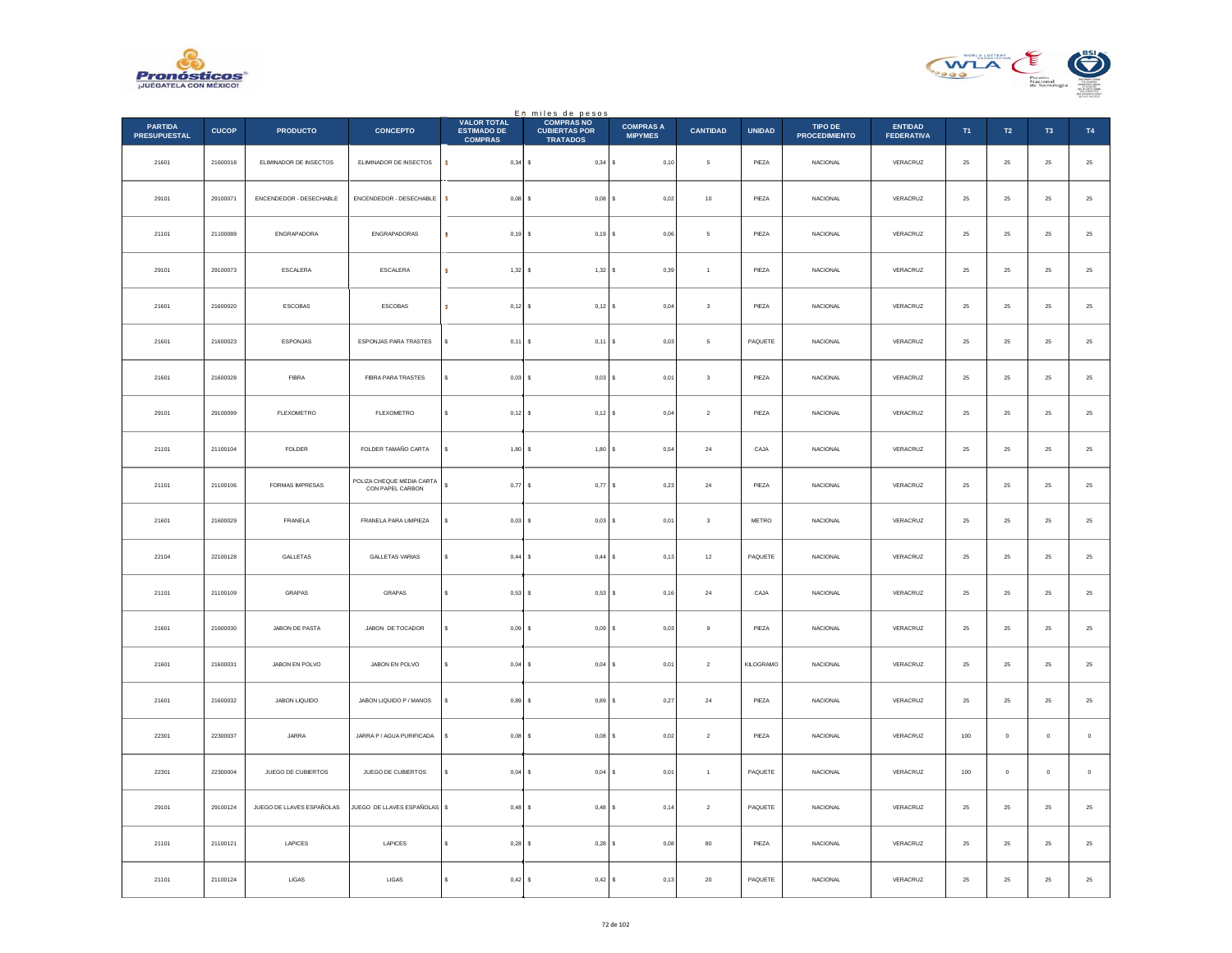



|                                       |              |                           |                                               | <b>VALOR TOTAL</b>                   | En miles de pesos<br><b>COMPRAS NO</b>  |                                    |                          |               |                                        |                                     |          |                  |                |               |
|---------------------------------------|--------------|---------------------------|-----------------------------------------------|--------------------------------------|-----------------------------------------|------------------------------------|--------------------------|---------------|----------------------------------------|-------------------------------------|----------|------------------|----------------|---------------|
| <b>PARTIDA</b><br><b>PRESUPUESTAL</b> | <b>CUCOP</b> | <b>PRODUCTO</b>           | <b>CONCEPTO</b>                               | <b>ESTIMADO DE</b><br><b>COMPRAS</b> | <b>CUBIERTAS POR</b><br><b>TRATADOS</b> | <b>COMPRAS A</b><br><b>MIPYMES</b> | <b>CANTIDAD</b>          | <b>UNIDAD</b> | <b>TIPO DE</b><br><b>PROCEDIMIENTO</b> | <b>ENTIDAD</b><br><b>FEDERATIVA</b> | T1       | $\mathsf{T2}$    | T <sub>3</sub> | T4            |
| 21601                                 | 21600018     | ELIMINADOR DE INSECTOS    | ELIMINADOR DE INSECTOS                        | $\mathsf{s}$<br>$0,34$ \$            | $0,34$ \$                               | 0,10                               | $\mathsf{s}$             | PIEZA         | <b>NACIONAL</b>                        | VERACRUZ                            | $\bf 25$ | $25\,$           | $\bf 25$       | $25\,$        |
| 29101                                 | 29100071     | ENCENDEDOR - DESECHABLE   | ENCENDEDOR - DESECHABLE                       | s<br>$0.08$ $\sqrt{5}$               | $0,08$ \$                               | 0.02                               | 10                       | PIEZA         | <b>NACIONAL</b>                        | VERACRUZ                            | 25       | ${\bf 25}$       | 25             | $25\,$        |
| 21101                                 | 21100089     | ENGRAPADORA               | ENGRAPADORAS                                  | $0,19$ \$<br>s                       | 0,19S                                   | 0,06                               | 5                        | PIEZA         | NACIONAL                               | VERACRUZ                            | $\bf 25$ | $25\,$           | $25\,$         | 25            |
| 29101                                 | 29100073     | ESCALERA                  | ESCALERA                                      | s<br>$1,32$ \$                       | 1,32S                                   | 0,39                               | $\overline{1}$           | PIEZA         | <b>NACIONAL</b>                        | VERACRUZ                            | $\bf 25$ | ${\bf 25}$       | $\bf 25$       | $25\,$        |
| 21601                                 | 21600020     | ESCOBAS                   | ESCOBAS                                       | $0,12$ \$<br>s                       | $0,12$ \$                               | 0,04                               | $\sqrt{3}$               | PIEZA         | NACIONAL                               | VERACRUZ                            | 25       | 25               | 25             | $25\,$        |
| 21601                                 | 21600023     | ESPONJAS                  | ESPONJAS PARA TRASTES                         | $0,11$ \$<br>×.                      | $0,11$ S                                | 0,03                               | $\overline{\phantom{a}}$ | PAQUETE       | NACIONAL                               | VERACRUZ                            | $\bf 25$ | $25\phantom{.0}$ | 25             | $25\,$        |
| 21601                                 | 21600028     | <b>FIBRA</b>              | FIBRA PARA TRASTES                            | s<br>$0,03$ \$                       | $0.03$ $S$                              | 0,01                               | $\mathbf{3}$             | PIEZA         | <b>NACIONAL</b>                        | VERACRUZ                            | 25       | 25               | 25             | $25\,$        |
| 29101                                 | 29100099     | FLEXOMETRO                | FLEXOMETRO                                    | \$<br>$0,12$ \$                      | $0,12$ \$                               | 0,04                               | $\sqrt{2}$               | PIEZA         | NACIONAL                               | VERACRUZ                            | $\bf 25$ | ${\bf 25}$       | 25             | $25\,$        |
| 21101                                 | 21100104     | <b>FOLDER</b>             | FOLDER TAMAÑO CARTA                           | 1,80S<br>s                           | 1,80S                                   | 0,54                               | ${\bf 24}$               | CAJA          | <b>NACIONAL</b>                        | VERACRUZ                            | 25       | 25               | 25             | ${\bf 25}$    |
| 21101                                 | 21100106     | FORMAS IMPRESAS           | POLIZA CHEQUE MEDIA CARTA<br>CON PAPEL CARBON | s<br>0,77                            | 0,77<br>s                               | 0,23<br>١s                         | $\bf{24}$                | PIEZA         | NACIONAL                               | VERACRUZ                            | 25       | 25               | 25             | $25\,$        |
| 21601                                 | 21600029     | FRANELA                   | FRANELA PARA LIMPIEZA                         | s<br>$0,03$ \$                       | $0,03$ \$                               | 0,01                               | $_{3}$                   | METRO         | NACIONAL                               | VERACRUZ                            | $\bf 25$ | ${\bf 25}$       | $\bf 25$       | $25\,$        |
| 22104                                 | 22100128     | GALLETAS                  | <b>GALLETAS VARIAS</b>                        | s<br>0,44S                           | 0,44S                                   | 0,13                               | $12\,$                   | PAQUETE       | <b>NACIONAL</b>                        | VERACRUZ                            | 25       | 25               | 25             | $25\,$        |
| 21101                                 | 21100109     | GRAPAS                    | GRAPAS                                        | 0,53S<br>s                           | 0,53S                                   | 0,16                               | $\bf{24}$                | CAJA          | NACIONAL                               | VERACRUZ                            | 25       | 25               | 25             | 25            |
| 21601                                 | 21600030     | JABON DE PASTA            | JABON DE TOCADOR                              | s<br>0.09S                           | 0.09S                                   | 0,03                               | $\mathbf{Q}$             | PIEZA         | <b>NACIONAL</b>                        | VERACRUZ                            | 25       | 25               | 25             | $25\,$        |
| 21601                                 | 21600031     | JABON EN POLVO            | JABON EN POLVO                                | s<br>$0,04$ \$                       | $0,04$ \$                               | 0,01                               | $\,$ 2 $\,$              | KILOGRAMO     | NACIONAL                               | VERACRUZ                            | $\bf 25$ | $25\,$           | $2\mathsf{S}$  | $2\mathsf{5}$ |
| 21601                                 | 21600032     | JABON LIQUIDO             | JABON LIQUIDO P / MANOS                       | $0,89$ \$<br>s                       | 0,89S                                   | 0,27                               | $\bf{24}$                | PIEZA         | <b>NACIONAL</b>                        | VERACRUZ                            | $\bf 25$ | ${\bf 25}$       | $\bf 25$       | $25\,$        |
| 22301                                 | 22300037     | JARRA                     | JARRA P / AGUA PURIFICADA                     | s<br>0.08S                           | $0.08$ S                                | 0.02                               | $\overline{2}$           | PIEZA         | NACIONAL                               | VERACRUZ                            | 100      | $\mathbf{0}$     | $\mathbf{0}$   | $\,$ 0 $\,$   |
| 22301                                 | 22300004     | JUEGO DE CUBIERTOS        | JUEGO DE CUBIERTOS                            | $\mathbb S$<br>$0,04$ \$             | $0,04$ \$                               | 0,01                               | $\mathbf{1}$             | PAQUETE       | NACIONAL                               | VERACRUZ                            | $100\,$  | $\mathbb O$      | $\bf{0}$       | $\,$ 0 $\,$   |
| 29101                                 | 29100124     | JUEGO DE LLAVES ESPAÑOLAS | JUEGO DE LLAVES ESPAÑOLAS                     | $0,48$ \$                            | $0,48$ \$                               | 0,14                               | $\overline{2}$           | PAQUETE       | NACIONAL                               | VERACRUZ                            | 25       | 25               | 25             | $25\,$        |
| 21101                                 | 21100121     | LAPICES                   | LAPICES                                       | 0,28                                 | $0.28$ S<br>s                           | 0,08                               | 80                       | PIEZA         | NACIONAL                               | VERACRUZ                            | 25       | 25               | 25             | $2\mathsf{5}$ |
| 21101                                 | 21100124     | LIGAS                     | LIGAS                                         | s<br>$0,42$ \$                       | 0,42S                                   | 0,13                               | ${\bf 20}$               | PAQUETE       | NACIONAL                               | VERACRUZ                            | $\bf 25$ | $25\phantom{.0}$ | 25             | 25            |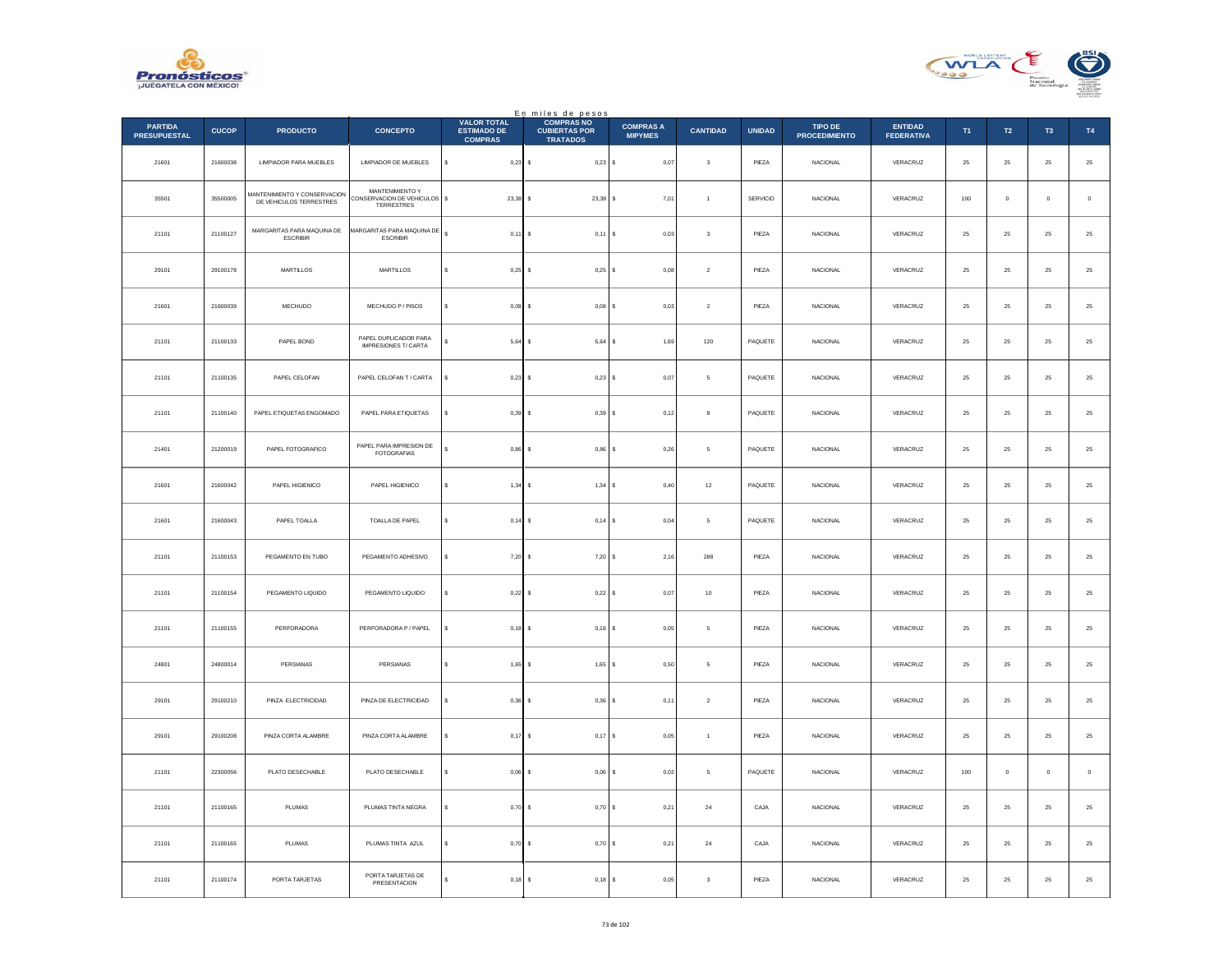



|                                       |              |                                                         |                                                               | <b>VALOR TOTAL</b>                   | En miles de pesos<br>COMPRAS NO         |                                    |                         |               |                                        |                                     |             |                  |                |               |
|---------------------------------------|--------------|---------------------------------------------------------|---------------------------------------------------------------|--------------------------------------|-----------------------------------------|------------------------------------|-------------------------|---------------|----------------------------------------|-------------------------------------|-------------|------------------|----------------|---------------|
| <b>PARTIDA</b><br><b>PRESUPUESTAL</b> | <b>CUCOP</b> | <b>PRODUCTO</b>                                         | <b>CONCEPTO</b>                                               | <b>ESTIMADO DE</b><br><b>COMPRAS</b> | <b>CUBIERTAS POR</b><br><b>TRATADOS</b> | <b>COMPRAS A</b><br><b>MIPYMES</b> | <b>CANTIDAD</b>         | <b>UNIDAD</b> | <b>TIPO DE</b><br><b>PROCEDIMIENTO</b> | <b>ENTIDAD</b><br><b>FEDERATIVA</b> | T1          | $\mathsf{T2}$    | T <sub>3</sub> | T4            |
| 21601                                 | 21600038     | LIMPIADOR PARA MUEBLES                                  | LIMPIADOR DE MUEBLES                                          | s<br>$0,23$ \$                       | $0,23$ \$                               | 0,07                               | $\sqrt{3}$              | PIEZA         | <b>NACIONAL</b>                        | VERACRUZ                            | $\bf 25$    | $25\,$           | $\bf 25$       | $25\,$        |
| 35501                                 | 35500005     | MANTENIMIENTO Y CONSERVACION<br>DE VEHICULOS TERRESTRES | MANTENIMIENTO Y<br>CONSERVACION DE VEHICULOS \$<br>TERRESTRES | 23.38                                | $23.38$ S                               | 7.01                               | $\overline{1}$          | SERVICIO      | <b>NACIONAL</b>                        | VERACRUZ                            | 100         | $\overline{0}$   | $\circ$        | $\,$ 0        |
| 21101                                 | 21100127     | MARGARITAS PARA MAQUINA DE<br><b>ESCRIBIR</b>           | MARGARITAS PARA MAQUINA DE<br><b>ESCRIBIR</b>                 | $\mathbf{s}$<br>$0,11$ \$            | $0,11$ \$                               | 0,03                               | $\overline{\mathbf{3}}$ | PIEZA         | NACIONAL                               | VERACRUZ                            | $2\sqrt{5}$ | $\bf 25$         | $\bf 25$       | 25            |
| 29101                                 | 29100178     | MARTILLOS                                               | MARTILLOS                                                     | \$<br>0,25                           | $0,25$ \$<br>$\sim$                     | 0,08                               | $\mathbf{2}$            | PIEZA         | NACIONAL                               | VERACRUZ                            | 25          | ${\bf 25}$       | 25             | $25\,$        |
| 21601                                 | 21600039     | MECHUDO                                                 | MECHUDO P / PISOS                                             | s<br>0,08                            | 0,08                                    | 0,03<br>l s                        | $\,$ 2 $\,$             | PIEZA         | NACIONAL                               | VERACRUZ                            | 25          | 25               | 25             | $2\mathsf{5}$ |
| 21101                                 | 21100133     | PAPEL BOND                                              | PAPEL DUPLICADOR PARA<br><b>IMPRESIONES T/ CARTA</b>          | $5,64$ \$                            | $5,64$ \$                               | 1,69                               | 120                     | PAQUETE       | <b>NACIONAL</b>                        | VERACRUZ                            | 25          | $25\phantom{.0}$ | $25\,$         | ${\bf 25}$    |
| 21101                                 | 21100135     | PAPEL CELOFAN                                           | PAPEL CELOFAN T / CARTA                                       | s<br>$0.23$ \$                       | $0.23$ \$                               | 0,07                               | -5                      | PAQUETE       | <b>NACIONAL</b>                        | VERACRUZ                            | 25          | 25               | 25             | $25\,$        |
| 21101                                 | 21100140     | PAPEL ETIQUETAS ENGOMADO                                | PAPEL PARA ETIQUETAS                                          | s<br>$0,39$ \$                       | 0,39S                                   | 0,12                               | 8                       | PAQUETE       | NACIONAL                               | VERACRUZ                            | $\bf 25$    | 25               | 25             | $25\,$        |
| 21401                                 | 21200019     | PAPEL FOTOGRAFICO                                       | PAPEL PARA IMPRESION DE<br><b>FOTOGRAFIAS</b>                 | s<br>0,86                            | $0,86$ \$                               | 0,26                               | 5                       | PAQUETE       | <b>NACIONAL</b>                        | VERACRUZ                            | 25          | 25               | 25             | ${\bf 25}$    |
| 21601                                 | 21600042     | PAPEL HIGIENICO                                         | PAPEL HIGIENICO                                               | 1,34                                 | 1,34                                    | 0,40<br>l s                        | $12\,$                  | PAQUETE       | NACIONAL                               | VERACRUZ                            | 25          | 25               | 25             | $25\,$        |
| 21601                                 | 21600043     | PAPEL TOALLA                                            | TOALLA DE PAPEL                                               | s<br>$0,14$ \$                       | $0,14$ \$                               | 0,04                               | $\mathsf{s}$            | PAQUETE       | NACIONAL                               | VERACRUZ                            | 25          | ${\bf 25}$       | 25             | $25\,$        |
| 21101                                 | 21100153     | PEGAMENTO EN TUBO                                       | PEGAMENTO ADHESIVO                                            | 7,20S<br>s                           | $7.20$ S                                | 2.16                               | 288                     | PIEZA         | <b>NACIONAL</b>                        | VERACRUZ                            | 25          | 25               | 25             | $2\mathsf{5}$ |
| 21101                                 | 21100154     | PEGAMENTO LIQUIDO                                       | PEGAMENTO LIQUIDO                                             | 0,22                                 | 0,22S                                   | 0,07                               | $10$                    | PIEZA         | <b>NACIONAL</b>                        | VERACRUZ                            | 25          | $\bf 25$         | 25             | 25            |
| 21101                                 | 21100155     | PERFORADORA                                             | PERFORADORA P / PAPEL                                         | s<br>0,18                            | $0,18$ S<br>-S                          | 0.05                               | -5                      | PIEZA         | <b>NACIONAL</b>                        | VERACRUZ                            | 25          | 25               | 25             | $25\,$        |
| 24801                                 | 24800014     | PERSIANAS                                               | PERSIANAS                                                     | s<br>1,65                            | 1,65                                    | l s<br>0,50                        | $\,$ 5 $\,$             | PIEZA         | NACIONAL                               | VERACRUZ                            | $\bf 25$    | $\bf 25$         | $25\,$         | $2\mathsf{5}$ |
| 29101                                 | 29100210     | PINZA ELECTRICIDAD                                      | PINZA DE ELECTRICIDAD                                         | 0,36                                 | $0,36$ \$                               | 0,11                               | $\sqrt{2}$              | PIEZA         | NACIONAL                               | VERACRUZ                            | $\bf 25$    | $25\,$           | $\bf 25$       | $25\,$        |
| 29101                                 | 29100208     | PINZA CORTA ALAMBRE                                     | PINZA CORTA ALAMBRE                                           | $0.17$ S<br>s                        | $0.17$ S                                | 0.05                               | $\overline{1}$          | PIEZA         | NACIONAL                               | VERACRUZ                            | 25          | 25               | 25             | $25\,$        |
| 21101                                 | 22300056     | PLATO DESECHABLE                                        | PLATO DESECHABLE                                              | 0,06<br>\$                           | $0,06$ \$                               | 0,02                               | 5                       | PAQUETE       | NACIONAL                               | VERACRUZ                            | 100         | $\mathbf 0$      | $\bf{0}$       | $\,$ 0        |
| 21101                                 | 21100165     | <b>PI UMAS</b>                                          | PLUMAS TINTA NEGRA                                            | s<br>0,70                            | $0,70$ S<br>$\sim$                      | 0,21                               | 24                      | CAJA          | <b>NACIONAL</b>                        | VERACRUZ                            | 25          | 25               | 25             | $25\,$        |
| 21101                                 | 21100165     | PLUMAS                                                  | PLUMAS TINTA AZUL                                             | 0,70                                 | 0,70S                                   | 0,21                               | $\bf{24}$               | CAJA          | NACIONAL                               | VERACRUZ                            | 25          | 25               | 25             | $2\mathsf{5}$ |
| 21101                                 | 21100174     | PORTA TARJETAS                                          | PORTA TARJETAS DE<br>PRESENTACION                             | $0,18$ \$                            | $0,18$ \$                               | 0,05                               | $\overline{\mathbf{3}}$ | PIEZA         | NACIONAL                               | VERACRUZ                            | $25\,$      | $25\phantom{.0}$ | $25\,$         | 25            |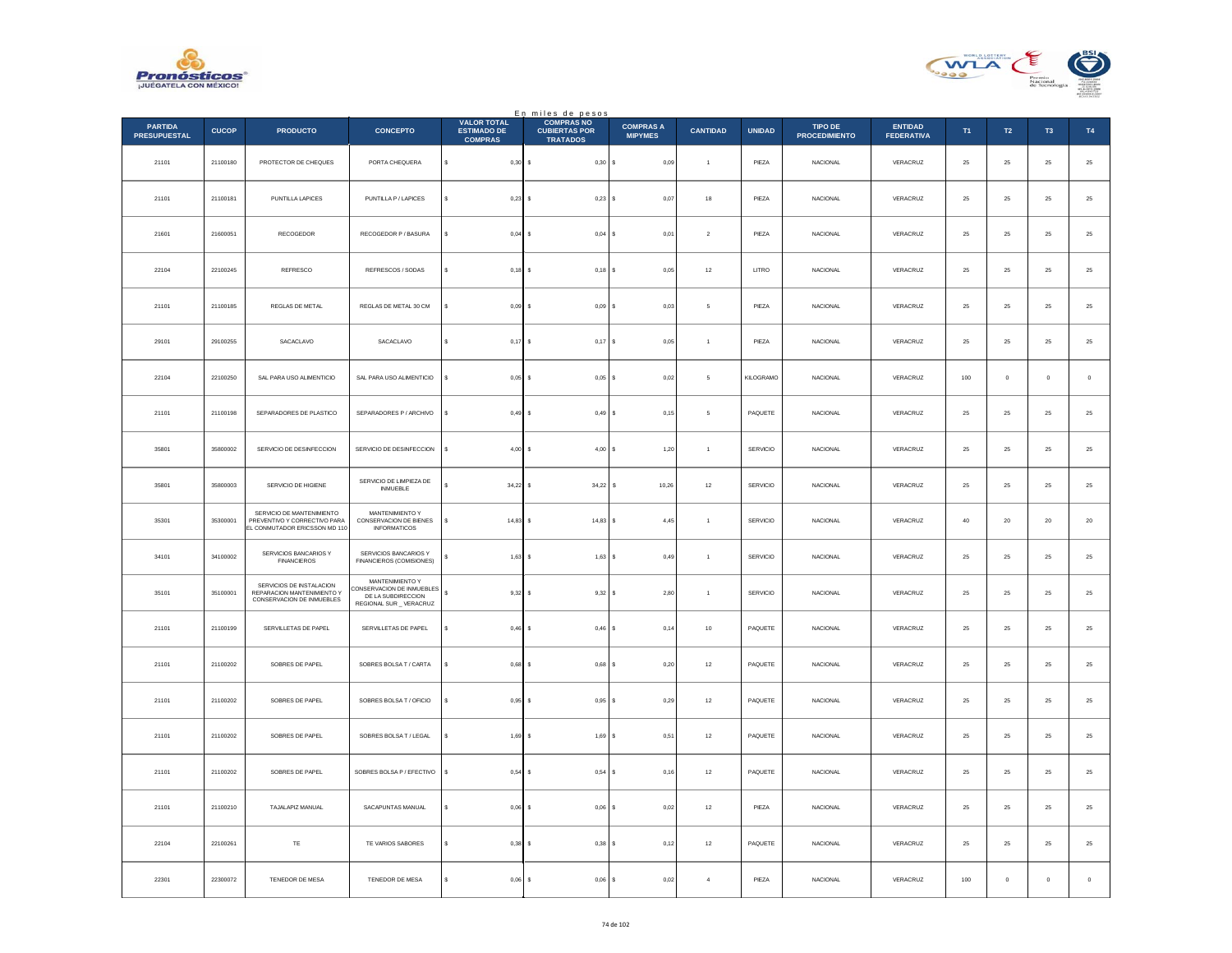



|                                       |              |                                                                                            |                                                                                               |                                                            | En miles de pesos<br>COMPRAS NO         |                                    |                      |               |                                 |                                     |        |             |                |             |
|---------------------------------------|--------------|--------------------------------------------------------------------------------------------|-----------------------------------------------------------------------------------------------|------------------------------------------------------------|-----------------------------------------|------------------------------------|----------------------|---------------|---------------------------------|-------------------------------------|--------|-------------|----------------|-------------|
| <b>PARTIDA</b><br><b>PRESUPUESTAL</b> | <b>CUCOP</b> | <b>PRODUCTO</b>                                                                            | <b>CONCEPTO</b>                                                                               | <b>VALOR TOTAL</b><br><b>ESTIMADO DE</b><br><b>COMPRAS</b> | <b>CUBIERTAS POR</b><br><b>TRATADOS</b> | <b>COMPRAS A</b><br><b>MIPYMES</b> | <b>CANTIDAD</b>      | <b>UNIDAD</b> | TIPO DE<br><b>PROCEDIMIENTO</b> | <b>ENTIDAD</b><br><b>FEDERATIVA</b> | T1     | T2          | T <sub>3</sub> | T4          |
| 21101                                 | 21100180     | PROTECTOR DE CHEQUES                                                                       | PORTA CHEQUERA                                                                                | s<br>$0,30$ \$                                             | 0,30S                                   | 0,09                               | $\ddot{\phantom{1}}$ | PIEZA         | NACIONAL                        | VERACRUZ                            | $25\,$ | $25\,$      | 25             | $\bf 25$    |
| 21101                                 | 21100181     | PUNTILLA LAPICES                                                                           | PUNTILLA P / LAPICES                                                                          | $\epsilon$<br>$0.23$ \$                                    | 0,23S                                   | 0.07                               | 18                   | PIEZA         | <b>NACIONAL</b>                 | VERACRUZ                            | 25     | 25          | 25             | $\bf 25$    |
| 21601                                 | 21600051     | RECOGEDOR                                                                                  | RECOGEDOR P / BASURA                                                                          | $0,04$ \$                                                  | $0,04$ \$                               | 0,01                               | $\sqrt{2}$           | PIEZA         | NACIONAL                        | VERACRUZ                            | $25\,$ | $25\,$      | 25             | $25\,$      |
| 22104                                 | 22100245     | REFRESCO                                                                                   | REFRESCOS / SODAS                                                                             | s<br>$0,18$ \$                                             | $0,18$ \$                               | 0,05                               | $12\,$               | LITRO         | <b>NACIONAL</b>                 | VERACRUZ                            | $25\,$ | $25\,$      | 25             | $25\,$      |
| 21101                                 | 21100185     | REGLAS DE METAL                                                                            | REGLAS DE METAL 30 CM                                                                         | $0.09$ S                                                   | $0.09$ S                                | 0.03                               | 5                    | PIEZA         | <b>NACIONAL</b>                 | VERACRUZ                            | 25     | 25          | 25             | $25\,$      |
| 29101                                 | 29100255     | SACACLAVO                                                                                  | SACACLAVO                                                                                     | $0,17$ \$<br>$\epsilon$                                    | $0,17$ \$                               | 0,05                               | $\overline{1}$       | PIEZA         | NACIONAL                        | VERACRUZ                            | $25\,$ | $25\,$      | 25             | $25\,$      |
| 22104                                 | 22100250     | SAL PARA USO ALIMENTICIO                                                                   | SAL PARA USO ALIMENTICIO                                                                      | $0,05$ \$<br>$\epsilon$                                    | $0.05$ S                                | 0.02                               | $5^{\circ}$          | KILOGRAMO     | <b>NACIONAL</b>                 | VERACRUZ                            | 100    | $\Omega$    | $\theta$       | $\,$ 0 $\,$ |
| 21101                                 | 21100198     | SEPARADORES DE PLASTICO                                                                    | SEPARADORES P / ARCHIVO                                                                       | s<br>$0,49$ \$                                             | 0,49S                                   | 0,15                               | $\mathfrak s$        | PAQUETE       | NACIONAL                        | VERACRUZ                            | 25     | $2\sqrt{5}$ | $2\sqrt{5}$    | $25\,$      |
| 35801                                 | 35800002     | SERVICIO DE DESINFECCION                                                                   | SERVICIO DE DESINFECCION                                                                      | $4,00$ \$<br>s                                             | 4,00S                                   | 1,20                               | $\overline{1}$       | SERVICIO      | NACIONAL                        | VERACRUZ                            | $25\,$ | $25\,$      | 25             | $25\,$      |
| 35801                                 | 35800003     | SERVICIO DE HIGIENE                                                                        | SERVICIO DE LIMPIEZA DE<br><b>INMUEBLE</b>                                                    | $34,22$ \$                                                 | 34,22                                   | 10,26<br>s                         | 12                   | SERVICIO      | <b>NACIONAL</b>                 | VERACRUZ                            | 25     | 25          | 25             | $25\,$      |
| 35301                                 | 35300001     | SERVICIO DE MANTENIMIENTO<br>PREVENTIVO Y CORRECTIVO PARA<br>EL CONMUTADOR ERICSSON MD 110 | MANTENIMIENTO Y<br>CONSERVACION DE BIENES<br><b>INFORMATICOS</b>                              | $14,83$ \$<br>\$                                           | 14,83                                   | 4,45                               | $\,$ 1 $\,$          | SERVICIO      | NACIONAL                        | VERACRUZ                            | $40\,$ | $20\,$      | $20\,$         | $20\,$      |
| 34101                                 | 34100002     | SERVICIOS BANCARIOS Y<br><b>FINANCIEROS</b>                                                | SERVICIOS BANCARIOS Y<br>FINANCIEROS (COMISIONES)                                             | $1,63$ \$                                                  | $1,63$ \$                               | 0,49                               | $\overline{1}$       | SERVICIO      | <b>NACIONAL</b>                 | VERACRUZ                            | 25     | 25          | 25             | $25\,$      |
| 35101                                 | 35100001     | SERVICIOS DE INSTALACION<br>REPARACION MANTENIMIENTO Y<br>CONSERVACION DE INMUEBLES        | MANTENIMIENTO Y<br>CONSERVACION DE INMUEBLES<br>DE LA SUBDIRECCION<br>REGIONAL SUR _ VERACRUZ | s<br>9,32S                                                 | 9,32S                                   | 2,80                               | $\overline{1}$       | SERVICIO      | <b>NACIONAL</b>                 | VERACRUZ                            | 25     | $25\,$      | 25             | $25\,$      |
| 21101                                 | 21100199     | SERVILLETAS DE PAPEL                                                                       | SERVILLETAS DE PAPEL                                                                          | \$<br>$0,46$ \$                                            | $0,46$ \$                               | 0,14                               | $10$                 | PAQUETE       | <b>NACIONAL</b>                 | VERACRUZ                            | 25     | ${\bf 25}$  | $25\,$         | $\bf 25$    |
| 21101                                 | 21100202     | SOBRES DE PAPEL                                                                            | SOBRES BOLSA T / CARTA                                                                        | $0,68$ \$<br>s                                             | $0,68$ \$                               | 0,20                               | $12\,$               | PAQUETE       | <b>NACIONAL</b>                 | VERACRUZ                            | 25     | $25\,$      | 25             | $25\,$      |
| 21101                                 | 21100202     | SOBRES DE PAPEL                                                                            | SOBRES BOLSA T / OFICIO                                                                       | $0,95$ \$                                                  | 0,95                                    | 0,29                               | $12\,$               | PAQUETE       | NACIONAL                        | VERACRUZ                            | $25\,$ | $2\sqrt{5}$ | $2\mathsf{S}$  | $25\,$      |
| 21101                                 | 21100202     | SOBRES DE PAPEL                                                                            | SOBRES BOLSA T / LEGAL                                                                        | $1,69$ \$                                                  | $1,69$ S                                | 0,51                               | 12                   | PAQUETE       | <b>NACIONAL</b>                 | VERACRUZ                            | 25     | 25          | 25             | $\bf 25$    |
| 21101                                 | 21100202     | SOBRES DE PAPEL                                                                            | SOBRES BOLSA P / EFECTIVO                                                                     | 0,54S<br>s                                                 | 0,54S                                   | 0,16                               | 12                   | PAQUETE       | <b>NACIONAL</b>                 | VERACRUZ                            | 25     | 25          | 25             | 25          |
| 21101                                 | 21100210     | TAJALAPIZ MANUAL                                                                           | SACAPUNTAS MANUAL                                                                             | $0,06$ \$<br>s                                             | $0,06$ \$                               | 0,02                               | $12\,$               | PIEZA         | NACIONAL                        | VERACRUZ                            | 25     | ${\bf 25}$  | $25\,$         | $\bf 25$    |
| 22104                                 | 22100261     | TE                                                                                         | TE VARIOS SABORES                                                                             | $0,38$ \$                                                  | $0,38$ \$                               | 0.12                               | 12                   | PAQUETE       | <b>NACIONAL</b>                 | VERACRUZ                            | 25     | 25          | 25             | 25          |
| 22301                                 | 22300072     | TENEDOR DE MESA                                                                            | TENEDOR DE MESA                                                                               | 0,06                                                       | 0,06<br>s                               | 0,02                               | $\overline{4}$       | PIEZA         | <b>NACIONAL</b>                 | VERACRUZ                            | 100    | $\mathbb O$ | $\mathbf 0$    | $\,$ 0 $\,$ |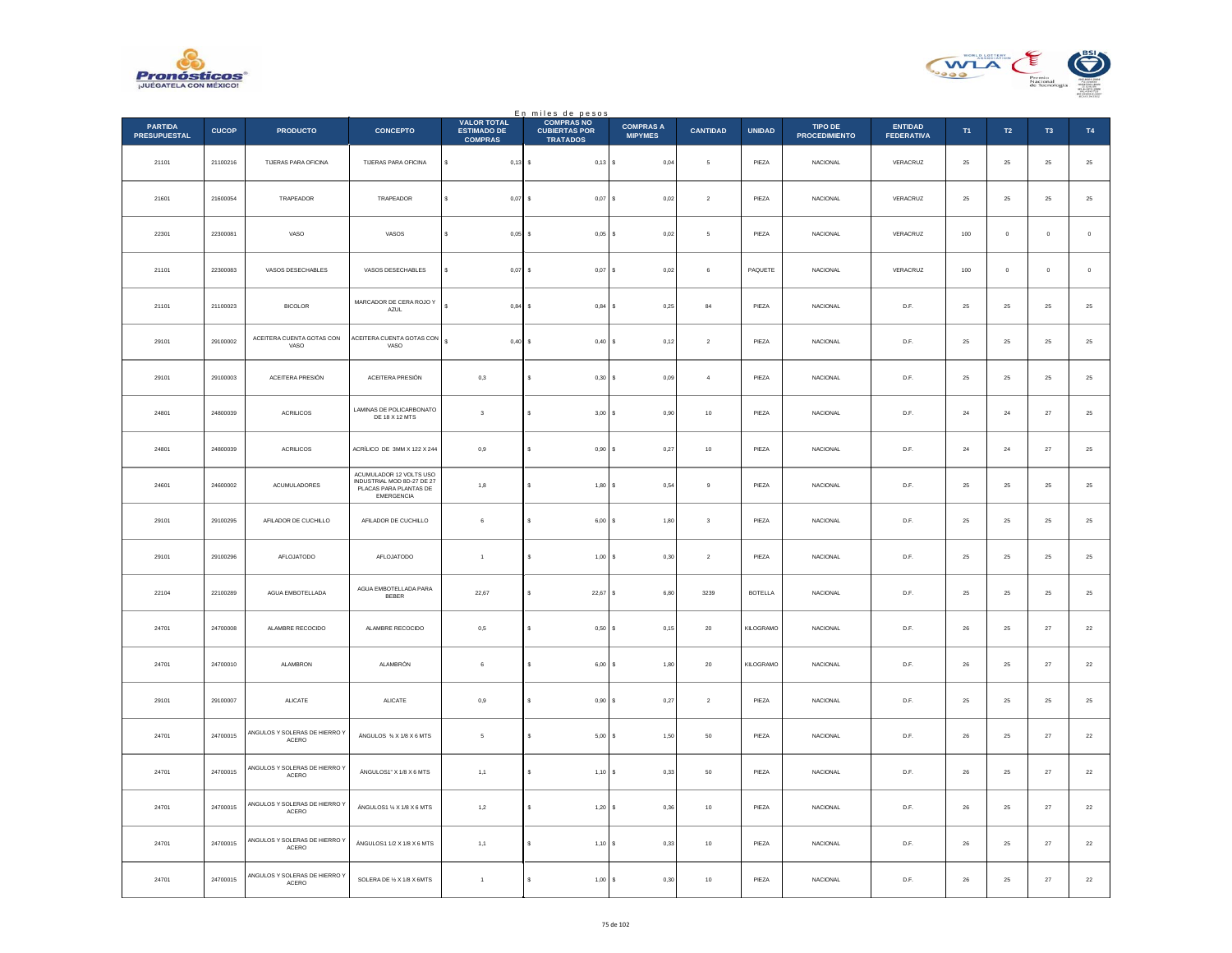



|                                       |              |                                              |                                                                                               |                                                            | En miles de pesos<br>COMPRAS NO         |                                    |                  |                |                                 |                                     |                |             |                |             |
|---------------------------------------|--------------|----------------------------------------------|-----------------------------------------------------------------------------------------------|------------------------------------------------------------|-----------------------------------------|------------------------------------|------------------|----------------|---------------------------------|-------------------------------------|----------------|-------------|----------------|-------------|
| <b>PARTIDA</b><br><b>PRESUPUESTAL</b> | <b>CUCOP</b> | <b>PRODUCTO</b>                              | <b>CONCEPTO</b>                                                                               | <b>VALOR TOTAL</b><br><b>ESTIMADO DE</b><br><b>COMPRAS</b> | <b>CUBIERTAS POR</b><br><b>TRATADOS</b> | <b>COMPRAS A</b><br><b>MIPYMES</b> | <b>CANTIDAD</b>  | <b>UNIDAD</b>  | TIPO DE<br><b>PROCEDIMIENTO</b> | <b>ENTIDAD</b><br><b>FEDERATIVA</b> | T <sub>1</sub> | T2          | T <sub>3</sub> | T4          |
| 21101                                 | 21100216     | TIJERAS PARA OFICINA                         | TIJERAS PARA OFICINA                                                                          | s<br>$0,13$ \$                                             | $0,13$ \$                               | 0,04                               | 5                | PIEZA          | NACIONAL                        | VERACRUZ                            | $25\,$         | $\bf 25$    | $25\,$         | $\bf 25$    |
| 21601                                 | 21600054     | TRAPEADOR                                    | TRAPEADOR                                                                                     | $0,07$ \$<br>s                                             | $0,07$ \$                               | 0.02                               | $\overline{2}$   | PIEZA          | <b>NACIONAL</b>                 | VERACRUZ                            | 25             | 25          | 25             | $\bf 25$    |
| 22301                                 | 22300081     | VASO                                         | VASOS                                                                                         | $0,05$ \$                                                  | $0,05$ \$                               | 0,02                               | 5                | PIEZA          | NACIONAL                        | VERACRUZ                            | 100            | $\circ$     | $\mathbf{0}$   | $\,$ 0 $\,$ |
| 21101                                 | 22300083     | VASOS DESECHABLES                            | VASOS DESECHABLES                                                                             | \$<br>$0,07$ \$                                            | $0,07$ \$                               | 0,02                               | $\,6\,$          | PAQUETE        | <b>NACIONAL</b>                 | VERACRUZ                            | 100            | $\mathbf 0$ | $\mathbf 0$    | $\,$ 0 $\,$ |
| 21101                                 | 21100023     | <b>BICOLOR</b>                               | MARCADOR DE CERA ROJO Y<br>AZUL                                                               | $0.84$ \$                                                  | $0,84$ \$                               | 0,25                               | $^{\rm 84}$      | PIEZA          | <b>NACIONAL</b>                 | D.F.                                | 25             | $25\,$      | 25             | $25\,$      |
| 29101                                 | 29100002     | ACEITERA CUENTA GOTAS CON<br>VASO            | ACEITERA CUENTA GOTAS CON<br>VASO                                                             | ¢<br>0,40S                                                 | 0,40S                                   | 0,12                               | $\sqrt{2}$       | PIEZA          | NACIONAL                        | D.F.                                | $25\,$         | ${\bf 25}$  | $25\,$         | $\bf 25$    |
| 29101                                 | 29100003     | ACEITERA PRESIÓN                             | ACEITERA PRESIÓN                                                                              | 0,3                                                        | s<br>$0,30$ \$                          | 0,09                               | $\overline{4}$   | PIEZA          | <b>NACIONAL</b>                 | D.F.                                | 25             | 25          | 25             | $\bf 25$    |
| 24801                                 | 24800039     | ACRILICOS                                    | LAMINAS DE POLICARBONATO<br>DE 18 X 12 MTS                                                    | $\overline{\mathbf{3}}$                                    | 3,00S<br>s                              | 0,90                               | $10$             | PIEZA          | NACIONAL                        | D.F.                                | $\bf{24}$      | $\bf{24}$   | $27\,$         | $25\,$      |
| 24801                                 | 24800039     | <b>ACRILICOS</b>                             | ACRÍLICO DE 3MM X 122 X 244                                                                   | 0,9                                                        | s<br>0,90S                              | 0,27                               | $10$             | PIEZA          | <b>NACIONAL</b>                 | D.F.                                | 24             | 24          | 27             | $\bf 25$    |
| 24601                                 | 24600002     | ACUMULADORES                                 | ACUMULADOR 12 VOLTS USO<br>INDUSTRIAL MOD 8D-27 DE 27<br>PLACAS PARA PLANTAS DE<br>EMERGENCIA | 1,8                                                        | 1,80<br>s                               | 0,54<br>s                          | $\,9$            | PIEZA          | <b>NACIONAL</b>                 | D.F.                                | 25             | 25          | 25             | $25\,$      |
| 29101                                 | 29100295     | AFILADOR DE CUCHILLO                         | AFILADOR DE CUCHILLO                                                                          | 6                                                          | s<br>6,00                               | 1,80                               | $\mathsf 3$      | PIEZA          | <b>NACIONAL</b>                 | D.F.                                | 25             | $25\,$      | 25             | $25\,$      |
| 29101                                 | 29100296     | AFLOJATODO                                   | <b>AFLOJATODO</b>                                                                             | $\overline{1}$                                             | s<br>$1,00$ \$                          | 0.30                               | $\overline{2}$   | PIEZA          | <b>NACIONAL</b>                 | D.F.                                | 25             | 25          | 25             | $25\,$      |
| 22104                                 | 22100289     | AGUA EMBOTELLADA                             | AGUA EMBOTELLADA PARA<br><b>BEBER</b>                                                         | 22,67                                                      | $22,67$ \$<br>s                         | 6,80                               | 3239             | <b>BOTELLA</b> | <b>NACIONAL</b>                 | D.F.                                | 25             | 25          | $25\,$         | $2\sqrt{5}$ |
| 24701                                 | 24700008     | ALAMBRE RECOCIDO                             | ALAMBRE RECOCIDO                                                                              | 0,5                                                        | s<br>$0,50$ \$                          | 0,15                               | 20               | KILOGRAMO      | <b>NACIONAL</b>                 | D.F.                                | 26             | 25          | 27             | 22          |
| 24701                                 | 24700010     | ALAMBRON                                     | ALAMBRÓN                                                                                      | 6                                                          | 6,00<br>s                               | 1,80<br>s                          | $20\,$           | KILOGRAMO      | NACIONAL                        | $\mathsf{D}.\mathsf{F}.$            | ${\bf 26}$     | $2\sqrt{5}$ | $\sqrt{27}$    | $22\,$      |
| 29101                                 | 29100007     | ALICATE                                      | ALICATE                                                                                       | $_{0,9}$                                                   | s<br>0,90S                              | 0,27                               | $\boldsymbol{2}$ | PIEZA          | NACIONAL                        | D.F.                                | 25             | $25\,$      | $25\,$         | $\bf 25$    |
| 24701                                 | 24700015     | MGULOS Y SOLERAS DE HIERRO Y<br>ACERO        | ÁNGULOS % X 1/8 X 6 MTS                                                                       | 5                                                          | s<br>5.00S                              | 1.50                               | $50\,$           | PIEZA          | <b>NACIONAL</b>                 | D.F.                                | 26             | 25          | $27\,$         | $\bf 22$    |
| 24701                                 | 24700015     | ANGULOS Y SOLERAS DE HIERRO Y<br>ACERO       | $\overline{A}$ NGULOS1" X 1/8 X 6 MTS                                                         | 1,1                                                        | 1,10S<br>s                              | 0,33                               | ${\bf 50}$       | PIEZA          | NACIONAL                        | $\mathsf{D}.\mathsf{F}.$            | ${\bf 26}$     | $2\sqrt{5}$ | $\sqrt{27}$    | $22\,$      |
| 24701                                 | 24700015     | ANGULOS Y SOLERAS DE HIERRO Y<br>$ACERO$     | ÁNGULOS1 % X 1/8 X 6 MTS                                                                      | 1,2                                                        | 1,20S<br>s                              | 0,36                               | $10$             | PIEZA          | <b>NACIONAL</b>                 | D.F.                                | 26             | 25          | 27             | ${\bf 22}$  |
| 24701                                 | 24700015     | NGULOS Y SOLERAS DE HIERRO Y<br><b>ACERO</b> | ÁNGULOS1 1/2 X 1/8 X 6 MTS                                                                    | 1,1                                                        | $1,10$ S<br>s                           | 0,33                               | 10               | PIEZA          | <b>NACIONAL</b>                 | D.F.                                | 26             | 25          | $27\,$         | $22\,$      |
| 24701                                 | 24700015     | ANGULOS Y SOLERAS DE HIERRO Y<br>ACERO       | SOLERA DE 1/2 X 1/8 X 6MTS                                                                    | $\ddot{\phantom{1}}$                                       | s<br>1,00                               | 0,30                               | $10$             | PIEZA          | NACIONAL                        | D.F.                                | ${\bf 26}$     | ${\bf 25}$  | $27\,$         | $22\,$      |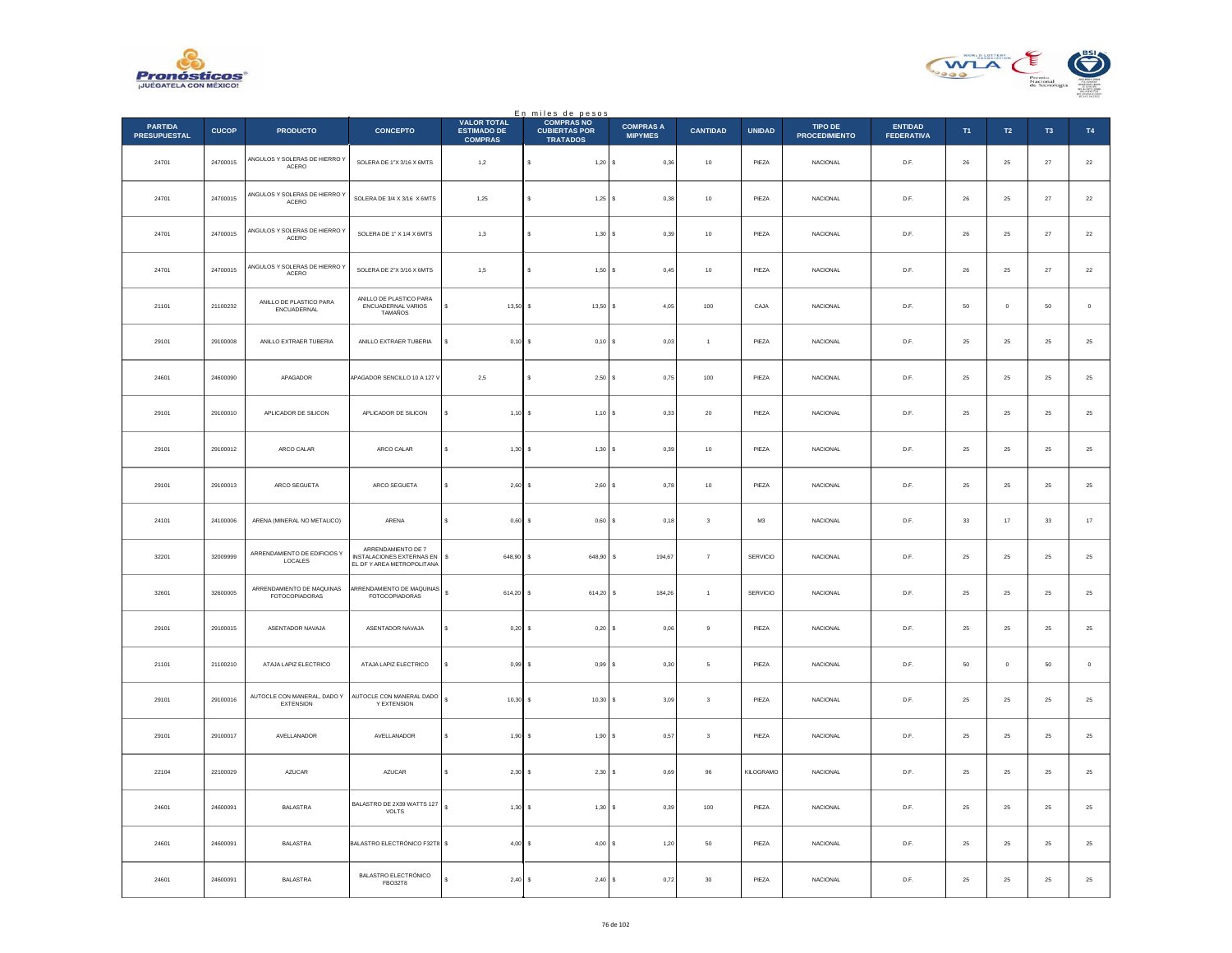



|                                       |              |                                             |                                                                              | <b>VALOR TOTAL</b>                   | En miles de pesos<br>COMPRAS NO         |                                    |                         |               |                                 |                                     |             |                  |                |               |
|---------------------------------------|--------------|---------------------------------------------|------------------------------------------------------------------------------|--------------------------------------|-----------------------------------------|------------------------------------|-------------------------|---------------|---------------------------------|-------------------------------------|-------------|------------------|----------------|---------------|
| <b>PARTIDA</b><br><b>PRESUPUESTAL</b> | <b>CUCOP</b> | <b>PRODUCTO</b>                             | <b>CONCEPTO</b>                                                              | <b>ESTIMADO DE</b><br><b>COMPRAS</b> | <b>CUBIERTAS POR</b><br><b>TRATADOS</b> | <b>COMPRAS A</b><br><b>MIPYMES</b> | <b>CANTIDAD</b>         | <b>UNIDAD</b> | TIPO DE<br><b>PROCEDIMIENTO</b> | <b>ENTIDAD</b><br><b>FEDERATIVA</b> | T1          | $\mathsf{T2}$    | T <sub>3</sub> | <b>T4</b>     |
| 24701                                 | 24700015     | ANGULOS Y SOLERAS DE HIERRO Y<br>ACERO      | SOLERA DE 1"X 3/16 X 6MTS                                                    | 1,2                                  | $1,20$ \$                               | 0,36                               | $10\,$                  | PIEZA         | <b>NACIONAL</b>                 | D.F.                                | ${\bf 26}$  | ${\bf 25}$       | $\bf 27$       | $\bf 22$      |
| 24701                                 | 24700015     | ANGULOS Y SOLERAS DE HIERRO Y<br>ACERO      | SOLERA DE 3/4 X 3/16 X 6MTS                                                  | 1,25                                 | $1,25$ \$                               | 0,38                               | 10                      | PIF7A         | <b>NACIONAL</b>                 | D.F.                                | 26          | ${\bf 25}$       | 27             | $\bf 22$      |
| 24701                                 | 24700015     | ANGULOS Y SOLERAS DE HIERRO Y<br>ACERO      | SOLERA DE 1" X 1/4 X 6MTS                                                    | 1,3                                  | 1,30S                                   | 0,39                               | $10$                    | PIEZA         | NACIONAL                        | $\mathsf{D}.\mathsf{F}.$            | ${\bf 26}$  | $\bf 25$         | $\sqrt{27}$    | $\bf{22}$     |
| 24701                                 | 24700015     | ANGULOS Y SOLERAS DE HIERRO Y<br>$ACERO$    | SOLERA DE 2"X 3/16 X 6MTS                                                    | 1,5                                  | 1,50S                                   | 0,45                               | $10$                    | PIEZA         | NACIONAL                        | D.F.                                | 26          | $25\phantom{.0}$ | 27             | $\bf 22$      |
| 21101                                 | 21100232     | ANILLO DE PLASTICO PARA<br>ENCUADERNAL      | ANILLO DE PLASTICO PARA<br>ENCUADERNAL VARIOS<br>TAMAÑOS                     | 13,50<br>\$                          | $13,50$ \$                              | 4,05                               | 100                     | CAJA          | NACIONAL                        | D.F.                                | $50\,$      | $\mathbb O$      | 50             | $\,$ 0 $\,$   |
| 29101                                 | 29100008     | ANILLO EXTRAER TUBERIA                      | ANILLO EXTRAER TUBERIA                                                       | $0,10$ \$                            | 0,10S                                   | 0,03                               | $\overline{1}$          | PIEZA         | <b>NACIONAL</b>                 | D.F.                                | 25          | $25\phantom{.0}$ | 25             | 25            |
| 24601                                 | 24600090     | APAGADOR                                    | APAGADOR SENCILLO 10 A 127 V                                                 | 2.5                                  | $2.50$ S                                | 0.75                               | 100                     | PIEZA         | <b>NACIONAL</b>                 | D.F.                                | 25          | 25               | 25             | $25\,$        |
| 29101                                 | 29100010     | APLICADOR DE SILICON                        | APLICADOR DE SILICON                                                         | $1,10$ \$<br>s                       | $1,10$ \$                               | 0,33                               | $20\,$                  | PIEZA         | NACIONAL                        | D.F.                                | 25          | 25               | 25             | $\bf 25$      |
| 29101                                 | 29100012     | ARCO CALAR                                  | ARCO CALAR                                                                   | s<br>1.30                            | 1,30S                                   | 0.39                               | 10                      | PIEZA         | <b>NACIONAL</b>                 | D.F.                                | 25          | 25               | 25             | 25            |
| 29101                                 | 29100013     | ARCO SEGUETA                                | ARCO SEGUETA                                                                 | 2,60                                 | 2,60                                    | 0,78<br>l s                        | $10$                    | PIEZA         | NACIONAL                        | $\mathsf{D}.\mathsf{F}.$            | $\bf 25$    | $\bf 25$         | $2\mathsf{S}$  | $2\mathsf{5}$ |
| 24101                                 | 24100006     | ARENA (MINERAL NO METALICO)                 | ARENA                                                                        | $\epsilon$<br>0,60                   | 0,60S<br>$\sim$                         | 0,18                               | $\overline{\mathbf{3}}$ | M3            | NACIONAL                        | D.F.                                | $_{\rm 33}$ | $17\,$           | $_{\rm 33}$    | $17\,$        |
| 32201                                 | 32009999     | ARRENDAMIENTO DE EDIFICIOS Y<br>LOCALES     | ARRENDAMIENTO DE 7<br>NSTALACIONES EXTERNAS EN<br>EL DF Y AREA METROPOLITANA | $\mathbb{S}$<br>648,90 \$            | 648,90 \$                               | 194,67                             | $\scriptstyle{7}$       | SERVICIO      | NACIONAL                        | D.F.                                | 25          | 25               | 25             | $25\,$        |
| 32601                                 | 32600005     | ARRENDAMIENTO DE MAQUINAS<br>FOTOCOPIADORAS | ARRENDAMIENTO DE MAQUINAS<br>FOTOCOPIADORAS                                  | $\mathbb{S}$<br>614,20 \$            | 614,20 \$                               | 184,26                             |                         | SERVICIO      | NACIONAL                        | D.F.                                | 25          | $\bf 25$         | $\bf 25$       | 25            |
| 29101                                 | 29100015     | ASENTADOR NAVAJA                            | ASENTADOR NAVAJA                                                             | s<br>0,20                            | $0.20$ \$                               | 0.06                               | 9                       | PIEZA         | <b>NACIONAL</b>                 | D.F.                                | 25          | 25               | 25             | 25            |
| 21101                                 | 21100210     | ATAJA LAPIZ ELECTRICO                       | ATAJA LAPIZ ELECTRICO                                                        | 0,99<br>s                            | 0,99S                                   | 0,30                               | 5                       | PIEZA         | NACIONAL                        | $\mathsf{D}.\mathsf{F}.$            | 50          | $\mathbf 0$      | 50             | $\mathbf 0$   |
| 29101                                 | 29100016     | AUTOCLE CON MANERAL, DADO Y<br>EXTENSION    | AUTOCLE CON MANERAL DADO<br>Y EXTENSION                                      | $\mathbf{s}$<br>10,30                | $10,30$ \$<br>$\sim$                    | 3,09                               | $\overline{\mathbf{3}}$ | PIEZA         | <b>NACIONAL</b>                 | D.F.                                | 25          | 25               | 25             | 25            |
| 29101                                 | 29100017     | AVELLANADOR                                 | AVELLANADOR                                                                  | s<br>1,90                            | 1,90S                                   | 0,57                               | $\sqrt{3}$              | PIEZA         | <b>NACIONAL</b>                 | D.F.                                | 25          | $\bf 25$         | 25             | 25            |
| 22104                                 | 22100029     | AZUCAR                                      | AZUCAR                                                                       | s<br>$2,30$ \$                       | $2,30$ \$                               | 0,69                               | 96                      | KILOGRAMO     | NACIONAL                        | D.F.                                | $\bf 25$    | ${\bf 25}$       | 25             | $25\,$        |
| 24601                                 | 24600091     | <b>BALASTRA</b>                             | BALASTRO DE 2X39 WATTS 127<br>VOLTS                                          | $\overline{\mathbf{s}}$<br>1.30      | 1.30 S                                  | 0.39                               | 100                     | PIEZA         | <b>NACIONAL</b>                 | D.F.                                | 25          | 25               | 25             | 25            |
| 24601                                 | 24600091     | <b>BALASTRA</b>                             | <b>BALASTRO ELECTRÓNICO F32T8 \$</b>                                         | 4,00                                 | 4,00                                    | s<br>1,20                          | ${\bf 50}$              | PIEZA         | NACIONAL                        | $\mathsf{D}.\mathsf{F}.$            | $\bf 25$    | $25\,$           | $2\sqrt{5}$    | $2\mathsf{5}$ |
| 24601                                 | 24600091     | <b>BALASTRA</b>                             | BALASTRO ELECTRÓNICO<br>FBO32T8                                              | 2,40S<br>$\epsilon$                  | 2,40S                                   | 0,72                               | 30                      | PIEZA         | <b>NACIONAL</b>                 | D.F.                                | 25          | 25               | 25             | 25            |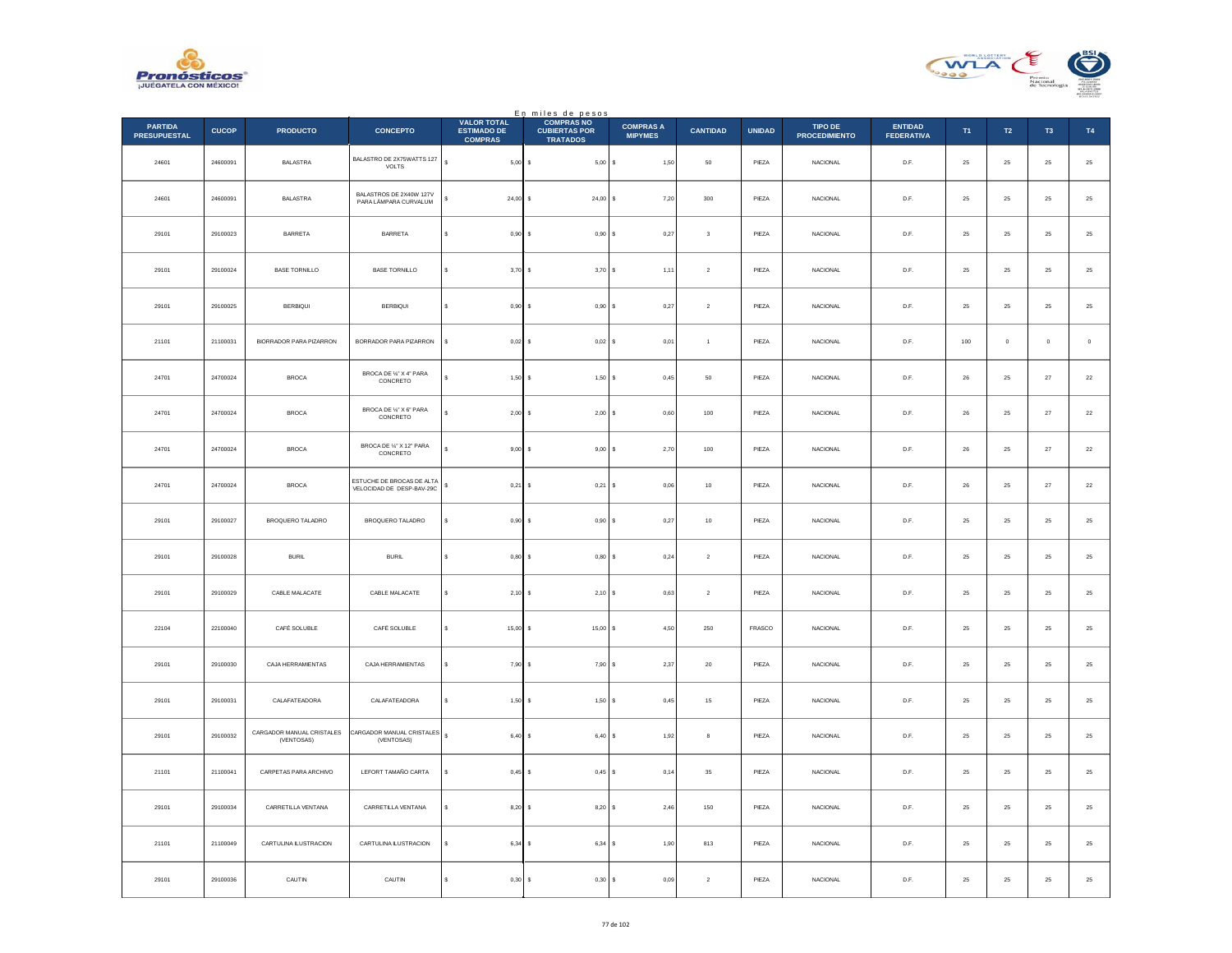



|                                       |              |                                         |                                                        |                                                            | En miles de pesos<br>COMPRAS NO         |                                    |                         |               |                                 |                                     |            |             |                |             |
|---------------------------------------|--------------|-----------------------------------------|--------------------------------------------------------|------------------------------------------------------------|-----------------------------------------|------------------------------------|-------------------------|---------------|---------------------------------|-------------------------------------|------------|-------------|----------------|-------------|
| <b>PARTIDA</b><br><b>PRESUPUESTAL</b> | <b>CUCOP</b> | <b>PRODUCTO</b>                         | <b>CONCEPTO</b>                                        | <b>VALOR TOTAL</b><br><b>ESTIMADO DE</b><br><b>COMPRAS</b> | <b>CUBIERTAS POR</b><br><b>TRATADOS</b> | <b>COMPRAS A</b><br><b>MIPYMES</b> | <b>CANTIDAD</b>         | <b>UNIDAD</b> | TIPO DE<br><b>PROCEDIMIENTO</b> | <b>ENTIDAD</b><br><b>FEDERATIVA</b> | T1         | T2          | T <sub>3</sub> | T4          |
| 24601                                 | 24600091     | <b>BALASTRA</b>                         | BALASTRO DE 2X75WATTS 127<br>VOLTS                     | $\overline{\mathbf{s}}$<br>$5,00$ \$                       | $5,00$ \$                               | 1,50                               | $50\,$                  | PIEZA         | NACIONAL                        | D.F.                                | 25         | $\bf 25$    | $25\,$         | $\bf 25$    |
| 24601                                 | 24600091     | <b>BALASTRA</b>                         | BALASTROS DE 2X40W 127V<br>PARA LÁMPARA CURVALUM       | $24,00$ \$                                                 | $24,00$ \$                              | 7,20                               | 300                     | PIEZA         | <b>NACIONAL</b>                 | D.F.                                | 25         | 25          | 25             | $\bf 25$    |
| 29101                                 | 29100023     | BARRETA                                 | BARRETA                                                | $0,90$ \$                                                  | 0,90S                                   | 0,27                               | $\overline{\mathbf{3}}$ | PIEZA         | NACIONAL                        | $\mathsf{D}.\mathsf{F}.$            | $25\,$     | $25\,$      | 25             | $25\,$      |
| 29101                                 | 29100024     | <b>BASE TORNILLO</b>                    | <b>BASE TORNILLO</b>                                   | s<br>$3,70$ \$                                             | 3,70S                                   | 1,11                               | $\boldsymbol{2}$        | PIEZA         | NACIONAL                        | D.F.                                | $25\,$     | $25\,$      | $\bf 25$       | $25\,$      |
| 29101                                 | 29100025     | BERBIQUI                                | <b>BERBIQUI</b>                                        | s<br>$0.90$ S                                              | 0.90S                                   | 0.27                               | $\,$ 2 $\,$             | PIEZA         | <b>NACIONAL</b>                 | D.F.                                | 25         | 25          | 25             | $25\,$      |
| 21101                                 | 21100031     | <b>BIORRADOR PARA PIZARRON</b>          | BORRADOR PARA PIZARRON                                 | s<br>$0,02$ \$                                             | $0,02$ \$                               | 0,01                               | $\overline{1}$          | PIEZA         | NACIONAL                        | D.F.                                | 100        | $\mathbf 0$ | $\mathbf 0$    | $\,$ 0 $\,$ |
| 24701                                 | 24700024     | <b>BROCA</b>                            | BROCA DE %" X 4" PARA<br>CONCRETO                      | $1,50$ \$                                                  | 1,50S                                   | 0.45                               | 50                      | PIF7A         | <b>NACIONAL</b>                 | D.F.                                | 26         | 25          | 27             | $\bf 22$    |
| 24701                                 | 24700024     | <b>BROCA</b>                            | BROCA DE 1/4" X 6" PARA<br>CONCRETO                    | $2,00$ \$                                                  | $2,00$ \$                               | 0,60                               | $100\,$                 | PIEZA         | NACIONAL                        | $\mathsf{D}.\mathsf{F}.$            | ${\bf 26}$ | $2\sqrt{5}$ | $\sqrt{27}$    | $22\,$      |
| 24701                                 | 24700024     | <b>BROCA</b>                            | BROCA DE %" X 12" PARA<br>CONCRETO                     | $9,00$ \$                                                  | $9,00$ \$                               | 2,70                               | $100\,$                 | PIEZA         | NACIONAL                        | D.F.                                | ${\bf 26}$ | $25\,$      | $\bf 27$       | $22\,$      |
| 24701                                 | 24700024     | <b>BROCA</b>                            | ESTUCHE DE BROCAS DE ALTA<br>VELOCIDAD DE DESP-BAV-29C | \$<br>0.21                                                 | 0,21<br>Ιs                              | 0,06<br>-S                         | 10                      | PIEZA         | <b>NACIONAL</b>                 | D.F.                                | 26         | 25          | 27             | $22\,$      |
| 29101                                 | 29100027     | BROQUERO TALADRO                        | BROQUERO TALADRO                                       | $0,90$ \$<br>Ś                                             | 0,90                                    | 0,27                               | $10$                    | PIEZA         | NACIONAL                        | $\mathsf{D}.\mathsf{F}.$            | $25\,$     | $2\sqrt{5}$ | $2\mathsf{S}$  | $25\,$      |
| 29101                                 | 29100028     | <b>BURIL</b>                            | <b>BURIL</b>                                           | $0,80$ \$<br>s                                             | 0,80S                                   | 0,24                               | $\sqrt{2}$              | PIEZA         | <b>NACIONAL</b>                 | D.F.                                | 25         | 25          | 25             | $\bf 25$    |
| 29101                                 | 29100029     | CABLE MALACATE                          | CABLE MALACATE                                         | $2,10$ \$                                                  | 2,10S                                   | 0,63                               | $\sqrt{2}$              | PIEZA         | <b>NACIONAL</b>                 | D.F.                                | 25         | $25\,$      | 25             | 25          |
| 22104                                 | 22100040     | CAFÉ SOLUBLE                            | CAFÉ SOLUBLE                                           | \$<br>$15,00$ \$                                           | 15,00 S                                 | 4,50                               | 250                     | FRASCO        | NACIONAL                        | D.F.                                | 25         | $\bf 25$    | 25             | $\bf 25$    |
| 29101                                 | 29100030     | CAJA HERRAMIENTAS                       | CAJA HERRAMIENTAS                                      | 7,90S<br>s                                                 | 7,90 S                                  | 2,37                               | $20\,$                  | PIEZA         | <b>NACIONAL</b>                 | D.F.                                | 25         | $25\,$      | 25             | $25\,$      |
| 29101                                 | 29100031     | CALAFATEADORA                           | CALAFATEADORA                                          | $1,50$ \$                                                  | 1,50                                    | 0,45                               | $15\,$                  | PIEZA         | NACIONAL                        | $\mathsf{D}.\mathsf{F}.$            | $25\,$     | $2\sqrt{5}$ | $2\mathsf{S}$  | $25\,$      |
| 29101                                 | 29100032     | CARGADOR MANUAL CRISTALES<br>(VENTOSAS) | CARGADOR MANUAL CRISTALES<br>(VENTOSAS)                | $\overline{\mathbf{s}}$<br>6,40 \$                         | 6,40 \$                                 | 1,92                               | 8                       | PIEZA         | <b>NACIONAL</b>                 | D.F.                                | 25         | 25          | 25             | $\bf 25$    |
| 21101                                 | 21100041     | CARPETAS PARA ARCHIVO                   | LEFORT TAMAÑO CARTA                                    | $0,45$ \$<br>s                                             | $0,45$ \$                               | 0,14                               | $35\,$                  | PIEZA         | <b>NACIONAL</b>                 | D.F.                                | 25         | 25          | 25             | 25          |
| 29101                                 | 29100034     | CARRETILLA VENTANA                      | CARRETILLA VENTANA                                     | $8,20$ \$<br>\$                                            | 8,20S                                   | 2,46                               | 150                     | PIEZA         | NACIONAL                        | D.F.                                | $\bf 25$   | $25\,$      | $25\,$         | $\bf 25$    |
| 21101                                 | 21100049     | CARTULINA ILUSTRACION                   | CARTULINA ILUSTRACION                                  | $6,34$ \$                                                  | 6,34 S                                  | 1,90                               | 813                     | PIEZA         | <b>NACIONAL</b>                 | D.F.                                | 25         | 25          | 25             | 25          |
| 29101                                 | 29100036     | CAUTIN                                  | CAUTIN                                                 | 0,30<br>s                                                  | 0,30<br>s                               | 0,09                               | $\sqrt{2}$              | PIEZA         | NACIONAL                        | D.F.                                | $25\,$     | $25\,$      | 25             | $25\,$      |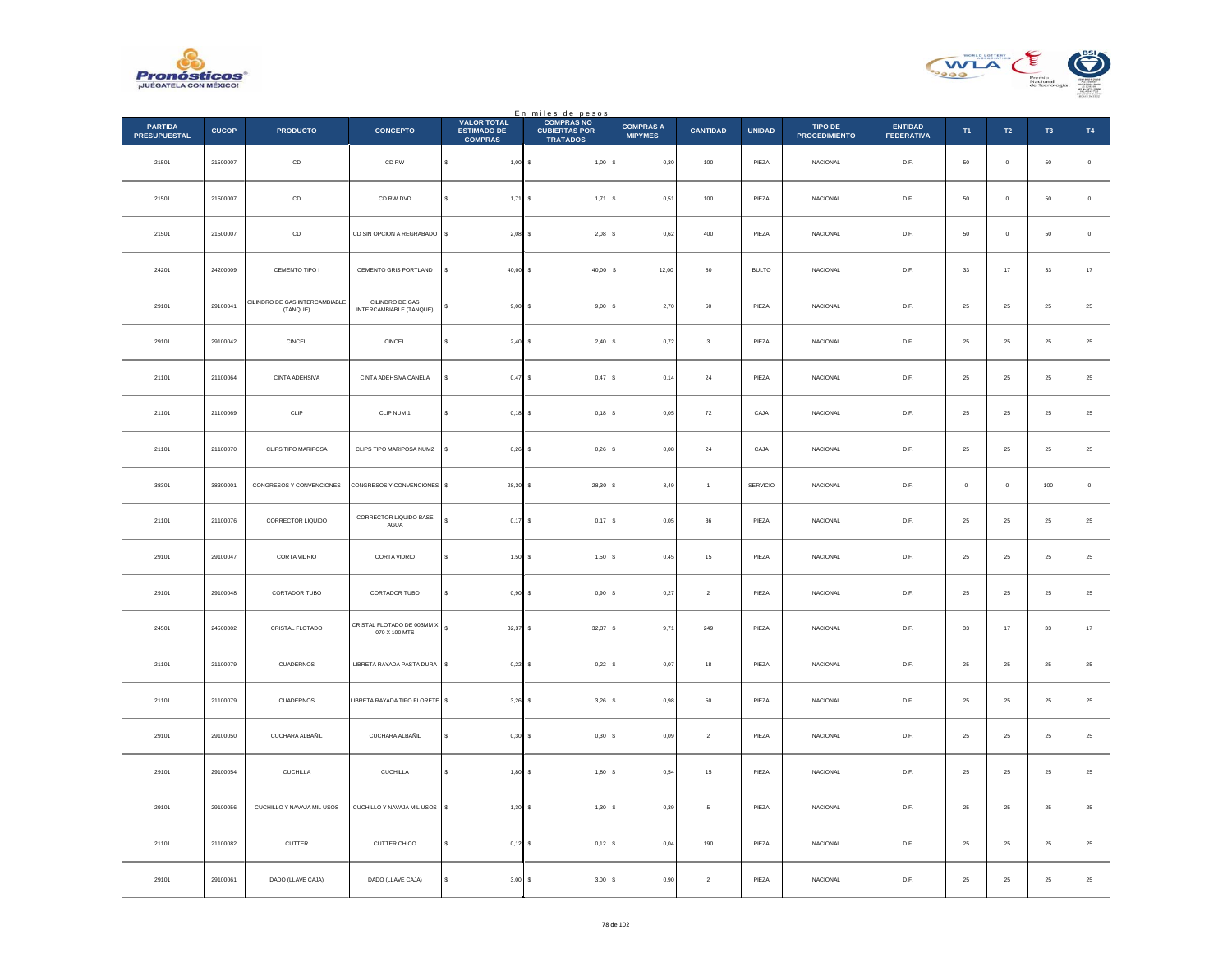



|                                       |              |                                            |                                             |                                                            | En miles de pesos                                            |                                    |                         |               |                                 |                                     |         |                |                |             |
|---------------------------------------|--------------|--------------------------------------------|---------------------------------------------|------------------------------------------------------------|--------------------------------------------------------------|------------------------------------|-------------------------|---------------|---------------------------------|-------------------------------------|---------|----------------|----------------|-------------|
| <b>PARTIDA</b><br><b>PRESUPUESTAL</b> | <b>CUCOP</b> | <b>PRODUCTO</b>                            | <b>CONCEPTO</b>                             | <b>VALOR TOTAL</b><br><b>ESTIMADO DE</b><br><b>COMPRAS</b> | <b>COMPRAS NO</b><br><b>CUBIERTAS POR</b><br><b>TRATADOS</b> | <b>COMPRAS A</b><br><b>MIPYMES</b> | <b>CANTIDAD</b>         | <b>UNIDAD</b> | TIPO DE<br><b>PROCEDIMIENTO</b> | <b>ENTIDAD</b><br><b>FEDERATIVA</b> | T1      | $\mathsf{T2}$  | T <sub>3</sub> | <b>T4</b>   |
| 21501                                 | 21500007     | $_{\sf CD}$                                | CD RW                                       | s<br>$1,00$ \$                                             | 1,00S                                                        | 0,30                               | 100                     | PIEZA         | <b>NACIONAL</b>                 | D.F.                                | 50      | $\overline{0}$ | 50             | $\circ$     |
| 21501                                 | 21500007     | $_{\sf CD}$                                | CD RW DVD                                   | $1,71$ \$                                                  | 1,71                                                         | s<br>0,51                          | 100                     | PIEZA         | <b>NACIONAL</b>                 | D.F.                                | $50\,$  | $\,$ 0 $\,$    | $50\,$         | $\,$ 0 $\,$ |
| 21501                                 | 21500007     | CD                                         | CD SIN OPCION A REGRABADO                   | s<br>$2,08$ \$                                             | $2,08$ $S$                                                   | 0.62                               | 400                     | PIEZA         | <b>NACIONAL</b>                 | D.F.                                | 50      | $\overline{0}$ | 50             | $\mathbf 0$ |
| 24201                                 | 24200009     | CEMENTO TIPO I                             | CEMENTO GRIS PORTLAND                       | s<br>$40.00$ S                                             | 40.00                                                        | 12,00<br>s                         | 80                      | <b>BULTO</b>  | <b>NACIONAL</b>                 | D.F.                                | 33      | 17             | 33             | $17\,$      |
| 29101                                 | 29100041     | CILINDRO DE GAS INTERCAMBIABLE<br>(TANQUE) | CILINDRO DE GAS<br>INTERCAMBIABLE (TANQUE)  | $9,00$ \$                                                  | $9,00$ \$                                                    | 2,70                               | $_{\rm 60}$             | PIEZA         | <b>NACIONAL</b>                 | D.F.                                | 25      | $\bf 25$       | $25\,$         | $\bf 25$    |
| 29101                                 | 29100042     | CINCEL                                     | CINCEL                                      | $2.40$ S<br>s                                              | 2.40 S                                                       | 0.72                               | $\overline{\mathbf{3}}$ | PIEZA         | <b>NACIONAL</b>                 | D.F.                                | 25      | 25             | 25             | $\bf 25$    |
| 21101                                 | 21100064     | CINTA ADEHSIVA                             | CINTA ADEHSIVA CANELA                       | $0,47$ \$                                                  | 0,47S                                                        | 0,14                               | $\bf{24}$               | PIEZA         | NACIONAL                        | $\mathsf{D}.\mathsf{F}.$            | $25\,$  | $2\sqrt{5}$    | $2\mathsf{S}$  | $25\,$      |
| 21101                                 | 21100069     | CLIP                                       | CLIP NUM 1                                  | s<br>$0,18$ \$                                             | $0,18$ \$                                                    | 0,05                               | 72                      | CAJA          | NACIONAL                        | D.F.                                | 25      | 25             | 25             | $25\,$      |
| 21101                                 | 21100070     | CLIPS TIPO MARIPOSA                        | CLIPS TIPO MARIPOSA NUM2                    | $0,26$ \$                                                  | $0,26$ \$                                                    | 0,08                               | $\bf{^{24}}$            | CAJA          | <b>NACIONAL</b>                 | D.F.                                | 25      | $2\mathsf{S}$  | 25             | $25\,$      |
| 38301                                 | 38300001     | CONGRESOS Y CONVENCIONES                   | CONGRESOS Y CONVENCIONES \$                 | $28,30$ \$                                                 | 28,30 \$                                                     | 8,49                               | $\mathbf{1}$            | SERVICIO      | NACIONAL                        | D.F.                                | $\,0\,$ | $\,0\,$        | $100\,$        | $\,$ 0 $\,$ |
| 21101                                 | 21100076     | CORRECTOR LIQUIDO                          | CORRECTOR LIQUIDO BASE<br>AGUA              | $0,17$ \$<br>s                                             | $0,17$ \$                                                    | 0,05                               | 36                      | PIEZA         | <b>NACIONAL</b>                 | D.F.                                | 25      | 25             | 25             | $\bf 25$    |
| 29101                                 | 29100047     | CORTA VIDRIO                               | CORTA VIDRIO                                | $1,50$ \$<br>\$                                            | 1,50S                                                        | 0,45                               | $15\,$                  | PIEZA         | <b>NACIONAL</b>                 | D.F.                                | 25      | $25\,$         | 25             | $25\,$      |
| 29101                                 | 29100048     | CORTADOR TUBO                              | CORTADOR TUBO                               | $0,90$ \$<br>s                                             | 0,90 S                                                       | 0,27                               | $\overline{2}$          | PIEZA         | <b>NACIONAL</b>                 | D.F.                                | 25      | ${\bf 25}$     | 25             | $\bf 25$    |
| 24501                                 | 24500002     | CRISTAL FLOTADO                            | CRISTAL FLOTADO DE 003MM X<br>070 X 100 MTS | 32,37 \$<br>s                                              | 32,37                                                        | 9,71<br>s                          | 249                     | PIEZA         | <b>NACIONAL</b>                 | D.F.                                | $_{33}$ | 17             | 33             | $17\,$      |
| 21101                                 | 21100079     | <b>CUADERNOS</b>                           | LIBRETA RAYADA PASTA DURA \$                | $0,22$ \$                                                  | $0,22$ \$                                                    | 0,07                               | 18                      | PIEZA         | <b>NACIONAL</b>                 | D.F.                                | 25      | $\bf 25$       | 25             | $\bf 25$    |
| 21101                                 | 21100079     | CUADERNOS                                  | LIBRETA RAYADA TIPO FLORETE \$              | $3,26$ \$                                                  | $3,26$ \$                                                    | 0.98                               | 50                      | PIEZA         | <b>NACIONAL</b>                 | D.F.                                | 25      | 25             | 25             | 25          |
| 29101                                 | 29100050     | CUCHARA ALBAÑIL                            | CUCHARA ALBAÑIL                             | s<br>$0,30$ \$                                             | 0,30S                                                        | 0,09                               | $\,$ 2 $\,$             | PIEZA         | <b>NACIONAL</b>                 | D.F.                                | 25      | $\bf 25$       | 25             | $\bf 25$    |
| 29101                                 | 29100054     | <b>CUCHILLA</b>                            | <b>CUCHILLA</b>                             | s<br>$1,80$ \$                                             | 1,80 \$                                                      | 0,54                               | $15\,$                  | PIEZA         | <b>NACIONAL</b>                 | D.F.                                | 25      | 25             | 25             | $25\,$      |
| 29101                                 | 29100056     | CUCHILLO Y NAVAJA MIL USOS                 | CUCHILLO Y NAVAJA MIL USOS                  | $1,30$ \$<br>\$                                            | 1,30                                                         | 0,39<br>s                          | $\mathsf{s}$            | PIEZA         | NACIONAL                        | $\mathsf{D}.\mathsf{F}.$            | $25\,$  | $2\sqrt{5}$    | $2\mathsf{S}$  | $25\,$      |
| 21101                                 | 21100082     | CUTTER                                     | CUTTER CHICO                                | s<br>$0,12$ \$                                             | $0,12$ \$                                                    | 0,04                               | 190                     | PIEZA         | <b>NACIONAL</b>                 | D.F.                                | $25\,$  | $25\,$         | $25\,$         | $\bf 25$    |
| 29101                                 | 29100061     | DADO (LLAVE CAJA)                          | DADO (LLAVE CAJA)                           | \$<br>$3,00$ \$                                            | 3,00S                                                        | 0,90                               | $\sqrt{2}$              | PIEZA         | <b>NACIONAL</b>                 | D.F.                                | 25      | 25             | 25             | $25\,$      |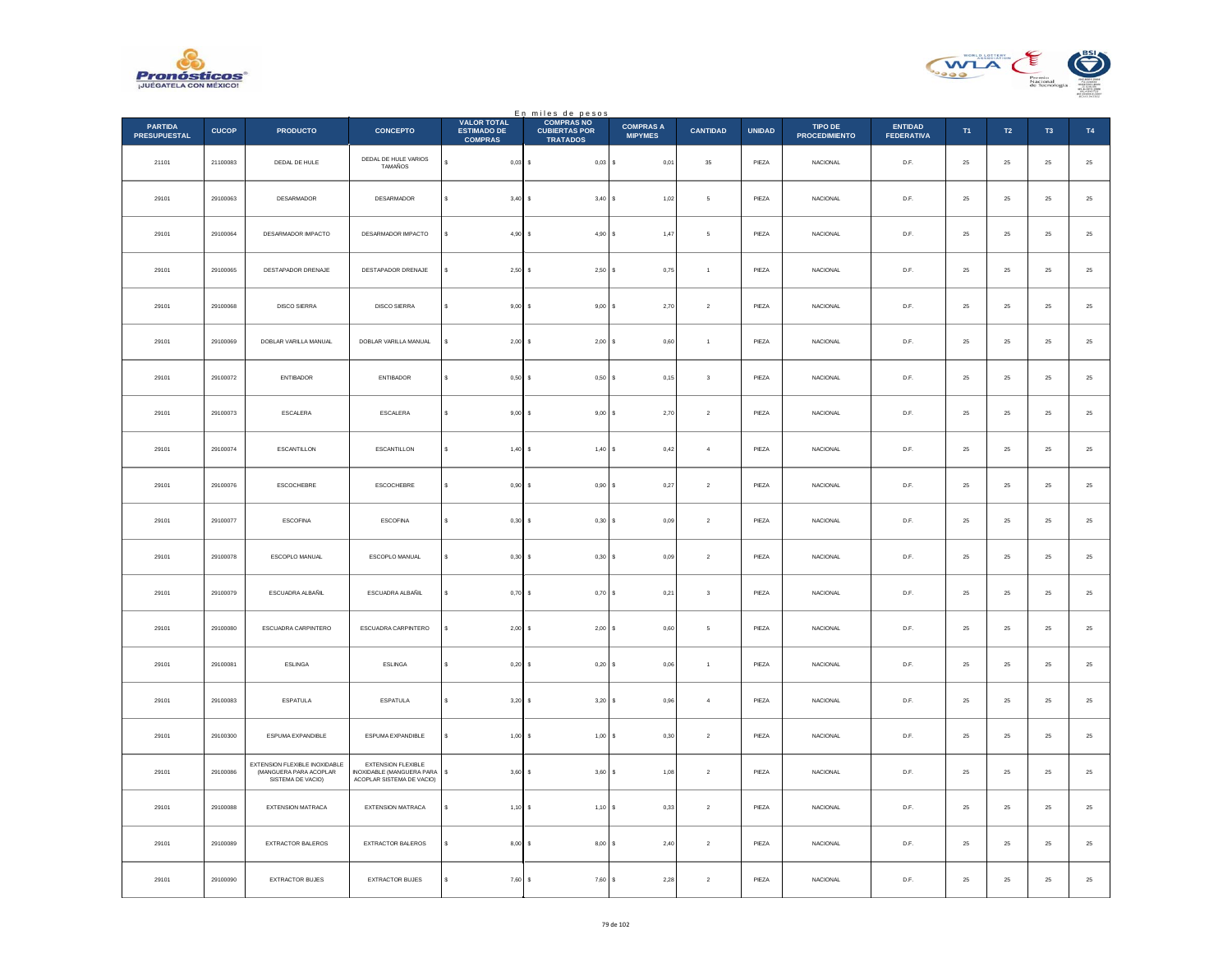



|                                       |              |                                                                              |                                                                              |                                                            | En miles de pesos<br>COMPRAS NO         |                                    |                         |               |                                 |                                     |                |             |                |             |
|---------------------------------------|--------------|------------------------------------------------------------------------------|------------------------------------------------------------------------------|------------------------------------------------------------|-----------------------------------------|------------------------------------|-------------------------|---------------|---------------------------------|-------------------------------------|----------------|-------------|----------------|-------------|
| <b>PARTIDA</b><br><b>PRESUPUESTAL</b> | <b>CUCOP</b> | <b>PRODUCTO</b>                                                              | <b>CONCEPTO</b>                                                              | <b>VALOR TOTAL</b><br><b>ESTIMADO DE</b><br><b>COMPRAS</b> | <b>CUBIERTAS POR</b><br><b>TRATADOS</b> | <b>COMPRAS A</b><br><b>MIPYMES</b> | <b>CANTIDAD</b>         | <b>UNIDAD</b> | TIPO DE<br><b>PROCEDIMIENTO</b> | <b>ENTIDAD</b><br><b>FEDERATIVA</b> | T <sub>1</sub> | T2          | T <sub>3</sub> | T4          |
| 21101                                 | 21100083     | DEDAL DE HULE                                                                | DEDAL DE HULE VARIOS<br>TAMAÑOS                                              | s<br>$0,03$ \$                                             | $0,03$ \$                               | 0,01                               | $35\,$                  | PIEZA         | NACIONAL                        | D.F.                                | 25             | $\bf 25$    | $25\,$         | $\bf 25$    |
| 29101                                 | 29100063     | DESARMADOR                                                                   | <b>DESARMADOR</b>                                                            | $3,40$ \$<br>$\epsilon$                                    | 3,40S                                   | 1,02                               | 5                       | PIEZA         | <b>NACIONAL</b>                 | D.F.                                | 25             | 25          | 25             | $\bf 25$    |
| 29101                                 | 29100064     | DESARMADOR IMPACTO                                                           | DESARMADOR IMPACTO                                                           | $4,90$ \$                                                  | 4,90S                                   | 1,47                               | 5                       | PIEZA         | NACIONAL                        | $\mathsf{D}.\mathsf{F}.$            | $25\,$         | $2\sqrt{5}$ | $2\mathsf{S}$  | $25\,$      |
| 29101                                 | 29100065     | DESTAPADOR DRENAJE                                                           | DESTAPADOR DRENAJE                                                           | s<br>$2,50$ \$                                             | 2,50S                                   | 0,75                               | $\,$ 1 $\,$             | PIEZA         | <b>NACIONAL</b>                 | D.F.                                | $25\,$         | $25\,$      | $\bf 25$       | $25\,$      |
| 29101                                 | 29100068     | DISCO SIERRA                                                                 | <b>DISCO SIERRA</b>                                                          | s<br>$9,00$ \$                                             | 9,00S                                   | 2,70                               | $\,$ 2 $\,$             | PIEZA         | <b>NACIONAL</b>                 | D.F.                                | 25             | $2\sqrt{5}$ | 25             | $25\,$      |
| 29101                                 | 29100069     | DOBLAR VARILLA MANUAL                                                        | DOBLAR VARILLA MANUAL                                                        | $2,00$ \$                                                  | 2,00S                                   | 0,60                               | $\mathbf{1}$            | PIEZA         | <b>NACIONAL</b>                 | D.F.                                | $25\,$         | ${\bf 25}$  | 25             | 25          |
| 29101                                 | 29100072     | <b>ENTIBADOR</b>                                                             | <b>ENTIBADOR</b>                                                             | s<br>$0,50$ \$                                             | 0,50S                                   | 0,15                               | $\overline{\mathbf{3}}$ | PIEZA         | <b>NACIONAL</b>                 | D.F.                                | 25             | 25          | 25             | $\bf 25$    |
| 29101                                 | 29100073     | ESCALERA                                                                     | ESCALERA                                                                     | $9,00$ \$<br>s                                             | 9,00S                                   | 2,70                               | $\boldsymbol{2}$        | PIEZA         | NACIONAL                        | D.F.                                | $25\,$         | $25\,$      | 25             | $25\,$      |
| 29101                                 | 29100074     | ESCANTILLON                                                                  | <b>ESCANTILLON</b>                                                           | s<br>1,40S                                                 | 1,40S                                   | 0,42                               | $\overline{4}$          | PIEZA         | <b>NACIONAL</b>                 | D.F.                                | 25             | $\bf 25$    | 25             | $\bf 25$    |
| 29101                                 | 29100076     | ESCOCHEBRE                                                                   | ESCOCHEBRE                                                                   | $0,90$ \$                                                  | 0,90S                                   | 0,27                               | $\,$ 2 $\,$             | PIEZA         | <b>NACIONAL</b>                 | D.F.                                | 25             | 25          | 25             | $25\,$      |
| 29101                                 | 29100077     | ESCOFINA                                                                     | ESCOFINA                                                                     | s<br>$0,30$ \$                                             | 0,30S                                   | 0,09                               | $\boldsymbol{2}$        | PIEZA         | NACIONAL                        | D.F.                                | $25\,$         | $25\,$      | 25             | $25\,$      |
| 29101                                 | 29100078     | ESCOPLO MANUAL                                                               | ESCOPLO MANUAL                                                               | $0,30$ \$<br>s                                             | 0,30S                                   | 0.09                               | $\overline{2}$          | PIEZA         | <b>NACIONAL</b>                 | D.F.                                | 25             | 25          | 25             | $25\,$      |
| 29101                                 | 29100079     | ESCUADRA ALBAÑIL                                                             | ESCUADRA ALBAÑIL                                                             | $0,70$ \$                                                  | 0,70S                                   | 0,21                               | $\overline{\mathbf{3}}$ | PIEZA         | <b>NACIONAL</b>                 | D.F.                                | 25             | 25          | $25\,$         | $2\sqrt{5}$ |
| 29101                                 | 29100080     | ESCUADRA CARPINTERO                                                          | ESCUADRA CARPINTERO                                                          | $2,00$ \$                                                  | 2,00S                                   | 0,60                               | 5                       | PIEZA         | <b>NACIONAL</b>                 | D.F.                                | 25             | 25          | 25             | $\bf 25$    |
| 29101                                 | 29100081     | <b>ESLINGA</b>                                                               | ESLINGA                                                                      | $0,20$ \$                                                  | 0,20S                                   | 0,06                               | $\,$ 1 $\,$             | PIEZA         | NACIONAL                        | $\mathsf{D}.\mathsf{F}.$            | $25\,$         | $2\sqrt{5}$ | $2\mathsf{S}$  | $25\,$      |
| 29101                                 | 29100083     | <b>ESPATULA</b>                                                              | ESPATULA                                                                     | $3,20$ \$<br>s                                             | $3,20$ \$                               | 0,96                               | $\sqrt{4}$              | PIEZA         | NACIONAL                        | D.F.                                | ${\bf 25}$     | $25\,$      | $25\,$         | $\bf 25$    |
| 29101                                 | 29100300     | ESPUMA EXPANDIBLE                                                            | ESPUMA EXPANDIBLE                                                            | $1.00$ S<br>s                                              | $1.00$ S                                | 0.30                               | $\overline{2}$          | PIEZA         | <b>NACIONAL</b>                 | D.F.                                | 25             | 25          | 25             | $\bf 25$    |
| 29101                                 | 29100086     | EXTENSION FLEXIBLE INOXIDABLE<br>(MANGUERA PARA ACOPLAR<br>SISTEMA DE VACIO) | EXTENSION FLEXIBLE<br>INOXIDABLE (MANGUERA PARA<br>ACOPLAR SISTEMA DE VACIO) | 3,60S<br>\$                                                | 3,60S                                   | 1,08                               | $\,2\,$                 | PIEZA         | NACIONAL                        | $\mathsf{D}.\mathsf{F}.$            | $25\,$         | $2\sqrt{5}$ | $\bf 25$       | $25\,$      |
| 29101                                 | 29100088     | <b>EXTENSION MATRACA</b>                                                     | <b>EXTENSION MATRACA</b>                                                     | s<br>$1,10$ \$                                             | 1,10S                                   | 0,33                               | $\sqrt{2}$              | PIEZA         | <b>NACIONAL</b>                 | D.F.                                | 25             | 25          | 25             | $25\,$      |
| 29101                                 | 29100089     | EXTRACTOR BALEROS                                                            | EXTRACTOR BALEROS                                                            | $8,00$ \$                                                  | $8,00$ $S$                              | 2,40                               | $\,$ 2 $\,$             | PIEZA         | <b>NACIONAL</b>                 | D.F.                                | 25             | 25          | 25             | $25\,$      |
| 29101                                 | 29100090     | EXTRACTOR BUJES                                                              | EXTRACTOR BUJES                                                              | s<br>7,60S                                                 | 7,60 S                                  | 2,28                               | $\sqrt{2}$              | PIEZA         | NACIONAL                        | D.F.                                | $25\,$         | ${\bf 25}$  | 25             | $25\,$      |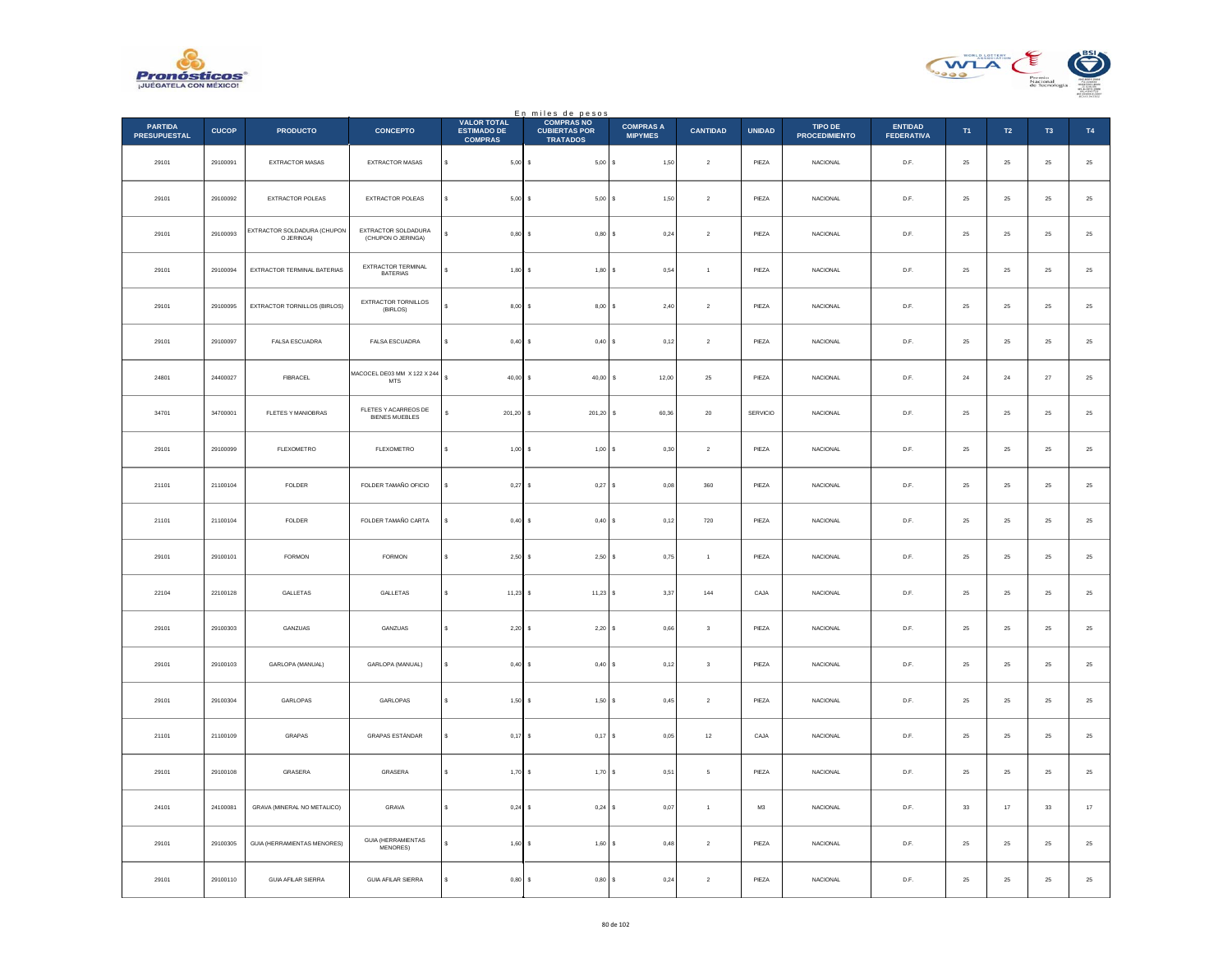



|                                       |              |                                                  |                                                            | <b>VALOR TOTAL</b>                   | En miles de pesos<br>COMPRAS NO         |                                    |                 |               |                                        |                                     |             |                  |                |               |
|---------------------------------------|--------------|--------------------------------------------------|------------------------------------------------------------|--------------------------------------|-----------------------------------------|------------------------------------|-----------------|---------------|----------------------------------------|-------------------------------------|-------------|------------------|----------------|---------------|
| <b>PARTIDA</b><br><b>PRESUPUESTAL</b> | <b>CUCOP</b> | <b>PRODUCTO</b>                                  | <b>CONCEPTO</b>                                            | <b>ESTIMADO DE</b><br><b>COMPRAS</b> | <b>CUBIERTAS POR</b><br><b>TRATADOS</b> | <b>COMPRAS A</b><br><b>MIPYMES</b> | <b>CANTIDAD</b> | <b>UNIDAD</b> | <b>TIPO DE</b><br><b>PROCEDIMIENTO</b> | <b>ENTIDAD</b><br><b>FEDERATIVA</b> | T1          | $\mathsf{T2}$    | T <sub>3</sub> | T4            |
| 29101                                 | 29100091     | EXTRACTOR MASAS                                  | EXTRACTOR MASAS                                            | s<br>$5,00$ \$                       | 5,00S                                   | 1,50                               | $\sqrt{2}$      | PIEZA         | <b>NACIONAL</b>                        | D.F.                                | $\bf 25$    | 25               | $\bf 25$       | $25\,$        |
| 29101                                 | 29100092     | <b>EXTRACTOR POLEAS</b>                          | <b>EXTRACTOR POLEAS</b>                                    | $5,00$ \$<br>s                       | 5,00S                                   | 1.50                               | $\overline{2}$  | PIEZA         | <b>NACIONAL</b>                        | D.F.                                | 25          | ${\bf 25}$       | 25             | $25\,$        |
| 29101                                 | 29100093     | <b>EXTRACTOR SOLDADURA (CHUPON</b><br>O JERINGA) | EXTRACTOR SOLDADURA<br>(CHUPON O JERINGA)                  | 0,80                                 | $0,80$ \$                               | 0,24                               | $\,$ 2 $\,$     | PIEZA         | NACIONAL                               | $\mathsf{D}.\mathsf{F}.$            | $2\sqrt{5}$ | $25\,$           | $\bf 25$       | 25            |
| 29101                                 | 29100094     | EXTRACTOR TERMINAL BATERIAS                      | EXTRACTOR TERMINAL<br>BATERIAS                             | 1,80                                 | 1,80S<br>$\sim$                         | 0,54                               | $\overline{1}$  | PIEZA         | <b>NACIONAL</b>                        | D.F.                                | $\bf 25$    | ${\bf 25}$       | ${\bf 25}$     | $25\,$        |
| 29101                                 | 29100095     | EXTRACTOR TORNILLOS (BIRLOS)                     | EXTRACTOR TORNILLOS<br>(BIRLOS)                            | 8,00                                 | 8,00S                                   | 2,40                               | $\,$ 2 $\,$     | PIEZA         | NACIONAL                               | D.F.                                | 25          | 25               | 25             | $2\mathsf{5}$ |
| 29101                                 | 29100097     | FALSA ESCUADRA                                   | FALSA ESCUADRA                                             | $\epsilon$<br>$0,40$ \$              | 0,40 S                                  | 0,12                               | $\overline{2}$  | PIEZA         | NACIONAL                               | D.F.                                | $\bf 25$    | $25\phantom{.0}$ | 25             | $25\,$        |
| 24801                                 | 24400027     | <b>FIBRACEL</b>                                  | MACOCEL DE03 MM X 122 X 244<br>$\ensuremath{\mathsf{MTS}}$ | $\mathsf{s}$<br>$40.00$ S            | $40,00$ \$                              | 12,00                              | 25              | PIEZA         | <b>NACIONAL</b>                        | D.F.                                | 24          | 24               | 27             | $25\,$        |
| 34701                                 | 34700001     | FLETES Y MANIOBRAS                               | FLETES Y ACARREOS DE<br><b>BIENES MUEBLES</b>              | 201,20 \$                            | 201,20 \$                               | 60,36                              | $20\,$          | SERVICIO      | NACIONAL                               | D.F.                                | $25\,$      | $\bf 25$         | ${\bf 25}$     | $25\,$        |
| 29101                                 | 29100099     | FLEXOMETRO                                       | <b>FLEXOMETRO</b>                                          | s<br>1,00                            | 1,00 S                                  | 0,30                               | $\overline{2}$  | PIEZA         | <b>NACIONAL</b>                        | D.F.                                | 25          | 25               | 25             | $\bf 25$      |
| 21101                                 | 21100104     | FOLDER                                           | FOLDER TAMAÑO OFICIO                                       | 0,27                                 | 0,27                                    | 0,08<br>l s                        | 360             | PIEZA         | NACIONAL                               | D.F.                                | 25          | 25               | 25             | $25\,$        |
| 21101                                 | 21100104     | FOLDER                                           | FOLDER TAMAÑO CARTA                                        | 0,40<br>s                            | 0,40S<br>$\sim$                         | 0,12                               | 720             | PIEZA         | NACIONAL                               | D.F.                                | $\bf 25$    | ${\bf 25}$       | 25             | $25\,$        |
| 29101                                 | 29100101     | <b>FORMON</b>                                    | FORMON                                                     | 2,50S<br>s                           | 2,50S                                   | 0.75                               | $\overline{1}$  | PIEZA         | <b>NACIONAL</b>                        | D.F.                                | 25          | 25               | 25             | $2\mathsf{5}$ |
| 22104                                 | 22100128     | GALLETAS                                         | GALLETAS                                                   | 11,23<br>s                           | $11,23$ \$                              | 3,37                               | 144             | CAJA          | <b>NACIONAL</b>                        | D.F.                                | 25          | $\bf 25$         | 25             | 25            |
| 29101                                 | 29100303     | GANZUAS                                          | GANZUAS                                                    | s.<br>2,20                           | $2,20$ $S$<br>-S                        | 0,66                               | $\mathbf{3}$    | PIEZA         | <b>NACIONAL</b>                        | D.F.                                | 25          | 25               | 25             | $25\,$        |
| 29101                                 | 29100103     | GARLOPA (MANUAL)                                 | GARLOPA (MANUAL)                                           | s<br>0,40                            | 0,40S                                   | 0,12                               | $\mathbf 3$     | PIEZA         | NACIONAL                               | $\mathsf{D}.\mathsf{F}.$            | $\bf 25$    | $\bf 25$         | $2\mathsf{S}$  | $2\mathsf{5}$ |
| 29101                                 | 29100304     | GARLOPAS                                         | GARLOPAS                                                   | 1,50<br>$\epsilon$                   | 1,50S                                   | 0,45                               | $\sqrt{2}$      | PIEZA         | <b>NACIONAL</b>                        | D.F.                                | $\bf 25$    | ${\bf 25}$       | $\bf 25$       | $\bf 25$      |
| 21101                                 | 21100109     | GRAPAS                                           | GRAPAS ESTÁNDAR                                            | $0.17$ S<br>s                        | $0,17$ \$                               | 0.05                               | 12              | CAJA          | NACIONAL                               | D.F.                                | 25          | 25               | 25             | $25\,$        |
| 29101                                 | 29100108     | GRASERA                                          | GRASERA                                                    | $1,70$ \$<br>\$                      | 1,70S                                   | 0,51                               | 5               | PIEZA         | NACIONAL                               | $\mathsf{D}.\mathsf{F}.$            | $\bf 25$    | $25\,$           | $2\mathsf{S}$  | $2\mathsf{5}$ |
| 24101                                 | 24100081     | GRAVA (MINERAL NO METALICO)                      | GRAVA                                                      | s.<br>0,24                           | 0,24S<br>$\sim$                         | 0.07                               | $\overline{1}$  | M3            | NACIONAL                               | D.F.                                | 33          | 17               | 33             | $17\,$        |
| 29101                                 | 29100305     | <b>GUIA (HERRAMIENTAS MENORES)</b>               | GUIA (HERRAMIENTAS<br>MENORES)                             | 1,60                                 | 1,60S                                   | 0,48                               | $\overline{2}$  | PIEZA         | <b>NACIONAL</b>                        | D.F.                                | 25          | 25               | 25             | $2\mathsf{5}$ |
| 29101                                 | 29100110     | <b>GUIA AFILAR SIERRA</b>                        | <b>GUIA AFILAR SIERRA</b>                                  | $0,80$ \$                            | 0,80S                                   | 0,24                               | $\sqrt{2}$      | PIEZA         | NACIONAL                               | D.F.                                | $\bf 25$    | $25\phantom{.0}$ | 25             | 25            |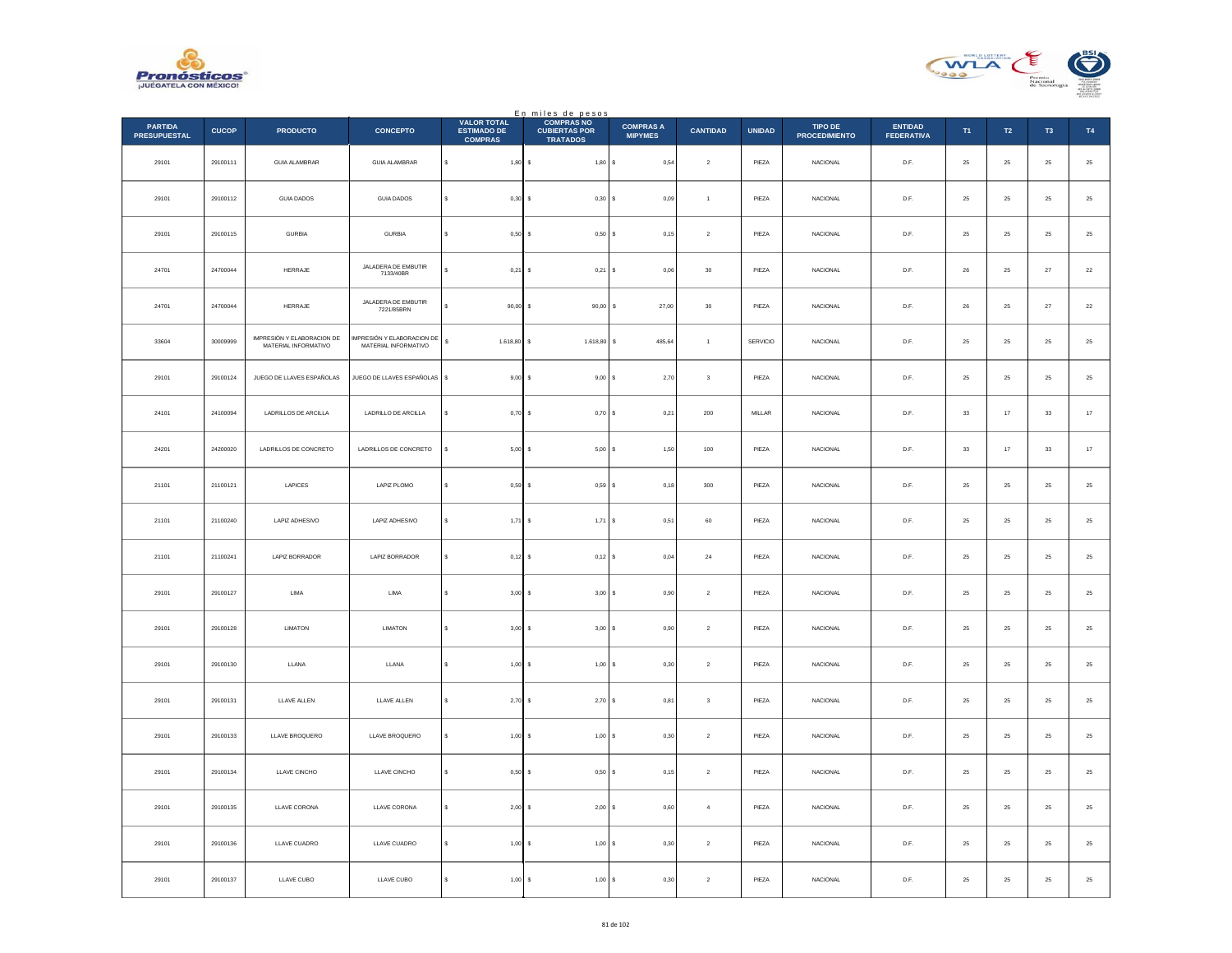



|                                       |              |                                                    |                                                   |                                                            | En miles de pesos<br>COMPRAS NO         |                                    |                  |               |                                 |                                     |                |             |                |             |
|---------------------------------------|--------------|----------------------------------------------------|---------------------------------------------------|------------------------------------------------------------|-----------------------------------------|------------------------------------|------------------|---------------|---------------------------------|-------------------------------------|----------------|-------------|----------------|-------------|
| <b>PARTIDA</b><br><b>PRESUPUESTAL</b> | <b>CUCOP</b> | <b>PRODUCTO</b>                                    | <b>CONCEPTO</b>                                   | <b>VALOR TOTAL</b><br><b>ESTIMADO DE</b><br><b>COMPRAS</b> | <b>CUBIERTAS POR</b><br><b>TRATADOS</b> | <b>COMPRAS A</b><br><b>MIPYMES</b> | <b>CANTIDAD</b>  | <b>UNIDAD</b> | TIPO DE<br><b>PROCEDIMIENTO</b> | <b>ENTIDAD</b><br><b>FEDERATIVA</b> | T <sub>1</sub> | T2          | T <sub>3</sub> | T4          |
| 29101                                 | 29100111     | <b>GUIA ALAMBRAR</b>                               | GUIA ALAMBRAR                                     | $\mathbb{S}$<br>$1,80$ \$                                  | 1,80S                                   | 0,54                               | $\boldsymbol{2}$ | PIEZA         | NACIONAL                        | D.F.                                | $\bf 25$       | $\bf 25$    | $25\,$         | $\bf 25$    |
| 29101                                 | 29100112     | <b>GUIA DADOS</b>                                  | <b>GUIA DADOS</b>                                 | $0,30$ \$<br>s                                             | 0,30S                                   | 0.09                               | $\overline{1}$   | PIEZA         | <b>NACIONAL</b>                 | D.F.                                | 25             | $25\,$      | 25             | $\bf 25$    |
| 29101                                 | 29100115     | <b>GURBIA</b>                                      | <b>GURBIA</b>                                     | $0,50$ \$                                                  | $0,50$ \$                               | 0,15                               | $\,2\,$          | PIEZA         | NACIONAL                        | $\mathsf{D}.\mathsf{F}.$            | $25\,$         | $2\sqrt{5}$ | $25\,$         | $25\,$      |
| 24701                                 | 24700044     | HERRAJE                                            | JALADERA DE EMBUTIR<br>7133/40BR                  | $\ddot{\phantom{0}}$<br>$0,21$ \$                          | 0,21                                    | 0,06<br>l s                        | $30\,$           | PIEZA         | NACIONAL                        | D.F.                                | ${\bf 26}$     | $25\,$      | $\bf 27$       | $22\,$      |
| 24701                                 | 24700044     | HERRAJE                                            | JALADERA DE EMBUTIR<br>7221/85BRN                 | s<br>$90,00$ \$                                            | 90,00                                   | 27,00<br>s                         | $30\,$           | PIEZA         | <b>NACIONAL</b>                 | D.F.                                | 26             | $25\,$      | $27\,$         | $22\,$      |
| 33604                                 | 30009999     | IMPRESIÓN Y ELABORACION DE<br>MATERIAL INFORMATIVO | MPRESIÓN Y ELABORACION DE<br>MATERIAL INFORMATIVO | s<br>1.618,80 \$                                           | 1.618,80                                | s<br>485,64                        | $\mathbf{1}$     | SERVICIO      | <b>NACIONAL</b>                 | D.F.                                | $25\,$         | $25\,$      | $25\,$         | 25          |
| 29101                                 | 29100124     | JUEGO DE LLAVES ESPAÑOLAS                          | JUEGO DE LLAVES ESPAÑOLAS                         | $9,00$ \$                                                  | $9,00$ \$                               | 2,70                               | $_{3}$           | PIEZA         | <b>NACIONAL</b>                 | D.F.                                | 25             | 25          | 25             | $\sqrt{25}$ |
| 24101                                 | 24100094     | LADRILLOS DE ARCILLA                               | LADRILLO DE ARCILLA                               | $0,70$ \$<br>\$                                            | 0,70S                                   | 0,21                               | $200\,$          | MILLAR        | NACIONAL                        | D.F.                                | $_{\rm 33}$    | $17\,$      | $_{\rm 33}$    | $17\,$      |
| 24201                                 | 24200020     | LADRILLOS DE CONCRETO                              | LADRILLOS DE CONCRETO                             | $5,00$ \$                                                  | 5,00S                                   | 1,50                               | 100              | PIEZA         | <b>NACIONAL</b>                 | D.F.                                | 33             | 17          | 33             | $17\,$      |
| 21101                                 | 21100121     | LAPICES                                            | LAPIZ PLOMO                                       | 0,59S                                                      | 0,59S                                   | 0,18                               | 300              | PIEZA         | <b>NACIONAL</b>                 | D.F.                                | 25             | 25          | 25             | $25\,$      |
| 21101                                 | 21100240     | LAPIZ ADHESIVO                                     | LAPIZ ADHESIVO                                    | s<br>$1,71$ \$                                             | $1,71$ \$                               | 0,51                               | $60\,$           | PIEZA         | NACIONAL                        | D.F.                                | $25\,$         | $25\,$      | $\bf 25$       | $25\,$      |
| 21101                                 | 21100241     | LAPIZ BORRADOR                                     | LAPIZ BORRADOR                                    | $0,12$ \$<br>s                                             | 0,12S                                   | 0,04                               | $\bf{24}$        | PIEZA         | <b>NACIONAL</b>                 | D.F.                                | 25             | 25          | 25             | $25\,$      |
| 29101                                 | 29100127     | ${\sf LIMA}$                                       | LIMA                                              | 3,00S                                                      | 3,00S                                   | 0,90                               | $\sqrt{2}$       | PIEZA         | <b>NACIONAL</b>                 | D.F.                                | 25             | $25\,$      | $25\,$         | $25\,$      |
| 29101                                 | 29100128     | LIMATON                                            | LIMATON                                           | s<br>$3,00$ \$                                             | 3,00S                                   | 0,90                               | $\overline{2}$   | PIEZA         | <b>NACIONAL</b>                 | D.F.                                | 25             | 25          | 25             | $\bf 25$    |
| 29101                                 | 29100130     | LLANA                                              | LLANA                                             | s<br>$1,00$ \$                                             | $1,00$ \$                               | 0,30                               | $\,$ 2 $\,$      | PIEZA         | NACIONAL                        | $\mathsf{D}.\mathsf{F}.$            | $25\,$         | $2\sqrt{5}$ | $2\mathsf{S}$  | $25\,$      |
| 29101                                 | 29100131     | LLAVE ALLEN                                        | LLAVE ALLEN                                       | s<br>$2,70$ \$                                             | 2,70S                                   | 0,81                               | $\mathbf 3$      | PIEZA         | NACIONAL                        | D.F.                                | $\bf 25$       | $25\,$      | $25\,$         | $\bf 25$    |
| 29101                                 | 29100133     | LLAVE BROQUERO                                     | LLAVE BROQUERO                                    | s<br>$1.00$ S                                              | $1.00$ S                                | 0.30                               | $\overline{2}$   | PIEZA         | <b>NACIONAL</b>                 | D.F.                                | 25             | 25          | 25             | $\bf 25$    |
| 29101                                 | 29100134     | LLAVE CINCHO                                       | LLAVE CINCHO                                      | $0,50$ \$<br>\$                                            | 0,50S                                   | 0,15                               | $\,$ 2 $\,$      | PIEZA         | NACIONAL                        | $\mathsf{D}.\mathsf{F}.$            | $25\,$         | $2\sqrt{5}$ | $2\mathsf{S}$  | $25\,$      |
| 29101                                 | 29100135     | <b>LLAVE CORONA</b>                                | <b>LLAVE CORONA</b>                               | s<br>$2,00$ \$                                             | 2,00S                                   | 0,60                               | $\overline{4}$   | PIEZA         | <b>NACIONAL</b>                 | D.F.                                | 25             | 25          | 25             | $25\,$      |
| 29101                                 | 29100136     | LLAVE CUADRO                                       | LLAVE CUADRO                                      | $1,00$ \$                                                  | 1,00S                                   | 0,30                               | $\overline{2}$   | PIEZA         | <b>NACIONAL</b>                 | D.F.                                | 25             | 25          | 25             | $25\,$      |
| 29101                                 | 29100137     | LLAVE CUBO                                         | LLAVE CUBO                                        | s<br>1,00S                                                 | 1,00S                                   | 0,30                               | $\sqrt{2}$       | PIEZA         | <b>NACIONAL</b>                 | D.F.                                | $\bf 25$       | ${\bf 25}$  | 25             | $25\,$      |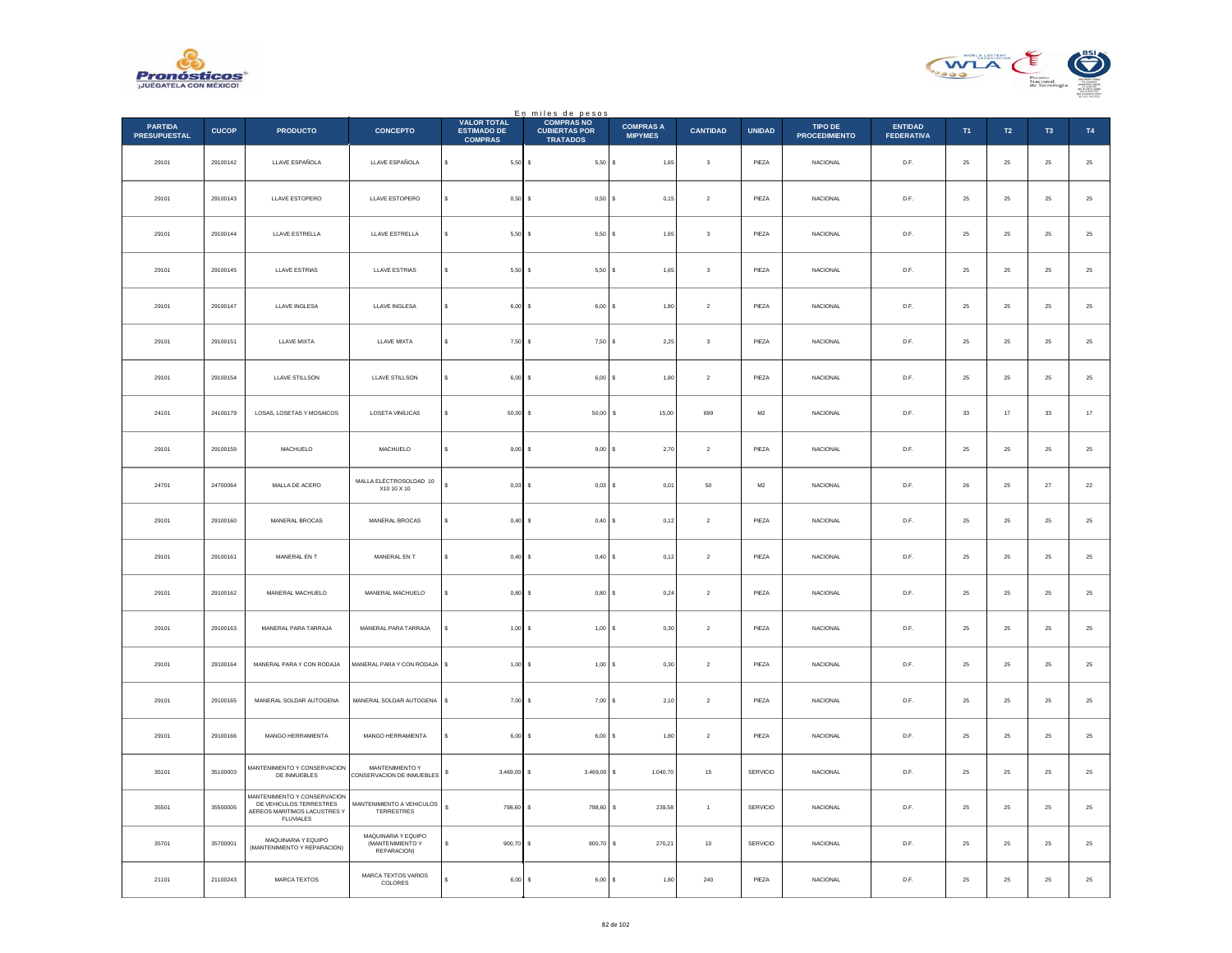



|                                       |              |                                                                                                             |                                                        |                                                            | En miles de pesos<br>COMPRAS NO         |                                    |                         |                |                                 |                                     |             |             |                |          |
|---------------------------------------|--------------|-------------------------------------------------------------------------------------------------------------|--------------------------------------------------------|------------------------------------------------------------|-----------------------------------------|------------------------------------|-------------------------|----------------|---------------------------------|-------------------------------------|-------------|-------------|----------------|----------|
| <b>PARTIDA</b><br><b>PRESUPUESTAL</b> | <b>CUCOP</b> | <b>PRODUCTO</b>                                                                                             | <b>CONCEPTO</b>                                        | <b>VALOR TOTAL</b><br><b>ESTIMADO DE</b><br><b>COMPRAS</b> | <b>CUBIERTAS POR</b><br><b>TRATADOS</b> | <b>COMPRAS A</b><br><b>MIPYMES</b> | <b>CANTIDAD</b>         | <b>UNIDAD</b>  | TIPO DE<br><b>PROCEDIMIENTO</b> | <b>ENTIDAD</b><br><b>FEDERATIVA</b> | T1          | T2          | T <sub>3</sub> | T4       |
| 29101                                 | 29100142     | LLAVE ESPAÑOLA                                                                                              | LLAVE ESPAÑOLA                                         | s<br>$5,50$ \$                                             | $5,50$ \$                               | 1,65                               | $\overline{\mathbf{3}}$ | PIEZA          | NACIONAL                        | D.F.                                | $25\,$      | $\bf 25$    | $\bf 25$       | $\bf 25$ |
| 29101                                 | 29100143     | LLAVE ESTOPERO                                                                                              | LLAVE ESTOPERO                                         | $0,50$ \$<br>s                                             | 0,50S                                   | 0.15                               | $\overline{2}$          | PIEZA          | <b>NACIONAL</b>                 | D.F.                                | 25          | 25          | 25             | $\bf 25$ |
| 29101                                 | 29100144     | LLAVE ESTRELLA                                                                                              | LLAVE ESTRELLA                                         | $5,50$ \$                                                  | 5,50S                                   | 1,65                               | 3                       | PIEZA          | NACIONAL                        | D.F.                                | $25\,$      | $\bf 25$    | $2\mathsf{S}$  | $25\,$   |
| 29101                                 | 29100145     | LLAVE ESTRIAS                                                                                               | LLAVE ESTRIAS                                          | \$<br>5,50                                                 | ١s<br>5,50S                             | 1,65                               | $\mathsf 3$             | PIEZA          | <b>NACIONAL</b>                 | D.F.                                | $25\,$      | $\bf 25$    | 25             | $25\,$   |
| 29101                                 | 29100147     | LLAVE INGLESA                                                                                               | LLAVE INGLESA                                          | 6,00<br>s                                                  | $6,00$ $S$<br>Ι\$                       | 1,80                               | $\sqrt{2}$              | PIEZA          | <b>NACIONAL</b>                 | D.F.                                | 25          | 25          | 25             | $25\,$   |
| 29101                                 | 29100151     | LLAVE MIXTA                                                                                                 | <b>LLAVE MIXTA</b>                                     | s<br>$7,50$ \$                                             | 7,50S                                   | 2,25                               | $^{\rm 3}$              | PIEZA          | NACIONAL                        | D.F.                                | ${\bf 25}$  | 25          | 25             | $\bf 25$ |
| 29101                                 | 29100154     | LLAVE STILLSON                                                                                              | <b>LLAVE STILLSON</b>                                  | s<br>$6,00$ \$                                             | $6,00$ $S$                              | 1,80                               | $\overline{2}$          | PIEZA          | NACIONAL                        | D.F.                                | 25          | 25          | 25             | $25\,$   |
| 24101                                 | 24100179     | LOSAS, LOSETAS Y MOSAICOS                                                                                   | LOSETA VINÍLICAS                                       | $50,00$ \$<br>\$                                           | 50,00                                   | 15,00<br>s                         | 699                     | $\mathsf{M}2$  | NACIONAL                        | D.F.                                | $_{\rm 33}$ | $17\,$      | $_{\rm 33}$    | $17\,$   |
| 29101                                 | 29100159     | MACHUELO                                                                                                    | MACHUELO                                               | s<br>9,00                                                  | s<br>9,00 S                             | 2,70                               | $\overline{2}$          | PIEZA          | <b>NACIONAL</b>                 | D.F.                                | 25          | 25          | 25             | $\bf 25$ |
| 24701                                 | 24700064     | MALLA DE ACERO                                                                                              | MALLA ELÉCTROSOLDAD 10<br>X10 10 X 10                  | 0,03                                                       | $0,03$ \$<br>s                          | 0,01                               | 50                      | M <sub>2</sub> | <b>NACIONAL</b>                 | D.F.                                | 26          | $25\,$      | 27             | $22\,$   |
| 29101                                 | 29100160     | MANERAL BROCAS                                                                                              | MANERAL BROCAS                                         | 0,40<br>s                                                  | ۱s<br>0,40S                             | 0,12                               | $\sqrt{2}$              | PIEZA          | <b>NACIONAL</b>                 | D.F.                                | 25          | $\bf 25$    | $\bf 25$       | $25\,$   |
| 29101                                 | 29100161     | MANERAL EN T                                                                                                | MANERAL EN T                                           | s<br>$0,40$ \$                                             | 0.40 S                                  | 0.12                               | $\overline{2}$          | PIEZA          | <b>NACIONAL</b>                 | D.F.                                | 25          | 25          | 25             | 25       |
| 29101                                 | 29100162     | MANERAL MACHUELO                                                                                            | MANERAL MACHUELO                                       | 0,80                                                       | 0,80S<br>s                              | 0,24                               | $\overline{2}$          | PIEZA          | <b>NACIONAL</b>                 | D.F.                                | 25          | $25\,$      | 25             | $25\,$   |
| 29101                                 | 29100163     | MANERAL PARA TARRAJA                                                                                        | MANERAL PARA TARRAJA                                   | s<br>1,00                                                  | l s<br>1,00S                            | 0.30                               | $\overline{2}$          | PIEZA          | <b>NACIONAL</b>                 | D.F.                                | 25          | 25          | 25             | 25       |
| 29101                                 | 29100164     | MANERAL PARA Y CON RODAJA                                                                                   | MANERAL PARA Y CON RODAJA                              | \$<br>$1,00$ \$                                            | 1,00S                                   | 0,30                               | $\sqrt{2}$              | PIEZA          | NACIONAL                        | D.F.                                | $25\,$      | $2\sqrt{5}$ | 25             | $25\,$   |
| 29101                                 | 29100165     | MANERAL SOLDAR AUTOGENA                                                                                     | MANERAL SOLDAR AUTOGENA                                | \$<br>7,00                                                 | l s<br>7,00S                            | 2,10                               | $\sqrt{2}$              | PIEZA          | NACIONAL                        | D.F.                                | $25\,$      | $2\sqrt{5}$ | $\bf 25$       | $\bf 25$ |
| 29101                                 | 29100166     | MANGO HERRAMIENTA                                                                                           | MANGO HERRAMIENTA                                      | 6.00<br>s                                                  | $6.00$ S<br>l s                         | 1.80                               | $\overline{2}$          | PIEZA          | <b>NACIONAL</b>                 | D.F.                                | 25          | 25          | 25             | $\bf 25$ |
| 35101                                 | 35100003     | MANTENIMIENTO Y CONSERVACION<br>DE INMUEBLES                                                                | MANTENIMIENTO Y<br>CONSERVACION DE INMUEBLES           | 3.469,00<br>$\mathbb{S}$                                   | $3.469,00$ \$<br>l s                    | 1.040,70                           | $15\,$                  | SERVICIO       | NACIONAL                        | D.F.                                | 25          | $\bf 25$    | $\bf 25$       | $25\,$   |
| 35501                                 | 35500005     | MANTENIMIENTO Y CONSERVACION<br>DE VEHICULOS TERRESTRES<br>AEREOS MARITIMOS LACUSTRES Y<br><b>FLUVIALES</b> | MANTENIMIENTO A VEHICULOS<br>TERRESTRES                | $\mathbf{s}$<br>798,60                                     | s<br>798,60                             | $\mathbf{s}$<br>239,58             | $\mathbf{1}$            | SERVICIO       | <b>NACIONAL</b>                 | D.F.                                | 25          | 25          | 25             | $25\,$   |
| 35701                                 | 35700001     | MAQUINARIA Y EQUIPO<br>(MANTENIMIENTO Y REPARACION)                                                         | MAQUINARIA Y EQUIPO<br>(MANTENIMIENTO Y<br>REPARACION) | 900,70<br>\$                                               | $900,70$ \$<br>s                        | 270,21                             | $10\,$                  | SERVICIO       | <b>NACIONAL</b>                 | D.F.                                | 25          | 25          | 25             | $25\,$   |
| 21101                                 | 21100243     | MARCA TEXTOS                                                                                                | <b>MARCA TEXTOS VARIOS</b><br>COLORES                  | 6,00S                                                      | 6,00S                                   | 1,80                               | 240                     | PIEZA          | NACIONAL                        | D.F.                                | $25\,$      | 25          | 25             | $25\,$   |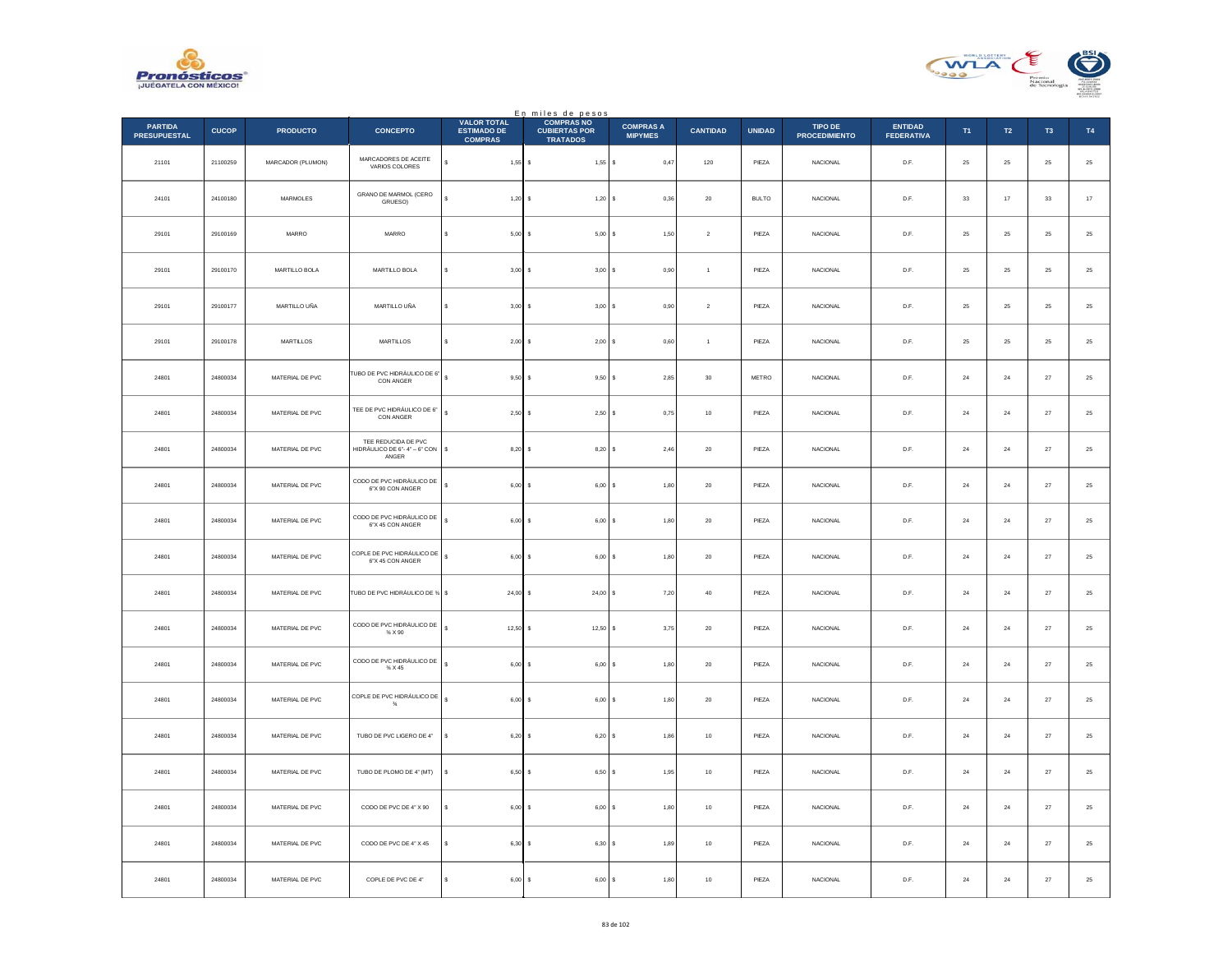



|                                       |              |                               |                                                              |                                                            | En miles de pesos<br>COMPRAS NO         |                                    |                 |               |                                 |                                     |                |           |                |             |
|---------------------------------------|--------------|-------------------------------|--------------------------------------------------------------|------------------------------------------------------------|-----------------------------------------|------------------------------------|-----------------|---------------|---------------------------------|-------------------------------------|----------------|-----------|----------------|-------------|
| <b>PARTIDA</b><br><b>PRESUPUESTAL</b> | <b>CUCOP</b> | <b>PRODUCTO</b>               | <b>CONCEPTO</b>                                              | <b>VALOR TOTAL</b><br><b>ESTIMADO DE</b><br><b>COMPRAS</b> | <b>CUBIERTAS POR</b><br><b>TRATADOS</b> | <b>COMPRAS A</b><br><b>MIPYMES</b> | <b>CANTIDAD</b> | <b>UNIDAD</b> | TIPO DE<br><b>PROCEDIMIENTO</b> | <b>ENTIDAD</b><br><b>FEDERATIVA</b> | T <sub>1</sub> | T2        | T <sub>3</sub> | T4          |
| 21101                                 | 21100259     | MARCADOR (PLUMON)             | MARCADORES DE ACEITE<br>VARIOS COLORES                       | s<br>$1,55$ \$                                             | $1,55$ \$                               | 0,47                               | $120\,$         | PIEZA         | NACIONAL                        | D.F.                                | 25             | $\bf 25$  | $25\,$         | $\bf 25$    |
| 24101                                 | 24100180     | MARMOLES                      | GRANO DE MARMOL (CERO<br>GRUESO)                             | $1,20$ \$                                                  | $1,20$ \$                               | 0,36                               | ${\bf 20}$      | <b>BULTO</b>  | <b>NACIONAL</b>                 | D.F.                                | 33             | $17\,$    | 33             | $17\,$      |
| 29101                                 | 29100169     | $\ensuremath{\mathsf{MARRO}}$ | MARRO                                                        | $5,00$ \$                                                  | $5,00$ \$                               | 1,50                               | $\sqrt{2}$      | PIEZA         | NACIONAL                        | $\mathsf{D}.\mathsf{F}.$            | $25\,$         | $25\,$    | 25             | $25\,$      |
| 29101                                 | 29100170     | MARTILLO BOLA                 | MARTILLO BOLA                                                | s<br>$3,00$ \$                                             | 3,00S                                   | 0,90                               | $\,$ 1 $\,$     | PIEZA         | NACIONAL                        | D.F.                                | $25\,$         | $25\,$    | $\bf 25$       | $25\,$      |
| 29101                                 | 29100177     | MARTILLO UÑA                  | MARTILLO UÑA                                                 | $3.00$ S<br>s                                              | 3.00 S                                  | 0.90                               | $\overline{2}$  | PIEZA         | <b>NACIONAL</b>                 | D.F.                                | 25             | 25        | 25             | $25\,$      |
| 29101                                 | 29100178     | MARTILLOS                     | MARTILLOS                                                    | s<br>$2,00$ \$                                             | 2,00S                                   | 0,60                               | $\overline{1}$  | PIEZA         | NACIONAL                        | D.F.                                | $25\,$         | $25\,$    | $\bf 25$       | $\bf 25$    |
| 24801                                 | 24800034     | MATERIAL DE PVC               | TUBO DE PVC HIDRÁULICO DE 6"<br>CON ANGER                    | $\epsilon$<br>$9,50$ \$                                    | $9,50$ \$                               | 2.85                               | 30              | <b>METRO</b>  | <b>NACIONAL</b>                 | D.F.                                | 24             | 24        | 27             | $\sqrt{25}$ |
| 24801                                 | 24800034     | MATERIAL DE PVC               | TEE DE PVC HIDRÁULICO DE 6"<br><b>CON ANGER</b>              | $\overline{\mathbf{s}}$<br>$2,50$ \$                       | $2,50$ \$                               | 0,75                               | $10\,$          | PIEZA         | NACIONAL                        | $\mathsf{D}.\mathsf{F}.$            | $\bf{24}$      | $\bf{24}$ | $\sqrt{27}$    | $25\,$      |
| 24801                                 | 24800034     | MATERIAL DE PVC               | TEE REDUCIDA DE PVC<br>HIDRÁULICO DE 6"-4" – 6" CON<br>ANGER | \$<br>$8,20$ \$                                            | $8,20$ \$                               | 2,46                               | ${\bf 20}$      | PIEZA         | NACIONAL                        | D.F.                                | $\bf 24$       | $\bf{24}$ | $\bf 27$       | $25\,$      |
| 24801                                 | 24800034     | MATERIAL DE PVC               | CODO DE PVC HIDRÁULICO DE<br>6"X 90 CON ANGER                | s<br>$6,00$ \$                                             | $6,00$ \$                               | 1,80                               | 20              | PIEZA         | <b>NACIONAL</b>                 | D.F.                                | 24             | 24        | 27             | $25\,$      |
| 24801                                 | 24800034     | MATERIAL DE PVC               | CODO DE PVC HIDRÁULICO DE<br>6"X 45 CON ANGER                | s<br>$6,00$ \$                                             | 6,00                                    | 1,80                               | $20\,$          | PIEZA         | NACIONAL                        | $\mathsf{D}.\mathsf{F}.$            | $\bf{24}$      | $\bf{24}$ | $27\,$         | $25\,$      |
| 24801                                 | 24800034     | MATERIAL DE PVC               | COPLE DE PVC HIDRÁULICO DE<br>6"X 45 CON ANGER               | $\mathbf{s}$<br>$6,00$ \$                                  | $6,00$ \$                               | 1,80                               | 20              | PIEZA         | <b>NACIONAL</b>                 | D.F.                                | 24             | 24        | 27             | $\bf 25$    |
| 24801                                 | 24800034     | MATERIAL DE PVC               | TUBO DE PVC HIDRÁULICO DE % \$                               | $24,00$ \$                                                 | $24,00$ \$                              | 7,20                               | $40\,$          | PIEZA         | <b>NACIONAL</b>                 | D.F.                                | 24             | $\bf{24}$ | $27\,$         | 25          |
| 24801                                 | 24800034     | MATERIAL DE PVC               | CODO DE PVC HIDRÁULICO DE<br>$\%$ X 90                       | $\epsilon$<br>$12,50$ \$                                   | $12,50$ \$                              | 3,75                               | $20\,$          | PIEZA         | NACIONAL                        | D.F.                                | 24             | 24        | $27\,$         | $\bf 25$    |
| 24801                                 | 24800034     | MATERIAL DE PVC               | CODO DE PVC HIDRÁULICO DE<br>$\%$ X 45                       | $6,00$ \$                                                  | 6,00S                                   | 1,80                               | $20\,$          | PIEZA         | <b>NACIONAL</b>                 | D.F.                                | 24             | 24        | $27\,$         | $25\,$      |
| 24801                                 | 24800034     | MATERIAL DE PVC               | COPLE DE PVC HIDRÁULICO DE                                   | $6,00$ \$<br>s                                             | 6,00                                    | 1,80                               | $20\,$          | PIEZA         | NACIONAL                        | $\mathsf{D}.\mathsf{F}.$            | $\bf{24}$      | $\bf{24}$ | $27\,$         | $25\,$      |
| 24801                                 | 24800034     | MATERIAL DE PVC               | TUBO DE PVC LIGERO DE 4"                                     | $6,20$ \$<br>s                                             | 6,20S                                   | 1,86                               | 10              | PIEZA         | <b>NACIONAL</b>                 | D.F.                                | 24             | 24        | 27             | $\bf 25$    |
| 24801                                 | 24800034     | MATERIAL DE PVC               | TUBO DE PLOMO DE 4" (MT)                                     | 6,50 \$<br>s                                               | $6,50$ $S$                              | 1,95                               | 10              | PIEZA         | <b>NACIONAL</b>                 | D.F.                                | 24             | $\bf 24$  | 27             | 25          |
| 24801                                 | 24800034     | MATERIAL DE PVC               | CODO DE PVC DE 4" X 90                                       | $6,00$ \$                                                  | 6,00S                                   | 1,80                               | $10$            | PIEZA         | NACIONAL                        | D.F.                                | 24             | 24        | $27\,$         | $\bf 25$    |
| 24801                                 | 24800034     | MATERIAL DE PVC               | CODO DE PVC DE 4" X 45                                       | 6,30 \$                                                    | 6,30 S                                  | 1,89                               | 10              | PIEZA         | <b>NACIONAL</b>                 | D.F.                                | 24             | 24        | 27             | 25          |
| 24801                                 | 24800034     | MATERIAL DE PVC               | COPLE DE PVC DE 4"                                           | 6,00<br>s                                                  | 6,00<br>s                               | 1,80                               | $10$            | PIEZA         | NACIONAL                        | D.F.                                | $\bf 24$       | $\bf 24$  | $27\,$         | $25\,$      |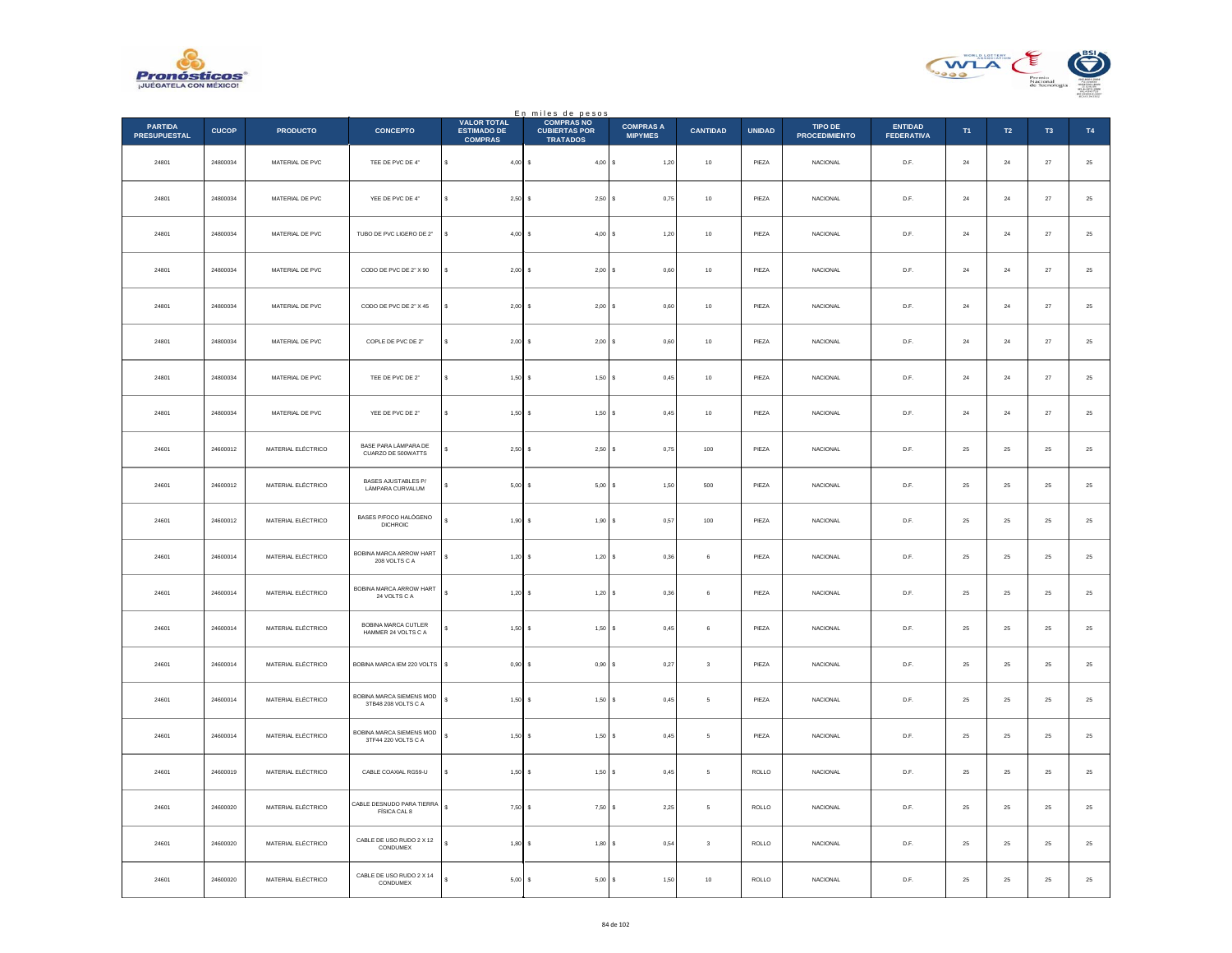



|                                       |              |                    |                                                   |                                                            | En miles de pesos<br>COMPRAS NO         |                                    |                 |               |                                 |                                     |             |              |                |             |
|---------------------------------------|--------------|--------------------|---------------------------------------------------|------------------------------------------------------------|-----------------------------------------|------------------------------------|-----------------|---------------|---------------------------------|-------------------------------------|-------------|--------------|----------------|-------------|
| <b>PARTIDA</b><br><b>PRESUPUESTAL</b> | <b>CUCOP</b> | <b>PRODUCTO</b>    | <b>CONCEPTO</b>                                   | <b>VALOR TOTAL</b><br><b>ESTIMADO DE</b><br><b>COMPRAS</b> | <b>CUBIERTAS POR</b><br><b>TRATADOS</b> | <b>COMPRAS A</b><br><b>MIPYMES</b> | <b>CANTIDAD</b> | <b>UNIDAD</b> | TIPO DE<br><b>PROCEDIMIENTO</b> | <b>ENTIDAD</b><br><b>FEDERATIVA</b> | T1          | T2           | T <sub>3</sub> | T4          |
| 24801                                 | 24800034     | MATERIAL DE PVC    | TEE DE PVC DE 4"                                  | \$<br>$4,00$ \$                                            | 4,00S                                   | 1,20                               | $10$            | PIEZA         | NACIONAL                        | D.F.                                | $\bf{24}$   | $\bf{^{24}}$ | $27\,$         | $\bf 25$    |
| 24801                                 | 24800034     | MATERIAL DE PVC    | YEE DE PVC DE 4"                                  | $2,50$ \$<br>$\epsilon$                                    | 2,50S                                   | 0,75                               | 10              | PIEZA         | <b>NACIONAL</b>                 | D.F.                                | 24          | 24           | 27             | $\bf 25$    |
| 24801                                 | 24800034     | MATERIAL DE PVC    | TUBO DE PVC LIGERO DE 2"                          | $4,00$ \$                                                  | 4,00S                                   | 1,20                               | $10$            | PIEZA         | NACIONAL                        | D.F.                                | $\sqrt{24}$ | $\bf{24}$    | $\sqrt{27}$    | $25\,$      |
| 24801                                 | 24800034     | MATERIAL DE PVC    | CODO DE PVC DE 2" X 90                            | $2,00$ \$<br>s                                             | 2,00S                                   | 0,60                               | $10$            | PIEZA         | NACIONAL                        | D.F.                                | ${\bf 24}$  | $\bf{24}$    | $27\,$         | $25\,$      |
| 24801                                 | 24800034     | MATERIAL DE PVC    | CODO DE PVC DE 2" X 45                            | $2.00$ S                                                   | 2.00 S                                  | 0.60                               | 10              | PIEZA         | <b>NACIONAL</b>                 | D.F.                                | 24          | 24           | 27             | $25\,$      |
| 24801                                 | 24800034     | MATERIAL DE PVC    | COPLE DE PVC DE 2"                                | $2,00$ \$                                                  | 2,00S                                   | 0,60                               | $10$            | PIEZA         | NACIONAL                        | D.F.                                | $\bf{24}$   | $\bf{24}$    | $27\,$         | $\bf 25$    |
| 24801                                 | 24800034     | MATERIAL DE PVC    | TEE DE PVC DE 2"                                  | $1,50$ \$<br>$\epsilon$                                    | 1,50S                                   | 0.45                               | 10              | PIFZA         | <b>NACIONAL</b>                 | D.F.                                | 24          | 24           | 27             | $\sqrt{25}$ |
| 24801                                 | 24800034     | MATERIAL DE PVC    | YEE DE PVC DE 2"                                  | $1,50$ \$<br>Ś                                             | 1,50S                                   | 0,45                               | $10$            | PIEZA         | NACIONAL                        | $\mathsf{D}.\mathsf{F}.$            | $\bf{24}$   | $\bf{24}$    | $\sqrt{27}$    | $25\,$      |
| 24601                                 | 24600012     | MATERIAL ELÉCTRICO | BASE PARA LÁMPARA DE<br>CUARZO DE 500WATTS        | 2,50S                                                      | $2,50$ \$                               | 0,75                               | $100\,$         | PIEZA         | NACIONAL                        | D.F.                                | 25          | $25\,$       | $25\,$         | $25\,$      |
| 24601                                 | 24600012     | MATERIAL ELÉCTRICO | <b>BASES AJUSTABLES P/</b><br>LÁMPARA CURVALUM    | $5,00$ \$                                                  | $5,00$ \$                               | 1,50                               | 500             | PIEZA         | <b>NACIONAL</b>                 | D.F.                                | 25          | 25           | 25             | $25\,$      |
| 24601                                 | 24600012     | MATERIAL ELÉCTRICO | BASES P/FOCO HALÓGENO<br><b>DICHROIC</b>          | $1,90$ \$                                                  | 1,90                                    | 0,57                               | $100\,$         | PIEZA         | NACIONAL                        | $\mathsf{D}.\mathsf{F}.$            | $25\,$      | $2\sqrt{5}$  | $2\sqrt{5}$    | $25\,$      |
| 24601                                 | 24600014     | MATERIAL ELÉCTRICO | BOBINA MARCA ARROW HART<br>208 VOLTS C A          | $\epsilon$<br>$1,20$ \$                                    | $1,20$ \$                               | 0,36                               | 6               | PIEZA         | <b>NACIONAL</b>                 | D.F.                                | 25          | 25           | 25             | $\bf 25$    |
| 24601                                 | 24600014     | MATERIAL ELÉCTRICO | BOBINA MARCA ARROW HART<br>24 VOLTS C A           | $1,20$ \$                                                  | 1,20S                                   | 0,36                               | 6               | PIEZA         | <b>NACIONAL</b>                 | D.F.                                | 25          | $25\,$       | 25             | $25\,$      |
| 24601                                 | 24600014     | MATERIAL ELÉCTRICO | <b>BOBINA MARCA CUTLER</b><br>HAMMER 24 VOLTS C A | 1,50S<br>¢                                                 | 1,50S                                   | 0,45                               | 6               | PIEZA         | NACIONAL                        | D.F.                                | 25          | ${\bf 25}$   | 25             | $\bf 25$    |
| 24601                                 | 24600014     | MATERIAL ELÉCTRICO | BOBINA MARCA IEM 220 VOLTS                        | $0.90$ \$<br>s                                             | 0,90S                                   | 0,27                               | $\mathbf 3$     | PIEZA         | <b>NACIONAL</b>                 | D.F.                                | 25          | 25           | 25             | $25\,$      |
| 24601                                 | 24600014     | MATERIAL ELÉCTRICO | BOBINA MARCA SIEMENS MOD<br>3TB48 208 VOLTS C A   | $1,50$ \$<br>\$                                            | 1,50                                    | 0,45                               | 5               | PIEZA         | NACIONAL                        | $\mathsf{D}.\mathsf{F}.$            | $25\,$      | $2\sqrt{5}$  | $2\mathsf{S}$  | $25\,$      |
| 24601                                 | 24600014     | MATERIAL ELÉCTRICO | BOBINA MARCA SIEMENS MOD<br>3TF44 220 VOLTS C A   | s<br>1,50S                                                 | 1,50S                                   | 0,45                               | 5               | PIEZA         | <b>NACIONAL</b>                 | D.F.                                | 25          | 25           | 25             | 25          |
| 24601                                 | 24600019     | MATERIAL ELÉCTRICO | CABLE COAXIAL RG59-U                              | 1,50S<br>s                                                 | 1,50S                                   | 0,45                               | 5               | ROLLO         | <b>NACIONAL</b>                 | D.F.                                | 25          | 25           | 25             | 25          |
| 24601                                 | 24600020     | MATERIAL ELÉCTRICO | CABLE DESNUDO PARA TIERRA<br>FÍSICA CAL 8         | s<br>7,50S                                                 | $7,50$ \$                               | 2,25                               | 5               | ROLLO         | <b>NACIONAL</b>                 | D.F.                                | 25          | ${\bf 25}$   | $25\,$         | $\bf 25$    |
| 24601                                 | 24600020     | MATERIAL ELÉCTRICO | CABLE DE USO RUDO 2 X 12<br>CONDUMEX              | $1,80$ \$                                                  | $1,80$ \$                               | 0.54                               | 3               | ROLLO         | <b>NACIONAL</b>                 | D.F.                                | 25          | 25           | 25             | 25          |
| 24601                                 | 24600020     | MATERIAL ELÉCTRICO | CABLE DE USO RUDO 2 X 14<br>CONDUMEX              | 5,00<br>s                                                  | 5,00<br>s                               | 1,50                               | $10$            | ROLLO         | <b>NACIONAL</b>                 | D.F.                                | 25          | 25           | 25             | $25\,$      |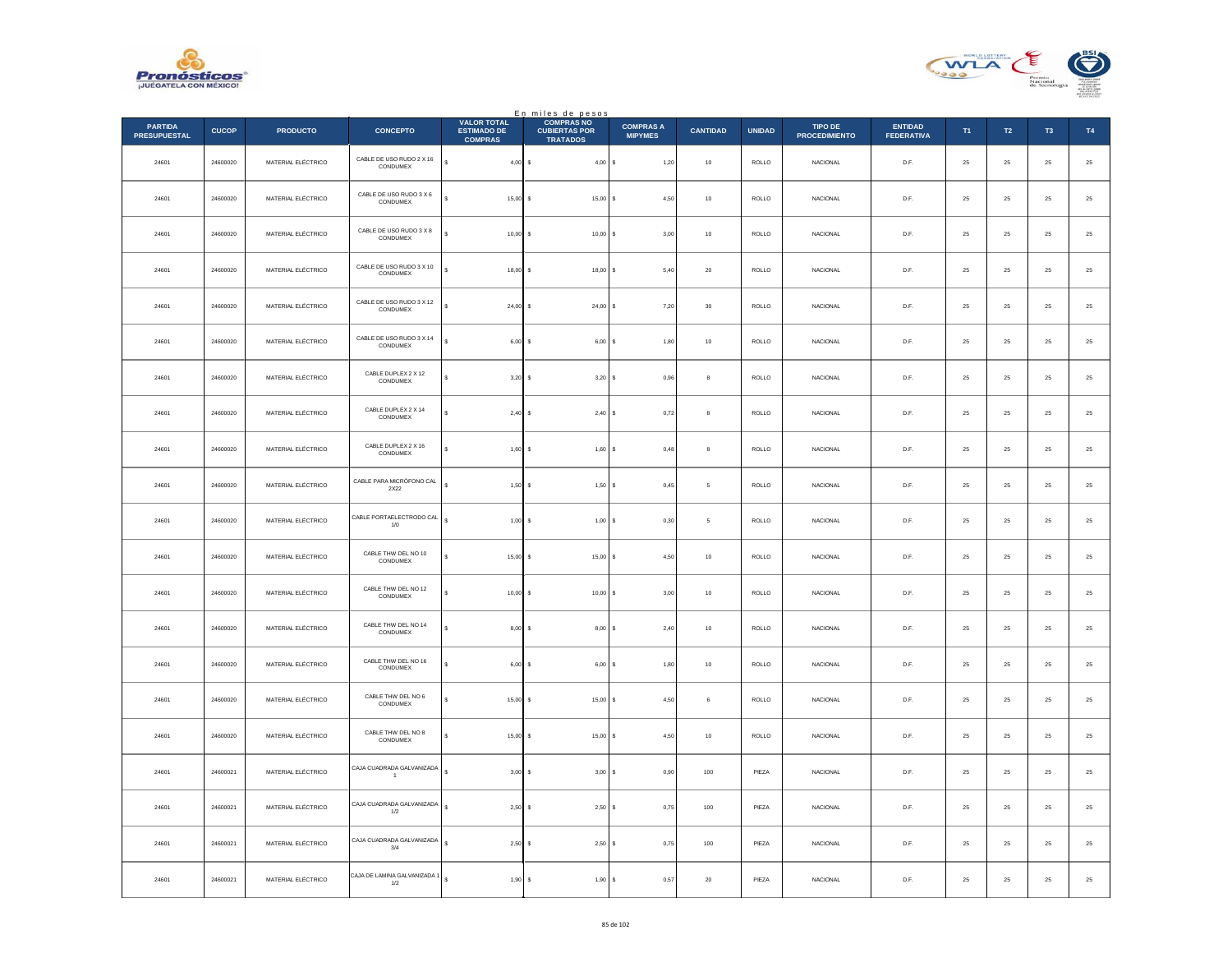



|                                       |              |                    |                                             |                                                            | En miles de pesos<br>COMPRAS NO         |                                    |                 |               |                                 |                                     |        |            |                |                  |
|---------------------------------------|--------------|--------------------|---------------------------------------------|------------------------------------------------------------|-----------------------------------------|------------------------------------|-----------------|---------------|---------------------------------|-------------------------------------|--------|------------|----------------|------------------|
| <b>PARTIDA</b><br><b>PRESUPUESTAL</b> | <b>CUCOP</b> | <b>PRODUCTO</b>    | <b>CONCEPTO</b>                             | <b>VALOR TOTAL</b><br><b>ESTIMADO DE</b><br><b>COMPRAS</b> | <b>CUBIERTAS POR</b><br><b>TRATADOS</b> | <b>COMPRAS A</b><br><b>MIPYMES</b> | <b>CANTIDAD</b> | <b>UNIDAD</b> | TIPO DE<br><b>PROCEDIMIENTO</b> | <b>ENTIDAD</b><br><b>FEDERATIVA</b> | T1     | T2         | T <sub>3</sub> | T4               |
| 24601                                 | 24600020     | MATERIAL ELÉCTRICO | CABLE DE USO RUDO 2 X 16<br>CONDUMEX        | ś<br>$4,00$ \$                                             | 4,00S                                   | 1,20                               | $10\,$          | $\sf ROLLO$   | NACIONAL                        | D.F.                                | 25     | $\bf 25$   | $\bf 25$       | $\bf 25$         |
| 24601                                 | 24600020     | MATERIAL ELÉCTRICO | CABLE DE USO RUDO 3 X 6<br>CONDUMEX         | $15,00$ \$                                                 | 15,00S                                  | 4,50                               | $10\,$          | ROLLO         | <b>NACIONAL</b>                 | D.F.                                | 25     | 25         | 25             | $\bf 25$         |
| 24601                                 | 24600020     | MATERIAL ELÉCTRICO | CABLE DE USO RUDO 3 X 8<br>CONDUMEX         | $10,00$ \$                                                 | $10,00$ \$                              | 3,00                               | $10$            | $\sf ROLLO$   | NACIONAL                        | D.F.                                | 25     | $25\,$     | $\bf 25$       | $25\,$           |
| 24601                                 | 24600020     | MATERIAL ELÉCTRICO | CABLE DE USO RUDO 3 X 10<br>CONDUMEX        | $\ddot{\phantom{0}}$<br>$18,00$ \$                         | $18,00$ \$                              | 5,40                               | $20\,$          | ROLLO         | NACIONAL                        | D.F.                                | 25     | $25\,$     | $\bf 25$       | $25\,$           |
| 24601                                 | 24600020     | MATERIAL ELÉCTRICO | CABLE DE USO RUDO 3 X 12<br>CONDUMEX        | $24.00$ S                                                  | $24.00$ S                               | 7.20                               | $30\,$          | <b>ROLLO</b>  | <b>NACIONAL</b>                 | D.F.                                | 25     | 25         | 25             | $25\,$           |
| 24601                                 | 24600020     | MATERIAL ELÉCTRICO | CABLE DE USO RUDO 3 X 14<br>CONDUMEX        | $6,00$ \$                                                  | 6,00                                    | 1,80<br><b>s</b>                   | $10\,$          | ROLLO         | NACIONAL                        | D.F.                                | 25     | $25\,$     | $\bf 25$       | $\bf 25$         |
| 24601                                 | 24600020     | MATERIAL ELÉCTRICO | CABLE DUPLEX 2 X 12<br>CONDUMEX             | $3,20$ $\,$ $\,$ $\,$<br>$\epsilon$                        | $3,20$ \$                               | 0.96                               | $\mathbf{a}$    | ROLLO         | <b>NACIONAL</b>                 | D.F.                                | 25     | 25         | 25             | $\bf 25$         |
| 24601                                 | 24600020     | MATERIAL ELÉCTRICO | CABLE DUPLEX 2 X 14<br>CONDUMEX             | 2,40S                                                      | 2,40S                                   | 0,72                               | 8               | $\sf ROLLO$   | NACIONAL                        | $\mathsf{D}.\mathsf{F}.$            | $25\,$ | $\bf 25$   | $2\mathsf{S}$  | $25\,$           |
| 24601                                 | 24600020     | MATERIAL ELÉCTRICO | CABLE DUPLEX 2 X 16<br>CONDUMEX             | $1,60$ \$                                                  | 1,60S                                   | 0,48                               | 8               | ROLLO         | NACIONAL                        | D.F.                                | 25     | $25\,$     | 25             | $25\,$           |
| 24601                                 | 24600020     | MATERIAL ELÉCTRICO | CABLE PARA MICRÓFONO CAL<br>$2X22$          | $1,50$ \$                                                  | $1,50$ \$                               | 0,45                               | 5               | ROLLO         | <b>NACIONAL</b>                 | D.F.                                | 25     | 25         | 25             | $25\,$           |
| 24601                                 | 24600020     | MATERIAL ELÉCTRICO | CABLE PORTAELECTRODO CAL<br>1/0             | $1,00$ \$                                                  | 1,00                                    | 0,30                               | $\mathsf s$     | $\sf ROLLO$   | NACIONAL                        | $\mathsf{D}.\mathsf{F}.$            | $25\,$ | $\bf 25$   | $2\mathsf{S}$  | $25\,$           |
| 24601                                 | 24600020     | MATERIAL ELÉCTRICO | CABLE THW DEL NO 10<br>CONDUMEX             | $15,00$ \$                                                 | $15,00$ \$                              | 4,50                               | 10              | ROLLO         | <b>NACIONAL</b>                 | D.F.                                | 25     | 25         | 25             | $\bf 25$         |
| 24601                                 | 24600020     | MATERIAL ELÉCTRICO | CABLE THW DEL NO 12<br>CONDUMEX             | $10,00$ \$                                                 | 10,00 S                                 | 3,00                               | $10\,$          | ROLLO         | <b>NACIONAL</b>                 | D.F.                                | 25     | $25\,$     | 25             | $25\,$           |
| 24601                                 | 24600020     | MATERIAL ELÉCTRICO | CABLE THW DEL NO 14<br>CONDUMEX             | 8,00S                                                      | 8,00S                                   | 2,40                               | $10$            | ROLLO         | <b>NACIONAL</b>                 | D.F.                                | 25     | ${\bf 25}$ | $25\,$         | $\mathbf{^{25}}$ |
| 24601                                 | 24600020     | MATERIAL ELÉCTRICO | CABLE THW DEL NO 16<br>CONDUMEX             | $6,00$ \$                                                  | 6,00S                                   | 1,80                               | $10\,$          | <b>ROLLO</b>  | <b>NACIONAL</b>                 | D.F.                                | 25     | $25\,$     | 25             | $25\,$           |
| 24601                                 | 24600020     | MATERIAL ELÉCTRICO | CABLE THW DEL NO 6<br>CONDUMEX              | $15,00$ \$                                                 | 15,00                                   | 4,50                               | 6               | $\sf ROLLO$   | NACIONAL                        | $\mathsf{D}.\mathsf{F}.$            | $25\,$ | $\bf 25$   | $2\mathsf{S}$  | $25\,$           |
| 24601                                 | 24600020     | MATERIAL ELÉCTRICO | CABLE THW DEL NO 8<br>CONDUMEX              | $15,00$ \$<br>s                                            | 15,00S                                  | 4,50                               | 10              | <b>ROLLO</b>  | <b>NACIONAL</b>                 | D.F.                                | 25     | 25         | 25             | $\mathbf{^{25}}$ |
| 24601                                 | 24600021     | MATERIAL ELÉCTRICO | CAJA CUADRADA GALVANIZADA<br>$\overline{1}$ | $3,00$ \$                                                  | $3,00$ \$                               | 0,90                               | 100             | PIEZA         | <b>NACIONAL</b>                 | D.F.                                | 25     | 25         | 25             | 25               |
| 24601                                 | 24600021     | MATERIAL ELÉCTRICO | CAJA CUADRADA GALVANIZADA<br>1/2            | s<br>2,50S                                                 | 2,50S                                   | 0,75                               | 100             | PIEZA         | <b>NACIONAL</b>                 | D.F.                                | $25\,$ | ${\bf 25}$ | $25\,$         | $25\,$           |
| 24601                                 | 24600021     | MATERIAL ELÉCTRICO | CAJA CUADRADA GALVANIZADA<br>$3/4\,$        | $2,50$ \$<br>s                                             | $2,50$ \$                               | 0,75                               | 100             | PIEZA         | <b>NACIONAL</b>                 | D.F.                                | 25     | 25         | 25             | 25               |
| 24601                                 | 24600021     | MATERIAL ELÉCTRICO | CAJA DE LAMINA GALVANIZADA 1<br>1/2         | 1,90<br>s                                                  | 1,90<br>s                               | 0,57                               | $20\,$          | PIEZA         | NACIONAL                        | D.F.                                | 25     | 25         | $\bf 25$       | $25\,$           |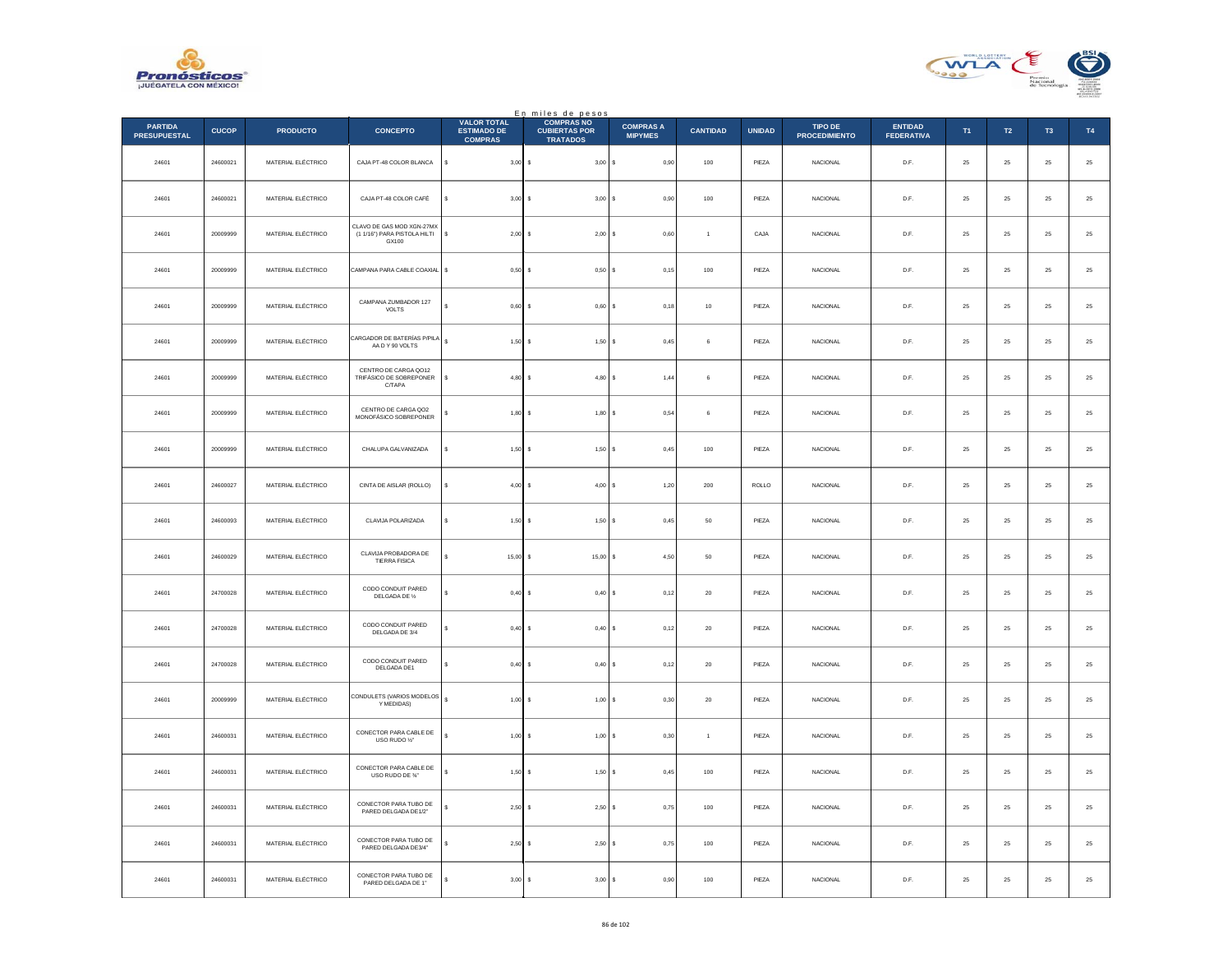



|                                       |              |                    |                                                                    |                                                            | En miles de pesos<br>COMPRAS NO         |                                    |                  |               |                                 |                                     |             |                  |                |               |
|---------------------------------------|--------------|--------------------|--------------------------------------------------------------------|------------------------------------------------------------|-----------------------------------------|------------------------------------|------------------|---------------|---------------------------------|-------------------------------------|-------------|------------------|----------------|---------------|
| <b>PARTIDA</b><br><b>PRESUPUESTAL</b> | <b>CUCOP</b> | <b>PRODUCTO</b>    | <b>CONCEPTO</b>                                                    | <b>VALOR TOTAL</b><br><b>ESTIMADO DE</b><br><b>COMPRAS</b> | <b>CUBIERTAS POR</b><br><b>TRATADOS</b> | <b>COMPRAS A</b><br><b>MIPYMES</b> | <b>CANTIDAD</b>  | <b>UNIDAD</b> | TIPO DE<br><b>PROCEDIMIENTO</b> | <b>ENTIDAD</b><br><b>FEDERATIVA</b> | T1          | $\mathsf{T2}$    | T <sub>3</sub> | T4            |
| 24601                                 | 24600021     | MATERIAL ELÉCTRICO | CAJA PT-48 COLOR BLANCA                                            | s<br>3,00                                                  | 3,00S                                   | 0,90                               | $100\,$          | PIEZA         | NACIONAL                        | D.F.                                | $\bf 25$    | $25\,$           | $\bf 25$       | $25\,$        |
| 24601                                 | 24600021     | MATERIAL ELÉCTRICO | CAJA PT-48 COLOR CAFÉ                                              | 3,00                                                       | 3,00S<br>$\sim$                         | 0.90                               | 100              | PIEZA         | <b>NACIONAL</b>                 | D.F.                                | 25          | 25               | 25             | $25\,$        |
| 24601                                 | 20009999     | MATERIAL ELÉCTRICO | CLAVO DE GAS MOD XGN-27MX<br>(1 1/16") PARA PISTOLA HILTI<br>GX100 | s<br>2,00                                                  | $2,00$ \$                               | 0,60                               | $\overline{1}$   | CAJA          | NACIONAL                        | $\mathsf{D}.\mathsf{F}.$            | $25\,$      | $\bf 25$         | $25\,$         | 25            |
| 24601                                 | 20009999     | MATERIAL ELÉCTRICO | CAMPANA PARA CABLE COAXIAL                                         | $\mathbb{S}$<br>0,50                                       | 0,50S                                   | 0,15                               | 100              | PIEZA         | NACIONAL                        | D.F.                                | $\bf 25$    | $25\,$           | 25             | $25\,$        |
| 24601                                 | 20009999     | MATERIAL ELÉCTRICO | CAMPANA ZUMBADOR 127<br>VOLTS                                      | 0.60                                                       | $0.60$ S                                | 0.18                               | 10               | PIEZA         | <b>NACIONAL</b>                 | D.F.                                | 25          | 25               | 25             | $25\,$        |
| 24601                                 | 20009999     | MATERIAL ELÉCTRICO | CARGADOR DE BATERÍAS P/PILA<br>AA D Y 90 VOLTS                     | $\epsilon$<br>1,50                                         | $1,50$ \$                               | 0,45                               | 6                | PIEZA         | NACIONAL                        | D.F.                                | $25\,$      | ${\bf 25}$       | $\bf 25$       | $\bf 25$      |
| 24601                                 | 20009999     | MATERIAL ELÉCTRICO | CENTRO DE CARGA QO12<br>TRIFÁSICO DE SOBREPONER<br>C/TAPA          | $\mathbf{s}$                                               | $4.80$ S                                | 1.44                               | $6 \overline{6}$ | PIF7A         | <b>NACIONAL</b>                 | D.F.                                | 25          | 25               | 25             | $25\,$        |
| 24601                                 | 20009999     | MATERIAL ELÉCTRICO | CENTRO DE CARGA QO2<br>MONOFÁSICO SOBREPONER                       | 1,80                                                       | $1,80$ \$                               | 0,54                               | 6                | PIEZA         | NACIONAL                        | $\mathsf{D}.\mathsf{F}.$            | $2\sqrt{5}$ | $\bf 25$         | $\bf 25$       | 25            |
| 24601                                 | 20009999     | MATERIAL ELÉCTRICO | CHALUPA GALVANIZADA                                                | 1,50                                                       | 1,50S                                   | 0,45                               | 100              | PIEZA         | NACIONAL                        | D.F.                                | $\bf 25$    | $25\,$           | 25             | 25            |
| 24601                                 | 24600027     | MATERIAL ELÉCTRICO | CINTA DE AISLAR (ROLLO)                                            | 4,00                                                       | $4,00$ S                                | 1,20                               | 200              | ROLLO         | <b>NACIONAL</b>                 | D.F.                                | 25          | 25               | 25             | $25\,$        |
| 24601                                 | 24600093     | MATERIAL ELÉCTRICO | CLAVIJA POLARIZADA                                                 | 1,50<br>s                                                  | 1,50                                    | ١s<br>0,45                         | ${\bf 50}$       | PIEZA         | NACIONAL                        | $\mathsf{D}.\mathsf{F}.$            | $\bf 25$    | $\bf 25$         | $2\mathsf{S}$  | $25\,$        |
| 24601                                 | 24600029     | MATERIAL ELÉCTRICO | CLAVIJA PROBADORA DE<br>TIERRA FISICA                              | $15,00$ \$<br>$\epsilon$                                   | $15,00$ \$                              | 4,50                               | 50               | PIF7A         | <b>NACIONAL</b>                 | D.F.                                | 25          | 25               | 25             | $25\,$        |
| 24601                                 | 24700028     | MATERIAL ELÉCTRICO | CODO CONDUIT PARED<br>DELGADA DE 1/2                               | 0,40                                                       | $0,40$ \$                               | 0,12                               | $20\,$           | PIEZA         | NACIONAL                        | D.F.                                | 25          | 25               | 25             | 25            |
| 24601                                 | 24700028     | MATERIAL ELÉCTRICO | CODO CONDUIT PARED<br>DELGADA DE 3/4                               | 0,40                                                       | 0,40S                                   | 0,12                               | $20\,$           | PIEZA         | <b>NACIONAL</b>                 | D.F.                                | 25          | $25\phantom{.0}$ | $25\,$         | $\bf 25$      |
| 24601                                 | 24700028     | MATERIAL ELÉCTRICO | CODO CONDUIT PARED<br>DELGADA DE1                                  | 0,40                                                       | $0,40$ \$                               | 0,12                               | $20\,$           | PIEZA         | <b>NACIONAL</b>                 | D.F.                                | 25          | 25               | 25             | $2\mathsf{5}$ |
| 24601                                 | 20009999     | MATERIAL ELÉCTRICO | CONDULETS (VARIOS MODELOS<br>Y MEDIDAS)                            | s<br>1,00                                                  | 1,00                                    | 0,30<br>١s                         | $20\,$           | PIEZA         | NACIONAL                        | $\mathsf{D}.\mathsf{F}.$            | $2\sqrt{5}$ | $\bf 25$         | $2\mathsf{S}$  | 25            |
| 24601                                 | 24600031     | MATERIAL ELÉCTRICO | CONECTOR PARA CABLE DE<br>USO RUDO 1/2"                            | $1,00$ \$<br>s                                             | 1,00S                                   | 0,30                               | $\overline{1}$   | PIEZA         | <b>NACIONAL</b>                 | D.F.                                | 25          | 25               | 25             | $25\,$        |
| 24601                                 | 24600031     | MATERIAL ELÉCTRICO | CONECTOR PARA CABLE DE<br>USO RUDO DE %"                           | s<br>1,50                                                  | 1,50S<br>-S                             | 0,45                               | 100              | PIEZA         | NACIONAL                        | D.F.                                | 25          | 25               | 25             | 25            |
| 24601                                 | 24600031     | MATERIAL ELÉCTRICO | CONECTOR PARA TUBO DE<br>PARED DELGADA DE1/2"                      | 2,50                                                       | 2,50S                                   | 0,75                               | 100              | PIEZA         | <b>NACIONAL</b>                 | D.F.                                | 25          | $25\phantom{.0}$ | $25\,$         | $\bf 25$      |
| 24601                                 | 24600031     | MATERIAL ELÉCTRICO | CONECTOR PARA TUBO DE<br>PARED DELGADA DE3/4"                      | 2.50                                                       | $2.50$ S                                | 0.75                               | 100              | PIEZA         | <b>NACIONAL</b>                 | D.F.                                | 25          | 25               | 25             | 25            |
| 24601                                 | 24600031     | MATERIAL ELÉCTRICO | CONECTOR PARA TUBO DE<br>PARED DELGADA DE 1"                       | 3,00                                                       | 3,00                                    | 0,90<br>s                          | $100\,$          | PIEZA         | NACIONAL                        | D.F.                                | 25          | $\bf 25$         | 25             | 25            |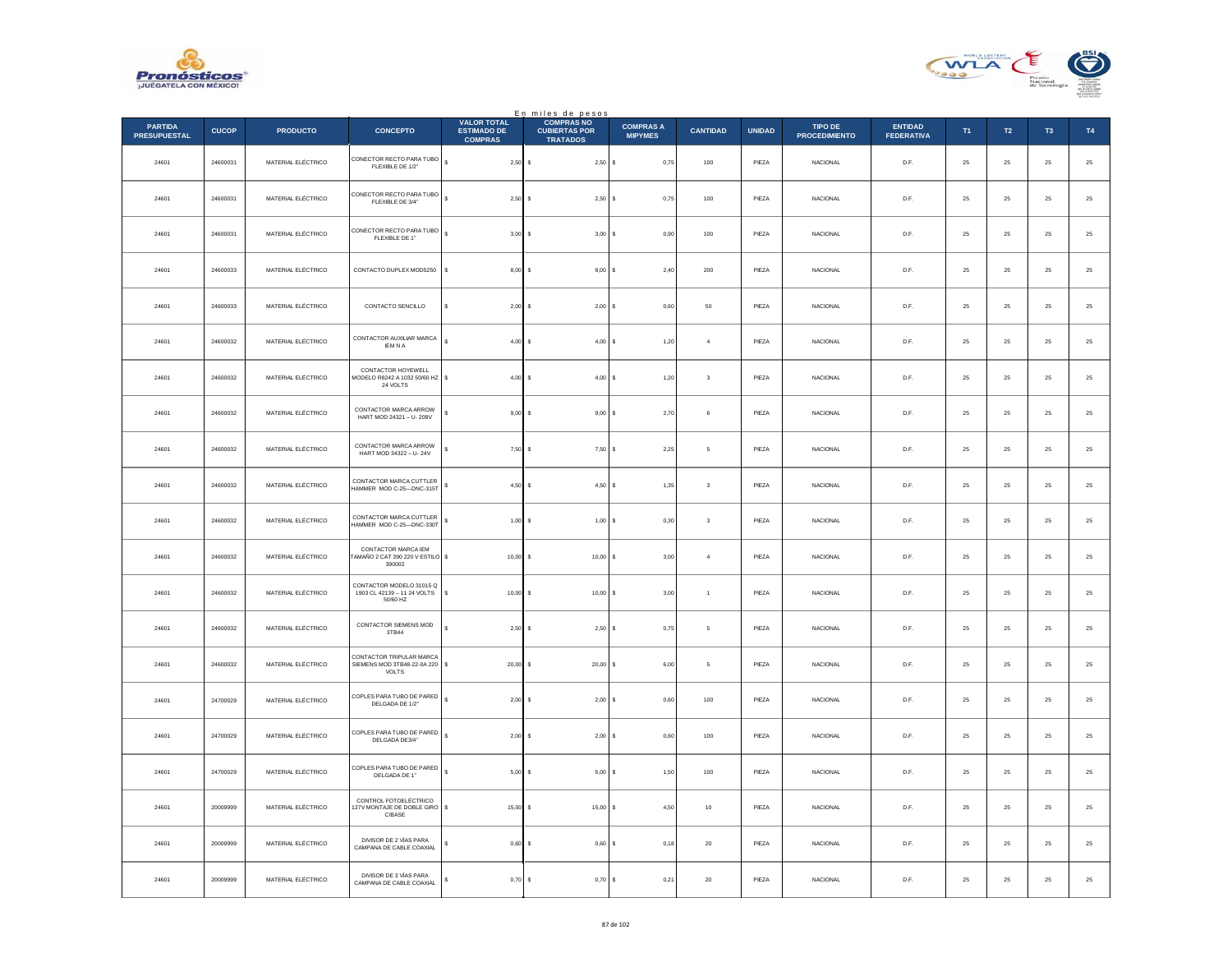



|                                       |              |                    |                                                                     |                                                            | En miles de pesos                                            |                                    |                         |               |                                        |                                     |        |            |                |                  |
|---------------------------------------|--------------|--------------------|---------------------------------------------------------------------|------------------------------------------------------------|--------------------------------------------------------------|------------------------------------|-------------------------|---------------|----------------------------------------|-------------------------------------|--------|------------|----------------|------------------|
| <b>PARTIDA</b><br><b>PRESUPUESTAL</b> | <b>CUCOP</b> | <b>PRODUCTO</b>    | <b>CONCEPTO</b>                                                     | <b>VALOR TOTAL</b><br><b>ESTIMADO DE</b><br><b>COMPRAS</b> | <b>COMPRAS NO</b><br><b>CUBIERTAS POR</b><br><b>TRATADOS</b> | <b>COMPRAS A</b><br><b>MIPYMES</b> | <b>CANTIDAD</b>         | <b>UNIDAD</b> | <b>TIPO DE</b><br><b>PROCEDIMIENTO</b> | <b>ENTIDAD</b><br><b>FEDERATIVA</b> | T1     | T2         | T <sub>3</sub> | T4               |
| 24601                                 | 24600031     | MATERIAL ELÉCTRICO | CONECTOR RECTO PARA TUBO<br>FLEXIBLE DE 1/2"                        | s<br>$2,50$ \$                                             | 2,50S                                                        | 0,75                               | 100                     | PIEZA         | <b>NACIONAL</b>                        | D.F.                                | 25     | 25         | 25             | $25\,$           |
| 24601                                 | 24600031     | MATERIAL ELÉCTRICO | CONECTOR RECTO PARA TUBO<br>FLEXIBLE DE 3/4"                        | s<br>2,50S                                                 | 2,50                                                         | 0,75<br>s                          | 100                     | PIEZA         | <b>NACIONAL</b>                        | D.F.                                | 25     | 25         | 25             | $25\,$           |
| 24601                                 | 24600031     | MATERIAL ELÉCTRICO | CONECTOR RECTO PARA TUBO<br>FLEXIBLE DE 1"                          | s<br>3,00S                                                 | 3,00S                                                        | 0,90                               | 100                     | PIEZA         | <b>NACIONAL</b>                        | D.F.                                | 25     | ${\bf 25}$ | 25             | $25\,$           |
| 24601                                 | 24600033     | MATERIAL ELÉCTRICO | CONTACTO DUPLEX MOD5250                                             | s<br>$8.00$ S                                              | 8.00                                                         | 2.40                               | 200                     | PIEZA         | <b>NACIONAL</b>                        | D.F.                                | 25     | 25         | 25             | 25               |
| 24601                                 | 24600033     | MATERIAL ELÉCTRICO | CONTACTO SENCILLO                                                   | $2,00$ \$                                                  | 2,00                                                         | 0,60                               | 50                      | PIEZA         | NACIONAL                               | D.F.                                | 25     | 25         | 25             | $25\,$           |
| 24601                                 | 24600032     | MATERIAL ELÉCTRICO | CONTACTOR AUXILIAR MARCA<br><b>IEM N A</b>                          | $4.00$ S                                                   | $4,00$ \$                                                    | 1.20                               | $\overline{4}$          | PIEZA         | <b>NACIONAL</b>                        | D.F.                                | 25     | 25         | 25             | 25               |
| 24601                                 | 24600032     | MATERIAL ELÉCTRICO | CONTACTOR HOYEWELL<br>MODELO R8242 A 1032 50/60 HZ \$<br>24 VOLTS   | $4,00$ \$                                                  | 4,00S                                                        | 1,20                               | $\overline{\mathbf{3}}$ | PIEZA         | <b>NACIONAL</b>                        | D.F.                                | 25     | 25         | 25             | $25\,$           |
| 24601                                 | 24600032     | MATERIAL ELÉCTRICO | CONTACTOR MARCA ARROW<br>HART MOD 24321 - U-208V                    | $9,00$ \$                                                  | $9,00$ \$                                                    | 2,70                               | 6                       | PIEZA         | <b>NACIONAL</b>                        | D.F.                                | 25     | ${\bf 25}$ | 25             | $\mathbf{^{25}}$ |
| 24601                                 | 24600032     | MATERIAL ELÉCTRICO | CONTACTOR MARCA ARROW<br>HART MOD 34322 - U-24V                     | $7,50$ \$                                                  | 7,50                                                         | 2,25                               | 5                       | PIEZA         | <b>NACIONAL</b>                        | D.F.                                | 25     | 25         | 25             | 25               |
| 24601                                 | 24600032     | MATERIAL ELÉCTRICO | CONTACTOR MARCA CUTTLER<br>HAMMER MOD C-25-DNC-315T                 | $4,50$ \$                                                  | 4,50                                                         | 1,35                               | $\overline{\mathbf{3}}$ | PIEZA         | NACIONAL                               | D.F.                                | 25     | 25         | 25             | $25\,$           |
| 24601                                 | 24600032     | MATERIAL ELÉCTRICO | CONTACTOR MARCA CUTTLER<br>HAMMER MOD C-25-DNC-330T                 | s<br>$1,00$ \$                                             | 1,00S                                                        | 0,30                               | $\sqrt{3}$              | PIEZA         | <b>NACIONAL</b>                        | D.F.                                | 25     | ${\bf 25}$ | $25\,$         | $\bf 25$         |
| 24601                                 | 24600032     | MATERIAL ELÉCTRICO | CONTACTOR MARCA IEM<br>AMAÑO 2 CAT 390 220 V ESTILO \$<br>390002    | $10,00$ \$                                                 | 10,00 S                                                      | 3,00                               | $\overline{4}$          | PIEZA         | <b>NACIONAL</b>                        | D.F.                                | 25     | 25         | 25             | 25               |
| 24601                                 | 24600032     | MATERIAL ELÉCTRICO | CONTACTOR MODELO 31015 Q<br>1903 CL 42139 - 11 24 VOLTS<br>50/60 HZ | $10,00$ \$<br>\$                                           | $10,00$ \$                                                   | 3,00                               | $\overline{1}$          | PIEZA         | <b>NACIONAL</b>                        | D.F.                                | 25     | 25         | 25             | $25\,$           |
| 24601                                 | 24600032     | MATERIAL ELÉCTRICO | CONTACTOR SIEMENS MOD<br>3TB44                                      | $2.50$ S                                                   | $2.50$ S                                                     | 0.75                               | 5                       | PIEZA         | <b>NACIONAL</b>                        | D.F.                                | 25     | 25         | 25             | 25               |
| 24601                                 | 24600032     | MATERIAL ELÉCTRICO | CONTACTOR TRIPULAR MARCA<br>SIEMENS MOD 3TB48-22-0A 220<br>VOLTS    | $20,00$ \$                                                 | 20,00                                                        | 6,00                               | 5                       | PIEZA         | NACIONAL                               | D.F.                                | 25     | 25         | 25             | $25\,$           |
| 24601                                 | 24700029     | MATERIAL ELÉCTRICO | COPLES PARA TUBO DE PARED<br>DELGADA DE 1/2"                        | s<br>$2,00$ \$                                             | $2,00$ \$                                                    | 0,60                               | 100                     | PIEZA         | <b>NACIONAL</b>                        | D.F.                                | 25     | ${\bf 25}$ | 25             | $\bf 25$         |
| 24601                                 | 24700029     | MATERIAL ELÉCTRICO | COPLES PARA TUBO DE PARED<br>DELGADA DE3/4"                         | $2,00$ \$                                                  | $2,00$ \$                                                    | 0,60                               | 100                     | PIEZA         | NACIONAL                               | D.F.                                | 25     | 25         | 25             | 25               |
| 24601                                 | 24700029     | MATERIAL ELÉCTRICO | COPLES PARA TUBO DE PARED<br>DELGADA DE 1"                          | s<br>$5,00$ \$                                             | 5,00S                                                        | 1,50                               | $100\,$                 | PIEZA         | NACIONAL                               | D.F.                                | 25     | 25         | 25             | $25\,$           |
| 24601                                 | 20009999     | MATERIAL ELÉCTRICO | CONTROL FOTOELÉCTRICO<br>127V MONTAJE DE DOBLE GIRO   \$<br>C/BASE  | $15,00$ \$                                                 | $15,00$ \$                                                   | 4,50                               | 10                      | PIEZA         | <b>NACIONAL</b>                        | D.F.                                | 25     | 25         | 25             | 25               |
| 24601                                 | 20009999     | MATERIAL ELÉCTRICO | DIVISOR DE 2 VÍAS PARA<br>CAMPANA DE CABLE COAXIAL                  | 0,60                                                       | 0,60<br>-S                                                   | 0,18<br>s                          | $20\,$                  | PIEZA         | NACIONAL                               | D.F.                                | 25     | 25         | 25             | $25\,$           |
| 24601                                 | 20009999     | MATERIAL ELÉCTRICO | DIVISOR DE 3 VÍAS PARA<br>CAMPANA DE CABLE COAXIAL                  | 0,70                                                       | $\mathbf{s}$<br>0,70                                         | 0,21<br>$\mathbf{s}$               | ${\bf 20}$              | PIEZA         | NACIONAL                               | D.F.                                | $25\,$ | ${\bf 25}$ | $25\,$         | $25\,$           |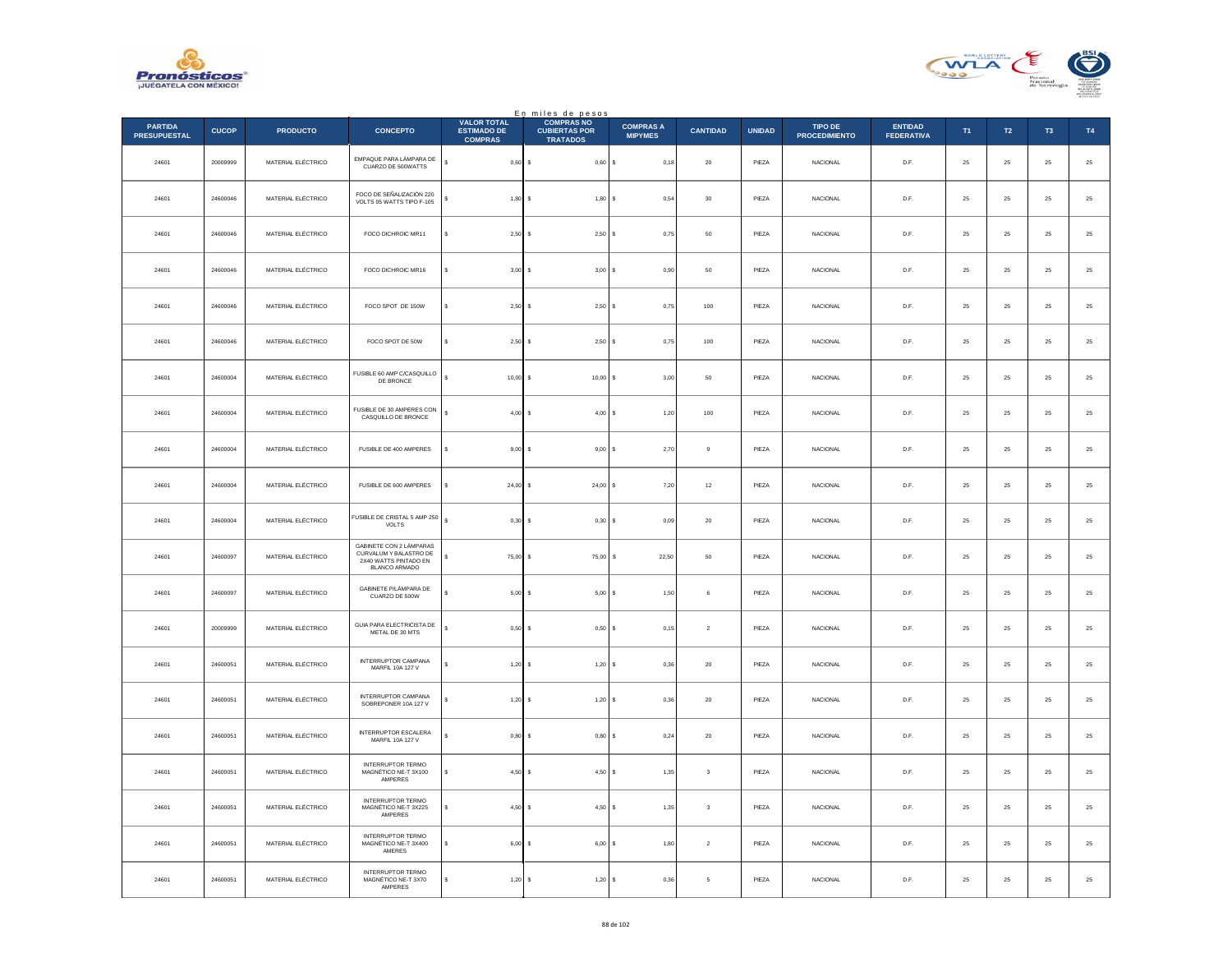



|                                       |              |                    |                                                                                             |                                                            | En miles de pesos<br><b>COMPRAS NO</b>  |                                    |                         |               |                                        |                                     |               |                  |                |               |
|---------------------------------------|--------------|--------------------|---------------------------------------------------------------------------------------------|------------------------------------------------------------|-----------------------------------------|------------------------------------|-------------------------|---------------|----------------------------------------|-------------------------------------|---------------|------------------|----------------|---------------|
| <b>PARTIDA</b><br><b>PRESUPUESTAL</b> | <b>CUCOP</b> | <b>PRODUCTO</b>    | <b>CONCEPTO</b>                                                                             | <b>VALOR TOTAL</b><br><b>ESTIMADO DE</b><br><b>COMPRAS</b> | <b>CUBIERTAS POR</b><br><b>TRATADOS</b> | <b>COMPRAS A</b><br><b>MIPYMES</b> | <b>CANTIDAD</b>         | <b>UNIDAD</b> | <b>TIPO DE</b><br><b>PROCEDIMIENTO</b> | <b>ENTIDAD</b><br><b>FEDERATIVA</b> | T1            | $\mathsf{T2}$    | T <sub>3</sub> | T4            |
| 24601                                 | 20009999     | MATERIAL ELÉCTRICO | EMPAQUE PARA LÁMPARA DE<br>CUARZO DE 500WATTS                                               | $\mathbb S$<br>0,60                                        | $0,60$ \$<br>$\mathbf{s}$               | 0,18                               | $20\,$                  | PIEZA         | <b>NACIONAL</b>                        | D.F.                                | $\bf 25$      | ${\bf 25}$       | $\bf 25$       | $25\,$        |
| 24601                                 | 24600046     | MATERIAL ELÉCTRICO | FOCO DE SEÑALIZACIÓN 220<br>VOLTS 05 WATTS TIPO F-105                                       | $\mathbf{s}$<br>1,80                                       | 1.80 S<br>$\sim$                        | 0.54                               | 30                      | PIEZA         | <b>NACIONAL</b>                        | D.F.                                | 25            | 25               | 25             | $25\,$        |
| 24601                                 | 24600046     | MATERIAL ELÉCTRICO | FOCO DICHROIC MR11                                                                          | 2,50<br>s                                                  | 2,50S                                   | 0,75                               | ${\bf 50}$              | PIEZA         | NACIONAL                               | $\mathsf{D}.\mathsf{F}.$            | $\bf 25$      | $\bf 25$         | $2\sqrt{5}$    | 25            |
| 24601                                 | 24600046     | MATERIAL ELÉCTRICO | FOCO DICHROIC MR16                                                                          | \$<br>3,00                                                 | 3,00S                                   | 0,90                               | $50\,$                  | PIEZA         | <b>NACIONAL</b>                        | D.F.                                | 25            | ${\bf 25}$       | 25             | $25\,$        |
| 24601                                 | 24600046     | MATERIAL ELÉCTRICO | FOCO SPOT DE 150W                                                                           | s<br>2,50                                                  | 2,50S                                   | 0,75                               | 100                     | PIEZA         | <b>NACIONAL</b>                        | D.F.                                | 25            | 25               | 25             | $2\mathsf{5}$ |
| 24601                                 | 24600046     | MATERIAL ELÉCTRICO | FOCO SPOT DE 50W                                                                            | 2,50S<br>×.                                                | 2,50S                                   | 0,75                               | 100                     | PIEZA         | <b>NACIONAL</b>                        | D.F.                                | 25            | $25\phantom{.0}$ | 25             | 25            |
| 24601                                 | 24600004     | MATERIAL ELÉCTRICO | FUSIBLE 60 AMP C/CASQUILLO<br>DE BRONCE                                                     | $\overline{\mathbf{s}}$<br>$10.00$ S                       | $10,00$ \$                              | 3.00                               | 50                      | PIEZA         | <b>NACIONAL</b>                        | D.F.                                | 25            | 25               | 25             | $25\,$        |
| 24601                                 | 24600004     | MATERIAL ELÉCTRICO | FUSIBLE DE 30 AMPERES CON<br>CASQUILLO DE BRONCE                                            | s<br>$4,00$ \$                                             | 4,00S                                   | 1,20                               | $100\,$                 | PIEZA         | NACIONAL                               | D.F.                                | $25\,$        | $\bf 25$         | 25             | $25\,$        |
| 24601                                 | 24600004     | MATERIAL ELÉCTRICO | FUSIBLE DE 400 AMPERES                                                                      | 9,00<br>s                                                  | $9,00$ $S$                              | 2,70                               | 9                       | PIEZA         | <b>NACIONAL</b>                        | D.F.                                | 25            | 25               | 25             | 25            |
| 24601                                 | 24600004     | MATERIAL ELÉCTRICO | FUSIBLE DE 600 AMPERES                                                                      | 24,00                                                      | 24,00S                                  | 7,20                               | $12\,$                  | PIEZA         | NACIONAL                               | D.F.                                | 25            | 25               | 25             | $2\mathsf{5}$ |
| 24601                                 | 24600004     | MATERIAL ELÉCTRICO | FUSIBLE DE CRISTAL 5 AMP 250<br>VOLTS                                                       | $\mathbb S$<br>0,30                                        | $0,30$ \$                               | 0,09                               | $20\,$                  | PIEZA         | <b>NACIONAL</b>                        | D.F.                                | 25            | ${\bf 25}$       | $\bf 25$       | $25\,$        |
| 24601                                 | 24600097     | MATERIAL ELÉCTRICO | GABINETE CON 2 LÁMPARAS<br>CURVALUM Y BALASTRO DE<br>2X40 WATTS PINTADO EN<br>BLANCO ARMADO | 75.00 S<br>s                                               | $75.00$ S                               | 22.50                              | 50                      | PIEZA         | <b>NACIONAL</b>                        | D.F.                                | 25            | 25               | 25             | $25\,$        |
| 24601                                 | 24600097     | MATERIAL ELÉCTRICO | GABINETE P/LÁMPARA DE<br>CUARZO DE 500W                                                     | 5,00                                                       | 5,00S                                   | 1,50                               | 6                       | PIEZA         | <b>NACIONAL</b>                        | D.F.                                | 25            | $\bf 25$         | 25             | 25            |
| 24601                                 | 20009999     | MATERIAL ELÉCTRICO | GUIA PARA ELECTRICISTA DE<br>METAL DE 30 MTS                                                | $\mathbf{s}$<br>0.50                                       | $0,50$ \$                               | 0,15                               | $\overline{2}$          | PIEZA         | <b>NACIONAL</b>                        | D.F.                                | 25            | 25               | 25             | $25\,$        |
| 24601                                 | 24600051     | MATERIAL ELÉCTRICO | INTERRUPTOR CAMPANA<br>MARFIL 10A 127 V                                                     | s<br>1,20                                                  | 1,20                                    | ١s<br>0,36                         | $20\,$                  | PIEZA         | NACIONAL                               | $\mathsf{D}.\mathsf{F}.$            | $2\mathrm{5}$ | $\bf 25$         | $2\sqrt{5}$    | $2\mathsf{5}$ |
| 24601                                 | 24600051     | MATERIAL ELÉCTRICO | <b>INTERRUPTOR CAMPANA</b><br>SOBREPONER 10A 127 V                                          | 1,20                                                       | $1,20$ \$                               | 0,36                               | $20\,$                  | PIEZA         | NACIONAL                               | D.F.                                | $\bf 25$      | ${\bf 25}$       | $\bf 25$       | $\bf 25$      |
| 24601                                 | 24600051     | MATERIAL ELÉCTRICO | INTERRUPTOR ESCALERA<br>MARFIL 10A 127 V                                                    | 0.80                                                       | $0.80$ S                                | 0.24                               | 20                      | PIEZA         | <b>NACIONAL</b>                        | D.F.                                | 25            | 25               | 25             | $25\,$        |
| 24601                                 | 24600051     | MATERIAL ELÉCTRICO | <b>INTERRUPTOR TERMO</b><br>MAGNÉTICO NE-T 3X100<br>AMPERES                                 | 4,50<br>\$                                                 | 4,50S                                   | 1,35                               | $\overline{\mathbf{3}}$ | PIEZA         | NACIONAL                               | $\mathsf{D}.\mathsf{F}.$            | $2\sqrt{5}$   | $\bf 25$         | $2\sqrt{5}$    | $2\mathsf{5}$ |
| 24601                                 | 24600051     | MATERIAL ELÉCTRICO | <b>INTERRUPTOR TERMO</b><br>MAGNÉTICO NE-T 3X225<br>AMPERES                                 | s<br>4,50                                                  | $4,50$ \$                               | 1,35                               | $\mathbf{3}$            | PIEZA         | NACIONAL                               | D.F.                                | 25            | 25               | 25             | 25            |
| 24601                                 | 24600051     | MATERIAL ELÉCTRICO | <b>INTERRUPTOR TERMO</b><br>MAGNÉTICO NE-T 3X400<br>AMERES                                  | 6,00<br>s                                                  | $6,00$ \$                               | 1,80                               | $\overline{2}$          | PIEZA         | NACIONAL                               | D.F.                                | 25            | 25               | 25             | $2\mathsf{5}$ |
| 24601                                 | 24600051     | MATERIAL ELÉCTRICO | <b>INTERRUPTOR TERMO</b><br>MAGNÉTICO NE-T 3X70<br>AMPERES                                  | $1,20$ \$                                                  | 1,20S                                   | 0,36                               | 5                       | PIEZA         | NACIONAL                               | D.F.                                | $25\,$        | $25\phantom{.0}$ | $25\,$         | 25            |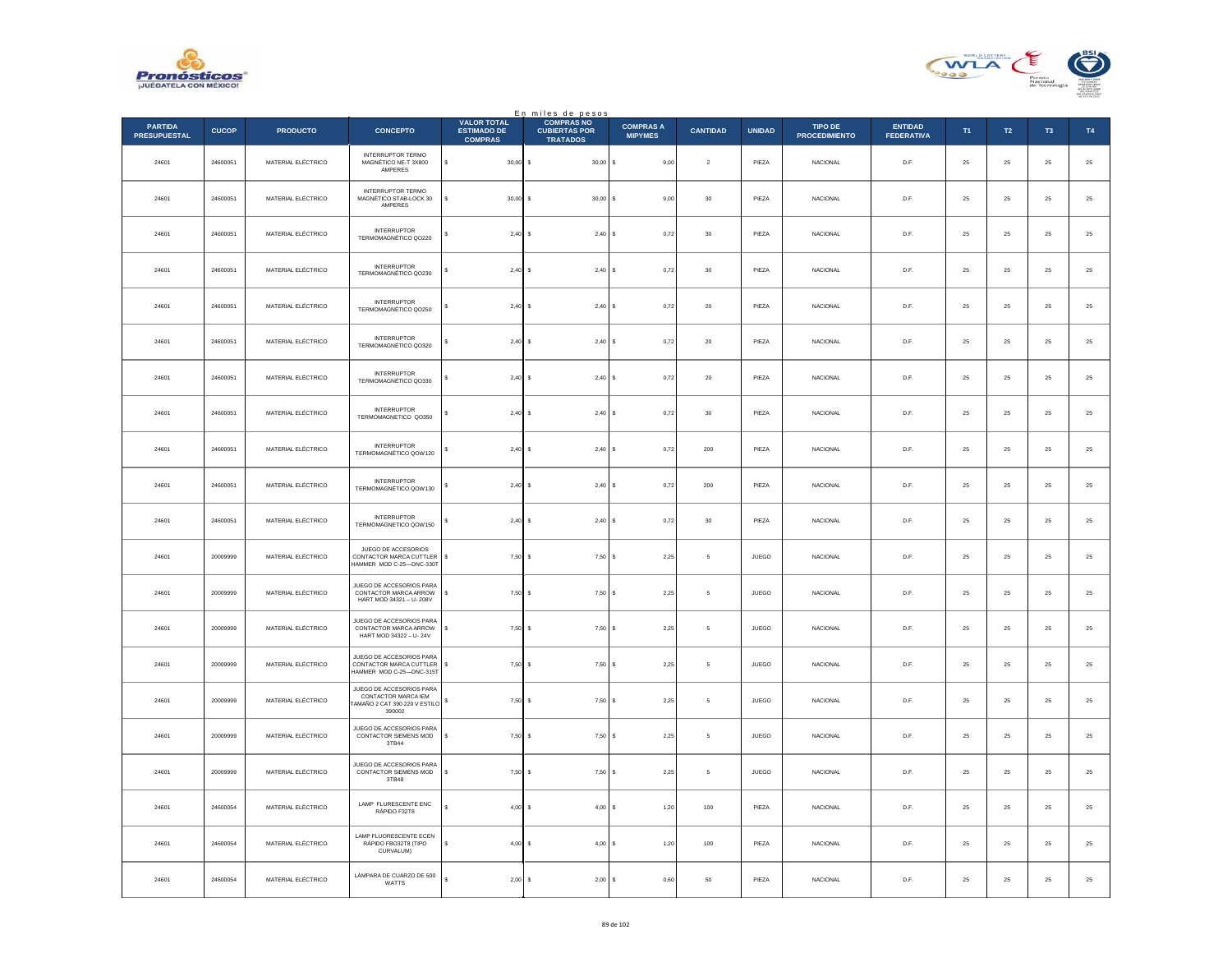



|                                       |              |                    |                                                                                             |                                                            | En miles de pesos                                            |                                    |                 |               |                                 |                                     |        |            |                |          |
|---------------------------------------|--------------|--------------------|---------------------------------------------------------------------------------------------|------------------------------------------------------------|--------------------------------------------------------------|------------------------------------|-----------------|---------------|---------------------------------|-------------------------------------|--------|------------|----------------|----------|
| <b>PARTIDA</b><br><b>PRESUPUESTAL</b> | <b>CUCOP</b> | <b>PRODUCTO</b>    | <b>CONCEPTO</b>                                                                             | <b>VALOR TOTAL</b><br><b>ESTIMADO DE</b><br><b>COMPRAS</b> | <b>COMPRAS NO</b><br><b>CUBIERTAS POR</b><br><b>TRATADOS</b> | <b>COMPRAS A</b><br><b>MIPYMES</b> | <b>CANTIDAD</b> | <b>UNIDAD</b> | TIPO DE<br><b>PROCEDIMIENTO</b> | <b>ENTIDAD</b><br><b>FEDERATIVA</b> | T1     | T2         | T <sub>3</sub> | T4       |
| 24601                                 | 24600051     | MATERIAL ELÉCTRICO | <b>INTERRUPTOR TERMO</b><br>MAGNÉTICO NE-T 3X800<br>AMPERES                                 | $30.00$ S<br>s                                             | $30,00$ \$                                                   | 9,00                               | $\overline{2}$  | PIEZA         | <b>NACIONAL</b>                 | D.F.                                | 25     | 25         | 25             | 25       |
| 24601                                 | 24600051     | MATERIAL ELÉCTRICO | INTERRUPTOR TERMO<br>MAGNÉTICO STAB-LOCK 30<br>AMPERES                                      | $30,00$ \$                                                 | 30,00                                                        | 9,00                               | 30              | PIEZA         | NACIONAL                        | D.F.                                | 25     | 25         | 25             | $25\,$   |
| 24601                                 | 24600051     | MATERIAL ELÉCTRICO | <b>INTERRUPTOR</b><br>TERMOMAGNÉTICO QO220                                                  | 2,40S                                                      | 2,40S                                                        | 0,72                               | 30              | PIEZA         | <b>NACIONAL</b>                 | D.F.                                | 25     | ${\bf 25}$ | 25             | $25\,$   |
| 24601                                 | 24600051     | MATERIAL ELÉCTRICO | <b>INTERRUPTOR</b><br>TERMOMAGNÉTICO QO230                                                  | $2.40$ S                                                   | $2.40$ S                                                     | 0.72                               | 30              | PIEZA         | <b>NACIONAL</b>                 | D.F.                                | 25     | 25         | 25             | 25       |
| 24601                                 | 24600051     | MATERIAL ELÉCTRICO | <b>INTERRUPTOR</b><br>TERMOMAGNÉTICO QO250                                                  | 2,40S                                                      | 2,40                                                         | 0,72                               | $20\,$          | PIEZA         | NACIONAL                        | D.F.                                | 25     | 25         | 25             | $25\,$   |
| 24601                                 | 24600051     | MATERIAL ELÉCTRICO | <b>INTERRUPTOR</b><br>TERMOMAGNÉTICO QO320                                                  | $2,40$ \$                                                  | $2.40$ S                                                     | 0.72                               | 20              | PIEZA         | <b>NACIONAL</b>                 | D.F.                                | 25     | 25         | 25             | 25       |
| 24601                                 | 24600051     | MATERIAL ELÉCTRICO | <b>INTERRUPTOR</b><br>TERMOMAGNÉTICO QO330                                                  | 2,40S                                                      | 2,40S                                                        | 0,72                               | 20              | PIEZA         | NACIONAL                        | D.F.                                | 25     | 25         | 25             | 25       |
| 24601                                 | 24600051     | MATERIAL ELÉCTRICO | <b>INTERRUPTOR</b><br>TERMOMAGNETICO QO350                                                  | 2,40S                                                      | $2,40$ \$                                                    | 0,72                               | 30              | PIEZA         | <b>NACIONAL</b>                 | D.F.                                | 25     | ${\bf 25}$ | 25             | $\bf 25$ |
| 24601                                 | 24600051     | MATERIAL ELÉCTRICO | <b>INTERRUPTOR</b><br>TERMOMAGNÉTICO QOW120                                                 | 2,40                                                       | -S<br>2,40                                                   | 0.72<br>Ιs                         | 200             | PIEZA         | <b>NACIONAL</b>                 | D.F.                                | 25     | 25         | 25             | 25       |
| 24601                                 | 24600051     | MATERIAL ELÉCTRICO | <b>INTERRUPTOR</b><br>TERMOMAGNÉTICO QOW130                                                 | $2,40$ \$                                                  | 2,40                                                         | 0,72                               | 200             | PIEZA         | NACIONAL                        | D.F.                                | 25     | 25         | 25             | $25\,$   |
| 24601                                 | 24600051     | MATERIAL ELÉCTRICO | <b>INTERRUPTOR</b><br>TERMOMAGNETICO QOW150                                                 | 2,40S<br>\$                                                | 2,40S                                                        | 0,72                               | 30              | PIEZA         | <b>NACIONAL</b>                 | D.F.                                | 25     | ${\bf 25}$ | $25\,$         | $\bf 25$ |
| 24601                                 | 20009999     | MATERIAL ELÉCTRICO | JUEGO DE ACCESORIOS<br>CONTACTOR MARCA CUTTLER<br>HAMMER MOD C-25-DNC-330T                  | 7,50S<br>s                                                 | 7,50S                                                        | 2,25                               | 5               | JUEGO         | NACIONAL                        | D.F.                                | 25     | 25         | 25             | 25       |
| 24601                                 | 20009999     | MATERIAL ELÉCTRICO | JUEGO DE ACCESORIOS PARA<br>CONTACTOR MARCA ARROW<br>HART MOD 34321 - U-208V                | 7,50S                                                      | $7,50$ \$                                                    | 2,25                               | 5               | JUEGO         | <b>NACIONAL</b>                 | D.F.                                | 25     | 25         | 25             | $25\,$   |
| 24601                                 | 20009999     | MATERIAL ELÉCTRICO | JUEGO DE ACCESORIOS PARA<br>CONTACTOR MARCA ARROW<br>HART MOD 34322 - U-24V                 | $7.50$ S<br>s                                              | 7,50                                                         | 2.25<br>s                          | 5               | <b>JUEGO</b>  | <b>NACIONAL</b>                 | D.F.                                | 25     | 25         | 25             | 25       |
| 24601                                 | 20009999     | MATERIAL ELÉCTRICO | JUEGO DE ACCESORIOS PARA<br>CONTACTOR MARCA CUTTLER<br>HAMMER MOD C-25-DNC-315T             | 7,50S<br>\$                                                | 7,50                                                         | 2,25                               | 5               | JUEGO         | NACIONAL                        | D.F.                                | 25     | 25         | 25             | $25\,$   |
| 24601                                 | 20009999     | MATERIAL ELÉCTRICO | JUEGO DE ACCESORIOS PARA<br>CONTACTOR MARCA IEM<br>AMAÑO 2 CAT 390 220 V ESTILO S<br>390002 | 7,50S                                                      | 7,50S                                                        | 2,25                               | 5               | <b>JUEGO</b>  | <b>NACIONAL</b>                 | D.F.                                | 25     | ${\bf 25}$ | 25             | $\bf 25$ |
| 24601                                 | 20009999     | MATERIAL ELÉCTRICO | JUEGO DE ACCESORIOS PARA<br>CONTACTOR SIEMENS MOD<br>3TB44                                  | 7,50S<br>s                                                 | 7,50S                                                        | 2,25                               | 5               | JUEGO         | <b>NACIONAL</b>                 | D.F.                                | 25     | 25         | 25             | 25       |
| 24601                                 | 20009999     | MATERIAL ELÉCTRICO | JUEGO DE ACCESORIOS PARA<br>CONTACTOR SIEMENS MOD<br>3TB48                                  | $7,50$ \$                                                  | $7,50$ \$                                                    | 2,25                               | 5               | JUEGO         | NACIONAL                        | D.F.                                | 25     | 25         | 25             | $25\,$   |
| 24601                                 | 24600054     | MATERIAL ELÉCTRICO | LAMP FLURESCENTE ENC<br>RÁPIDO F32T8                                                        | $4,00$ \$                                                  | $4,00$ \$                                                    | 1,20                               | 100             | PIEZA         | <b>NACIONAL</b>                 | D.F.                                | 25     | 25         | 25             | 25       |
| 24601                                 | 24600054     | MATERIAL ELÉCTRICO | LAMP FLUORESCENTE ECEN<br>RÁPIDO FBO32T8 (TIPO<br>CURVALUM)                                 | 4,00<br>s                                                  | 4,00<br>-S                                                   | 1,20                               | 100             | PIEZA         | NACIONAL                        | D.F.                                | 25     | 25         | 25             | $25\,$   |
| 24601                                 | 24600054     | MATERIAL ELÉCTRICO | LÁMPARA DE CUARZO DE 500<br>WATTS                                                           | 2,00                                                       | <b>s</b><br>2,00                                             | 0,60<br>s                          | 50              | PIEZA         | NACIONAL                        | D.F.                                | $25\,$ | ${\bf 25}$ | $25\,$         | $25\,$   |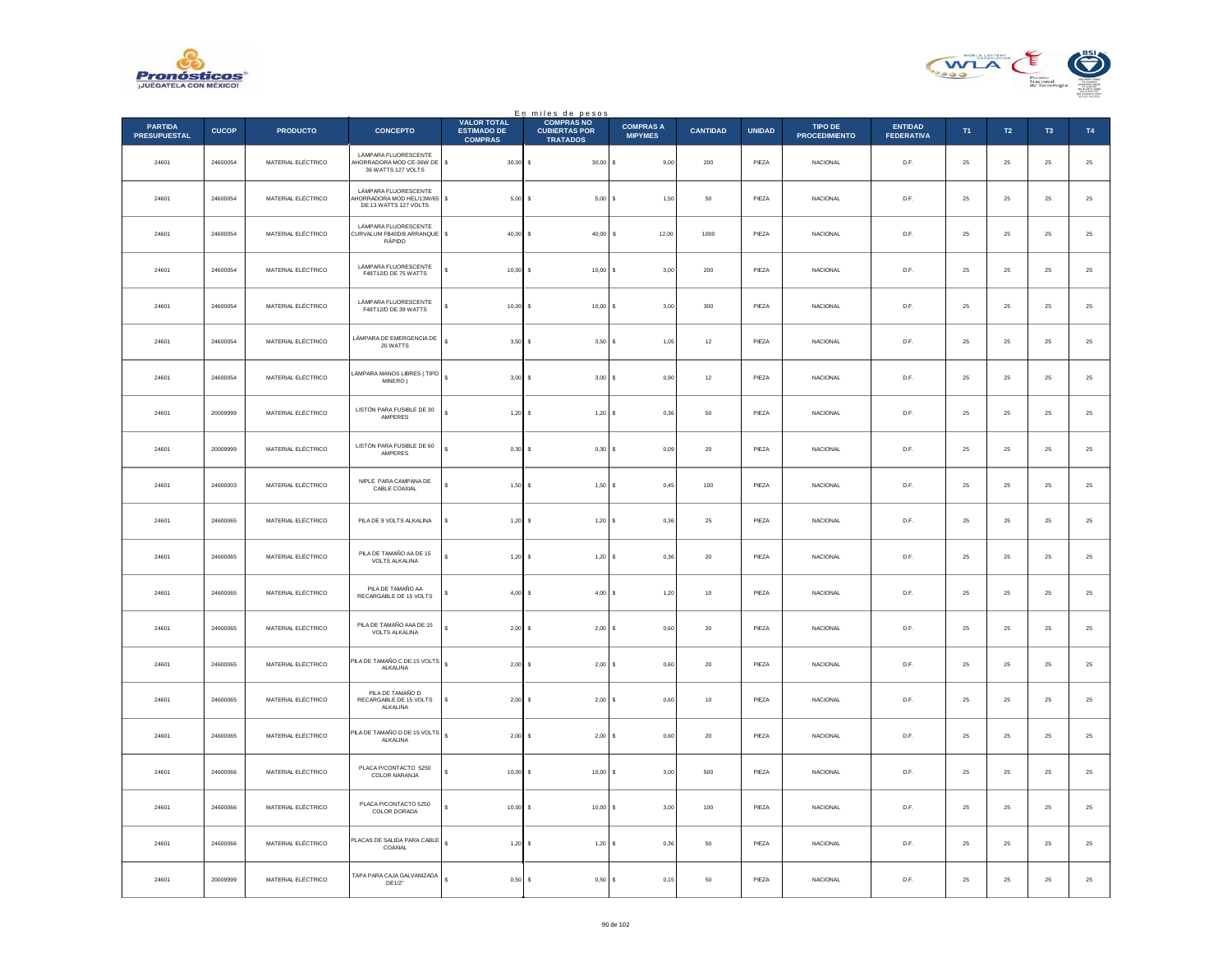



|                                       |              |                    |                                                                           |                                                            | En miles de pesos                                            |                                    |                 |               |                                 |                                     |        |            |                |          |
|---------------------------------------|--------------|--------------------|---------------------------------------------------------------------------|------------------------------------------------------------|--------------------------------------------------------------|------------------------------------|-----------------|---------------|---------------------------------|-------------------------------------|--------|------------|----------------|----------|
| <b>PARTIDA</b><br><b>PRESUPUESTAL</b> | <b>CUCOP</b> | <b>PRODUCTO</b>    | <b>CONCEPTO</b>                                                           | <b>VALOR TOTAL</b><br><b>ESTIMADO DE</b><br><b>COMPRAS</b> | <b>COMPRAS NO</b><br><b>CUBIERTAS POR</b><br><b>TRATADOS</b> | <b>COMPRAS A</b><br><b>MIPYMES</b> | <b>CANTIDAD</b> | <b>UNIDAD</b> | TIPO DE<br><b>PROCEDIMIENTO</b> | <b>ENTIDAD</b><br><b>FEDERATIVA</b> | T1     | T2         | T <sub>3</sub> | T4       |
| 24601                                 | 24600054     | MATERIAL ELÉCTRICO | LÁMPARA FLUORESCENTE<br>HORRADORA MOD CE-36W DE \$<br>36 WATTS 127 VOLTS  | $30,00$ \$                                                 | $30,00$ \$                                                   | 9,00                               | 200             | PIEZA         | <b>NACIONAL</b>                 | D.F.                                | 25     | 25         | 25             | $25\,$   |
| 24601                                 | 24600054     | MATERIAL ELÉCTRICO | LÁMPARA FLUORESCENTE<br>HORRADORA MOD HEL/13W/65<br>DE 13 WATTS 127 VOLTS | s<br>$5,00$ \$                                             | 5,00                                                         | 1,50<br>s                          | 50              | PIEZA         | <b>NACIONAL</b>                 | D.F.                                | 25     | 25         | 25             | $25\,$   |
| 24601                                 | 24600054     | MATERIAL ELÉCTRICO | LÁMPARA FLUORESCENTE<br>CURVALUM FB40D/8 ARRANQUE<br>RÁPIDO               | $40,00$ \$<br>\$                                           | 40,00                                                        | s<br>12,00                         | 1000            | PIEZA         | <b>NACIONAL</b>                 | D.F.                                | 25     | ${\bf 25}$ | 25             | $25\,$   |
| 24601                                 | 24600054     | MATERIAL ELÉCTRICO | LÁMPARA FLUORESCENTE<br>F48T12/D DE 75 WATTS                              | $10.00$ S                                                  | 10.00                                                        | 3.00                               | 200             | PIEZA         | <b>NACIONAL</b>                 | D.F.                                | 25     | 25         | 25             | 25       |
| 24601                                 | 24600054     | MATERIAL ELÉCTRICO | LÁMPARA FLUORESCENTE<br>F48T12/D DE 39 WATTS                              | $10,00$ \$                                                 | 10,00                                                        | 3,00                               | 300             | PIEZA         | NACIONAL                        | D.F.                                | 25     | $25\,$     | 25             | $25\,$   |
| 24601                                 | 24600054     | MATERIAL ELÉCTRICO | LÁMPARA DE EMERGENCIA DE<br>20 WATTS                                      | $3,50$ \$                                                  | $3.50$ $\sqrt{S}$                                            | 1.05                               | 12              | PIEZA         | <b>NACIONAL</b>                 | D.F.                                | 25     | 25         | 25             | 25       |
| 24601                                 | 24600054     | MATERIAL ELÉCTRICO | LÁMPARA MANOS LIBRES (TIPO<br>MINERO)                                     | s<br>$3,00$ \$                                             | $3,00$ \$                                                    | 0,90                               | $12\,$          | PIEZA         | <b>NACIONAL</b>                 | D.F.                                | 25     | 25         | 25             | $25\,$   |
| 24601                                 | 20009999     | MATERIAL ELÉCTRICO | LISTÓN PARA FUSIBLE DE 30<br>AMPERES                                      | $1,20$ \$                                                  | $1,20$ \$                                                    | 0,36                               | 50              | PIEZA         | <b>NACIONAL</b>                 | D.F.                                | 25     | ${\bf 25}$ | 25             | $\bf 25$ |
| 24601                                 | 20009999     | MATERIAL ELÉCTRICO | LISTÓN PARA FUSIBLE DE 60<br>AMPERES                                      | $0,30$ \$                                                  | 0,30                                                         | 0.09<br>s                          | 20              | PIEZA         | <b>NACIONAL</b>                 | D.F.                                | 25     | 25         | 25             | 25       |
| 24601                                 | 24600003     | MATERIAL ELÉCTRICO | NIPLE PARA CAMPANA DE<br>CABLE COAXIAL                                    | $1,50$ \$                                                  | 1,50                                                         | 0,45                               | $100\,$         | PIEZA         | NACIONAL                        | D.F.                                | 25     | 25         | 25             | $25\,$   |
| 24601                                 | 24600065     | MATERIAL ELÉCTRICO | PILA DE 9 VOLTS ALKALINA                                                  | $1,20$ \$<br>s                                             | 1,20S                                                        | 0,36                               | 25              | PIEZA         | NACIONAL                        | D.F.                                | 25     | ${\bf 25}$ | $25\,$         | $\bf 25$ |
| 24601                                 | 24600065     | MATERIAL ELÉCTRICO | PILA DE TAMAÑO AA DE 15<br><b>VOLTS ALKALINA</b>                          | $1,20$ \$                                                  | 1,20S                                                        | 0,36                               | $20\,$          | PIEZA         | <b>NACIONAL</b>                 | D.F.                                | 25     | 25         | 25             | 25       |
| 24601                                 | 24600065     | MATERIAL ELÉCTRICO | PILA DE TAMAÑO AA<br>RECARGABLE DE 15 VOLTS                               | $4,00$ \$                                                  | 4,00S                                                        | 1,20                               | 10              | PIEZA         | <b>NACIONAL</b>                 | D.F.                                | 25     | 25         | 25             | $25\,$   |
| 24601                                 | 24600065     | MATERIAL ELÉCTRICO | PILA DE TAMAÑO AAA DE 15<br>VOLTS ALKALINA                                | $2.00$ S<br>s                                              | $2,00$ \$                                                    | 0,60                               | 20              | PIEZA         | <b>NACIONAL</b>                 | D.F.                                | 25     | 25         | 25             | 25       |
| 24601                                 | 24600065     | MATERIAL ELÉCTRICO | PILA DE TAMAÑO C DE 15 VOLTS<br>ALKALINA                                  | $\epsilon$<br>$2,00$ \$                                    | 2,00                                                         | 0,60                               | $20\,$          | PIEZA         | NACIONAL                        | D.F.                                | 25     | 25         | 25             | $25\,$   |
| 24601                                 | 24600065     | MATERIAL ELÉCTRICO | PILA DE TAMAÑO D<br>RECARGABLE DE 15 VOLTS<br>ALKALINA                    | $2,00$ \$<br>s                                             | 2,00S                                                        | 0,60                               | $10$            | PIEZA         | <b>NACIONAL</b>                 | D.F.                                | 25     | ${\bf 25}$ | 25             | $\bf 25$ |
| 24601                                 | 24600065     | MATERIAL ELÉCTRICO | PILA DE TAMAÑO D DE 15 VOLTS<br>ALKALINA                                  | s<br>$2,00$ \$                                             | $2,00$ \$                                                    | 0,60                               | 20              | PIEZA         | <b>NACIONAL</b>                 | D.F.                                | 25     | 25         | 25             | 25       |
| 24601                                 | 24600066     | MATERIAL ELÉCTRICO | PLACA P/CONTACTO 5250<br>COLOR NARANJA                                    | $10,00$ \$                                                 | $10,00$ \$                                                   | 3,00                               | 500             | PIEZA         | NACIONAL                        | D.F.                                | 25     | 25         | 25             | $25\,$   |
| 24601                                 | 24600066     | MATERIAL ELÉCTRICO | PLACA P/CONTACTO 5250<br>COLOR DORADA                                     | $10,00$ \$                                                 | $10,00$ \$                                                   | 3,00                               | 100             | PIEZA         | <b>NACIONAL</b>                 | D.F.                                | 25     | 25         | 25             | 25       |
| 24601                                 | 24600066     | MATERIAL ELÉCTRICO | PLACAS DE SALIDA PARA CABLE<br>COAXIAL                                    | 1,20                                                       | 1,20<br>-S                                                   | 0,36<br>s                          | 50              | PIEZA         | <b>NACIONAL</b>                 | D.F.                                | 25     | 25         | 25             | $25\,$   |
| 24601                                 | 20009999     | MATERIAL ELÉCTRICO | TAPA PARA CAJA GALVANIZADA<br>DE1/2"                                      | 0,50                                                       | s<br>0,50                                                    | 0,15<br><b>s</b>                   | 50              | PIEZA         | NACIONAL                        | D.F.                                | $25\,$ | ${\bf 25}$ | $25\,$         | $25\,$   |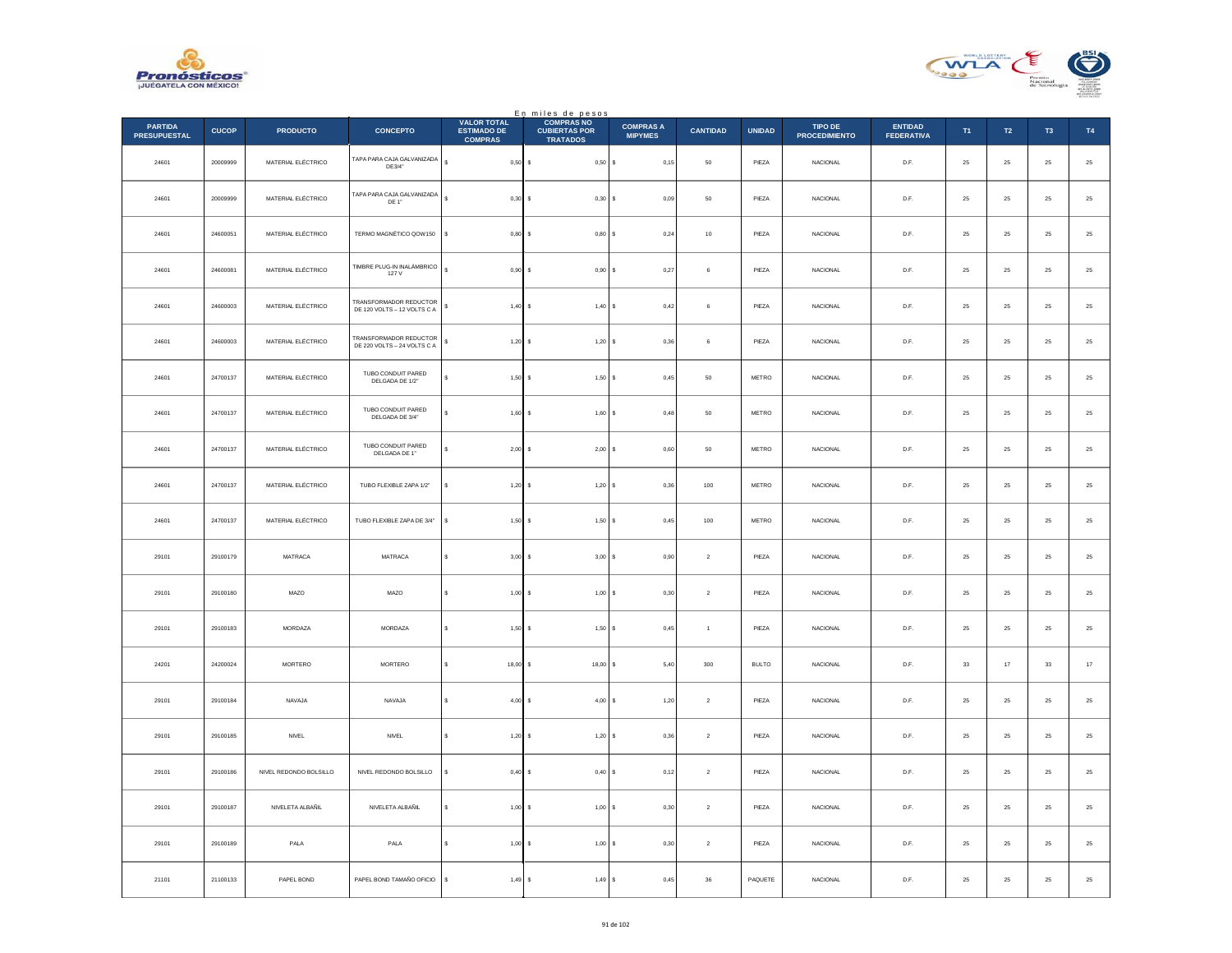



|                                       |              |                        |                                                              |                                                            | En miles de pesos                                            |                                    |                 |               |                                 |                                     |             |                  |                |               |
|---------------------------------------|--------------|------------------------|--------------------------------------------------------------|------------------------------------------------------------|--------------------------------------------------------------|------------------------------------|-----------------|---------------|---------------------------------|-------------------------------------|-------------|------------------|----------------|---------------|
| <b>PARTIDA</b><br><b>PRESUPUESTAL</b> | <b>CUCOP</b> | <b>PRODUCTO</b>        | <b>CONCEPTO</b>                                              | <b>VALOR TOTAL</b><br><b>ESTIMADO DE</b><br><b>COMPRAS</b> | <b>COMPRAS NO</b><br><b>CUBIERTAS POR</b><br><b>TRATADOS</b> | <b>COMPRAS A</b><br><b>MIPYMES</b> | <b>CANTIDAD</b> | <b>UNIDAD</b> | TIPO DE<br><b>PROCEDIMIENTO</b> | <b>ENTIDAD</b><br><b>FEDERATIVA</b> | T1          | $\mathsf{T2}$    | T <sub>3</sub> | T4            |
| 24601                                 | 20009999     | MATERIAL ELÉCTRICO     | TAPA PARA CAJA GALVANIZADA<br>DE3/4"                         | $\mathbb S$<br>$0,50$ \$                                   | $0,50$ \$                                                    | 0,15                               | 50              | PIEZA         | <b>NACIONAL</b>                 | D.F.                                | 25          | 25               | 25             | $25\,$        |
| 24601                                 | 20009999     | MATERIAL ELÉCTRICO     | TAPA PARA CAJA GALVANIZADA<br>DE 1"                          | s<br>0,30                                                  | 0,30S                                                        | 0,09                               | 50              | PIEZA         | NACIONAL                        | D.F.                                | 25          | 25               | 25             | $2\mathsf{5}$ |
| 24601                                 | 24600051     | MATERIAL ELÉCTRICO     | TERMO MAGNÉTICO QOW150                                       | \$<br>0,80                                                 | 0,80S<br>$\sim$                                              | 0,24                               | 10              | PIEZA         | <b>NACIONAL</b>                 | D.F.                                | 25          | $25\phantom{.0}$ | 25             | ${\bf 25}$    |
| 24601                                 | 24600081     | MATERIAL ELÉCTRICO     | TIMBRE PLUG-IN INALÁMBRICO<br>127 V                          | s<br>0.90                                                  | 0.90 S                                                       | 0,27                               | 6               | PIEZA         | <b>NACIONAL</b>                 | D.F.                                | 25          | 25               | 25             | $25\,$        |
| 24601                                 | 24600003     | MATERIAL ELÉCTRICO     | <b>FRANSFORMADOR REDUCTOR</b><br>DE 120 VOLTS - 12 VOLTS C A | s<br>1,40S                                                 | 1,40S                                                        | 0,42                               | $\,$ 6 $\,$     | PIEZA         | NACIONAL                        | D.F.                                | 25          | ${\bf 25}$       | ${\bf 25}$     | $25\,$        |
| 24601                                 | 24600003     | MATERIAL ELÉCTRICO     | TRANSFORMADOR REDUCTOR<br>DE 220 VOLTS - 24 VOLTS C A        | $1,20$ \$<br>s                                             | 1,20S                                                        | 0.36                               | 6               | PIEZA         | <b>NACIONAL</b>                 | D.F.                                | 25          | 25               | 25             | 25            |
| 24601                                 | 24700137     | MATERIAL ELÉCTRICO     | TUBO CONDUIT PARED<br>DELGADA DE 1/2"                        | 1,50<br>s                                                  | 1,50S                                                        | 0,45                               | 50              | METRO         | NACIONAL                        | D.F.                                | 25          | 25               | 25             | $25\,$        |
| 24601                                 | 24700137     | MATERIAL ELÉCTRICO     | TUBO CONDUIT PARED<br>DELGADA DE 3/4"                        | s<br>1,60                                                  | 1,60S<br>-S                                                  | 0,48                               | 50              | METRO         | <b>NACIONAL</b>                 | D.F.                                | 25          | $25\phantom{.0}$ | 25             | ${\bf 25}$    |
| 24601                                 | 24700137     | MATERIAL ELÉCTRICO     | TUBO CONDUIT PARED<br>DELGADA DE 1"                          | 2,00<br>s                                                  | $2,00$ \$                                                    | 0.60                               | 50              | METRO         | <b>NACIONAL</b>                 | D.F.                                | 25          | 25               | 25             | 25            |
| 24601                                 | 24700137     | MATERIAL ELÉCTRICO     | TUBO FLEXIBLE ZAPA 1/2"                                      | 1,20<br>s                                                  | 1,20S                                                        | 0,36                               | 100             | METRO         | NACIONAL                        | D.F.                                | $25\,$      | 25               | 25             | $25\,$        |
| 24601                                 | 24700137     | MATERIAL ELÉCTRICO     | TUBO FLEXIBLE ZAPA DE 3/4"                                   | s<br>1,50S                                                 | 1,50S                                                        | 0,45                               | 100             | METRO         | <b>NACIONAL</b>                 | D.F.                                | $\bf 25$    | $25\phantom{.0}$ | 25             | $25\,$        |
| 29101                                 | 29100179     | MATRACA                | MATRACA                                                      | \$<br>$3,00$ \$                                            | 3,00S                                                        | 0,90                               | $\sqrt{2}$      | PIEZA         | NACIONAL                        | D.F.                                | 25          | 25               | 25             | $2\mathsf{5}$ |
| 29101                                 | 29100180     | MAZO                   | MAZO                                                         | 1,00<br>s                                                  | $1,00$ \$                                                    | 0,30                               | $\sqrt{2}$      | PIEZA         | NACIONAL                        | D.F.                                | 25          | ${\bf 25}$       | 25             | 25            |
| 29101                                 | 29100183     | MORDAZA                | MORDAZA                                                      | s<br>1,50                                                  | 1,50S                                                        | 0,45                               | $\overline{1}$  | PIEZA         | <b>NACIONAL</b>                 | D.F.                                | 25          | 25               | 25             | 25            |
| 24201                                 | 24200024     | MORTERO                | MORTERO                                                      | s<br>18,00                                                 | 18,00S                                                       | 5,40                               | $300\,$         | <b>BULTO</b>  | NACIONAL                        | D.F.                                | $_{\rm 33}$ | $17\,$           | $_{\rm 33}$    | $17\,$        |
| 29101                                 | 29100184     | NAVAJA                 | NAVAJA                                                       | 4,00<br>×.                                                 | 4,00S<br>$\sim$                                              | 1,20                               | $\overline{2}$  | PIEZA         | <b>NACIONAL</b>                 | D.F.                                | 25          | $25\phantom{.0}$ | 25             | $25\,$        |
| 29101                                 | 29100185     | NNEL                   | NNEL                                                         | s<br>1,20                                                  | 1,20S                                                        | 0,36                               | $\sqrt{2}$      | PIEZA         | NACIONAL                        | D.F.                                | 25          | 25               | 25             | 25            |
| 29101                                 | 29100186     | NIVEL REDONDO BOLSILLO | NIVEL REDONDO BOLSILLO                                       | $0,40$ \$<br>\$                                            | 0,40S                                                        | 0,12                               | $\sqrt{2}$      | PIEZA         | NACIONAL                        | D.F.                                | $\bf 25$    | 25               | 25             | $25\,$        |
| 29101                                 | 29100187     | NIVELETA ALBAÑIL       | NIVELETA ALBAÑIL                                             | s<br>1,00                                                  | 1,00S<br>$\mathbf{s}$                                        | 0,30                               | $\overline{2}$  | PIEZA         | <b>NACIONAL</b>                 | D.F.                                | 25          | 25               | 25             | $25\,$        |
| 29101                                 | 29100189     | PALA                   | PALA                                                         | 1,00                                                       | 1,00S                                                        | 0,30                               | $\overline{2}$  | PIEZA         | NACIONAL                        | D.F.                                | 25          | 25               | 25             | $25\,$        |
| 21101                                 | 21100133     | PAPEL BOND             | PAPEL BOND TAMAÑO OFICIO                                     | s<br>1,49S                                                 | 1,49S                                                        | 0,45                               | $36\,$          | PAQUETE       | NACIONAL                        | D.F.                                | $\bf 25$    | $25\phantom{.0}$ | $25\,$         | 25            |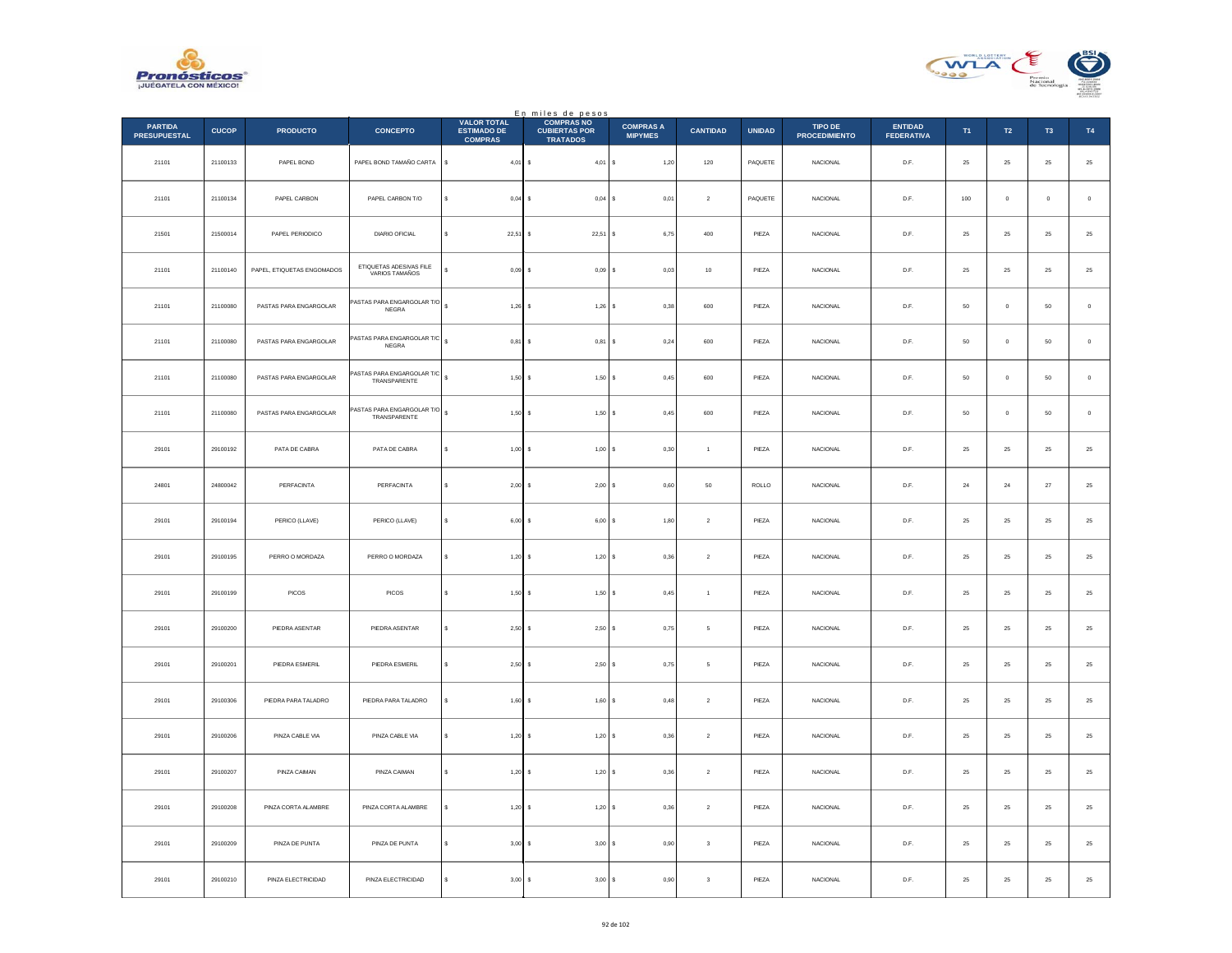



|                                       |              |                            |                                           | <b>VALOR TOTAL</b>                   | En miles de pesos<br>COMPRAS NO         |                                    |                         |               |                                        |                                     |          |                  |                |               |
|---------------------------------------|--------------|----------------------------|-------------------------------------------|--------------------------------------|-----------------------------------------|------------------------------------|-------------------------|---------------|----------------------------------------|-------------------------------------|----------|------------------|----------------|---------------|
| <b>PARTIDA</b><br><b>PRESUPUESTAL</b> | <b>CUCOP</b> | <b>PRODUCTO</b>            | <b>CONCEPTO</b>                           | <b>ESTIMADO DE</b><br><b>COMPRAS</b> | <b>CUBIERTAS POR</b><br><b>TRATADOS</b> | <b>COMPRAS A</b><br><b>MIPYMES</b> | <b>CANTIDAD</b>         | <b>UNIDAD</b> | <b>TIPO DE</b><br><b>PROCEDIMIENTO</b> | <b>ENTIDAD</b><br><b>FEDERATIVA</b> | T1       | $\mathsf{T2}$    | T <sub>3</sub> | T4            |
| 21101                                 | 21100133     | PAPEL BOND                 | PAPEL BOND TAMAÑO CARTA                   | $\sf s$<br>$4,01$ \$                 | $4,01$ S                                | 1,20                               | $120\,$                 | PAQUETE       | <b>NACIONAL</b>                        | D.F.                                | $\bf 25$ | 25               | $\bf 25$       | $25\,$        |
| 21101                                 | 21100134     | PAPEL CARBON               | PAPEL CARBON T/O                          | $0,04$ \$<br>s                       | $0,04$ \$                               | 0,01                               | $\overline{2}$          | PAQUETE       | <b>NACIONAL</b>                        | D.F.                                | 100      | $\overline{0}$   | $\circ$        | $\,$ 0        |
| 21501                                 | 21500014     | PAPEL PERIODICO            | DIARIO OFICIAL                            | 22,51<br>s                           | 22,51S                                  | 6,75                               | $400\,$                 | PIEZA         | NACIONAL                               | $\mathsf{D}.\mathsf{F}.$            | $\bf 25$ | $25\,$           | $25\,$         | 25            |
| 21101                                 | 21100140     | PAPEL, ETIQUETAS ENGOMADOS | ETIQUETAS ADESIVAS FILE<br>VARIOS TAMAÑOS | s<br>0,09                            | $0,09$ \$                               | 0,03                               | $10\,$                  | PIEZA         | NACIONAL                               | D.F.                                | $\bf 25$ | ${\bf 25}$       | $\bf 25$       | $25\,$        |
| 21101                                 | 21100080     | PASTAS PARA ENGARGOLAR     | ASTAS PARA ENGARGOLAR T/O<br><b>NEGRA</b> | 1,26                                 | 1,26                                    | 0,38<br>١s                         | 600                     | PIEZA         | NACIONAL                               | D.F.                                | $50\,$   | $\mathbf 0$      | $50\,$         | $\,$ 0 $\,$   |
| 21101                                 | 21100080     | PASTAS PARA ENGARGOLAR     | ASTAS PARA ENGARGOLAR T/C<br>NEGRA        | $\epsilon$<br>$0,81$ \$              | $0,81$ \$                               | 0,24                               | 600                     | PIEZA         | NACIONAL                               | D.F.                                | 50       | $\,$ 0           | 50             | $\,0\,$       |
| 21101                                 | 21100080     | PASTAS PARA ENGARGOLAR     | ASTAS PARA ENGARGOLAR T/C<br>TRANSPARENTE | 1,50S                                | 1,50S                                   | 0,45                               | 600                     | PIEZA         | <b>NACIONAL</b>                        | D.F.                                | 50       | $\overline{0}$   | 50             | $\,$ 0 $\,$   |
| 21101                                 | 21100080     | PASTAS PARA ENGARGOLAR     | ASTAS PARA ENGARGOLAR T/O<br>TRANSPARENTE | $1,50$ \$                            | 1,50S                                   | 0,45                               | 600                     | PIEZA         | NACIONAL                               | D.F.                                | $50\,$   | $\mathbf 0$      | 50             | $\,$ 0        |
| 29101                                 | 29100192     | PATA DE CABRA              | PATA DE CABRA                             | s<br>1,00                            | 1,00 S                                  | 0,30                               | $\overline{1}$          | PIEZA         | <b>NACIONAL</b>                        | D.F.                                | 25       | 25               | 25             | 25            |
| 24801                                 | 24800042     | PERFACINTA                 | PERFACINTA                                | 2,00                                 | 2,00S                                   | 0,60                               | 50                      | ROLLO         | NACIONAL                               | D.F.                                | 24       | $\bf 24$         | 27             | $25\,$        |
| 29101                                 | 29100194     | PERICO (LLAVE)             | PERICO (LLAVE)                            | s<br>6,00                            | 6,00S                                   | 1,80                               | $\sqrt{2}$              | PIEZA         | NACIONAL                               | D.F.                                | $\bf 25$ | ${\bf 25}$       | 25             | $25\,$        |
| 29101                                 | 29100195     | PERRO O MORDAZA            | PERRO O MORDAZA                           | $1,20$ \$<br>s                       | 1,20S                                   | 0.36                               | $\overline{2}$          | PIEZA         | <b>NACIONAL</b>                        | D.F.                                | 25       | 25               | 25             | $25\,$        |
| 29101                                 | 29100199     | PICOS                      | PICOS                                     | 1,50                                 | 1,50S                                   | 0,45                               | $\overline{1}$          | PIEZA         | <b>NACIONAL</b>                        | D.F.                                | 25       | $\bf 25$         | 25             | 25            |
| 29101                                 | 29100200     | PIEDRA ASENTAR             | PIEDRA ASENTAR                            | s<br>2,50                            | $2,50$ $S$<br>$\epsilon$                | 0,75                               | -5                      | PIEZA         | <b>NACIONAL</b>                        | D.F.                                | 25       | 25               | 25             | $25\,$        |
| 29101                                 | 29100201     | PIEDRA ESMERIL             | PIEDRA ESMERIL                            | 2,50<br>s                            | 2,50S                                   | 0,75                               | $\,$ 5 $\,$             | PIEZA         | NACIONAL                               | $\mathsf{D}.\mathsf{F}.$            | $\bf 25$ | $\bf 25$         | $2\mathsf{S}$  | $2\mathsf{5}$ |
| 29101                                 | 29100306     | PIEDRA PARA TALADRO        | PIEDRA PARA TALADRO                       | 1,60                                 | $1,60$ \$                               | 0,48                               | $\sqrt{2}$              | PIEZA         | <b>NACIONAL</b>                        | D.F.                                | $\bf 25$ | ${\bf 25}$       | $\bf 25$       | $\bf 25$      |
| 29101                                 | 29100206     | PINZA CABLE VIA            | PINZA CABLE VIA                           | 1.20<br>s                            | 1.20 S                                  | 0.36                               | $\overline{2}$          | PIEZA         | NACIONAL                               | D.F.                                | 25       | 25               | 25             | $25\,$        |
| 29101                                 | 29100207     | PINZA CAIMAN               | PINZA CAIMAN                              | $1,20$ \$<br>\$                      | $1,20$ \$                               | 0,36                               | $\,$ 2 $\,$             | PIEZA         | NACIONAL                               | $\mathsf{D}.\mathsf{F}.$            | $\bf 25$ | $\bf 25$         | $2\mathsf{S}$  | $2\mathsf{5}$ |
| 29101                                 | 29100208     | PINZA CORTA ALAMBRE        | PINZA CORTA ALAMBRE                       | 1,20<br>s                            | 1,20S<br>$\epsilon$                     | 0,36                               | $\overline{2}$          | PIEZA         | NACIONAL                               | D.F.                                | 25       | 25               | 25             | $25\,$        |
| 29101                                 | 29100209     | PINZA DE PUNTA             | PINZA DE PUNTA                            | 3,00                                 | $3,00$ $S$                              | 0,90                               | $\overline{\mathbf{3}}$ | PIEZA         | NACIONAL                               | D.F.                                | 25       | 25               | 25             | $2\mathsf{5}$ |
| 29101                                 | 29100210     | PINZA ELECTRICIDAD         | PINZA ELECTRICIDAD                        | $3,00$ \$                            | 3,00S                                   | 0,90                               | $\overline{\mathbf{3}}$ | PIEZA         | NACIONAL                               | D.F.                                | $\bf 25$ | $25\phantom{.0}$ | 25             | 25            |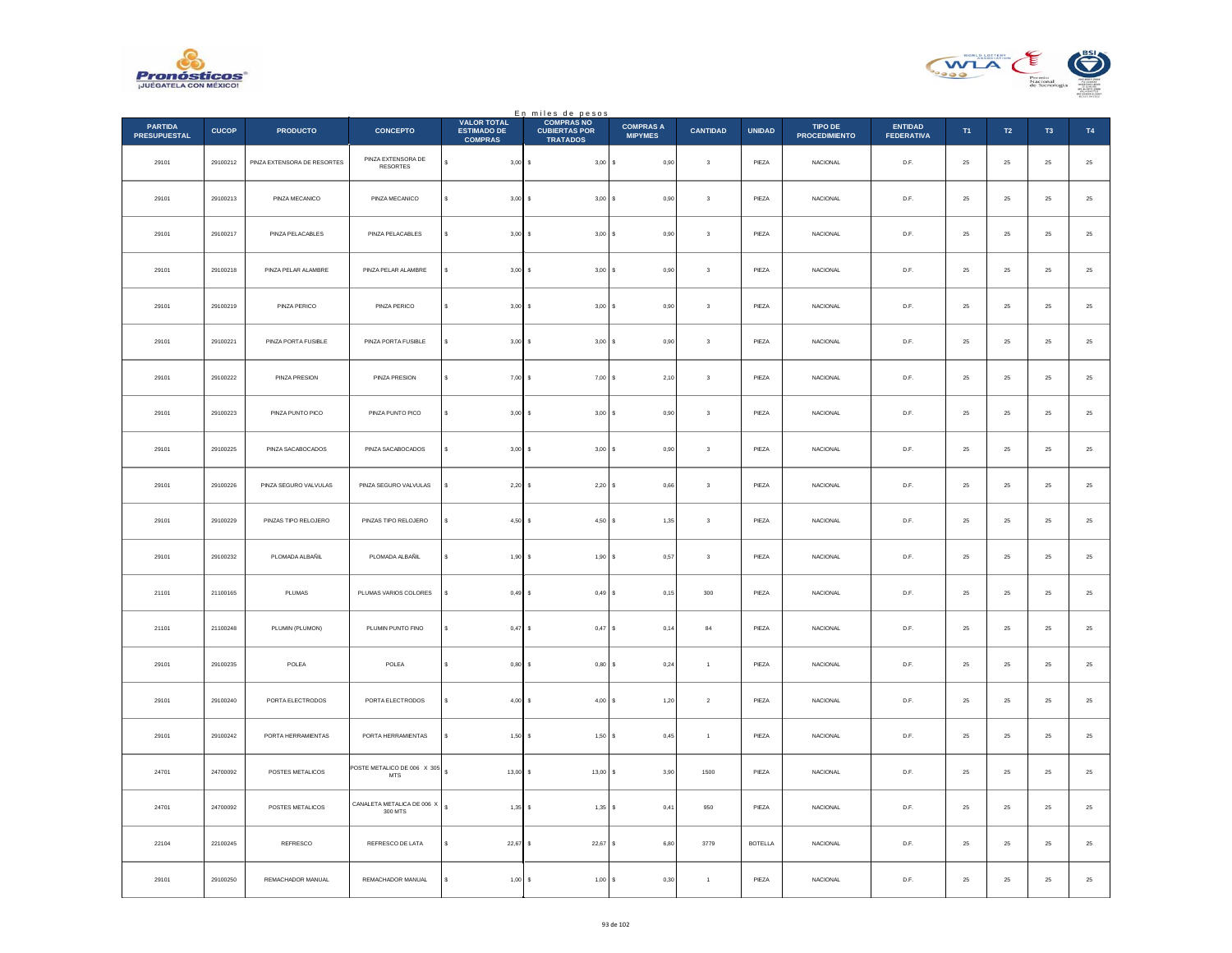



|                                       |              |                             |                                       |                                                            | En miles de pesos<br>COMPRASNO          |                                    |                         |                |                                 |                                     |            |            |                |             |
|---------------------------------------|--------------|-----------------------------|---------------------------------------|------------------------------------------------------------|-----------------------------------------|------------------------------------|-------------------------|----------------|---------------------------------|-------------------------------------|------------|------------|----------------|-------------|
| <b>PARTIDA</b><br><b>PRESUPUESTAL</b> | <b>CUCOP</b> | <b>PRODUCTO</b>             | <b>CONCEPTO</b>                       | <b>VALOR TOTAL</b><br><b>ESTIMADO DE</b><br><b>COMPRAS</b> | <b>CUBIERTAS POR</b><br><b>TRATADOS</b> | <b>COMPRAS A</b><br><b>MIPYMES</b> | <b>CANTIDAD</b>         | <b>UNIDAD</b>  | TIPO DE<br><b>PROCEDIMIENTO</b> | <b>ENTIDAD</b><br><b>FEDERATIVA</b> | T1         | T2         | T <sub>3</sub> | T4          |
| 29101                                 | 29100212     | PINZA EXTENSORA DE RESORTES | PINZA EXTENSORA DE<br><b>RESORTES</b> | s<br>$3,00$ \$                                             | 3,00S                                   | 0,90                               | $\,$ 3                  | PIEZA          | NACIONAL                        | D.F.                                | $\bf 25$   | $\bf 25$   | 25             | $\bf 25$    |
| 29101                                 | 29100213     | PINZA MECANICO              | PINZA MECANICO                        | $3.00$ S<br>$\epsilon$                                     | 3,00S                                   | 0.90                               | $\overline{\mathbf{3}}$ | PIEZA          | <b>NACIONAL</b>                 | D.F.                                | 25         | $25\,$     | 25             | $\bf 25$    |
| 29101                                 | 29100217     | PINZA PELACABLES            | PINZA PELACABLES                      | $3,00$ \$                                                  | 3,00S                                   | 0,90                               | $\overline{\mathbf{3}}$ | PIEZA          | NACIONAL                        | $\mathsf{D}.\mathsf{F}.$            | $25\,$     | $\bf 25$   | $2\mathsf{S}$  | $25\,$      |
| 29101                                 | 29100218     | PINZA PELAR ALAMBRE         | PINZA PELAR ALAMBRE                   | $3,00$ \$<br>s                                             | 3,00S                                   | 0,90                               | $\mathbf 3$             | PIEZA          | <b>NACIONAL</b>                 | D.F.                                | ${\bf 25}$ | 25         | $25\,$         | $25\,$      |
| 29101                                 | 29100219     | PINZA PERICO                | PINZA PERICO                          | s<br>$3,00$ \$                                             | 3,00S                                   | 0,90                               | $\,$ 3 $\,$             | PIEZA          | <b>NACIONAL</b>                 | D.F.                                | 25         | $25\,$     | 25             | $25\,$      |
| 29101                                 | 29100221     | PINZA PORTA FUSIBLE         | PINZA PORTA FUSIBLE                   | $3,00$ \$                                                  | 3,00S                                   | 0,90                               | $^{\rm 3}$              | PIEZA          | NACIONAL                        | D.F.                                | 25         | $25\,$     | 25             | $25\,$      |
| 29101                                 | 29100222     | PINZA PRESION               | PINZA PRESION                         | s<br>$7,00$ \$                                             | 7,00S                                   | 2,10                               | $\mathbf{3}$            | PIEZA          | <b>NACIONAL</b>                 | D.F.                                | 25         | 25         | 25             | $\bf 25$    |
| 29101                                 | 29100223     | PINZA PUNTO PICO            | PINZA PUNTO PICO                      | $3,00$ \$<br>s                                             | 3,00S                                   | 0,90                               | $\overline{\mathbf{3}}$ | PIEZA          | NACIONAL                        | $\mathsf{D}.\mathsf{F}.$            | $25\,$     | $25\,$     | 25             | $25\,$      |
| 29101                                 | 29100225     | PINZA SACABOCADOS           | PINZA SACABOCADOS                     | $3,00$ \$                                                  | 3,00S                                   | 0,90                               | $^{\rm 3}$              | PIEZA          | <b>NACIONAL</b>                 | D.F.                                | 25         | $25\,$     | 25             | $25\,$      |
| 29101                                 | 29100226     | PINZA SEGURO VALVULAS       | PINZA SEGURO VALVULAS                 | $2,20$ \$                                                  | $2,20$ \$                               | 0,66                               | $\mathsf 3$             | PIEZA          | NACIONAL                        | D.F.                                | 25         | 25         | 25             | $25\,$      |
| 29101                                 | 29100229     | PINZAS TIPO RELOJERO        | PINZAS TIPO RELOJERO                  | 4,50S<br>$\epsilon$                                        | 4,50S                                   | 1,35                               | $\,$ 3                  | PIEZA          | <b>NACIONAL</b>                 | D.F.                                | 25         | $25\,$     | $25\,$         | $25\,$      |
| 29101                                 | 29100232     | PLOMADA ALBAÑIL             | PLOMADA ALBAÑIL                       | 1,90S<br>s                                                 | 1,90S                                   | 0.57                               | $\overline{\mathbf{3}}$ | PIEZA          | <b>NACIONAL</b>                 | D.F.                                | 25         | 25         | 25             | 25          |
| 21101                                 | 21100165     | PLUMAS                      | PLUMAS VARIOS COLORES                 | 0,49S                                                      | 0,49S                                   | 0, 15                              | $300\,$                 | PIEZA          | <b>NACIONAL</b>                 | D.F.                                | 25         | $25\,$     | 25             | $2\sqrt{5}$ |
| 21101                                 | 21100248     | PLUMIN (PLUMON)             | PLUMIN PUNTO FINO                     | s<br>0.47S                                                 | $0,47$ \$                               | 0,14                               | 84                      | PIEZA          | <b>NACIONAL</b>                 | D.F.                                | 25         | 25         | 25             | 25          |
| 29101                                 | 29100235     | POLEA                       | POLEA                                 | s<br>$0,80$ \$                                             | $0,80$ \$                               | 0,24                               | $\,$ 1 $\,$             | PIEZA          | NACIONAL                        | $D.F.$                              | $\bf 25$   | $\bf 25$   | 25             | $25\,$      |
| 29101                                 | 29100240     | PORTA ELECTRODOS            | PORTA ELECTRODOS                      | $\ddot{\phantom{0}}$<br>$4,00$ \$                          | 4,00S                                   | 1,20                               | $\sqrt{2}$              | PIEZA          | NACIONAL                        | D.F.                                | ${\bf 25}$ | $25\,$     | $25\,$         | $\bf 25$    |
| 29101                                 | 29100242     | PORTA HERRAMIENTAS          | PORTA HERRAMIENTAS                    | $1.50$ S                                                   | 1,50S                                   | 0.45                               | $\overline{1}$          | PIEZA          | <b>NACIONAL</b>                 | D.F.                                | 25         | $25\,$     | 25             | $\bf 25$    |
| 24701                                 | 24700092     | POSTES METALICOS            | POSTE METALICO DE 006 X 305<br>MTS    | $13,00$ \$                                                 | $13,00$ \$                              | 3,90                               | 1500                    | PIEZA          | NACIONAL                        | $D.F.$                              | $25\,$     | $\bf 25$   | $25\,$         | $25\,$      |
| 24701                                 | 24700092     | POSTES METALICOS            | CANALETA METALICA DE 006 X<br>300 MTS | $\mathbf{s}$<br>$1,35$ \$                                  | $1,35$ \$                               | 0,41                               | 950                     | PIEZA          | <b>NACIONAL</b>                 | D.F.                                | 25         | 25         | 25             | $25\,$      |
| 22104                                 | 22100245     | REFRESCO                    | REFRESCO DE LATA                      | $22,67$ \$                                                 | $22,67$ \$                              | 6,80                               | 3779                    | <b>BOTELLA</b> | <b>NACIONAL</b>                 | D.F.                                | 25         | $25\,$     | 25             | $25\,$      |
| 29101                                 | 29100250     | REMACHADOR MANUAL           | REMACHADOR MANUAL                     | $1,00$ \$                                                  | 1,00 S                                  | 0,30                               | $\mathbf{1}$            | PIEZA          | NACIONAL                        | D.F.                                | $\bf 25$   | ${\bf 25}$ | 25             | $25\,$      |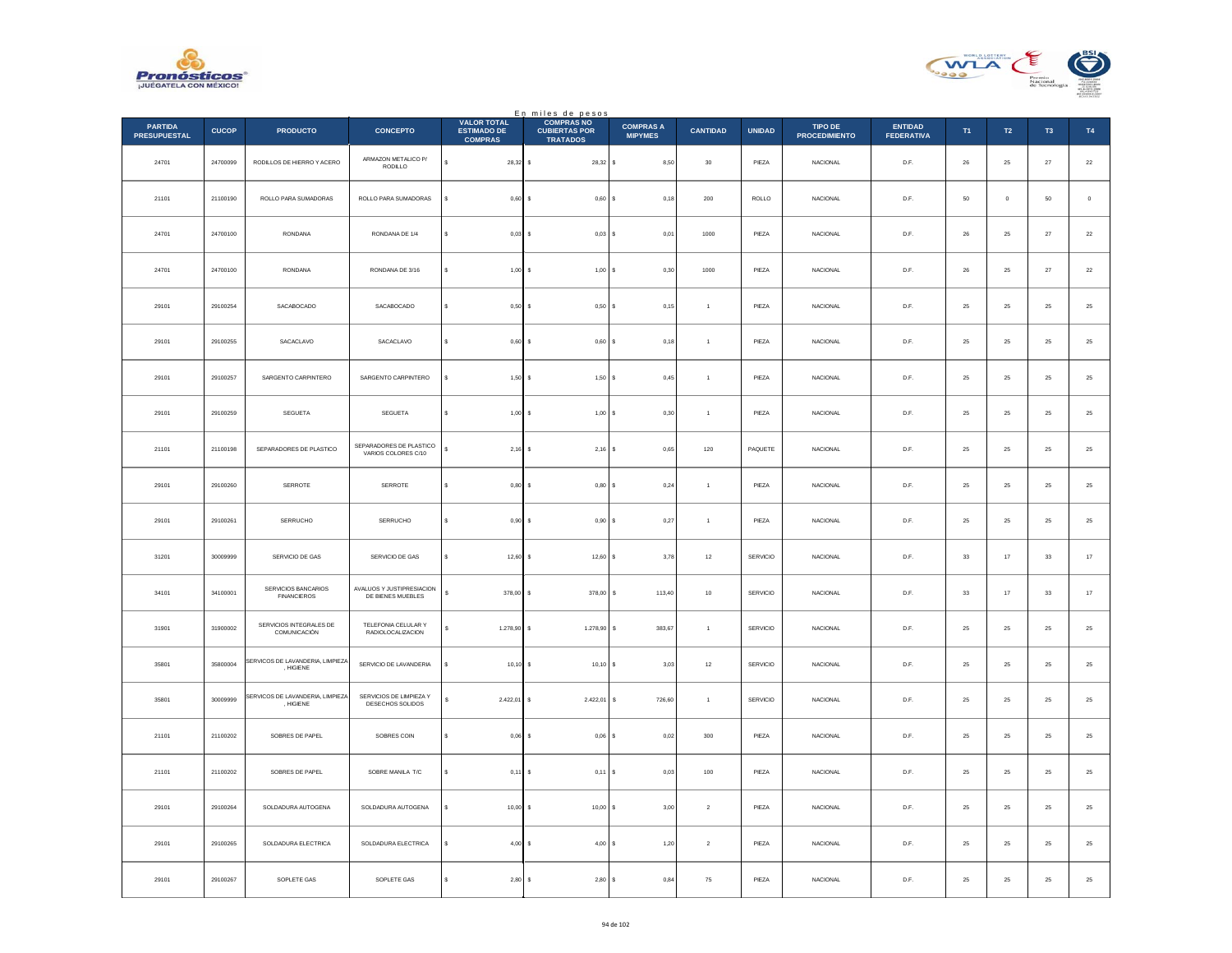



|                                       |              |                                               |                                                 |                                                            | En miles de pesos                                            |                                    |                  |                 |                                 |                                     |                |             |                |             |
|---------------------------------------|--------------|-----------------------------------------------|-------------------------------------------------|------------------------------------------------------------|--------------------------------------------------------------|------------------------------------|------------------|-----------------|---------------------------------|-------------------------------------|----------------|-------------|----------------|-------------|
| <b>PARTIDA</b><br><b>PRESUPUESTAL</b> | <b>CUCOP</b> | <b>PRODUCTO</b>                               | <b>CONCEPTO</b>                                 | <b>VALOR TOTAL</b><br><b>ESTIMADO DE</b><br><b>COMPRAS</b> | <b>COMPRAS NO</b><br><b>CUBIERTAS POR</b><br><b>TRATADOS</b> | <b>COMPRAS A</b><br><b>MIPYMES</b> | <b>CANTIDAD</b>  | <b>UNIDAD</b>   | TIPO DE<br><b>PROCEDIMIENTO</b> | <b>ENTIDAD</b><br><b>FEDERATIVA</b> | T <sub>1</sub> | T2          | T <sub>3</sub> | <b>T4</b>   |
| 24701                                 | 24700099     | RODILLOS DE HIERRO Y ACERO                    | ARMAZON METALICO P/<br>RODILLO                  | $28,32$ \$<br>s                                            | 28,32 \$                                                     | 8,50                               | 30               | PIEZA           | <b>NACIONAL</b>                 | D.F.                                | 26             | 25          | 27             | $22\,$      |
| 21101                                 | 21100190     | ROLLO PARA SUMADORAS                          | ROLLO PARA SUMADORAS                            | 0,60S                                                      | 0,60                                                         | 0, 18                              | 200              | ROLLO           | <b>NACIONAL</b>                 | D.F.                                | 50             | $\circ$     | $50\,$         | $\mathbb O$ |
| 24701                                 | 24700100     | <b>RONDANA</b>                                | RONDANA DE 1/4                                  | 0.03S                                                      | $0.03$ S                                                     | 0,01                               | 1000             | PIEZA           | <b>NACIONAL</b>                 | D.F.                                | 26             | 25          | 27             | 22          |
| 24701                                 | 24700100     | <b>RONDANA</b>                                | RONDANA DE 3/16                                 | s<br>$1,00$ \$                                             | $1.00$ S                                                     | 0.30                               | 1000             | PIEZA           | <b>NACIONAL</b>                 | D.F.                                | 26             | 25          | 27             | $22\,$      |
| 29101                                 | 29100254     | SACABOCADO                                    | SACABOCADO                                      | s<br>$0,50$ \$                                             | 0,50S                                                        | 0,15                               | $\,$ 1 $\,$      | PIEZA           | <b>NACIONAL</b>                 | D.F.                                | $25\,$         | $25\,$      | 25             | $\bf 25$    |
| 29101                                 | 29100255     | SACACLAVO                                     | SACACLAVO                                       | $0.60$ S<br>s                                              | 0.60 S                                                       | 0.18                               | $\overline{1}$   | PIEZA           | <b>NACIONAL</b>                 | D.F.                                | 25             | 25          | 25             | $25\,$      |
| 29101                                 | 29100257     | SARGENTO CARPINTERO                           | SARGENTO CARPINTERO                             | $1,50$ \$                                                  | 1,50S                                                        | 0,45                               | $\overline{1}$   | PIEZA           | NACIONAL                        | D.F.                                | $25\,$         | $\bf 25$    | $2\mathsf{S}$  | $25\,$      |
| 29101                                 | 29100259     | SEGUETA                                       | SEGUETA                                         | s<br>$1,00$ \$                                             | 1,00S                                                        | 0,30                               | $\mathbf{1}$     | PIEZA           | <b>NACIONAL</b>                 | D.F.                                | 25             | 25          | 25             | $25\,$      |
| 21101                                 | 21100198     | SEPARADORES DE PLASTICO                       | SEPARADORES DE PLASTICO<br>VARIOS COLORES C/10  | 2,16                                                       | $2,16$ \$<br>Ιs                                              | 0,65                               | 120              | PAQUETE         | <b>NACIONAL</b>                 | D.F.                                | $25\,$         | $25\,$      | 25             | $25\,$      |
| 29101                                 | 29100260     | SERROTE                                       | SERROTE                                         | s<br>$0,80$ \$                                             | 0,80S                                                        | 0,24                               | $\mathbf{1}$     | PIEZA           | NACIONAL                        | D.F.                                | $\bf 25$       | ${\bf 25}$  | $25\,$         | $25\,$      |
| 29101                                 | 29100261     | <b>SERRUCHO</b>                               | <b>SERRUCHO</b>                                 | $0,90$ $S$<br>s                                            | 0,90S                                                        | 0,27                               | $\overline{1}$   | PIEZA           | <b>NACIONAL</b>                 | D.F.                                | 25             | 25          | 25             | 25          |
| 31201                                 | 30009999     | SERVICIO DE GAS                               | SERVICIO DE GAS                                 | $12,60$ \$<br>\$                                           | 12,60S                                                       | 3,78                               | $12\,$           | SERVICIO        | <b>NACIONAL</b>                 | D.F.                                | 33             | $17\,$      | 33             | $17\,$      |
| 34101                                 | 34100001     | SERVICIOS BANCARIOS<br><b>FINANCIEROS</b>     | AVALUOS Y JUSTIPRESIACION<br>DE BIENES MUEBLES  | $\epsilon$<br>378,00 S                                     | 378,00                                                       | s<br>113,40                        | 10               | <b>SERVICIO</b> | <b>NACIONAL</b>                 | D.F.                                | 33             | 17          | 33             | $17\,$      |
| 31901                                 | 31900002     | SERVICIOS INTEGRALES DE<br>COMUNICACIÓN       | TELEFONIA CELULAR Y<br><b>RADIOLOCALIZACION</b> | 1.278,90                                                   | 1.278,90<br>s                                                | 383,67<br>s                        | $\mathbf{1}$     | SERVICIO        | <b>NACIONAL</b>                 | D.F.                                | 25             | 25          | 25             | $25\,$      |
| 35801                                 | 35800004     | SERVICOS DE LAVANDERIA, LIMPIEZA<br>, HIGIENE | SERVICIO DE LAVANDERIA                          | s<br>$10,10$ \$                                            | $10,10$ \$                                                   | 3,03                               | $12\,$           | SERVICIO        | <b>NACIONAL</b>                 | D.F.                                | 25             | ${\bf 25}$  | 25             | $\bf 25$    |
| 35801                                 | 30009999     | SERVICOS DE LAVANDERIA, LIMPIEZA<br>, HIGIENE | SERVICIOS DE LIMPIEZA Y<br>DESECHOS SOLIDOS     | $2.422,01$ \$                                              | 2.422,01                                                     | ' S<br>726.60                      | $\overline{1}$   | SERVICIO        | <b>NACIONAL</b>                 | D.F.                                | 25             | 25          | 25             | 25          |
| 21101                                 | 21100202     | SOBRES DE PAPEL                               | SOBRES COIN                                     | $0,06$ \$<br>s                                             | 0,06                                                         | 0,02                               | 300              | PIEZA           | <b>NACIONAL</b>                 | D.F.                                | 25             | $\bf 25$    | 25             | $25\,$      |
| 21101                                 | 21100202     | SOBRES DE PAPEL                               | SOBRE MANILA T/C                                | s<br>$0,11$ \$                                             | $0,11$ S                                                     | 0,03                               | 100              | PIEZA           | <b>NACIONAL</b>                 | D.F.                                | 25             | 25          | 25             | $25\,$      |
| 29101                                 | 29100264     | SOLDADURA AUTOGENA                            | SOLDADURA AUTOGENA                              | $10,00$ \$                                                 | 10,00                                                        | 3,00                               | $\,$ 2 $\,$      | PIEZA           | NACIONAL                        | $\mathsf{D}.\mathsf{F}.$            | $25\,$         | $2\sqrt{5}$ | $2\mathsf{S}$  | $25\,$      |
| 29101                                 | 29100265     | SOLDADURA ELECTRICA                           | SOLDADURA ELECTRICA                             | $4,00$ \$<br>¢                                             | 4,00S                                                        | 1,20                               | $\boldsymbol{2}$ | PIEZA           | <b>NACIONAL</b>                 | D.F.                                | $25\,$         | $25\,$      | $\bf 25$       | $25\,$      |
| 29101                                 | 29100267     | SOPLETE GAS                                   | SOPLETE GAS                                     | 2,80<br>s                                                  | 2,80S<br>s                                                   | 0,84                               | 75               | PIEZA           | <b>NACIONAL</b>                 | D.F.                                | 25             | 25          | 25             | $25\,$      |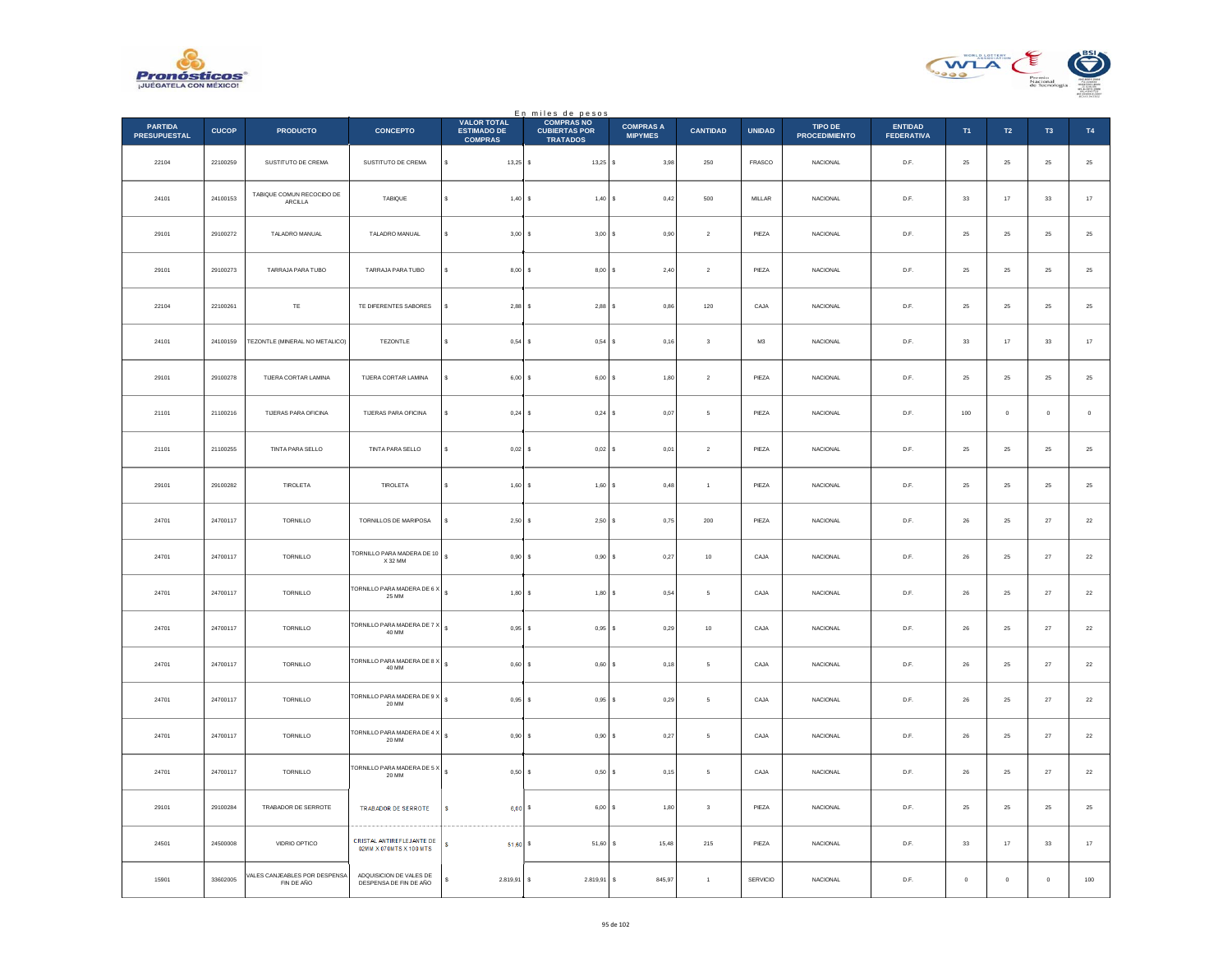



|                                       |              |                                             |                                                                    |                                                            | En miles de pesos<br>COMPRAS NO         |                                    |                         |               |                                        |                                     |             |                  |                |               |
|---------------------------------------|--------------|---------------------------------------------|--------------------------------------------------------------------|------------------------------------------------------------|-----------------------------------------|------------------------------------|-------------------------|---------------|----------------------------------------|-------------------------------------|-------------|------------------|----------------|---------------|
| <b>PARTIDA</b><br><b>PRESUPUESTAL</b> | <b>CUCOP</b> | <b>PRODUCTO</b>                             | <b>CONCEPTO</b>                                                    | <b>VALOR TOTAL</b><br><b>ESTIMADO DE</b><br><b>COMPRAS</b> | <b>CUBIERTAS POR</b><br><b>TRATADOS</b> | <b>COMPRAS A</b><br><b>MIPYMES</b> | <b>CANTIDAD</b>         | <b>UNIDAD</b> | <b>TIPO DE</b><br><b>PROCEDIMIENTO</b> | <b>ENTIDAD</b><br><b>FEDERATIVA</b> | T1          | $\mathsf{T2}$    | T <sub>3</sub> | <b>T4</b>     |
| 22104                                 | 22100259     | SUSTITUTO DE CREMA                          | SUSTITUTO DE CREMA                                                 | $\mathbb S$<br>$13,25$ \$                                  | $13,25$ \$                              | 3,98                               | $250\,$                 | FRASCO        | NACIONAL                               | D.F.                                | $\bf 25$    | ${\bf 25}$       | $\bf 25$       | $25\,$        |
| 24101                                 | 24100153     | TABIQUE COMUN RECOCIDO DE<br>ARCILLA        | <b>TABIQUE</b>                                                     | s<br>1,40S                                                 | 1,40S                                   | 0,42                               | 500                     | <b>MILLAR</b> | <b>NACIONAL</b>                        | D.F.                                | 33          | 17               | 33             | $17\,$        |
| 29101                                 | 29100272     | TALADRO MANUAL                              | TALADRO MANUAL                                                     | 3,00S<br>s                                                 | 3,00S                                   | 0,90                               | $\sqrt{2}$              | PIEZA         | NACIONAL                               | D.F.                                | 25          | ${\bf 25}$       | 25             | $25\,$        |
| 29101                                 | 29100273     | TARRAJA PARA TUBO                           | TARRAJA PARA TUBO                                                  | s<br>8.00 S                                                | $8.00$ S                                | 2.40                               | $\overline{2}$          | PIEZA         | <b>NACIONAL</b>                        | D.F.                                | 25          | ${\bf 25}$       | 25             | $2\mathsf{5}$ |
| 22104                                 | 22100261     | $\mathsf{TE}$                               | TE DIFERENTES SABORES                                              | s<br>2,88                                                  | $2,88$ \$<br>s                          | 0,86                               | 120                     | CAJA          | NACIONAL                               | $\mathsf{D}.\mathsf{F}.$            | $\bf 25$    | $\bf 25$         | $2\mathsf{S}$  | $2\mathsf{5}$ |
| 24101                                 | 24100159     | TEZONTLE (MINERAL NO METALICO)              | TEZONTLE                                                           | s<br>0,54S                                                 | $0,54$ \$                               | 0,16                               | $\mathbf{3}$            | M3            | <b>NACIONAL</b>                        | D.F.                                | 33          | 17               | 33             | $17\,$        |
| 29101                                 | 29100278     | TIJERA CORTAR LAMINA                        | TIJERA CORTAR LAMINA                                               | \$<br>$6,00$ \$                                            | 6,00S                                   | 1,80                               | $\,$ 2 $\,$             | PIEZA         | NACIONAL                               | D.F.                                | 25          | 25               | 25             | $2\mathsf{5}$ |
| 21101                                 | 21100216     | <b>TUERAS PARA OFICINA</b>                  | <b>TIJERAS PARA OFICINA</b>                                        | s<br>0.24S                                                 | $0,24$ \$                               | 0.07                               | -5                      | PIEZA         | <b>NACIONAL</b>                        | D.F.                                | 100         | $\mathbf 0$      | $\circ$        | $\,$ 0 $\,$   |
| 21101                                 | 21100255     | TINTA PARA SELLO                            | TINTA PARA SELLO                                                   | 0.02S<br>s                                                 | $0.02$ S                                | 0,01                               | $\sqrt{2}$              | PIEZA         | NACIONAL                               | D.F.                                | 25          | 25               | 25             | 25            |
| 29101                                 | 29100282     | TIROLETA                                    | TIROLETA                                                           | $\epsilon$<br>1,60S                                        | 1,60S                                   | 0,48                               | $\overline{1}$          | PIEZA         | <b>NACIONAL</b>                        | D.F.                                | 25          | $25\phantom{.0}$ | 25             | $25\,$        |
| 24701                                 | 24700117     | TORNILLO                                    | TORNILLOS DE MARIPOSA                                              | s<br>2,50S                                                 | $2,50$ $S$                              | 0,75                               | 200                     | PIEZA         | <b>NACIONAL</b>                        | D.F.                                | 26          | 25               | 27             | $22\,$        |
| 24701                                 | 24700117     | TORNILLO                                    | TORNILLO PARA MADERA DE 10<br>X 32 MM                              | $\mathbb S$<br>0,90S                                       | $0,90$ \$                               | 0,27                               | $10\,$                  | CAJA          | NACIONAL                               | D.F.                                | ${\bf 26}$  | 25               | $\bf 27$       | $\bf{22}$     |
| 24701                                 | 24700117     | TORNILLO                                    | TORNILLO PARA MADERA DE 6 X<br>25 MM                               | $\epsilon$<br>1.80 S                                       | 1.80 S                                  | 0.54                               | -5                      | CAJA          | <b>NACIONAL</b>                        | D.F.                                | 26          | 25               | 27             | $22\,$        |
| 24701                                 | 24700117     | TORNILLO                                    | TORNILLO PARA MADERA DE 7 X<br>40 MM                               | $\sim$<br>0,95                                             | 0,95<br>s                               | 0,29<br>l s                        | $10$                    | CAJA          | NACIONAL                               | $\mathsf{D}.\mathsf{F}.$            | $26\,$      | $25\,$           | $\sqrt{27}$    | $22\,$        |
| 24701                                 | 24700117     | TORNILLO                                    | FORNILLO PARA MADERA DE 8 X 5<br>40 MM                             | 0,60S                                                      | $0,60$ \$                               | 0,18                               | 5                       | CAJA          | <b>NACIONAL</b>                        | D.F.                                | 26          | 25               | 27             | $22\,$        |
| 24701                                 | 24700117     | TORNILLO                                    | <b>FORNILLO PARA MADERA DE 9 X</b><br>20 MM                        | $\mathbf{s}$<br>0,95S                                      | $0,95$ \$                               | 0,29                               | 5                       | CAJA          | NACIONAL                               | D.F.                                | ${\bf 26}$  | 25               | 27             | $\bf{22}$     |
| 24701                                 | 24700117     | TORNILLO                                    | TORNILLO PARA MADERA DE 4 $\times$ $\begin{array}{ l l }$<br>20 MM | 0.90 S                                                     | $0.90$ \$                               | 0,27                               | -5                      | CAJA          | <b>NACIONAL</b>                        | D.F.                                | 26          | 25               | 27             | $22\,$        |
| 24701                                 | 24700117     | TORNILLO                                    | TORNILLO PARA MADERA DE 5 X $\int$<br>20 MM                        | 0,50S                                                      | $0,50$ \$                               | 0,15                               | 5                       | CAJA          | NACIONAL                               | D.F.                                | 26          | 25               | $27\,$         | $22\,$        |
| 29101                                 | 29100284     | TRABADOR DE SERROTE                         | TRABADOR DE SERROTE                                                | s<br>6,00S                                                 | 6,00 S                                  | 1,80                               | $\overline{\mathbf{3}}$ | PIEZA         | NACIONAL                               | D.F.                                | 25          | $25\phantom{.0}$ | 25             | $\bf 25$      |
| 24501                                 | 24500008     | VIDRIO OPTICO                               | CRISTAL ANTIREFLEJANTE DE<br>02MM X 070MTS X 100 MTS               | $51.60$ S<br>s                                             | $51.60$ S                               | 15,48                              | 215                     | PIEZA         | <b>NACIONAL</b>                        | D.F.                                | 33          | 17               | 33             | $17\,$        |
| 15901                                 | 33602005     | VALES CANJEABLES POR DESPENSA<br>FIN DE AÑO | ADOUISICION DE VALES DE<br>DESPENSA DE FIN DE AÑO                  | 2.819,91 \$<br>s                                           | 2.819,91 \$                             | 845,97                             | $\mathbf{1}$            | SERVICIO      | NACIONAL                               | D.F.                                | $\,$ 0 $\,$ | $\mathbf 0$      | $\mathbf 0$    | 100           |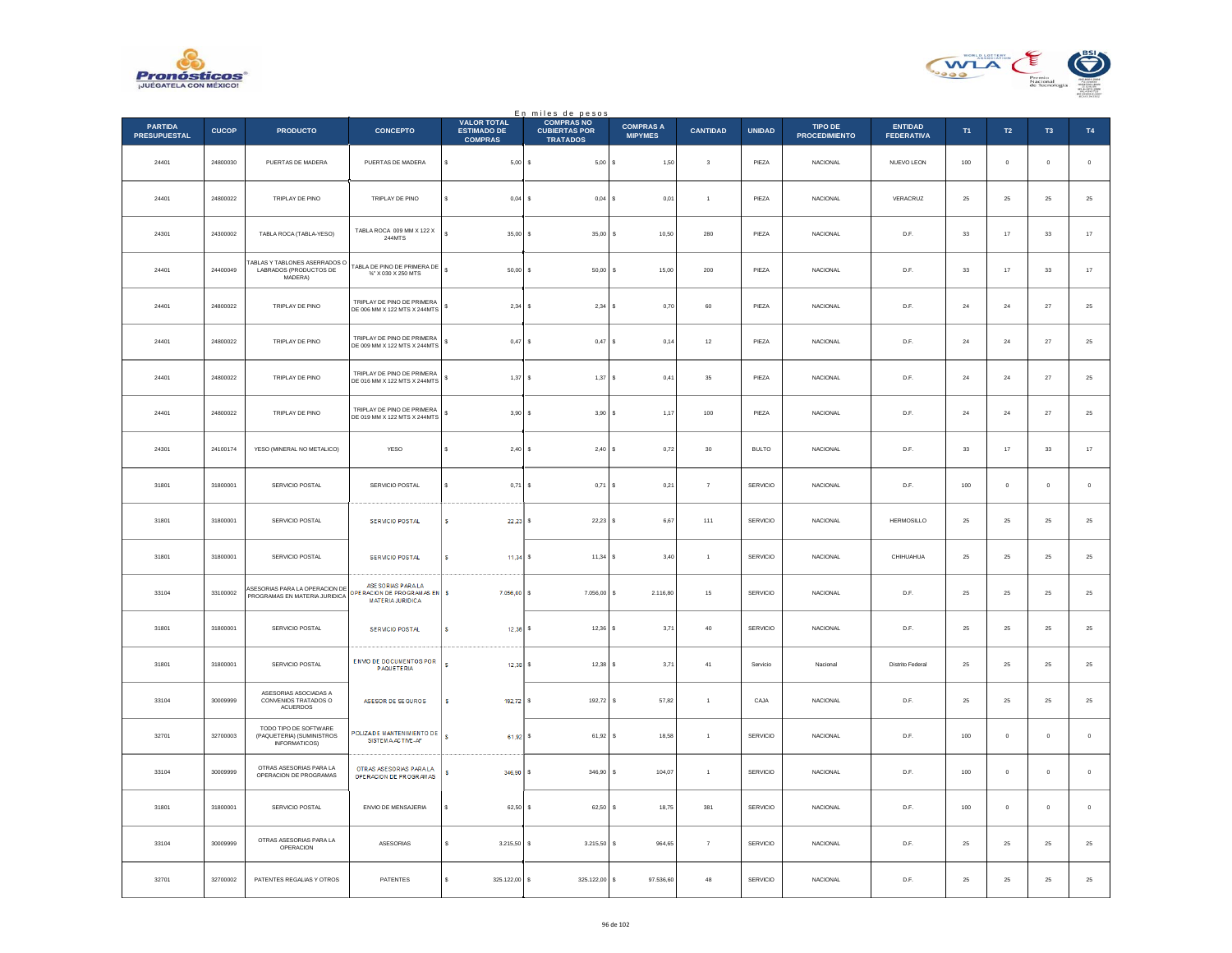



|                                       |              |                                                                     |                                                                             |                                                            | En miles de pesos<br>COMPRAS NO         |                                    |                         |               |                                 |                              |          |              |                     |                  |
|---------------------------------------|--------------|---------------------------------------------------------------------|-----------------------------------------------------------------------------|------------------------------------------------------------|-----------------------------------------|------------------------------------|-------------------------|---------------|---------------------------------|------------------------------|----------|--------------|---------------------|------------------|
| <b>PARTIDA</b><br><b>PRESUPUESTAL</b> | <b>CUCOP</b> | <b>PRODUCTO</b>                                                     | <b>CONCEPTO</b>                                                             | <b>VALOR TOTAL</b><br><b>ESTIMADO DE</b><br><b>COMPRAS</b> | <b>CUBIERTAS POR</b><br><b>TRATADOS</b> | <b>COMPRAS A</b><br><b>MIPYMES</b> | <b>CANTIDAD</b>         | <b>UNIDAD</b> | TIPO DE<br><b>PROCEDIMIENTO</b> | ENTIDAD<br><b>FEDERATIVA</b> | T1       | T2           | T <sub>3</sub>      | T4               |
| 24401                                 | 24800030     | PUERTAS DE MADERA                                                   | PUERTAS DE MADERA                                                           | s<br>$5,00$ \$                                             | 5,00                                    | 1,50<br>l s                        | $\overline{\mathbf{3}}$ | PIEZA         | NACIONAL                        | NUEVO LEON                   | 100      | $\mathbf 0$  | $\mathbf 0$         | $\,$ 0 $\,$      |
| 24401                                 | 24800022     | TRIPLAY DE PINO                                                     | TRIPLAY DE PINO                                                             | 0,04                                                       | <b>s</b><br>$0,04$ \$                   | 0.01                               | $\overline{1}$          | PIEZA         | <b>NACIONAL</b>                 | VERACRUZ                     | 25       | 25           | 25                  | $\bf 25$         |
| 24301                                 | 24300002     | TABLA ROCA (TABLA-YESO)                                             | TABLA ROCA 009 MM X 122 X<br>244MTS                                         | 35,00                                                      | 35,00<br>s                              | s<br>10,50                         | 280                     | PIEZA         | NACIONAL                        | D.F.                         | $33\,$   | $17\,$       | $_{\rm 33}$         | $17\,$           |
| 24401                                 | 24400049     | ABLAS Y TABLONES ASERRADOS O<br>LABRADOS (PRODUCTOS DE<br>MADERA)   | TABLA DE PINO DE PRIMERA DE<br>$\%$ X 030 X 250 MTS                         | $\ddot{\phantom{0}}$<br>50,00                              | s<br>50,00                              | 15,00<br>s                         | $200\,$                 | PIEZA         | <b>NACIONAL</b>                 | D.F.                         | 33       | $17\,$       | $_{\rm 33}$         | $17\,$           |
| 24401                                 | 24800022     | TRIPLAY DE PINO                                                     | TRIPLAY DE PINO DE PRIMERA<br>DE 006 MM X 122 MTS X 244MTS                  | 2,34<br>s                                                  | 2,34<br>-S                              | 0,70<br>s                          | 60                      | PIEZA         | <b>NACIONAL</b>                 | D.F.                         | 24       | 24           | $\sqrt{27}$         | $25\,$           |
| 24401                                 | 24800022     | TRIPLAY DE PINO                                                     | TRIPLAY DE PINO DE PRIMERA<br>DE 009 MM X 122 MTS X 244MTS                  | 0,47<br>\$                                                 | $\epsilon$<br>$0,47$ \$                 | 0,14                               | $12\,$                  | PIEZA         | NACIONAL                        | D.F.                         | 24       | $\bf{^{24}}$ | $27\,$              | $\mathbf{^{25}}$ |
| 24401                                 | 24800022     | TRIPLAY DE PINO                                                     | TRIPLAY DE PINO DE PRIMERA<br>DE 016 MM X 122 MTS X 244MTS                  | $1,37$ \$<br>s                                             | $1,37$ \$                               | 0,41                               | 35                      | PIEZA         | <b>NACIONAL</b>                 | D.F.                         | 24       | 24           | 27                  | 25               |
| 24401                                 | 24800022     | TRIPLAY DE PINO                                                     | TRIPLAY DE PINO DE PRIMERA<br>DE 019 MM X 122 MTS X 244MTS                  | 3,90S<br>\$                                                | 3,90                                    | 1,17<br>١s                         | $100\,$                 | PIEZA         | <b>NACIONAL</b>                 | D.F.                         | $\bf 24$ | 24           | $27\,$              | $25\,$           |
| 24301                                 | 24100174     | YESO (MINERAL NO METALICO)                                          | <b>YESO</b>                                                                 | 2,40<br>s                                                  | 2,40S<br>s                              | 0,72                               | 30                      | <b>BULTO</b>  | <b>NACIONAL</b>                 | D.F.                         | 33       | 17           | 33                  | $17\,$           |
| 31801                                 | 31800001     | SERVICIO POSTAL                                                     | SERVICIO POSTAL                                                             | 0,71                                                       | 0,71<br>s                               | 0,21                               | $\overline{7}$          | SERVICIO      | <b>NACIONAL</b>                 | D.F.                         | 100      | $\mathbf{0}$ | $\ddot{\mathbf{0}}$ | $\mathbb O$      |
| 31801                                 | 31800001     | SERVICIO POSTAL                                                     | <b>SERVICIO POSTAL</b>                                                      | s<br>$22.23$ s                                             | 22,23                                   | 6,67                               | 111                     | SERVICIO      | <b>NACIONAL</b>                 | <b>HERMOSILLO</b>            | 25       | $25\,$       | 25                  | $25\,$           |
| 31801                                 | 31800001     | SERVICIO POSTAL                                                     | <b>SERVICIO POSTAL</b>                                                      | s<br>$11.34$ S                                             | $11.34$ S                               | 3.40                               | $\overline{1}$          | SERVICIO      | <b>NACIONAL</b>                 | CHIHUAHUA                    | 25       | 25           | 25                  | 25               |
| 33104                                 | 33100002     | ASESORIAS PARA LA OPERACION DE<br>PROGRAMAS EN MATERIA JURIDICA     | ASE SORIAS PARA LA<br>OPERACIÓN DE PROGRAM AS EN<br><b>MATERIA JURIDICA</b> | s<br>7.056,00                                              | 7.056,00                                | s<br>2.116,80                      | 15                      | SERVICIO      | <b>NACIONAL</b>                 | D.F.                         | 25       | 25           | 25                  | $2\sqrt{5}$      |
| 31801                                 | 31800001     | SERVICIO POSTAL                                                     | <b>SERVICIO POSTAL</b>                                                      | s<br>12,36                                                 | 12.36<br>$\epsilon$                     | 3,71                               | 40                      | SERVICIO      | <b>NACIONAL</b>                 | D.F.                         | 25       | 25           | 25                  | 25               |
| 31801                                 | 31800001     | SERVICIO POSTAL                                                     | <b>ENVIO DE DOCUMENTOS POR</b><br><b>PAQUETERIA</b>                         | s<br>12,38                                                 | 12,38                                   | 3,71                               | 41                      | Servicio      | Nacional                        | Distrito Federal             | 25       | 25           | $25\,$              | $25\,$           |
| 33104                                 | 30009999     | ASESORIAS ASOCIADAS A<br>CONVENIOS TRATADOS O<br><b>ACUERDOS</b>    | ASESOR DE SEGUROS                                                           | 192,72 S<br>s                                              | 192,72                                  | 57,82<br>s                         | $\mathbf 1$             | CAJA          | <b>NACIONAL</b>                 | D.F.                         | 25       | $25\,$       | 25                  | $25\,$           |
| 32701                                 | 32700003     | TODO TIPO DE SOFTWARE<br>(PAQUETERIA) (SUMINISTROS<br>INFORMATICOS) | POLIZADE MANTENIMIENTO DE<br>SISTEM A ACTIVE-AF                             | s<br>61.92 S                                               | 61.92                                   | 18.58<br>-S.                       | $\overline{1}$          | SERVICIO      | <b>NACIONAL</b>                 | D.F.                         | 100      | $^{\circ}$   | $\ddot{\mathbf{0}}$ | $\circ$          |
| 33104                                 | 30009999     | OTRAS ASESORIAS PARA LA<br>OPERACION DE PROGRAMAS                   | OTRAS ASESORIAS PARA LA<br>OPE RACION DE PROGRAMAS                          | 346,90 S                                                   | 346,90                                  | s<br>104,07                        | $\overline{1}$          | SERVICIO      | NACIONAL                        | D.F.                         | 100      | $\mathbf 0$  | Ó                   | $\,$ 0 $\,$      |
| 31801                                 | 31800001     | SERVICIO POSTAL                                                     | ENVIO DE MENSAJERIA                                                         | 62,50<br>s                                                 | -S<br>62,50                             | 18,75<br>s                         | 381                     | SERVICIO      | <b>NACIONAL</b>                 | D.F.                         | 100      | $\Omega$     | $\Omega$            | $\mathbf 0$      |
| 33104                                 | 30009999     | OTRAS ASESORIAS PARA LA<br>OPERACION                                | ASESORIAS                                                                   | 3.215,50                                                   | 3.215,50<br>-S                          | 964,65<br>s                        | $\overline{7}$          | SERVICIO      | <b>NACIONAL</b>                 | D.F.                         | 25       | 25           | 25                  | $25\,$           |
| 32701                                 | 32700002     | PATENTES REGALIAS Y OTROS                                           | PATENTES                                                                    | s<br>325.122,00 \$                                         | 325.122,00                              | 97.536,60<br>s                     | 48                      | SERVICIO      | NACIONAL                        | D.F.                         | $\bf 25$ | ${\bf 25}$   | $25\,$              | $25\,$           |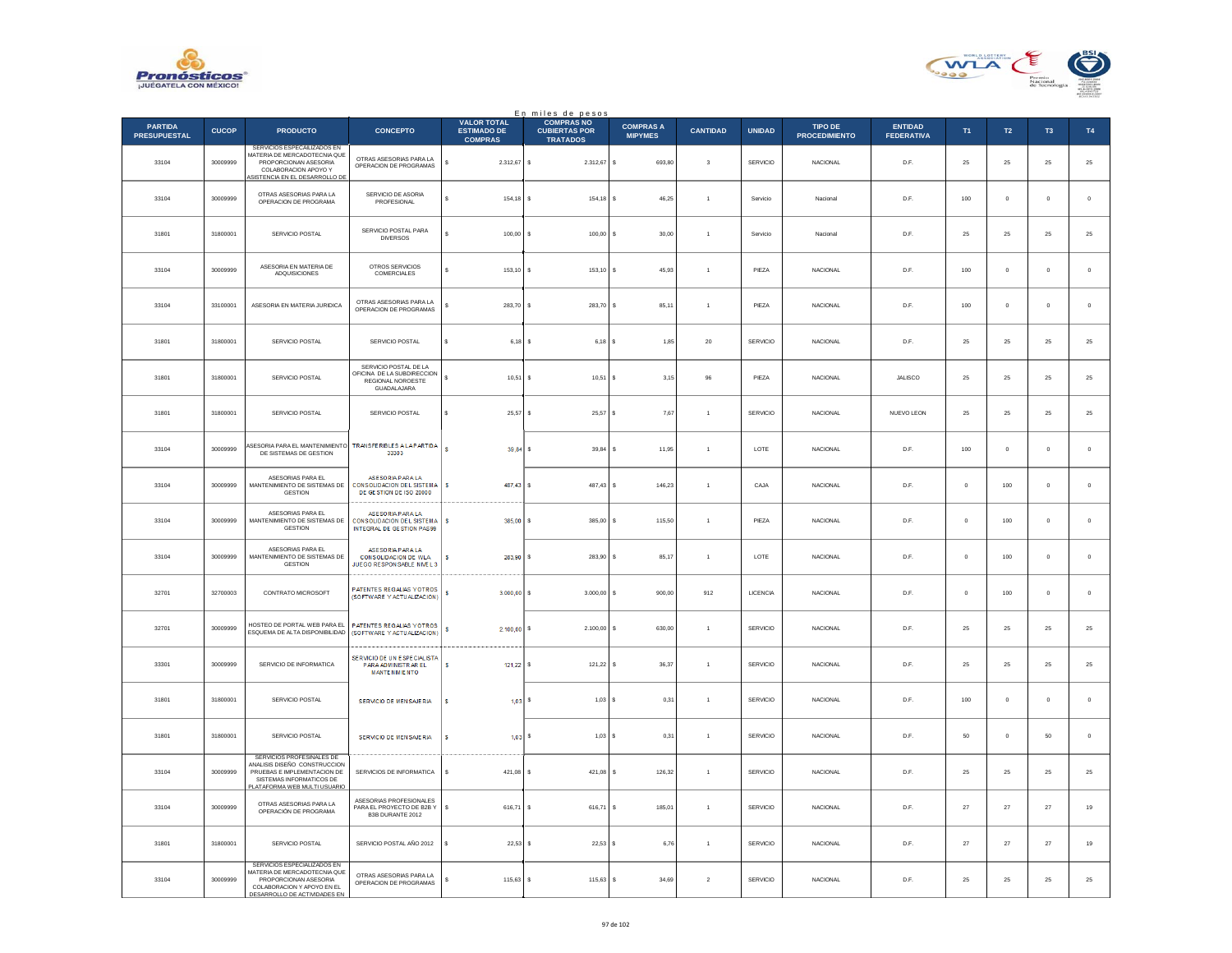



|                                       |              |                                                                                                                                                            |                                                                                                |                                                            | En miles de pesos<br>COMPRAS NO         |                                    |                 |                 |                                        |                                     |                |                |               |               |
|---------------------------------------|--------------|------------------------------------------------------------------------------------------------------------------------------------------------------------|------------------------------------------------------------------------------------------------|------------------------------------------------------------|-----------------------------------------|------------------------------------|-----------------|-----------------|----------------------------------------|-------------------------------------|----------------|----------------|---------------|---------------|
| <b>PARTIDA</b><br><b>PRESUPUESTAL</b> | <b>CUCOP</b> | <b>PRODUCTO</b>                                                                                                                                            | <b>CONCEPTO</b>                                                                                | <b>VALOR TOTAL</b><br><b>ESTIMADO DE</b><br><b>COMPRAS</b> | <b>CUBIERTAS POR</b><br><b>TRATADOS</b> | <b>COMPRAS A</b><br><b>MIPYMES</b> | <b>CANTIDAD</b> | <b>UNIDAD</b>   | <b>TIPO DE</b><br><b>PROCEDIMIENTO</b> | <b>ENTIDAD</b><br><b>FEDERATIVA</b> | T <sub>1</sub> | $\mathsf{T2}$  | $\mathsf{T3}$ | $\mathsf{T4}$ |
| 33104                                 | 30009999     | SERVICIOS ESPECAILIZADOS EN<br>MATERIA DE MERCADOTECNIA QUE<br>PROPORCIONAN ASESORIA<br>COLABORACION APOYO Y<br>SISTENCIA EN EL DESARROLLO DE              | OTRAS ASESORIAS PARA LA<br>OPERACION DE PROGRAMAS                                              | \$<br>2.312,67 \$                                          | 2.312,67 \$                             | 693,80                             | $\mathbf 3$     | SERVICIO        | NACIONAL                               | D.F.                                | 25             | $\bf 25$       | $\bf 25$      | 25            |
| 33104                                 | 30009999     | OTRAS ASESORIAS PARA LA<br>OPERACION DE PROGRAMA                                                                                                           | SERVICIO DE ASORIA<br>PROFESIONAL                                                              | s<br>154.18                                                | 154.18<br>s                             | s<br>46.25                         | $\overline{1}$  | Servicio        | Nacional                               | D.F.                                | 100            | $\overline{0}$ | $\mathbf{0}$  | $\circ$       |
| 31801                                 | 31800001     | SERVICIO POSTAL                                                                                                                                            | SERVICIO POSTAL PARA<br><b>DIVERSOS</b>                                                        | s<br>100,00                                                | 100,00<br>s                             | 30,00<br>s                         | $\overline{1}$  | Servicio        | Naciona                                | D.F.                                | 25             | 25             | 25            | 25            |
| 33104                                 | 30009999     | ASESORIA EN MATERIA DE<br>ADQUISICIONES                                                                                                                    | OTROS SERVICIOS<br>COMERCIALES                                                                 | $\mathbf{s}$<br>$153.10$ S                                 | 153.10                                  | s<br>45.93                         | $\overline{1}$  | PIEZA           | <b>NACIONAL</b>                        | D.F                                 | 100            | $\overline{0}$ | $\Omega$      | $\circ$       |
| 33104                                 | 33100001     | ASESORIA EN MATERIA JURIDICA                                                                                                                               | OTRAS ASESORIAS PARA LA<br>OPERACIÓN DE PROGRAMAS                                              | 283,70<br>\$                                               | 283,70<br>s                             | 85,11<br>\$                        | $\,$ 1 $\,$     | PIEZA           | NACIONAL                               | D.F.                                | $100\,$        | $\mathbf 0$    | $\bf{0}$      | $\,$ 0        |
| 31801                                 | 31800001     | SERVICIO POSTAL                                                                                                                                            | SERVICIO POSTAL                                                                                | s<br>$6,18$ \$                                             | 6,18 S                                  | 1,85                               | 20              | SERVICIO        | NACIONAL                               | D.F.                                | 25             | 25             | 25            | 25            |
| 31801                                 | 31800001     | SERVICIO POSTAL                                                                                                                                            | SERVICIO POSTAL DE LA<br>OFICINA DE LA SUBDIRECCION<br><b>REGIONAL NOROESTE</b><br>GUADALAJARA | s<br>10,51                                                 | s<br>10,51                              | 3,15                               | 96              | PIEZA           | <b>NACIONAL</b>                        | JALISCO                             | 25             | 25             | 25            | 25            |
| 31801                                 | 31800001     | SERVICIO POSTAL                                                                                                                                            | SERVICIO POSTAL                                                                                | s<br>25,57                                                 | $\mathbf{s}$<br>25.57 S                 | 7.67                               | $\overline{1}$  | SERVICIO        | NACIONAL                               | NUEVO LEON                          | 25             | 25             | 25            | 25            |
| 33104                                 | 30009999     | <b>SESORIA PARA EL MANTENIMIENTO</b><br>DE SISTEMAS DE GESTION                                                                                             | TRANSFERIBLES A LAPARTIDA<br>33303                                                             | $\mathbf{s}$<br>$39,84$ \$                                 | 39,84                                   | 11,95<br>s                         | $\overline{1}$  | LOTE            | <b>NACIONAL</b>                        | D.F.                                | 100            | $\mathbf 0$    | $\mathbf 0$   | $\mathbf 0$   |
| 33104                                 | 30009999     | ASESORIAS PARA EL<br>MANTENIMIENTO DE SISTEMAS DE<br><b>GESTION</b>                                                                                        | <b>ASESORIA PARA LA</b><br><b>CONSOLIDACION DEL SISTEMA</b><br>DE GESTION DE ISO 20000         | s<br>487.43 S                                              | 487,43                                  | 146,23<br>¢                        | $\overline{1}$  | CAJA            | NACIONAL                               | D.F.                                | $\circ$        | 100            | $\,0\,$       | $\,0\,$       |
| 33104                                 | 30009999     | ASESORIAS PARA EL<br>MANTENIMIENTO DE SISTEMAS DE<br>GESTION                                                                                               | ASESORIA PARA LA<br><b>CONSOLIDACIÓN DE L SISTEMA</b><br>INTEGRAL DE GESTION PAS99             | s<br>385,00 S                                              | 385.00                                  | 115.50<br>s                        | $\overline{1}$  | PIEZA           | NACIONAL                               | D.F.                                | $\mathbf{0}$   | 100            | $\mathbf{0}$  | $\circ$       |
| 33104                                 | 30009999     | ASESORIAS PARA EL<br>MANTENIMIENTO DE SISTEMAS DE<br><b>GESTION</b>                                                                                        | <b>ASESORIA PARA LA</b><br><b>CONSOLIDACION DE WLA</b><br>JUEGO RESPONSABLE NIVEL 3            | s<br>283,90 \$                                             | 283,90                                  | 85,17<br>s                         | $\overline{1}$  | LOTE            | <b>NACIONAL</b>                        | D.F.                                | $\circ$        | 100            | $\mathbf 0$   | $\mathbf 0$   |
| 32701                                 | 32700003     | CONTRATO MICROSOFT                                                                                                                                         | PATENTES REGALIAS YOTROS<br>(SOFTWARE Y ACTUALIZACION)                                         | s.<br>$3.000.00$ S                                         | 3,000.00                                | 900.00<br>s                        | 912             | <b>LICENCIA</b> | <b>NACIONAL</b>                        | D.F                                 | $\Omega$       | 100            | $\Omega$      | $\circ$       |
| 32701                                 | 30009999     | HOSTEO DE PORTAL WER PARA EL<br>ESQUEMA DE ALTA DISPONIBILIDAD                                                                                             | PATENTES REGALIAS YOTROS<br>(SOFTWARE Y ACTUALIZACION)                                         | $\mathsf{s}$<br>$2.100,00$ S                               | 2.100,00                                | 630,00<br>\$                       | $\mathbf{1}$    | SERVICIO        | <b>NACIONAL</b>                        | D.F.                                | 25             | $25\,$         | $2\mathrm{5}$ | 25            |
| 33301                                 | 30009999     | SERVICIO DE INFORMATICA                                                                                                                                    | SERVICIO DE UN ESPECIALISTA<br>PARA ADMINISTRAR EL<br><b>MANTENMENTO</b>                       | s<br>$121,22$ \$                                           | $121,22$ \$                             | 36.37                              | $\overline{1}$  | SERVICIO        | NACIONAL                               | D.F.                                | 25             | 25             | 25            | 25            |
| 31801                                 | 31800001     | SERVICIO POSTAL                                                                                                                                            | SERVICIO DE MENSAJERIA                                                                         | s<br>$1.03$ S                                              | $1,03$ \$                               | 0,31                               | $\overline{1}$  | SERVICIO        | NACIONAL                               | D.F.                                | 100            | $\mathbf 0$    | $\bf{0}$      | $\,$ 0 $\,$   |
| 31801                                 | 31800001     | SERVICIO POSTAL                                                                                                                                            | SERVICIO DE MENSAJERIA                                                                         | s<br>$1,03$ \$                                             | 1,03S                                   | 0.31                               | $\overline{1}$  | SERVICIO        | <b>NACIONAL</b>                        | D.E.                                | 50             | $\overline{0}$ | 50            | $\mathbf 0$   |
| 33104                                 | 30009999     | SERVICIOS PROFESINALES DE<br>ANALISIS DISEÑO CONSTRUCCION<br>PRUEBAS E IMPLEMENTACION DE<br>SISTEMAS INFORMATICOS DE<br><b>LATAFORMA WEB MULTI USUARIO</b> | SERVICIOS DE INFORMATICA                                                                       | s<br>421,08                                                | 421,08<br>Ιs                            | 126,32<br>s                        | $\mathbf{1}$    | SERVICIO        | <b>NACIONAL</b>                        | D.F.                                | 25             | 25             | 25            | $2\mathsf{5}$ |
| 33104                                 | 30009999     | OTRAS ASESORIAS PARA LA<br>OPERACIÓN DE PROGRAMA                                                                                                           | ASESORIAS PROFESIONALES<br>PARA EL PROYECTO DE B2B Y<br>B3B DURANTE 2012                       | s<br>616,71                                                | l s<br>616,71                           | 185,01<br>s                        | $\overline{1}$  | SERVICIO        | NACIONAL                               | D.F.                                | 27             | 27             | $\bf 27$      | 19            |
| 31801                                 | 31800001     | SERVICIO POSTAL                                                                                                                                            | SERVICIO POSTAL AÑO 2012                                                                       | 22.53<br>s                                                 | $22.53$ S<br>s                          | 6.76                               | $\overline{1}$  | SERVICIO        | NACIONAL                               | D.F.                                | 27             | 27             | 27            | 19            |
| 33104                                 | 30009999     | SERVICIOS ESPECIALIZADOS EN<br>MATERIA DE MERCADOTECNIA QUE<br>PROPORCIONAN ASESORIA<br>COLABORACION Y APOYO EN EL<br>DESARROLLO DE ACTIVIDADES EN         | OTRAS ASESORIAS PARA LA<br>OPERACION DE PROGRAMAS                                              | s<br>$115,63$ \$                                           | 115,63                                  | 34,69<br>s                         | $\overline{2}$  | SERVICIO        | <b>NACIONAL</b>                        | D.F.                                | 25             | 25             | 25            | 25            |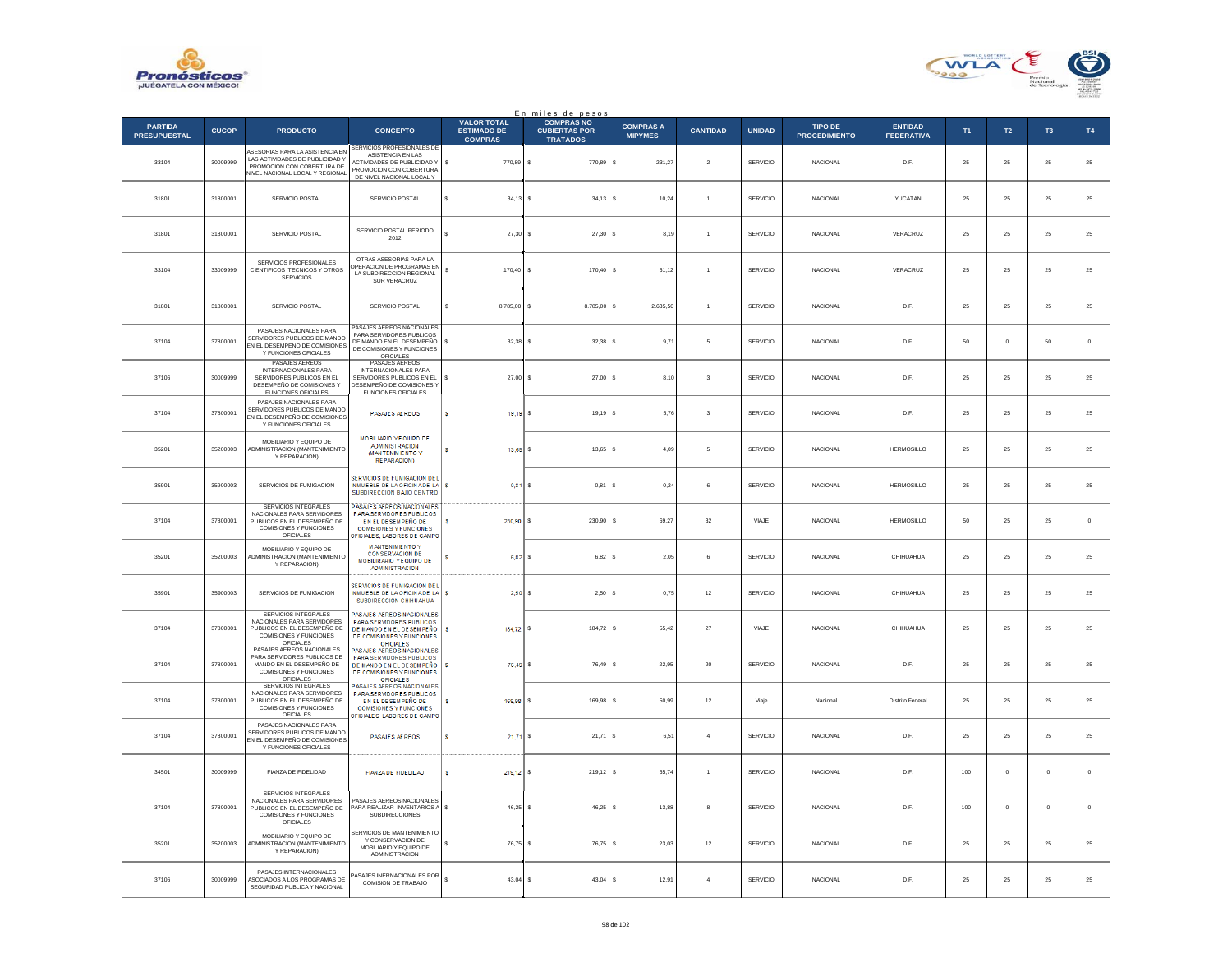



|                                       |              |                                                                                                                                           |                                                                                                                                                    |                                                            | En miles de pesos<br>COMPRAS NO         |                                    |                         |                 |                                        |                                     |         |               |             |             |
|---------------------------------------|--------------|-------------------------------------------------------------------------------------------------------------------------------------------|----------------------------------------------------------------------------------------------------------------------------------------------------|------------------------------------------------------------|-----------------------------------------|------------------------------------|-------------------------|-----------------|----------------------------------------|-------------------------------------|---------|---------------|-------------|-------------|
| <b>PARTIDA</b><br><b>PRESUPUESTAL</b> | <b>CUCOP</b> | <b>PRODUCTO</b>                                                                                                                           | <b>CONCEPTO</b>                                                                                                                                    | <b>VALOR TOTAL</b><br><b>ESTIMADO DE</b><br><b>COMPRAS</b> | <b>CUBIERTAS POR</b><br><b>TRATADOS</b> | <b>COMPRAS A</b><br><b>MIPYMES</b> | <b>CANTIDAD</b>         | <b>UNIDAD</b>   | <b>TIPO DE</b><br><b>PROCEDIMIENTO</b> | <b>ENTIDAD</b><br><b>FEDERATIVA</b> | T1      | $\mathsf{T2}$ | T3          | T4          |
| 33104                                 | 30009999     | ASESORIAS PARA LA ASISTENCIA EN<br>LAS ACTIVIDADES DE PUBLICIDAD Y<br>PROMOCIÓN CON COBERTURA DE<br><b>NVEL NACIONAL LOCAL Y REGIONAL</b> | SERVICIOS PROFESIONALES DE<br>ASISTENCIA EN LAS<br>ACTIVIDADES DE PUBLICIDAD Y<br>PROMOCION CON COBERTURA<br>DE NIVEL NACIONAL LOCAL Y             | s<br>770,89 \$                                             | 770,89                                  | s<br>231,27                        | $\sqrt{2}$              | <b>SERVICIO</b> | <b>NACIONAL</b>                        | D.F.                                | 25      | 25            | $\bf 25$    | $25\,$      |
| 31801                                 | 31800001     | SERVICIO POSTAL                                                                                                                           | SERVICIO POSTAL                                                                                                                                    | $\epsilon$<br>$34,13$ \$                                   | $34,13$ \$                              | 10,24                              | $\overline{1}$          | SERVICIO        | <b>NACIONAL</b>                        | <b>YUCATAN</b>                      | 25      | 25            | 25          | $25\,$      |
| 31801                                 | 31800001     | SERVICIO POSTAL                                                                                                                           | SERVICIO POSTAL PERIODO<br>2012                                                                                                                    | 27,30                                                      | s<br>$27,30$ \$                         | 8,19                               | $\mathbf{1}$            | SERVICIO        | NACIONAL                               | VERACRUZ                            | 25      | 25            | $2\sqrt{5}$ | 25          |
| 33104                                 | 33009999     | SERVICIOS PROFESIONALES<br>CIENTIFICOS TECNICOS Y OTROS<br><b>SERVICIOS</b>                                                               | OTRAS ASESORIAS PARA LA<br>PERACION DE PROGRAMAS EN<br>LA SUBDIRECCION REGIONAL<br>SUR VERACRUZ                                                    | s<br>170,40 S                                              | 170,40                                  | 51,12<br>۱s                        | $\overline{1}$          | <b>SERVICIO</b> | <b>NACIONAL</b>                        | VERACRUZ                            | 25      | 25            | 25          | $\bf 25$    |
| 31801                                 | 31800001     | SERVICIO POSTAL                                                                                                                           | SERVICIO POSTAL                                                                                                                                    | 8.785,00 \$                                                | 8.785,00 \$                             | 2.635,50                           | $\mathbf{1}$            | SERVICIO        | NACIONAL                               | D.F.                                | 25      | 25            | 25          | 25          |
| 37104                                 | 37800001     | PASAJES NACIONALES PARA<br>SERVIDORES PUBLICOS DE MANDO<br>EN EL DESEMPEÑO DE COMISIONES<br>Y FUNCIONES OFICIALES                         | PASAJES AEREOS NACIONALES<br>PARA SERVIDORES PUBLICOS<br>DE MANDO EN EL DESEMPEÑO<br>DE COMISIONES Y FUNCIONES<br>OFICIALES                        | $32.38$ S<br>s                                             | $32.38$ S                               | 9,71                               | 5                       | <b>SERVICIO</b> | NACIONAL                               | D.F.                                | 50      | $\circ$       | 50          | $\mathbf 0$ |
| 37106                                 | 30009999     | PASAJES AEREOS<br><b>INTERNACIONALES PARA</b><br>SERVIDORES PUBLICOS EN EL<br>DESEMPEÑO DE COMISIONES Y<br><b>FUNCIONES OFICIALES</b>     | PASAJES AEREOS<br>INTERNACIONALES PARA<br>SERVIDORES PUBLICOS EN EL<br>DESEMPEÑO DE COMISIONES Y<br>FUNCIONES OFICIALES                            | s<br>$27.00$ S                                             | 27.00 S                                 | 8.10                               | $\overline{\mathbf{3}}$ | <b>SERVICIO</b> | <b>NACIONAL</b>                        | D.F.                                | 25      | 25            | 25          | $25\,$      |
| 37104                                 | 37800001     | PASAJES NACIONALES PARA<br>SERVIDORES PUBLICOS DE MANDO<br>EN EL DESEMPEÑO DE COMISIONES<br>Y FUNCIONES OFICIALES                         | PASAJES AEREOS                                                                                                                                     | s<br>19,19                                                 | 19,19 \$                                | 5,76                               | $\mathsf 3$             | SERVICIO        | <b>NACIONAL</b>                        | D.F.                                | 25      | 25            | 25          | $25\,$      |
| 35201                                 | 35200003     | MOBILIARIO Y EQUIPO DE<br>ADMINISTRACION (MANTENIMIENTO<br>Y REPARACION)                                                                  | MOBILIARIO YE QUIPO DE<br><b>ADMINISTRACION</b><br>(MANTENMENTOY<br><b>REPARACION)</b>                                                             | s<br>13.65                                                 | $13.65$ S                               | 4.09                               | 5                       | SERVICIO        | <b>NACIONAL</b>                        | HERMOSILLO                          | 25      | 25            | 25          | $25\,$      |
| 35901                                 | 35900003     | SERVICIOS DE FUMIGACION                                                                                                                   | SERVICIOS DE FUMIGACION DEL<br>INMUEBLE DE LA OFICINADE LA S<br>SUBDIRECCION BAJIO CENTRO                                                          | 0,81                                                       | 0,81                                    | 0.24<br>s                          | 6                       | SERVICIO        | <b>NACIONAL</b>                        | <b>HERMOSILLO</b>                   | 25      | 25            | $\bf 25$    | $2\sqrt{5}$ |
| 37104                                 | 37800001     | SERVICIOS INTEGRALES<br>NACIONALES PARA SERVIDORES<br>PUBLICOS EN EL DESEMPEÑO DE<br>COMISIONES Y FUNCIONES<br>OFICIALES                  | PASAJES AEREOS NACIONALES<br>PARA SERVIDORES PUBLICOS<br>EN EL DESEMPEÑO DE<br><b>COMISIONES Y FUNCIONES</b><br>OFICIALES, LABORES DE CAMPO        | s<br>$230.90$ s                                            | 230,90                                  | 69,27<br>l s                       | 32                      | VIAJE           | NACIONAL                               | <b>HERMOSILLO</b>                   | 50      | 25            | $\bf 25$    | $\,$ 0      |
| 35201                                 | 35200003     | MOBILIARIO Y FOURO DE<br>ADMINISTRACION (MANTENIMIENTO<br>Y REPARACION)                                                                   | <b>MANTENIMENTO Y</b><br><b>CONSERVACION DE</b><br>MOBILIRARIO YE QUIPO DE<br><b>ADMINISTRACION</b>                                                | 6.82S                                                      | $6,82$ \$                               | 2,05                               | $_{\rm 6}$              | SERVICIO        | <b>NACIONAL</b>                        | CHIHUAHUA                           | 25      | $25\,$        | 25          | $25\,$      |
| 35901                                 | 35900003     | SERVICIOS DE FUMIGACION                                                                                                                   | SERVICIOS DE FUMIGACION DEL<br>INMUEBLE DE LA OFICINADE LA S<br>SUBDIRECCION CHIHUAHUA                                                             | 2,50                                                       | 2,50S                                   | 0,75                               | $12\,$                  | SERVICIO        | <b>NACIONAL</b>                        | CHIHUAHUA                           | 25      | 25            | 25          | 25          |
| 37104                                 | 37800001     | SERVICIOS INTEGRALES<br>NACIONALES PARA SERVIDORES<br>PUBLICOS EN EL DESEMPEÑO DE<br><b>COMISIONES Y FUNCIONES</b><br><b>OFICIALES</b>    | PASAJES AEREOS NACIONALES<br>PARA SERVIDORES PUBLICOS<br>DE MANDO EN EL DE SEMPEÑO<br>DE COMISIONES Y FUNCIONES<br><b>OFICIALES</b>                | s<br>184.72 S                                              | 184.72 S                                | 55.42                              | 27                      | VIAJE           | <b>NACIONAL</b>                        | CHIHUAHUA                           | 25      | 25            | 25          | 25          |
| 37104                                 | 37800001     | PASAJES AFREOS NACIONALES.<br>PARA SERVIDORES PUBLICOS DE<br>MANDO EN EL DESEMPEÑO DE<br>COMISIONES Y FUNCIONES                           | PASAJES AEREOS NACIONALES<br>PARA SERVIDORES PUBLICOS<br>DE MANDO EN EL DE SEMPEÑO<br>DE COMISIONES Y FUNCIONES<br><b>OFICIALES</b>                | 76,49                                                      | 76,49                                   | \$<br>22,95                        | $20\,$                  | SERVICIO        | NACIONAL                               | D.F.                                | 25      | 25            | 25          | $25\,$      |
| 37104                                 | 37800001     | OFICIALES<br>SERVICIOS INTEGRALES<br>NACIONALES PARA SERVIDORES<br>PUBLICOS EN EL DESEMPEÑO DE<br>COMISIONES Y FUNCIONES<br>OFICIALES     | PASAJES AEREOS NACIONALES<br>PARA SERVIDORES PUBLICOS<br>EN EL DE SEMPEÑO DE<br><b>COMISIONES Y FUNCIONES</b><br><b>DFICIALES LABORES DE CAMPO</b> | s<br>169,98                                                | 169.98                                  | s<br>50.99                         | 12                      | Viaje           | Nacional                               | Distrito Federal                    | 25      | 25            | 25          | 25          |
| 37104                                 | 37800001     | PASAJES NACIONALES PARA<br>SERVIDORES PUBLICOS DE MANDO<br>EN EL DESEMPEÑO DE COMISIONES<br>Y FUNCIONES OFICIALES                         | PASAJES AEREOS                                                                                                                                     | s<br>$21.71$ S                                             | 21,71 \$                                | 6.51                               | $\overline{4}$          | SERVICIO        | <b>NACIONAL</b>                        | D.F.                                | 25      | 25            | 25          | 25          |
| 34501                                 | 30009999     | <b>FIANZA DE FIDELIDAD</b>                                                                                                                | FIANZA DE FIDELIDAD                                                                                                                                | s<br>$219,12$ S                                            | 219,12 \$                               | 65,74                              | $\mathbf{1}$            | SERVICIO        | NACIONAL                               | D.F.                                | $100\,$ | $\bf{0}$      | $\,$ 0 $\,$ | $\,$ 0      |
| 37104                                 | 37800001     | SERVICIOS INTEGRALES<br>NACIONALES PARA SERVIDORES<br>PUBLICOS EN EL DESEMPEÑO DE<br>COMISIONES Y FUNCIONES<br>OFICIALES                  | PASAJES AFREOS NACIONALES<br>PARA REALIZAR INVENTARIOS A \$<br>SUBDIRECCIONES                                                                      | $46.25$ S                                                  | 46.25                                   | 13.88<br>۱s                        | 8                       | <b>SERVICIO</b> | <b>NACIONAL</b>                        | D.F.                                | 100     | $\circ$       | $^{\circ}$  | $\mathbf 0$ |
| 35201                                 | 35200003     | MOBILIARIO Y EQUIPO DE<br>ADMINISTRACION (MANTENIMIENTO<br>Y REPARACION)                                                                  | SERVICIOS DE MANTENIMIENTO<br>Y CONSERVACION DE<br>MOBILIARIO Y EQUIPO DE<br><b>ADMINISTRACION</b>                                                 | 76,75                                                      | 76,75                                   | 23,03<br>s                         | $12\,$                  | SERVICIO        | <b>NACIONAL</b>                        | D.F.                                | 25      | 25            | 25          | $2\sqrt{5}$ |
| 37106                                 | 30009999     | PASAJES INTERNACIONALES<br>ASOCIADOS A LOS PROGRAMAS DE<br>SEGURIDAD PUBLICA Y NACIONAL                                                   | ASAJES INERNACIONALES POR<br>COMISION DE TRABAJO                                                                                                   | $\mathbf{s}$<br>$43.04$ S                                  | $43,04$ \$                              | 12,91                              | $\boldsymbol{A}$        | SERVICIO        | <b>NACIONAL</b>                        | D.F                                 | 25      | 25            | 25          | 25          |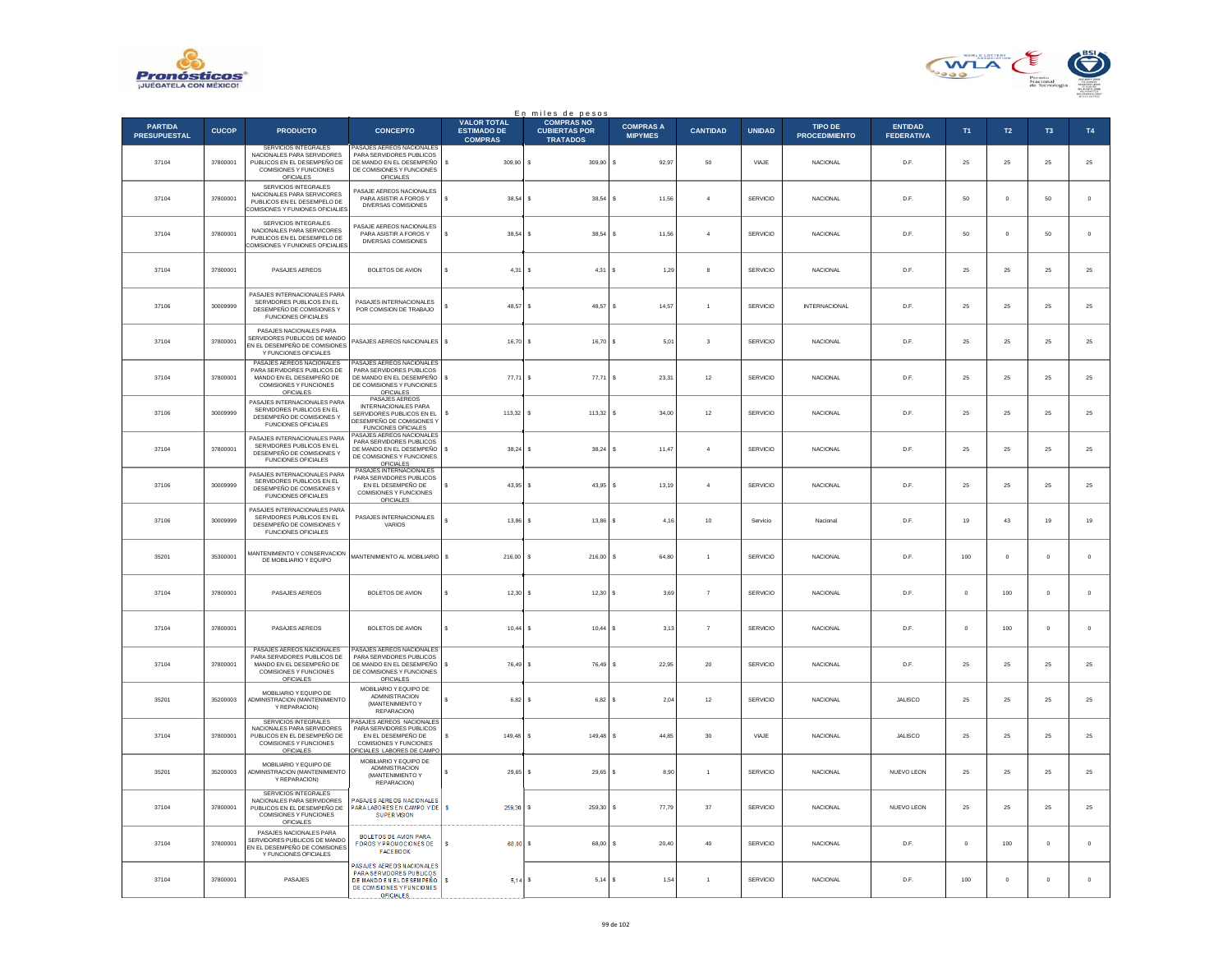



|                                       | En miles de pesos<br><b>COMPRAS NO</b><br><b>VALOR TOTAL</b> |                                                                                                                                 |                                                                                                                                     |                                      |                                         |                                    |                 |                 |                                        |                                     |          |                |                |             |
|---------------------------------------|--------------------------------------------------------------|---------------------------------------------------------------------------------------------------------------------------------|-------------------------------------------------------------------------------------------------------------------------------------|--------------------------------------|-----------------------------------------|------------------------------------|-----------------|-----------------|----------------------------------------|-------------------------------------|----------|----------------|----------------|-------------|
| <b>PARTIDA</b><br><b>PRESUPUESTAL</b> | <b>CUCOP</b>                                                 | <b>PRODUCTO</b>                                                                                                                 | <b>CONCEPTO</b>                                                                                                                     | <b>ESTIMADO DE</b><br><b>COMPRAS</b> | <b>CUBIERTAS POR</b><br><b>TRATADOS</b> | <b>COMPRAS A</b><br><b>MIPYMES</b> | <b>CANTIDAD</b> | <b>UNIDAD</b>   | <b>TIPO DE</b><br><b>PROCEDIMIENTO</b> | <b>ENTIDAD</b><br><b>FEDERATIVA</b> | T1       | $\mathsf{T2}$  | T <sub>3</sub> | <b>T4</b>   |
| 37104                                 | 37800001                                                     | SERVICIOS INTEGRALES<br>NACIONALES PARA SERVIDORES<br>PUBLICOS EN EL DESEMPEÑO DE<br>COMISIONES Y FUNCIONES<br><b>OFICIALES</b> | PASAJES AEREOS NACIONALES<br>PARA SERVIDORES PUBLICOS<br>DE MANDO EN EL DESEMPEÑO<br>DE COMISIONES Y FUNCIONES<br>OFICIALES         | $\mathbb S$<br>309,90 \$             | 309,90                                  | l s<br>92,97                       | 50              | VIAJE           | <b>NACIONAL</b>                        | D.F.                                | 25       | 25             | $\bf 25$       | $25\,$      |
| 37104                                 | 37800001                                                     | SERVICIOS INTEGRALES<br>NACIONALES PARA SERVICORES<br>PUBLICOS EN EL DESEMPELO DE<br>COMISIONES Y FUNIONES OFICIALIES           | PASAJE AEREOS NACIONALES<br>PARA ASISTIR A FOROS Y<br>DIVERSAS COMISIONES                                                           | s<br>$38.54$ S                       | 38.54 S                                 | 11.56                              | $\overline{4}$  | <b>SERVICIO</b> | <b>NACIONAL</b>                        | D.F.                                | 50       | $\overline{0}$ | 50             | $\mathbf 0$ |
| 37104                                 | 37800001                                                     | SERVICIOS INTEGRALES<br>NACIONALES PARA SERVICORES<br>PUBLICOS EN EL DESEMPELO DE<br>COMISIONES Y FUNIONES OFICIALIES           | PASAJE AEREOS NACIONALES<br>PARA ASISTIR A FOROS Y<br>DIVERSAS COMISIONES                                                           | s<br>38,54                           | 38,54                                   | l s<br>11,56                       | $\overline{4}$  | SERVICIO        | <b>NACIONAL</b>                        | D.F.                                | 50       | $\bf{0}$       | 50             | $\,$ 0 $\,$ |
| 37104                                 | 37800001                                                     | PASAJES AEREOS                                                                                                                  | <b>BOLETOS DE AVION</b>                                                                                                             | s.<br>$4.31$ S                       | 4.31                                    | l s<br>1,29                        | 8               | SERVICIO        | <b>NACIONAL</b>                        | D.F.                                | 25       | 25             | 25             | 25          |
| 37106                                 | 30009999                                                     | PASAJES INTERNACIONALES PARA<br>SERVIDORES PUBLICOS EN EL<br>DESEMPEÑO DE COMISIONES Y<br>FUNCIONES OFICIALES                   | PASAJES INTERNACIONALES<br>POR COMISION DE TRABAJO                                                                                  | 48,57                                | 48,57                                   | 14,57<br>s                         | $\overline{1}$  | SERVICIO        | <b>INTERNACIONAL</b>                   | D.F.                                | 25       | 25             | 25             | 25          |
| 37104                                 | 37800001                                                     | PASAJES NACIONALES PARA<br>SERVIDORES PUBLICOS DE MANDO<br>EN EL DESEMPEÑO DE COMISIONES<br>Y FUNCIONES OFICIALES               | PASAJES AEREOS NACIONALES S                                                                                                         | $16.70$ S                            | $16.70$ S                               | 5.01                               | $\mathbf{3}$    | SERVICIO        | <b>NACIONAL</b>                        | D.F.                                | 25       | 25             | 25             | 25          |
| 37104                                 | 37800001                                                     | PASAJES AEREOS NACIONALES<br>PARA SERVIDORES PUBLICOS DE<br>MANDO EN EL DESEMPEÑO DE<br>COMISIONES Y FUNCIONES<br>OFICIALES     | PASAJES AEREOS NACIONALES<br>PARA SERVIDORES PUBLICOS<br>DE MANDO EN EL DESEMPEÑO<br>DE COMISIONES Y FUNCIONES<br>OFICIALES         | $\mathbf{s}$<br>77.71 S              | $77.71$ S                               | 23.31                              | 12              | SERVICIO        | <b>NACIONAL</b>                        | D.F.                                | 25       | 25             | 25             | $25\,$      |
| 37106                                 | 30009999                                                     | PASAJES INTERNACIONALES PARA<br>SERVIDORES PUBLICOS EN EL<br>DESEMPEÑO DE COMISIONES Y<br><b>FUNCIONES OFICIALES</b>            | PASAJES AEREOS<br>INTERNACIONALES PARA<br>SERVIDORES PUBLICOS EN EL<br>DESEMPEÑO DE COMISIONES Y<br><b>FUNCIONES OFICIALES</b>      | 113,32 \$<br>s                       | 113,32 \$                               | 34,00                              | $12\,$          | SERVICIO        | <b>NACIONAL</b>                        | D.F.                                | 25       | 25             | $25\,$         | $25\,$      |
| 37104                                 | 37800001                                                     | PASAJES INTERNACIONALES PARA<br>SERVIDORES PUBLICOS EN EL<br>DESEMPEÑO DE COMISIONES Y<br><b>FUNCIONES OFICIALES</b>            | ASAJES AEREOS NACIONALES<br>PARA SERVIDORES PUBLICOS<br>DE MANDO EN EL DESEMPEÑO<br>DE COMISIONES Y FUNCIONES<br><b>OFICIALES</b>   | s<br>38.24                           | 38.24<br>$\sim$                         | ۱s<br>11.47                        | $\overline{4}$  | <b>SERVICIO</b> | <b>NACIONAL</b>                        | D.F.                                | 25       | 25             | 25             | 25          |
| 37106                                 | 30009999                                                     | PASAJES INTERNACIONALES PARA<br>SERVIDORES PUBLICOS EN EL<br>DESEMPEÑO DE COMISIONES Y<br><b>FUNCIONES OFICIALES</b>            | PASAJES INTERNACIONALES<br>PARA SERVIDORES PUBLICOS<br>EN EL DESEMPEÑO DE<br>COMISIONES Y FUNCIONES<br><b>OFICIALES</b>             | 43,95                                | 43,95                                   | 13,19                              | $\overline{4}$  | SERVICIO        | <b>NACIONAL</b>                        | D.F.                                | 25       | 25             | 25             | $25\,$      |
| 37106                                 | 30009999                                                     | PASAJES INTERNACIONALES PARA<br>SERVIDORES PUBLICOS EN EL<br>DESEMPEÑO DE COMISIONES Y<br>FUNCIONES OFICIALES                   | PASAJES INTERNACIONALES<br>VARIOS                                                                                                   | $\epsilon$<br>13,86 \$               | $13,86$ \$                              | 4.16                               | 10              | Servicio        | Nacional                               | D.F.                                | 19       | 43             | 19             | 19          |
| 35201                                 | 35300001                                                     | MANTENIMIENTO Y CONSERVACION<br>DE MOBILIARIO Y EQUIPO                                                                          | MANTENIMIENTO AL MOBILIARIO \$                                                                                                      | 216,00 \$                            | $216,00$ \$                             | 64,80                              | $\overline{1}$  | SERVICIO        | <b>NACIONAL</b>                        | D.F.                                | 100      | $\mathbf 0$    | $\mathbf 0$    | $\,$ 0 $\,$ |
| 37104                                 | 37800001                                                     | PASAJES AEREOS                                                                                                                  | <b>BOLETOS DE AVION</b>                                                                                                             | 12,30                                | 12,30S                                  | 3.69                               | $\overline{7}$  | SERVICIO        | <b>NACIONAL</b>                        | D.F.                                | $\Omega$ | 100            | $\mathbf{0}$   | $\,$ 0      |
| 37104                                 | 37800001                                                     | PASAJES AEREOS                                                                                                                  | BOLETOS DE AVION                                                                                                                    | 10.44                                | 10.44                                   | 3.13<br>Ιs                         | $\overline{7}$  | SERVICIO        | <b>NACIONAL</b>                        | D.F.                                | $\Omega$ | 100            | $\mathbf{0}$   | $\mathbf 0$ |
| 37104                                 | 37800001                                                     | PASAJES AEREOS NACIONALES<br>PARA SERVIDORES PUBLICOS DE<br>MANDO EN EL DESEMPEÑO DE<br>COMISIONES Y FUNCIONES<br>OFICIALES     | PASAJES AEREOS NACIONALES<br>PARA SERVIDORES PUBLICOS<br>DE MANDO EN EL DESEMPEÑO<br>DE COMISIONES Y FUNCIONES<br><b>OFICIALES</b>  | $\mathbf{s}$<br>76,49 \$             | 76,49 \$                                | 22,95                              | $20\,$          | SERVICIO        | NACIONAL                               | D.F.                                | 25       | 25             | $\bf 25$       | $25\,$      |
| 35201                                 | 35200003                                                     | MOBILIARIO Y FOURO DE<br>ADMINISTRACION (MANTENIMIENTO<br>Y REPARACION)                                                         | MOBILIARIO Y EQUIPO DE<br>ADMINISTRACION<br>(MANTENIMIENTO Y<br><b>REPARACION)</b>                                                  | 6.82 S<br>s                          | 6.82 S                                  | 2.04                               | 12              | <b>SERVICIO</b> | <b>NACIONAL</b>                        | <b>JALISCO</b>                      | 25       | 25             | 25             | 25          |
| 37104                                 | 37800001                                                     | SERVICIOS INTEGRALES<br>NACIONALES PARA SERVIDORES<br>PUBLICOS EN EL DESEMPEÑO DE<br>COMISIONES Y FUNCIONES<br>OFICIALES        | PASAJES AFREOS NACIONALES<br>PARA SERVIDORES PUBLICOS<br>EN EL DESEMPEÑO DE<br>COMISIONES Y FUNCIONES<br>DFICIALES LABORES DE CAMPO | s<br>149,48 \$                       | 149,48 \$                               | 44,85                              | $30\,$          | VIAJE           | <b>NACIONAL</b>                        | JALISCO                             | 25       | 25             | 25             | $25\,$      |
| 35201                                 | 35200003                                                     | MOBILIARIO Y EQUIPO DE<br>ADMINISTRACION (MANTENIMIENTO<br>Y REPARACION)                                                        | MOBILIARIO Y EQUIPO DE<br><b>ADMINISTRACION</b><br>(MANTENIMIENTO Y<br>REPARACION)                                                  | $29,65$ \$                           | $29.65$ \$                              | 8.90                               | $\overline{1}$  | <b>SERVICIO</b> | <b>NACIONAL</b>                        | <b>NUEVO LEON</b>                   | 25       | 25             | 25             | 25          |
| 37104                                 | 37800001                                                     | SERVICIOS INTEGRALES<br>NACIONALES PARA SERVIDORES<br>PUBLICOS EN EL DESEMPEÑO DE<br>COMISIONES Y FUNCIONES<br>OFICIALES        | PASAJES AEREOS NACIONALES<br>PARA LABORESEN CAMPOYDE S<br><b>SUPER VISION</b>                                                       | 259,30                               | 259,30                                  | 77,79<br>s                         | $37\,$          | <b>SERVICIO</b> | <b>NACIONAL</b>                        | NUEVO LEON                          | 25       | 25             | 25             | $25\,$      |
| 37104                                 | 37800001                                                     | PASAJES NACIONALES PARA<br>SERVIDORES PUBLICOS DE MANDO<br>EN EL DESEMPEÑO DE COMISIONES<br>Y FUNCIONES OFICIALES               | <b>BOLETOS DE AVION PARA</b><br><b>FOROS Y PROMOCIONES DE</b><br><b>FACEBOOK</b>                                                    | 68,00                                | 68,00                                   | 20,40                              | $40\,$          | <b>SERVICIO</b> | <b>NACIONAL</b>                        | D.F.                                | $\Omega$ | 100            | $\,$ 0 $\,$    | $\,$ 0      |
| 37104                                 | 37800001                                                     | PASAJES                                                                                                                         | ASAJES AEREOS NACIONALES<br>PARA SERVIDORES PUBLICOS<br>DE MANDO EN EL DESEMPEÑO.<br>DE COMISIONES Y FUNCIONES<br><b>OFICIALES</b>  | s<br>$5,14$ \$                       | $5.14$ S                                | 1.54                               |                 | <b>SERVICIO</b> | <b>NACIONAL</b>                        | D.F.                                | 100      | $\circ$        | $^{\circ}$     | $\circ$     |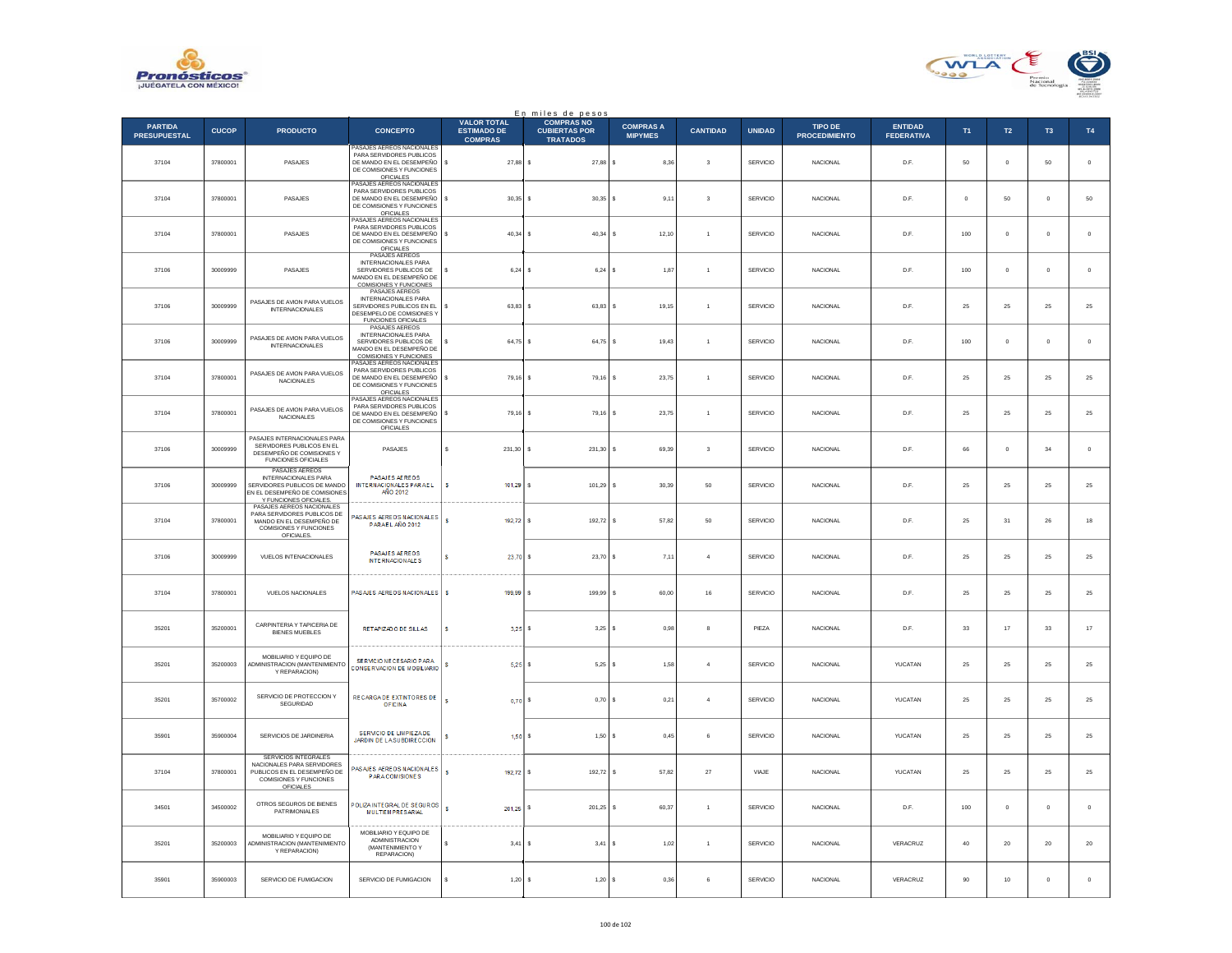



| En miles de pesos                     |              |                                                                                                                                          |                                                                                                                                                            |                                                            |                                                              |                                    |                         |                 |                                 |                                     |                |                 |                |             |
|---------------------------------------|--------------|------------------------------------------------------------------------------------------------------------------------------------------|------------------------------------------------------------------------------------------------------------------------------------------------------------|------------------------------------------------------------|--------------------------------------------------------------|------------------------------------|-------------------------|-----------------|---------------------------------|-------------------------------------|----------------|-----------------|----------------|-------------|
| <b>PARTIDA</b><br><b>PRESUPUESTAL</b> | <b>CUCOP</b> | <b>PRODUCTO</b>                                                                                                                          | <b>CONCEPTO</b>                                                                                                                                            | <b>VALOR TOTAL</b><br><b>ESTIMADO DE</b><br><b>COMPRAS</b> | <b>COMPRAS NO</b><br><b>CUBIERTAS POR</b><br><b>TRATADOS</b> | <b>COMPRAS A</b><br><b>MIPYMES</b> | <b>CANTIDAD</b>         | <b>UNIDAD</b>   | TIPO DE<br><b>PROCEDIMIENTO</b> | <b>ENTIDAD</b><br><b>FEDERATIVA</b> | <b>T1</b>      | $\mathsf{T2}$   | T <sub>3</sub> | T4          |
| 37104                                 | 37800001     | PASAJES                                                                                                                                  | ASAJES AEREOS NACIONALES<br>PARA SERVIDORES PUBLICOS<br>DE MANDO EN EL DESEMPEÑO<br>DE COMISIONES Y FUNCIONES<br>OFICIALES<br>PASAJES AEREOS NACIONALES    | 27.88 S<br>s                                               | 27.88 S                                                      | 8.36                               | 3                       | <b>SERVICIO</b> | <b>NACIONAL</b>                 | D.F.                                | 50             | $\circ$         | 50             | $\circ$     |
| 37104                                 | 37800001     | PASAJES                                                                                                                                  | PARA SERVIDORES PUBLICOS<br>DE MANDO EN EL DESEMPEÑO<br>DE COMISIONES Y FUNCIONES<br>OFICIALES<br>PASAJES AEREOS NACIONALES                                | s<br>30,35                                                 | $30,35$ \$                                                   | 9,11                               | $\overline{\mathbf{3}}$ | SERVICIO        | <b>NACIONAL</b>                 | D.F.                                | $\overline{0}$ | 50              | $\mathbf{0}$   | 50          |
| 37104                                 | 37800001     | PASAJES                                                                                                                                  | PARA SERVIDORES PUBLICOS<br>DE MANDO EN EL DESEMPEÑO<br>DE COMISIONES Y FUNCIONES<br><b>OFICIALES</b>                                                      | 40,34<br>s                                                 | $40,34$ \$<br>$\mathbf{s}$                                   | 12,10                              | $\overline{1}$          | <b>SERVICIO</b> | <b>NACIONAL</b>                 | D.F.                                | 100            | $\mathbf{0}$    | $\mathbf{0}$   | $\,0\,$     |
| 37106                                 | 30009999     | PASAJES                                                                                                                                  | PASAJES AEREOS<br><b>INTERNACIONALES PARA</b><br>SERVIDORES PUBLICOS DE<br>MANDO EN EL DESEMPEÑO DE<br>COMISIONES Y FUNCIONES<br>PASAJES AEREOS            | 6.24                                                       | $6.24$ S<br>$\mathbf{s}$                                     | 1.87                               | $\overline{1}$          | <b>SERVICIO</b> | <b>NACIONAL</b>                 | D.F.                                | 100            | $\mathbf{0}$    | $\mathbf{0}$   | $\mathbf 0$ |
| 37106                                 | 30009999     | PASAJES DE AVION PARA VUELOS<br><b>INTERNACIONALES</b>                                                                                   | INTERNACIONALES PARA<br>SERVIDORES PUBLICOS EN EL<br>DESEMPELO DE COMISIONES Y<br>FUNCIONES OFICIALES                                                      | 63,83<br>s                                                 | 63,83                                                        | 19,15<br>s                         | $\mathbf{1}$            | SERVICIO        | NACIONAL                        | D.F.                                | 25             | 25              | 25             | 25          |
| 37106                                 | 30009999     | PASAJES DE AVION PARA VUELOS<br><b>INTERNACIONALES</b>                                                                                   | PASAJES AEREOS<br>INTERNACIONALES PARA<br>SERVIDORES PUBLICOS DE<br>MANDO EN EL DESEMPEÑO DE<br><b>COMISIONES Y FUNCIONES</b><br>PASAJES AFREOS NACIONALES | $64.75$ S                                                  | 64.75 S                                                      | 19.43                              | $\overline{1}$          | <b>SERVICIO</b> | <b>NACIONAL</b>                 | D.F.                                | 100            | $\circ$         | $^{\circ}$     | $\circ$     |
| 37104                                 | 37800001     | PASAJES DE AVION PARA VUELOS<br><b>NACIONALES</b>                                                                                        | PARA SERVIDORES PUBLICOS<br>DE MANDO EN EL DESEMPEÑO<br>DE COMISIONES Y FUNCIONES<br><b>OFICIALES</b><br>PASAJES AEREOS NACIONALES                         | s<br>79,16                                                 | 79,16 \$<br>s                                                | 23,75                              | $\overline{1}$          | SERVICIO        | <b>NACIONAL</b>                 | D.F.                                | 25             | 25              | 25             | 25          |
| 37104                                 | 37800001     | PASAJES DE AVION PARA VUELOS<br>NACIONALES                                                                                               | PARA SERVIDORES PUBLICOS<br>DE MANDO EN EL DESEMPEÑO<br>DE COMISIONES Y FUNCIONES<br>OFICIALES                                                             | s<br>79,16 \$                                              | 79,16 \$                                                     | 23.75                              | $\overline{1}$          | <b>SERVICIO</b> | <b>NACIONAL</b>                 | D.F.                                | 25             | 25              | 25             | 25          |
| 37106                                 | 30009999     | PASAJES INTERNACIONALES PARA<br>SERVIDORES PUBLICOS EN EL<br>DESEMPEÑO DE COMISIONES Y<br><b>FUNCIONES OFICIALES</b>                     | PASAJES                                                                                                                                                    | s<br>231.30                                                | 231.30                                                       | s<br>69.39                         | $\mathbf{3}$            | <b>SERVICIO</b> | <b>NACIONAL</b>                 | D.F.                                | 66             | $\circ$         | 34             | $\circ$     |
| 37106                                 | 30009999     | PASAJES AFREOS<br><b>INTERNACIONALES PARA</b><br>SERVIDORES PUBLICOS DE MANDO<br>EN EL DESEMPEÑO DE COMISIONES<br>Y FUNCIONES OFICIALES. | PASAJES AEREOS<br>INTERNACIONALES PARAEL<br>AÑO 2012                                                                                                       | 101,29                                                     | 101,29                                                       | 30,39                              | 50                      | SERVICIO        | <b>NACIONAL</b>                 | D.F.                                | 25             | 25              | 25             | 25          |
| 37104                                 | 37800001     | PASAJES AEREOS NACIONALES<br>PARA SERVIDORES PUBLICOS DE<br>MANDO EN EL DESEMPEÑO DE<br>COMISIONES Y FUNCIONES<br>OFICIALES.             | PASAJES AEREOS NACIONALES<br>PARAEL AÑO 2012                                                                                                               | $\overline{\mathbf{s}}$<br>192,72 S                        | 192,72 \$                                                    | 57,82                              | 50                      | <b>SERVICIO</b> | NACIONAL                        | D.F.                                | 25             | 31              | ${\bf 26}$     | 18          |
| 37106                                 | 30009999     | VUELOS INTENACIONALES                                                                                                                    | PASAJES AEREOS<br><b>INTERNACIONALES</b>                                                                                                                   | $23,70$ \$<br>s                                            | 23,70 \$                                                     | 7,11                               | $\overline{4}$          | <b>SERVICIO</b> | <b>NACIONAL</b>                 | D.F.                                | 25             | 25              | 25             | 25          |
| 37104                                 | 37800001     | VUELOS NACIONALES                                                                                                                        | PASAJES AEREOS NACIONALES                                                                                                                                  | 199,99<br>s                                                | 199,99                                                       | s<br>60,00                         | $16\,$                  | SERVICIO        | <b>NACIONAL</b>                 | D.F.                                | $\bf 25$       | $25\,$          | 25             | 25          |
| 35201                                 | 35200001     | CARPINTERIA Y TAPICERIA DE<br><b>BIENES MUEBLES</b>                                                                                      | RETAPIZADO DE SILLAS                                                                                                                                       | s.<br>3.25                                                 | $3.25$ \$                                                    | 0.98                               | 8                       | PIEZA           | <b>NACIONAL</b>                 | D.F.                                | 33             | 17              | 33             | $17\,$      |
| 35201                                 | 35200003     | MOBILIARIO Y EQUIPO DE<br>ADMINISTRACION (MANTENIMIENTO<br>Y REPARACION)                                                                 | SE RVICIO NE CESARIO PARA<br>CONSERVACION DE MOBILIARIO                                                                                                    | 5,25                                                       | 5,25                                                         | s<br>1,58                          | $\overline{4}$          | SERVICIO        | <b>NACIONAL</b>                 | YUCATAN                             | 25             | 25              | 25             | 25          |
| 35201                                 | 35700002     | SERVICIO DE PROTECCION Y<br>SEGURIDAD                                                                                                    | RECARGADE EXTINTORES DE<br><b>OFICINA</b>                                                                                                                  | <b>S</b><br>$0,70$ \$                                      | $0,70$ \$                                                    | 0,21                               | $\overline{4}$          | <b>SERVICIO</b> | NACIONAL                        | YUCATAN                             | 25             | 25              | 25             | 25          |
| 35901                                 | 35900004     | SERVICIOS DE JARDINERIA                                                                                                                  | SERVICIO DE LIMPIEZA DE<br>JARDIN DE LA SUBDIRECCIÓN                                                                                                       | $1.50$ $\sqrt{5}$                                          | 1,50S                                                        | 0,45                               | 6                       | SERVICIO        | <b>NACIONAL</b>                 | YUCATAN                             | 25             | 25              | 25             | 25          |
| 37104                                 | 37800001     | SERVICIOS INTEGRALES<br>NACIONALES PARA SERVIDORES<br>PUBLICOS EN EL DESEMPEÑO DE<br>COMISIONES Y FUNCIONES<br>OFICIALES                 | ASAJES AEREOS NACIONALES<br><b>PARA COMISIONES</b>                                                                                                         | s<br>192,72 \$                                             | 192,72 \$                                                    | 57,82                              | $27\,$                  | VIAJE           | <b>NACIONAL</b>                 | YUCATAN                             | 25             | 25              | 25             | 25          |
| 34501                                 | 34500002     | OTROS SEGUROS DE BIENES<br>PATRIMONIALES                                                                                                 | POLIZA INTEGRAL DE SEGUROS<br><b>MULTEMPRESARIAL</b>                                                                                                       | $\mathsf{s}$<br>201,25                                     | 201.25                                                       | - S<br>60.37                       | $\overline{1}$          | <b>SERVICIO</b> | <b>NACIONAL</b>                 | D.F.                                | 100            | $\circ$         | $^{\circ}$     | $\circ$     |
| 35201                                 | 35200003     | MOBILIARIO Y EQUIPO DE<br>ADMINISTRACION (MANTENIMIENTO<br>Y REPARACION)                                                                 | MOBILIARIO Y EQUIPO DE<br>ADMINISTRACION<br>(MANTENIMIENTO Y<br>REPARACION)                                                                                | 3,41                                                       | 3,41                                                         | 1,02<br>۱s                         | $\overline{1}$          | SERVICIO        | <b>NACIONAL</b>                 | VERACRUZ                            | 40             | 20              | 20             | $20\,$      |
| 35901                                 | 35900003     | SERVICIO DE FUMIGACION                                                                                                                   | SERVICIO DE FUMIGACION                                                                                                                                     | 1,20S                                                      | 1,20S                                                        | 0,36                               | 6                       | SERVICIO        | NACIONAL                        | VERACRUZ                            | 90             | 10 <sub>1</sub> | $\,0\,$        | $\circ$     |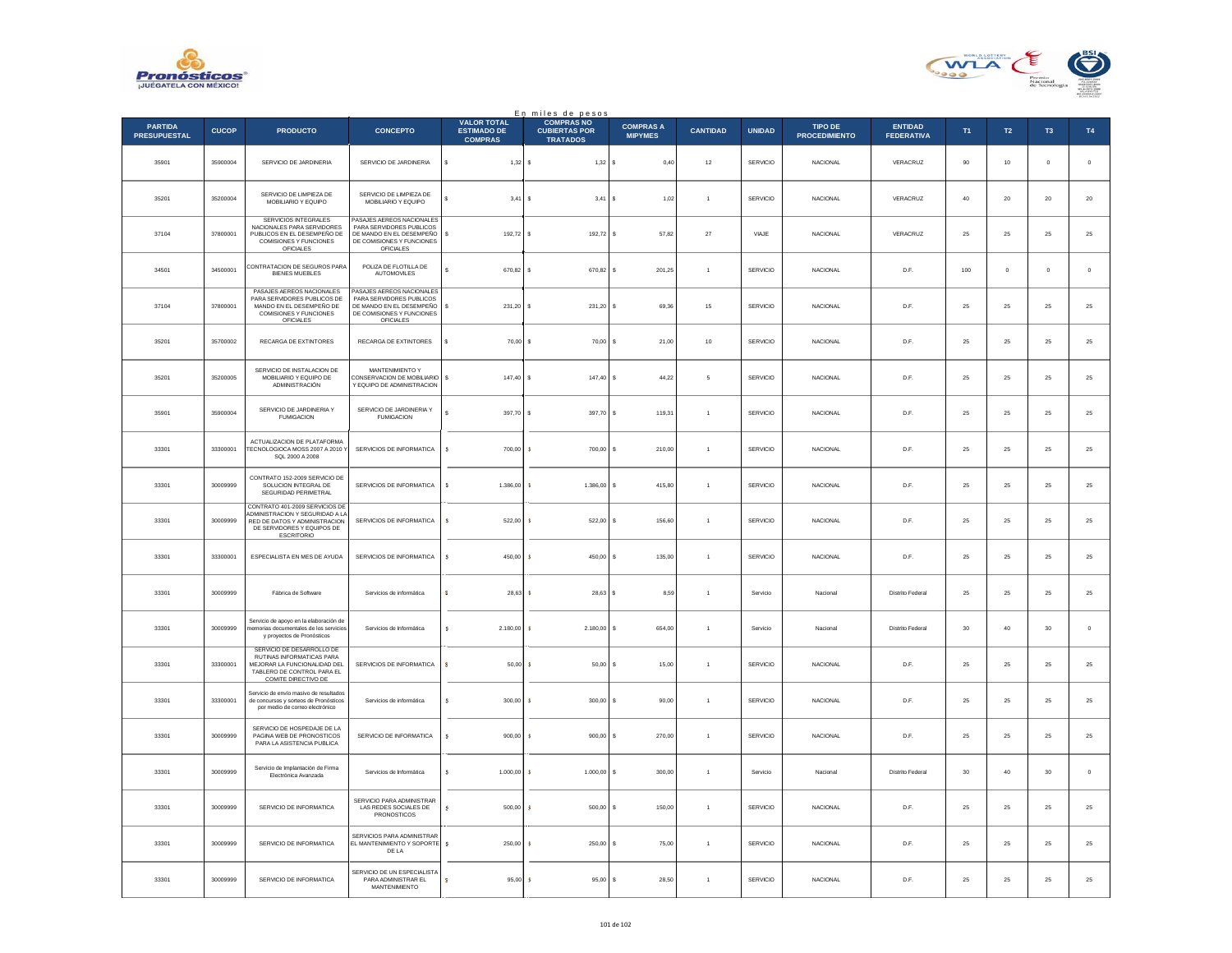



| En miles de pesos                     |              |                                                                                                                                                       |                                                                                                                                    |                                                            |                                                              |                                    |                 |                 |                                        |                                     |        |               |             |             |
|---------------------------------------|--------------|-------------------------------------------------------------------------------------------------------------------------------------------------------|------------------------------------------------------------------------------------------------------------------------------------|------------------------------------------------------------|--------------------------------------------------------------|------------------------------------|-----------------|-----------------|----------------------------------------|-------------------------------------|--------|---------------|-------------|-------------|
| <b>PARTIDA</b><br><b>PRESUPUESTAL</b> | <b>CUCOP</b> | <b>PRODUCTO</b>                                                                                                                                       | <b>CONCEPTO</b>                                                                                                                    | <b>VALOR TOTAL</b><br><b>ESTIMADO DE</b><br><b>COMPRAS</b> | <b>COMPRAS NO</b><br><b>CUBIERTAS POR</b><br><b>TRATADOS</b> | <b>COMPRAS A</b><br><b>MIPYMES</b> | <b>CANTIDAD</b> | <b>UNIDAD</b>   | <b>TIPO DE</b><br><b>PROCEDIMIENTO</b> | <b>ENTIDAD</b><br><b>FEDERATIVA</b> | T1     | $\mathsf{T2}$ | T3          | T4          |
| 35901                                 | 35900004     | SERVICIO DE JARDINERIA                                                                                                                                | SERVICIO DE JARDINERIA                                                                                                             | \$<br>$1,32$ \$                                            | 1,32S                                                        | 0,40                               | $12\,$          | SERVICIO        | NACIONAL                               | VERACRUZ                            | 90     | $10\,$        | $\,$ 0 $\,$ | $\mathbf 0$ |
| 35201                                 | 35200004     | SERVICIO DE LIMPIEZA DE<br>MOBILIARIO Y EQUIPO                                                                                                        | SERVICIO DE LIMPIEZA DE<br>MOBILIARIO Y EQUIPO                                                                                     | $3.41$ S                                                   | $3.41$ S                                                     | 1.02                               | $\overline{1}$  | <b>SERVICIO</b> | NACIONAL                               | VERACRUZ                            | 40     | 20            | 20          | $20\,$      |
| 37104                                 | 37800001     | <b>SERVICIOS INTEGRALES</b><br>NACIONALES PARA SERVIDORES<br>PUBLICOS EN EL DESEMPEÑO DE<br>COMISIONES Y FUNCIONES<br><b>OFICIALES</b>                | PASAJES AEREOS NACIONALES<br>PARA SERVIDORES PUBLICOS<br>DE MANDO EN EL DESEMPEÑO<br>DE COMISIONES Y FUNCIONES<br><b>OFICIALES</b> | 192,72 \$                                                  | 192,72 \$                                                    | 57,82                              | $27\,$          | VIAJE           | <b>NACIONAL</b>                        | VERACRUZ                            | 25     | 25            | 25          | $25\,$      |
| 34501                                 | 34500001     | CONTRATACION DE SEGUROS PARA<br><b>BIENES MUEBLES</b>                                                                                                 | POLIZA DE FLOTILLA DE<br>AUTOMOVILES                                                                                               | s<br>670.82 S                                              | 670.82 S                                                     | 20125                              | $\overline{1}$  | SERVICIO        | <b>NACIONAL</b>                        | D.E                                 | 100    | $\Omega$      | $\Omega$    | $\,$ 0      |
| 37104                                 | 37800001     | PASAJES AFREOS NACIONALES<br>PARA SERVIDORES PUBLICOS DE<br>MANDO EN EL DESEMPEÑO DE<br>COMISIONES Y FUNCIONES<br>OFICIALES                           | PASAJES AFREOS NACIONALES<br>PARA SERVIDORES PUBLICOS<br>DE MANDO EN EL DESEMPEÑO<br>DE COMISIONES Y FUNCIONES<br>OFICIALES        | 231,20                                                     | 231,20 \$                                                    | 69,36                              | $15\,$          | SERVICIO        | NACIONAL                               | D.F.                                | 25     | 25            | 25          | $25\,$      |
| 35201                                 | 35700002     | <b>RECARGA DE EXTINTORES</b>                                                                                                                          | <b>RECARGA DE EXTINTORES</b>                                                                                                       | s<br>70,00 \$                                              | $70,00$ S                                                    | 21.00                              | 10              | SERVICIO        | NACIONAL                               | D.F.                                | 25     | 25            | 25          | $\bf 25$    |
| 35201                                 | 35200005     | SERVICIO DE INSTALACION DE<br>MOBILIARIO Y EQUIPO DE<br>ADMINISTRACIÓN                                                                                | MANTENIMIENTO Y<br>CONSERVACION DE MOBILIARIO \$<br>Y EQUIPO DE ADMINISTRACION                                                     | 147,40 \$                                                  | 147,40 \$                                                    | 44,22                              | 5               | SERVICIO        | <b>NACIONAL</b>                        | D.F.                                | 25     | 25            | 25          | $25\,$      |
| 35901                                 | 35900004     | SERVICIO DE JARDINERIA Y<br><b>FUMIGACION</b>                                                                                                         | SERVICIO DE JARDINERIA Y<br><b>FUMIGACION</b>                                                                                      | s<br>397.70 S                                              | 397.70 S                                                     | 119.31                             | $\overline{1}$  | <b>SERVICIO</b> | <b>NACIONAL</b>                        | D.F.                                | 25     | 25            | 25          | 25          |
| 33301                                 | 33300001     | ACTUALIZACION DE PLATAFORMA<br>TECNOLOGIOCA MOSS 2007 A 2010 '<br>SQL 2000 A 2008                                                                     | SERVICIOS DE INFORMATICA                                                                                                           | s<br>700,00                                                | 700,00 \$<br>s                                               | 210,00                             | $\overline{1}$  | SERVICIO        | NACIONAL                               | D.F.                                | 25     | 25            | 25          | $25\,$      |
| 33301                                 | 30009999     | CONTRATO 152-2009 SERVICIO DE<br>SOLUCION INTEGRAL DE<br>SEGURIDAD PERIMETRAL                                                                         | SERVICIOS DE INFORMATICA                                                                                                           | s<br>1.386,00                                              | 1.386,00 \$<br><b>R</b>                                      | 415,80                             | $\mathbf{1}$    | SERVICIO        | NACIONAL                               | D.F.                                | 25     | 25            | 25          | $25\,$      |
| 33301                                 | 30009999     | CONTRATO 401-2009 SERVICIOS DE<br>ADMINISTRACION Y SEGURIDAD A LA<br>RED DE DATOS Y ADMINISTRACION<br>DE SERVIDORES Y EQUIPOS DE<br><b>ESCRITORIO</b> | SERVICIOS DE INFORMATICA                                                                                                           | ÷.<br>522.00                                               | -8<br>$522.00$ S                                             | 156,60                             | $\overline{1}$  | SERVICIO        | NACIONAL                               | D.F.                                | 25     | 25            | 25          | 25          |
| 33301                                 | 33300001     | ESPECIALISTA EN MES DE AYUDA                                                                                                                          | SERVICIOS DE INFORMATICA                                                                                                           | 450,00<br>s                                                | 450,00 \$                                                    | 135,00                             | $\mathbf{1}$    | SERVICIO        | <b>NACIONAL</b>                        | D.F.                                | 25     | 25            | 25          | 25          |
| 33301                                 | 30009999     | Fábrica de Software                                                                                                                                   | Servicios de informática                                                                                                           | 28.63                                                      | 3<br>$28.63$ S                                               | 8.59                               | $\mathbf{1}$    | Servicio        | Nacional                               | Distrito Federal                    | 25     | 25            | 25          | $25\,$      |
| 33301                                 | 30009999     | Servicio de apoyo en la elaboración de<br>nemorias documentales de los servicios<br>y proyectos de Pronósticos                                        | Servicios de Informática                                                                                                           | 2.180,00<br>s                                              | 2.180,00                                                     | 654,00                             | $\overline{1}$  | Servicio        | Nacional                               | Distrito Federal                    | $30\,$ | $40\,$        | $_{\rm 30}$ | $\,$ 0      |
| 33301                                 | 33300001     | SERVICIO DE DESARROLLO DE<br>RUTINAS INFORMATICAS PARA<br>MEJORAR LA FUNCIONALIDAD DEL<br>TABLERO DE CONTROL PARA EL<br>COMITE DIRECTIVO DE           | SERVICIOS DE INFORMATICA                                                                                                           | s.<br>$50,00$ \$                                           | $50.00$ S                                                    | 15.00                              | $\overline{1}$  | SERVICIO        | NACIONAL                               | D.F.                                | 25     | 25            | 25          | $25\,$      |
| 33301                                 | 33300001     | Servicio de envío masivo de resultados<br>de concursos y sorteos de Pronósticos<br>por medio de correo electrónico                                    | Servicios de informática                                                                                                           | 300,00                                                     | $300,00$ \$<br>s                                             | 90,00                              |                 | SERVICIO        | <b>NACIONAL</b>                        | D.F.                                | 25     | 25            | 25          | 25          |
| 33301                                 | 30009999     | SERVICIO DE HOSPEDAJE DE LA<br>PAGINA WEB DE PRONOSTICOS<br>PARA LA ASISTENCIA PUBLICA                                                                | SERVICIO DE INFORMATICA                                                                                                            | s.<br>900.00                                               | $900.00$ S<br>s                                              | 270.00                             | $\overline{1}$  | SERVICIO        | <b>NACIONAL</b>                        | D.E                                 | 25     | 25            | 25          | $25\,$      |
| 33301                                 | 30009999     | Servicio de Implantación de Firma<br>Electrónica Avanzada                                                                                             | Servicios de Informática                                                                                                           | s<br>1.000,00                                              | $1.000,00$ \$<br>s.                                          | 300,00                             | $\overline{1}$  | Servicio        | Nacional                               | <b>Distrito Federal</b>             | 30     | 40            | 30          | $\,$ 0 $\,$ |
| 33301                                 | 30009999     | SERVICIO DE INFORMATICA                                                                                                                               | SERVICIO PARA ADMINISTRAR<br>LAS REDES SOCIALES DE<br>PRONOSTICOS                                                                  | <b>S</b><br>500,00                                         | $500,00$ \$<br>s                                             | 150,00                             | $\mathbf{1}$    | <b>SERVICIO</b> | NACIONAL                               | D.F.                                | 25     | $25\,$        | $\bf 25$    | $25\,$      |
| 33301                                 | 30009999     | SERVICIO DE INFORMATICA                                                                                                                               | SERVICIOS PARA ADMINISTRAR<br>EL MANTENIMIENTO Y SOPORTE<br>DE LA                                                                  | 250.00<br>-8                                               | 250.00 S                                                     | 75.00                              | $\overline{1}$  | <b>SERVICIO</b> | NACIONAL                               | D.F.                                | 25     | 25            | 25          | 25          |
| 33301                                 | 30009999     | SERVICIO DE INFORMATICA                                                                                                                               | SERVICIO DE UN ESPECIALISTA<br>PARA ADMINISTRAR EL<br>MANTENIMIENTO                                                                | 95,00                                                      | $95,00$ \$<br>- 5                                            | 28,50                              |                 | SERVICIO        | <b>NACIONAL</b>                        | D.F.                                | 25     | 25            | 25          | $25\,$      |